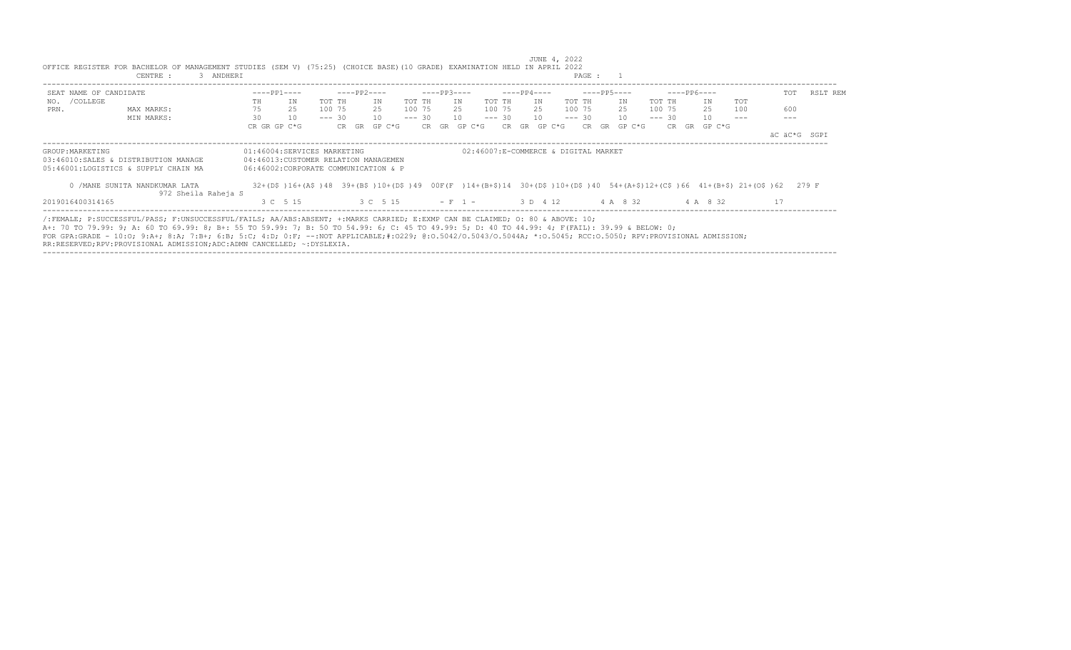|                        | CENTRE :<br>3 ANDHERI                                                                                                                                                                                                                                                                                                                                                                                                                                                                                                     |    |                                                                                                                          |          |       |             |        |          |             |        |                                      |     |             |        | PAGE : 1 |    |                 |          |             |     |    |     |              |
|------------------------|---------------------------------------------------------------------------------------------------------------------------------------------------------------------------------------------------------------------------------------------------------------------------------------------------------------------------------------------------------------------------------------------------------------------------------------------------------------------------------------------------------------------------|----|--------------------------------------------------------------------------------------------------------------------------|----------|-------|-------------|--------|----------|-------------|--------|--------------------------------------|-----|-------------|--------|----------|----|-----------------|----------|-------------|-----|----|-----|--------------|
| SEAT NAME OF CANDIDATE |                                                                                                                                                                                                                                                                                                                                                                                                                                                                                                                           |    | $---PP1---$                                                                                                              |          |       | ----PP2---- |        |          | $---PP3---$ |        |                                      |     | ----PP4---- |        |          |    | $---PP5---$     |          | $---PP6---$ |     |    | TOT | RSLT REM     |
| /COLLEGE<br>NO.        |                                                                                                                                                                                                                                                                                                                                                                                                                                                                                                                           | TH | ΙN                                                                                                                       | TOT TH   |       | ΙN          |        | TOT TH   |             | IN     | TOT TH                               |     | IN          |        | TOT TH   |    | ΙN              | TOT TH   | IN          | TOT |    |     |              |
| PRN.                   | MAX MARKS:                                                                                                                                                                                                                                                                                                                                                                                                                                                                                                                | 75 | 25                                                                                                                       | 100 75   |       | 2.5         |        | 100 75   |             | 25     | 100 75                               |     | 25          |        | 100 75   |    | 25              | 100 75   | 25          | 100 |    | 600 |              |
|                        | MIN MARKS:                                                                                                                                                                                                                                                                                                                                                                                                                                                                                                                | 30 | 10                                                                                                                       | $--- 30$ |       | 10          |        | $--- 30$ |             | 10     | $--- 30$                             |     | 10          |        | $--- 30$ |    | 10 <sup>1</sup> | $--- 30$ | 10          |     |    |     |              |
|                        |                                                                                                                                                                                                                                                                                                                                                                                                                                                                                                                           |    | CR GR GP C*G                                                                                                             |          | CR GR |             | GP C*G |          | CR GR       | GP C*G |                                      | CR. | GR          | GP C*G | CR.      | GR | GP C*G          | CR       | GR GP C*G   |     |    |     |              |
|                        |                                                                                                                                                                                                                                                                                                                                                                                                                                                                                                                           |    |                                                                                                                          |          |       |             |        |          |             |        |                                      |     |             |        |          |    |                 |          |             |     |    |     | äC äC*G SGPI |
| GROUP: MARKETING       |                                                                                                                                                                                                                                                                                                                                                                                                                                                                                                                           |    | 01:46004:SERVICES MARKETING                                                                                              |          |       |             |        |          |             |        | 02:46007:E-COMMERCE & DIGITAL MARKET |     |             |        |          |    |                 |          |             |     |    |     |              |
|                        | 03:46010:SALES & DISTRIBUTION MANAGE                                                                                                                                                                                                                                                                                                                                                                                                                                                                                      |    | 04:46013: CUSTOMER RELATION MANAGEMEN                                                                                    |          |       |             |        |          |             |        |                                      |     |             |        |          |    |                 |          |             |     |    |     |              |
|                        | 05:46001:LOGISTICS & SUPPLY CHAIN MA                                                                                                                                                                                                                                                                                                                                                                                                                                                                                      |    | 06:46002:CORPORATE COMMUNICATION & P                                                                                     |          |       |             |        |          |             |        |                                      |     |             |        |          |    |                 |          |             |     |    |     |              |
|                        | 0 / MANE SUNITA NANDKUMAR LATA<br>972 Sheila Raheja S                                                                                                                                                                                                                                                                                                                                                                                                                                                                     |    | 32+(D\$)16+(A\$)48 39+(B\$)10+(D\$)49 00F(F)14+(B+\$)14 30+(D\$)10+(D\$)40 54+(A+\$)12+(C\$)66 41+(B+\$)21+(O\$)62 279 F |          |       |             |        |          |             |        |                                      |     |             |        |          |    |                 |          |             |     |    |     |              |
| 2019016400314165       |                                                                                                                                                                                                                                                                                                                                                                                                                                                                                                                           |    | 3 C 5 15                                                                                                                 |          |       | 3 C 5 15    |        |          | $-F-1$      |        |                                      |     | 3 D 4 12    |        |          |    | 4 A 8 32        |          | 4 A 8 32    |     | 17 |     |              |
|                        | /:FEMALE; P:SUCCESSFUL/PASS; F:UNSUCCESSFUL/FAILS; AA/ABS:ABSENT; +:MARKS CARRIED; E:EXMP CAN BE CLAIMED; 0: 80 & ABOVE: 10;<br>A+: 70 TO 79.99: 9; A: 60 TO 69.99: 8; B+: 55 TO 59.99: 7; B: 50 TO 54.99: 6; C: 45 TO 49.99: 5; D: 40 TO 44.99: 4; F(FAIL): 39.99 & BELOW: 0;<br>FOR GPA:GRADE - 10:0; 9:A+; 8:A; 7:B+; 6:B; 5:C; 4:D; 0:F; --:NOT APPLICABLE;#:0229; 0:0.5042/0.5043/0.5044A; *:0.5045; RCC:0.5050; RPV:PROVISIONAL ADMISSION;<br>RR:RESERVED;RPV:PROVISIONAL ADMISSION;ADC:ADMN CANCELLED; ~:DYSLEXIA. |    |                                                                                                                          |          |       |             |        |          |             |        |                                      |     |             |        |          |    |                 |          |             |     |    |     |              |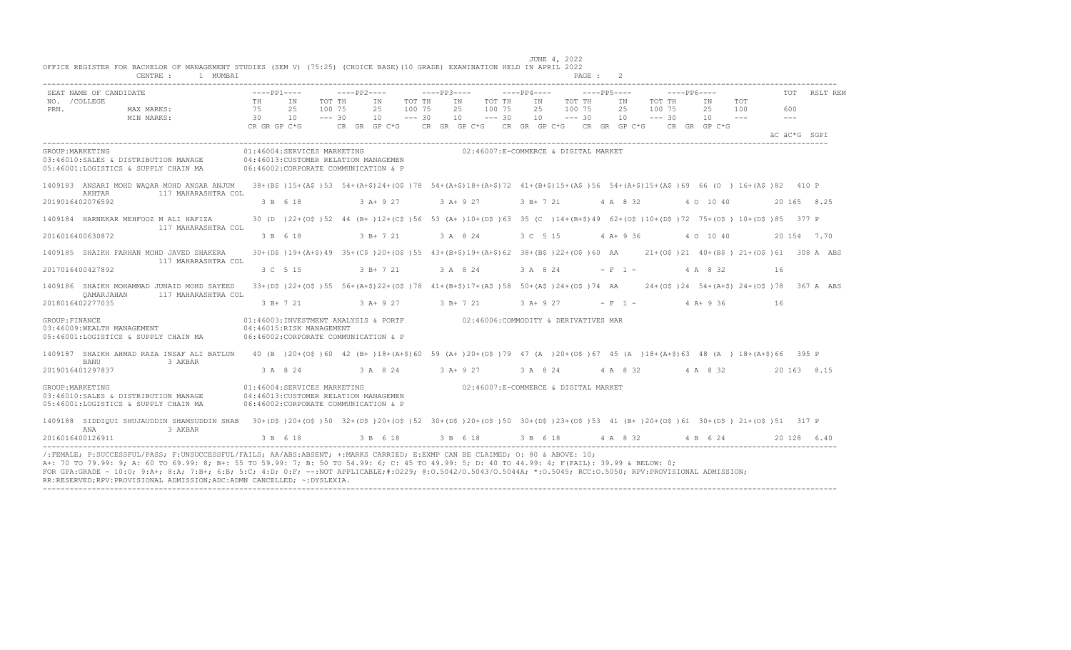|                       | SEAT NAME OF CANDIDATE                                                                                                                                                               |                | $---PP1---$                    | $---PP2---$                                                                                                                         |                              | $---PP3---$  |                                      | $---PP4---$    |                              | $---PP5---$    |                              | $---PP6---$ |                                         | TOT          | RSLT REM     |
|-----------------------|--------------------------------------------------------------------------------------------------------------------------------------------------------------------------------------|----------------|--------------------------------|-------------------------------------------------------------------------------------------------------------------------------------|------------------------------|--------------|--------------------------------------|----------------|------------------------------|----------------|------------------------------|-------------|-----------------------------------------|--------------|--------------|
| NO. / COLLEGE<br>PRN. | MAX MARKS:<br>MIN MARKS:                                                                                                                                                             | TH<br>75<br>30 | IN<br>25<br>10<br>CR GR GP C*G | TOT TH<br>TN<br>100 75<br>25<br>$--- 30$<br>10<br>CR GR GP C*G      CR GR GP C*G     CR GP C*G     CR GR GP C*G     CR   GR  GP C*G | TOT TH<br>100 75<br>$--- 30$ | IN<br>25     | TOT TH<br>100 75<br>10<br>$--- 30$   | IN<br>25<br>10 | TOT TH<br>100 75<br>$--- 30$ | ΙN<br>25<br>10 | TOT TH<br>100 75<br>$--- 30$ |             | TOT<br>IN<br>25<br>100<br>10<br>$- - -$ | 600<br>$  -$ |              |
|                       |                                                                                                                                                                                      |                |                                |                                                                                                                                     |                              |              |                                      |                |                              |                |                              |             |                                         |              | äC äC*G SGPT |
| GROUP: MARKETING      | 03:46010:SALES & DISTRIBUTION MANAGE<br>05:46001:LOGISTICS & SUPPLY CHAIN MA                                                                                                         |                | 01:46004:SERVICES MARKETING    | 04:46013:CUSTOMER RELATION MANAGEMEN<br>06:46002:CORPORATE COMMUNICATION & P                                                        |                              |              | 02:46007:E-COMMERCE & DIGITAL MARKET |                |                              |                |                              |             |                                         |              |              |
|                       | 1409183 ANSARI MOHD WAQAR MOHD ANSAR ANJUM<br>AKHTAR<br>117 MAHARASHTRA COL                                                                                                          |                |                                | 38+(B\$)15+(A\$)53 54+(A+\$)24+(O\$)78 54+(A+\$)18+(A+\$)72 41+(B+\$)15+(A\$)56 54+(A+\$)15+(A\$)69 66 (O) 16+(A\$)82 410 P         |                              |              |                                      |                |                              |                |                              |             |                                         |              |              |
| 2019016402076592      |                                                                                                                                                                                      |                | 3 B 6 18                       | $3 A+9 27$                                                                                                                          |                              | $3 A+9 27$   |                                      |                | 3 B + 7 21 4 A 8 32          |                |                              |             | 4 0 10 40                               |              | 20 165 8.25  |
|                       | 1409184 HARNEKAR MEHFOOZ M ALI HAFIZA<br>117 MAHARASHTRA COL                                                                                                                         |                |                                | 30 (D) 22+(O\$) 52 44 (B+) 12+(C\$) 56 53 (A+) 10+(D\$) 63 35 (C) 14+ (B+\$) 49 62+(O\$) 10+ (D\$) 72 75+(O\$) 10+ (D\$) 85 377 P   |                              |              |                                      |                |                              |                |                              |             |                                         |              |              |
|                       | 2016016400630872                                                                                                                                                                     |                | 3 B 6 18                       | 3 B+ 7 21                                                                                                                           |                              | 3 A 8 24     |                                      | 3 C 5 15       |                              | $4 A+9 36$     |                              |             | 4 0 10 40                               |              | 20 154 7.70  |
|                       | 1409185 SHAIKH FARHAN MOHD JAVED SHAKERA<br>117 MAHARASHTRA COL                                                                                                                      |                |                                | 30+(D\$)19+(A+\$)49 35+(C\$)20+(O\$)55 43+(B+\$)19+(A+\$)62 38+(B\$)22+(O\$)60 AA 21+(O\$)21 40+(B\$)21+(O\$)61 308 A ABS           |                              |              |                                      |                |                              |                |                              |             |                                         |              |              |
|                       | 2017016400427892                                                                                                                                                                     |                | 3 C 5 15                       | $3 B+721$                                                                                                                           |                              | 3 A 8 24     |                                      | 3 A 8 24       |                              | $- F 1 -$      |                              |             | 4 A 8 32                                | 16           |              |
|                       | 1409186 SHAIKH MOHAMMAD JUNAID MOHD SAYEED<br>117 MAHARASHTRA COL<br>OAMARJAHAN                                                                                                      |                |                                | 33+(D\$)22+(O\$)55 56+(A+\$)22+(O\$)78 41+(B+\$)17+(A\$)58 50+(A\$)24+(O\$)74 AA 24+(O\$)24 54+(A+\$)24+(O\$)78                     |                              |              |                                      |                |                              |                |                              |             |                                         |              | 367 A ABS    |
|                       | 2018016402277035                                                                                                                                                                     |                |                                | 3 B + 7 21 3 A + 9 27                                                                                                               |                              | $3 R + 7 21$ |                                      | $3$ A+ 9 27    |                              |                | $- F 1 -$                    |             | $4$ A + 9 36                            | - 16         |              |
| GROUP: FINANCE        | 03:46009:WEALTH MANAGEMENT<br>05:46001:LOGISTICS & SUPPLY CHAIN MA                                                                                                                   |                | 04:46015:RISK MANAGEMENT       | 01:46003:INVESTMENT ANALYSIS & PORTF 02:46006:COMMODITY & DERIVATIVES MAR<br>06:46002:CORPORATE COMMUNICATION & P                   |                              |              |                                      |                |                              |                |                              |             |                                         |              |              |
|                       | 1409187 SHAIKH AHMAD RAZA INSAF ALI BATLUN 40 (B) 20+(0\$)60 42 (B+)18+(A+\$)60 59 (A+)20+(0\$)79 47 (A)20+(0\$)67 45 (A)18+(A+\$)63 48 (A) 18+(A+\$)66 395 P<br>BANU<br>3 AKBAR     |                |                                |                                                                                                                                     |                              |              |                                      |                |                              |                |                              |             |                                         |              |              |
|                       | 2019016401297837                                                                                                                                                                     |                | 3 A 8 24                       | 3 A 8 24 3 A + 9 27                                                                                                                 |                              |              |                                      | 3 A 8 24       |                              |                | 4 A 8 32                     |             | 4 A 8 32                                |              | 20 163 8.15  |
| GROUP: MARKETING      | 03:46010:SALES & DISTRIBUTION MANAGE<br>05:46001:LOGISTICS & SUPPLY CHAIN MA                                                                                                         |                | 01:46004:SERVICES MARKETING    | 04:46013: CUSTOMER RELATION MANAGEMEN<br>06:46002:CORPORATE COMMUNICATION & P                                                       |                              |              | 02:46007:E-COMMERCE & DIGITAL MARKET |                |                              |                |                              |             |                                         |              |              |
|                       | 1409188 SIDDIQUI SHUJAUDDIN SHAMSUDDIN SHAB 30+(D\$)20+(O\$)50 32+(D\$)20+(O\$)52 30+(D\$)20+(O\$)50 30+(D\$)23+(O\$)53 41 (B+)20+(O\$)61 30+(D\$)21+(O\$)51 317 P<br>ANA<br>3 AKBAR |                |                                |                                                                                                                                     |                              |              |                                      |                |                              |                |                              |             |                                         |              |              |
|                       | 2016016400126911                                                                                                                                                                     |                |                                | 3 B 6 18 3 B 6 18 3 B 6 18 3 B 6 18 4 A 8 32 4 B 6 24                                                                               |                              |              |                                      |                |                              |                |                              |             |                                         |              | 20 128 6.40  |

----------------------------------------------------------------------------------------------------------------------------------------------------------------------------------

JUNE 4, 2022 OFFICE REGISTER FOR BACHELOR OF MANAGEMENT STUDIES (SEM V) (75:25) (CHOICE BASE)(10 GRADE) EXAMINATION HELD IN APRIL 2022

RR:RESERVED;RPV:PROVISIONAL ADMISSION;ADC:ADMN CANCELLED; ~:DYSLEXIA.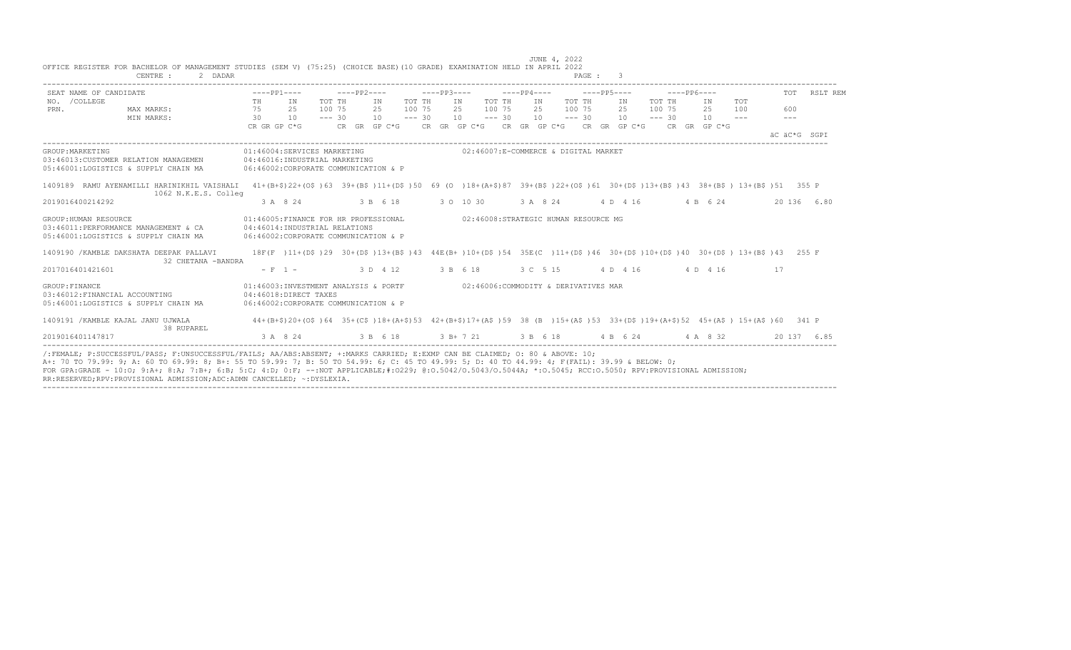| SEAT NAME OF CANDIDATE                                                                                                                                                                        | $---PP1---$                                                                                                               |                                                                                                           |           |                                      |    |                                      |                            | $---PP6---$                                                                                                                                                                           |                      | TOT RSLT REM |
|-----------------------------------------------------------------------------------------------------------------------------------------------------------------------------------------------|---------------------------------------------------------------------------------------------------------------------------|-----------------------------------------------------------------------------------------------------------|-----------|--------------------------------------|----|--------------------------------------|----------------------------|---------------------------------------------------------------------------------------------------------------------------------------------------------------------------------------|----------------------|--------------|
| NO. / COLLEGE                                                                                                                                                                                 | TH IN                                                                                                                     | TOT TH                                                                                                    | IN TOT TH | IN TOT TH                            | IN | TOT TH                               | TOT TH<br>IN               | TOT<br>IN                                                                                                                                                                             |                      |              |
| MAX MARKS:<br>PRN.                                                                                                                                                                            | 75 25<br>30 10                                                                                                            | 100 75<br>2.5<br>$--- 30$                                                                                 | 100 75    | 100 75<br>2.5                        |    | 2.5 100 7.5                          | 2.5<br>100 75              | 2.5<br>100                                                                                                                                                                            | 600<br>$\frac{1}{2}$ |              |
| MIN MARKS:                                                                                                                                                                                    |                                                                                                                           | CR GR GP C*G $CR$ GR GP C*G $CR$ GR GP C*G $CR$ GR GP C*G $CR$ GR GP C*G $CR$ GR GP C*G $CR$ GR GP C*G    |           |                                      |    |                                      |                            |                                                                                                                                                                                       |                      |              |
|                                                                                                                                                                                               |                                                                                                                           |                                                                                                           |           |                                      |    |                                      |                            |                                                                                                                                                                                       | AC AC*G SGPT         |              |
| GROUP: MARKETING<br>03:46013:CUSTOMER RELATION MANAGEMEN 04:46016:INDUSTRIAL MARKETING<br>05:46001:LOGISTICS & SUPPLY CHAIN MA                                                                |                                                                                                                           | 01:46004:SERVICES MARKETING 602:46007:E-COMMERCE & DIGITAL MARKET<br>06:46002:CORPORATE COMMUNICATION & P |           |                                      |    |                                      |                            |                                                                                                                                                                                       |                      |              |
| 1409189 RAMU AYENAMILLI HARINIKHIL VAISHALI 41+(B+\$)22+(O\$)63 39+(B\$)11+(D\$)50 69 (O )18+(A+\$)87 39+(B\$)22+(O\$)61 30+(D\$)13+(D\$)43 38+(B\$) 13+(B\$)51 355 P<br>1062 N.K.E.S. Colleg |                                                                                                                           |                                                                                                           |           |                                      |    |                                      |                            |                                                                                                                                                                                       |                      |              |
| 2019016400214292                                                                                                                                                                              | 3 A 8 24                                                                                                                  | 3 B 6 18 3 0 10 30                                                                                        |           |                                      |    |                                      | 3 A 8 24 4 D 4 16 4 B 6 24 |                                                                                                                                                                                       | 20 136 6.80          |              |
| GROUP: HUMAN RESOURCE<br>03:46011:PERFORMANCE MANAGEMENT & CA 04:46014:INDUSTRIAL RELATIONS<br>05:46001:LOGISTICS & SUPPLY CHAIN MA                                                           | 06:46002:CORPORATE COMMUNICATION & P                                                                                      | 01:46005:FINANCE FOR HR PROFESSIONAL                                                                      |           |                                      |    | 02:46008:STRATEGIC HUMAN RESOURCE MG |                            |                                                                                                                                                                                       |                      |              |
| 1409190 / KAMBLE DAKSHATA DEEPAK PALLAVI<br>32 CHETANA -BANDRA                                                                                                                                |                                                                                                                           |                                                                                                           |           |                                      |    |                                      |                            | 18F(F)11+(D\$)29 30+(D\$)13+(B\$)43 44E(B+)10+(D\$)54 35E(C)11+(D\$)46 30+(D\$)10+(D\$)40 30+(D\$) 13+(B\$)43 255 F                                                                   |                      |              |
| 2017016401421601                                                                                                                                                                              | $- F - 1 -$                                                                                                               | 3 D 4 12 3 B 6 18                                                                                         |           |                                      |    |                                      | 3 C 5 15 4 D 4 16 4 D 4 16 |                                                                                                                                                                                       | 17                   |              |
| GROUP: FINANCE<br>03:46012: FINANCIAL ACCOUNTING<br>05:46001:LOGISTICS & SUPPLY CHAIN MA                                                                                                      | 04:46018:DIRECT TAXES<br>06:46002:CORPORATE COMMUNICATION & P                                                             | 01:46003:INVESTMENT ANALYSIS & PORTF                                                                      |           | 02:46006:COMMODITY & DERIVATIVES MAR |    |                                      |                            |                                                                                                                                                                                       |                      |              |
| 1409191 / KAMBLE KAJAL JANU UJWALA<br>38 RUPAREL                                                                                                                                              | 44+(B+\$)20+(O\$)64 35+(C\$)18+(A+\$)53 42+(B+\$)17+(A\$)59 38 (B)15+(A\$)53 33+(D\$)19+(A+\$)52 45+(A\$)15+(A\$)60 341 P |                                                                                                           |           |                                      |    |                                      |                            |                                                                                                                                                                                       |                      |              |
| 2019016401147817                                                                                                                                                                              |                                                                                                                           |                                                                                                           |           |                                      |    |                                      |                            | $3 \text{ A} \quad 8 \quad 24$ $3 \text{ B} \quad 6 \quad 18$ $3 \text{ B} + 7 \quad 21$ $3 \text{ B} \quad 6 \quad 18$ $4 \text{ B} \quad 6 \quad 24$ $4 \text{ A} \quad 8 \quad 32$ | 20 137 6.85          |              |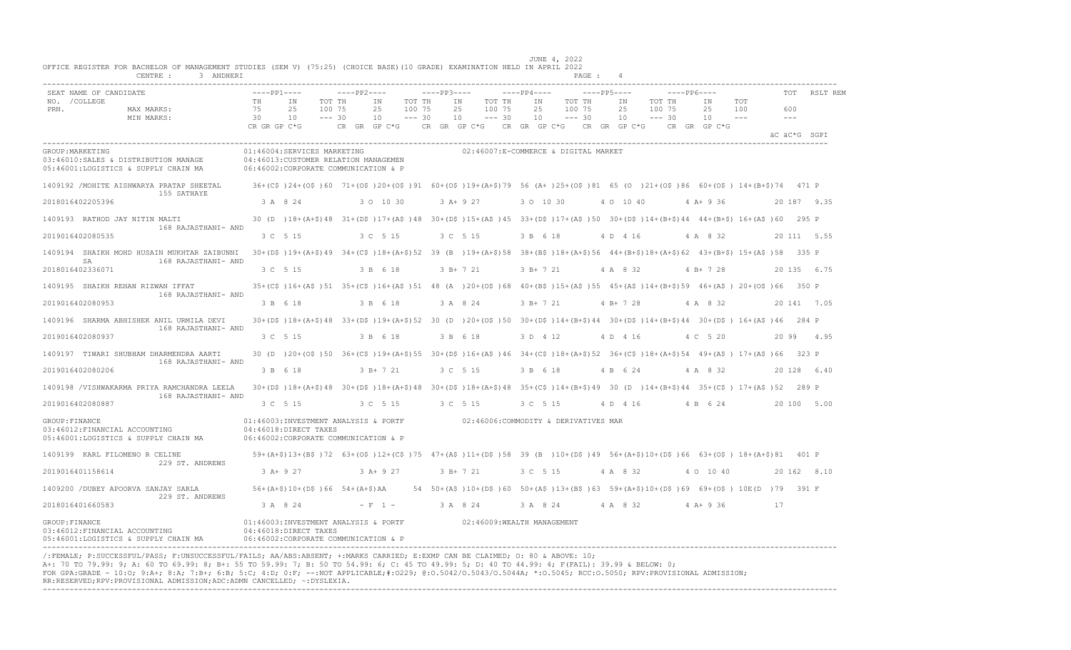|      | SEAT NAME OF CANDIDATE                                                                           | $---PP1---$                    |                                                                                                                              |                              | $---PP2---$                    |                              | $---PP3---$  |                                                                                |                              | $---PP4---$                    |                                      | $---PP5---$                    |                              | $---PP6---$ |                                 |                             |       | <b>TOT</b>   | RSLT REM    |
|------|--------------------------------------------------------------------------------------------------|--------------------------------|------------------------------------------------------------------------------------------------------------------------------|------------------------------|--------------------------------|------------------------------|--------------|--------------------------------------------------------------------------------|------------------------------|--------------------------------|--------------------------------------|--------------------------------|------------------------------|-------------|---------------------------------|-----------------------------|-------|--------------|-------------|
| PRN. | NO. / COLLEGE<br>MAX MARKS:<br>MIN MARKS:                                                        | TН<br>75<br>30<br>CR GR GP C*G | IN<br>2.5<br>10                                                                                                              | TOT TH<br>100 75<br>$--- 30$ | ΙN<br>25<br>10<br>CR GR GP C*G | TOT TH<br>100 75<br>$--- 30$ | CR GR GP C*G | ΙN<br>25<br>10                                                                 | TOT TH<br>100 75<br>$--- 30$ | ΙN<br>25<br>10<br>CR GR GP C*G | TOT TH<br>100 75<br>$--- 30$         | ΙN<br>25<br>10<br>CR GR GP C*G | TOT TH<br>100 75<br>$--- 30$ |             | TN<br>2.5<br>10<br>CR GR GP C*G | TOT<br>100<br>$\frac{1}{2}$ |       | 600<br>$---$ |             |
|      |                                                                                                  |                                |                                                                                                                              |                              |                                |                              |              |                                                                                |                              |                                |                                      |                                |                              |             |                                 |                             |       | äC äC*G SGPI |             |
|      | GROUP: MARKETING<br>03:46010:SALES & DISTRIBUTION MANAGE<br>05:46001:LOGISTICS & SUPPLY CHAIN MA |                                | 01:46004:SERVICES MARKETING<br>04:46013:CUSTOMER RELATION MANAGEMEN<br>06:46002:CORPORATE COMMUNICATION & P                  |                              |                                |                              |              |                                                                                |                              |                                | 02:46007:E-COMMERCE & DIGITAL MARKET |                                |                              |             |                                 |                             |       |              |             |
|      | 1409192 / MOHITE AISHWARYA PRATAP SHEETAL<br>155 SATHAYE                                         |                                | 36+(C\$)24+(O\$)60 71+(O\$)20+(O\$)91 60+(O\$)19+(A+\$)79 56 (A+)25+(O\$)81 65 (O )21+(O\$)86 60+(O\$) 14+(B+\$)74 471 P     |                              |                                |                              |              |                                                                                |                              |                                |                                      |                                |                              |             |                                 |                             |       |              |             |
|      | 2018016402205396                                                                                 |                                | 3 A 8 24                                                                                                                     |                              | 3 0 10 30                      |                              |              | $3 A+ 9 27$                                                                    |                              | 3 0 10 30                      |                                      | 4 0 10 40                      |                              |             | $4 A+9 36$                      |                             |       |              | 20 187 9.35 |
|      | 1409193 RATHOD JAY NITIN MALTI<br>168 RAJASTHANI- AND                                            |                                | 30 (D) 18+(A+\$)48 31+(D\$)17+(A\$)48 30+(D\$)15+(A\$)45 33+(D\$)17+(A\$)50 30+(D\$)14+(B+\$)44 44+(B+\$)16+(A\$)60 295 P    |                              |                                |                              |              |                                                                                |                              |                                |                                      |                                |                              |             |                                 |                             |       |              |             |
|      | 2019016402080535                                                                                 |                                | 3 C 5 15                                                                                                                     |                              | 3 C 5 15                       |                              |              | 3 C 5 15                                                                       |                              | 3 B 6 18                       |                                      | 4 D 4 16                       |                              |             | 4 A 8 32                        |                             |       |              | 20 111 5.55 |
|      | 1409194 SHAIKH MOHD HUSAIN MUKHTAR ZAIBUNNI<br>SA<br>168 RAJASTHANI- AND                         |                                | 30+(D\$)19+(A+\$)49 34+(C\$)18+(A+\$)52 39 (B)19+(A+\$)58 38+(B\$)18+(A+\$)56 44+(B+\$)18+(A+\$)62 43+(B+\$)15+(A\$)58 335 P |                              |                                |                              |              |                                                                                |                              |                                |                                      |                                |                              |             |                                 |                             |       |              |             |
|      | 2018016402336071                                                                                 |                                | 3 C 5 15                                                                                                                     |                              | 3 B 6 18                       |                              |              | $3 B+ 7 21$                                                                    |                              | $3 B+ 7 21$                    |                                      | 4 A 8 32                       |                              |             | $4 B+ 7 28$                     |                             |       |              | 20 135 6.75 |
|      | 1409195 SHAIKH REHAN RIZWAN IFFAT<br>168 RAJASTHANI- AND                                         |                                | 35+(C\$)16+(A\$)51 35+(C\$)16+(A\$)51 48 (A)20+(O\$)68 40+(B\$)15+(A\$)55 45+(A\$)14+(B+\$)59 46+(A\$)20+(O\$)66 350 P       |                              |                                |                              |              |                                                                                |                              |                                |                                      |                                |                              |             |                                 |                             |       |              |             |
|      | 2019016402080953                                                                                 |                                | 3 B 6 18                                                                                                                     |                              | 3 B 6 18                       |                              |              | 3 A 8 24                                                                       |                              | $3 B+ 7 21$                    |                                      | $4 B+ 7 28$                    |                              |             | 4 A 8 32                        |                             |       |              | 20 141 7.05 |
|      | 1409196 SHARMA ABHISHEK ANIL URMILA DEVI                                                         |                                | 30+(DS)18+(A+S)48 33+(DS)19+(A+S)52 30 (D)20+(OS)50 30+(DS)14+(B+S)44 30+(DS)14+(B+S)44 30+(DS)16+(AS)46 284 P               |                              |                                |                              |              |                                                                                |                              |                                |                                      |                                |                              |             |                                 |                             |       |              |             |
|      | 168 RAJASTHANI- AND<br>2019016402080937                                                          |                                | 3 C 5 15                                                                                                                     |                              | 3 B 6 18                       |                              |              | 3 B 6 18                                                                       |                              | 3 D 4 12                       |                                      | 4 D 4 16                       |                              |             | 4 C 5 20                        |                             | 20 99 |              | 4.95        |
|      | 1409197 TIWARI SHUBHAM DHARMENDRA AARTI                                                          |                                | 30 (D) 20+(O\$)50 36+(C\$)19+(A+\$)55 30+(D\$)16+(A\$)46 34+(C\$)18+(A+\$)52 36+(C\$)18+(A+\$)54 49+(A\$) 17+(A\$)66 323 P   |                              |                                |                              |              |                                                                                |                              |                                |                                      |                                |                              |             |                                 |                             |       |              |             |
|      | 168 RAJASTHANI- AND<br>2019016402080206                                                          |                                | 3 B 6 18                                                                                                                     |                              | 3 B+ 7 21                      |                              |              | 3 C 5 15                                                                       |                              | 3 B 6 18                       |                                      | 4 B 6 24                       |                              |             | 4 A 8 32                        |                             |       |              | 20 128 6.40 |
|      | 1409198 /VISHWAKARMA PRIYA RAMCHANDRA LEELA<br>168 RAJASTHANI- AND                               |                                | 30+(D\$)18+(A+\$)48 30+(D\$)18+(A+\$)48 30+(D\$)18+(A+\$)48 35+(C\$)14+(B+\$)49 30 (D)14+(B+\$)44 35+(C\$)17+(A\$)52 289 P   |                              |                                |                              |              |                                                                                |                              |                                |                                      |                                |                              |             |                                 |                             |       |              |             |
|      | 2019016402080887                                                                                 |                                | 3 C 5 15                                                                                                                     |                              | 3 C 5 15                       |                              |              | 3 C 5 15                                                                       |                              | 3 C 5 15                       |                                      | 4 D 4 16                       |                              |             | 4 B 6 24                        |                             |       |              | 20 100 5.00 |
|      | GROUP: FINANCE<br>03:46012: FINANCIAL ACCOUNTING<br>05:46001:LOGISTICS & SUPPLY CHAIN MA         |                                | 01:46003:INVESTMENT ANALYSIS & PORTF<br>04:46018:DIRECT TAXES<br>06:46002:CORPORATE COMMUNICATION & P                        |                              |                                |                              |              |                                                                                |                              |                                | 02:46006:COMMODITY & DERIVATIVES MAR |                                |                              |             |                                 |                             |       |              |             |
|      | 1409199 KARL FILOMENO R CELINE<br>229 ST. ANDREWS                                                |                                | 59+(A+\$)13+(B\$)72 63+(O\$)12+(C\$)75 47+(A\$)11+(D\$)58 39 (B)10+(D\$)49 56+(A+\$)10+(D\$)66 63+(O\$) 18+(A+\$)81 401 P    |                              |                                |                              |              |                                                                                |                              |                                |                                      |                                |                              |             |                                 |                             |       |              |             |
|      | 2019016401158614                                                                                 |                                | $3 A+9 27$                                                                                                                   |                              | $3 A+9 27$                     |                              |              | $3 B+ 7 21$                                                                    |                              | 3 C 5 15                       |                                      | 4 A 8 32                       |                              |             | 4 0 10 40                       |                             |       |              | 20 162 8.10 |
|      | 1409200 / DUBEY APOORVA SANJAY SARLA<br>229 ST. ANDREWS                                          |                                | $56+ (A+$) 10+ (D$) 66 54+ (A+$) AA$                                                                                         |                              |                                |                              |              | 54 50+(A\$)10+(D\$)60 50+(A\$)13+(B\$)63 59+(A+\$)10+(D\$)69 69+(O\$) 10E(D)79 |                              |                                |                                      |                                |                              |             |                                 |                             |       | 391 F        |             |
|      | 2018016401660583                                                                                 |                                | 3 A 8 24                                                                                                                     |                              | $- F 1 -$                      |                              |              | 3 A 8 24                                                                       |                              | 3 A 8 24                       |                                      | 4 A 8 32                       |                              |             | $4 A+9 36$                      |                             | 17    |              |             |
|      | GROUP: FINANCE<br>03:46012: FINANCIAL ACCOUNTING<br>05:46001:LOGISTICS & SUPPLY CHAIN MA         |                                | 01:46003:INVESTMENT ANALYSIS & PORTF<br>04:46018:DIRECT TAXES<br>06:46002:CORPORATE COMMUNICATION & P                        |                              |                                |                              |              | 02:46009:WEALTH MANAGEMENT                                                     |                              |                                |                                      |                                |                              |             |                                 |                             |       |              |             |

FOR GPA:GRADE - 10:O; 9:A+; 8:A; 7:B+; 6:B; 5:C; 4:D; 0:F; --:NOT APPLICABLE;#:O229; @:O.5042/O.5043/O.5044A; \*:O.5045; RCC:O.5050; RPV:PROVISIONAL ADMISSION; RR:RESERVED;RPV:PROVISIONAL ADMISSION;ADC:ADMN CANCELLED; ~:DYSLEXIA. ----------------------------------------------------------------------------------------------------------------------------------------------------------------------------------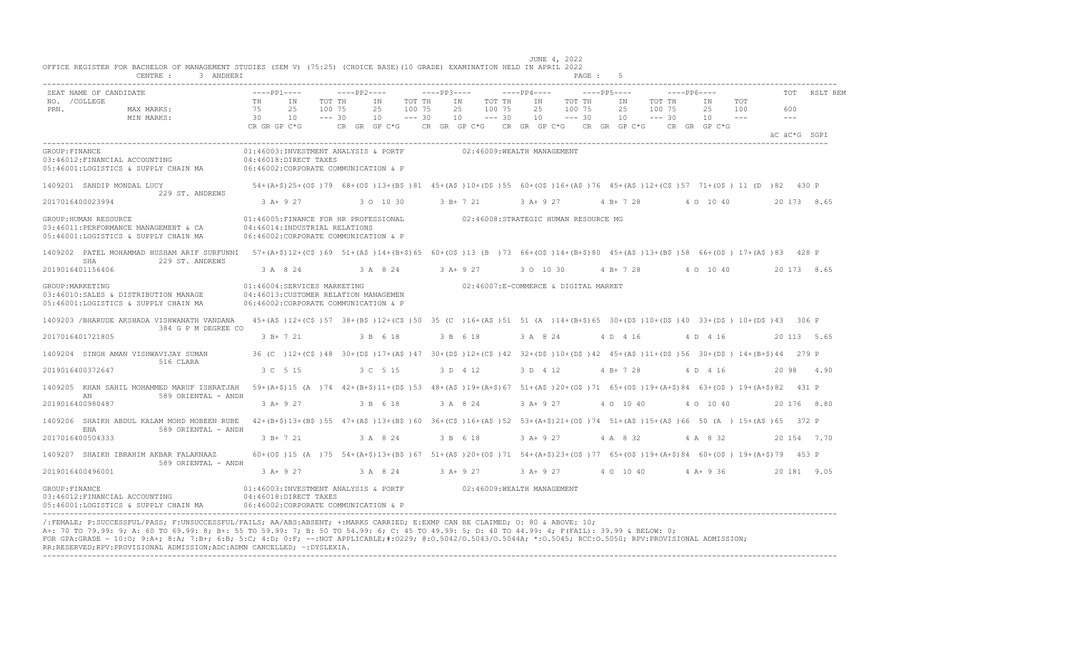| SEAT NAME OF CANDIDATE<br>NO. / COLLEGE          |                                                                                                                                                                       | TH           | $---PP1---$<br>ΙN                                                                                                                | TOT TH   | $---PP2---$<br>ΙN | TOT TH   | $---PP3---$ | ΙN         | TOT TH                     | $---PP4---$ | ΙN          | TOT TH                               | $---PP5---$<br>ΙN                      | TOT TH   | $---PP6---$ | ΙN           | TOT           | TOT     | RSLT REM     |
|--------------------------------------------------|-----------------------------------------------------------------------------------------------------------------------------------------------------------------------|--------------|----------------------------------------------------------------------------------------------------------------------------------|----------|-------------------|----------|-------------|------------|----------------------------|-------------|-------------|--------------------------------------|----------------------------------------|----------|-------------|--------------|---------------|---------|--------------|
| PRN.                                             | MAX MARKS:                                                                                                                                                            | 75           | 25                                                                                                                               | 100 75   | 25                | 100 75   |             | 25         | 100 75                     |             | 25          | 100 75                               | 25                                     | 100 75   |             | 25           | 100           | 600     |              |
|                                                  | MIN MARKS:                                                                                                                                                            | 30           | 10                                                                                                                               | $--- 30$ | 10                | $--- 30$ |             | 10         | $--- 30$                   |             | 10          | $--- 30$                             | 10                                     | $--- 30$ |             | 10           | $\frac{1}{2}$ | $- - -$ |              |
|                                                  |                                                                                                                                                                       | CR GR GP C*G |                                                                                                                                  |          | CR GR GP C*G      |          |             |            |                            |             |             |                                      | CR GR GP C*G CR GR GP C*G CR GR GP C*G |          |             | CR GR GP C*G |               |         | AC AC*G SGPT |
| GROUP: FINANCE<br>03:46012:FINANCIAL ACCOUNTING  | 05:46001:LOGISTICS & SUPPLY CHAIN MA                                                                                                                                  |              | 01:46003:INVESTMENT ANALYSIS & PORTF<br>04:46018:DIRECT TAXES<br>06:46002:CORPORATE COMMUNICATION & P                            |          |                   |          |             |            | 02:46009:WEALTH MANAGEMENT |             |             |                                      |                                        |          |             |              |               |         |              |
| 1409201 SANDIP MONDAL LUCY                       |                                                                                                                                                                       |              | 54+(A+\$)25+(O\$)79 68+(O\$)13+(B\$)81 45+(A\$)10+(D\$)55 60+(O\$)16+(A\$)76 45+(A\$)12+(C\$)57 71+(O\$) 11 (D)82 430 P          |          |                   |          |             |            |                            |             |             |                                      |                                        |          |             |              |               |         |              |
| 2017016400023994                                 | 229 ST. ANDREWS                                                                                                                                                       |              | $3 A+9 27$                                                                                                                       |          | 3 0 10 30         |          |             | 3 B+ 7 21  |                            |             | 3 A+ 9 27   |                                      | $4 B+ 7 28$                            |          |             | 4 0 10 40    |               |         | 20 173 8.65  |
| GROUP: HUMAN RESOURCE                            | 03:46011:PERFORMANCE MANAGEMENT & CA<br>05:46001:LOGISTICS & SUPPLY CHAIN MA                                                                                          |              | 01:46005: FINANCE FOR HR PROFESSIONAL<br>04:46014:INDUSTRIAL RELATIONS<br>06:46002:CORPORATE COMMUNICATION & P                   |          |                   |          |             |            |                            |             |             | 02:46008:STRATEGIC HUMAN RESOURCE MG |                                        |          |             |              |               |         |              |
|                                                  | 1409202 PATEL MOHAMMAD HUSHAM ARIF SURFUNNI 57+(A+\$)12+(C\$)69 51+(A\$)14+(B+\$)65 60+(O\$)13 (B)73 66+(O\$)14+(B+\$)80 45+(A\$)13+(B\$)58 66+(O\$) 17+(A\$)83 428 P |              |                                                                                                                                  |          |                   |          |             |            |                            |             |             |                                      |                                        |          |             |              |               |         |              |
| SHA<br>2019016401156406                          | 229 ST. ANDREWS                                                                                                                                                       |              | 3 A 8 24                                                                                                                         |          | 3 A 8 24          |          |             | $3 A+9 27$ |                            |             | 3 0 10 30   |                                      | $4 B+ 7 28$                            |          |             | 4 0 10 40    |               |         | 20 173 8.65  |
| GROUP: MARKETING                                 | 03:46010:SALES & DISTRIBUTION MANAGE<br>05:46001:LOGISTICS & SUPPLY CHAIN MA                                                                                          |              | 01:46004:SERVICES MARKETING<br>04:46013: CUSTOMER RELATION MANAGEMEN<br>06:46002:CORPORATE COMMUNICATION & P                     |          |                   |          |             |            |                            |             |             | 02:46007:E-COMMERCE & DIGITAL MARKET |                                        |          |             |              |               |         |              |
|                                                  | 1409203 /BHARUDE AKSHADA VISHWANATH VANDANA<br>384 G P M DEGREE CO                                                                                                    |              | 45+(A\$)12+(C\$)57 38+(B\$)12+(C\$)50 35 (C)16+(A\$)51 51 (A)14+(B+\$)65 30+(D\$)10+(D\$)40 33+(D\$) 10+(D\$)43 306 P            |          |                   |          |             |            |                            |             |             |                                      |                                        |          |             |              |               |         |              |
| 2017016401721805                                 |                                                                                                                                                                       |              | 3 B+ 7 21                                                                                                                        |          | 3 B 6 18          |          |             | 3 B 6 18   |                            |             | 3 A 8 24    |                                      | 4 D 4 16                               |          |             | 4 D 4 16     |               |         | 20 113 5.65  |
|                                                  | 1409204 SINGH AMAN VISHWAVIJAY SUMAN<br>516 CLARA                                                                                                                     |              | 36 (C) 12+(C\$)48 30+(D\$)17+(A\$)47 30+(D\$)12+(C\$)42 32+(D\$)10+(D\$)42 45+(A\$)11+(D\$)56 30+(D\$)14+(B+\$)44 279 P          |          |                   |          |             |            |                            |             |             |                                      |                                        |          |             |              |               |         |              |
| 2019016400372647                                 |                                                                                                                                                                       |              | 3 C 5 15                                                                                                                         |          | 3 C 5 15          |          |             | 3 D 4 12   |                            |             | 3 D 4 12    |                                      | $4 B+ 7 28$                            |          |             | 4 D 4 16     |               | 20 98   | 4.90         |
| AN                                               | 1409205 KHAN SAHIL MOHAMMED MARUF ISHRATJAH<br>589 ORIENTAL - ANDH                                                                                                    |              | 59+(A+\$)15 (A) 74 42+(B+\$)11+(D\$)53 48+(A\$)19+(A+\$)67 51+(A\$)20+(O\$)71 65+(O\$)19+(A+\$)84 63+(O\$) 19+(A+\$)82           |          |                   |          |             |            |                            |             |             |                                      |                                        |          |             |              |               |         | 431 P        |
| 2019016400980487                                 |                                                                                                                                                                       |              | 3 A+ 9 27                                                                                                                        |          | 3 B 6 18          |          |             | 3 A 8 24   |                            |             | $3 A+9 27$  |                                      | 4 0 10 40                              |          |             | 4 0 10 40    |               |         | 20 176 8.80  |
|                                                  | 1409206 SHAIKH ABDUL KALAM MOHD MOBEEN RUBE                                                                                                                           |              | 42+(B+\$)13+(B\$)55 47+(A\$)13+(B\$)60 36+(C\$)16+(A\$)52 53+(A+\$)21+(O\$)74 51+(A\$)15+(A\$)66 50 (A) 15+(A\$)65 372 P         |          |                   |          |             |            |                            |             |             |                                      |                                        |          |             |              |               |         |              |
| <b>ENA</b><br>2017016400504333                   | 589 ORIENTAL - ANDH                                                                                                                                                   |              | 3 B+ 7 21                                                                                                                        |          | 3 A 8 24          |          |             | 3 B 6 18   |                            |             | $3 A+ 9 27$ |                                      | 4 A 8 32                               |          |             | 4 A 8 32     |               |         | 20 154 7.70  |
|                                                  | 1409207 SHAIKH IBRAHIM AKBAR FALAKNAAZ<br>589 ORIENTAL - ANDH                                                                                                         |              | 60+(0\$)15 (A)75 54+(A+\$)13+(B\$)67 51+(A\$)20+(0\$)71 54+(A+\$)23+(0\$)77 65+(0\$)19+(A+\$)84 60+(0\$)19+(A+\$)79 453 P        |          |                   |          |             |            |                            |             |             |                                      |                                        |          |             |              |               |         |              |
| 2019016400496001                                 |                                                                                                                                                                       |              | $3 A+9 27$                                                                                                                       |          | 3 A 8 24          |          |             | $3 A+9 27$ |                            |             | 3 A+ 9 27   |                                      | 4 0 10 40                              |          |             | $4 A+9 36$   |               |         | 20 181 9.05  |
| GROUP: FINANCE<br>03:46012: FINANCIAL ACCOUNTING | 05:46001:LOGISTICS & SUPPLY CHAIN MA                                                                                                                                  |              | 01:46003:INVESTMENT ANALYSIS & PORTF 02:46009:WEALTH MANAGEMENT<br>04:46018:DIRECT TAXES<br>06:46002:CORPORATE COMMUNICATION & P |          |                   |          |             |            |                            |             |             |                                      |                                        |          |             |              |               |         |              |

/:FEMALE; P:SUCCESSFUL/PASS; F:UNSUCCESSFUL/FAILS; AA/ABS:ABSENT; +:MARKS CARRIED; E:EXMP CAN BE CLAIMED; O: 80 & ABOVE: 10; A+: 70 TO 79.99: 9; A: 60 TO 69.99: 8; B+: 55 TO 59.99: 7; B: 50 TO 54.99: 6; C: 45 TO 49.99: 5; D: 40 TO 44.99: 4; F(FAIL): 39.99 & BELOW: 0; FOR GPA:GRADE - 10:O; 9:A+; 8:A; 7:B+; 6:B; 5:C; 4:D; 0:F; --:NOT APPLICABLE;#:O229; @:O.5042/O.5043/O.5044A; \*:O.5045; RCC:O.5050; RPV:PROVISIONAL ADMISSION; RR:RESERVED;RPV:PROVISIONAL ADMISSION;ADC:ADMN CANCELLED; ~:DYSLEXIA. ----------------------------------------------------------------------------------------------------------------------------------------------------------------------------------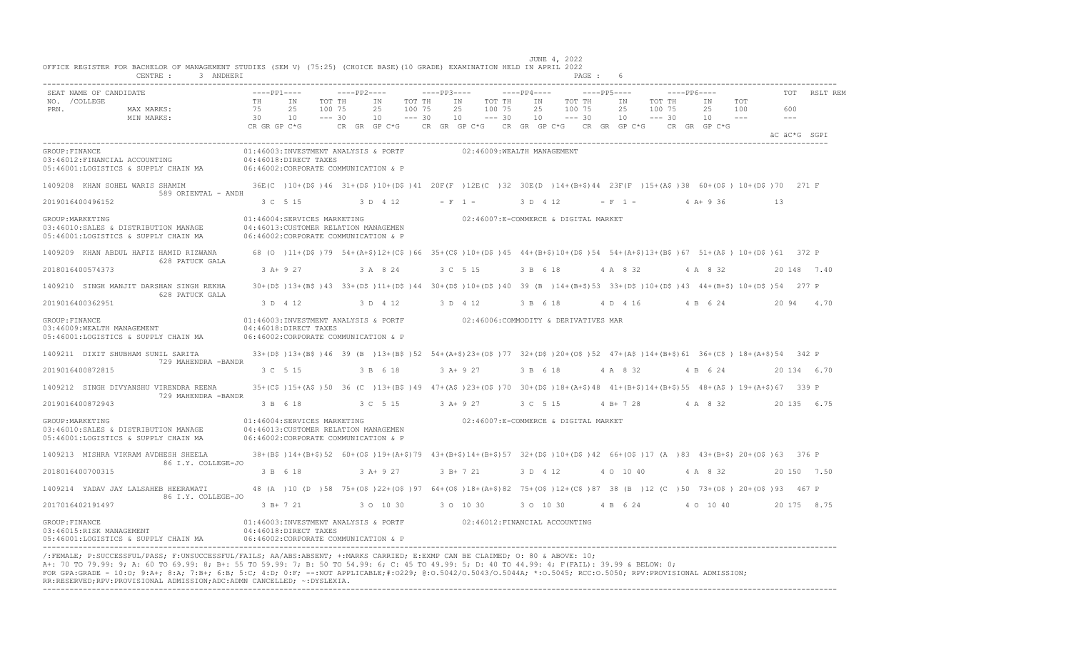| SEAT NAME OF CANDIDATE<br>NO. / COLLEGE<br>PRN.<br>MAX MARKS:<br>MIN MARKS:                      | $---PP1---$<br>TH<br>75<br>30<br>CR GR GP C*G | ΙN<br>25<br>10                                                                                                                       | $---PP2---$<br>TOT TH<br>100 75<br>$--- 30$<br>CR GR GP C*G | ΙN<br>25<br>10 | TOT TH<br>100 75<br>$--- 30$ | $---PP3---$<br>ΙN<br>25<br>10 | TOT TH<br>100 75<br>$--- 30$ | $---PP4---$<br>ΙN<br>25<br>10 | TOT TH<br>100 75<br>$--- 30$<br>CR GR GP $C*G$ CR GR GP $C*G$ CR GR GP $C*G$ | $---PP5---$<br>ΙN<br>25<br>10 | $---PP6---$<br>TOT TH<br>100 75<br>$--- 30$ | ΙN<br>25<br>10<br>CR GR GP C*G | TOT<br>100 | TOT<br>600<br>$---$<br>äC äC*G SGPI | RSLT REM    |
|--------------------------------------------------------------------------------------------------|-----------------------------------------------|--------------------------------------------------------------------------------------------------------------------------------------|-------------------------------------------------------------|----------------|------------------------------|-------------------------------|------------------------------|-------------------------------|------------------------------------------------------------------------------|-------------------------------|---------------------------------------------|--------------------------------|------------|-------------------------------------|-------------|
| GROUP: FINANCE<br>03:46012: FINANCIAL ACCOUNTING<br>05:46001:LOGISTICS & SUPPLY CHAIN MA         |                                               | 01:46003:INVESTMENT ANALYSIS & PORTF<br>04:46018:DIRECT TAXES<br>06:46002:CORPORATE COMMUNICATION & P                                |                                                             |                |                              |                               | 02:46009:WEALTH MANAGEMENT   |                               |                                                                              |                               |                                             |                                |            |                                     |             |
| 1409208 KHAN SOHEL WARIS SHAMIM<br>589 ORIENTAL - ANDH                                           |                                               | 36E(C)10+(D\$)46 31+(D\$)10+(D\$)41 20F(F)12E(C)32 30E(D)14+(B+\$)44 23F(F)15+(A\$)38 60+(O\$)10+(D\$)70 271 F                       |                                                             |                |                              |                               |                              |                               |                                                                              |                               |                                             |                                |            |                                     |             |
| 2019016400496152                                                                                 |                                               | 3 C 5 15                                                                                                                             |                                                             | 3 D 4 12       |                              | $- F 1 -$                     |                              | 3 D 4 12                      |                                                                              | $- F 1 -$                     |                                             | 4 A+ 9 36                      |            | 13                                  |             |
| GROUP: MARKETING<br>03:46010:SALES & DISTRIBUTION MANAGE<br>05:46001:LOGISTICS & SUPPLY CHAIN MA |                                               | 01:46004:SERVICES MARKETING<br>04:46013: CUSTOMER RELATION MANAGEMEN<br>06:46002: CORPORATE COMMUNICATION & P                        |                                                             |                |                              |                               |                              |                               | 02:46007:E-COMMERCE & DIGITAL MARKET                                         |                               |                                             |                                |            |                                     |             |
| 1409209 KHAN ABDUL HAFIZ HAMID RIZWANA<br>628 PATUCK GALA                                        |                                               | 68 (0 )11+(D\$)79 54+(A+\$)12+(C\$)66 35+(C\$)10+(D\$)45 44+(B+\$)10+(D\$)54 54+(A+\$)13+(B\$)67 51+(A\$) 10+(D\$)61 372 P           |                                                             |                |                              |                               |                              |                               |                                                                              |                               |                                             |                                |            |                                     |             |
| 2018016400574373                                                                                 |                                               | $3 A+9 27$                                                                                                                           |                                                             | 3 A 8 24       |                              |                               | 3 C 5 15                     | 3 B 6 18                      |                                                                              | 4 A 8 32                      |                                             | 4 A 8 32                       |            |                                     | 20 148 7.40 |
| 1409210 SINGH MANJIT DARSHAN SINGH REKHA<br>628 PATUCK GALA                                      |                                               | 30+(D\$)13+(B\$)43 33+(D\$)11+(D\$)44 30+(D\$)10+(D\$)40 39 (B)14+(B+\$)53 33+(D\$)10+(D\$)43 44+(B+\$) 10+(D\$)54 277 P             |                                                             |                |                              |                               |                              |                               |                                                                              |                               |                                             |                                |            |                                     |             |
| 2019016400362951                                                                                 |                                               | 3 D 4 12                                                                                                                             |                                                             | 3 D 4 12       |                              |                               | 3 D 4 12                     | 3 B 6 18                      |                                                                              | 4 D 4 16                      |                                             | 4 B 6 24                       |            | 20 94                               | 4.70        |
| GROUP: FINANCE<br>03:46009:WEALTH MANAGEMENT<br>05:46001:LOGISTICS & SUPPLY CHAIN MA             |                                               | 01:46003:INVESTMENT ANALYSIS & PORTF<br>04:46018:DIRECT TAXES<br>06:46002:CORPORATE COMMUNICATION & P                                |                                                             |                |                              |                               |                              |                               | 02:46006:COMMODITY & DERIVATIVES MAR                                         |                               |                                             |                                |            |                                     |             |
| 1409211 DIXIT SHUBHAM SUNIL SARITA<br>729 MAHENDRA -BANDR                                        |                                               | 33+(D\$)13+(B\$)46 39 (B)13+(B\$)52 54+(A+\$)23+(O\$)77 32+(D\$)20+(O\$)52 47+(A\$)14+(B+\$)61 36+(C\$) 18+(A+\$)54 342 P            |                                                             |                |                              |                               |                              |                               |                                                                              |                               |                                             |                                |            |                                     |             |
| 2019016400872815                                                                                 |                                               | 3 C 5 15                                                                                                                             |                                                             | 3 B 6 18       |                              |                               | $3 A+9 27$                   | 3 B 6 18                      |                                                                              | 4 A 8 32                      |                                             | 4 B 6 24                       |            |                                     | 20 134 6.70 |
| 1409212 SINGH DIVYANSHU VIRENDRA REENA<br>729 MAHENDRA -BANDR                                    |                                               | 35+(C\$)15+(A\$)50 36 (C)13+(B\$)49 47+(A\$)23+(O\$)70 30+(D\$)18+(A+\$)48 41+(B+\$)14+(B+\$)55 48+(A\$) 19+(A+\$)67 339 P           |                                                             |                |                              |                               |                              |                               |                                                                              |                               |                                             |                                |            |                                     |             |
| 2019016400872943                                                                                 |                                               | 3 B 6 18                                                                                                                             |                                                             | 3 C 5 15       |                              | $3 A+9 27$                    |                              | 3 C 5 15                      |                                                                              | 4 B+ 7 28                     |                                             | 4 A 8 32                       |            |                                     | 20 135 6.75 |
| GROUP: MARKETING<br>03:46010:SALES & DISTRIBUTION MANAGE<br>05:46001:LOGISTICS & SUPPLY CHAIN MA |                                               | 01:46004:SERVICES MARKETING<br>04:46013:CUSTOMER RELATION MANAGEMEN<br>06:46002:CORPORATE COMMUNICATION & P                          |                                                             |                |                              |                               |                              |                               | 02:46007:E-COMMERCE & DIGITAL MARKET                                         |                               |                                             |                                |            |                                     |             |
| 1409213 MISHRA VIKRAM AVDHESH SHEELA<br>86 I.Y. COLLEGE-JO                                       |                                               | 38+(B\$)14+(B+\$)52 60+(O\$)19+(A+\$)79 43+(B+\$)14+(B+\$)57 32+(D\$)10+(D\$)42 66+(O\$)17 (A)83 43+(B+\$) 20+(O\$)63 376 P          |                                                             |                |                              |                               |                              |                               |                                                                              |                               |                                             |                                |            |                                     |             |
| 2018016400700315                                                                                 |                                               | 3 B 6 18                                                                                                                             |                                                             | $3 A+ 9 27$    |                              |                               | 3 B+ 7 21                    | 3 D 4 12                      |                                                                              | 4 0 10 40                     |                                             | 4 A 8 32                       |            |                                     | 20 150 7.50 |
| 1409214 YADAV JAY LALSAHEB HEERAWATI                                                             |                                               | 48 (A) 10 (D) 58 75+ (O\$) 22+ (O\$) 97 64+ (O\$) 18+ (A+\$) 82 75+ (O\$) 12+ (C\$) 87 38 (B) 12 (C) 50 73+ (O\$) 20+ (O\$) 93 467 P |                                                             |                |                              |                               |                              |                               |                                                                              |                               |                                             |                                |            |                                     |             |
| 86 I.Y. COLLEGE-JO<br>2017016402191497                                                           |                                               | $3 B+ 7 21$                                                                                                                          |                                                             | 3 0 10 30      |                              |                               | 3 0 10 30                    | 3 0 10 30                     |                                                                              | 4 B 6 24                      |                                             | 4 0 10 40                      |            |                                     | 20 175 8.75 |
| GROUP: FINANCE<br>03:46015:RISK MANAGEMENT<br>05:46001:LOGISTICS & SUPPLY CHAIN MA               |                                               | 01:46003:INVESTMENT ANALYSIS & PORTF 02:46012:FINANCIAL ACCOUNTING<br>04:46018:DIRECT TAXES<br>06:46002:CORPORATE COMMUNICATION & P  |                                                             |                |                              |                               |                              |                               |                                                                              |                               |                                             |                                |            |                                     |             |

----------------------------------------------------------------------------------------------------------------------------------------------------------------------------------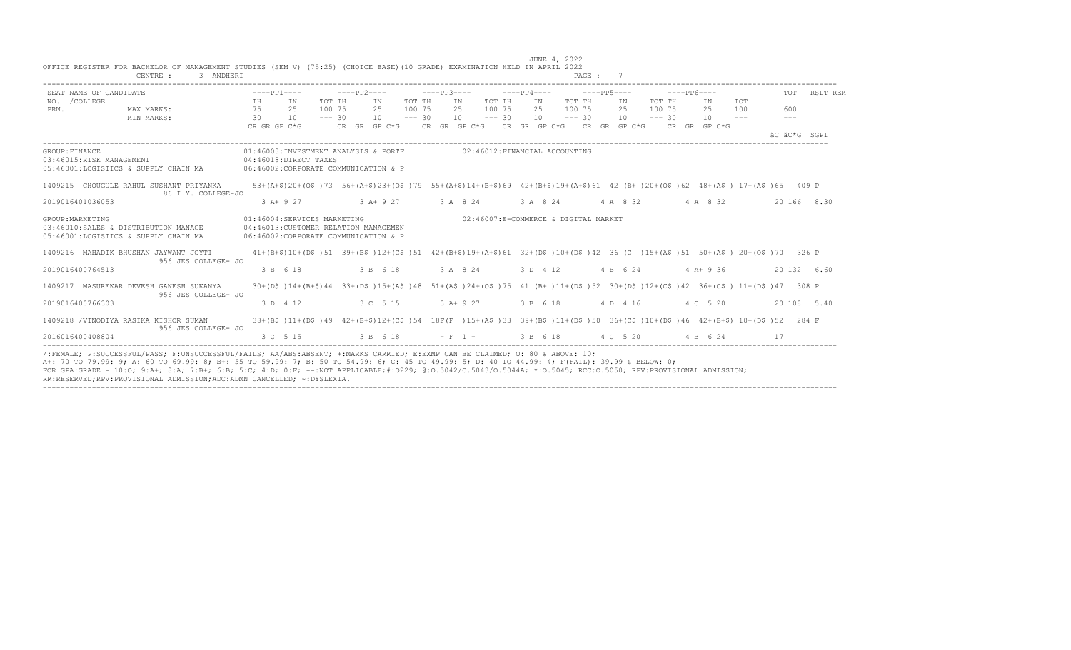|                                            | SEAT NAME OF CANDIDATE                                                       |          | $---PP1---$                                                                                                                   | $---PP2---$      |    |                     |                  | $---PP3---$ |                                                                                                                          | $---PP4---$ | $---PP5---$                |                 |                  | $---PP6---$ |            | TOT   | RSLT REM     |
|--------------------------------------------|------------------------------------------------------------------------------|----------|-------------------------------------------------------------------------------------------------------------------------------|------------------|----|---------------------|------------------|-------------|--------------------------------------------------------------------------------------------------------------------------|-------------|----------------------------|-----------------|------------------|-------------|------------|-------|--------------|
| NO. / COLLEGE<br>PRN.                      | MAX MARKS:                                                                   | TH<br>75 | IN<br>2.5                                                                                                                     | TOT TH<br>100 75 |    | IN<br>2.5           | TOT TH<br>100 75 |             | TOT TH<br>IN<br>100 75<br>2.5                                                                                            | IN<br>2.5   | TOT TH<br>100 75           | IN<br>2.5       | TOT TH<br>100 75 | ΙN<br>25    | TOT<br>100 | 600   |              |
|                                            | MIN MARKS:                                                                   | 30       | 10<br>CR GR GP C*G                                                                                                            | $--- 30$         | 10 |                     | $--- 30$         |             | 10<br>$--- 30$<br>CR GR GP C*G CR GR GP C*G CR GR GP C*G CR GR GP C*G CR GR GP C*G                                       |             | $10 \quad - - - 30$        | $10 - - - - 30$ |                  | 10          | $- - -$    | $---$ | äC äC*G SGPI |
| GROUP: FINANCE<br>03:46015:RISK MANAGEMENT | 05:46001:LOGISTICS & SUPPLY CHAIN MA 06:46002:CORPORATE COMMUNICATION & P    |          | 01:46003:INVESTMENT ANALYSIS & PORTF<br>04:46018:DIRECT TAXES                                                                 |                  |    |                     |                  |             | 02:46012:FINANCIAL ACCOUNTING                                                                                            |             |                            |                 |                  |             |            |       |              |
|                                            | 1409215 CHOUGULE RAHUL SUSHANT PRIYANKA<br>86 I.Y. COLLEGE-JO                |          | 53+(A+\$)20+(O\$)73 56+(A+\$)23+(O\$)79 55+(A+\$)14+(B+\$)69 42+(B+\$)19+(A+\$)61 42 (B+)20+(O\$)62 48+(A\$) 17+(A\$)65 409 P |                  |    |                     |                  |             |                                                                                                                          |             |                            |                 |                  |             |            |       |              |
| 2019016401036053                           |                                                                              |          | 3 A+ 9 27                                                                                                                     |                  |    | 3 A + 9 27 3 A 8 24 |                  |             |                                                                                                                          |             | 3 A 8 24 4 A 8 32 4 A 8 32 |                 |                  |             |            |       | 20 166 8.30  |
| GROUP: MARKETING                           | 03:46010:SALES & DISTRIBUTION MANAGE<br>05:46001:LOGISTICS & SUPPLY CHAIN MA |          | 01:46004:SERVICES MARKETING<br>04:46013:CUSTOMER RELATION MANAGEMEN<br>06:46002:CORPORATE COMMUNICATION & P                   |                  |    |                     |                  |             | 02:46007:E-COMMERCE & DIGITAL MARKET                                                                                     |             |                            |                 |                  |             |            |       |              |
|                                            | 1409216 MAHADIK BHUSHAN JAYWANT JOYTI<br>956 JES COLLEGE- JO                 |          | 41+(B+\$)10+(D\$)51 39+(B\$)12+(C\$)51 42+(B+\$)19+(A+\$)61 32+(D\$)10+(D\$)42 36 (C)15+(A\$)51 50+(A\$) 20+(O\$)70 326 P     |                  |    |                     |                  |             |                                                                                                                          |             |                            |                 |                  |             |            |       |              |
| 2019016400764513                           |                                                                              |          | 3 B 6 18                                                                                                                      |                  |    | 3 B 6 18            |                  |             | 3 A 8 24                                                                                                                 | 3 D 4 12    |                            | 4 B 6 24        |                  | $4 A+9 36$  |            |       | 20 132 6.60  |
|                                            | 1409217 MASUREKAR DEVESH GANESH SUKANYA<br>956 JES COLLEGE- JO               |          | 30+(D\$)14+(B+\$)44 33+(D\$)15+(A\$)48 51+(A\$)24+(O\$)75 41 (B+)11+(D\$)52 30+(D\$)12+(C\$)42 36+(C\$) 11+(D\$)47 308 P      |                  |    |                     |                  |             |                                                                                                                          |             |                            |                 |                  |             |            |       |              |
|                                            |                                                                              |          | 3 D 4 12                                                                                                                      |                  |    | 3 C 5 15            |                  |             | $3 A+ 9 27$                                                                                                              | 3 B 6 18    |                            | 4 D 4 16        |                  | 4 C 5 20    |            |       | 20 108 5.40  |
| 2019016400766303                           |                                                                              |          |                                                                                                                               |                  |    |                     |                  |             | 38+(B\$)11+(D\$)49 42+(B+\$)12+(C\$)54 18F(F)15+(A\$)33 39+(B\$)11+(D\$)50 36+(C\$)10+(D\$)46 42+(B+\$) 10+(D\$)52 284 F |             |                            |                 |                  |             |            |       |              |
|                                            | 1409218 /VINODIYA RASIKA KISHOR SUMAN<br>956 JES COLLEGE- JO                 |          |                                                                                                                               |                  |    |                     |                  |             |                                                                                                                          |             |                            |                 |                  |             |            |       |              |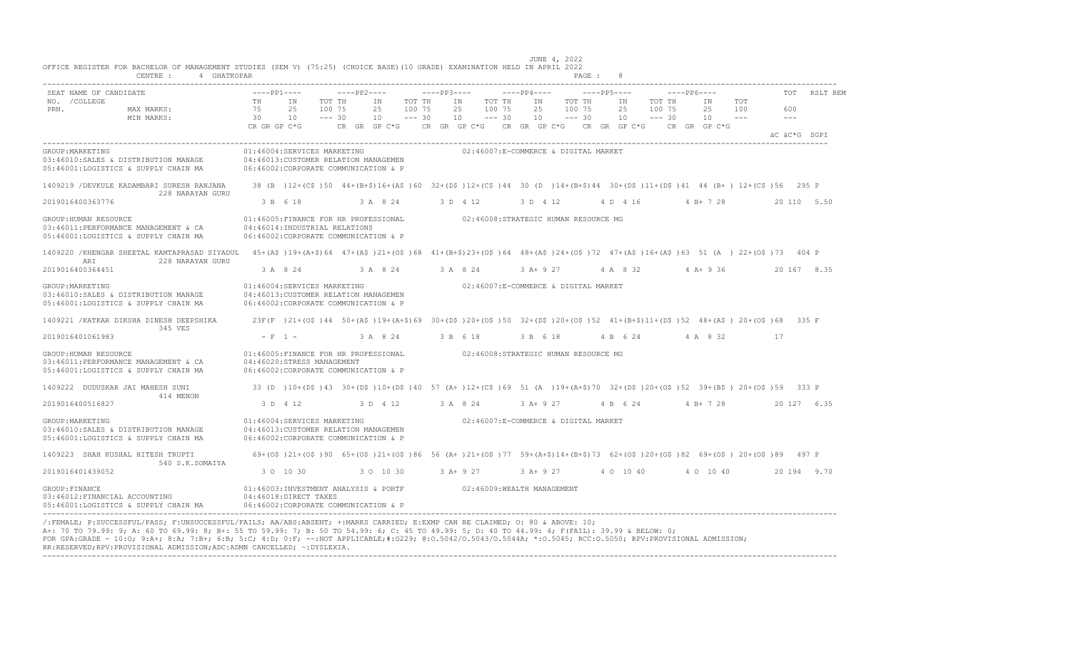| VIIIVO NOGIJION PVN DAVNOODNON VE NAMAGONOMI JIVDIO TJON Y/ TV.2J/ TVNVIVO DAJOJTIV GNADOJ OMANIIMAIIVM NOOD IM<br>4 GHATKOPAR<br>CENTRE :                                                        |                |                                                                                                                                  |                              |                |                              |             |                                                                                           |                | PAGE :                       |             |                             |                  |              |                            |     |                |              |  |
|---------------------------------------------------------------------------------------------------------------------------------------------------------------------------------------------------|----------------|----------------------------------------------------------------------------------------------------------------------------------|------------------------------|----------------|------------------------------|-------------|-------------------------------------------------------------------------------------------|----------------|------------------------------|-------------|-----------------------------|------------------|--------------|----------------------------|-----|----------------|--------------|--|
| SEAT NAME OF CANDIDATE                                                                                                                                                                            |                | $---PP1---$                                                                                                                      | $---PP2---$                  |                |                              | $---PP3---$ |                                                                                           | $---PP4---$    |                              | ----PP5---- |                             |                  | -----PP6---- |                            |     |                | TOT RSLT REM |  |
| NO. / COLLEGE<br>PRN.<br>MAX MARKS:<br>MIN MARKS:                                                                                                                                                 | TH<br>75<br>30 | IN<br>25<br>10                                                                                                                   | TOT TH<br>100 75<br>$--- 30$ | IN<br>25<br>10 | TOT TH<br>100 75<br>$--- 30$ | 10          | TOT TH<br>IN<br>25<br>100 75<br>$--- 30$                                                  | IN<br>25<br>10 | TOT TH<br>100 75<br>$--- 30$ |             | IN<br>25<br>$10 - - - - 30$ | TOT TH<br>100 75 |              | IN<br>25 100<br>$10 - - -$ | TOT | 600<br>$   \,$ |              |  |
|                                                                                                                                                                                                   |                | CR GR GP C*G                                                                                                                     |                              |                |                              |             | CR GR GP C*G $\,$ CR GR GP C*G $\,$ CR GR GP C*G $\,$ CR GR GP C*G $\,$ CR GR GP C*G $\,$ |                |                              |             |                             |                  |              |                            |     |                | äC äC*G SGPI |  |
| GROUP: MARKETING<br>03:46010:SALES & DISTRIBUTION MANAGE<br>05:46001:LOGISTICS & SUPPLY CHAIN MA                                                                                                  |                | 01:46004:SERVICES MARKETING<br>04:46013: CUSTOMER RELATION MANAGEMEN<br>06:46002:CORPORATE COMMUNICATION & P                     |                              |                |                              |             | 02:46007:E-COMMERCE & DIGITAL MARKET                                                      |                |                              |             |                             |                  |              |                            |     |                |              |  |
| 1409219 / DEVKULE KADAMBARI SURESH RANJANA<br>228 NARAYAN GURU                                                                                                                                    |                | 38 (B) 12+(C\$)50 44+(B+\$)16+(A\$)60 32+(D\$)12+(C\$)44 30 (D) 14+(B+\$)44 30+(D\$)11+(D\$)41 44 (B+) 12+(C\$)56 295 P          |                              |                |                              |             |                                                                                           |                |                              |             |                             |                  |              |                            |     |                |              |  |
| 2019016400363776                                                                                                                                                                                  |                | 3 B 6 18                                                                                                                         |                              | 3 A 8 24       |                              | 3 D 4 12    |                                                                                           | 3 D 4 12       |                              |             |                             |                  |              | 4 D 4 16 4 B + 7 28        |     |                | 20 110 5.50  |  |
| GROUP: HUMAN RESOURCE<br>03:46011:PERFORMANCE MANAGEMENT & CA<br>05:46001:LOGISTICS & SUPPLY CHAIN MA                                                                                             |                | 01:46005:FINANCE FOR HR PROFESSIONAL<br>04:46014: INDUSTRIAL RELATIONS<br>06:46002:CORPORATE COMMUNICATION & P                   |                              |                |                              |             | 02:46008:STRATEGIC HUMAN RESOURCE MG                                                      |                |                              |             |                             |                  |              |                            |     |                |              |  |
| 1409220 /KHENGAR SHEETAL KAMTAPRASAD SIYADUL 45+(A\$)19+(A+\$)64 47+(A\$)21+(O\$)68 41+(B+\$)23+(O\$)64 48+(A\$)24+(O\$)72 47+(A\$)16+(A\$)63 51 (A ) 22+(O\$)73 404 P<br>ARI<br>228 NARAYAN GURU |                |                                                                                                                                  |                              |                |                              |             |                                                                                           |                |                              |             |                             |                  |              |                            |     |                |              |  |
| 2019016400364451                                                                                                                                                                                  |                | 3 A 8 24                                                                                                                         | 3 A 8 24                     |                |                              | 3 A 8 24    |                                                                                           |                | 3 A + 9 27 4 A 8 32          |             |                             |                  |              | $4A+936$                   |     |                | 20 167 8.35  |  |
| GROUP: MARKETING<br>03:46010:SALES & DISTRIBUTION MANAGE<br>05:46001:LOGISTICS & SUPPLY CHAIN MA                                                                                                  |                | 01:46004:SERVICES MARKETING<br>04:46013: CUSTOMER RELATION MANAGEMEN<br>06:46002:CORPORATE COMMUNICATION & P                     |                              |                |                              |             | 02:46007:E-COMMERCE & DIGITAL MARKET                                                      |                |                              |             |                             |                  |              |                            |     |                |              |  |
| 1409221 / KATKAR DIKSHA DINESH DEEPSHIKA<br>345 VES                                                                                                                                               |                | 23F(F)21+(O\$)44 50+(A\$)19+(A+\$)69 30+(D\$)20+(O\$)50 32+(D\$)20+(O\$)52 41+(B+\$)11+(D\$)52 48+(A\$) 20+(O\$)68 335 F         |                              |                |                              |             |                                                                                           |                |                              |             |                             |                  |              |                            |     |                |              |  |
| 2019016401061983                                                                                                                                                                                  |                | $- F 1 -$                                                                                                                        | 3 A 8 24                     |                |                              | 3 B 6 18    |                                                                                           | 3 B 6 18       |                              |             |                             |                  |              | 4 B 6 24 4 A 8 32          |     | 17             |              |  |
| GROUP: HUMAN RESOURCE<br>03:46011:PERFORMANCE MANAGEMENT & CA<br>05:46001:LOGISTICS & SUPPLY CHAIN MA                                                                                             |                | 01:46005:FINANCE FOR HR PROFESSIONAL<br>04:46020:STRESS MANAGEMENT<br>06:46002:CORPORATE COMMUNICATION & P                       |                              |                |                              |             | 02:46008:STRATEGIC HUMAN RESOURCE MG                                                      |                |                              |             |                             |                  |              |                            |     |                |              |  |
| 1409222 DUDUSKAR JAI MAHESH SUNI                                                                                                                                                                  |                | 33 (D) 10+(D\$)43 30+(D\$)10+(D\$)40 57 (A+)12+(C\$)69 51 (A)19+(A+\$)70 32+(D\$)20+(O\$)52 39+(B\$) 20+(O\$)59 333 P            |                              |                |                              |             |                                                                                           |                |                              |             |                             |                  |              |                            |     |                |              |  |
| 414 MENON<br>2019016400516827                                                                                                                                                                     |                | 3 D 4 12                                                                                                                         | 3 D 4 12 3 A 8 24            |                |                              |             |                                                                                           |                | $3 A+9 27$                   |             |                             |                  |              | 4 B 6 24 4 B + 7 28        |     |                | 20 127 6.35  |  |
| GROUP: MARKETING<br>03:46010:SALES & DISTRIBUTION MANAGE<br>05:46001:LOGISTICS & SUPPLY CHAIN MA                                                                                                  |                | 01:46004:SERVICES MARKETING<br>04:46013: CUSTOMER RELATION MANAGEMEN<br>06:46002:CORPORATE COMMUNICATION & P                     |                              |                |                              |             | 02:46007:E-COMMERCE & DIGITAL MARKET                                                      |                |                              |             |                             |                  |              |                            |     |                |              |  |
| 1409223 SHAH KUSHAL HITESH TRUPTI<br>540 S.K.SOMAIYA                                                                                                                                              |                | 69+(O\$)21+(O\$)90 65+(O\$)21+(O\$)86 56 (A+)21+(O\$)77 59+(A+\$)14+(B+\$)73 62+(O\$)20+(O\$)82 69+(O\$) 20+(O\$)89 497 P        |                              |                |                              |             |                                                                                           |                |                              |             |                             |                  |              |                            |     |                |              |  |
| 2019016401439052                                                                                                                                                                                  |                | 3 0 10 30                                                                                                                        | 3 0 10 30                    |                |                              | $3 A+9 27$  |                                                                                           |                | $3 A+9 27$                   |             |                             |                  |              | 4 0 10 40 40 10 40         |     |                | 20 194 9.70  |  |
| GROUP: FINANCE<br>03:46012: FINANCIAL ACCOUNTING<br>05:46001:LOGISTICS & SUPPLY CHAIN MA                                                                                                          |                | 01:46003:INVESTMENT ANALYSIS & PORTF 02:46009:WEALTH MANAGEMENT<br>04:46018:DIRECT TAXES<br>06:46002:CORPORATE COMMUNICATION & P |                              |                |                              |             |                                                                                           |                |                              |             |                             |                  |              |                            |     |                |              |  |

---------------------------------------------------------------------------------------------------------------------------------------------------------------------------------- /:FEMALE; P:SUCCESSFUL/PASS; F:UNSUCCESSFUL/FAILS; AA/ABS:ABSENT; +:MARKS CARRIED; E:EXMP CAN BE CLAIMED; O: 80 & ABOVE: 10; A+: 70 TO 79.99: 9; A: 60 TO 69.99: 8; B+: 55 TO 59.99: 7; B: 50 TO 54.99: 6; C: 45 TO 49.99: 5; D: 40 TO 44.99: 4; F(FAIL): 39.99 & BELOW: 0; FOR GPA:GRADE - 10:O; 9:A+; 8:A; 7:B+; 6:B; 5:C; 4:D; 0:F; --:NOT APPLICABLE;#:O229; @:O.5042/O.5043/O.5044A; \*:O.5045; RCC:O.5050; RPV:PROVISIONAL ADMISSION; RR:RESERVED;RPV:PROVISIONAL ADMISSION;ADC:ADMN CANCELLED; ~:DYSLEXIA. ----------------------------------------------------------------------------------------------------------------------------------------------------------------------------------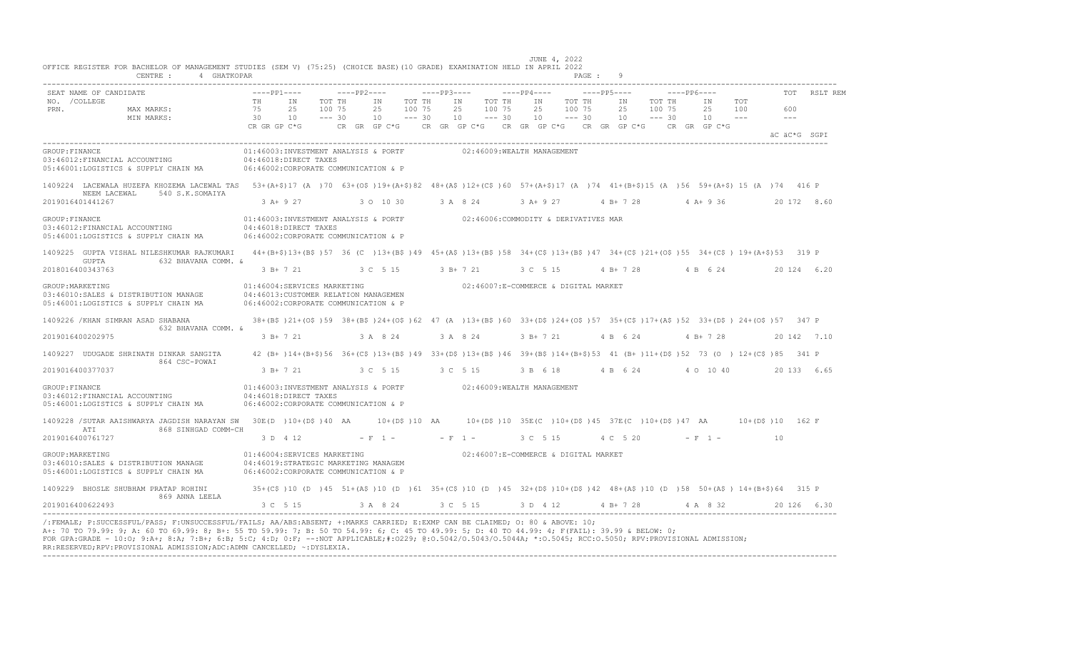| SEAT NAME OF CANDIDATE                                                                           |                                                                                                                                                                                         |                | $---PP1---$                                                                                                                                | $---PP2---$                  |                |                              | $---PP3---$ |                                          | ----PP4----    |                              | $---PP5---$                                                                        |                              | $---PP6---$ |                |            | TOT            | RSLT REM    |
|--------------------------------------------------------------------------------------------------|-----------------------------------------------------------------------------------------------------------------------------------------------------------------------------------------|----------------|--------------------------------------------------------------------------------------------------------------------------------------------|------------------------------|----------------|------------------------------|-------------|------------------------------------------|----------------|------------------------------|------------------------------------------------------------------------------------|------------------------------|-------------|----------------|------------|----------------|-------------|
| NO. / COLLEGE<br>PRN.                                                                            | MAX MARKS:<br>MIN MARKS:                                                                                                                                                                | TH<br>75<br>30 | IN<br>25<br>10                                                                                                                             | TOT TH<br>100 75<br>$--- 30$ | IN<br>25<br>10 | TOT TH<br>100 75<br>$--- 30$ | 10          | TOT TH<br>IN<br>25<br>100 75<br>$--- 30$ | IN<br>25<br>10 | TOT TH<br>100 75<br>$--- 30$ | IN<br>25<br>10                                                                     | TOT TH<br>100 75<br>$--- 30$ |             | IN<br>25<br>10 | TOT<br>100 | 600<br>$- - -$ |             |
|                                                                                                  |                                                                                                                                                                                         | CR GR GP C*G   |                                                                                                                                            |                              |                |                              |             |                                          |                |                              | CR GR GP C*G CR GR GP C*G CR GR GP C*G CR GR GP C*G                                |                              |             | CR GR GP C*G   |            | äC äC*G SGPI   |             |
| GROUP: FINANCE<br>03:46012:FINANCIAL ACCOUNTING                                                  | 05:46001:LOGISTICS & SUPPLY CHAIN MA 06:46002:CORPORATE COMMUNICATION & P                                                                                                               |                | 01:46003:INVESTMENT ANALYSIS & PORTF<br>04:46018:DIRECT TAXES                                                                              |                              |                |                              |             | 02:46009:WEALTH MANAGEMENT               |                |                              |                                                                                    |                              |             |                |            |                |             |
| NEEM LACEWAL<br>2019016401441267                                                                 | 1409224 LACEWALA HUZEFA KHOZEMA LACEWAL TAS 53+(A+\$)17 (A )70 63+(O\$)19+(A+\$)82 48+(A\$)12+(C\$)60 57+(A+\$)17 (A )74 41+(B+\$)15 (A )56 59+(A+\$) 15 (A )74 41+6<br>540 S.K.SOMAIYA |                | $3$ A+ 9 27                                                                                                                                |                              | 3 0 10 30      |                              | 3 A 8 24    |                                          | 3 A+ 9 27      |                              | 4 B+ 7 28                                                                          |                              |             | $4 A+9 36$     |            |                | 20 172 8.60 |
| GROUP: FINANCE<br>03:46012: FINANCIAL ACCOUNTING<br>05:46001:LOGISTICS & SUPPLY CHAIN MA         |                                                                                                                                                                                         |                | 01:46003:INVESTMENT ANALYSIS & PORTF 02:46006:COMMODITY & DERIVATIVES MAR<br>04:46018:DIRECT TAXES<br>06:46002:CORPORATE COMMUNICATION & P |                              |                |                              |             |                                          |                |                              |                                                                                    |                              |             |                |            |                |             |
| GUPTA<br>2018016400343763                                                                        | 1409225 GUPTA VISHAL NILESHKUMAR RAJKUMARI<br>632 BHAVANA COMM. &                                                                                                                       |                | 44+(B+\$)13+(B\$)57 36 (C)13+(B\$)49 45+(A\$)13+(B\$)58 34+(C\$)13+(B\$)47 34+(C\$)21+(O\$)55 34+(C\$) 19+(A+\$)53 319 P<br>3 B+ 7 21      |                              | 3 C 5 15       |                              | 3 B+ 7 21   |                                          | 3 C 5 15       |                              | 4 B + 7 28 4 B 6 24                                                                |                              |             |                |            |                | 20 124 6.20 |
| GROUP: MARKETING<br>03:46010:SALES & DISTRIBUTION MANAGE<br>05:46001:LOGISTICS & SUPPLY CHAIN MA |                                                                                                                                                                                         |                | 01:46004:SERVICES MARKETING<br>04:46013:CUSTOMER RELATION MANAGEMEN<br>06:46002:CORPORATE COMMUNICATION & P                                |                              |                |                              |             | 02:46007:E-COMMERCE & DIGITAL MARKET     |                |                              |                                                                                    |                              |             |                |            |                |             |
| 1409226 / KHAN SIMRAN ASAD SHABANA                                                               | 632 BHAVANA COMM. &                                                                                                                                                                     |                | 38+(B\$)21+(O\$)59 38+(B\$)24+(O\$)62 47 (A)13+(B\$)60 33+(D\$)24+(O\$)57 35+(C\$)17+(A\$)52 33+(D\$)24+(O\$)57 347 P                      |                              |                |                              |             |                                          |                |                              |                                                                                    |                              |             |                |            |                |             |
| 2019016400202975                                                                                 |                                                                                                                                                                                         |                | $3 B+ 7 21$                                                                                                                                |                              | 3 A 8 24       |                              |             | 3 A 8 24                                 | 3 B+ 7 21      |                              | 4 B 6 24                                                                           |                              |             | $4 B+ 7 28$    |            |                | 20 142 7.10 |
|                                                                                                  | 1409227 UDUGADE SHRINATH DINKAR SANGITA<br>864 CSC-POWAI                                                                                                                                |                | 42 (B+)14+(B+\$)56 36+(C\$)13+(B\$)49 33+(D\$)13+(B\$)46 39+(B\$)14+(B+\$)53 41 (B+)11+(D\$)52 73 (O) 12+(C\$)85 341 P                     |                              |                |                              |             |                                          |                |                              |                                                                                    |                              |             |                |            |                |             |
| 2019016400377037                                                                                 |                                                                                                                                                                                         |                | 3 B+ 7 21                                                                                                                                  | 3 C 5 15                     |                |                              | 3 C 5 15    |                                          | 3 B 6 18       |                              | 4 B 6 24                                                                           |                              |             | 4 0 10 40      |            |                | 20 133 6.65 |
| GROUP: FINANCE<br>03:46012: FINANCIAL ACCOUNTING<br>05:46001:LOGISTICS & SUPPLY CHAIN MA         |                                                                                                                                                                                         |                | 01:46003:INVESTMENT ANALYSIS & PORTF 02:46009:WEALTH MANAGEMENT<br>04:46018:DIRECT TAXES<br>06:46002:CORPORATE COMMUNICATION & P           |                              |                |                              |             |                                          |                |                              |                                                                                    |                              |             |                |            |                |             |
| ATI                                                                                              | 1409228 / SUTAR AAISHWARYA JAGDISH NARAYAN SW 30E (D) 10+ (D\$ )40 AA<br>868 SINHGAD COMM-CH                                                                                            |                |                                                                                                                                            |                              |                |                              |             |                                          |                |                              | 10+(D\$)10 AA   10+(D\$)10 35E(C)10+(D\$)45 37E(C)10+(D\$)47 AA   10+(D\$)10 162 F |                              |             |                |            |                |             |
| 2019016400761727                                                                                 |                                                                                                                                                                                         |                | 3 D 4 12                                                                                                                                   |                              | $- F 1 -$      |                              |             | $- F 1 -$                                | 3 C 5 15       |                              | 4 C 5 20                                                                           |                              |             | $- F 1 -$      |            | 10             |             |
| GROUP: MARKETING<br>03:46010:SALES & DISTRIBUTION MANAGE<br>05:46001:LOGISTICS & SUPPLY CHAIN MA |                                                                                                                                                                                         |                | 01:46004:SERVICES MARKETING<br>04:46019:STRATEGIC MARKETING MANAGEM<br>06:46002:CORPORATE COMMUNICATION & P                                |                              |                |                              |             | 02:46007:E-COMMERCE & DIGITAL MARKET     |                |                              |                                                                                    |                              |             |                |            |                |             |
| 1409229 BHOSLE SHUBHAM PRATAP ROHINI                                                             | 869 ANNA LEELA                                                                                                                                                                          |                | 35+(C\$)10(D)45 51+(A\$)10(D)61 35+(C\$)10(D)45 32+(D\$)10+(D\$)42 48+(A\$)10(D)58 50+(A\$)14+(B+\$)64 315 P                               |                              |                |                              |             |                                          |                |                              |                                                                                    |                              |             |                |            |                |             |
| 2019016400622493                                                                                 |                                                                                                                                                                                         |                | 3 C 5 15                                                                                                                                   |                              | 3 A 8 24       |                              |             | 3 C 5 15                                 |                |                              | 3 D 4 12 4 B + 7 28                                                                |                              |             | 4 A 8 32       |            |                | 20126 6.30  |

A+: 70 TO 79.99: 9; A: 60 TO 69.99: 8; B+: 55 TO 59.99: 7; B: 50 TO 54.99: 6; C: 45 TO 49.99: 5; D: 40 TO 44.99: 4; F(FAIL): 39.99 & BELOW: 0;<br>FOR GPA:GRADE - 10:O; 9:A+; 8:A; 7:B+; 6:B; 5:C; 4:D; 0:F; --:NOT APPLICABLE;#: RR:RESERVED;RPV:PROVISIONAL ADMISSION;ADC:ADMN CANCELLED; ~:DYSLEXIA. ----------------------------------------------------------------------------------------------------------------------------------------------------------------------------------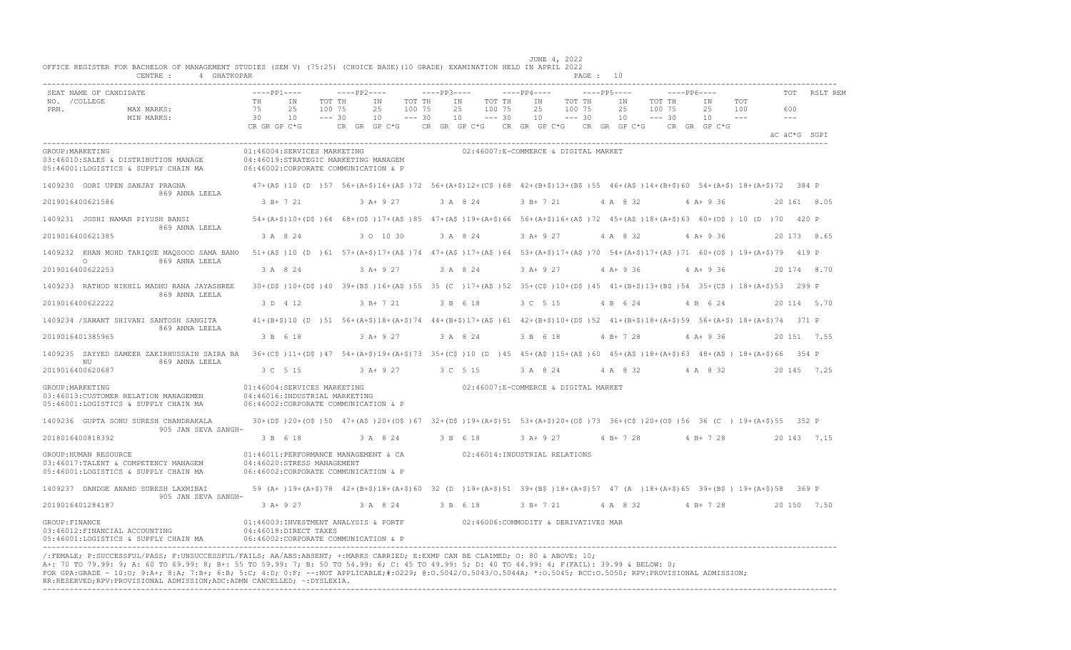| OFFICE REGISTER FOR BACHELOR OF MANAGEMENT STUDIES (SEM V) (75:25) (CHOICE BASE)(10 GRADE) EXAMINATION HELD IN APRIL 2022<br>CENTRE :<br>4 GHATKOPAR                                                                                                                                                                                                                                                                                                                                                                       |                                                                                                             |                                                                                                                                                                      |             |                                |                              |             |                |                              |                                                                         |                              | PAGE : 10 |                               |                                             |                                |            |                                                    |             |
|----------------------------------------------------------------------------------------------------------------------------------------------------------------------------------------------------------------------------------------------------------------------------------------------------------------------------------------------------------------------------------------------------------------------------------------------------------------------------------------------------------------------------|-------------------------------------------------------------------------------------------------------------|----------------------------------------------------------------------------------------------------------------------------------------------------------------------|-------------|--------------------------------|------------------------------|-------------|----------------|------------------------------|-------------------------------------------------------------------------|------------------------------|-----------|-------------------------------|---------------------------------------------|--------------------------------|------------|----------------------------------------------------|-------------|
| SEAT NAME OF CANDIDATE<br>NO. / COLLEGE<br>PRN.<br>MAX MARKS:<br>MIN MARKS:                                                                                                                                                                                                                                                                                                                                                                                                                                                | $---PP1---$<br>TH<br>75<br>30<br>CR GR GP C*G                                                               | TOT TH<br>IN<br>25<br>100 75<br>$--- 30$<br>10                                                                                                                       | $---PP2---$ | IN<br>25<br>10<br>CR GR GP C*G | TOT TH<br>100 75<br>$--- 30$ | $---PP3---$ | ΙN<br>25<br>10 | TOT TH<br>100 75<br>$--- 30$ | $---PP4---$<br>IN<br>25<br>10<br>CR GR GP C*G CR GR GP C*G CR GR GP C*G | TOT TH<br>100 75<br>$--- 30$ |           | $---PP5---$<br>IN<br>25<br>10 | $---PP6---$<br>TOT TH<br>100 75<br>$--- 30$ | IN<br>25<br>10<br>CR GR GP C*G | TOT<br>100 | <b>TOT</b><br>600<br>$\frac{1}{2}$<br>äC äC*G SGPI | RSLT REM    |
| GROUP: MARKETING<br>03:46010:SALES & DISTRIBUTION MANAGE<br>05:46001:LOGISTICS & SUPPLY CHAIN MA                                                                                                                                                                                                                                                                                                                                                                                                                           | 01:46004:SERVICES MARKETING<br>04:46019:STRATEGIC MARKETING MANAGEM<br>06:46002:CORPORATE COMMUNICATION & P |                                                                                                                                                                      |             |                                |                              |             |                |                              | 02:46007:E-COMMERCE & DIGITAL MARKET                                    |                              |           |                               |                                             |                                |            |                                                    |             |
| 1409230 GORI UPEN SANJAY PRAGNA<br>869 ANNA LEELA                                                                                                                                                                                                                                                                                                                                                                                                                                                                          |                                                                                                             | 47+(A\$)10 (D)57 56+(A+\$)16+(A\$)72 56+(A+\$)12+(C\$)68 42+(B+\$)13+(B\$)55 46+(A\$)14+(B+\$)60 54+(A+\$)18+(A+\$)72 384 P                                          |             |                                |                              |             |                |                              |                                                                         |                              |           |                               |                                             |                                |            |                                                    |             |
| 2019016400621586                                                                                                                                                                                                                                                                                                                                                                                                                                                                                                           | 3 B+ 7 21                                                                                                   |                                                                                                                                                                      |             | 3 A+ 9 27                      |                              |             | 3 A 8 24       |                              | 3 B+ 7 21                                                               |                              |           | 4 A 8 32                      |                                             | $4 A+9 36$                     |            |                                                    | 20 161 8.05 |
| 1409231 JOSHI NAMAN PIYUSH BANSI<br>869 ANNA LEELA                                                                                                                                                                                                                                                                                                                                                                                                                                                                         |                                                                                                             | 54+(A+\$)10+(D\$)64 68+(O\$)17+(A\$)85 47+(A\$)19+(A+\$)66 56+(A+\$)16+(A\$)72 45+(A\$)18+(A+\$)63 60+(O\$) 10 (D )70 420 P                                          |             |                                |                              |             |                |                              |                                                                         |                              |           |                               |                                             |                                |            |                                                    |             |
| 2019016400621385                                                                                                                                                                                                                                                                                                                                                                                                                                                                                                           | 3 A 8 24                                                                                                    |                                                                                                                                                                      |             | 3 0 10 30                      |                              |             | 3 A 8 24       |                              | 3 A+ 9 27                                                               |                              |           | 4 A 8 32                      |                                             | 4 A+ 9 36                      |            |                                                    | 20 173 8.65 |
| 1409232 KHAN MOHD TARIQUE MAQSOOD SAMA BANO 51+(A\$)10 (D)61 57+(A+\$)17+(A\$)74 47+(A\$)17+(A\$)64 53+(A+\$)17+(A\$)70 54+(A+\$)17+(A\$)71 60+(O\$) 19+(A+\$)79 419 P                                                                                                                                                                                                                                                                                                                                                     |                                                                                                             |                                                                                                                                                                      |             |                                |                              |             |                |                              |                                                                         |                              |           |                               |                                             |                                |            |                                                    |             |
| 869 ANNA LEELA<br>$\circ$<br>2019016400622253                                                                                                                                                                                                                                                                                                                                                                                                                                                                              | 3 A 8 24                                                                                                    |                                                                                                                                                                      |             | 3 A+ 9 27                      |                              |             | 3 A 8 24       |                              | $3 A+9 27$                                                              |                              |           | 4 A+ 9 36                     |                                             | $4 A+9 36$                     |            |                                                    | 20 174 8.70 |
| 1409233 RATHOD NIKHIL MADHU RANA JAYASHREE                                                                                                                                                                                                                                                                                                                                                                                                                                                                                 |                                                                                                             | 30+(D\$)10+(D\$)40 39+(B\$)16+(A\$)55 35 (C)17+(A\$)52 35+(C\$)10+(D\$)45 41+(B+\$)13+(B\$)54 35+(C\$) 18+(A+\$)53 299 P                                             |             |                                |                              |             |                |                              |                                                                         |                              |           |                               |                                             |                                |            |                                                    |             |
| 869 ANNA LEELA<br>2019016400622222                                                                                                                                                                                                                                                                                                                                                                                                                                                                                         | 3 D 4 12                                                                                                    |                                                                                                                                                                      |             | $3 B+ 7 21$                    |                              |             | 3 B 6 18       |                              | 3 C 5 15                                                                |                              |           | 4 B 6 24                      |                                             | 4 B 6 24                       |            |                                                    | 20 114 5.70 |
| 1409234 / SAWANT SHIVANI SANTOSH SANGITA                                                                                                                                                                                                                                                                                                                                                                                                                                                                                   |                                                                                                             | $41 + (B+\$) 10 (D) 51 56 + (A+\$) 18 + (A+\$) 74 44 + (B+\$) 17 + (A+\$) 61 42 + (B+\$) 10 + (D+\$) 52 41 + (B+\$) 18 + (A+\$) 59 56 + (A+\$) 18 + (A+\$) 74 371 P$ |             |                                |                              |             |                |                              |                                                                         |                              |           |                               |                                             |                                |            |                                                    |             |
| 869 ANNA LEELA<br>2019016401385965                                                                                                                                                                                                                                                                                                                                                                                                                                                                                         | 3 B 6 18                                                                                                    |                                                                                                                                                                      |             | $3 A+ 9 27$                    |                              |             | 3 A 8 24       |                              | 3 B 6 18                                                                |                              |           | $4 B+ 7 28$                   |                                             | $4 A+9 36$                     |            |                                                    | 20 151 7.55 |
| 1409235 SAYYED SAMEER ZAKIRHUSSAIN SAIRA BA 36+(C\$)11+(D\$)47 54+(A+\$)19+(A+\$)73 35+(C\$)10 (D)45 45+(A\$)15+(A\$)60 45+(A\$)60 45+(A\$)18+(A+\$)63 48+(A\$) 18+(A+\$)66 354 P                                                                                                                                                                                                                                                                                                                                          |                                                                                                             |                                                                                                                                                                      |             |                                |                              |             |                |                              |                                                                         |                              |           |                               |                                             |                                |            |                                                    |             |
| 869 ANNA LEELA<br>ΝU<br>2019016400620687                                                                                                                                                                                                                                                                                                                                                                                                                                                                                   | 3 C 5 15                                                                                                    |                                                                                                                                                                      |             | $3 A+ 9 27$                    |                              |             | 3 C 5 15       |                              | 3 A 8 24                                                                |                              |           | 4 A 8 32                      |                                             | 4 A 8 32                       |            |                                                    | 20 145 7.25 |
| GROUP: MARKETING<br>03:46013: CUSTOMER RELATION MANAGEMEN<br>05:46001:LOGISTICS & SUPPLY CHAIN MA                                                                                                                                                                                                                                                                                                                                                                                                                          | 01:46004:SERVICES MARKETING<br>04:46016: INDUSTRIAL MARKETING<br>06:46002:CORPORATE COMMUNICATION & P       |                                                                                                                                                                      |             |                                |                              |             |                |                              | 02:46007:E-COMMERCE & DIGITAL MARKET                                    |                              |           |                               |                                             |                                |            |                                                    |             |
| 1409236 GUPTA SONU SURESH CHANDRAKALA                                                                                                                                                                                                                                                                                                                                                                                                                                                                                      |                                                                                                             | 30+(D\$)20+(O\$)50 47+(A\$)20+(O\$)67 32+(D\$)19+(A+\$)51 53+(A+\$)20+(O\$)73 36+(C\$)20+(O\$)56 36 (C) 19+(A+\$)55 352 P                                            |             |                                |                              |             |                |                              |                                                                         |                              |           |                               |                                             |                                |            |                                                    |             |
| 905 JAN SEVA SANGH-<br>2018016400818392                                                                                                                                                                                                                                                                                                                                                                                                                                                                                    | 3 B 6 18                                                                                                    |                                                                                                                                                                      |             | 3 A 8 24                       |                              |             | 3 B 6 18       |                              | 3 A+ 9 27                                                               |                              |           | $4 B+ 7 28$                   |                                             | $4 R + 7 2R$                   |            |                                                    | 20 143 7.15 |
| GROUP: HUMAN RESOURCE<br>03:46017:TALENT & COMPETENCY MANAGEM<br>05:46001:LOGISTICS & SUPPLY CHAIN MA                                                                                                                                                                                                                                                                                                                                                                                                                      | 01:46011:PERFORMANCE MANAGEMENT & CA<br>04:46020:STRESS MANAGEMENT<br>06:46002:CORPORATE COMMUNICATION & P  |                                                                                                                                                                      |             |                                |                              |             |                |                              | 02:46014: INDUSTRIAL RELATIONS                                          |                              |           |                               |                                             |                                |            |                                                    |             |
| 1409237 DANDGE ANAND SURESH LAXMIBAI                                                                                                                                                                                                                                                                                                                                                                                                                                                                                       |                                                                                                             | 59 (A+ )19+(A+\$)78 42+(B+\$)18+(A+\$)60 32 (D )19+(A+\$)51 39+(B\$ )18+(A+\$)57 47 (A )18+(A+\$)65 39+(B\$ )19+(A+\$)58 369 P                                       |             |                                |                              |             |                |                              |                                                                         |                              |           |                               |                                             |                                |            |                                                    |             |
| 905 JAN SEVA SANGH-<br>2019016401284187                                                                                                                                                                                                                                                                                                                                                                                                                                                                                    | 3 A+ 9 27                                                                                                   |                                                                                                                                                                      |             | 3 A 8 24                       |                              |             | 3 B 6 18       |                              | 3 B+ 7 21                                                               |                              |           | 4 A 8 32                      |                                             | $4 B+ 7 28$                    |            |                                                    | 20 150 7.50 |
| GROUP: FINANCE<br>03:46012: FINANCIAL ACCOUNTING<br>05:46001:LOGISTICS & SUPPLY CHAIN MA                                                                                                                                                                                                                                                                                                                                                                                                                                   | 01:46003:INVESTMENT ANALYSIS & PORTF<br>04:46018:DIRECT TAXES<br>06:46002:CORPORATE COMMUNICATION & P       |                                                                                                                                                                      |             |                                |                              |             |                |                              | 02:46006:COMMODITY & DERIVATIVES MAR                                    |                              |           |                               |                                             |                                |            |                                                    |             |
| /:FEMALE; P:SUCCESSFUL/PASS; F:UNSUCCESSFUL/FAILS; AA/ABS:ABSENT; +:MARKS CARRIED; E:EXMP CAN BE CLAIMED; 0: 80 & ABOVE: 10;<br>A+: 70 TO 79.99: 9; A: 60 TO 69.99: 8; B+: 55 TO 59.99: 7; B: 50 TO 54.99: 6; C: 45 TO 49.99: 5; D: 40 TO 44.99: 4; F(FAIL): 39.99 & BELOW: 0;<br>FOR GPA:GRADE - 10:0; 9:A+; 8:A; 7:B+; 6:B; 5:C; 4:D; 0:F; --:NOT APPLICABLE;#:0229; 0:0.5042/0.5043/0.5044A; *:0.5045; RCC:0.5050; RPV:PROVISIONAL ADMISSION;<br>RR:RESERVED;RPV:PROVISIONAL ADMISSION;ADC:ADMN CANCELLED; ~: DYSLEXIA. |                                                                                                             |                                                                                                                                                                      |             |                                |                              |             |                |                              |                                                                         |                              |           |                               |                                             |                                |            |                                                    |             |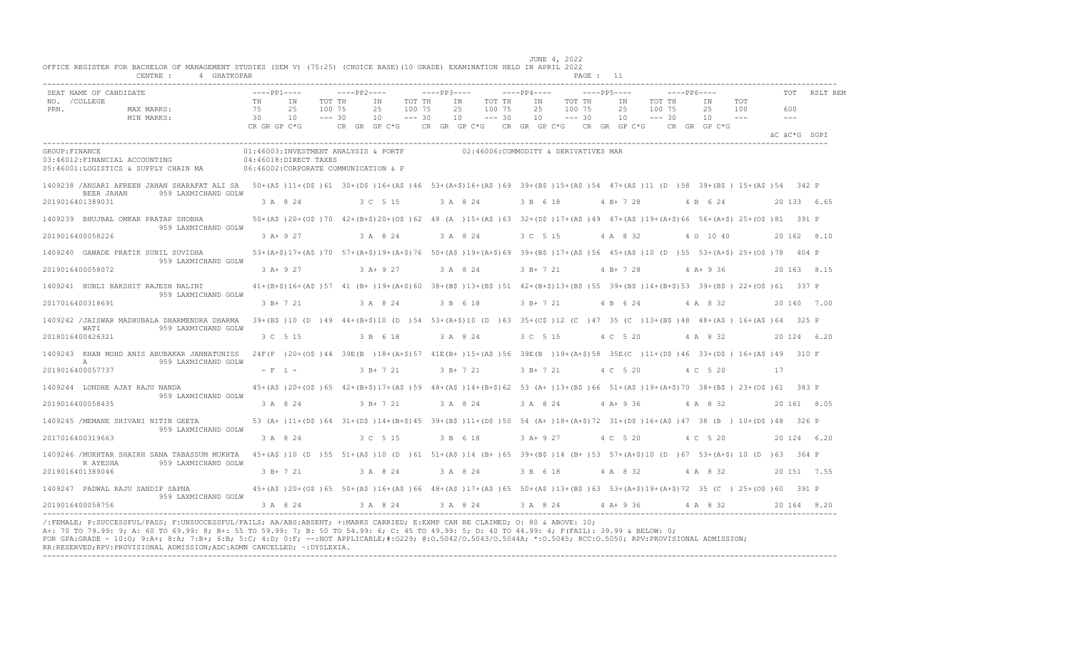|                | CENTRE :<br>4 GHATKOPAR                                                                                                                                                                                                 |                       |                                                                                                                                                                                       |                              |                     |                              |                |           |                              |                                                                                           |                              |                 |                              |             |                   |                   |              |              |
|----------------|-------------------------------------------------------------------------------------------------------------------------------------------------------------------------------------------------------------------------|-----------------------|---------------------------------------------------------------------------------------------------------------------------------------------------------------------------------------|------------------------------|---------------------|------------------------------|----------------|-----------|------------------------------|-------------------------------------------------------------------------------------------|------------------------------|-----------------|------------------------------|-------------|-------------------|-------------------|--------------|--------------|
|                | SEAT NAME OF CANDIDATE                                                                                                                                                                                                  | $---PP1---$           |                                                                                                                                                                                       |                              | $---PP2---$         |                              | $---PP3---$    |           |                              | $---PP4---$                                                                               |                              | $---PP5---$     |                              | $---PP6---$ |                   |                   |              | RSLT REM     |
| PRN.           | NO. / COLLEGE<br>MAX MARKS:<br>MIN MARKS:                                                                                                                                                                               | <b>TH</b><br>75<br>30 | TN<br>2.5<br>10                                                                                                                                                                       | TOT TH<br>100 75<br>$--- 30$ | TN<br>25<br>10      | TOT TH<br>100 75<br>$--- 30$ | TN<br>25<br>10 |           | TOT TH<br>100 75<br>$--- 30$ | TN<br>25<br>10                                                                            | TOT TH<br>100 75<br>$--- 30$ | TN<br>2.5<br>10 | TOT TH<br>100 75<br>$--- 30$ |             | TN<br>2.5<br>10   | <b>TOT</b><br>100 | 600<br>$  -$ |              |
|                |                                                                                                                                                                                                                         | CR GR GP C*G          |                                                                                                                                                                                       |                              |                     |                              |                |           |                              | CR GR GP C*G $\,$ CR GR GP C*G $\,$ CR GR GP C*G $\,$ CR GR GP C*G $\,$ CR GR GP C*G $\,$ |                              |                 |                              |             |                   |                   |              | äC äC*G SGPI |
| GROUP: FINANCE | 03:46012:FINANCIAL ACCOUNTING<br>05:46001:LOGISTICS & SUPPLY CHAIN MA                                                                                                                                                   |                       | 01:46003:INVESTMENT ANALYSIS & PORTF<br>$04:46018:$ DIRECT TAXES<br>06:46002:CORPORATE COMMUNICATION & P                                                                              |                              |                     |                              |                |           |                              | 02:46006:COMMODITY & DERIVATIVES MAR                                                      |                              |                 |                              |             |                   |                   |              |              |
|                | 1409238 /ANSARI AFREEN JAHAN SHARAFAT ALI SA 50+(A\$)11+(D\$)61 30+(D\$)16+(A\$)46 53+(A+\$)16+(A\$)69 39+(B\$)15+(A\$)54 47+(A\$)11 (D)58 39+(B\$) 15+(A\$)54 39+(B\$) 15+(A\$)54<br>959 LAXMICHAND GOLW<br>BEER JAHAN |                       |                                                                                                                                                                                       |                              |                     |                              |                |           |                              |                                                                                           |                              |                 |                              |             |                   |                   |              |              |
|                | 2019016401389031                                                                                                                                                                                                        |                       | 3 A 8 24                                                                                                                                                                              |                              | 3 C 5 15            |                              | 3 A 8 24       |           |                              | 3 B 6 18                                                                                  |                              | 4 B + 7 28      |                              |             | 4 B 6 24          |                   |              | 20 133 6.65  |
|                | 1409239 BHUJBAL OMKAR PRATAP SHOBHA<br>959 LAXMICHAND GOLW                                                                                                                                                              |                       | 50+(A\$)20+(O\$)70 42+(B+\$)20+(O\$)62 48 (A)15+(A\$)63 32+(D\$)17+(A\$)49 47+(A\$)19+(A+\$)66 56+(A+\$)25+(O\$)81 391 P                                                              |                              |                     |                              |                |           |                              |                                                                                           |                              |                 |                              |             |                   |                   |              |              |
|                | 2019016400058226                                                                                                                                                                                                        |                       | $3 A+9 27$                                                                                                                                                                            |                              | 3 A 8 24            |                              | 3 A 8 24       |           |                              | 3 C 5 15                                                                                  |                              | 4 A 8 32        |                              |             | 4 0 10 40         |                   |              | 20 162 8.10  |
|                | 1409240 GAWADE PRATIK SUNIL SUVIDHA<br>959 LAXMICHAND GOLW                                                                                                                                                              |                       | 53+(A+\$)17+(A\$)70 57+(A+\$)19+(A+\$)76 50+(A\$)19+(A+\$)69 39+(B\$)17+(A\$)56 45+(A\$)10 (D)55 53+(A+\$) 25+(O\$)78 404 P                                                           |                              |                     |                              |                |           |                              |                                                                                           |                              |                 |                              |             |                   |                   |              |              |
|                | 2019016400058072                                                                                                                                                                                                        |                       | 3 A+ 9 27                                                                                                                                                                             |                              | 3 A + 9 27 3 A 8 24 |                              |                |           |                              | 3 B + 7 21 4 B + 7 28                                                                     |                              |                 |                              |             | $4A+936$          |                   |              | 20 163 8.15  |
|                | 1409241 HUBLI RAKSHIT RAJESH NALINI<br>959 LAXMICHAND GOLW                                                                                                                                                              |                       | 41+(B+\$)16+(A\$)57 41 (B+)19+(A+\$)60 38+(B\$)13+(B\$)51 42+(B+\$)13+(B\$)55 39+(B\$)14+(B+\$)53 39+(B\$) 22+(O\$)61 337 P                                                           |                              |                     |                              |                |           |                              |                                                                                           |                              |                 |                              |             |                   |                   |              |              |
|                | 2017016400318691                                                                                                                                                                                                        |                       | 3 B+ 7 21                                                                                                                                                                             |                              | 3 A 8 24            |                              | 3 B 6 18       |           |                              | 3 B + 7 21 4 B 6 24 4 A 8 32                                                              |                              |                 |                              |             |                   |                   |              | 20 140 7.00  |
|                | 1409242 / JAISWAR MADHUBALA DHARMENDRA DHARMA<br>WATI<br>959 LAXMICHAND GOLW                                                                                                                                            |                       | 39+(B\$)10(D)49 44+(B+\$)10(D)54 53+(A+\$)10(D)63 35+(C\$)12(C)47 35(C)13+(B\$)48 48+(A\$)16+(A\$)64 325 P                                                                            |                              |                     |                              |                |           |                              |                                                                                           |                              |                 |                              |             |                   |                   |              |              |
|                | 2018016400426321                                                                                                                                                                                                        |                       | 3 C 5 15                                                                                                                                                                              |                              | 3 B 6 18            |                              |                | 3 A 8 24  |                              | 3 C 5 15                                                                                  |                              | 4 C 5 20        |                              |             | 4 A 8 32          |                   |              | 20 124 6.20  |
|                | 1409243 KHAN MOHD ANIS ABUBAKAR JANNATUNISS<br>959 LAXMICHAND GOLW<br>$\mathbb{A}$                                                                                                                                      |                       | 24F(F)20+(O\$)44 39E(B)18+(A+\$)57 41E(B+)15+(A\$)56 39E(B)19+(A+\$)58 35E(C)11+(D\$)46 33+(D\$)16+(A\$)49 310 F                                                                      |                              |                     |                              |                |           |                              |                                                                                           |                              |                 |                              |             |                   |                   |              |              |
|                | 2019016400057737                                                                                                                                                                                                        |                       | $- F 1 -$                                                                                                                                                                             |                              | 3 B+ 7 21           |                              |                | 3 B+ 7 21 |                              | 3 B+ 7 21                                                                                 |                              | 4 C 5 20        |                              |             | 4 C 5 20          |                   | 17           |              |
|                | 1409244 LONDHE AJAY RAJU NANDA<br>959 LAXMICHAND GOLW                                                                                                                                                                   |                       | 45+(A\$)20+(O\$)65 42+(B+\$)17+(A\$)59 48+(A\$)14+(B+\$)62 53 (A+)13+(B\$)66 51+(A\$)19+(A+\$)70 38+(B\$) 23+(O\$)61 383 P                                                            |                              |                     |                              |                |           |                              |                                                                                           |                              |                 |                              |             |                   |                   |              |              |
|                | 2019016400058435                                                                                                                                                                                                        |                       | 3 A 8 24                                                                                                                                                                              |                              | 3 B+ 7 21           |                              | 3 A 8 24       |           |                              | 3 A 8 24 4 A + 9 36                                                                       |                              |                 |                              |             | 4 A 8 32          |                   |              | 20 161 8.05  |
|                | 1409245 /MEMANE SHIVANI NITIN GEETA<br>959 LAXMICHAND GOLW                                                                                                                                                              |                       | 53 (A+ )11+(D\$ )64 31+(D\$ )14+(B+\$)45 39+(B\$ )11+(D\$ )50 54 (A+ )18+(A+\$)72 31+(D\$ )16+(A\$ )47 38 (B ) 10+(D\$ )48 326 P                                                      |                              |                     |                              |                |           |                              |                                                                                           |                              |                 |                              |             |                   |                   |              |              |
|                | 2017016400319663                                                                                                                                                                                                        |                       | 3 A 8 24                                                                                                                                                                              |                              | 3 C 5 15            |                              | 3 B 6 18       |           |                              | 3 A + 9 27 4 C 5 20                                                                       |                              |                 |                              |             | 4 C 5 20          |                   |              | 20 124 6.20  |
|                | 1409246 /MUKHTAR SHAIKH SANA TABASSUM MUKHTA<br>959 LAXMICHAND GOLW<br>R AYESHA                                                                                                                                         |                       | 45+(A\$)10 (D)55 51+(A\$)10 (D)61 51+(A\$)14 (B+)65 39+(B\$)14 (B+)53 57+(A+\$)10 (D)67 53+(A+\$) 10 (D)63 364 P                                                                      |                              |                     |                              |                |           |                              |                                                                                           |                              |                 |                              |             |                   |                   |              |              |
|                | 2019016401389046                                                                                                                                                                                                        |                       | 3 B + 7 21 3 A 8 24                                                                                                                                                                   |                              |                     |                              | 3 A 8 24       |           |                              | 3 B 6 18                                                                                  |                              |                 |                              |             | 4 A 8 32 4 A 8 32 |                   |              | 20 151 7.55  |
|                | 1409247 PADWAL RAJU SANDIP SAPNA<br>959 LAXMICHAND GOLW                                                                                                                                                                 |                       | 45+(A\$)20+(O\$)65 50+(A\$)16+(A\$)66 48+(A\$)17+(A\$)65 50+(A\$)13+(B\$)63 53+(A+\$)19+(A+\$)72 35 (C) 25+(O\$)60 391 P                                                              |                              |                     |                              |                |           |                              |                                                                                           |                              |                 |                              |             |                   |                   |              |              |
|                | 2019016400058756                                                                                                                                                                                                        |                       | $3 \text{ A} \quad 8 \quad 24$ $3 \text{ A} \quad 8 \quad 24$ $3 \text{ A} \quad 8 \quad 24$ $3 \text{ A} \quad 8 \quad 24$ $4 \text{ A} + 9 \quad 36$ $4 \text{ A} \quad 8 \quad 32$ |                              |                     |                              |                |           |                              |                                                                                           |                              |                 |                              |             |                   |                   |              | 20164 8.20   |

/:FEMALE; P:SUCCESSFUL/PASS; F:UNSUCCESSFUL/FAILS; AA/ABS:ABSENT; +:MARKS CARRIED; E:EXMP CAN BE CLAIMED; O: 80 & ABOVE: 10;<br>A+: 70 TO 79.99: 9; A: 60 TO 69.99: 8; B+: 55 TO 59.99: 7; B: 50 TO 54.99: 6; C: 45 TO 49.99: 5; RR:RESERVED;RPV:PROVISIONAL ADMISSION;ADC:ADMN CANCELLED; ~:DYSLEXIA. ----------------------------------------------------------------------------------------------------------------------------------------------------------------------------------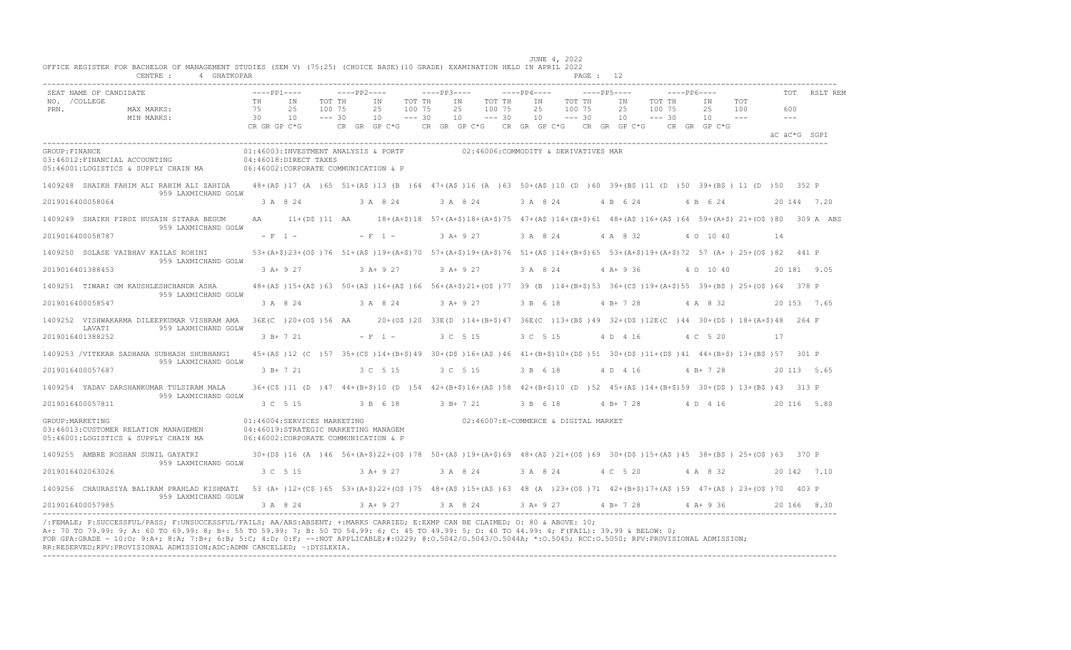|                       | SEAT NAME OF CANDIDATE                                                        | $---PP1---$                    |                                                                                                                                   |                              | ----PP2----                    |                              | $---PP3---$    |                                      |                              | $---PP4---$    |                              | $---PP5---$                                                                                                                                                                                                                                                   |                              | $---PP6---$ |                                |                       | TOT          |             | RSLT REM |
|-----------------------|-------------------------------------------------------------------------------|--------------------------------|-----------------------------------------------------------------------------------------------------------------------------------|------------------------------|--------------------------------|------------------------------|----------------|--------------------------------------|------------------------------|----------------|------------------------------|---------------------------------------------------------------------------------------------------------------------------------------------------------------------------------------------------------------------------------------------------------------|------------------------------|-------------|--------------------------------|-----------------------|--------------|-------------|----------|
| NO. / COLLEGE<br>PRN. | MAX MARKS:<br>MIN MARKS:                                                      | TH<br>75<br>30<br>CR GR GP C*G | IN<br>25<br>10                                                                                                                    | TOT TH<br>100 75<br>$--- 30$ | IN<br>25<br>10<br>CR GR GP C*G | TOT TH<br>100 75<br>$--- 30$ | IN<br>25<br>10 |                                      | TOT TH<br>100 75<br>$--- 30$ | IN<br>25<br>10 | TOT TH<br>100 75<br>$--- 30$ | ΙN<br>25<br>10<br>CR GR GP C*G CR GR GP C*G CR GR GP C*G                                                                                                                                                                                                      | TOT TH<br>100 75<br>$--- 30$ |             | IN<br>25<br>10<br>CR GR GP C*G | TOT<br>100<br>$- - -$ | 600<br>$---$ |             |          |
|                       |                                                                               |                                |                                                                                                                                   |                              |                                |                              |                |                                      |                              |                |                              |                                                                                                                                                                                                                                                               |                              |             |                                |                       | äC äC*G SGPI |             |          |
| GROUP: FINANCE        | 03:46012:FINANCIAL ACCOUNTING<br>05:46001:LOGISTICS & SUPPLY CHAIN MA         |                                | 01:46003:INVESTMENT ANALYSIS & PORTF<br>04:46018:DIRECT TAXES<br>06:46002:CORPORATE COMMUNICATION & P                             |                              |                                |                              |                | 02:46006:COMMODITY & DERIVATIVES MAR |                              |                |                              |                                                                                                                                                                                                                                                               |                              |             |                                |                       |              |             |          |
|                       | 1409248 SHAIKH FAHIM ALI RAHIM ALI ZAHIDA<br>959 LAXMICHAND GOLW              |                                | 48+(A\$)17 (A)65 51+(A\$)13 (B)64 47+(A\$)16 (A)63 50+(A\$)10 (D)60 39+(B\$)11 (D)50 39+(B\$) 11 (D)50 352 P                      |                              |                                |                              |                |                                      |                              |                |                              |                                                                                                                                                                                                                                                               |                              |             |                                |                       |              |             |          |
|                       | 2019016400058064                                                              |                                | 3 A 8 24                                                                                                                          |                              | 3 A 8 24                       |                              | 3 A 8 24       |                                      |                              | 3 A 8 24       |                              | 4 B 6 24                                                                                                                                                                                                                                                      |                              |             | 4 B 6 24                       |                       | 20 144 7.20  |             |          |
|                       | 1409249 SHAIKH FIROZ HUSAIN SITARA BEGUM<br>959 LAXMICHAND GOLW               | AA                             |                                                                                                                                   |                              |                                |                              |                |                                      |                              |                |                              | $11+(D\frac{5}{2})$ 11 AA 18+(A+ $\frac{5}{2}$ ) 18 57+(A+ $\frac{5}{2}$ ) 18+(A+ $\frac{5}{2}$ ) 18+(A+ $\frac{5}{2}$ ) 5 47+(A $\frac{5}{2}$ ) 14+(B+ $\frac{5}{2}$ ) 61 48+(A $\frac{5}{2}$ ) 64 59+(A+ $\frac{5}{2}$ ) 21+(O $\frac{5}{2}$ ) 80 309 A ABS |                              |             |                                |                       |              |             |          |
|                       | 2019016400058787                                                              |                                | $- F 1 -$                                                                                                                         |                              | $- F 1 -$                      |                              | $3 A+9 27$     |                                      |                              | 3 A 8 24       |                              | 4 A 8 32                                                                                                                                                                                                                                                      |                              |             | 4 0 10 40                      |                       | 14           |             |          |
|                       | 1409250 SOLASE VAIBHAV KAILAS ROHINI<br>959 LAXMICHAND GOLW                   |                                | 53+(A+\$)23+(O\$)76 51+(A\$)19+(A+\$)70 57+(A+\$)19+(A+\$)76 51+(A\$)14+(B+\$)65 53+(A+\$)19+(A+\$)72 57 (A+)25+(O\$)82 441 P     |                              |                                |                              |                |                                      |                              |                |                              |                                                                                                                                                                                                                                                               |                              |             |                                |                       |              |             |          |
|                       | 2019016401388453                                                              |                                | 3 A+ 9 27                                                                                                                         |                              | $3 A+9 27$                     |                              | $3 A+9 27$     |                                      |                              | 3 A 8 24       |                              | $4$ A+ 9 36                                                                                                                                                                                                                                                   |                              |             | 4 0 10 40                      |                       | 20 181 9.05  |             |          |
|                       | 1409251 TIWARI OM KAUSHLESHCHANDR ASHA<br>959 LAXMICHAND GOLW                 |                                | 48+(A\$)15+(A\$)63 50+(A\$)16+(A\$)66 56+(A+\$)21+(O\$)77 39 (B)14+(B+\$)53 36+(C\$)19+(A+\$)55 39+(B\$)25+(O\$)64 378 P          |                              |                                |                              |                |                                      |                              |                |                              |                                                                                                                                                                                                                                                               |                              |             |                                |                       |              |             |          |
|                       | 2019016400058547                                                              |                                | 3 A 8 24                                                                                                                          |                              | 3 A 8 24                       |                              | 3 A+ 9 27      |                                      |                              | 3 B 6 18       |                              | $4 B+ 7 28$                                                                                                                                                                                                                                                   |                              |             | 4 A 8 32                       |                       | 20 153 7.65  |             |          |
|                       | 1409252 VISHWAKARMA DILEEPKUMAR VISHRAM AMA<br>LAVATI<br>959 LAXMICHAND GOLW  |                                | 36E(C)20+(OS)56 AA 20+(OS)20 33E(D)14+(B+\$)47 36E(C)13+(B\$)49 32+(D\$)12E(C)44 30+(D\$)18+(A+\$)48 264 F                        |                              |                                |                              |                |                                      |                              |                |                              |                                                                                                                                                                                                                                                               |                              |             |                                |                       |              |             |          |
|                       | 2019016401388252                                                              |                                | 3 B+ 7 21                                                                                                                         |                              | $- F 1 -$                      |                              |                | 3 C 5 15                             |                              | 3 C 5 15       |                              | 4 D 4 16                                                                                                                                                                                                                                                      |                              |             | 4 C 5 20                       |                       | 17           |             |          |
|                       | 1409253 /VITEKAR SADHANA SUBHASH SHUBHANGI<br>959 LAXMICHAND GOLW             |                                | 45+(A\$)12 (C) 57 35+(C\$)14+(B+\$)49 30+(D\$)16+(A\$)46 41+(B+\$)10+(D\$)51 30+(D\$)11+(D\$)41 44+(B+\$) 13+(B\$)57 301 P        |                              |                                |                              |                |                                      |                              |                |                              |                                                                                                                                                                                                                                                               |                              |             |                                |                       |              |             |          |
|                       | 2019016400057687                                                              |                                | 3 B+ 7 21                                                                                                                         |                              | 3 C 5 15                       |                              | 3 C 5 15       |                                      |                              | 3 B 6 18       |                              | 4 D 4 16                                                                                                                                                                                                                                                      |                              |             | $4 B+ 7 28$                    |                       | 20 113 5.65  |             |          |
|                       | 1409254 YADAV DARSHANKUMAR TULSIRAM MALA<br>959 LAXMICHAND GOLW               |                                | 36+(C\$)11 (D) 47 44+(B+\$)10 (D) 54 42+(B+\$)16+(A\$) 58 42+(B+\$)10 (D) 52 45+(A\$)14+(B+\$)59 30+(D\$) 13+(B\$)43 313 P        |                              |                                |                              |                |                                      |                              |                |                              |                                                                                                                                                                                                                                                               |                              |             |                                |                       |              |             |          |
|                       | 2019016400057811                                                              |                                | 3 C 5 15                                                                                                                          |                              | 3 B 6 18                       |                              |                | $3 B+ 7 21$                          |                              | 3 B 6 18       |                              | $4 B+ 7 28$                                                                                                                                                                                                                                                   |                              |             | 4 D 4 16                       |                       | 20 116 5.80  |             |          |
| GROUP: MARKETING      | 03:46013: CUSTOMER RELATION MANAGEMEN<br>05:46001:LOGISTICS & SUPPLY CHAIN MA |                                | 01:46004:SERVICES MARKETING<br>04:46019:STRATEGIC MARKETING MANAGEM<br>06:46002:CORPORATE COMMUNICATION & P                       |                              |                                |                              |                | 02:46007:E-COMMERCE & DIGITAL MARKET |                              |                |                              |                                                                                                                                                                                                                                                               |                              |             |                                |                       |              |             |          |
|                       | 1409255 AMBRE ROSHAN SUNIL GAYATRI<br>959 LAXMICHAND GOLW                     |                                | 30+(D\$)16 (A)46 56+(A+\$)22+(O\$)78 50+(A\$)19+(A+\$)69 48+(A\$)21+(O\$)69 30+(D\$)15+(A\$)45 38+(B\$)25+(O\$)63 370 P           |                              |                                |                              |                |                                      |                              |                |                              |                                                                                                                                                                                                                                                               |                              |             |                                |                       |              |             |          |
|                       | 2019016402063026                                                              |                                | 3 C 5 15                                                                                                                          |                              | $3 A+9 27$                     |                              |                | 3 A 8 24                             |                              | 3 A 8 24       |                              | 4 C 5 20                                                                                                                                                                                                                                                      |                              |             | 4 A 8 32                       |                       | 20 142 7.10  |             |          |
|                       | 1409256 CHAURASIYA BALIRAM PRAHLAD KISHMATI<br>959 LAXMICHAND GOLW            |                                | 53 (A+ )12+(C\$ )65 53+(A+\$)22+(O\$ )75 48+(A\$ )15+(A\$ )63 48 (A )23+(O\$ )71 42+(B+\$)17+(A\$ )59 47+(A\$ ) 23+(O\$ )70 403 P |                              |                                |                              |                |                                      |                              |                |                              |                                                                                                                                                                                                                                                               |                              |             |                                |                       |              |             |          |
|                       | 2019016400057985                                                              |                                | 3 A 8 24                                                                                                                          |                              | 3 A+ 9 27                      |                              |                | 3 A 8 24                             |                              |                |                              | 3 A + 9 27 4 B + 7 28                                                                                                                                                                                                                                         |                              |             | $4$ A + 9 36                   |                       |              | 20 166 8.30 |          |

A+: 70 TO 79.99: 9; A: 60 TO 69.99: 8; B+: 55 TO 59.99: 7; B: 50 TO 54.99: 6; C: 45 TO 49.99: 5; D: 40 TO 44.99: 4; F(FAIL): 39.99 & BELOW: 0;<br>FOR GPA:GRADE - 10:O; 9:A+; 8:A; 7:B+; 6:B; 5:C; 4:D; 0:F; --:NOT APPLICABLE;#: RR:RESERVED;RPV:PROVISIONAL ADMISSION;ADC:ADMN CANCELLED; ~:DYSLEXIA. ----------------------------------------------------------------------------------------------------------------------------------------------------------------------------------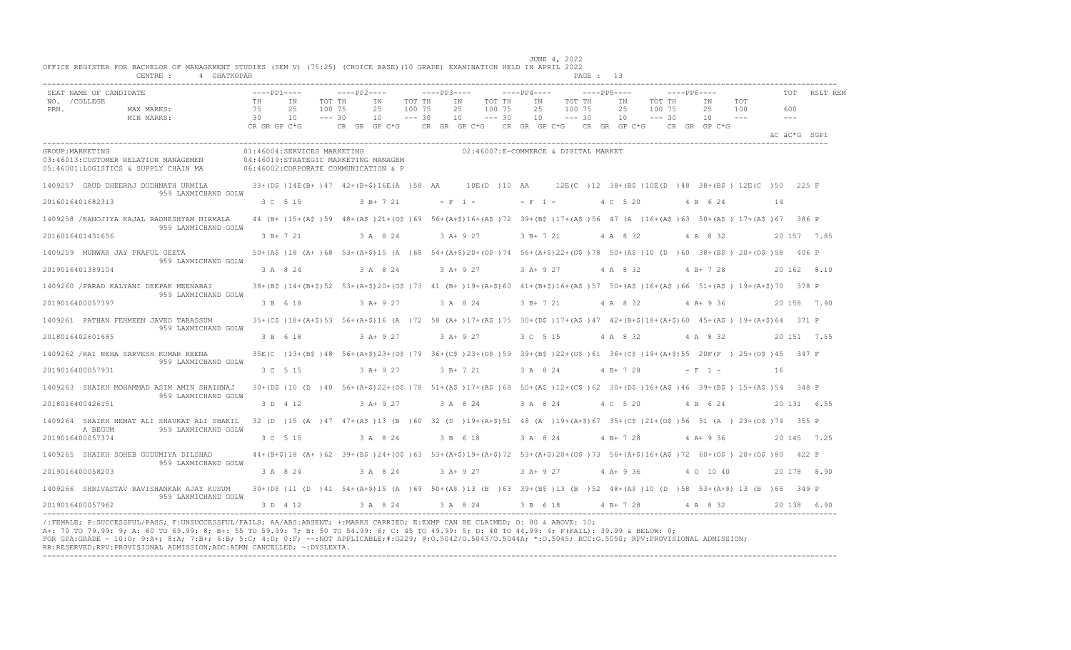|                       | SEAT NAME OF CANDIDATE                                                       | $---PP1---$    |                                                                                                                                       | $---PP2---$ |                 |                              | $---PP3---$ |                                                     |                              | $---PP4---$     |                                      | $---PP5---$     |        | $---PP6---$        |                      |                            | TOT                        | RSLT REM     |
|-----------------------|------------------------------------------------------------------------------|----------------|---------------------------------------------------------------------------------------------------------------------------------------|-------------|-----------------|------------------------------|-------------|-----------------------------------------------------|------------------------------|-----------------|--------------------------------------|-----------------|--------|--------------------|----------------------|----------------------------|----------------------------|--------------|
| NO. / COLLEGE<br>PRN. | MAX MARKS:<br>MIN MARKS:                                                     | TH<br>75<br>30 | TOT TH<br>IN<br>2.5<br>100 75<br>10<br>$--- 30$                                                                                       |             | IN<br>2.5<br>10 | TOT TH<br>100 75<br>$--- 30$ |             | IN<br>2.5<br>10                                     | TOT TH<br>100 75<br>$--- 30$ | IN<br>2.5<br>10 | TOT TH<br>100 75<br>$--- 30$         | IN<br>2.5<br>10 | 100 75 | TOT TH<br>$--- 30$ | ΙN<br>2.5<br>10      | <b>TOT</b><br>100<br>$  -$ | 600<br>$\qquad \qquad - -$ |              |
|                       |                                                                              | CR GR GP C*G   |                                                                                                                                       |             |                 |                              |             | CR GR GP C*G CR GR GP C*G CR GR GP C*G CR GR GP C*G |                              |                 |                                      |                 |        |                    | $CR$ $GR$ $GP$ $C*G$ |                            |                            | äC äC*G SGPI |
| GROUP: MARKETING      | 03:46013:CUSTOMER RELATION MANAGEMEN<br>05:46001:LOGISTICS & SUPPLY CHAIN MA |                | 01:46004:SERVICES MARKETING<br>04:46019:STRATEGIC MARKETING MANAGEM<br>06:46002:CORPORATE COMMUNICATION & P                           |             |                 |                              |             |                                                     |                              |                 | 02:46007:E-COMMERCE & DIGITAL MARKET |                 |        |                    |                      |                            |                            |              |
|                       | 1409257 GAUD DHEERAJ DUDHNATH URMILA<br>959 LAXMICHAND GOLW                  |                | 33+(D\$)14E(B+)47 42+(B+\$)16E(A)58 AA 10E(D)10 AA 12E(C)12 38+(B\$)10E(D)48 38+(B\$) 12E(C)50 225 F                                  |             |                 |                              |             |                                                     |                              |                 |                                      |                 |        |                    |                      |                            |                            |              |
| 2016016401682313      |                                                                              | 3 C 5 15       |                                                                                                                                       |             | 3 B+ 7 21       |                              |             | $-$ F 1 $-$                                         |                              |                 | $-$ F 1 $-$                          | 4 C 5 20        |        |                    | 4 B 6 24             |                            | 14                         |              |
|                       | 1409258 / KANOJIYA KAJAL RADHESHYAM NIRMALA<br>959 LAXMICHAND GOLW           |                | 44 (B+)15+(A\$)59 48+(A\$)21+(O\$)69 56+(A+\$)16+(A\$)72 39+(B\$)17+(A\$)56 47 (A)16+(A\$)63 50+(A\$) 17+(A\$)67 386 P                |             |                 |                              |             |                                                     |                              |                 |                                      |                 |        |                    |                      |                            |                            |              |
| 2016016401431656      |                                                                              | $3 B+ 7 21$    |                                                                                                                                       |             | 3 A 8 24        |                              |             | $3 A+ 9 27$                                         |                              | 3 B+ 7 21       |                                      | 4 A 8 32        |        |                    | 4 A 8 32             |                            |                            | 20 157 7.85  |
|                       | 1409259 MUNWAR JAY PRAFUL GEETA<br>959 LAXMICHAND GOLW                       |                | 50+(A\$)18 (A+)68 53+(A+\$)15 (A)68 54+(A+\$)20+(O\$)74 56+(A+\$)22+(O\$)78 50+(A\$)10 (D)60 38+(B\$) 20+(O\$)58 406 P                |             |                 |                              |             |                                                     |                              |                 |                                      |                 |        |                    |                      |                            |                            |              |
| 2019016401389104      |                                                                              | 3 A 8 24       |                                                                                                                                       |             | 3 A 8 24        |                              | $3 A+9 27$  |                                                     |                              |                 | 3 A + 9 27 4 A 8 32                  |                 |        |                    | 4 B + 7 28           |                            |                            | 20 162 8.10  |
|                       | 1409260 / PARAD KALYANI DEEPAK MEENABAI<br>959 LAXMICHAND GOLW               |                | 38+(B\$)14+(B+\$)52 53+(A+\$)20+(O\$)73 41 (B+)19+(A+\$)60 41+(B+\$)16+(A\$)57 50+(A\$)16+(A\$)66 51+(A\$) 19+(A+\$)70 378 P          |             |                 |                              |             |                                                     |                              |                 |                                      |                 |        |                    |                      |                            |                            |              |
| 2019016400057397      |                                                                              | 3 B 6 18       |                                                                                                                                       |             | $3 A+9 27$      |                              |             | 3 A 8 24                                            |                              | 3 B+ 7 21       |                                      | 4 A 8 32        |        |                    | 4 A+ 9 36            |                            |                            | 20 158 7.90  |
|                       | 1409261 PATHAN FEHMEEN JAVED TABASSUM                                        |                | 35+(C\$)18+(A+\$)53 56+(A+\$)16 (A)72 58 (A+)17+(A\$)75 30+(D\$)17+(A\$)47 42+(B+\$)18+(A+\$)60 45+(A\$) 19+(A+\$)64 371 P            |             |                 |                              |             |                                                     |                              |                 |                                      |                 |        |                    |                      |                            |                            |              |
| 2018016402601685      | 959 LAXMICHAND GOLW                                                          | 3 B 6 18       |                                                                                                                                       |             | 3 A+ 9 27       |                              |             | $3 A+9 27$                                          |                              | 3 C 5 15        |                                      | 4 A 8 32        |        |                    | 4 A 8 32             |                            |                            | 20 151 7.55  |
|                       | 1409262 / RAI NEHA SARVESH KUMAR REENA                                       |                | 35E(C) 13+(B\$)48 56+(A+\$)23+(O\$)79 36+(C\$)23+(O\$)59 39+(B\$)22+(O\$)61 36+(C\$)19+(A+\$)55 20F(F) 25+(O\$)45 347 F               |             |                 |                              |             |                                                     |                              |                 |                                      |                 |        |                    |                      |                            |                            |              |
| 2019016400057931      | 959 LAXMICHAND GOLW                                                          | 3 C 5 15       |                                                                                                                                       |             | $3 A+9 27$      |                              |             | 3 B+ 7 21                                           |                              | 3 A 8 24        |                                      | $4 B+ 7 28$     |        |                    | $- F 1 -$            |                            | 16                         |              |
|                       | 1409263 SHAIKH MOHAMMAD ASIM AMIN SHAIHNAJ                                   |                | 30+(D\$)10 (D)40 56+(A+\$)22+(O\$)78 51+(A\$)17+(A\$)68 50+(A\$)12+(C\$)62 30+(D\$)16+(A\$)46 39+(B\$) 15+(A\$)54 348 P               |             |                 |                              |             |                                                     |                              |                 |                                      |                 |        |                    |                      |                            |                            |              |
| 2018016400426151      | 959 LAXMICHAND GOLW                                                          |                | 3 D 4 12                                                                                                                              |             | $3 A+9 27$      |                              | 3 A 8 24    |                                                     |                              |                 | 3 A 8 24 4 C 5 20                    |                 |        |                    | 4 B 6 24             |                            |                            | 20 131 6.55  |
|                       | 1409264 SHAIKH NEMAT ALI SHAUKAT ALI SHAKIL                                  |                | 32 (D) 15 (A) 47 47 + (A\$) 13 (B) 60 32 (D) 19 + (A+\$) 51 48 (A) 19 + (A+\$) 67 35 + (C\$) 21 + (O\$) 56 51 (A) 23 + (O\$) 74 355 P |             |                 |                              |             |                                                     |                              |                 |                                      |                 |        |                    |                      |                            |                            |              |
| 2019016400057374      | A BEGUM<br>959 LAXMICHAND GOLW                                               | 3 C 5 15       |                                                                                                                                       |             | 3 A 8 24        |                              |             | 3 B 6 18                                            |                              |                 | 3 A 8 24                             | $4 B+728$       |        |                    | 4 A+ 9 36            |                            |                            | 20 145 7.25  |
|                       | 1409265 SHAIKH SOHEB GUDUMIYA DILSHAD                                        |                | 44+(B+\$)18 (A+)62 39+(B\$)24+(O\$)63 53+(A+\$)19+(A+\$)72 53+(A+\$)20+(O\$)73 56+(A+\$)16+(A\$)72 60+(O\$)20+(O\$)80 422 P           |             |                 |                              |             |                                                     |                              |                 |                                      |                 |        |                    |                      |                            |                            |              |
| 2019016400058203      | 959 LAXMICHAND GOLW                                                          |                | 3 A 8 24                                                                                                                              |             | 3 A 8 24        |                              |             | $3$ A+ 9 27                                         |                              | $3$ A + 9 27    |                                      | $4$ A + 9 36    |        |                    | 4 0 10 40            |                            |                            | 20 178 8.90  |
|                       | 1409266 SHRIVASTAV RAVISHANKAR AJAY KUSUM                                    |                | 30+(D\$)11 (D) 41 54+(A+\$)15 (A) 69 50+(A\$)13 (B) 63 39+(B\$)13 (B) 52 48+(A\$)10 (D) 58 53+(A+\$) 13 (B) 66 349 P                  |             |                 |                              |             |                                                     |                              |                 |                                      |                 |        |                    |                      |                            |                            |              |
| 2019016400057962      | 959 LAXMICHAND GOLW                                                          | 3 D 4 12       |                                                                                                                                       |             | 3 A 8 24        |                              |             | 3 A 8 24 3 B 6 18                                   |                              |                 |                                      | 4 B+ 7 28       |        |                    | 4 A 8 32             |                            |                            | 20 138 6.90  |

/:FEMALE; P:SUCCESSFUL/PASS; F:UNSUCCESSFUL/FAILS; AA/ABS:ABSENT; +:MARKS CARRIED; E:EXMP CAN BE CLAIMED; O: 80 & ABOVE: 10;<br>A+: 70 TO 79.99: 9; A: 60 TO 69.99: 8; B+: 55 TO 59.99: 7; B: 50 TO 54.99: 6; C: 45 TO 49.99: 5; FOR GPA:GRADE - 10:O; 9:A+; 8:A; 7:B+; 6:B; 5:C; 4:D; 0:F; --:NOT APPLICABLE;#:O229; @:O.5042/O.5043/O.5044A; \*:O.5045; RCC:O.5050; RPV:PROVISIONAL ADMISSION; RR:RESERVED;RPV:PROVISIONAL ADMISSION;ADC:ADMN CANCELLED; ~:DYSLEXIA. ----------------------------------------------------------------------------------------------------------------------------------------------------------------------------------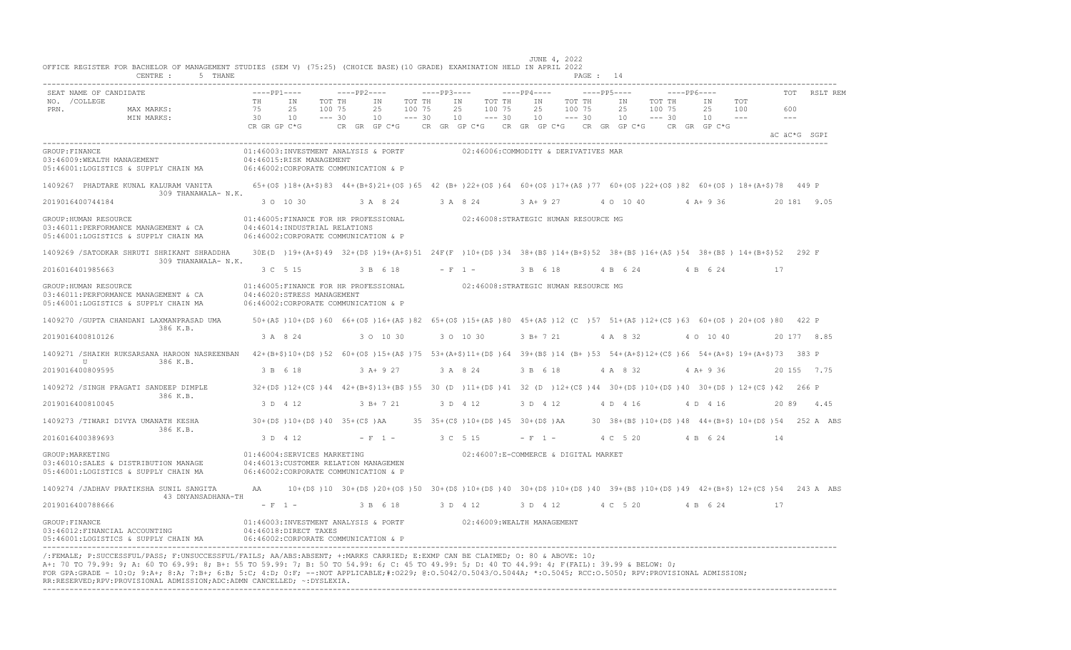| SEAT NAME OF CANDIDATE                                                                                                                                                                    | $---PP1---$                    |                                                                                                               | $---PP2---$            |                                                | $---PP3---$ |                                                                                                                              | $---PP4---$    |                              | $---PP5---$          | $---PP6---$                  |                                |                                                                                                                           | <b>TOT</b>           | RSLT REM    |
|-------------------------------------------------------------------------------------------------------------------------------------------------------------------------------------------|--------------------------------|---------------------------------------------------------------------------------------------------------------|------------------------|------------------------------------------------|-------------|------------------------------------------------------------------------------------------------------------------------------|----------------|------------------------------|----------------------|------------------------------|--------------------------------|---------------------------------------------------------------------------------------------------------------------------|----------------------|-------------|
| NO. / COLLEGE<br>PRN.<br>MAX MARKS:<br>MIN MARKS:                                                                                                                                         | TH<br>75<br>30<br>CR GR GP C*G | IN<br>25<br>100 75<br>10<br>$--- 30$                                                                          | TOT TH<br>CR GR GP C*G | ΙN<br>TOT TH<br>25<br>100 75<br>$--- 30$<br>10 |             | TOT TH<br>ΙN<br>25<br>100 75<br>10<br>$--- 30$<br>CR GR GP C*G CR GR GP C*G CR GR GP C*G                                     | IN<br>25<br>10 | TOT TH<br>100 75<br>$--- 30$ | IN<br>25<br>10       | TOT TH<br>100 75<br>$--- 30$ | ΙN<br>25<br>10<br>CR GR GP C*G | TOT<br>100<br>$- - -$                                                                                                     | 600<br>$\frac{1}{2}$ |             |
|                                                                                                                                                                                           |                                |                                                                                                               |                        |                                                |             |                                                                                                                              |                |                              |                      |                              |                                |                                                                                                                           | äC äC*G SGPI         |             |
| GROUP: FINANCE<br>03:46009:WEALTH MANAGEMENT<br>05:46001:LOGISTICS & SUPPLY CHAIN MA                                                                                                      |                                | 01:46003:INVESTMENT ANALYSIS & PORTF<br>04:46015:RISK MANAGEMENT<br>06:46002:CORPORATE COMMUNICATION & P      |                        |                                                |             | 02:46006:COMMODITY & DERIVATIVES MAR                                                                                         |                |                              |                      |                              |                                |                                                                                                                           |                      |             |
| 1409267 PHADTARE KUNAL KALURAM VANITA<br>309 THANAWALA- N.K.                                                                                                                              |                                |                                                                                                               |                        |                                                |             |                                                                                                                              |                |                              |                      |                              |                                | 65+(0\$)18+(A+\$)83 44+(B+\$)21+(0\$)65 42 (B+)22+(0\$)64 60+(0\$)17+(A\$)77 60+(0\$)22+(0\$)82 60+(0\$)18+(A+\$)78 449 P |                      |             |
| 2019016400744184                                                                                                                                                                          |                                | 3 0 10 30                                                                                                     |                        | 3 A 8 24 3 A 8 24                              |             |                                                                                                                              | 3 A+ 9 27      |                              | 4 0 10 40 4 A + 9 36 |                              |                                |                                                                                                                           |                      | 20 181 9.05 |
| GROUP: HUMAN RESOURCE<br>03:46011:PERFORMANCE MANAGEMENT & CA<br>05:46001:LOGISTICS & SUPPLY CHAIN MA                                                                                     |                                | 01:46005:FINANCE FOR HR PROFESSIONAL<br>04:46014:INDUSTRIAL RELATIONS<br>06:46002:CORPORATE COMMUNICATION & P |                        |                                                |             | 02:46008:STRATEGIC HUMAN RESOURCE MG                                                                                         |                |                              |                      |                              |                                |                                                                                                                           |                      |             |
| 1409269 / SATODKAR SHRUTI SHRIKANT SHRADDHA<br>309 THANAWALA- N.K.                                                                                                                        |                                |                                                                                                               |                        |                                                |             |                                                                                                                              |                |                              |                      |                              |                                | 30E(D)19+(A+\$)49 32+(D\$)19+(A+\$)51 24F(F)10+(D\$)34 38+(B\$)14+(B+\$)52 38+(B\$)16+(A\$)54 38+(B\$) 14+(B+\$)52 292 F  |                      |             |
| 2016016401985663                                                                                                                                                                          |                                | 3 C 5 15                                                                                                      |                        | 3 B 6 18                                       |             | $- F 1 -$                                                                                                                    | 3 B 6 18       |                              | 4 B 6 24             |                              | 4 B 6 24                       | 17                                                                                                                        |                      |             |
| GROUP: HUMAN RESOURCE<br>03:46011:PERFORMANCE MANAGEMENT & CA<br>05:46001:LOGISTICS & SUPPLY CHAIN MA                                                                                     |                                | 01:46005:FINANCE FOR HR PROFESSIONAL<br>04:46020:STRESS MANAGEMENT<br>06:46002:CORPORATE COMMUNICATION & P    |                        |                                                |             | 02:46008:STRATEGIC HUMAN RESOURCE MG                                                                                         |                |                              |                      |                              |                                |                                                                                                                           |                      |             |
| 1409270 / GUPTA CHANDANI LAXMANPRASAD UMA<br>386 K.B.                                                                                                                                     |                                |                                                                                                               |                        |                                                |             |                                                                                                                              |                |                              |                      |                              |                                | 50+(A\$)10+(D\$)60 66+(O\$)16+(A\$)82 65+(O\$)15+(A\$)80 45+(A\$)12 (C)57 51+(A\$)12+(C\$)63 60+(O\$)20+(O\$)80 422 P     |                      |             |
| 2019016400810126                                                                                                                                                                          |                                | 3 A 8 24                                                                                                      |                        | 3 0 10 30                                      |             | 3 0 10 30                                                                                                                    | 3 B+ 7 21      |                              | 4 A 8 32             |                              | 4 0 10 40                      |                                                                                                                           |                      | 20 177 8.85 |
| 1409271 /SHAIKH RUKSARSANA HAROON NASREENBAN 42+(B+\$)10+(D\$)52 60+(O\$)15+(A\$)75 53+(A+\$)11+(D\$)64 39+(B\$)14 (B+)53 54+(A+\$)12+(C\$)66 54+(A+\$)19+(A+\$)73 383 P<br>U<br>386 K.B. |                                |                                                                                                               |                        |                                                |             |                                                                                                                              |                |                              |                      |                              |                                |                                                                                                                           |                      |             |
| 2019016400809595                                                                                                                                                                          |                                | 3 B 6 18                                                                                                      |                        | 3 A+ 9 27                                      |             | 3 A 8 24                                                                                                                     | 3 B 6 18       |                              | 4 A 8 32             |                              | $4 A+9 36$                     |                                                                                                                           |                      | 20 155 7.75 |
| 1409272 /SINGH PRAGATI SANDEEP DIMPLE<br>386 K.B.                                                                                                                                         |                                |                                                                                                               |                        |                                                |             |                                                                                                                              |                |                              |                      |                              |                                | 32+(D\$)12+(C\$)44 42+(B+\$)13+(B\$)55 30 (D)11+(D\$)41 32 (D)12+(C\$)44 30+(D\$)10+(D\$)40 30+(D\$)12+(C\$)42 266 P      |                      |             |
| 2019016400810045                                                                                                                                                                          |                                | 3 D 4 12                                                                                                      |                        | $3 B+ 7 21$                                    |             | 3 D 4 12                                                                                                                     | 3 D 4 12       |                              | 4 D 4 16             |                              | 4 D 4 16                       |                                                                                                                           |                      | 20 89 4.45  |
| 1409273 /TIWARI DIVYA UMANATH KESHA<br>386 K.B.                                                                                                                                           |                                |                                                                                                               |                        |                                                |             | $30+(D\frac{5}{2})10+(D\frac{5}{2})40$ $35+(C\frac{5}{2})AA$ $35-35+(C\frac{5}{2})10+(D\frac{5}{2})45$ $30+(D\frac{5}{2})AA$ |                |                              |                      |                              |                                | 30 38+(B\$)10+(D\$)48 44+(B+\$) 10+(D\$)54 252 A ABS                                                                      |                      |             |
| 2016016400389693                                                                                                                                                                          |                                | 3 D 4 12                                                                                                      | $-$ F 1 $-$            |                                                |             | 3 C 5 15                                                                                                                     | $- F 1 -$      |                              | 4 C 5 20             |                              | 4 B 6 24                       | 14                                                                                                                        |                      |             |
| GROUP: MARKETING<br>03:46010:SALES & DISTRIBUTION MANAGE<br>05:46001:LOGISTICS & SUPPLY CHAIN MA                                                                                          |                                | 01:46004:SERVICES MARKETING<br>04:46013: CUSTOMER RELATION MANAGEMEN<br>06:46002:CORPORATE COMMUNICATION & P  |                        |                                                |             | 02:46007:E-COMMERCE & DIGITAL MARKET                                                                                         |                |                              |                      |                              |                                |                                                                                                                           |                      |             |
| 1409274 / JADHAV PRATIKSHA SUNIL SANGITA<br>43 DNYANSADHANA-TH                                                                                                                            | AA                             |                                                                                                               |                        |                                                |             |                                                                                                                              |                |                              |                      |                              |                                | 10+(D\$)10 30+(D\$)20+(O\$)50 30+(D\$)10+(D\$)40 30+(D\$)10+(D\$)40 39+(B\$)10+(D\$)49 42+(B+\$) 12+(C\$)54 243 A ABS     |                      |             |
| 2019016400788666                                                                                                                                                                          |                                | $-$ F 1 $-$                                                                                                   |                        | 3 B 6 18                                       |             | 3 D 4 12                                                                                                                     | 3 D 4 12       |                              | 4 C 5 20             |                              | 4 B 6 24                       | -17                                                                                                                       |                      |             |
| GROUP: FINANCE<br>03:46012: FINANCIAL ACCOUNTING<br>05:46001:LOGISTICS & SUPPLY CHAIN MA                                                                                                  |                                | 04:46018:DIRECT TAXES<br>06:46002:CORPORATE COMMUNICATION & P                                                 |                        |                                                |             | 01:46003:INVESTMENT ANALYSIS & PORTF 02:46009:WEALTH MANAGEMENT                                                              |                |                              |                      |                              |                                |                                                                                                                           |                      |             |

----------------------------------------------------------------------------------------------------------------------------------------------------------------------------------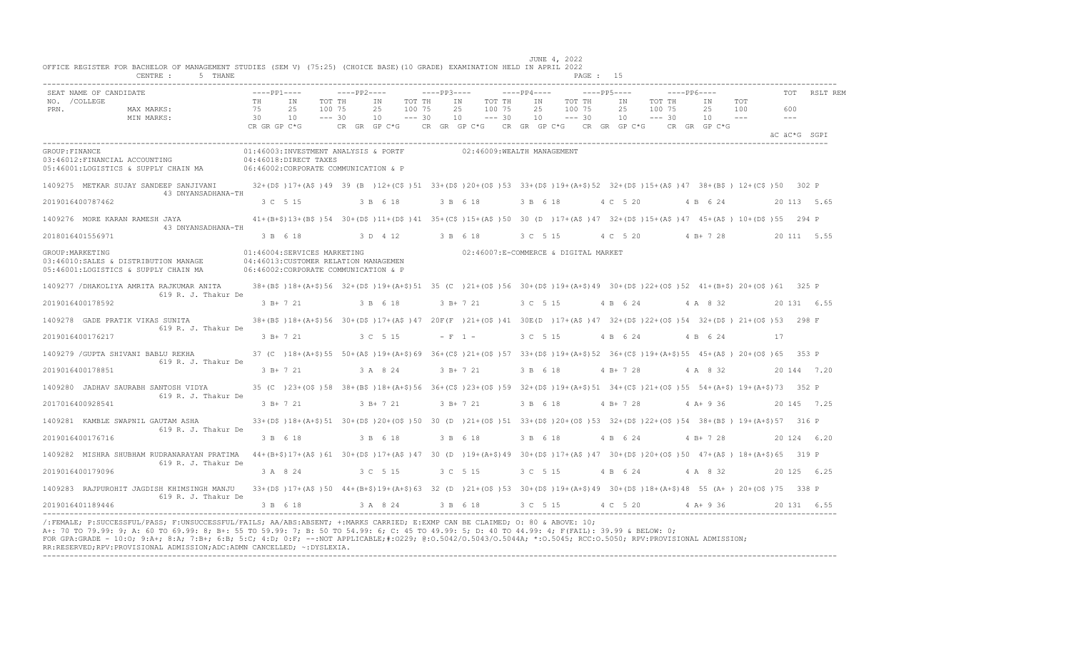|                  | SEAT NAME OF CANDIDATE                                                       |                                                                                                                                                                                               | $---PP1---$  |                                                                                                                                                  |                    | $---PP2---$  |                    | $---PP3---$ |                                        |                    | $---PP4---$ |          |                    | $---PP5---$ |                   |                    | $---PP6---$  |              | <b>TOT</b>           | RSLT REM     |
|------------------|------------------------------------------------------------------------------|-----------------------------------------------------------------------------------------------------------------------------------------------------------------------------------------------|--------------|--------------------------------------------------------------------------------------------------------------------------------------------------|--------------------|--------------|--------------------|-------------|----------------------------------------|--------------------|-------------|----------|--------------------|-------------|-------------------|--------------------|--------------|--------------|----------------------|--------------|
| NO. / COLLEGE    |                                                                              |                                                                                                                                                                                               | TH           | IN                                                                                                                                               | TOT TH             | IN           | TOT TH             |             | IN                                     | TOT TH             | IN          |          | TOT TH             | IN          |                   | TOT TH             | IN           | TOT          |                      |              |
| PRN.             | MAX MARKS:<br>MIN MARKS:                                                     |                                                                                                                                                                                               | 75<br>30     | 25<br>10                                                                                                                                         | 100 75<br>$--- 30$ | 25<br>10     | 100 75<br>$--- 30$ |             | 25<br>10                               | 100 75<br>$--- 30$ | 25<br>10    |          | 100 75<br>$--- 30$ | 25<br>10    |                   | 100 75<br>$--- 30$ | 25<br>10     | 100<br>$  -$ | 600<br>$\frac{1}{2}$ |              |
|                  |                                                                              |                                                                                                                                                                                               | CR GR GP C*G |                                                                                                                                                  |                    | CR GR GP C*G |                    |             | CR GR GP C*G CR GR GP C*G CR GR GP C*G |                    |             |          |                    |             |                   |                    | CR GR GP C*G |              |                      | AC AC*G SGPT |
| GROUP: FINANCE   | 03:46012:FINANCIAL ACCOUNTING                                                | 05:46001:LOGISTICS & SUPPLY CHAIN MA 06:46002:CORPORATE COMMUNICATION & P                                                                                                                     |              | 01:46003:INVESTMENT ANALYSIS & PORTF<br>04:46018:DIRECT TAXES                                                                                    |                    |              |                    |             | 02:46009:WEALTH MANAGEMENT             |                    |             |          |                    |             |                   |                    |              |              |                      |              |
|                  |                                                                              | 1409275 METKAR SUJAY SANDEEP SANJIVANI<br>43 DNYANSADHANA-TH                                                                                                                                  |              | 32+(D\$)17+(A\$)49 39 (B)12+(C\$)51 33+(D\$)20+(O\$)53 33+(D\$)19+(A+\$)52 32+(D\$)15+(A\$)47 38+(B\$) 12+(C\$)50 302 P                          |                    |              |                    |             |                                        |                    |             |          |                    |             |                   |                    |              |              |                      |              |
| 2019016400787462 |                                                                              |                                                                                                                                                                                               |              | 3 C 5 15                                                                                                                                         |                    | 3 B 6 18     |                    |             | 3 B 6 18                               |                    | 3 B 6 18    |          |                    | 4 C 5 20    |                   |                    | 4 B 6 24     |              |                      | 20 113 5.65  |
|                  | 1409276 MORE KARAN RAMESH JAYA                                               | 43 DNYANSADHANA-TH                                                                                                                                                                            |              | 41+(B+\$)13+(B\$)54 30+(D\$)11+(D\$)41 35+(C\$)15+(A\$)50 30 (D )17+(A\$)47 32+(D\$)15+(A\$)47 45+(A\$) 10+(D\$)55 294 P                         |                    |              |                    |             |                                        |                    |             |          |                    |             |                   |                    |              |              |                      |              |
| 2018016401556971 |                                                                              |                                                                                                                                                                                               |              | 3 B 6 18                                                                                                                                         |                    | 3 D 4 12     |                    | 3 B 6 18    |                                        |                    | 3 C 5 15    |          |                    | 4 C 5 20    |                   |                    | $4 B+728$    |              |                      | 20 111 5.55  |
| GROUP: MARKETING | 03:46010:SALES & DISTRIBUTION MANAGE<br>05:46001:LOGISTICS & SUPPLY CHAIN MA |                                                                                                                                                                                               |              | 01:46004:SERVICES MARKETING<br>04:46013:CUSTOMER RELATION MANAGEMEN<br>06:46002:CORPORATE COMMUNICATION & P                                      |                    |              |                    |             | 02:46007:E-COMMERCE & DIGITAL MARKET   |                    |             |          |                    |             |                   |                    |              |              |                      |              |
|                  |                                                                              | 1409277 / DHAKOLIYA AMRITA RAJKUMAR ANITA<br>619 R. J. Thakur De                                                                                                                              |              | 38+(B\$)18+(A+\$)56 32+(D\$)19+(A+\$)51 35 (C)21+(O\$)56 30+(D\$)19+(A+\$)49 30+(D\$)22+(O\$)52 41+(B+\$)20+(O\$)61 325 P                        |                    |              |                    |             |                                        |                    |             |          |                    |             |                   |                    |              |              |                      |              |
| 2019016400178592 |                                                                              |                                                                                                                                                                                               |              | $3 R+721$                                                                                                                                        |                    | 3 B 6 18     |                    |             | $3 B+ 7 21$                            |                    |             | 3 C 5 15 |                    | 4 B 6 24    |                   |                    | 4 A 8 32     |              |                      | 20 131 6.55  |
|                  | 1409278 GADE PRATIK VIKAS SUNITA                                             | 619 R. J. Thakur De                                                                                                                                                                           |              | 38+(B\$)18+(A+\$)56 30+(D\$)17+(A\$)47 20F(F)21+(O\$)41 30E(D)17+(A\$)47 32+(D\$)22+(O\$)54 32+(D\$)21+(O\$)53 298 F                             |                    |              |                    |             |                                        |                    |             |          |                    |             |                   |                    |              |              |                      |              |
| 2019016400176217 |                                                                              |                                                                                                                                                                                               |              | 3 B + 7 21                                                                                                                                       |                    | 3 C 5 15     |                    |             | $- F 1 -$                              |                    | 3 C 5 15    |          |                    | 4 B 6 24    |                   |                    | 4 B 6 24     |              | - 17                 |              |
|                  | 1409279 / GUPTA SHIVANI BABLU REKHA                                          | 619 R. J. Thakur De                                                                                                                                                                           |              | 37 (C) 18+ (A+\$) 55 50+ (A\$) 19+ (A+\$) 69 36+ (C\$) 21+ (O\$) 57 33+ (D\$) 19+ (A+\$) 52 36+ (C\$) 19+ (A+\$) 55 45+ (A\$) 20+ (O\$) 65 353 P |                    |              |                    |             |                                        |                    |             |          |                    |             |                   |                    |              |              |                      |              |
| 2019016400178851 |                                                                              |                                                                                                                                                                                               |              | $-3$ B+ 7 21                                                                                                                                     |                    | 3 A 8 24     |                    |             | $3 B+ 7 21$                            |                    | 3 B 6 18    |          |                    | $4 B+ 7 28$ |                   |                    | 4 A 8 32     |              |                      | 20 144 7.20  |
|                  | 1409280 JADHAV SAURABH SANTOSH VIDYA                                         | 619 R. J. Thakur De                                                                                                                                                                           |              | 35 (C) 23+(0\$) 58 38+(B\$) 18+(A+\$) 56 36+(C\$) 23+(0\$) 59 32+(D\$) 19+(A+\$) 51 34+(C\$) 21+(0\$) 55 54+(A+\$) 19+(A+\$) 73 352 P            |                    |              |                    |             |                                        |                    |             |          |                    |             |                   |                    |              |              |                      |              |
| 2017016400928541 |                                                                              |                                                                                                                                                                                               |              | $-3$ B+ 7 21                                                                                                                                     |                    | $3 B+721$    |                    |             | 3 B+ 7 21                              |                    | 3 B 6 18    |          |                    | 4 B+ 7 28   |                   |                    | 4 A+ 9 36    |              |                      | 20 145 7.25  |
|                  | 1409281 KAMBLE SWAPNIL GAUTAM ASHA                                           | 619 R. J. Thakur De                                                                                                                                                                           |              | 33+(D\$)18+(A+\$)51 30+(D\$)20+(O\$)50 30 (D)21+(O\$)51 33+(D\$)20+(O\$)53 32+(D\$)22+(O\$)54 38+(B\$) 19+(A+\$)57 316 P                         |                    |              |                    |             |                                        |                    |             |          |                    |             |                   |                    |              |              |                      |              |
| 2019016400176716 |                                                                              |                                                                                                                                                                                               |              | 3 B 6 18                                                                                                                                         |                    | 3 B 6 18     |                    |             | 3 B 6 18                               |                    | 3 B 6 18    |          |                    | 4 B 6 24    |                   |                    | $4 B+ 7 28$  |              |                      | 20 124 6.20  |
|                  |                                                                              | 1409282 MISHRA SHUBHAM RUDRANARAYAN PRATIMA 44+(B+\$)17+(A\$)61 30+(D\$)17+(A\$)47 30 (D )19+(A+\$)49 30+(D\$)17+(A\$)47 30+(D\$)20+(O\$)50 47+(A\$) 18+(A+\$)65 319 P<br>619 R. J. Thakur De |              |                                                                                                                                                  |                    |              |                    |             |                                        |                    |             |          |                    |             |                   |                    |              |              |                      |              |
| 2019016400179096 |                                                                              |                                                                                                                                                                                               |              | 3 A 8 24                                                                                                                                         |                    | 3 C 5 15     |                    |             | 3 C 5 15                               |                    | 3 C 5 15    |          |                    | 4 B 6 24    |                   |                    | 4 A 8 32     |              |                      | 20 125 6.25  |
|                  |                                                                              | 1409283 RAJPUROHIT JAGDISH KHIMSINGH MANJU 33+(D\$)17+(A\$)50 44+(B+\$)19+(A+\$)63 32 (D )21+(O\$)53 30+(D\$)19+(A+\$)49 30+(D\$)18+(A+\$)48 55 (A+) 20+(O\$)75 338 P<br>619 R. J. Thakur De  |              |                                                                                                                                                  |                    |              |                    |             |                                        |                    |             |          |                    |             |                   |                    |              |              |                      |              |
| 2019016401189446 |                                                                              |                                                                                                                                                                                               |              | 3 B 6 18                                                                                                                                         |                    | 3 A 8 24     |                    |             | 3 B 6 18                               |                    |             |          |                    |             | 3 C 5 15 4 C 5 20 |                    | $4$ A + 9 36 |              |                      | 20 131 6.55  |

A+: 70 TO 79.99: 9; A: 60 TO 69.99: 8; B+: 55 TO 59.99: 7; B: 50 TO 54.99: 6; C: 45 TO 49.99: 5; D: 40 TO 44.99: 4; F(FAIL): 39.99 & BELOW: 0; FOR GPA:GRADE - 10:O; 9:A+; 8:A; 7:B+; 6:B; 5:C; 4:D; 0:F; --:NOT APPLICABLE;#:O229; @:O.5042/O.5043/O.5044A; \*:O.5045; RCC:O.5050; RPV:PROVISIONAL ADMISSION; RR:RESERVED;RPV:PROVISIONAL ADMISSION;ADC:ADMN CANCELLED; ~:DYSLEXIA. ----------------------------------------------------------------------------------------------------------------------------------------------------------------------------------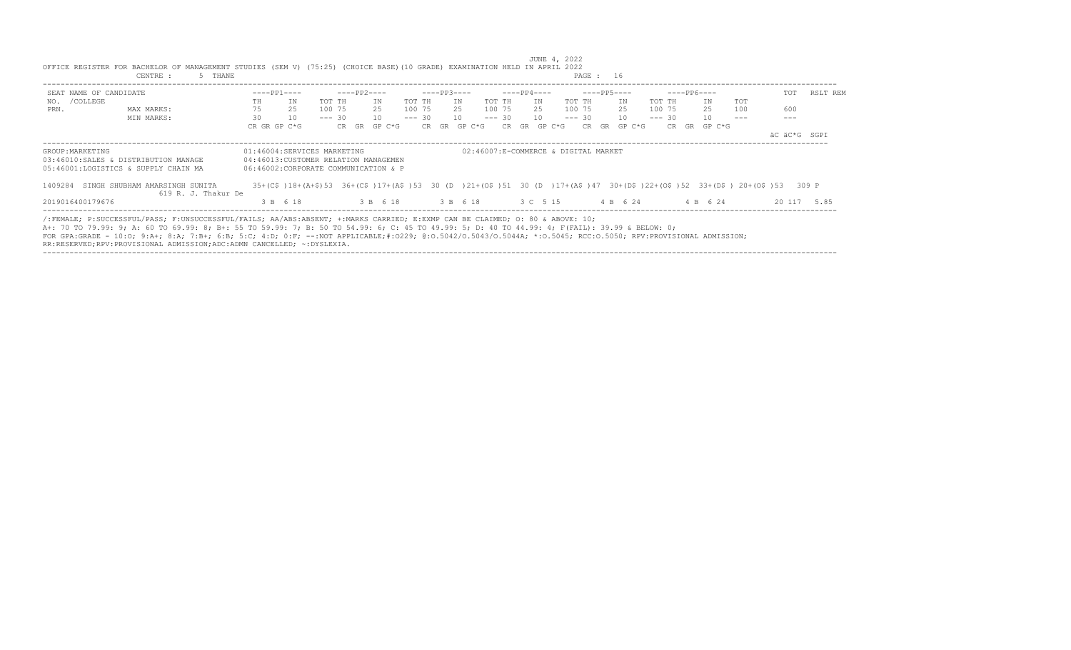| SEAT NAME OF CANDIDATE |                                                                                                                                                                                                                                                                                                                                                                                                                                                  | $---PP1---$  |                                                                                                                                                                                                          |          | ----PP2---- |                   |        | $---PP3---$  |    |             | $---PP4---$  |    |                   |  | $---PP5---$  |          | $---PP6---$  |     | TOT          | RSLT REM    |
|------------------------|--------------------------------------------------------------------------------------------------------------------------------------------------------------------------------------------------------------------------------------------------------------------------------------------------------------------------------------------------------------------------------------------------------------------------------------------------|--------------|----------------------------------------------------------------------------------------------------------------------------------------------------------------------------------------------------------|----------|-------------|-------------------|--------|--------------|----|-------------|--------------|----|-------------------|--|--------------|----------|--------------|-----|--------------|-------------|
| NO. / COLLEGE          |                                                                                                                                                                                                                                                                                                                                                                                                                                                  | TH           | IN                                                                                                                                                                                                       | TOT TH   |             | TN                | TOT TH |              | IN | TOT TH      |              | TN | TOT TH            |  | ΙN           | TOT TH   | TN           | TOT |              |             |
| PRN.                   | MAX MARKS:                                                                                                                                                                                                                                                                                                                                                                                                                                       | 75           | 25                                                                                                                                                                                                       | 100 75   |             | 25                | 100 75 |              |    | 25 100 75   |              |    | 25 100 75         |  | 25           | 100 75   | 25           | 100 | 600          |             |
|                        | MIN MARKS:                                                                                                                                                                                                                                                                                                                                                                                                                                       | 30           | 10                                                                                                                                                                                                       | $--- 30$ |             | 10                |        | $--- 30 10$  |    | $--- 30 10$ |              |    | $--- 30 10$       |  |              | $--- 30$ | 10           |     |              |             |
|                        |                                                                                                                                                                                                                                                                                                                                                                                                                                                  | CR GR GP C*G |                                                                                                                                                                                                          |          |             | CR GR GP C*G      |        | CR GR GP C*G |    |             | CR GR GP C*G |    |                   |  | CR GR GP C*G |          | CR GR GP C*G |     |              |             |
|                        |                                                                                                                                                                                                                                                                                                                                                                                                                                                  |              |                                                                                                                                                                                                          |          |             |                   |        |              |    |             |              |    |                   |  |              |          |              |     | äC äC*G SGPI |             |
|                        | 03:46010:SALES & DISTRIBUTION MANAGE<br>05:46001:LOGISTICS & SUPPLY CHAIN MA<br>1409284 SINGH SHUBHAM AMARSINGH SUNITA                                                                                                                                                                                                                                                                                                                           |              | 04:46013: CUSTOMER RELATION MANAGEMEN<br>06:46002:CORPORATE COMMUNICATION & P<br>35+(C\$)18+(A+\$)53 36+(C\$)17+(A\$)53 30 (D )21+(O\$)51 30 (D )17+(A\$)47 30+(D\$)22+(O\$)52 33+(D\$) 20+(O\$)53 309 P |          |             |                   |        |              |    |             |              |    |                   |  |              |          |              |     |              |             |
|                        | 619 R. J. Thakur De                                                                                                                                                                                                                                                                                                                                                                                                                              |              |                                                                                                                                                                                                          |          |             |                   |        |              |    |             |              |    |                   |  |              |          |              |     |              |             |
| 2019016400179676       |                                                                                                                                                                                                                                                                                                                                                                                                                                                  |              | 3 B 6 18                                                                                                                                                                                                 |          |             | 3 B 6 18 3 B 6 18 |        |              |    |             |              |    | 3 C 5 15 4 B 6 24 |  |              |          | 4 B 6 24     |     |              | 20 117 5.85 |
|                        | /:FEMALE; P:SUCCESSFUL/PASS; F:UNSUCCESSFUL/FAILS; AA/ABS:ABSENT; +:MARKS CARRIED; E:EXMP CAN BE CLAIMED; O: 80 & ABOVE: 10;<br>A+: 70 TO 79.99: 9; A: 60 TO 69.99: 8; B+: 55 TO 59.99: 7; B: 50 TO 54.99: 6; C: 45 TO 49.99: 5; D: 40 TO 44.99: 4; F(FAIL): 39.99 & BELOW: 0;<br>FOR GPA:GRADE - 10:0: 9:A+; 8:A; 7:B+; 6:B; 5:C; 4:D; 0:F; --:NOT APPLICABLE;#:0229; 0:0.5042/0.5043/0.5044A; *:0.5045; RCC:0.5050; RPV:PROVISIONAL ADMISSION; |              |                                                                                                                                                                                                          |          |             |                   |        |              |    |             |              |    |                   |  |              |          |              |     |              |             |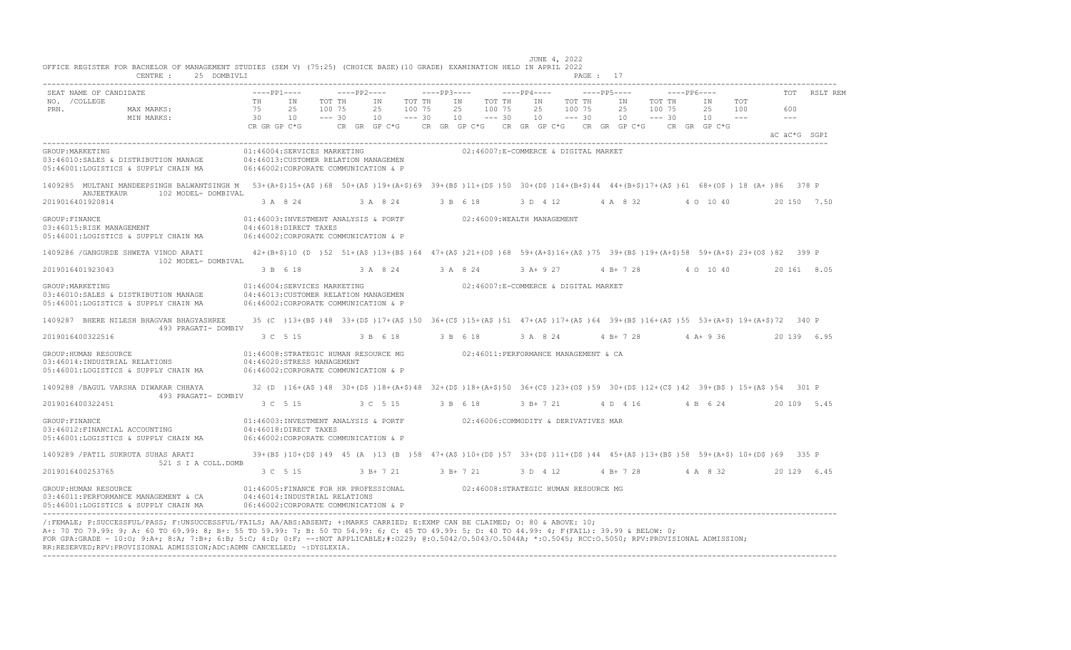| CENTRE :<br>25 DOMBIVLI                                                                                                                                                                                      |                                |                                                                                                                                                    |                              |               |                |                              |                       |                                      |                    |             |                         |        | PAGE: 17                                                                                                                  |        |                        |                            |     |              |             |
|--------------------------------------------------------------------------------------------------------------------------------------------------------------------------------------------------------------|--------------------------------|----------------------------------------------------------------------------------------------------------------------------------------------------|------------------------------|---------------|----------------|------------------------------|-----------------------|--------------------------------------|--------------------|-------------|-------------------------|--------|---------------------------------------------------------------------------------------------------------------------------|--------|------------------------|----------------------------|-----|--------------|-------------|
| SEAT NAME OF CANDIDATE                                                                                                                                                                                       |                                | $---PP1---$                                                                                                                                        |                              | ----- PP2---- |                |                              | $---PP3---$           |                                      |                    | $---PP4---$ |                         |        | $---PP5---$                                                                                                               |        | $---PP6---$            |                            |     |              | RSLT REM    |
| NO. / COLLEGE<br>PRN.<br>MAX MARKS:<br>MIN MARKS:                                                                                                                                                            | TH <sub>1</sub><br>75<br>30 10 | IN<br>25<br>CR GR GP C*G                                                                                                                           | TOT TH<br>100 75<br>$--- 30$ | CR GR GP C*G  | IN<br>25<br>10 | TOT TH<br>100 75<br>$--- 30$ | 10                    | IN<br>25 100 75                      | TOT TH<br>$--- 30$ | IN<br>25    | 100 75<br>$10 - - - 30$ | TOT TH | IN<br>25<br>$10 - - - 30$<br>CR GR GP C*G CR GR GP C*G CR GR GP C*G                                                       | 100 75 | TOT TH<br>CR GR GP C*G | IN<br>25 100<br>$10 - - -$ | TOT | 600<br>$- -$ |             |
|                                                                                                                                                                                                              |                                |                                                                                                                                                    |                              |               |                |                              |                       |                                      |                    |             |                         |        |                                                                                                                           |        |                        |                            |     | äC äC*G SGPI |             |
| GROUP: MARKETING<br>03:46010:SALES & DISTRIBUTION MANAGE<br>05:46001:LOGISTICS & SUPPLY CHAIN MA                                                                                                             |                                | 01:46004:SERVICES MARKETING<br>04:46013:CUSTOMER RELATION MANAGEMEN<br>06:46002:CORPORATE COMMUNICATION & P                                        |                              |               |                |                              |                       | 02:46007:E-COMMERCE & DIGITAL MARKET |                    |             |                         |        |                                                                                                                           |        |                        |                            |     |              |             |
| 1409285 MULTANI MANDEEPSINGH BALWANTSINGH M 53+(A+\$)15+(A\$)68 50+(A\$)19+(A+\$)69 39+(B\$)11+(D\$)50 30+(D\$)14+(B+\$)44 44+(B+\$)17+(A\$)61 68+(O\$) 18 (A+)86 378 P<br>102 MODEL- DOMBIVAL<br>ANJEETKAUR |                                |                                                                                                                                                    |                              |               |                |                              |                       |                                      |                    |             |                         |        |                                                                                                                           |        |                        |                            |     |              |             |
| 2019016401920814                                                                                                                                                                                             |                                | 3 A 8 24                                                                                                                                           |                              | 3 A 8 24      |                |                              | 3 B 6 18              |                                      |                    |             |                         |        | 3 D 4 12 4 A 8 32 4 0 10 40                                                                                               |        |                        |                            |     |              | 20 150 7.50 |
| GROUP: FINANCE<br>03:46015:RISK MANAGEMENT<br>05:46001:LOGISTICS & SUPPLY CHAIN MA                                                                                                                           |                                | 01:46003:INVESTMENT ANALYSIS & PORTF 02:46009:WEALTH MANAGEMENT<br>04:46018:DIRECT TAXES<br>06:46002:CORPORATE COMMUNICATION & P                   |                              |               |                |                              |                       |                                      |                    |             |                         |        |                                                                                                                           |        |                        |                            |     |              |             |
| 1409286 / GANGURDE SHWETA VINOD ARATI 42+(B+\$)10 (D )52 51+(A\$ )13+(B\$ )64 47+(A\$ )21+(O\$ )68 59+(A+\$)16+(A\$ )75 39+(B\$ )19+(A+\$)58 59+(A+\$) 23+(O\$ )82 399 P<br>102 MODEL- DOMBIVAL              |                                |                                                                                                                                                    |                              |               |                |                              |                       |                                      |                    |             |                         |        |                                                                                                                           |        |                        |                            |     |              |             |
| 2019016401923043                                                                                                                                                                                             |                                | 3 B 6 18                                                                                                                                           |                              | 3 A 8 24      |                |                              | 3 A 8 24              |                                      |                    | 3 A + 9 27  |                         |        | 4 B+ 7 28                                                                                                                 |        |                        | 4 0 10 40                  |     |              | 20 161 8.05 |
| GROUP: MARKETING<br>03:46010:SALES & DISTRIBUTION MANAGE<br>05:46001:LOGISTICS & SUPPLY CHAIN MA                                                                                                             |                                | 01:46004:SERVICES MARKETING<br>04:46013: CUSTOMER RELATION MANAGEMEN<br>06:46002:CORPORATE COMMUNICATION & P                                       |                              |               |                |                              |                       | 02:46007:E-COMMERCE & DIGITAL MARKET |                    |             |                         |        |                                                                                                                           |        |                        |                            |     |              |             |
| 1409287 BHERE NILESH BHAGVAN BHAGYASHREE<br>493 PRAGATI- DOMBIV                                                                                                                                              |                                |                                                                                                                                                    |                              |               |                |                              |                       |                                      |                    |             |                         |        | 35 (C) 13+(B\$)48 33+(D\$)17+(A\$)50 36+(C\$)15+(A\$)51 47+(A\$)17+(A\$)64 39+(B\$)16+(A\$)55 53+(A+\$)19+(A+\$)72 340 P  |        |                        |                            |     |              |             |
| 2019016400322516                                                                                                                                                                                             |                                | 3 C 5 15                                                                                                                                           |                              | 3 B 6 18      |                |                              | 3 B 6 18              |                                      |                    |             |                         |        | $3 A 8 24 4 B+ 7 28 4 A+ 9 36$                                                                                            |        |                        |                            |     |              | 20 139 6.95 |
| GROUP: HUMAN RESOURCE<br>03:46014:INDUSTRIAL RELATIONS<br>05:46001:LOGISTICS & SUPPLY CHAIN MA                                                                                                               |                                | 01:46008:STRATEGIC HUMAN RESOURCE MG<br>04:46020:STRESS MANAGEMENT<br>06:46002:CORPORATE COMMUNICATION & P                                         |                              |               |                |                              |                       | 02:46011:PERFORMANCE MANAGEMENT & CA |                    |             |                         |        |                                                                                                                           |        |                        |                            |     |              |             |
| 1409288 / BAGUL VARSHA DIWAKAR CHHAYA                                                                                                                                                                        |                                |                                                                                                                                                    |                              |               |                |                              |                       |                                      |                    |             |                         |        | 32 (D )16+(A\$)48 30+(D\$)18+(A+\$)48 32+(D\$)18+(A+\$)50 36+(C\$)23+(O\$)59 30+(D\$)12+(C\$)42 39+(B\$) 15+(A\$)54 301 P |        |                        |                            |     |              |             |
| 493 PRAGATI- DOMBIV<br>2019016400322451                                                                                                                                                                      |                                | 3 C 5 15 3 C 5 15 3 B 6 18                                                                                                                         |                              |               |                |                              |                       |                                      |                    |             |                         |        | 3 B + 7 21 4 D 4 16 4 B 6 24                                                                                              |        |                        |                            |     |              | 20 109 5.45 |
| GROUP: FINANCE<br>03:46012:FINANCIAL ACCOUNTING<br>05:46001:LOGISTICS & SUPPLY CHAIN MA                                                                                                                      |                                | 01:46003:INVESTMENT ANALYSIS & PORTF 02:46006:COMMODITY & DERIVATIVES MAR<br>04:46018:DIRECT TAXES<br>06:46002: CORPORATE COMMUNICATION & P        |                              |               |                |                              |                       |                                      |                    |             |                         |        |                                                                                                                           |        |                        |                            |     |              |             |
| 1409289 / PATIL SUKRUTA SUHAS ARATI                                                                                                                                                                          |                                |                                                                                                                                                    |                              |               |                |                              |                       |                                      |                    |             |                         |        | 39+(B\$)10+(D\$)49 45 (A)13 (B)58 47+(A\$)10+(D\$)57 33+(D\$)11+(D\$)44 45+(A\$)13+(B\$)58 59+(A+\$) 10+(D\$)69 335 P     |        |                        |                            |     |              |             |
| 521 S I A COLL.DOMB<br>2019016400253765                                                                                                                                                                      |                                | 3 C 5 15                                                                                                                                           |                              |               |                |                              | 3 B + 7 21 3 B + 7 21 |                                      |                    | 3 D 4 12    |                         |        | 4 B + 7 28 4 A 8 32                                                                                                       |        |                        |                            |     |              | 20 129 6.45 |
| GROUP: HUMAN RESOURCE<br>03:46011:PERFORMANCE MANAGEMENT & CA<br>05:46001:LOGISTICS & SUPPLY CHAIN MA                                                                                                        |                                | 01:46005:FINANCE FOR HR PROFESSIONAL 02:46008:STRATEGIC HUMAN RESOURCE MG<br>04:46014:INDUSTRIAL RELATIONS<br>06:46002:CORPORATE COMMUNICATION & P |                              |               |                |                              |                       |                                      |                    |             |                         |        |                                                                                                                           |        |                        |                            |     |              |             |

---------------------------------------------------------------------------------------------------------------------------------------------------------------------------------- /:FEMALE; P:SUCCESSFUL/PASS; F:UNSUCCESSFUL/FAILS; AA/ABS:ABSENT; +:MARKS CARRIED; E:EXMP CAN BE CLAIMED; O: 80 & ABOVE: 10; A+: 70 TO 79.99: 9; A: 60 TO 69.99: 8; B+: 55 TO 59.99: 7; B: 50 TO 54.99: 6; C: 45 TO 49.99: 5; D: 40 TO 44.99: 4; F(FAIL): 39.99 & BELOW: 0; FOR GPA:GRADE - 10:O; 9:A+; 8:A; 7:B+; 6:B; 5:C; 4:D; 0:F; --:NOT APPLICABLE;#:O229; @:O.5042/O.5043/O.5044A; \*:O.5045; RCC:O.5050; RPV:PROVISIONAL ADMISSION; RR:RESERVED;RPV:PROVISIONAL ADMISSION;ADC:ADMN CANCELLED; ~:DYSLEXIA. ----------------------------------------------------------------------------------------------------------------------------------------------------------------------------------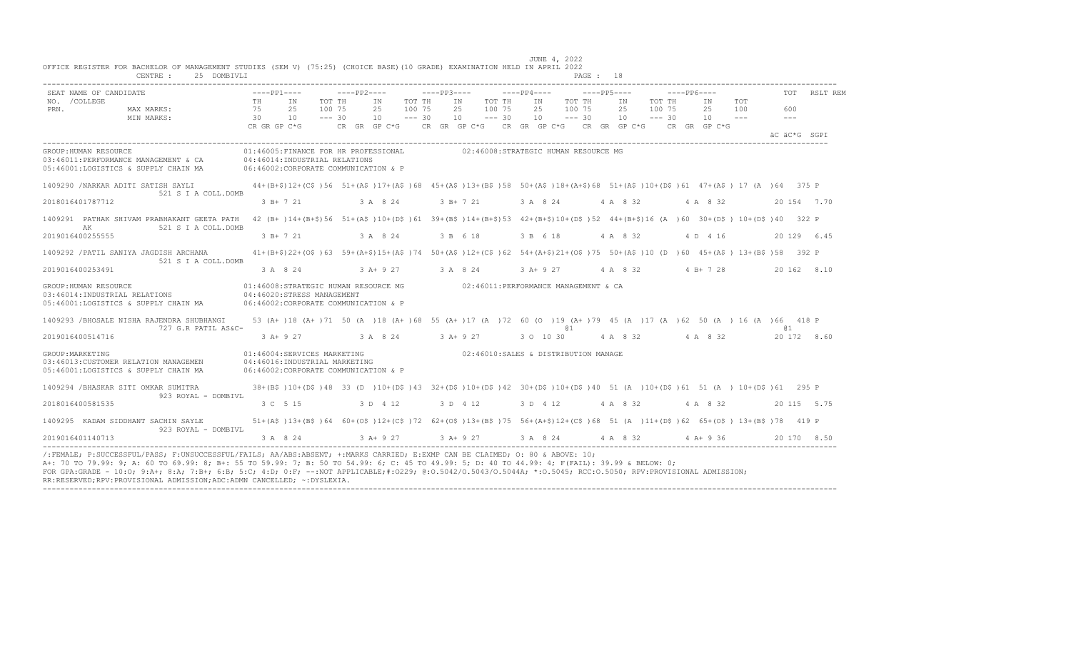| SEAT NAME OF CANDIDATE                                                                                |                | $---PP1---$                                                                                                   |                              | $---PP2---$    |                              | $---PP3---$ |                                                                                                                               | $---PP4---$ |                              | $---PP5---$                  |                |                              | $---PP6---$    |                                    | <b>TOT</b>           | RSLT REM     |
|-------------------------------------------------------------------------------------------------------|----------------|---------------------------------------------------------------------------------------------------------------|------------------------------|----------------|------------------------------|-------------|-------------------------------------------------------------------------------------------------------------------------------|-------------|------------------------------|------------------------------|----------------|------------------------------|----------------|------------------------------------|----------------------|--------------|
| NO. / COLLEGE<br>PRN.<br>MAX MARKS:<br>MIN MARKS:                                                     | TH<br>75<br>30 | IN<br>25<br>10                                                                                                | TOT TH<br>100 75<br>$--- 30$ | IN<br>25<br>10 | TOT TH<br>100 75<br>$--- 30$ |             | TOT TH<br>IN<br>25<br>100 75<br>10<br>$--- 30$                                                                                |             | IN<br>25<br>10               | TOT TH<br>100 75<br>$--- 30$ | IN<br>25<br>10 | TOT TH<br>100 75<br>$--- 30$ | ΙN<br>25<br>10 | TOT<br>100<br>$\sim$ $\sim$ $\sim$ | 600<br>$\frac{1}{2}$ |              |
|                                                                                                       |                | CR GR GP C*G                                                                                                  | CR GR GP C*G                 |                |                              |             | CR GR GP C*G CR GR GP C*G CR GR GP C*G                                                                                        |             |                              |                              |                |                              | CR GR GP C*G   |                                    |                      | äC äC*G SGPI |
| GROUP: HUMAN RESOURCE<br>03:46011:PERFORMANCE MANAGEMENT & CA<br>05:46001:LOGISTICS & SUPPLY CHAIN MA |                | 01:46005:FINANCE FOR HR PROFESSIONAL<br>04:46014:INDUSTRIAL RELATIONS<br>06:46002:CORPORATE COMMUNICATION & P |                              |                |                              |             | 02:46008:STRATEGIC HUMAN RESOURCE MG                                                                                          |             |                              |                              |                |                              |                |                                    |                      |              |
| 1409290 / NARKAR ADITI SATISH SAYLI<br>521 S I A COLL. DOMB                                           |                |                                                                                                               |                              |                |                              |             | 44+(B+\$)12+(C\$)56 51+(A\$)17+(A\$)68 45+(A\$)13+(B\$)58 50+(A\$)18+(A+\$)68 51+(A\$)10+(D\$)61 47+(A\$) 17 (A)64 375 P      |             |                              |                              |                |                              |                |                                    |                      |              |
| 2018016401787712                                                                                      |                | $3 B+ 7 21$                                                                                                   |                              | 3 A 8 24       |                              |             | $3 B+ 7 21$                                                                                                                   |             | 3 A 8 24                     |                              | 4 A 8 32       |                              | 4 A 8 32       |                                    |                      | 20 154 7.70  |
| 1409291 PATHAK SHIVAM PRABHAKANT GEETA PATH<br>AK<br>521 S I A COLL. DOMB                             |                |                                                                                                               |                              |                |                              |             | 42 (B+)14+(B+\$)56 51+(A\$)10+(D\$)61 39+(B\$)14+(B+\$)53 42+(B+\$)10+(D\$)52 44+(B+\$)16 (A )60 30+(D\$) 10+(D\$)40 322 P    |             |                              |                              |                |                              |                |                                    |                      |              |
| 2019016400255555                                                                                      |                | $3 B+721$                                                                                                     | 3 A 8 24                     |                |                              |             | 3 B 6 18                                                                                                                      |             | 3 B 6 18                     |                              | 4 A 8 32       |                              | 4 D 4 16       |                                    |                      | 20 129 6.45  |
| 1409292 / PATIL SANIYA JAGDISH ARCHANA                                                                |                |                                                                                                               |                              |                |                              |             | $41+(B+\$)$ 22+(0\$) 63 59+(A+\$)15+(A\$) 74 50+(A\$)12+(C\$) 62 54+(A+\$)21+(0\$) 75 50+(A\$) 10 (D) 60 45+(A\$) 13+(B\$) 58 |             |                              |                              |                |                              |                |                                    |                      | 392 P        |
| 521 S I A COLL.DOMB<br>2019016400253491                                                               |                | 3 A 8 24                                                                                                      | $3 \lambda + 9$ 27           |                |                              | 3 A 8 24    |                                                                                                                               |             | $3$ A+ 9 27                  |                              | 4 A 8 32       |                              | $4 B+728$      |                                    |                      | 20 162 8.10  |
| GROUP: HUMAN RESOURCE<br>03:46014:INDUSTRIAL RELATIONS<br>05:46001:LOGISTICS & SUPPLY CHAIN MA        |                | 01:46008:STRATEGIC HUMAN RESOURCE MG<br>04:46020:STRESS MANAGEMENT<br>06:46002:CORPORATE COMMUNICATION & P    |                              |                |                              |             | 02:46011:PERFORMANCE MANAGEMENT & CA                                                                                          |             |                              |                              |                |                              |                |                                    |                      |              |
| 1409293 /BHOSALE NISHA RAJENDRA SHUBHANGI                                                             |                |                                                                                                               |                              |                |                              |             | 53 (A+)18 (A+)71 50 (A)18 (A+)68 55 (A+)17 (A)72 60 (O)19 (A+)79 45 (A)17 (A)62 50 (A) 16 (A)66 418 P                         |             | 01                           |                              |                |                              |                |                                    | @ 1                  |              |
| 727 G.R PATIL AS&C-<br>2019016400514716                                                               |                | $3 A+ 9 27$                                                                                                   |                              | 3 A 8 24       |                              |             | $3 A+9 27$                                                                                                                    |             | 3 0 10 30                    |                              | 4 A 8 32       |                              | 4 A 8 32       |                                    |                      | 20 172 8.60  |
| GROUP: MARKETING<br>03:46013:CUSTOMER RELATION MANAGEMEN<br>05:46001:LOGISTICS & SUPPLY CHAIN MA      |                | 01:46004:SERVICES MARKETING<br>04:46016:INDUSTRIAL MARKETING<br>06:46002:CORPORATE COMMUNICATION & P          |                              |                |                              |             | 02:46010:SALES & DISTRIBUTION MANAGE                                                                                          |             |                              |                              |                |                              |                |                                    |                      |              |
| 1409294 / BHASKAR SITI OMKAR SUMITRA<br>923 ROYAL - DOMBIVL                                           |                |                                                                                                               |                              |                |                              |             | 38+(B\$)10+(D\$)48 33 (D)10+(D\$)43 32+(D\$)10+(D\$)42 30+(D\$)10+(D\$)40 51 (A)10+(D\$)61 51 (A) 10+(D\$)61 295 P            |             |                              |                              |                |                              |                |                                    |                      |              |
| 2018016400581535                                                                                      |                | 3 C 5 15                                                                                                      |                              | 3 D 4 12       |                              |             | 3 D 4 12                                                                                                                      |             | 3 D 4 12                     |                              | 4 A 8 32       |                              | 4 A 8 32       |                                    |                      | 20 115 5.75  |
| 1409295 KADAM SIDDHANT SACHIN SAYLE<br>923 ROYAL - DOMBIVL                                            |                |                                                                                                               |                              |                |                              |             | 51+(A\$)13+(B\$)64 60+(O\$)12+(C\$)72 62+(O\$)13+(B\$)75 56+(A+\$)12+(C\$)68 51 (A)11+(D\$)62 65+(O\$) 13+(B\$)78 419 P       |             |                              |                              |                |                              |                |                                    |                      |              |
| 2019016401140713                                                                                      |                | 3 A 8 24                                                                                                      |                              | $3 A+9 27$     |                              |             | $3 A+9 27$                                                                                                                    |             | 3 A 8 24 4 A 8 32 4 A + 9 36 |                              |                |                              |                |                                    |                      | 20 170 8.50  |

RR:RESERVED;RPV:PROVISIONAL ADMISSION;ADC:ADMN CANCELLED; ~:DYSLEXIA. ----------------------------------------------------------------------------------------------------------------------------------------------------------------------------------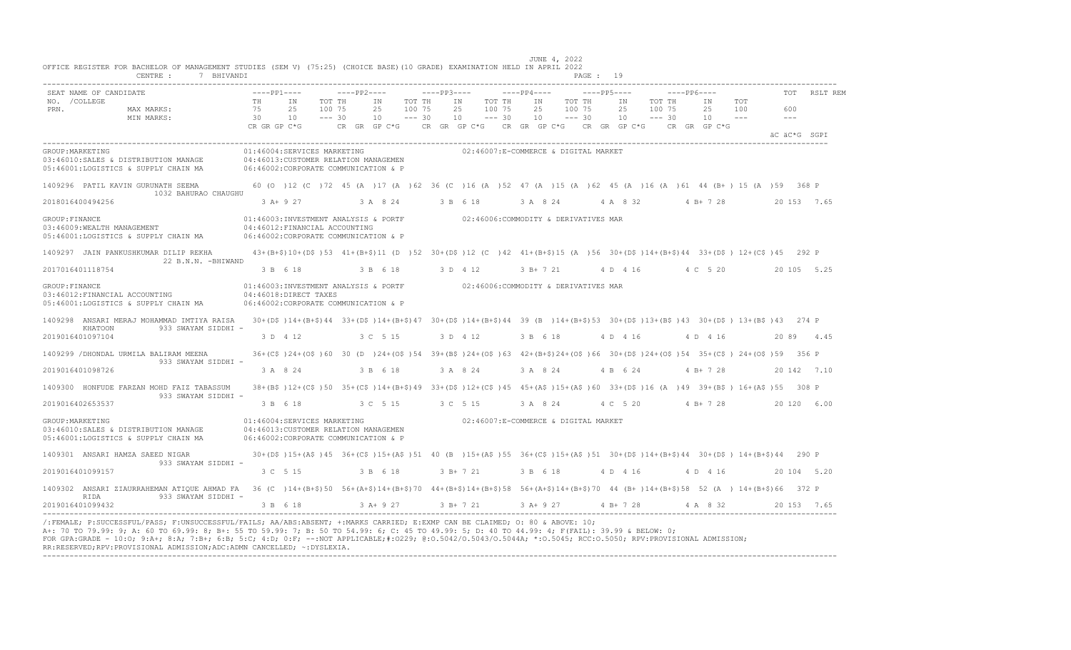|                  | SEAT NAME OF CANDIDATE                                                                                                                                                                                  | $---PP1---$                    |                                                                                                                                                     |                              | $---PP2---$                                                           |                              | $---PP3---$ |                |                              | $---PP4---$    |                                      | $---PP5---$    |                              | $---PP6---$                            |                     |                | TOT          | RSLT REM |
|------------------|---------------------------------------------------------------------------------------------------------------------------------------------------------------------------------------------------------|--------------------------------|-----------------------------------------------------------------------------------------------------------------------------------------------------|------------------------------|-----------------------------------------------------------------------|------------------------------|-------------|----------------|------------------------------|----------------|--------------------------------------|----------------|------------------------------|----------------------------------------|---------------------|----------------|--------------|----------|
| PRN.             | NO. / COLLEGE<br>MAX MARKS:<br>MIN MARKS:                                                                                                                                                               | TН<br>75<br>30<br>CR GR GP C*G | ΙN<br>25<br>10                                                                                                                                      | TOT TH<br>100 75<br>$--- 30$ | ΙN<br>25<br>10<br>CR GR GP C*G CR GR GP C*G CR GR GP C*G CR GR GP C*G | TOT TH<br>100 75<br>$--- 30$ |             | IN<br>25<br>10 | TOT TH<br>100 75<br>$--- 30$ | ΙN<br>25<br>10 | TOT TH<br>100 75<br>$--- 30$         | ΙN<br>25<br>10 | TOT TH<br>100 75<br>$--- 30$ | ΙN<br>25<br>10<br>$CR$ $GR$ $GP$ $C*G$ | TOT<br>100<br>$  -$ | 600<br>$- - -$ |              |          |
|                  |                                                                                                                                                                                                         |                                |                                                                                                                                                     |                              |                                                                       |                              |             |                |                              |                |                                      |                |                              |                                        |                     |                | äC äC*G SGPI |          |
|                  | GROUP: MARKETING<br>03:46010:SALES & DISTRIBUTION MANAGE<br>05:46001:LOGISTICS & SUPPLY CHAIN MA                                                                                                        |                                | 01:46004:SERVICES MARKETING<br>04:46013: CUSTOMER RELATION MANAGEMEN<br>06:46002:CORPORATE COMMUNICATION & P                                        |                              |                                                                       |                              |             |                |                              |                | 02:46007:E-COMMERCE & DIGITAL MARKET |                |                              |                                        |                     |                |              |          |
|                  | 1409296 PATIL KAVIN GURUNATH SEEMA<br>1032 BAHURAO CHAUGHU                                                                                                                                              |                                | 60 (0 ) 12 (C ) 72 45 (A ) 17 (A ) 62 36 (C ) 16 (A ) 52 47 (A ) 15 (A ) 62 45 (A ) 16 (A ) 61 44 (B+) 15 (A ) 59 368 P                             |                              |                                                                       |                              |             |                |                              |                |                                      |                |                              |                                        |                     |                |              |          |
|                  | 2018016400494256                                                                                                                                                                                        |                                | 3 A+ 9 27                                                                                                                                           |                              | 3 A 8 24                                                              |                              |             | 3 B 6 18       |                              | 3 A 8 24       |                                      | 4 A 8 32       |                              | $4 B+ 7 28$                            |                     |                | 20 153 7.65  |          |
| GROUP: FINANCE   | 03:46009:WEALTH MANAGEMENT<br>05:46001:LOGISTICS & SUPPLY CHAIN MA                                                                                                                                      |                                | 01:46003:INVESTMENT ANALYSIS & PORTF 02:46006:COMMODITY & DERIVATIVES MAR<br>04:46012: FINANCIAL ACCOUNTING<br>06:46002:CORPORATE COMMUNICATION & P |                              |                                                                       |                              |             |                |                              |                |                                      |                |                              |                                        |                     |                |              |          |
|                  | 1409297 JAIN PANKUSHKUMAR DILIP REKHA                                                                                                                                                                   |                                | 43+(B+\$)10+(D\$)53 41+(B+\$)11 (D) 52 30+(D\$)12 (C) 42 41+(B+\$)15 (A) 56 30+(D\$)14+(B+\$)44 33+(D\$) 12+(C\$)45 292 P                           |                              |                                                                       |                              |             |                |                              |                |                                      |                |                              |                                        |                     |                |              |          |
|                  | 22 B.N.N. - BHIWAND<br>2017016401118754                                                                                                                                                                 |                                | 3 B 6 18                                                                                                                                            |                              | 3 B 6 18                                                              |                              |             | 3 D 4 12       |                              | 3 B+ 7 21      |                                      |                |                              | 4 D 4 16 4 C 5 20                      |                     |                | 20 105 5.25  |          |
| GROUP: FINANCE   | 03:46012:FINANCIAL ACCOUNTING<br>05:46001:LOGISTICS & SUPPLY CHAIN MA                                                                                                                                   |                                | 01:46003:INVESTMENT ANALYSIS & PORTF 02:46006:COMMODITY & DERIVATIVES MAR<br>04:46018:DIRECT TAXES<br>06:46002:CORPORATE COMMUNICATION & P          |                              |                                                                       |                              |             |                |                              |                |                                      |                |                              |                                        |                     |                |              |          |
|                  | 1409298 ANSARI MERAJ MOHAMMAD IMTIYA RAISA 30+(D\$)14+(B+\$)44 33+(D\$)14+(B+\$)47 30+(D\$)14+(B+\$)44 39 (B )14+(B+\$)53 30+(D\$)13+(B\$)43 30+(D\$) 13+(B\$)43 274 P                                  |                                |                                                                                                                                                     |                              |                                                                       |                              |             |                |                              |                |                                      |                |                              |                                        |                     |                |              |          |
|                  | 933 SWAYAM SIDDHI -<br>KHATOON<br>2019016401097104                                                                                                                                                      |                                | 3 D 4 12                                                                                                                                            |                              | 3 C 5 15                                                              |                              |             | 3 D 4 12       |                              | 3 B 6 18       |                                      | 4 D 4 16       |                              | 4 D 4 16                               |                     |                | 20 89 4.45   |          |
|                  | 1409299 / DHONDAL URMILA BALIRAM MEENA<br>933 SWAYAM SIDDHI -                                                                                                                                           |                                | 36+(C\$)24+(O\$)60 30 (D)24+(O\$)54 39+(B\$)24+(O\$)63 42+(B+\$)24+(O\$)66 30+(D\$)24+(O\$)54 35+(C\$)24+(O\$)59 356 P                              |                              |                                                                       |                              |             |                |                              |                |                                      |                |                              |                                        |                     |                |              |          |
|                  | 2019016401098726                                                                                                                                                                                        |                                | 3 A 8 24                                                                                                                                            |                              | 3 B 6 18                                                              |                              |             | 3 A 8 24       |                              | 3 A 8 24       |                                      | 4 B 6 24       |                              | $4 B+ 7 28$                            |                     |                | 20 142 7.10  |          |
|                  | 1409300 HONFUDE FARZAN MOHD FAIZ TABASSUM                                                                                                                                                               |                                | 38+(B\$)12+(C\$)50 35+(C\$)14+(B+\$)49 33+(D\$)12+(C\$)45 45+(A\$)15+(A\$)60 33+(D\$)16 (A )49 39+(B\$) 16+(A\$)55 308 P                            |                              |                                                                       |                              |             |                |                              |                |                                      |                |                              |                                        |                     |                |              |          |
|                  | 933 SWAYAM SIDDHI -<br>2019016402653537                                                                                                                                                                 |                                | 3 B 6 18                                                                                                                                            |                              | 3 C 5 15                                                              |                              |             | 3 C 5 15       |                              | 3 A 8 24       |                                      |                |                              | 4 C 5 20 4 B + 7 28                    |                     |                | 20 120 6.00  |          |
| GROUP: MARKETING | 03:46010:SALES & DISTRIBUTION MANAGE<br>05:46001:LOGISTICS & SUPPLY CHAIN MA                                                                                                                            |                                | 01:46004:SERVICES MARKETING<br>04:46013:CUSTOMER RELATION MANAGEMEN<br>06:46002:CORPORATE COMMUNICATION & P                                         |                              |                                                                       |                              |             |                |                              |                | 02:46007:E-COMMERCE & DIGITAL MARKET |                |                              |                                        |                     |                |              |          |
|                  | 1409301 ANSARI HAMZA SAEED NIGAR<br>933 SWAYAM SIDDHI -                                                                                                                                                 |                                | 30+(D\$)15+(A\$)45 36+(C\$)15+(A\$)51 40 (B)15+(A\$)55 36+(C\$)15+(A\$)51 30+(D\$)14+(B+\$)44 30+(D\$)14+(B+\$)44 290 P                             |                              |                                                                       |                              |             |                |                              |                |                                      |                |                              |                                        |                     |                |              |          |
|                  | 2019016401099157                                                                                                                                                                                        |                                | 3 C 5 15                                                                                                                                            |                              | 3 B 6 18                                                              |                              |             | $3 B+721$      |                              | 3 B 6 18       |                                      | 4 D 4 16       |                              | 4 D 4 16                               |                     |                | 20 104 5.20  |          |
|                  | 1409302 ANSARI ZIAURRAHEMAN ATIQUE AHMAD FA 36 (C)14+(B+\$)50 56+(A+\$)14+(B+\$)70 44+(B+\$)14+(B+\$)58 56+(A+\$)14+(B+\$)70 44 (B+)14+(B+\$)58 52 (A) 14+(B+\$)66 372 P<br>933 SWAYAM SIDDHI -<br>RIDA |                                |                                                                                                                                                     |                              |                                                                       |                              |             |                |                              |                |                                      |                |                              |                                        |                     |                |              |          |
|                  | 2019016401099432                                                                                                                                                                                        |                                | 3 B 6 18                                                                                                                                            |                              | 3 A+ 9 27                                                             |                              |             | 3 B+ 7 21      |                              |                | 3 A+ 9 27                            | 4 B + 7 28     |                              | 4 A 8 32                               |                     |                | 20 153 7.65  |          |

 JUNE 4, 2022 OFFICE REGISTER FOR BACHELOR OF MANAGEMENT STUDIES (SEM V) (75:25) (CHOICE BASE)(10 GRADE) EXAMINATION HELD IN APRIL 2022

A+: 70 TO 79.99: 9; A: 60 TO 69.99: 8; B+: 55 TO 59.99: 7; B: 50 TO 54.99: 6; C: 45 TO 49.99: 5; D: 40 TO 44.99: 4; F(FAIL): 39.99 & BELOW: 0;<br>FOR GPA:GRADE - 10:O; 9:A+; 8:A; 7:B+; 6:B; 5:C; 4:D; 0:F; --:NOT APPLICABLE;#: RR:RESERVED;RPV:PROVISIONAL ADMISSION;ADC:ADMN CANCELLED; ~:DYSLEXIA. ----------------------------------------------------------------------------------------------------------------------------------------------------------------------------------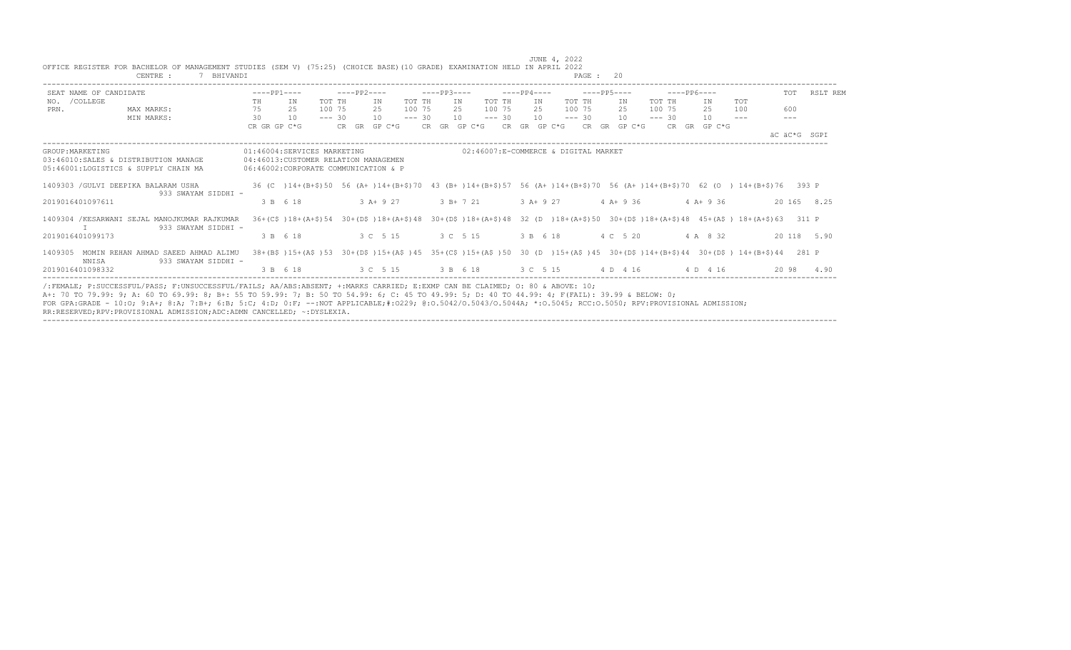|      | OFFICE REGISTER FOR BACHELOR OF MANAGEMENT STUDIES (SEM V) (75:25) (CHOICE BASE) (10 GRADE) EXAMINATION HELD IN APRIL 2022<br>CENTRE :<br>7 BHIVANDI                                                                                                                                                                                                                                                                                                                                                                       |              |                                                                                                                              |          |                                                                  |        |             |                                                     |        |             |             |        | PAGE: 20    |    |             |                            |         |              |              |
|------|----------------------------------------------------------------------------------------------------------------------------------------------------------------------------------------------------------------------------------------------------------------------------------------------------------------------------------------------------------------------------------------------------------------------------------------------------------------------------------------------------------------------------|--------------|------------------------------------------------------------------------------------------------------------------------------|----------|------------------------------------------------------------------|--------|-------------|-----------------------------------------------------|--------|-------------|-------------|--------|-------------|----|-------------|----------------------------|---------|--------------|--------------|
|      | SEAT NAME OF CANDIDATE                                                                                                                                                                                                                                                                                                                                                                                                                                                                                                     | $---PP1---$  |                                                                                                                              |          | $---PP2---$                                                      |        | $---PP3---$ |                                                     |        | $---PP4---$ |             |        | $---PP5---$ |    | $---PP6---$ |                            |         |              | TOT RSLT REM |
|      | NO. / COLLEGE                                                                                                                                                                                                                                                                                                                                                                                                                                                                                                              | TH           | IN                                                                                                                           | TOT TH   | IN                                                               | TOT TH | IN          |                                                     | TOT TH | IN          |             | TOT TH | IN          |    | TOT TH      | ΙN                         | TOT     |              |              |
| PRN. | MAX MARKS:                                                                                                                                                                                                                                                                                                                                                                                                                                                                                                                 | 75 25        |                                                                                                                              | 100 75   | 2.5                                                              | 100 75 | 2.5         |                                                     | 100 75 | 2.5         |             | 100 75 | 2.5         |    | 100 75      | 25                         | 100     | 600          |              |
|      | MIN MARKS:                                                                                                                                                                                                                                                                                                                                                                                                                                                                                                                 | 30 10        |                                                                                                                              | $--- 30$ | $10 - - - 30$                                                    |        |             | $10 - - - 30$                                       |        |             | $10 = -230$ |        |             | 10 | $--- 30$    | 10                         | $- - -$ | $---$        |              |
|      |                                                                                                                                                                                                                                                                                                                                                                                                                                                                                                                            | CR GR GP C*G |                                                                                                                              |          | CR GR GP C*G                                                     |        |             | CR GR GP C*G CR GR GP C*G CR GR GP C*G CR GR GP C*G |        |             |             |        |             |    |             |                            |         |              |              |
|      |                                                                                                                                                                                                                                                                                                                                                                                                                                                                                                                            |              |                                                                                                                              |          |                                                                  |        |             |                                                     |        |             |             |        |             |    |             |                            |         | AC AC*G SGPI |              |
|      | GROUP: MARKETING<br>03:46010:SALES & DISTRIBUTION MANAGE<br>05:46001:LOGISTICS & SUPPLY CHAIN MA                                                                                                                                                                                                                                                                                                                                                                                                                           |              | 01:46004:SERVICES MARKETING<br>04:46013: CUSTOMER RELATION MANAGEMEN<br>06:46002:CORPORATE COMMUNICATION & P                 |          |                                                                  |        |             | 02:46007:E-COMMERCE & DIGITAL MARKET                |        |             |             |        |             |    |             |                            |         |              |              |
|      | 1409303 / GULVI DEEPIKA BALARAM USHA                                                                                                                                                                                                                                                                                                                                                                                                                                                                                       |              | 36 (C) 14+(B+\$)50 56 (A+)14+(B+\$)70 43 (B+)14+(B+\$)57 56 (A+)14+(B+\$)70 56 (A+)14+(B+\$)70 62 (O) 14+(B+\$)76 393 P      |          |                                                                  |        |             |                                                     |        |             |             |        |             |    |             |                            |         |              |              |
|      | 933 SWAYAM SIDDHI -<br>2019016401097611                                                                                                                                                                                                                                                                                                                                                                                                                                                                                    |              | 3 B 6 18                                                                                                                     |          | $3 A + 9 27$ $3 B + 7 21$ $3 A + 9 27$ $4 A + 9 36$ $4 A + 9 36$ |        |             |                                                     |        |             |             |        |             |    |             |                            |         |              | 20 165 8.25  |
|      | 1409304 /KESARWANI SEJAL MANOJKUMAR RAJKUMAR<br>933 SWAYAM SIDDHI -                                                                                                                                                                                                                                                                                                                                                                                                                                                        |              | 36+(C\$)18+(A+\$)54 30+(D\$)18+(A+\$)48 30+(D\$)18+(A+\$)48 32 (D)18+(A+\$)50 30+(D\$)18+(A+\$)48 45+(A\$) 18+(A+\$)63 311 P |          |                                                                  |        |             |                                                     |        |             |             |        |             |    |             |                            |         |              |              |
|      | 2019016401099173                                                                                                                                                                                                                                                                                                                                                                                                                                                                                                           |              | 3 B 6 18                                                                                                                     |          | 3 C 5 15 3 C 5 15                                                |        |             |                                                     |        |             |             |        |             |    |             | 3 B 6 18 4 C 5 20 4 A 8 32 |         |              | 20 118 5.90  |
|      | 1409305 MOMIN REHAN AHMAD SAEED AHMAD ALIMU<br>933 SWAYAM SIDDHI -<br>NNTSA                                                                                                                                                                                                                                                                                                                                                                                                                                                |              | 38+(B\$)15+(A\$)53 30+(D\$)15+(A\$)45 35+(C\$)15+(A\$)50 30 (D )15+(A\$)45 30+(D\$)14+(B+\$)44 30+(D\$) 14+(B+\$)44 281 P    |          |                                                                  |        |             |                                                     |        |             |             |        |             |    |             |                            |         |              |              |
|      | 2019016401098332                                                                                                                                                                                                                                                                                                                                                                                                                                                                                                           |              | 3 B 6 18 3 C 5 15 3 B 6 18 3 C 5 15 4 D 4 16 4 D 4 16                                                                        |          |                                                                  |        |             |                                                     |        |             |             |        |             |    |             |                            |         |              | 20 98 4.90   |
|      | /:FEMALE: P:SUCCESSFUL/PASS: F:UNSUCCESSFUL/FAILS: AA/ABS:ABSENT: +:MARKS CARRIED: E:EXMP CAN BE CLAIMED: 0: 80 & ABOVE: 10:<br>A+: 70 TO 79.99: 9; A: 60 TO 69.99: 8; B+: 55 TO 59.99: 7; B: 50 TO 54.99: 6; C: 45 TO 49.99: 5; D: 40 TO 44.99: 4; F(FAIL): 39.99 & BELOW: 0;<br>FOR GPA:GRADE - 10:0; 9:A+; 8:A; 7:B+; 6:B; 5:C; 4:D; 0:F; --:NOT APPLICABLE;#:0229; 0:0.5042/0.5043/0.5044A; *:0.5045; RCC:0.5050; RPV:PROVISIONAL ADMISSION;<br>RR:RESERVED;RPV:PROVISIONAL ADMISSION;ADC:ADMN CANCELLED; ~: DYSLEXIA. |              |                                                                                                                              |          |                                                                  |        |             |                                                     |        |             |             |        |             |    |             |                            |         |              |              |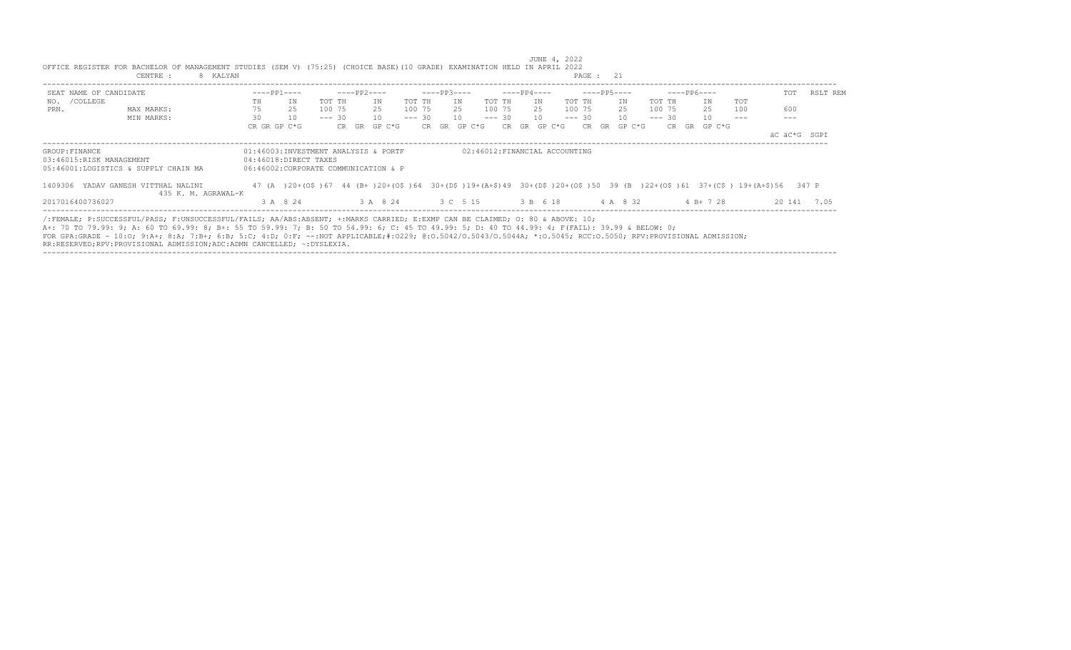| 8 KALYAN<br>CENTRE :                                                                                                                                                                                                                                                           |    |                                      |          |       |             |        |          |                   |        |                               |     |             |        | PAGE : 21 |    |             |          |             |             |        |            |                                                                                                      |             |
|--------------------------------------------------------------------------------------------------------------------------------------------------------------------------------------------------------------------------------------------------------------------------------|----|--------------------------------------|----------|-------|-------------|--------|----------|-------------------|--------|-------------------------------|-----|-------------|--------|-----------|----|-------------|----------|-------------|-------------|--------|------------|------------------------------------------------------------------------------------------------------|-------------|
| SEAT NAME OF CANDIDATE                                                                                                                                                                                                                                                         |    | $---PP1---$                          |          |       | $---PP2---$ |        |          | $---PP3---$       |        |                               |     | $---PP4---$ |        |           |    | $---PP5---$ |          | $---PP6---$ |             |        |            | TOT                                                                                                  | RSLT REM    |
| NO. / COLLEGE                                                                                                                                                                                                                                                                  | TH | ΙN                                   | TOT TH   |       | ΙN          |        | TOT TH   |                   | TN     | TOT TH                        |     | IN          |        | TOT TH    |    | IN          | TOT TH   |             |             | IN     | <b>TOT</b> |                                                                                                      |             |
| PRN.<br>MAX MARKS:                                                                                                                                                                                                                                                             | 75 | 25                                   | 100 75   |       | 25          |        | 100 75   |                   | 25     | 100 75                        |     | 25          |        | 100 75    |    | 25          | 100 75   |             |             | 25     | 100        | 600                                                                                                  |             |
| MIN MARKS:                                                                                                                                                                                                                                                                     | 30 | 10                                   | $--- 30$ |       | 10          |        | $--- 30$ |                   | 10     | $--- 30$                      |     | 10          |        | $--- 30$  |    | 10          | $--- 30$ |             |             | 10     |            |                                                                                                      |             |
|                                                                                                                                                                                                                                                                                |    | CR GR GP C*G                         |          | CR GR |             | GP C*G |          | CR GR             | GP C*G |                               | CR. | GR          | GP C*G | CR        | GR | GP C*G      |          | CR.         | GR          | GP C*G |            |                                                                                                      |             |
|                                                                                                                                                                                                                                                                                |    |                                      |          |       |             |        |          |                   |        |                               |     |             |        |           |    |             |          |             |             |        |            | äC äC*G SGPI                                                                                         |             |
| GROUP: FINANCE                                                                                                                                                                                                                                                                 |    | 01:46003:INVESTMENT ANALYSIS & PORTF |          |       |             |        |          |                   |        | 02:46012:FINANCIAL ACCOUNTING |     |             |        |           |    |             |          |             |             |        |            |                                                                                                      |             |
| 03:46015:RISK MANAGEMENT                                                                                                                                                                                                                                                       |    | 04:46018:DIRECT TAXES                |          |       |             |        |          |                   |        |                               |     |             |        |           |    |             |          |             |             |        |            |                                                                                                      |             |
| 05:46001:LOGISTICS & SUPPLY CHAIN MA                                                                                                                                                                                                                                           |    | 06:46002:CORPORATE COMMUNICATION & P |          |       |             |        |          |                   |        |                               |     |             |        |           |    |             |          |             |             |        |            |                                                                                                      |             |
| 1409306 YADAV GANESH VITTHAL NALINI                                                                                                                                                                                                                                            |    | 47 (A) 20+(OS) 67                    |          |       |             |        |          |                   |        |                               |     |             |        |           |    |             |          |             |             |        |            | 44 (B+)20+(O\$)64 30+(D\$)19+(A+\$)49 30+(D\$)20+(O\$)50 39 (B)22+(O\$)61 37+(C\$) 19+(A+\$)56 347 P |             |
| 435 K. M. AGRAWAL-K                                                                                                                                                                                                                                                            |    |                                      |          |       |             |        |          |                   |        |                               |     |             |        |           |    |             |          |             |             |        |            |                                                                                                      |             |
| 2017016400736027                                                                                                                                                                                                                                                               |    | 3 A 8 24                             |          |       |             |        |          | 3 A 8 24 3 C 5 15 |        |                               |     | 3 B 6 18    |        |           |    | 4 A 8 32    |          |             | $4 B+ 7 28$ |        |            |                                                                                                      | 20 141 7.05 |
| /:FEMALE; P:SUCCESSFUL/PASS; F:UNSUCCESSFUL/FAILS; AA/ABS:ABSENT; +:MARKS CARRIED; E:EXMP CAN BE CLAIMED; O: 80 & ABOVE: 10;<br>A+: 70 TO 79.99: 9; A: 60 TO 69.99: 8; B+: 55 TO 59.99: 7; B: 50 TO 54.99: 6; C: 45 TO 49.99: 5; D: 40 TO 44.99: 4; F(FAIL): 39.99 & BELOW: 0; |    |                                      |          |       |             |        |          |                   |        |                               |     |             |        |           |    |             |          |             |             |        |            |                                                                                                      |             |
| FOR GPA:GRADE - 10:0; 9:A+; 8:A; 7:B+; 6:B; 5:C; 4:D; 0:F; --:NOT APPLICABLE;#:0229; 0:0.5042/0.50440; *:0.5044A; *:0.5045; RCC:0.5050; RPV:PROVISIONAL ADMISSION;<br>RR:RESERVED;RPV:PROVISIONAL ADMISSION;ADC:ADMN CANCELLED; ~:DYSLEXIA.                                    |    |                                      |          |       |             |        |          |                   |        |                               |     |             |        |           |    |             |          |             |             |        |            |                                                                                                      |             |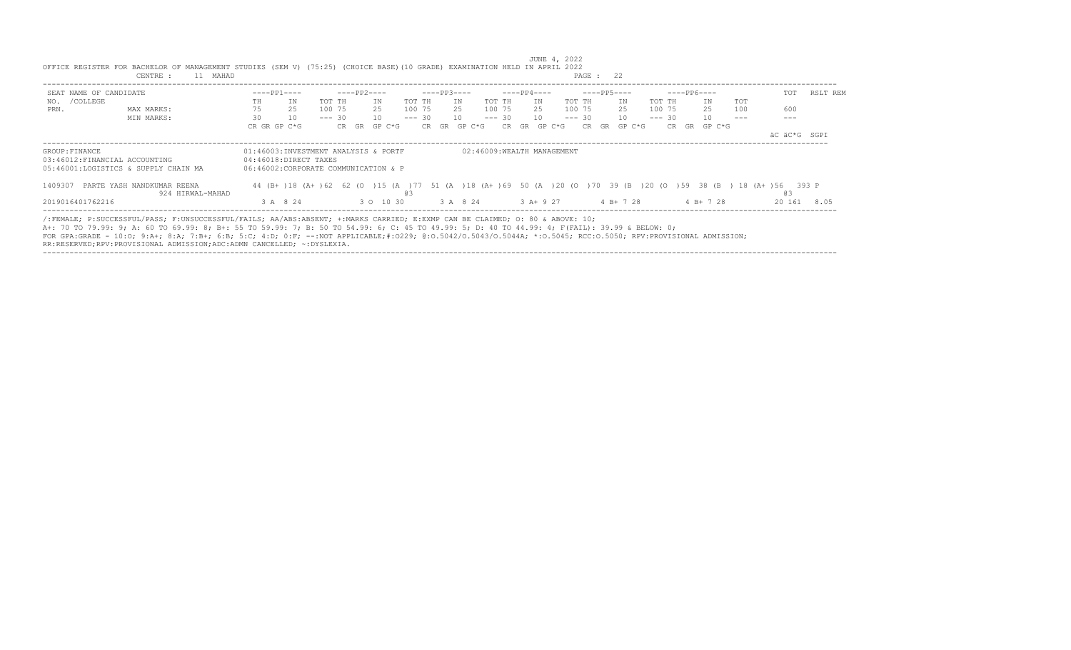|                                                                                         | 11 MAHAD<br>CENTRE :                                                                                                                                                                                                                                                                                                                                                                                                                                                                                                      |    |                                                                                                       |          |             |           |           |        |              |    |        |          |             |     |                            | PAGE : 22 |                 |          |             |              |            |              |          |
|-----------------------------------------------------------------------------------------|---------------------------------------------------------------------------------------------------------------------------------------------------------------------------------------------------------------------------------------------------------------------------------------------------------------------------------------------------------------------------------------------------------------------------------------------------------------------------------------------------------------------------|----|-------------------------------------------------------------------------------------------------------|----------|-------------|-----------|-----------|--------|--------------|----|--------|----------|-------------|-----|----------------------------|-----------|-----------------|----------|-------------|--------------|------------|--------------|----------|
| SEAT NAME OF CANDIDATE                                                                  |                                                                                                                                                                                                                                                                                                                                                                                                                                                                                                                           |    | $---PP1---$                                                                                           |          | $---PP2---$ |           |           |        | $---PP3---$  |    |        |          | $---PP4---$ |     |                            |           | $---PP5---$     |          | $---PP6---$ |              |            | TOT          | RSLT REM |
| NO. / COLLEGE                                                                           |                                                                                                                                                                                                                                                                                                                                                                                                                                                                                                                           | TH | IN                                                                                                    | TOT TH   |             | ΙN        | TOT TH    |        |              | ΙN | TOT TH |          |             | IN  |                            | TOT TH    | ΙN              | TOT TH   |             | ΙN           | <b>TOT</b> |              |          |
| PRN.                                                                                    | MAX MARKS:                                                                                                                                                                                                                                                                                                                                                                                                                                                                                                                | 75 | 25                                                                                                    | 100 75   |             | 2.5       |           | 100 75 |              | 25 | 100 75 |          |             | 2.5 |                            | 100 75    | 2.5             | 100 75   |             | 25           | 100        | 600          |          |
|                                                                                         | MIN MARKS:                                                                                                                                                                                                                                                                                                                                                                                                                                                                                                                | 30 | 10                                                                                                    | $--- 30$ |             | 10        | $--- 30$  |        |              | 10 |        | $--- 30$ |             | 10  |                            | $--- 30$  | 10 <sup>1</sup> | $--- 30$ |             | 10           |            |              |          |
|                                                                                         |                                                                                                                                                                                                                                                                                                                                                                                                                                                                                                                           |    | CR GR GP C*G                                                                                          |          | CR GR       | GP C*G    |           |        | CR GR GP C*G |    |        | CR.      | GR          |     | GP C*G                     |           | CR GR GP C*G    |          |             | CR GR GP C*G |            |              |          |
|                                                                                         |                                                                                                                                                                                                                                                                                                                                                                                                                                                                                                                           |    |                                                                                                       |          |             |           |           |        |              |    |        |          |             |     |                            |           |                 |          |             |              |            | äC äC*G SGPI |          |
| GROUP: FINANCE<br>03:46012:FINANCIAL ACCOUNTING<br>05:46001:LOGISTICS & SUPPLY CHAIN MA |                                                                                                                                                                                                                                                                                                                                                                                                                                                                                                                           |    | 01:46003:INVESTMENT ANALYSIS & PORTF<br>04:46018:DIRECT TAXES<br>06:46002:CORPORATE COMMUNICATION & P |          |             |           |           |        |              |    |        |          |             |     | 02:46009:WEALTH MANAGEMENT |           |                 |          |             |              |            |              |          |
| 1409307                                                                                 | PARTE YASH NANDKUMAR REENA<br>924 HIRWAL-MAHAD                                                                                                                                                                                                                                                                                                                                                                                                                                                                            |    | 44 (B+)18 (A+)62 62 (O)15 (A)77 51 (A)18 (A+)69 50 (A)20 (O)70 39 (B)20 (O)59 38 (B) 18 (A+)56 393 P  |          |             |           | <b>03</b> |        |              |    |        |          |             |     |                            |           |                 |          |             |              |            | <b>@3</b>    |          |
| 2019016401762216                                                                        |                                                                                                                                                                                                                                                                                                                                                                                                                                                                                                                           |    | 3 A 8 24                                                                                              |          |             | 3 0 10 30 |           |        | 3 A 8 24     |    |        |          |             |     | $3 A+9 27$                 |           | 4 B+ 7 28       |          |             | 4 B+ 7 28    |            | 20 161       | 8.05     |
|                                                                                         | /:FEMALE; P:SUCCESSFUL/PASS; F:UNSUCCESSFUL/FAILS; AA/ABS:ABSENT; +:MARKS CARRIED; E:EXMP CAN BE CLAIMED; 0: 80 & ABOVE: 10;<br>A+: 70 TO 79.99: 9; A: 60 TO 69.99: 8; B+: 55 TO 59.99: 7; B: 50 TO 54.99: 6; C: 45 TO 49.99: 5; D: 40 TO 44.99: 4; F(FAIL): 39.99 & BELOW: 0;<br>FOR GPA:GRADE - 10:0; 9:A+; 8:A; 7:B+; 6:B; 5:C; 4:D; 0:F; --:NOT APPLICABLE;#:0229; 0:0.5042/0.5043/0.5044A; *:0.5045; RCC:0.5050; RPV:PROVISIONAL ADMISSION;<br>RR:RESERVED;RPV:PROVISIONAL ADMISSION;ADC:ADMN CANCELLED; ~:DYSLEXIA. |    |                                                                                                       |          |             |           |           |        |              |    |        |          |             |     |                            |           |                 |          |             |              |            |              |          |

 JUNE 4, 2022 OFFICE REGISTER FOR BACHELOR OF MANAGEMENT STUDIES (SEM V) (75:25) (CHOICE BASE)(10 GRADE) EXAMINATION HELD IN APRIL 2022 CENTRE : 11 MAHAD **PAGE : 22**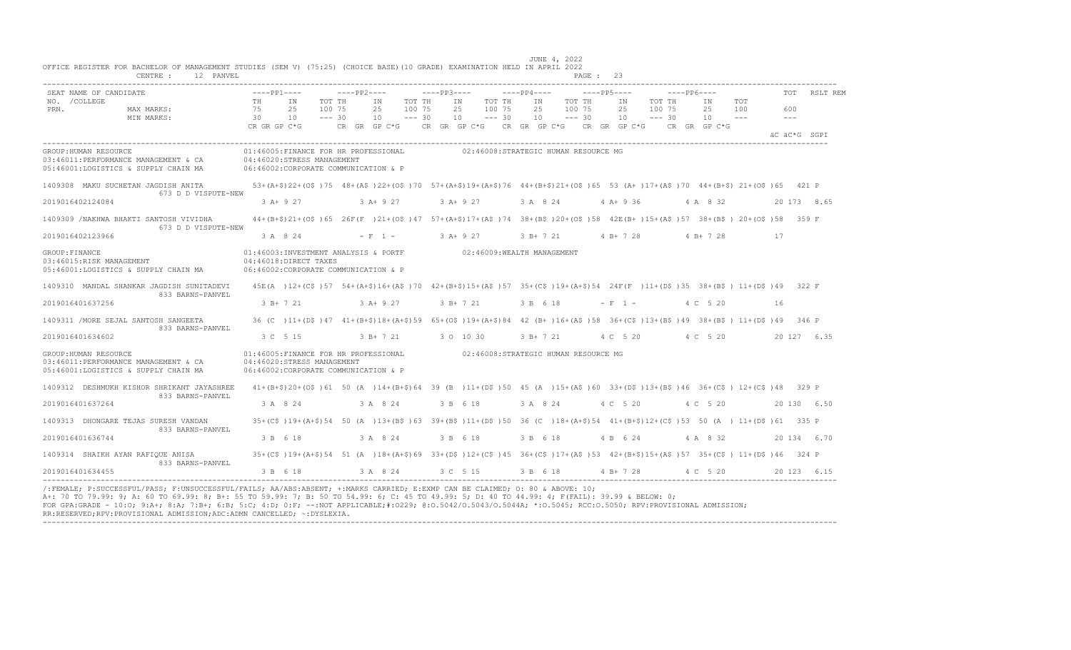| SEAT NAME OF CANDIDATE                                                                                                                                                            | $---PP1---$                    |                                                                                                                                                 |                              | $---PP2---$    |                              |            |                                      |                    |           |                                   | $---PP5---$ |                                                                                                        | $---PP6---$ |                |                     | TOT         | RSLT REM     |
|-----------------------------------------------------------------------------------------------------------------------------------------------------------------------------------|--------------------------------|-------------------------------------------------------------------------------------------------------------------------------------------------|------------------------------|----------------|------------------------------|------------|--------------------------------------|--------------------|-----------|-----------------------------------|-------------|--------------------------------------------------------------------------------------------------------|-------------|----------------|---------------------|-------------|--------------|
| NO. / COLLEGE<br>PRN.<br>MAX MARKS:<br>MIN MARKS:                                                                                                                                 | TH<br>75<br>30<br>CR GR GP C*G | ΙN<br>25<br>10                                                                                                                                  | TOT TH<br>100 75<br>$--- 30$ | IN<br>25<br>10 | TOT TH<br>100 75<br>$--- 30$ |            | IN<br>25<br>100 75<br>10             | TOT TH<br>$--- 30$ | IN<br>25  | TOT TH<br>100 75<br>$10 - - - 30$ | 25<br>10    | TOT TH<br>IN<br>100 75<br>$--- 30$<br>CR GR GP C*G CR GR GP C*G CR GR GP C*G CR GR GP C*G CR GR GP C*G |             | ΙN<br>25<br>10 | TOT<br>100<br>$  -$ | 600<br>$ -$ |              |
|                                                                                                                                                                                   |                                |                                                                                                                                                 |                              |                |                              |            |                                      |                    |           |                                   |             |                                                                                                        |             |                |                     |             | äC äC*G SGPI |
| GROUP: HUMAN RESOURCE<br>03:46011:PERFORMANCE MANAGEMENT & CA<br>05:46001:LOGISTICS & SUPPLY CHAIN MA                                                                             |                                | 01:46005:FINANCE FOR HR PROFESSIONAL<br>04:46020:STRESS MANAGEMENT<br>06:46002:CORPORATE COMMUNICATION & P                                      |                              |                |                              |            | 02:46008:STRATEGIC HUMAN RESOURCE MG |                    |           |                                   |             |                                                                                                        |             |                |                     |             |              |
| 1409308 MAKU SUCHETAN JAGDISH ANITA 53+(A+\$)22+(O\$)75 48+(A\$)22+(O\$)70 57+(A+\$)19+(A+\$)76 44+(B+\$)21+(O\$)65 53 (A+)17+(A\$)70 44+(B+\$)21+(O\$)65 44+(B+\$)21+(O\$)65 44+ |                                |                                                                                                                                                 |                              |                |                              |            |                                      |                    |           |                                   |             |                                                                                                        |             |                |                     |             |              |
| 673 D D VISPUTE-NEW<br>2019016402124084                                                                                                                                           |                                | $3 A+9 27$                                                                                                                                      |                              | $3 A+9 27$     |                              | $3 A+9 27$ |                                      |                    | 3 A 8 24  |                                   | $4 A+9 36$  |                                                                                                        |             | 4 A 8 32       |                     |             | 20 173 8.65  |
| 1409309 /NAKHWA BHAKTI SANTOSH VIVIDHA<br>673 D D VISPUTE-NEW                                                                                                                     |                                | 44+(B+\$)21+(O\$)65 26F(F)21+(O\$)47 57+(A+\$)17+(A\$)74 38+(B\$)20+(O\$)58 42E(B+)15+(A\$)57 38+(B\$) 20+(O\$)58 359 F                         |                              |                |                              |            |                                      |                    |           |                                   |             |                                                                                                        |             |                |                     |             |              |
| 2019016402123966                                                                                                                                                                  |                                | 3 A 8 24                                                                                                                                        |                              |                | $-F$ 1 - 3 A + 9 27          |            |                                      |                    |           | 3 B+ 7 21 4 B+ 7 28               |             |                                                                                                        |             | $4 B+ 7 28$    |                     | 17          |              |
| GROUP: FINANCE<br>03:46015:RISK MANAGEMENT<br>05:46001:LOGISTICS & SUPPLY CHAIN MA                                                                                                |                                | 01:46003:INVESTMENT ANALYSIS & PORTF 02:46009:WEALTH MANAGEMENT<br>04:46018:DIRECT TAXES<br>06:46002:CORPORATE COMMUNICATION & P                |                              |                |                              |            |                                      |                    |           |                                   |             |                                                                                                        |             |                |                     |             |              |
| 1409310 MANDAL SHANKAR JAGDISH SUNITADEVI<br>833 BARNS-PANVEL                                                                                                                     |                                | 45E(A) 12+(C\$)57 54+(A+\$)16+(A\$)70 42+(B+\$)15+(A\$)57 35+(C\$)19+(A+\$)54 24F(F)11+(D\$)35 38+(B\$) 11+(D\$)49 322 F                        |                              |                |                              |            |                                      |                    |           |                                   |             |                                                                                                        |             |                |                     |             |              |
| 2019016401637256                                                                                                                                                                  |                                | 3 B+ 7 21                                                                                                                                       |                              | $3 A+9 27$     |                              |            | 3 B+ 7 21                            |                    | 3 B 6 18  |                                   | $- F 1 -$   |                                                                                                        |             | 4 C 5 20       |                     | 16          |              |
| 1409311 / MORE SEJAL SANTOSH SANGEETA<br>833 BARNS-PANVEL                                                                                                                         |                                | 36 (C) 11+ (D\$) 47 41+ (B+\$) 18+ (A+\$) 59 65+ (O\$) 19+ (A+\$) 84 42 (B+) 16+ (A\$) 58 36+ (C\$) 13+ (B\$) 49 38+ (B\$) 11+ (D\$) 49 346 P   |                              |                |                              |            |                                      |                    |           |                                   |             |                                                                                                        |             |                |                     |             |              |
| 2019016401634602                                                                                                                                                                  |                                | 3 C 5 15                                                                                                                                        |                              | 3 B+ 7 21      |                              |            | 3 0 10 30                            |                    | 3 B+ 7 21 |                                   |             | 4 C 5 20 4 C 5 20                                                                                      |             |                |                     |             | 20 127 6.35  |
| GROUP: HUMAN RESOURCE<br>03:46011:PERFORMANCE MANAGEMENT & CA<br>05:46001:LOGISTICS & SUPPLY CHAIN MA                                                                             |                                | 01:46005:FINANCE FOR HR PROFESSIONAL 02:46008:STRATEGIC HUMAN RESOURCE MG<br>04:46020:STRESS MANAGEMENT<br>06:46002:CORPORATE COMMUNICATION & P |                              |                |                              |            |                                      |                    |           |                                   |             |                                                                                                        |             |                |                     |             |              |
| 1409312 DESHMUKH KISHOR SHRIKANT JAYASHREE<br>833 BARNS-PANVEL                                                                                                                    |                                | 41+(B+\$)20+(O\$)61 50 (A)14+(B+\$)64 39 (B)11+(D\$)50 45 (A)15+(A\$)60 33+(D\$)13+(B\$)46 36+(C\$)12+(C\$)48 329 P                             |                              |                |                              |            |                                      |                    |           |                                   |             |                                                                                                        |             |                |                     |             |              |
| 2019016401637264                                                                                                                                                                  |                                | 3 A 8 24                                                                                                                                        |                              | 3 A 8 24       |                              |            | 3 B 6 18                             |                    |           | 3 A 8 24 4 C 5 20                 |             |                                                                                                        |             | 4 C 5 20       |                     |             | 20 130 6.50  |
| 1409313 DHONGARE TEJAS SURESH VANDAN<br>833 BARNS-PANVEL                                                                                                                          |                                | 35+(C\$)19+(A+\$)54 50 (A)13+(B\$)63 39+(B\$)11+(D\$)50 36 (C)18+(A+\$)54 41+(B+\$)12+(C\$)53 50 (A) 11+(D\$)61 335 P                           |                              |                |                              |            |                                      |                    |           |                                   |             |                                                                                                        |             |                |                     |             |              |
| 2019016401636744                                                                                                                                                                  |                                | 3 B 6 18                                                                                                                                        |                              | 3 A 8 24       |                              |            | 3 B 6 18                             |                    | 3 B 6 18  |                                   | 4 B 6 24    |                                                                                                        |             | 4 A 8 32       |                     |             | 20 134 6.70  |
| 1409314 SHAIKH AYAN RAFIOUE ANISA<br>833 BARNS-PANVEL                                                                                                                             |                                | 35+(C\$)19+(A+\$)54 51 (A)18+(A+\$)69 33+(D\$)12+(C\$)45 36+(C\$)17+(A\$)53 42+(B+\$)15+(A\$)57 35+(C\$)11+(D\$)46 324 P                        |                              |                |                              |            |                                      |                    |           |                                   |             |                                                                                                        |             |                |                     |             |              |
| 2019016401634455                                                                                                                                                                  |                                | 3 B 6 18                                                                                                                                        |                              | 3 A 8 24       |                              |            |                                      |                    |           |                                   |             | 3 C 5 15 3 B 6 18 4 B + 7 28 4 C 5 20 20 123 6 15                                                      |             |                |                     |             |              |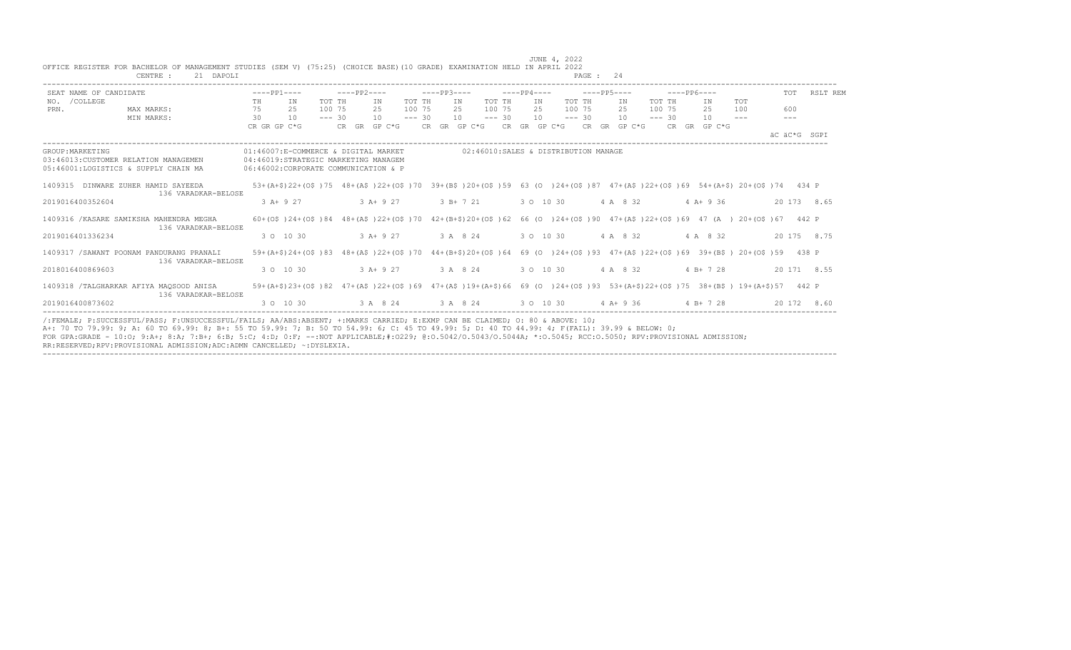|                  | SEAT NAME OF CANDIDATE                                                        | $---PP1---$  |                                                                                                                             |          | $---PP2---$  |          | $---PP3---$  |             |          | $---PP4---$ |                                                                                                       |          | $---PP5---$  |              |          | $---PP6---$  |               | TOT          | RSLT REM    |
|------------------|-------------------------------------------------------------------------------|--------------|-----------------------------------------------------------------------------------------------------------------------------|----------|--------------|----------|--------------|-------------|----------|-------------|-------------------------------------------------------------------------------------------------------|----------|--------------|--------------|----------|--------------|---------------|--------------|-------------|
| NO. / COLLEGE    |                                                                               | TH           | IN                                                                                                                          | TOT TH   | ΙN           | TOT TH   |              | IN          | TOT TH   |             | IN                                                                                                    | TOT TH   |              | IN           | TOT TH   | IN           | <b>TOT</b>    |              |             |
| PRN.             | MAX MARKS:                                                                    | 75           | 25                                                                                                                          | 100 75   | 25           | 100 75   |              | 25          | 100 75   |             | 25                                                                                                    | 100 75   |              | 25           | 100 75   | 25           | 100           | 600          |             |
|                  | MIN MARKS:                                                                    | 30           | 10                                                                                                                          | $--- 30$ | 10           | $--- 30$ |              | 10          | $--- 30$ |             | 10                                                                                                    | $--- 30$ |              | 10           | $--- 30$ | 10           | $\frac{1}{2}$ |              |             |
|                  |                                                                               | CR GR GP C*G |                                                                                                                             |          | CR GR GP C*G |          | CR GR GP C*G |             |          |             | CR GR GP C*G                                                                                          |          |              | CR GR GP C*G |          | CR GR GP C*G |               | äC äC*G SGPI |             |
| GROUP: MARKETING |                                                                               |              | 01:46007:E-COMMERCE & DIGITAL MARKET                                                                                        |          |              |          |              |             |          |             | 02:46010:SALES & DISTRIBUTION MANAGE                                                                  |          |              |              |          |              |               |              |             |
|                  | 03:46013: CUSTOMER RELATION MANAGEMEN<br>05:46001:LOGISTICS & SUPPLY CHAIN MA |              | 04:46019:STRATEGIC MARKETING MANAGEM<br>06:46002:CORPORATE COMMUNICATION & P                                                |          |              |          |              |             |          |             |                                                                                                       |          |              |              |          |              |               |              |             |
|                  | 1409315 DINWARE ZUHER HAMID SAYEEDA<br>136 VARADKAR-BELOSE                    |              | 53+(A+\$)22+(O\$)75                                                                                                         |          |              |          |              |             |          |             | 48+(A\$)22+(O\$)70 39+(B\$)20+(O\$)59 63 (O )24+(O\$)87 47+(A\$)22+(O\$)69 54+(A+\$) 20+(O\$)74 434 P |          |              |              |          |              |               |              |             |
| 2019016400352604 |                                                                               |              | $3 A+9 27$                                                                                                                  |          | $3 A+9 27$   |          |              | $3 B+ 7 21$ |          |             | 3 0 10 30                                                                                             |          | 4 A 8 32     |              |          | $4 A + 9 36$ |               |              | 20 173 8.65 |
|                  | 1409316 / KASARE SAMIKSHA MAHENDRA MEGHA<br>136 VARADKAR-BELOSE               |              | 60+(0\$)24+(0\$)84 48+(A\$)22+(0\$)70 42+(B+\$)20+(0\$)62 66 (0)24+(0\$)90 47+(A\$)22+(0\$)69 47 (A) 20+(0\$)67 442 P       |          |              |          |              |             |          |             |                                                                                                       |          |              |              |          |              |               |              |             |
| 2019016401336234 |                                                                               |              | 3 0 10 30                                                                                                                   |          | $3 A+9 27$   |          |              | 3 A 8 24    |          |             | 3 0 10 30                                                                                             |          | 4 A 8 32     |              |          | 4 A 8 32     |               |              | 20 175 8.75 |
|                  | 1409317 / SAWANT POONAM PANDURANG PRANALI<br>136 VARADKAR-BELOSE              |              | 59+(A+\$)24+(O\$)83 48+(A\$)22+(O\$)70 44+(B+\$)20+(O\$)64 69 (O )24+(O\$)93 47+(A\$)22+(O\$)69 39+(B\$) 20+(O\$)59 438 P   |          |              |          |              |             |          |             |                                                                                                       |          |              |              |          |              |               |              |             |
| 2018016400869603 |                                                                               |              | 3 0 10 30                                                                                                                   |          | $3 A+9 27$   |          |              | 3 A 8 24    |          |             | 3 0 10 30                                                                                             |          | 4 A 8 32     |              |          | $4 B+ 7 28$  |               |              | 20 171 8.55 |
|                  | 1409318 /TALGHARKAR AFIYA MAQSOOD ANISA<br>136 VARADKAR-BELOSE                |              | 59+(A+\$)23+(O\$)82 47+(A\$)22+(O\$)69 47+(A\$)19+(A+\$)66 69 (O )24+(O\$)93 53+(A+\$)22+(O\$)75 38+(B\$) 19+(A+\$)57 442 P |          |              |          |              |             |          |             |                                                                                                       |          |              |              |          |              |               |              |             |
| 2019016400873602 |                                                                               |              | 3 0 10 30                                                                                                                   |          | 3 A 8 24     |          |              | 3 A 8 24    |          |             | 3 0 10 30                                                                                             |          | $4 A + 9 36$ |              |          | $4 B+ 7 28$  |               | 20 172       | 8.60        |

FOR GPA:GRADE - 10:O; 9:A+; 8:A; 7:B+; 6:B; 5:C; 4:D; 0:F; --:NOT APPLICABLE;#:O229; @:O.5042/O.5043/O.5044A; \*:O.5045; RCC:O.5050; RPV:PROVISIONAL ADMISSION;

RR:RESERVED;RPV:PROVISIONAL ADMISSION;ADC:ADMN CANCELLED; ~:DYSLEXIA. ----------------------------------------------------------------------------------------------------------------------------------------------------------------------------------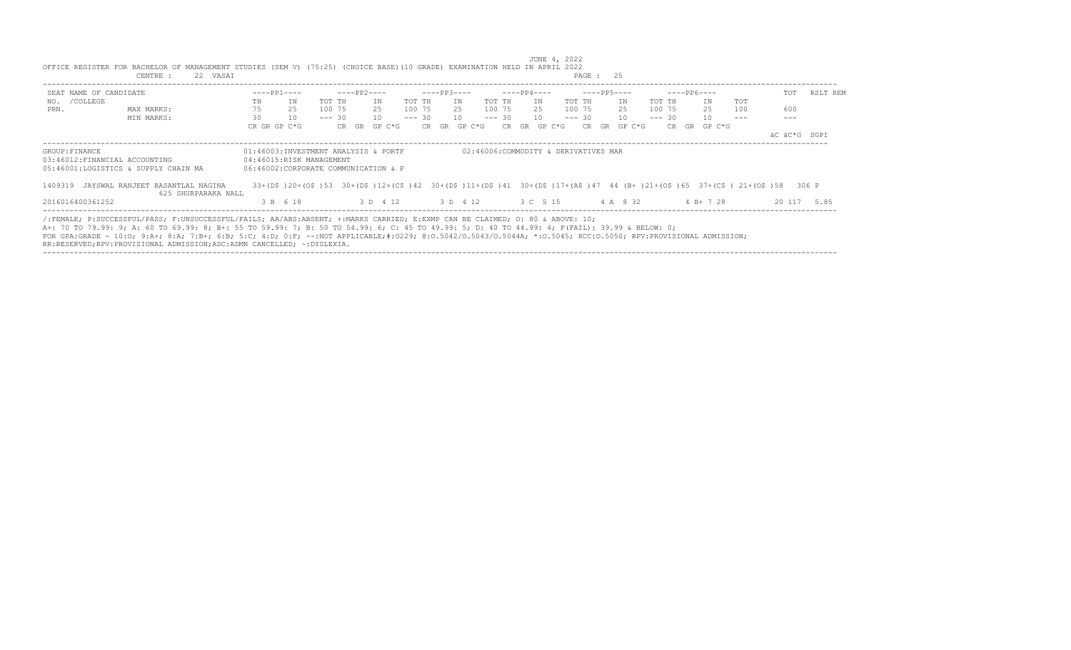| SEAT NAME OF CANDIDATE |                                                                                                                                                                                                                                                                                                                                                                                                                                                  | $---PP1---$  |                                                                                                                                                                |          | ----PP2---- |              |        | $---PP3---$  |    |           | $---PP4---$  |             | ----PP5---- |              |        |          | $---PP6---$                                                |     | TOT          | RSLT REM    |
|------------------------|--------------------------------------------------------------------------------------------------------------------------------------------------------------------------------------------------------------------------------------------------------------------------------------------------------------------------------------------------------------------------------------------------------------------------------------------------|--------------|----------------------------------------------------------------------------------------------------------------------------------------------------------------|----------|-------------|--------------|--------|--------------|----|-----------|--------------|-------------|-------------|--------------|--------|----------|------------------------------------------------------------|-----|--------------|-------------|
| NO. / COLLEGE          |                                                                                                                                                                                                                                                                                                                                                                                                                                                  | TH           | IN                                                                                                                                                             | TOT TH   |             | TN           | TOT TH |              | IN | TOT TH    | TN           | TOT TH      |             | ΙN           | TOT TH |          | TN                                                         | TOT |              |             |
| PRN.                   | MAX MARKS:                                                                                                                                                                                                                                                                                                                                                                                                                                       | 75           | 25                                                                                                                                                             | 100 75   |             | 25           | 100 75 |              |    | 25 100 75 |              | 25 100 75   |             | 25           |        | 100 75   | 25                                                         | 100 | 600          |             |
|                        | MIN MARKS:                                                                                                                                                                                                                                                                                                                                                                                                                                       | 30           | 10                                                                                                                                                             | $--- 30$ |             | 10           |        | $--- 30 10$  |    |           | $--- 30 10$  | $--- 30 10$ |             |              |        | $--- 30$ | 10                                                         |     |              |             |
|                        |                                                                                                                                                                                                                                                                                                                                                                                                                                                  | CR GR GP C*G |                                                                                                                                                                |          |             | CR GR GP C*G |        | CR GR GP C*G |    |           | CR GR GP C*G |             |             | CR GR GP C*G |        |          | CR GR GP C*G                                               |     |              |             |
|                        |                                                                                                                                                                                                                                                                                                                                                                                                                                                  |              |                                                                                                                                                                |          |             |              |        |              |    |           |              |             |             |              |        |          |                                                            |     | äC äC*G SGPI |             |
|                        | 05:46001:LOGISTICS & SUPPLY CHAIN MA<br>1409319 JAYSWAL RANJEET BASANTLAL NAGINA<br>625 SHURPARAKA NALL                                                                                                                                                                                                                                                                                                                                          |              | 06:46002:CORPORATE COMMUNICATION & P<br>33+(D\$)20+(O\$)53 30+(D\$)12+(C\$)42 30+(D\$)11+(D\$)41 30+(D\$)17+(A\$)47 44 (B+)21+(O\$)65 37+(C\$)21+(O\$)58 306 P |          |             |              |        |              |    |           |              |             |             |              |        |          |                                                            |     |              |             |
| 2016016400361252       |                                                                                                                                                                                                                                                                                                                                                                                                                                                  |              | 3 B 6 18                                                                                                                                                       |          |             |              |        |              |    |           |              |             |             |              |        |          | 3 D    4 12 3 D    4 12 3 C    5 15 4 A    8 32 4 B + 7 28 |     |              | 20 117 5.85 |
|                        | /:FEMALE; P:SUCCESSFUL/PASS; F:UNSUCCESSFUL/FAILS; AA/ABS:ABSENT; +:MARKS CARRIED; E:EXMP CAN BE CLAIMED; O: 80 & ABOVE: 10;<br>A+: 70 TO 79.99: 9; A: 60 TO 69.99: 8; B+: 55 TO 59.99: 7; B: 50 TO 54.99: 6; C: 45 TO 49.99: 5; D: 40 TO 44.99: 4; F(FAIL): 39.99 & BELOW: 0;<br>FOR GPA:GRADE - 10:0; 9:A+; 8:A; 7:B+; 6:B; 5:C; 4:D; 0:F; --:NOT APPLICABLE;#:0229; 0:0.5042/0.5043/0.5044A; *:0.5045; RCC:0.5050; RPV:PROVISIONAL ADMISSION; |              |                                                                                                                                                                |          |             |              |        |              |    |           |              |             |             |              |        |          |                                                            |     |              |             |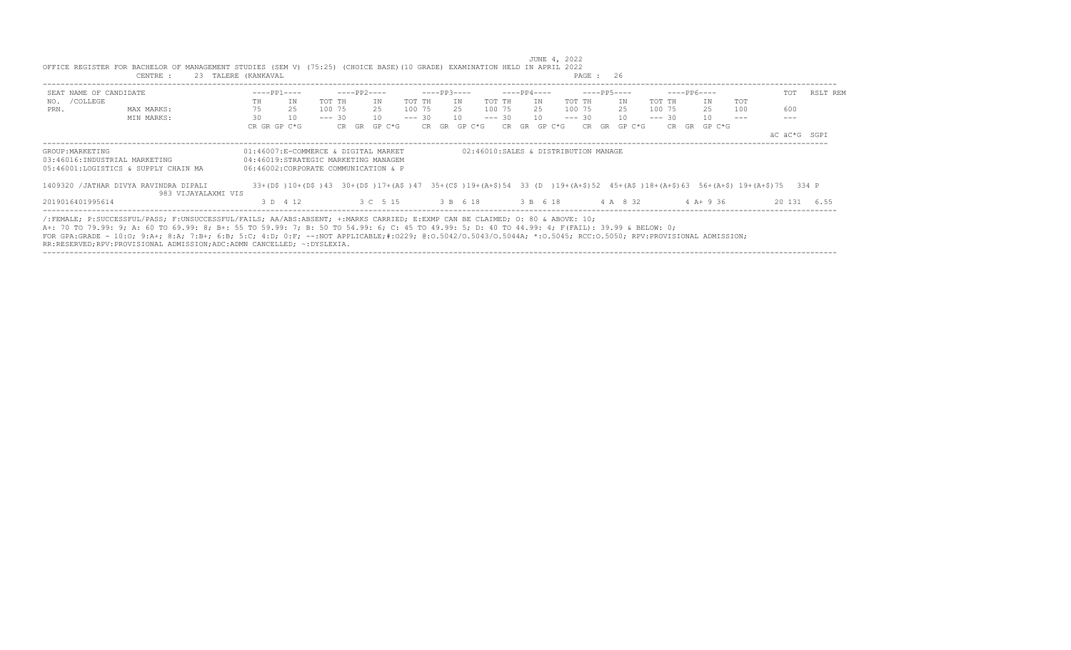|                                                   | OFFICE REGISTER FOR BACHELOR OF MANAGEMENT STUDIES (SEM V) (75:25) (CHOICE BASE) (10 GRADE) EXAMINATION HELD IN APRIL 2022<br>23 TALERE (KANKAVAL<br>CENTRE :                                                                                                                                                                                                                                                                                                                                                              |              |                                                                                                                            |          |             |              |          |             |    |              |          |                      |    | JUNE 4, 2022                         | PAGE : 26 |              |          |             |              |     |              |             |
|---------------------------------------------------|----------------------------------------------------------------------------------------------------------------------------------------------------------------------------------------------------------------------------------------------------------------------------------------------------------------------------------------------------------------------------------------------------------------------------------------------------------------------------------------------------------------------------|--------------|----------------------------------------------------------------------------------------------------------------------------|----------|-------------|--------------|----------|-------------|----|--------------|----------|----------------------|----|--------------------------------------|-----------|--------------|----------|-------------|--------------|-----|--------------|-------------|
| SEAT NAME OF CANDIDATE                            |                                                                                                                                                                                                                                                                                                                                                                                                                                                                                                                            | $---PP1---$  |                                                                                                                            |          | $---PP2---$ |              |          | $---PP3---$ |    |              |          | $---PP4---$          |    |                                      |           | -----PP5---- |          | $---PP6---$ |              |     | TOT          | RSLT REM    |
| NO. / COLLEGE                                     |                                                                                                                                                                                                                                                                                                                                                                                                                                                                                                                            | TH           | IN                                                                                                                         | TOT TH   |             | TN           | TOT TH   |             | IN |              | TOT TH   |                      | IN |                                      | TOT TH    | IN           | TOT TH   |             | ΙN           | TOT |              |             |
| PRN.                                              | MAX MARKS:                                                                                                                                                                                                                                                                                                                                                                                                                                                                                                                 | 75           | 25                                                                                                                         | 100 75   |             | 25           | 100 75   |             |    | 25           | 100 75   |                      |    | 25 100 75                            |           | 25           | 100 75   |             | 25           | 100 | 600          |             |
|                                                   | MIN MARKS:                                                                                                                                                                                                                                                                                                                                                                                                                                                                                                                 | 30           | 10                                                                                                                         | $--- 30$ |             | 10           | $--- 30$ |             |    | 10           | $--- 30$ |                      | 10 |                                      |           | $--- 30 10$  | $--- 30$ |             | 10           |     |              |             |
|                                                   |                                                                                                                                                                                                                                                                                                                                                                                                                                                                                                                            | CR GR GP C*G |                                                                                                                            |          |             | CR GR GP C*G |          |             |    | CR GR GP C*G |          | $CR$ $GR$ $GP$ $C*G$ |    |                                      | CR.       | GR GP C*G    |          |             | CR GR GP C*G |     | äC äC*G SGPI |             |
| GROUP: MARKETING<br>03:46016:INDUSTRIAL MARKETING | 05:46001:LOGISTICS & SUPPLY CHAIN MA                                                                                                                                                                                                                                                                                                                                                                                                                                                                                       |              | 01:46007:E-COMMERCE & DIGITAL MARKET<br>04:46019:STRATEGIC MARKETING MANAGEM<br>06:46002:CORPORATE COMMUNICATION & P       |          |             |              |          |             |    |              |          |                      |    | 02:46010:SALES & DISTRIBUTION MANAGE |           |              |          |             |              |     |              |             |
|                                                   | 1409320 /JATHAR DIVYA RAVINDRA DIPALI<br>983 VIJAYALAXMI VIS                                                                                                                                                                                                                                                                                                                                                                                                                                                               |              | 33+(D\$)10+(D\$)43 30+(D\$)17+(A\$)47 35+(C\$)19+(A+\$)54 33 (D)19+(A+\$)52 45+(A\$)18+(A+\$)63 56+(A+\$)19+(A+\$)75 334 P |          |             |              |          |             |    |              |          |                      |    |                                      |           |              |          |             |              |     |              |             |
| 2019016401995614                                  |                                                                                                                                                                                                                                                                                                                                                                                                                                                                                                                            |              | 3 D 4 12                                                                                                                   |          |             | 3 C 5 15     |          | 3 B 6 18    |    |              | 3 B 6 18 |                      |    |                                      |           | 4 A 8 32     |          |             | $4$ A + 9 36 |     |              | 20 131 6.55 |
|                                                   | /:FEMALE; P:SUCCESSFUL/PASS; F:UNSUCCESSFUL/FAILS; AA/ABS:ABSENT; +:MARKS CARRIED; E:EXMP CAN BE CLAIMED; O: 80 & ABOVE: 10;<br>A+: 70 TO 79.99: 9; A: 60 TO 69.99: 8; B+: 55 TO 59.99: 7; B: 50 TO 54.99: 6; C: 45 TO 49.99: 5; D: 40 TO 44.99: 4; F(FAIL): 39.99 & BELOW: 0;<br>FOR GPA:GRADE - 10:0; 9:A+; 8:A; 7:B+; 6:B; 5:C; 4:D; 0:F; --:NOT APPLICABLE;#:0229; 0:0.5042/0.5043/0.5044A; *:0.5045; RCC:0.5050; RPV:PROVISIONAL ADMISSION;<br>RR:RESERVED;RPV:PROVISIONAL ADMISSION;ADC:ADMN CANCELLED; ~: DYSLEXIA. |              |                                                                                                                            |          |             |              |          |             |    |              |          |                      |    |                                      |           |              |          |             |              |     |              |             |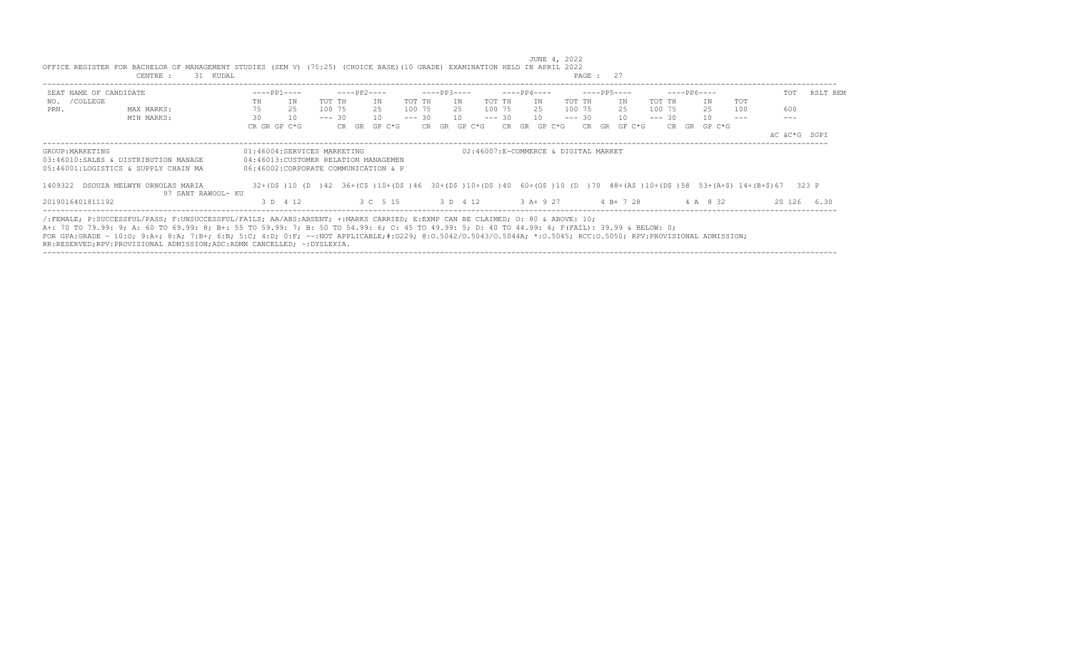| SEAT NAME OF CANDIDATE |                                                                                                                                                                                                                                                                                                                                                                                                                                                  |                                                                               | $---PP1---$ |          | ----PP2---- |                                         |        | $---PP3---$      |    |        | $---PP4---$  |           |        | ----PP5----  |        |          | $---PP6---$  |     | TOT                                                                                                                     | RSLT REM    |
|------------------------|--------------------------------------------------------------------------------------------------------------------------------------------------------------------------------------------------------------------------------------------------------------------------------------------------------------------------------------------------------------------------------------------------------------------------------------------------|-------------------------------------------------------------------------------|-------------|----------|-------------|-----------------------------------------|--------|------------------|----|--------|--------------|-----------|--------|--------------|--------|----------|--------------|-----|-------------------------------------------------------------------------------------------------------------------------|-------------|
| NO. / COLLEGE          |                                                                                                                                                                                                                                                                                                                                                                                                                                                  | TH                                                                            | ΙN          | TOT TH   |             | TN                                      | TOT TH |                  | IN | TOT TH | T N          |           | TOT TH | ΙN           | TOT TH |          | TN           | TOT |                                                                                                                         |             |
| PRN.                   | MAX MARKS:                                                                                                                                                                                                                                                                                                                                                                                                                                       | 75                                                                            | 25          | 100 75   |             | 25                                      |        | 100 75 25 100 75 |    |        |              | 25 100 75 |        | 25           |        | 100 75   | 25           | 100 | 600                                                                                                                     |             |
|                        | MIN MARKS:                                                                                                                                                                                                                                                                                                                                                                                                                                       | 30                                                                            | 10          | $--- 30$ |             | 10                                      |        | $--- 30 10$      |    |        | $--- 30 10$  |           |        | $--- 30 10$  |        | $--- 30$ | 10           |     |                                                                                                                         |             |
|                        |                                                                                                                                                                                                                                                                                                                                                                                                                                                  | CR GR GP C*G                                                                  |             |          |             | CR GR GP C*G                            |        | CR GR GP C*G     |    |        | CR GR GP C*G |           |        | CR GR GP C*G |        |          | CR GR GP C*G |     |                                                                                                                         |             |
|                        |                                                                                                                                                                                                                                                                                                                                                                                                                                                  |                                                                               |             |          |             |                                         |        |                  |    |        |              |           |        |              |        |          |              |     | äC äC*G SGPI                                                                                                            |             |
|                        | 03:46010:SALES & DISTRIBUTION MANAGE<br>05:46001:LOGISTICS & SUPPLY CHAIN MA<br>1409322 DSOUZA MELWYN ORNOLAS MARIA<br>97 SANT RAWOOL- KU                                                                                                                                                                                                                                                                                                        | 04:46013: CUSTOMER RELATION MANAGEMEN<br>06:46002:CORPORATE COMMUNICATION & P |             |          |             |                                         |        |                  |    |        |              |           |        |              |        |          |              |     | 32+(D\$)10 (D )42 36+(C\$)10+(D\$)46 30+(D\$)10+(D\$)40 60+(O\$)10 (D )70 48+(A\$)10+(D\$)58 53+(A+\$)14+(B+\$)67 323 P |             |
| 2019016401811192       |                                                                                                                                                                                                                                                                                                                                                                                                                                                  |                                                                               | 3 D 4 12    |          |             | 3 C 5 15 3 D 4 12 3 A + 9 27 4 B + 7 28 |        |                  |    |        |              |           |        |              |        |          | 4 A 8 32     |     |                                                                                                                         | 20 126 6.30 |
|                        | /:FEMALE; P:SUCCESSFUL/PASS; F:UNSUCCESSFUL/FAILS; AA/ABS:ABSENT; +:MARKS CARRIED; E:EXMP CAN BE CLAIMED; O: 80 & ABOVE: 10;<br>A+: 70 TO 79.99: 9; A: 60 TO 69.99: 8; B+: 55 TO 59.99: 7; B: 50 TO 54.99: 6; C: 45 TO 49.99: 5; D: 40 TO 44.99: 4; F(FAIL): 39.99 & BELOW: 0;<br>FOR GPA:GRADE - 10:0: 9:A+; 8:A; 7:B+; 6:B; 5:C; 4:D; 0:F; --:NOT APPLICABLE;#:0229; 0:0.5042/0.5043/0.5044A; *:0.5045; RCC:0.5050; RPV:PROVISIONAL ADMISSION; |                                                                               |             |          |             |                                         |        |                  |    |        |              |           |        |              |        |          |              |     |                                                                                                                         |             |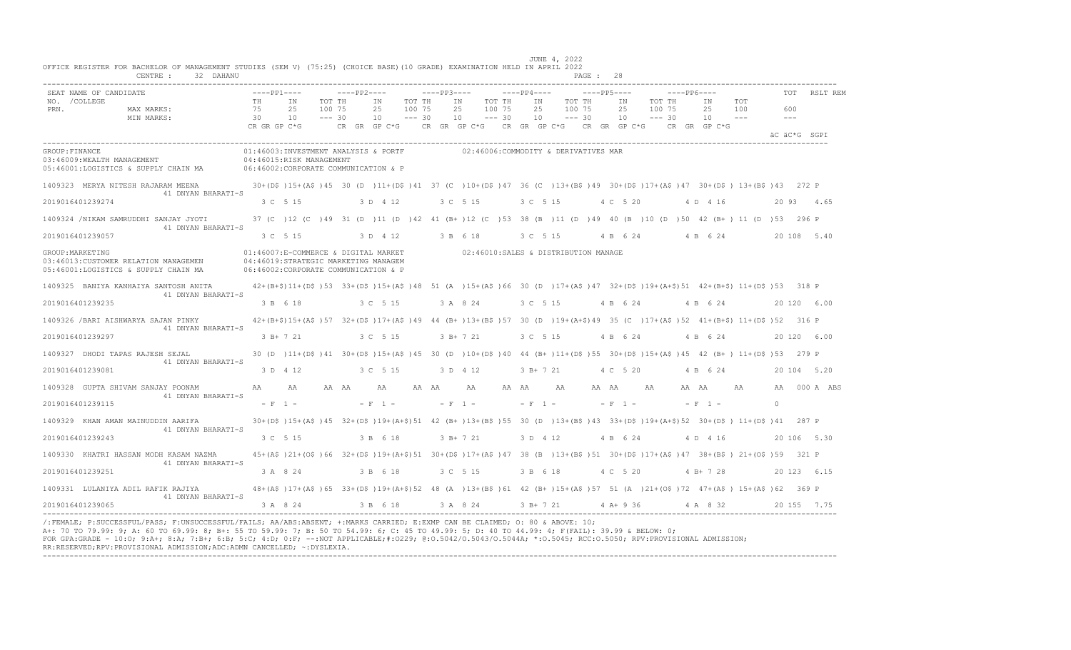|                       | SEAT NAME OF CANDIDATE                                                        |                |           | $---PP1---$                                                                                                          |                              | $---PP2---$          |                 |          |                              | $---PP3---$ |                  |                                        |                              | $---PP4---$ |                 |                              | $---PP5---$ |           |                 |                              | $---PP6---$ |                                 |                                                                                                                                       |              | <b>TOT</b> | RSLT REM     |
|-----------------------|-------------------------------------------------------------------------------|----------------|-----------|----------------------------------------------------------------------------------------------------------------------|------------------------------|----------------------|-----------------|----------|------------------------------|-------------|------------------|----------------------------------------|------------------------------|-------------|-----------------|------------------------------|-------------|-----------|-----------------|------------------------------|-------------|---------------------------------|---------------------------------------------------------------------------------------------------------------------------------------|--------------|------------|--------------|
| NO. / COLLEGE<br>PRN. | MAX MARKS:<br>MIN MARKS:                                                      | TH<br>75<br>30 |           | T N<br>2.5<br>10<br>CR GR GP C*G                                                                                     | TOT TH<br>100 75<br>$--- 30$ | $CR$ $GR$ $GP$ $C*G$ | TN<br>2.5<br>10 |          | TOT TH<br>100 75<br>$--- 30$ |             | T N<br>2.5<br>10 | CR GR GP C*G CR GR GP C*G CR GR GP C*G | TOT TH<br>100 75<br>$--- 30$ |             | IN<br>2.5<br>10 | TOT TH<br>100 75<br>$--- 30$ |             |           | IN<br>2.5<br>10 | TOT TH<br>100 75<br>$--- 30$ |             | TN<br>2.5<br>10<br>CR GR GP C*G | TOT<br>100<br>$\frac{1}{2}$                                                                                                           | $---$        | 600        |              |
|                       |                                                                               |                |           |                                                                                                                      |                              |                      |                 |          |                              |             |                  |                                        |                              |             |                 |                              |             |           |                 |                              |             |                                 |                                                                                                                                       | äC äC*G SGPI |            |              |
| GROUP: FINANCE        | 03:46009:WEALTH MANAGEMENT<br>05:46001:LOGISTICS & SUPPLY CHAIN MA            |                |           | 01:46003:INVESTMENT ANALYSIS & PORTF<br>04:46015:RISK MANAGEMENT<br>06:46002:CORPORATE COMMUNICATION & P             |                              |                      |                 |          |                              |             |                  | 02:46006:COMMODITY & DERIVATIVES MAR   |                              |             |                 |                              |             |           |                 |                              |             |                                 |                                                                                                                                       |              |            |              |
|                       | 1409323 MERYA NITESH RAJARAM MEENA<br>41 DNYAN BHARATI-S                      |                |           |                                                                                                                      |                              |                      |                 |          |                              |             |                  |                                        |                              |             |                 |                              |             |           |                 |                              |             |                                 | 30+(D\$)15+(A\$)45 30 (D )11+(D\$)41 37 (C )10+(D\$)47 36 (C )13+(B\$)49 30+(D\$)17+(A\$)47 30+(D\$) 13+(B\$)43 272 P                 |              |            |              |
| 2019016401239274      |                                                                               |                |           | 3 C 5 15                                                                                                             |                              |                      |                 | 3 D 4 12 |                              |             |                  | 3 C 5 15                               |                              | 3 C 5 15    |                 |                              |             |           | 4 C 5 20        |                              |             | 4 D 4 16                        |                                                                                                                                       |              |            | 20 93 4.65   |
|                       | 1409324 /NIKAM SAMRUDDHI SANJAY JYOTI<br>41 DNYAN BHARATI-S                   |                |           |                                                                                                                      |                              |                      |                 |          |                              |             |                  |                                        |                              |             |                 |                              |             |           |                 |                              |             |                                 | 37 (C) 12 (C) 49 31 (D) 11 (D) 42 41 (B+) 12 (C) 53 38 (B) 11 (D) 49 40 (B) 10 (D) 50 42 (B+) 11 (D) 53 296 P                         |              |            |              |
| 2019016401239057      |                                                                               |                |           | 3 C 5 15                                                                                                             |                              |                      |                 | 3 D 4 12 |                              |             |                  | 3 B 6 18                               |                              |             | 3 C 5 15        |                              |             |           | 4 B 6 24        |                              |             | 4 B 6 24                        |                                                                                                                                       |              |            | 20 108 5.40  |
| GROUP: MARKETING      | 03:46013: CUSTOMER RELATION MANAGEMEN<br>05:46001:LOGISTICS & SUPPLY CHAIN MA |                |           | 01:46007:E-COMMERCE & DIGITAL MARKET<br>04:46019:STRATEGIC MARKETING MANAGEM<br>06:46002:CORPORATE COMMUNICATION & P |                              |                      |                 |          |                              |             |                  | 02:46010:SALES & DISTRIBUTION MANAGE   |                              |             |                 |                              |             |           |                 |                              |             |                                 |                                                                                                                                       |              |            |              |
|                       | 1409325 BANIYA KANHAIYA SANTOSH ANITA<br>41 DNYAN BHARATI-S                   |                |           |                                                                                                                      |                              |                      |                 |          |                              |             |                  |                                        |                              |             |                 |                              |             |           |                 |                              |             |                                 | $42+(B+\$)11+(D\$)533+ (D\$)15+(A\$)4851(A)15+(A\$)6630(D)17+(A\$)4732+(D\$)19+(A+\$)514+(B+\$)11+(D\$)53318P$                        |              |            |              |
| 2019016401239235      |                                                                               |                |           | 3 B 6 18                                                                                                             |                              |                      |                 | 3 C 5 15 |                              |             |                  | 3 A 8 24                               |                              | 3 C 5 15    |                 |                              |             |           | 4 B 6 24        |                              |             | 4 B 6 24                        |                                                                                                                                       |              |            | 20 120 6.00  |
|                       | 1409326 / BARI AISHWARYA SAJAN PINKY<br>41 DNYAN BHARATI-S                    |                |           |                                                                                                                      |                              |                      |                 |          |                              |             |                  |                                        |                              |             |                 |                              |             |           |                 |                              |             |                                 | 42+(B+\$)15+(A\$)57 32+(D\$)17+(A\$)49 44 (B+)13+(B\$)57 30 (D )19+(A+\$)49 35 (C )17+(A\$)52 41+(B+\$) 11+(D\$)52 316 P              |              |            |              |
| 2019016401239297      |                                                                               |                |           | 3 B+ 7 21                                                                                                            |                              |                      |                 | 3 C 5 15 |                              |             |                  | 3 B+ 7 21                              |                              | 3 C 5 15    |                 |                              |             |           | 4 B 6 24        |                              |             | 4 B 6 24                        |                                                                                                                                       |              |            | 20 120 6.00  |
|                       | 1409327 DHODI TAPAS RAJESH SEJAL<br>41 DNYAN BHARATI-S                        |                |           |                                                                                                                      |                              |                      |                 |          |                              |             |                  |                                        |                              |             |                 |                              |             |           |                 |                              |             |                                 | 30 (D) 11+ (D\$) 41 30+ (D\$) 15+ (A\$) 45 30 (D) 10+ (D\$) 40 44 (B+) 11+ (D\$) 55 30+ (D\$) 15+ (A\$) 45 42 (B+) 11+ (D\$) 53 279 P |              |            |              |
| 2019016401239081      |                                                                               |                |           | 3 D 4 12                                                                                                             |                              |                      |                 | 3 C 5 15 |                              |             |                  | 3 D 4 12                               |                              |             | 3 B+ 7 21       |                              |             |           | 4 C 5 20        |                              |             | 4 B 6 24                        |                                                                                                                                       |              |            | 20 104 5.20  |
|                       | 1409328 GUPTA SHIVAM SANJAY POONAM<br>41 DNYAN BHARATI-S                      | AA             |           | AA                                                                                                                   |                              | AA AA                | AA              |          | AA AA                        |             |                  | AA                                     | AA AA                        |             |                 | AA                           |             | AA AA     |                 | AA                           |             | AA AA                           | AA                                                                                                                                    |              |            | AA 000 A ABS |
| 2019016401239115      |                                                                               |                | $- F 1 -$ |                                                                                                                      |                              |                      | $- F 1 -$       |          |                              |             | $- F 1 -$        |                                        |                              |             | $- F 1 -$       |                              |             | $- F 1 -$ |                 |                              |             | $- F 1 -$                       |                                                                                                                                       | $\Omega$     |            |              |
|                       | 1409329 KHAN AMAN MAINUDDIN AARIFA                                            |                |           |                                                                                                                      |                              |                      |                 |          |                              |             |                  |                                        |                              |             |                 |                              |             |           |                 |                              |             |                                 | 30+(D\$)15+(A\$)45 32+(D\$)19+(A+\$)51 42 (B+)13+(B\$)55 30 (D )13+(B\$)43 33+(D\$)19+(A+\$)52 30+(D\$) 11+(D\$)41                    |              | 287 P      |              |
| 2019016401239243      | 41 DNYAN BHARATI-S                                                            |                |           | 3 C 5 15                                                                                                             |                              |                      |                 | 3 B 6 18 |                              |             |                  | $3 B+ 7 21$                            |                              |             | 3 D 4 12        |                              |             |           | 4 B 6 24        |                              |             | 4 D 4 16                        |                                                                                                                                       |              |            | 20 106 5.30  |
|                       | 1409330 KHATRI HASSAN MODH KASAM NAZMA<br>41 DNYAN BHARATI-S                  |                |           |                                                                                                                      |                              |                      |                 |          |                              |             |                  |                                        |                              |             |                 |                              |             |           |                 |                              |             |                                 | 45+(A\$)21+(O\$)66 32+(D\$)19+(A+\$)51 30+(D\$)17+(A\$)47 38 (B)13+(B\$)51 30+(D\$)17+(A\$)47 38+(B\$)21+(O\$)59 321 P                |              |            |              |
| 2019016401239251      |                                                                               |                |           | 3 A 8 24                                                                                                             |                              |                      |                 | 3 B 6 18 |                              |             |                  | 3 C 5 15                               |                              | 3 B 6 18    |                 |                              |             |           | 4 C 5 20        |                              |             | $4 B+ 7 28$                     |                                                                                                                                       |              |            | 20 123 6.15  |
|                       | 1409331 LULANIYA ADIL RAFIK RAJIYA                                            |                |           |                                                                                                                      |                              |                      |                 |          |                              |             |                  |                                        |                              |             |                 |                              |             |           |                 |                              |             |                                 | 48+(A\$)17+(A\$)65 33+(D\$)19+(A+\$)52 48 (A)13+(B\$)61 42 (B+)15+(A\$)57 51 (A)21+(O\$)72 47+(A\$)15+(A\$)62 369 P                   |              |            |              |
|                       | 41 DNYAN BHARATI-S<br>2019016401239065                                        |                |           | 3 A 8 24                                                                                                             |                              |                      |                 | 3 B 6 18 |                              |             |                  | 3 A 8 24 3 B + 7 21                    |                              |             |                 |                              |             |           | $4 A+9 36$      |                              |             | 4 A 8 32                        |                                                                                                                                       |              |            | 20 155 7.75  |

/:FEMALE; P:SUCCESSFUL/PASS; F:UNSUCCESSFUL/FAILS; AA/ABS:ABSENT; +:MARKS CARRIED; E:EXMP CAN BE CLAIMED; O: 80 & ABOVE: 10;<br>A+: 70 TO 79.99: 9; A: 60 TO 69.99: 8; B+: 55 TO 59.99: 7; B: 50 TO 54.99: 6; C: 45 TO 49.99: 5; FOR GPA:GRADE - 10:O; 9:A+; 8:A; 7:B+; 6:B; 5:C; 4:D; 0:F; --:NOT APPLICABLE;#:O229; @:O.5042/O.5043/O.5044A; \*:O.5045; RCC:O.5050; RPV:PROVISIONAL ADMISSION; RR:RESERVED;RPV:PROVISIONAL ADMISSION;ADC:ADMN CANCELLED; ~:DYSLEXIA. ----------------------------------------------------------------------------------------------------------------------------------------------------------------------------------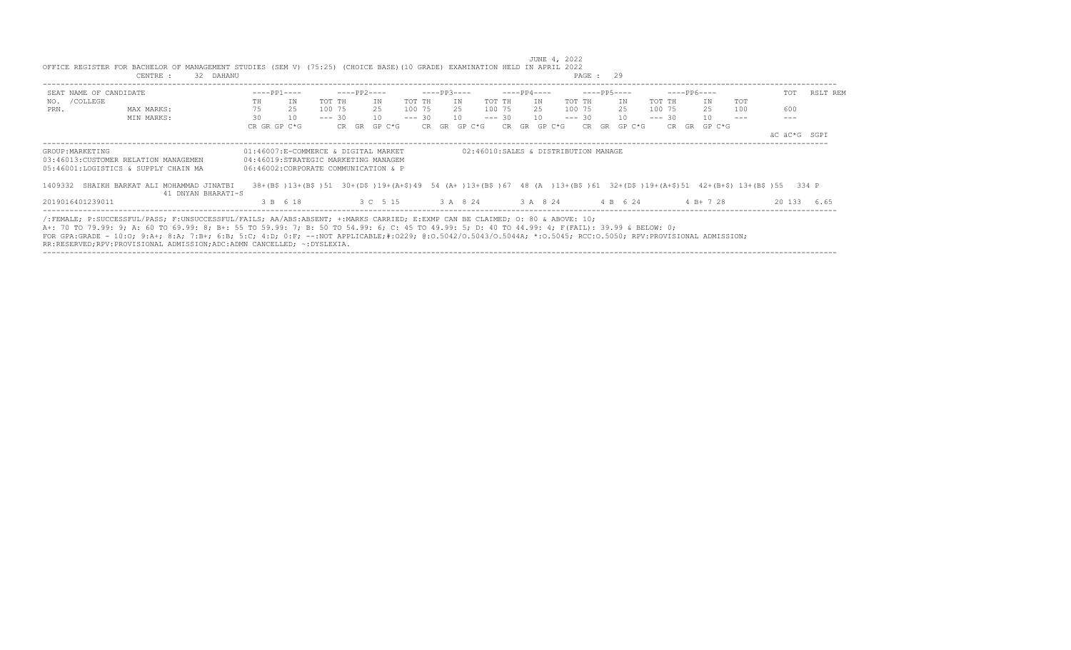| SEAT NAME OF CANDIDATE |                                                                                                                                                                                                                                                                                                                                                                                                                                                  | $---PP1---$  |                                                                                                                                                                 |          | ----PP2---- |                                     |        | $---PP3---$      |    |             | $---PP4---$ |              |        | $---PP5---$  |          | $---PP6---$  |     | TOT          | RSLT REM    |
|------------------------|--------------------------------------------------------------------------------------------------------------------------------------------------------------------------------------------------------------------------------------------------------------------------------------------------------------------------------------------------------------------------------------------------------------------------------------------------|--------------|-----------------------------------------------------------------------------------------------------------------------------------------------------------------|----------|-------------|-------------------------------------|--------|------------------|----|-------------|-------------|--------------|--------|--------------|----------|--------------|-----|--------------|-------------|
| NO. / COLLEGE          |                                                                                                                                                                                                                                                                                                                                                                                                                                                  | TH           | ΙN                                                                                                                                                              | TOT TH   |             | TN                                  | TOT TH |                  | IN | TOT TH      | T N         |              | TOT TH | ΙN           | TOT TH   | TN           | TOT |              |             |
| PRN.                   | MAX MARKS:                                                                                                                                                                                                                                                                                                                                                                                                                                       | 75           | 25                                                                                                                                                              | 100 75   | 25          |                                     |        | 100 75 25 100 75 |    |             |             | 25 100 75    |        | 25           | 100 75   | 25           | 100 | 600          |             |
|                        | MIN MARKS:                                                                                                                                                                                                                                                                                                                                                                                                                                       | 30           | 10                                                                                                                                                              | $--- 30$ |             | 10                                  |        | $--- 30 10$      |    | $--- 30 10$ |             |              |        | $--- 30 10$  | $--- 30$ | 10           |     |              |             |
|                        |                                                                                                                                                                                                                                                                                                                                                                                                                                                  | CR GR GP C*G |                                                                                                                                                                 |          |             | CR GR GP C*G                        |        | CR GR GP C*G     |    |             |             | CR GR GP C*G |        | CR GR GP C*G |          | CR GR GP C*G |     |              |             |
|                        |                                                                                                                                                                                                                                                                                                                                                                                                                                                  |              |                                                                                                                                                                 |          |             |                                     |        |                  |    |             |             |              |        |              |          |              |     | äC äC*G SGPI |             |
|                        | 05:46001:LOGISTICS & SUPPLY CHAIN MA<br>1409332 SHAIKH BARKAT ALI MOHAMMAD JINATBI<br>41 DNYAN BHARATI-S                                                                                                                                                                                                                                                                                                                                         |              | 06:46002:CORPORATE COMMUNICATION & P<br>38+(B\$)13+(B\$)51 30+(D\$)19+(A+\$)49 54 (A+)13+(B\$)67 48 (A)13+(B\$)61 32+(D\$)19+(A+\$)51 42+(B+\$)13+(B\$)55 334 P |          |             |                                     |        |                  |    |             |             |              |        |              |          |              |     |              |             |
| 2019016401239011       |                                                                                                                                                                                                                                                                                                                                                                                                                                                  |              | 3 B 6 18                                                                                                                                                        |          |             | 3 C 5 15 3 A 8 24 3 A 8 24 4 B 6 24 |        |                  |    |             |             |              |        |              |          | $4B+728$     |     |              | 20 133 6.65 |
|                        | /:FEMALE; P:SUCCESSFUL/PASS; F:UNSUCCESSFUL/FAILS; AA/ABS:ABSENT; +:MARKS CARRIED; E:EXMP CAN BE CLAIMED; O: 80 & ABOVE: 10;<br>A+: 70 TO 79.99: 9; A: 60 TO 69.99: 8; B+: 55 TO 59.99: 7; B: 50 TO 54.99: 6; C: 45 TO 49.99: 5; D: 40 TO 44.99: 4; F(FAIL): 39.99 & BELOW: 0;<br>FOR GPA:GRADE - 10:0: 9:A+; 8:A; 7:B+; 6:B; 5:C; 4:D; 0:F; --:NOT APPLICABLE;#:0229; 0:0.5042/0.5043/0.5044A; *:0.5045; RCC:0.5050; RPV:PROVISIONAL ADMISSION; |              |                                                                                                                                                                 |          |             |                                     |        |                  |    |             |             |              |        |              |          |              |     |              |             |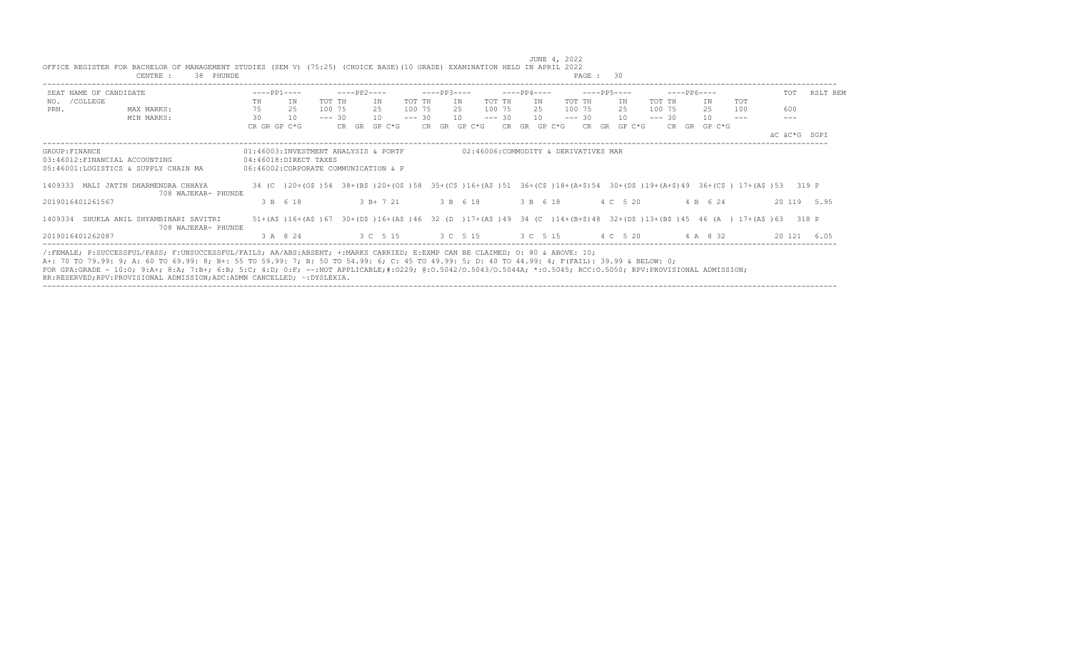|                |                        | CENTRE :<br>38 PHUNDE                                                                                                                                                                                                                                                                                                                                                                                                                                                                                                      |    |                                                                                                                                     |          |             |              |          |              |          |          |              | PAGE: 30                                     |               |          |              |            |     |              |
|----------------|------------------------|----------------------------------------------------------------------------------------------------------------------------------------------------------------------------------------------------------------------------------------------------------------------------------------------------------------------------------------------------------------------------------------------------------------------------------------------------------------------------------------------------------------------------|----|-------------------------------------------------------------------------------------------------------------------------------------|----------|-------------|--------------|----------|--------------|----------|----------|--------------|----------------------------------------------|---------------|----------|--------------|------------|-----|--------------|
|                | SEAT NAME OF CANDIDATE |                                                                                                                                                                                                                                                                                                                                                                                                                                                                                                                            |    | $---PP1---$                                                                                                                         |          | $---PP2---$ |              |          | $---PP3---$  |          |          | $---PP4---$  |                                              | ----- PP5---- |          | $---PP6---$  |            | TOT | RSLT REM     |
|                | NO. / COLLEGE          |                                                                                                                                                                                                                                                                                                                                                                                                                                                                                                                            | TH | IN                                                                                                                                  | TOT TH   |             | IN           | TOT TH   |              | IN       | TOT TH   | IN           | TOT TH                                       | IN            | TOT TH   | IN           | <b>TOT</b> |     |              |
| PRN.           |                        | MAX MARKS:                                                                                                                                                                                                                                                                                                                                                                                                                                                                                                                 | 75 | 25                                                                                                                                  | 100 75   |             | 2.5          | 100 75   |              | 2.5      | 100 75   | 2.5          | 100 75                                       | 25            | 100 75   | 25           | 100        | 600 |              |
|                |                        | MIN MARKS:                                                                                                                                                                                                                                                                                                                                                                                                                                                                                                                 | 30 | 10                                                                                                                                  | $--- 30$ |             | 10           | $--- 30$ |              | 10       | $--- 30$ | 10           | $--- 30$                                     | 10            | $--- 30$ | 10           |            |     |              |
|                |                        |                                                                                                                                                                                                                                                                                                                                                                                                                                                                                                                            |    | CR GR GP C*G                                                                                                                        |          |             | CR GR GP C*G |          | CR GR GP C*G |          |          | CR GR GP C*G |                                              | CR GR GP C*G  |          | CR GR GP C*G |            |     | äC äC*G SGPI |
| GROUP: FINANCE |                        | 03:46012:FINANCIAL ACCOUNTING<br>05:46001:LOGISTICS & SUPPLY CHAIN MA                                                                                                                                                                                                                                                                                                                                                                                                                                                      |    | 01:46003:INVESTMENT ANALYSIS & PORTF<br>04:46018:DIRECT TAXES<br>06:46002:CORPORATE COMMUNICATION & P                               |          |             |              |          |              |          |          |              | 02:46006:COMMODITY & DERIVATIVES MAR         |               |          |              |            |     |              |
|                |                        | 1409333 MALI JATIN DHARMENDRA CHHAYA<br>708 WAJEKAR- PHUNDE                                                                                                                                                                                                                                                                                                                                                                                                                                                                |    | 34 (C) 20+(0\$) 54 38+(B\$) 20+(0\$) 58 35+(C\$) 16+(A\$) 51 36+(C\$) 18+(A+\$) 54 30+(D\$) 19+(A+\$) 49 36+(C\$) 17+(A\$) 53 319 P |          |             |              |          |              |          |          |              |                                              |               |          |              |            |     |              |
|                | 2019016401261567       |                                                                                                                                                                                                                                                                                                                                                                                                                                                                                                                            |    | 3 B 6 18                                                                                                                            |          |             | 3 B+ 7 21    |          |              | 3 B 6 18 |          | 3 B 6 18     |                                              | 4 C 5 20      |          | 4 B 6 24     |            |     | 20 119 5.95  |
|                |                        | 1409334 SHUKLA ANIL SHYAMBIHARI SAVITRI<br>708 WAJEKAR- PHUNDE                                                                                                                                                                                                                                                                                                                                                                                                                                                             |    | 51+(A\$)16+(A\$)67 30+(D\$)16+(A\$)46 32 (D )17+(A\$)49 34 (C )14+(B+\$)48 32+(D\$)13+(B\$)45 46 (A ) 17+(A\$)63 318 P              |          |             |              |          |              |          |          |              |                                              |               |          |              |            |     |              |
|                | 2019016401262087       |                                                                                                                                                                                                                                                                                                                                                                                                                                                                                                                            |    | 3 A 8 24                                                                                                                            |          |             |              |          |              |          |          |              | 3 C 5 15 3 C 5 15 3 C 5 15 4 C 5 20 4 A 8 32 |               |          |              |            |     | 20 121 6.05  |
|                |                        | /:FEMALE; P:SUCCESSFUL/PASS; F:UNSUCCESSFUL/FAILS; AA/ABS:ABSENT; +:MARKS CARRIED; E:EXMP CAN BE CLAIMED; O: 80 & ABOVE: 10;<br>A+: 70 TO 79.99: 9; A: 60 TO 69.99: 8; B+: 55 TO 59.99: 7; B: 50 TO 54.99: 6; C: 45 TO 49.99: 5; D: 40 TO 44.99: 4; F(FAIL): 39.99 & BELOW: 0;<br>FOR GPA:GRADE - 10:0; 9:A+; 8:A; 7:B+; 6:B; 5:C; 4:D; 0:F; --:NOT APPLICABLE;#:0229; 0:0.5042/0.5043/0.5044A; *:0.5045; RCC:0.5050; RPV:PROVISIONAL ADMISSION;<br>RR:RESERVED;RPV:PROVISIONAL ADMISSION;ADC:ADMN CANCELLED; ~: DYSLEXIA. |    |                                                                                                                                     |          |             |              |          |              |          |          |              |                                              |               |          |              |            |     |              |

----------------------------------------------------------------------------------------------------------------------------------------------------------------------------------

 JUNE 4, 2022 OFFICE REGISTER FOR BACHELOR OF MANAGEMENT STUDIES (SEM V) (75:25) (CHOICE BASE)(10 GRADE) EXAMINATION HELD IN APRIL 2022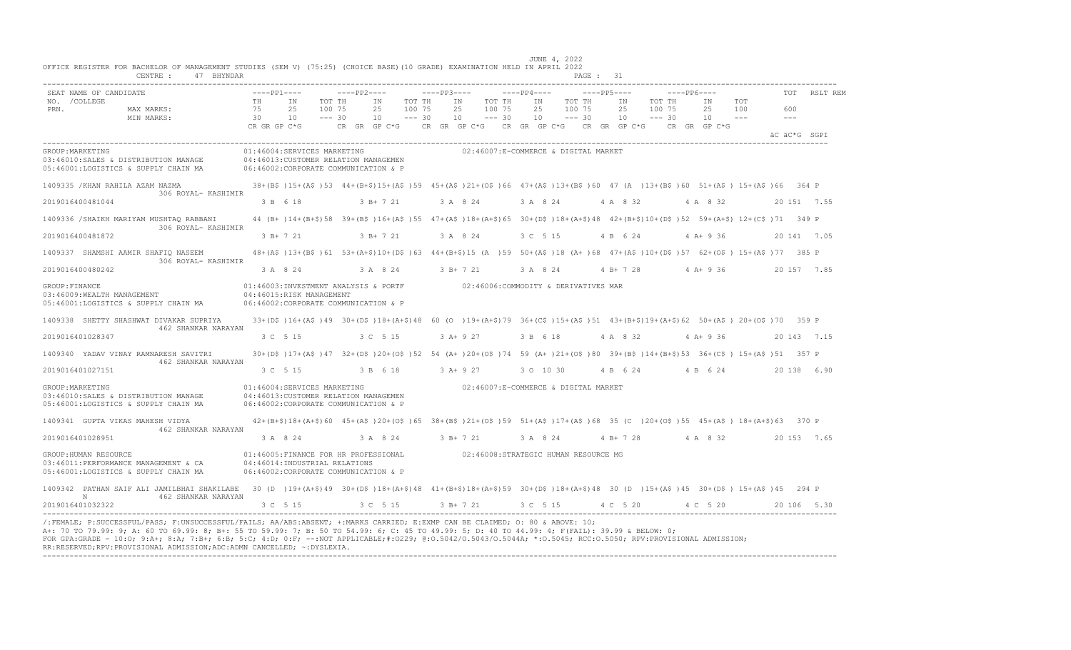|                       | SEAT NAME OF CANDIDATE                                                                                                                                                                                   | $---PP1---$                    |                                                                                                                                                | $---PP2---$                  |                                |                              | $---PP3---$ |                                          | $---PP4---$    |                                                                        | $---PP5---$    |                              | $---PP6---$                    |                     | TOT                        | RSLT REM     |
|-----------------------|----------------------------------------------------------------------------------------------------------------------------------------------------------------------------------------------------------|--------------------------------|------------------------------------------------------------------------------------------------------------------------------------------------|------------------------------|--------------------------------|------------------------------|-------------|------------------------------------------|----------------|------------------------------------------------------------------------|----------------|------------------------------|--------------------------------|---------------------|----------------------------|--------------|
| NO. / COLLEGE<br>PRN. | MAX MARKS:<br>MIN MARKS:                                                                                                                                                                                 | TH<br>75<br>30<br>CR GR GP C*G | IN<br>25<br>10                                                                                                                                 | TOT TH<br>100 75<br>$--- 30$ | IN<br>25<br>10<br>CR GR GP C*G | TOT TH<br>100 75<br>$--- 30$ | 10          | IN<br>TOT TH<br>25<br>100 75<br>$--- 30$ | IN<br>25<br>10 | TOT TH<br>100 75<br>$--- 30$<br>CR GR GP C*G CR GR GP C*G CR GR GP C*G | IN<br>25<br>10 | TOT TH<br>100 75<br>$--- 30$ | IN<br>25<br>10<br>CR GR GP C*G | TOT<br>100<br>$  -$ | 600<br>$\qquad \qquad - -$ |              |
|                       |                                                                                                                                                                                                          |                                |                                                                                                                                                |                              |                                |                              |             |                                          |                |                                                                        |                |                              |                                |                     |                            | äC äC*G SGPI |
| GROUP: MARKETING      | 03:46010:SALES & DISTRIBUTION MANAGE<br>05:46001:LOGISTICS & SUPPLY CHAIN MA                                                                                                                             |                                | 01:46004:SERVICES MARKETING<br>04:46013: CUSTOMER RELATION MANAGEMEN<br>06:46002:CORPORATE COMMUNICATION & P                                   |                              |                                |                              |             |                                          |                | 02:46007:E-COMMERCE & DIGITAL MARKET                                   |                |                              |                                |                     |                            |              |
|                       | 1409335 / KHAN RAHILA AZAM NAZMA<br>306 ROYAL- KASHIMIR                                                                                                                                                  |                                | 38+(B\$)15+(A\$)53 44+(B+\$)15+(A\$)59 45+(A\$)21+(O\$)66 47+(A\$)13+(B\$)60 47 (A)13+(B\$)60 51+(A\$) 15+(A\$)66 364 P                        |                              |                                |                              |             |                                          |                |                                                                        |                |                              |                                |                     |                            |              |
|                       | 2019016400481044                                                                                                                                                                                         |                                | 3 B 6 18                                                                                                                                       |                              | 3 B+ 7 21                      |                              |             | 3 A 8 24                                 | 3 A 8 24       |                                                                        | 4 A 8 32       |                              | 4 A 8 32                       |                     |                            | 20 151 7.55  |
|                       | 1409336 /SHAIKH MARIYAM MUSHTAQ RABBANI<br>306 ROYAL- KASHIMIR                                                                                                                                           |                                | 44 (B+ )14+ (B+\$)58 39+ (B\$ )16+ (A\$ )55 47+ (A\$ )18+ (A+\$)65 30+ (D\$ )18+ (A+\$)48 42+ (B+\$)10+ (D\$ )52 59+ (A+\$) 12+ (C\$ )71 349 P |                              |                                |                              |             |                                          |                |                                                                        |                |                              |                                |                     |                            |              |
|                       | 2019016400481872                                                                                                                                                                                         |                                | $3 B+ 7 21$                                                                                                                                    |                              | 3 B+ 7 21                      |                              |             | 3 A 8 24                                 | 3 C 5 15       |                                                                        | 4 B 6 24       |                              | $4 A+9 36$                     |                     |                            | 20 141 7.05  |
|                       | 1409337 SHAMSHI AAMIR SHAFIQ NASEEM<br>306 ROYAL- KASHIMIR                                                                                                                                               |                                | 48+(A\$)13+(B\$)61 53+(A+\$)10+(D\$)63 44+(B+\$)15 (A)59 50+(A\$)18 (A+)68 47+(A\$)10+(D\$)57 62+(O\$) 15+(A\$)77 385 P                        |                              |                                |                              |             |                                          |                |                                                                        |                |                              |                                |                     |                            |              |
|                       | 2019016400480242                                                                                                                                                                                         |                                | 3 A 8 24                                                                                                                                       |                              | 3 A 8 24                       |                              |             | 3 B+ 7 21                                | 3 A 8 24       |                                                                        | $4 B+ 7 28$    |                              | $4 A+9 36$                     |                     |                            | 20 157 7.85  |
| GROUP: FINANCE        | 03:46009:WEALTH MANAGEMENT<br>05:46001:LOGISTICS & SUPPLY CHAIN MA                                                                                                                                       |                                | 01:46003:INVESTMENT ANALYSIS & PORTF<br>04:46015:RISK MANAGEMENT<br>06:46002:CORPORATE COMMUNICATION & P                                       |                              |                                |                              |             |                                          |                | 02:46006:COMMODITY & DERIVATIVES MAR                                   |                |                              |                                |                     |                            |              |
|                       | 1409338 SHETTY SHASHWAT DIVAKAR SUPRIYA<br>462 SHANKAR NARAYAN                                                                                                                                           |                                | 33+(D\$)16+(A\$)49 30+(D\$)18+(A+\$)48 60 (O)19+(A+\$)79 36+(C\$)15+(A\$)51 43+(B+\$)19+(A+\$)62 50+(A\$) 20+(O\$)70 359 P                     |                              |                                |                              |             |                                          |                |                                                                        |                |                              |                                |                     |                            |              |
|                       | 2019016401028347                                                                                                                                                                                         |                                | 3 C 5 15                                                                                                                                       |                              | 3 C 5 15                       |                              |             | $3 A+ 9 27$                              | 3 B 6 18       |                                                                        | 4 A 8 32       |                              | $4 A+9 36$                     |                     |                            | 20 143 7.15  |
|                       | 1409340 YADAV VINAY RAMNARESH SAVITRI<br>462 SHANKAR NARAYAN                                                                                                                                             |                                | 30+(D\$)17+(A\$)47 32+(D\$)20+(O\$)52 54 (A+)20+(O\$)74 59 (A+)21+(O\$)80 39+(B\$)14+(B+\$)53 36+(C\$) 15+(A\$)51 357 P                        |                              |                                |                              |             |                                          |                |                                                                        |                |                              |                                |                     |                            |              |
|                       | 2019016401027151                                                                                                                                                                                         |                                | 3 C 5 15                                                                                                                                       |                              | 3 B 6 18                       |                              |             | $3 A+9 27$                               | 3 0 10 30      |                                                                        | 4 B 6 24       |                              | 4 B 6 24                       |                     |                            | 20 138 6.90  |
| GROUP: MARKETING      | 03:46010:SALES & DISTRIBUTION MANAGE<br>05:46001:LOGISTICS & SUPPLY CHAIN MA                                                                                                                             |                                | 01:46004:SERVICES MARKETING<br>04:46013: CUSTOMER RELATION MANAGEMEN<br>06:46002:CORPORATE COMMUNICATION & P                                   |                              |                                |                              |             |                                          |                | 02:46007:E-COMMERCE & DIGITAL MARKET                                   |                |                              |                                |                     |                            |              |
|                       | 1409341 GUPTA VIKAS MAHESH VIDYA<br>462 SHANKAR NARAYAN                                                                                                                                                  |                                | 42+(B+\$)18+(A+\$)60 45+(A\$)20+(O\$)65 38+(B\$)21+(O\$)59 51+(A\$)17+(A\$)68 35 (C)20+(O\$)55 45+(A\$) 18+(A+\$)63 370 P                      |                              |                                |                              |             |                                          |                |                                                                        |                |                              |                                |                     |                            |              |
|                       | 2019016401028951                                                                                                                                                                                         |                                | 3 A 8 24                                                                                                                                       |                              | 3 A 8 24                       |                              |             | 3 B+ 7 21                                | 3 A 8 24       |                                                                        | 4 B+ 7 28      |                              | 4 A 8 32                       |                     |                            | 20 153 7.65  |
|                       | GROUP: HUMAN RESOURCE<br>03:46011:PERFORMANCE MANAGEMENT & CA<br>05:46001:LOGISTICS & SUPPLY CHAIN MA                                                                                                    |                                | 01:46005:FINANCE FOR HR PROFESSIONAL<br>04:46014:INDUSTRIAL RELATIONS<br>06:46002:CORPORATE COMMUNICATION & P                                  |                              |                                |                              |             |                                          |                | 02:46008:STRATEGIC HUMAN RESOURCE MG                                   |                |                              |                                |                     |                            |              |
|                       | 1409342 PATHAN SAIF ALI JAMILBHAI SHAKILABE 30 (D) 19+(A+\$)49 30+(D\$)18+(A+\$)48 41+(B+\$)18+(A+\$)59 30+(D\$)18+(A+\$)48 30 (D) 15+(A\$)45 30+(D\$) 15+(A\$)45 294 P<br>$\,$ N<br>462 SHANKAR NARAYAN |                                |                                                                                                                                                |                              |                                |                              |             |                                          |                |                                                                        |                |                              |                                |                     |                            |              |
|                       | 2019016401032322                                                                                                                                                                                         |                                | 3 C 5 15                                                                                                                                       |                              | 3 C 5 15                       |                              |             |                                          |                | 3 B+ 7 21 3 C 5 15 4 C 5 20 4 C 5 20                                   |                |                              |                                |                     |                            | 20 106 5.30  |

RR:RESERVED;RPV:PROVISIONAL ADMISSION;ADC:ADMN CANCELLED; ~:DYSLEXIA. ----------------------------------------------------------------------------------------------------------------------------------------------------------------------------------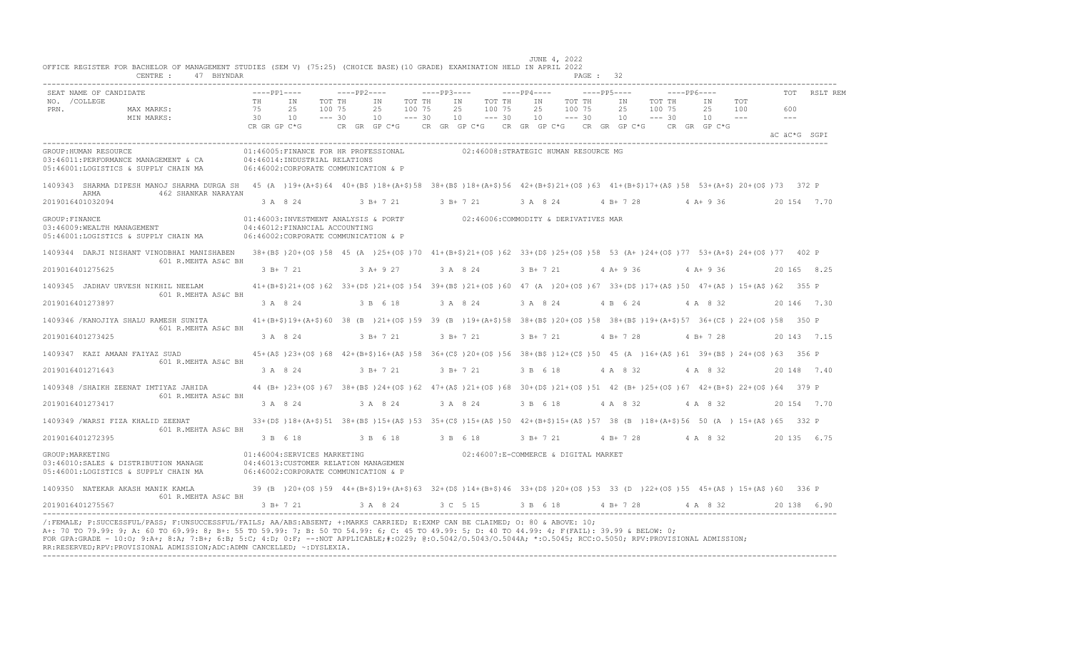| SEAT NAME OF CANDIDATE   |                                                                                                                                                                          | $---PP1---$                    |                                                                                                                         | $---PP2---$        |                                                                                    |                              |          | ----PP3---- ----PP4---- |                              |                |                                            | $---PP5---$ |                                   | $---PP6---$ |                          |     |                      | TOT RSLT REM |
|--------------------------|--------------------------------------------------------------------------------------------------------------------------------------------------------------------------|--------------------------------|-------------------------------------------------------------------------------------------------------------------------|--------------------|------------------------------------------------------------------------------------|------------------------------|----------|-------------------------|------------------------------|----------------|--------------------------------------------|-------------|-----------------------------------|-------------|--------------------------|-----|----------------------|--------------|
| NO. / COLLEGE<br>PRN.    | MAX MARKS:<br>MIN MARKS:                                                                                                                                                 | TH<br>75<br>30<br>CR GR GP C*G | IN<br>25<br>100 75<br>10                                                                                                | TOT TH<br>$--- 30$ | TN<br>25<br>10<br>CR GR GP C*G CR GR GP C*G CR GR GP C*G CR GR GP C*G CR GR GP C*G | TOT TH<br>100 75<br>$--- 30$ | 25<br>10 | IN                      | TOT TH<br>100 75<br>$--- 30$ | IN<br>25<br>10 | TOT TH<br>100 75<br>$---30$                | IN<br>25    | TOT TH<br>100 75<br>$10 - - - 30$ |             | TN<br>25 100<br>$10 - -$ | TOT | 600<br>$\frac{1}{2}$ |              |
|                          |                                                                                                                                                                          |                                |                                                                                                                         |                    |                                                                                    |                              |          |                         |                              |                |                                            |             |                                   |             |                          |     |                      | äC äC*G SGPI |
| GROUP: HUMAN RESOURCE    | 03:46011:PERFORMANCE MANAGEMENT & CA<br>05:46001:LOGISTICS & SUPPLY CHAIN MA 06:46002:CORPORATE COMMUNICATION & P                                                        |                                | 01:46005:FINANCE FOR HR PROFESSIONAL<br>04:46014:INDUSTRIAL RELATIONS                                                   |                    |                                                                                    |                              |          |                         |                              |                | 02:46008:STRATEGIC HUMAN RESOURCE MG       |             |                                   |             |                          |     |                      |              |
|                          | 1409343 SHARMA DIPESH MANOJ SHARMA DURGA SH 45 (A) 19+(A+\$)64 40+(B\$)18+(A+\$)58 38+(B\$)18+(A+\$)56 42+(B+\$)21+(O\$)63 41+(B+\$)17+(A\$)58 53+(A+\$)20+(O\$)73 372 P |                                |                                                                                                                         |                    |                                                                                    |                              |          |                         |                              |                |                                            |             |                                   |             |                          |     |                      |              |
| ARMA<br>2019016401032094 | 462 SHANKAR NARAYAN                                                                                                                                                      |                                | 3 A 8 24                                                                                                                |                    | 3 B + 7 21 3 B + 7 21 3 A 8 24                                                     |                              |          |                         |                              |                |                                            |             |                                   |             | 4 B + 7 28 4 A + 9 36    |     |                      | 20 154 7.70  |
| GROUP: FINANCE           | 03:46009: WEALTH MANAGEMENT<br>05:46001:LOGISTICS & SUPPLY CHAIN MA 06:46002:CORPORATE COMMUNICATION & P                                                                 |                                | 01:46003:INVESTMENT ANALYSIS & PORTF 62:46006:COMMODITY & DERIVATIVES MAR<br>04:46012:FINANCIAL ACCOUNTING              |                    |                                                                                    |                              |          |                         |                              |                |                                            |             |                                   |             |                          |     |                      |              |
|                          | 1409344 DARJI NISHANT VINODBHAI MANISHABEN 38+(B\$)20+(O\$)58 45 (A )25+(O\$)70 41+(B+\$)21+(O\$)62 33+(D\$)25+(O\$)58 53 (A+)24+(O\$)77 53+(A+\$) 24+(O\$)77 402 P      |                                |                                                                                                                         |                    |                                                                                    |                              |          |                         |                              |                |                                            |             |                                   |             |                          |     |                      |              |
| 2019016401275625         | 601 R.MEHTA AS&C BH                                                                                                                                                      |                                | 3 B + 7 21 3 A + 9 27 3 A 8 24                                                                                          |                    |                                                                                    |                              |          |                         |                              |                | 3 B + 7 21 4 A + 9 36 4 A + 9 36           |             |                                   |             |                          |     |                      | 20 165 8.25  |
|                          | 1409345 JADHAV URVESH NIKHIL NEELAM 41+(B+\$)21+(O\$)62 33+(D\$)21+(O\$)54 39+(B\$)21+(O\$)60 47 (A)20+(O\$)67 33+(D\$)17+(A\$)50 47+(A\$) 15+(A\$)62 355 P              |                                |                                                                                                                         |                    |                                                                                    |                              |          |                         |                              |                |                                            |             |                                   |             |                          |     |                      |              |
| 2019016401273897         | 601 R.MEHTA AS&C BH                                                                                                                                                      | 3 A 8 24                       |                                                                                                                         |                    | 3 B 6 18                                                                           |                              |          | 3 A 8 24                |                              |                | 3 A 8 24 4 B 6 24                          |             |                                   |             | 4 A 8 32                 |     |                      | 20 146 7.30  |
|                          | 1409346 /KANOJIYA SHALU RAMESH SUNITA 41+(B+\$)19+(A+\$)60 38 (B)21+(O\$)59 39 (B)19+(A+\$)58 38+(B\$)20+(O\$)58 38+(B\$)19+(A+\$)57 36+(C\$) 22+(O\$)58 350 P           |                                |                                                                                                                         |                    |                                                                                    |                              |          |                         |                              |                |                                            |             |                                   |             |                          |     |                      |              |
| 2019016401273425         | 601 R.MEHTA AS&C BH                                                                                                                                                      |                                | 3 A 8 24 3 B + 7 21                                                                                                     |                    |                                                                                    |                              | $3B+721$ |                         |                              |                | 3 B + 7 21 4 B + 7 28 4 B + 7 28           |             |                                   |             |                          |     |                      | 20 143 7.15  |
|                          | 1409347 KAZI AMAAN FAIYAZ SUAD                                                                                                                                           |                                | 45+(A\$)23+(O\$)68 42+(B+\$)16+(A\$)58 36+(C\$)20+(O\$)56 38+(B\$)12+(C\$)50 45 (A)16+(A\$)61 39+(B\$) 24+(O\$)63 356 P |                    |                                                                                    |                              |          |                         |                              |                |                                            |             |                                   |             |                          |     |                      |              |
| 2019016401271643         | 601 R.MEHTA AS&C BH                                                                                                                                                      |                                | 3 A 8 24 3 B + 7 21                                                                                                     |                    |                                                                                    |                              |          | 3 B+ 7 21               |                              | 3 B 6 18       |                                            |             |                                   |             | 4 A 8 32 4 A 8 32        |     |                      | 20 148 7.40  |
|                          | 1409348 /SHAIKH ZEENAT IMTIYAZ JAHIDA 44 (B+)23+(O\$)67 38+(B\$)24+(O\$)62 47+(A\$)21+(O\$)68 30+(D\$)21+(O\$)51 42 (B+)25+(O\$)67 42+(B+\$) 22+(O\$)64 379 P            |                                |                                                                                                                         |                    |                                                                                    |                              |          |                         |                              |                |                                            |             |                                   |             |                          |     |                      |              |
| 2019016401273417         | 601 R.MEHTA AS&C BH                                                                                                                                                      |                                | 3 A 8 24 3 A 8 24                                                                                                       |                    |                                                                                    |                              | 3 A 8 24 |                         |                              |                | 3 B 6 18 4 A 8 32 4 A 8 32                 |             |                                   |             |                          |     |                      | 20 154 7.70  |
|                          | 1409349 /WARSI FIZA KHALID ZEENAT 32+(D\$)18+(A+\$)51 38+(B\$)15+(A\$)53 35+(C\$)15+(A\$)50 42+(B+\$)15+(A\$)57 38 (B)18+(A+\$)56 50 (A) 15+(A\$)65 332 P                |                                |                                                                                                                         |                    |                                                                                    |                              |          |                         |                              |                |                                            |             |                                   |             |                          |     |                      |              |
| 2019016401272395         | 601 R.MEHTA AS&C BH                                                                                                                                                      |                                | 3 B 6 18 3 B 6 18 3 B 6 18                                                                                              |                    |                                                                                    |                              |          |                         |                              |                | 3 B + 7 21 4 B + 7 28 4 A 8 32 20 135 6.75 |             |                                   |             |                          |     |                      |              |
| GROUP: MARKETING         | 03:46010:SALES & DISTRIBUTION MANAGE<br>05:46001:LOGISTICS & SUPPLY CHAIN MA                                                                                             |                                | 01:46004:SERVICES MARKETING<br>04:46013:CUSTOMER RELATION MANAGEMEN<br>06:46002:CORPORATE COMMUNICATION & P             |                    |                                                                                    |                              |          |                         |                              |                | 02:46007:E-COMMERCE & DIGITAL MARKET       |             |                                   |             |                          |     |                      |              |
|                          | 1409350 NATEKAR AKASH MANIK KAMLA                                                                                                                                        |                                | 39 (B) 20+(O\$)59 44+(B+\$)19+(A+\$)63 32+(D\$)14+(B+\$)46 33+(D\$)20+(O\$)53 33 (D)22+(O\$)55 45+(A\$)15+(A\$)60 336 P |                    |                                                                                    |                              |          |                         |                              |                |                                            |             |                                   |             |                          |     |                      |              |
| 2019016401275567         | 601 R.MEHTA AS&C BH                                                                                                                                                      |                                | $3 B+721$                                                                                                               |                    | 3 A 8 24 3 C 5 15 3 B 6 18 4 B + 7 28 4 A 8 32                                     |                              |          |                         |                              |                |                                            |             |                                   |             |                          |     |                      | 20138 6.90   |

FOR GPA:GRADE - 10:O; 9:A+; 8:A; 7:B+; 6:B; 5:C; 4:D; 0:F; --:NOT APPLICABLE;#:O229; @:O.5042/O.5043/O.5044A; \*:O.5045; RCC:O.5050; RPV:PROVISIONAL ADMISSION; RR:RESERVED;RPV:PROVISIONAL ADMISSION;ADC:ADMN CANCELLED; ~:DYSLEXIA. ----------------------------------------------------------------------------------------------------------------------------------------------------------------------------------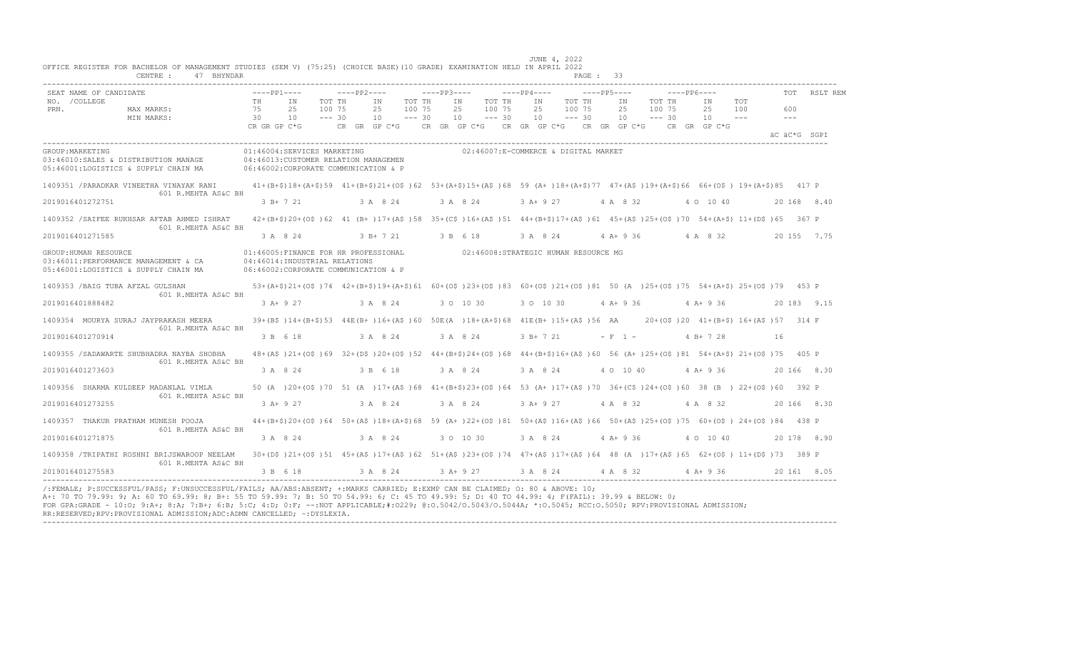| SEAT NAME OF CANDIDATE                                                                                |                | $---PP1---$                                                                                                                                        | $---PP2---$                  |                 |                              | $---PP3---$ |                                                     |                              | $---PP4---$     |                     |                              | $---PP5---$ |                              |                              | $---PP6---$ |                              |                                      |                             | RSLT REM     |
|-------------------------------------------------------------------------------------------------------|----------------|----------------------------------------------------------------------------------------------------------------------------------------------------|------------------------------|-----------------|------------------------------|-------------|-----------------------------------------------------|------------------------------|-----------------|---------------------|------------------------------|-------------|------------------------------|------------------------------|-------------|------------------------------|--------------------------------------|-----------------------------|--------------|
| NO. / COLLEGE<br>PRN.<br>MAX MARKS:<br>MIN MARKS:                                                     | TH<br>75<br>30 | IN<br>2.5<br>10                                                                                                                                    | TOT TH<br>100 75<br>$--- 30$ | IN<br>2.5<br>10 | TOT TH<br>100 75<br>$--- 30$ |             | IN<br>2.5<br>10                                     | TOT TH<br>100 75<br>$--- 30$ | IN<br>2.5<br>10 |                     | TOT TH<br>100 75<br>$--- 30$ |             | IN<br>2.5<br>10 <sup>1</sup> | TOT TH<br>100 75<br>$--- 30$ |             | IN<br>2.5<br>10              | TOT<br>100<br>$  -$                  | 600<br>$\sim$ $\sim$ $\sim$ |              |
|                                                                                                       | CR GR GP C*G   |                                                                                                                                                    |                              |                 |                              |             | CR GR GP C*G CR GR GP C*G CR GR GP C*G CR GR GP C*G |                              |                 |                     |                              |             |                              |                              |             | CR GR GP C*G                 |                                      |                             | äC äC*G SGPI |
| GROUP: MARKETING<br>03:46010:SALES & DISTRIBUTION MANAGE<br>05:46001:LOGISTICS & SUPPLY CHAIN MA      |                | 01:46004:SERVICES MARKETING<br>04:46013: CUSTOMER RELATION MANAGEMEN<br>06:46002:CORPORATE COMMUNICATION & P                                       |                              |                 |                              |             | 02:46007:E-COMMERCE & DIGITAL MARKET                |                              |                 |                     |                              |             |                              |                              |             |                              |                                      |                             |              |
| 1409351 /PARADKAR VINEETHA VINAYAK RANI<br>601 R.MEHTA AS&C BH                                        |                | 41+(B+\$)18+(A+\$)59 41+(B+\$)21+(O\$)62 53+(A+\$)15+(A\$)68 59 (A+)18+(A+\$)77 47+(A\$)19+(A+\$)66 66+(O\$) 19+(A+\$)85 417 P                     |                              |                 |                              |             |                                                     |                              |                 |                     |                              |             |                              |                              |             |                              |                                      |                             |              |
| 2019016401272751                                                                                      |                | 3 B+ 7 21                                                                                                                                          |                              | 3 A 8 24        |                              |             | 3 A 8 24                                            |                              |                 | 3 A+ 9 27           |                              | 4 A 8 32    |                              |                              |             | 4 0 10 40                    |                                      |                             | 20 168 8.40  |
| 1409352 /SAIFEE RUKHSAR AFTAB AHMED ISHRAT<br>601 R.MEHTA AS&C BH                                     |                | 42+(B+\$)20+(O\$)62 41 (B+)17+(A\$)58 35+(C\$)16+(A\$)51 44+(B+\$)17+(A\$)61 45+(A\$)25+(O\$)70 54+(A+\$) 11+(D\$)65 367 P                         |                              |                 |                              |             |                                                     |                              |                 |                     |                              |             |                              |                              |             |                              |                                      |                             |              |
| 2019016401271585                                                                                      |                | 3 A 8 24                                                                                                                                           |                              | $3 B+721$       |                              | 3 R 6 18    |                                                     |                              |                 | 3 A 8 24            |                              |             | 4 A+ 9 36                    |                              |             | 4 A 8 32                     |                                      |                             | 20 155 7.75  |
| GROUP: HUMAN RESOURCE<br>03:46011:PERFORMANCE MANAGEMENT & CA<br>05:46001:LOGISTICS & SUPPLY CHAIN MA |                | 01:46005:FINANCE FOR HR PROFESSIONAL 02:46008:STRATEGIC HUMAN RESOURCE MG<br>04:46014:INDUSTRIAL RELATIONS<br>06:46002:CORPORATE COMMUNICATION & P |                              |                 |                              |             |                                                     |                              |                 |                     |                              |             |                              |                              |             |                              |                                      |                             |              |
| 1409353 /BAIG TUBA AFZAL GULSHAN                                                                      |                | 53+(A+\$)21+(O\$)74 42+(B+\$)19+(A+\$)61 60+(O\$)23+(O\$)83 60+(O\$)21+(O\$)81 50 (A)25+(O\$)75 54+(A+\$) 25+(O\$)79 453 P                         |                              |                 |                              |             |                                                     |                              |                 |                     |                              |             |                              |                              |             |                              |                                      |                             |              |
| 601 R.MEHTA AS&C BH<br>2019016401888482                                                               |                | 3 A+ 9 27                                                                                                                                          |                              | 3 A 8 24        |                              |             | 3 0 10 30                                           |                              |                 | 3 0 10 30           |                              |             |                              |                              |             | $4 A + 9 36$ $4 A + 9 36$    |                                      |                             | 20 183 9.15  |
| 1409354 MOURYA SURAJ JAYPRAKASH MEERA<br>601 R.MEHTA AS&C BH                                          |                | 39+(B\$)14+(B+\$)53 44E(B+)16+(A\$)60 50E(A)18+(A+\$)68 41E(B+)15+(A\$)56 AA                                                                       |                              |                 |                              |             |                                                     |                              |                 |                     |                              |             |                              |                              |             |                              | 20+(OS) 20 41+(B+S) 16+(AS) 57 314 F |                             |              |
| 2019016401270914                                                                                      |                | 3 B 6 18                                                                                                                                           |                              | 3 A 8 24        |                              |             | 3 A 8 24                                            |                              |                 | 3 B+ 7 21           |                              | $- F 1 -$   |                              |                              |             | $4 B+ 7 28$                  |                                      | 16                          |              |
| 1409355 / SADAWARTE SHUBHADRA NAYBA SHOBHA<br>601 R.MEHTA AS&C BH                                     |                | 48+(A\$)21+(O\$)69 32+(D\$)20+(O\$)52 44+(B+\$)24+(O\$)68 44+(B+\$)16+(A\$)60 56 (A+)25+(O\$)81 54+(A+\$) 21+(O\$)75 405 P                         |                              |                 |                              |             |                                                     |                              |                 |                     |                              |             |                              |                              |             |                              |                                      |                             |              |
| 2019016401273603                                                                                      |                | 3 A 8 24                                                                                                                                           |                              | 3 B 6 18        |                              |             | 3 A 8 24                                            |                              | 3 A 8 24        |                     |                              |             | 4 0 10 40                    |                              |             | $4 A+9 36$                   |                                      |                             | 20 166 8.30  |
| 1409356 SHARMA KULDEEP MADANLAL VIMLA<br>601 R.MEHTA AS&C BH                                          |                | 50 (A )20+(OS )70 51 (A )17+(AS )68 41+(B+\$)23+(OS )64 53 (A+)17+(AS )70 36+(CS )24+(OS )60 38 (B ) 22+(OS )60 392 P                              |                              |                 |                              |             |                                                     |                              |                 |                     |                              |             |                              |                              |             |                              |                                      |                             |              |
| 2019016401273255                                                                                      |                | 3 A+ 9 27                                                                                                                                          | 3 A 8 24                     |                 |                              | 3 A 8 24    |                                                     |                              |                 | 3 A + 9 27 4 A 8 32 |                              |             |                              |                              |             | 4 A 8 32                     |                                      |                             | 20 166 8.30  |
| 1409357 THAKUR PRATHAM MUNESH POOJA                                                                   |                | 44+(B+\$)20+(O\$)64 50+(A\$)18+(A+\$)68 59 (A+)22+(O\$)81 50+(A\$)16+(A\$)66 50+(A\$)25+(O\$)75 60+(O\$)24+(O\$)84 438 P                           |                              |                 |                              |             |                                                     |                              |                 |                     |                              |             |                              |                              |             |                              |                                      |                             |              |
| 601 R.MEHTA AS&C BH<br>2019016401271875                                                               |                | 3 A 8 24                                                                                                                                           |                              | 3 A 8 24        |                              |             | 3 0 10 30                                           |                              | 3 A 8 24        |                     | $4A+936$                     |             |                              |                              |             | 4 0 10 40                    |                                      |                             | 20 178 8.90  |
| 1409358 /TRIPATHI ROSHNI BRIJSWAROOP NEELAM<br>601 R.MEHTA AS&C BH                                    |                | 30+(D\$)21+(O\$)51 45+(A\$)17+(A\$)62 51+(A\$)23+(O\$)74 47+(A\$)17+(A\$)64 48 (A )17+(A\$)65 62+(O\$) 11+(D\$)73 389 P                            |                              |                 |                              |             |                                                     |                              |                 |                     |                              |             |                              |                              |             |                              |                                      |                             |              |
| 2019016401275583                                                                                      |                | 3 B 6 18                                                                                                                                           |                              | 3 A 8 24        |                              |             | $3$ A + 9 27                                        |                              |                 |                     |                              |             |                              |                              |             | 3 A 8 24 4 A 8 32 4 A + 9 36 |                                      |                             | 20 161 8.05  |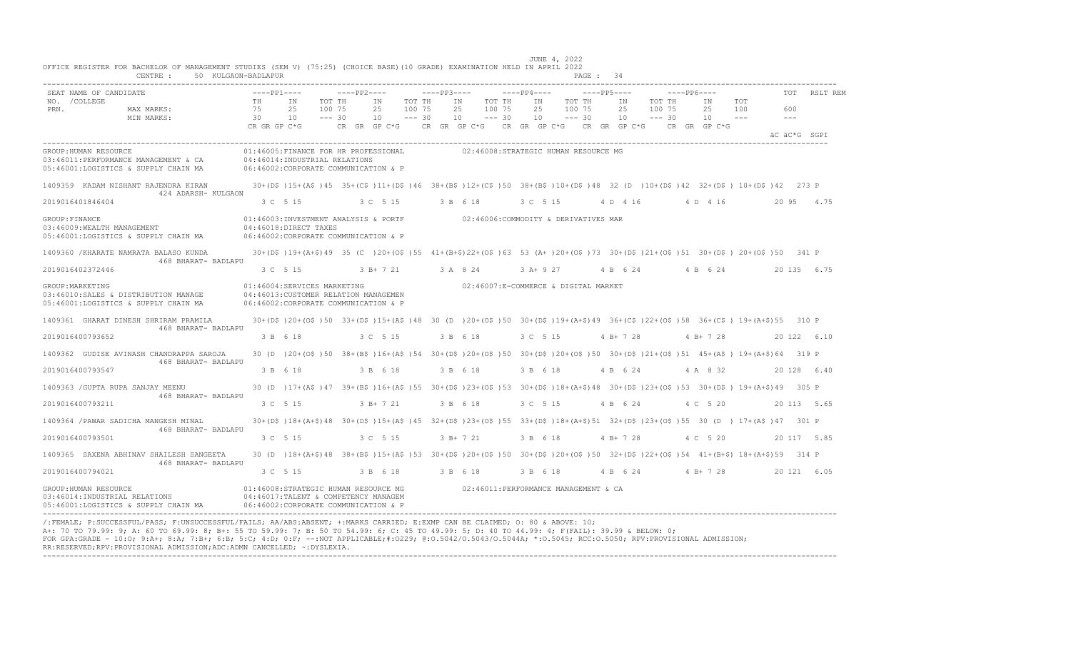|                  |                                                                                                                                                              |                   |                                                                                                                                                          |                       |                      |          |             |           |          |                   | JUNE 4, 2022                                 |                   |          |              |                     |       |               |              |
|------------------|--------------------------------------------------------------------------------------------------------------------------------------------------------------|-------------------|----------------------------------------------------------------------------------------------------------------------------------------------------------|-----------------------|----------------------|----------|-------------|-----------|----------|-------------------|----------------------------------------------|-------------------|----------|--------------|---------------------|-------|---------------|--------------|
|                  | OFFICE REGISTER FOR BACHELOR OF MANAGEMENT STUDIES (SEM V) (75:25) (CHOICE BASE)(10 GRADE) EXAMINATION HELD IN APRIL 2022<br>CENTRE :<br>50 KULGAON-BADLAPUR |                   |                                                                                                                                                          |                       |                      |          |             |           |          |                   |                                              | PAGE: 34          |          |              |                     |       |               |              |
|                  |                                                                                                                                                              |                   |                                                                                                                                                          |                       |                      |          |             |           |          |                   |                                              |                   |          |              |                     |       |               |              |
| NO. / COLLEGE    | SEAT NAME OF CANDIDATE                                                                                                                                       | $---PP1---$<br>TH | IN                                                                                                                                                       | $---PP2---$<br>TOT TH | IN                   | TOT TH   | $---PP3---$ | IN        | TOT TH   | $---PP4---$<br>IN | TOT TH                                       | $---PP5---$<br>IN | TOT TH   | -----PP6---- | IN                  | TOT   |               | TOT RSLT REM |
| PRN.             | MAX MARKS:                                                                                                                                                   | 75                | 100 75<br>2.5                                                                                                                                            |                       | 25                   | 100 75   | 2.5         |           | 100 75   | 25                | 100 75                                       | 2.5               | 100 75   |              | 25                  | 100   | 600           |              |
|                  | MIN MARKS:                                                                                                                                                   | 30                | 10                                                                                                                                                       | $--- 30$              | 10                   | $--- 30$ | 10          |           | $--- 30$ | 10                | $--- 30$                                     | 10                | $--- 30$ |              | 10                  | $  -$ | $\frac{1}{2}$ |              |
|                  |                                                                                                                                                              | CR GR GP C*G      |                                                                                                                                                          |                       | $CR$ $GR$ $GP$ $C*G$ |          |             |           |          |                   | CR GR GP $C*G$ CR GR GP $C*G$ CR GR GP $C*G$ |                   |          |              | CR GR GP C*G        |       | äC äC*G SGPI  |              |
|                  | GROUP: HUMAN RESOURCE                                                                                                                                        |                   | 01:46005:FINANCE FOR HR PROFESSIONAL                                                                                                                     |                       |                      |          |             |           |          |                   | 02:46008:STRATEGIC HUMAN RESOURCE MG         |                   |          |              |                     |       |               |              |
|                  | 03:46011:PERFORMANCE MANAGEMENT & CA                                                                                                                         |                   | 04:46014:INDUSTRIAL RELATIONS                                                                                                                            |                       |                      |          |             |           |          |                   |                                              |                   |          |              |                     |       |               |              |
|                  | 05:46001:LOGISTICS & SUPPLY CHAIN MA                                                                                                                         |                   | 06:46002: CORPORATE COMMUNICATION & P                                                                                                                    |                       |                      |          |             |           |          |                   |                                              |                   |          |              |                     |       |               |              |
|                  | 1409359 KADAM NISHANT RAJENDRA KIRAN<br>424 ADARSH- KULGAON                                                                                                  |                   | 30+(D\$)15+(A\$)45 35+(C\$)11+(D\$)46 38+(B\$)12+(C\$)50 38+(B\$)10+(D\$)48 32 (D )10+(D\$)42 32+(D\$) 10+(D\$)42 273 P                                  |                       |                      |          |             |           |          |                   |                                              |                   |          |              |                     |       |               |              |
| 2019016401846404 |                                                                                                                                                              |                   | 3 C 5 15                                                                                                                                                 |                       | 3 C 5 15             |          | 3 B 6 18    |           |          | 3 C 5 15          |                                              | 4 D 4 16          |          |              | 4 D 4 16            |       |               | 20 95 4.75   |
| GROUP: FINANCE   |                                                                                                                                                              |                   | 01:46003:INVESTMENT ANALYSIS & PORTF 02:46006:COMMODITY & DERIVATIVES MAR                                                                                |                       |                      |          |             |           |          |                   |                                              |                   |          |              |                     |       |               |              |
|                  | 03:46009:WEALTH MANAGEMENT                                                                                                                                   |                   | 04:46018:DIRECT TAXES                                                                                                                                    |                       |                      |          |             |           |          |                   |                                              |                   |          |              |                     |       |               |              |
|                  | 05:46001:LOGISTICS & SUPPLY CHAIN MA                                                                                                                         |                   | 06:46002: CORPORATE COMMUNICATION & P                                                                                                                    |                       |                      |          |             |           |          |                   |                                              |                   |          |              |                     |       |               |              |
|                  | 1409360 / KHARATE NAMRATA BALASO KUNDA<br>468 BHARAT- BADLAPU                                                                                                |                   | 30+(D\$)19+(A+\$)49 35 (C)20+(O\$)55 41+(B+\$)22+(O\$)63 53 (A+)20+(O\$)73 30+(D\$)21+(O\$)51 30+(D\$)20+(O\$)50 341 P                                   |                       |                      |          |             |           |          |                   |                                              |                   |          |              |                     |       |               |              |
| 2019016402372446 |                                                                                                                                                              |                   | 3 C 5 15 3 B + 7 21 3 A 8 24                                                                                                                             |                       |                      |          |             |           |          |                   | 3 A + 9 27 4 B 6 24 4 B 6 24                 |                   |          |              |                     |       | 20 135 6.75   |              |
| GROUP: MARKETING | 03:46010:SALES & DISTRIBUTION MANAGE<br>05:46001:LOGISTICS & SUPPLY CHAIN MA                                                                                 |                   | 01:46004:SERVICES MARKETING<br>04:46013: CUSTOMER RELATION MANAGEMEN<br>06:46002:CORPORATE COMMUNICATION & P                                             |                       |                      |          |             |           |          |                   | 02:46007:E-COMMERCE & DIGITAL MARKET         |                   |          |              |                     |       |               |              |
|                  | 1409361 GHARAT DINESH SHRIRAM PRAMILA<br>468 BHARAT- BADLAPU                                                                                                 |                   | 30+(D\$)20+(O\$)50 33+(D\$)15+(A\$)48 30 (D )20+(O\$)50 30+(D\$)19+(A+\$)49 36+(C\$)22+(O\$)58 36+(C\$) 19+(A+\$)55 310 P                                |                       |                      |          |             |           |          |                   |                                              |                   |          |              |                     |       |               |              |
| 2019016400793652 |                                                                                                                                                              |                   | 3 B 6 18                                                                                                                                                 |                       | 3 C 5 15             |          |             | 3 B 6 18  |          | 3 C 5 15          |                                              | $4 B+ 7 28$       |          |              | $4 B+ 7 28$         |       |               | 20 122 6.10  |
|                  | 1409362 GUDISE AVINASH CHANDRAPPA SAROJA<br>468 BHARAT- BADLAPU                                                                                              |                   | 30 (D) 20+(O\$)50 38+(B\$)16+(A\$)54 30+(D\$)20+(O\$)50 30+(D\$)20+(O\$)50 30+(D\$)21+(O\$)51 45+(A\$) 19+(A+\$)64 319 P                                 |                       |                      |          |             |           |          |                   |                                              |                   |          |              |                     |       |               |              |
| 2019016400793547 |                                                                                                                                                              |                   | 3 B 6 18                                                                                                                                                 |                       | 3 B 6 18             |          |             | 3 B 6 18  |          | 3 B 6 18          |                                              | 4 B 6 24          |          |              | 4 A 8 32            |       |               | 20 128 6.40  |
|                  | 1409363 / GUPTA RUPA SANJAY MEENU<br>468 BHARAT- BADLAPU                                                                                                     |                   | 30 (D ) 17+ (A\$ ) 47 39+ (B\$ ) 16+ (A\$ ) 55 30+ (D\$ ) 23+ (O\$ ) 53 30+ (D\$ ) 18+ (A+\$) 48 30+ (D\$ ) 23+ (O\$ ) 53 30+ (D\$ ) 19+ (A+\$) 49 305 P |                       |                      |          |             |           |          |                   |                                              |                   |          |              |                     |       |               |              |
| 2019016400793211 |                                                                                                                                                              | 3 C 5 15          |                                                                                                                                                          |                       | 3 B+ 7 21            |          | 3 B 6 18    |           |          | 3 C 5 15          |                                              | 4 B 6 24          |          |              | 4 C 5 20            |       |               | 20 113 5.65  |
|                  | 1409364 / PAWAR SADICHA MANGESH MINAL<br>468 BHARAT- BADLAPU                                                                                                 |                   | 30+(D\$)18+(A+\$)48 30+(D\$)15+(A\$)45 32+(D\$)23+(O\$)55 33+(D\$)18+(A+\$)51 32+(D\$)23+(O\$)55 30 (D) 17+(A\$)47 301 P                                 |                       |                      |          |             |           |          |                   |                                              |                   |          |              |                     |       |               |              |
| 2019016400793501 |                                                                                                                                                              |                   | 3 C 5 15                                                                                                                                                 |                       | 3 C 5 15             |          |             | $3 B+721$ |          | 3 B 6 18          |                                              | $4 B+ 7 28$       |          |              | 4 C 5 20            |       |               | 20 117 5.85  |
|                  | 1409365 SAXENA ABHINAV SHAILESH SANGEETA<br>468 BHARAT- BADLAPU                                                                                              |                   | 30 (D) 18+ (A+\$) 48 38+ (B\$) 15+ (A\$) 53 30+ (D\$) 20+ (O\$) 50 30+ (D\$) 20+ (O\$) 50 32+ (D\$) 22+ (O\$) 54 41+ (B+\$) 18+ (A+\$) 59 314 P          |                       |                      |          |             |           |          |                   |                                              |                   |          |              |                     |       |               |              |
| 2019016400794021 |                                                                                                                                                              | 3 C 5 15          |                                                                                                                                                          |                       | 3 B 6 18             |          | 3 B 6 18    |           |          | 3 B 6 18          |                                              |                   |          |              | 4 B 6 24 4 B + 7 28 |       |               | 20 121 6.05  |
|                  | GROUP: HUMAN RESOURCE<br>03:46014: INDUSTRIAL RELATIONS<br>05:46001:LOGISTICS & SUPPLY CHAIN MA                                                              |                   | 01:46008:STRATEGIC HUMAN RESOURCE MG<br>04:46017:TALENT & COMPETENCY MANAGEM<br>06:46002:CORPORATE COMMUNICATION & P                                     |                       |                      |          |             |           |          |                   | 02:46011: PERFORMANCE MANAGEMENT & CA        |                   |          |              |                     |       |               |              |

---------------------------------------------------------------------------------------------------------------------------------------------------------------------------------- /:FEMALE; P:SUCCESSFUL/PASS; F:UNSUCCESSFUL/FAILS; AA/ABS:ABSENT; +:MARKS CARRIED; E:EXMP CAN BE CLAIMED; O: 80 & ABOVE: 10; A+: 70 TO 79.99: 9; A: 60 TO 69.99: 8; B+: 55 TO 59.99: 7; B: 50 TO 54.99: 6; C: 45 TO 49.99: 5; D: 40 TO 44.99: 4; F(FAIL): 39.99 & BELOW: 0; FOR GPA:GRADE - 10:O; 9:A+; 8:A; 7:B+; 6:B; 5:C; 4:D; 0:F; --:NOT APPLICABLE;#:O229; @:O.5042/O.5043/O.5044A; \*:O.5045; RCC:O.5050; RPV:PROVISIONAL ADMISSION; RR:RESERVED;RPV:PROVISIONAL ADMISSION;ADC:ADMN CANCELLED; ~:DYSLEXIA. ----------------------------------------------------------------------------------------------------------------------------------------------------------------------------------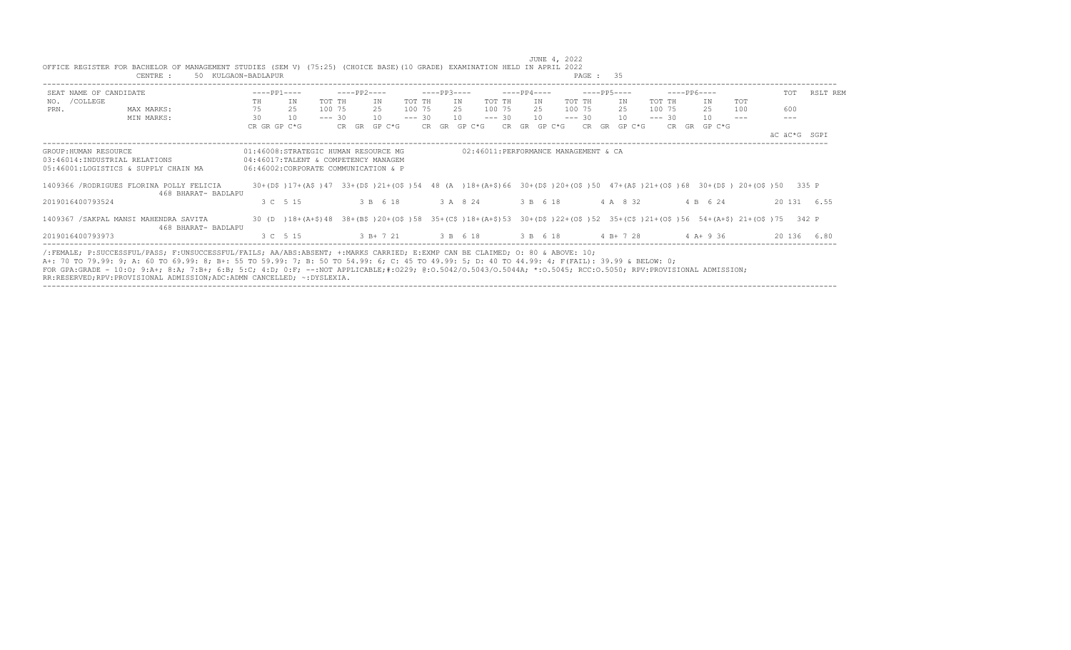|                                                                                                | CENTRE :<br>50 KULGAON-BADLAPUR |    |              |        |             |                                                                                                                      |          |             |                           |          |             |                                      | PAGE : 35                                                                                                                 |          |             |              |                     |              |              |
|------------------------------------------------------------------------------------------------|---------------------------------|----|--------------|--------|-------------|----------------------------------------------------------------------------------------------------------------------|----------|-------------|---------------------------|----------|-------------|--------------------------------------|---------------------------------------------------------------------------------------------------------------------------|----------|-------------|--------------|---------------------|--------------|--------------|
| SEAT NAME OF CANDIDATE                                                                         |                                 |    | $---PP1---$  |        | $---PP2---$ |                                                                                                                      |          | $---PP3---$ |                           |          | $---PP4---$ |                                      | $---PP5---$                                                                                                               |          | $---PP6---$ |              |                     |              | TOT RSLT REM |
| NO. / COLLEGE                                                                                  |                                 | TH | IN           | TOT TH |             | ΙN                                                                                                                   | TOT TH   |             | IN                        | TOT TH   | IN          | TOT TH                               | IN                                                                                                                        | TOT TH   |             | IN           | TOT                 |              |              |
| PRN.                                                                                           | MAX MARKS:                      | 75 | 25           | 100 75 |             | 2.5                                                                                                                  | 100 75   |             | 2.5                       | 100 75   | 2.5         | 100 75                               | 2.5                                                                                                                       | 100 75   |             | 25           | 100                 | 600          |              |
|                                                                                                | MIN MARKS:                      | 30 | 10           |        | $--- 30$    | 10                                                                                                                   | $--- 30$ |             | 10                        | $--- 30$ | 10          | $--- 30$                             | 10 <sup>1</sup>                                                                                                           | $--- 30$ |             | 10           | $\qquad \qquad - -$ | $- - -$      |              |
|                                                                                                |                                 |    | CR GR GP C*G |        |             | CR GR GP C*G                                                                                                         |          |             | CR GR GP C*G CR GR GP C*G |          |             |                                      | CR GR GP C*G                                                                                                              |          |             | CR GR GP C*G |                     |              |              |
|                                                                                                |                                 |    |              |        |             |                                                                                                                      |          |             |                           |          |             |                                      |                                                                                                                           |          |             |              |                     | äC äC*G SGPI |              |
| GROUP: HUMAN RESOURCE<br>03:46014:INDUSTRIAL RELATIONS<br>05:46001:LOGISTICS & SUPPLY CHAIN MA |                                 |    |              |        |             | 01:46008:STRATEGIC HUMAN RESOURCE MG<br>04:46017:TALENT & COMPETENCY MANAGEM<br>06:46002:CORPORATE COMMUNICATION & P |          |             |                           |          |             | 02:46011:PERFORMANCE MANAGEMENT & CA |                                                                                                                           |          |             |              |                     |              |              |
| 1409366 /RODRIGUES FLORINA POLLY FELICIA                                                       | 468 BHARAT- BADLAPU             |    |              |        |             |                                                                                                                      |          |             |                           |          |             |                                      | 30+(D\$)17+(A\$)47 33+(D\$)21+(O\$)54 48 (A)18+(A+\$)66 30+(D\$)20+(O\$)50 47+(A\$)21+(O\$)68 30+(D\$)20+(O\$)50 335 P    |          |             |              |                     |              |              |
| 2019016400793524                                                                               |                                 |    | 3 C 5 15     |        |             | 3 B 6 18                                                                                                             |          |             | 3 A 8 24                  |          | 3 B 6 18    |                                      | 4 A 8 32                                                                                                                  |          |             | 4 B 6 24     |                     |              | 20 131 6.55  |
| 1409367 / SAKPAL MANSI MAHENDRA SAVITA                                                         | 468 BHARAT- BADLAPU             |    |              |        |             |                                                                                                                      |          |             |                           |          |             |                                      | 30 (D) 18+(A+\$)48 38+(B\$)20+(O\$)58 35+(C\$)18+(A+\$)53 30+(D\$)22+(O\$)52 35+(C\$)21+(O\$)56 54+(A+\$)21+(O\$)75 342 P |          |             |              |                     |              |              |
| 2019016400793973                                                                               |                                 |    | 3 C 5 15     |        |             | 3 B + 7 21 3 B 6 18                                                                                                  |          |             |                           |          |             | 3 B 6 18                             | $4 B+ 7 28$                                                                                                               |          |             | $4A+936$     |                     |              | 20 136 6.80  |

----------------------------------------------------------------------------------------------------------------------------------------------------------------------------------

 JUNE 4, 2022 OFFICE REGISTER FOR BACHELOR OF MANAGEMENT STUDIES (SEM V) (75:25) (CHOICE BASE)(10 GRADE) EXAMINATION HELD IN APRIL 2022 CENTRE : 50 KULGAON-BADLAPUR PAGE : 35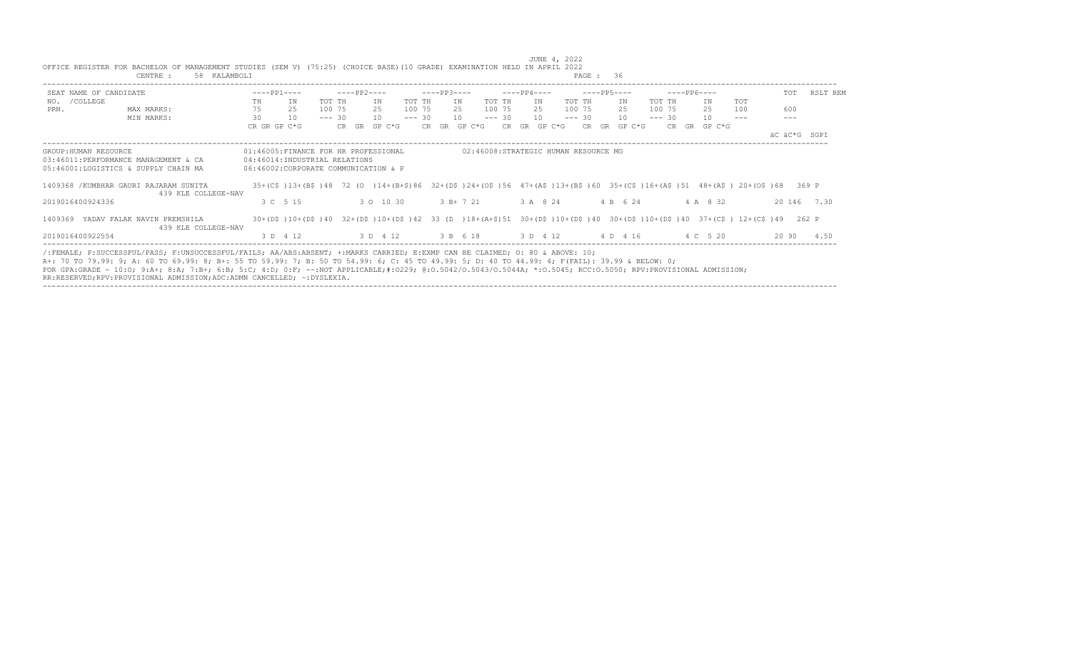|                        | CENTRE :<br>58 KALAMBOLI                                                                                                                                                                                                                                                                                                                                                                                                                                                                                                   |    |                                                                                                                          |          |                                                                         |          |             |                                      |          |             |          | PAGE: 36        |          |             |              |     |              |              |
|------------------------|----------------------------------------------------------------------------------------------------------------------------------------------------------------------------------------------------------------------------------------------------------------------------------------------------------------------------------------------------------------------------------------------------------------------------------------------------------------------------------------------------------------------------|----|--------------------------------------------------------------------------------------------------------------------------|----------|-------------------------------------------------------------------------|----------|-------------|--------------------------------------|----------|-------------|----------|-----------------|----------|-------------|--------------|-----|--------------|--------------|
| SEAT NAME OF CANDIDATE |                                                                                                                                                                                                                                                                                                                                                                                                                                                                                                                            |    | $---PP1---$                                                                                                              |          | $---PP2---$                                                             |          | $---PP3---$ |                                      |          | $---PP4---$ |          | ----- PP5----   |          | $---PP6---$ |              |     |              | TOT RSLT REM |
| NO. / COLLEGE          |                                                                                                                                                                                                                                                                                                                                                                                                                                                                                                                            | TH | IN                                                                                                                       | TOT TH   | IN                                                                      | TOT TH   |             | IN                                   | TOT TH   | IN          | TOT TH   | IN              | TOT TH   |             | ΙN           | TOT |              |              |
| PRN.                   | MAX MARKS:                                                                                                                                                                                                                                                                                                                                                                                                                                                                                                                 | 75 | 25                                                                                                                       | 100 75   | 25                                                                      | 100 75   |             | 25                                   | 100 75   | - 25        | 100 75   | 2.5             | 100 75   |             | 2.5          | 100 | 600          |              |
|                        | MIN MARKS:                                                                                                                                                                                                                                                                                                                                                                                                                                                                                                                 | 30 | 10                                                                                                                       | $--- 30$ | 10                                                                      | $--- 30$ |             | 10                                   | $--- 30$ | 10          | $--- 30$ | 10 <sup>1</sup> | $--- 30$ |             | 10           |     |              |              |
|                        |                                                                                                                                                                                                                                                                                                                                                                                                                                                                                                                            |    | CR GR GP C*G                                                                                                             |          | CR GR GP C*G                                                            |          |             | CR GR GP C*G CR GR GP C*G            |          |             |          | CR GR GP C*G    |          |             | CR GR GP C*G |     | AC AC*G SGPT |              |
| GROUP: HUMAN RESOURCE  | 03:46011:PERFORMANCE MANAGEMENT & CA<br>05:46001:LOGISTICS & SUPPLY CHAIN MA                                                                                                                                                                                                                                                                                                                                                                                                                                               |    | 01:46005:FINANCE FOR HR PROFESSIONAL<br>04:46014:INDUSTRIAL RELATIONS<br>06:46002:CORPORATE COMMUNICATION & P            |          |                                                                         |          |             | 02:46008:STRATEGIC HUMAN RESOURCE MG |          |             |          |                 |          |             |              |     |              |              |
|                        |                                                                                                                                                                                                                                                                                                                                                                                                                                                                                                                            |    |                                                                                                                          |          |                                                                         |          |             |                                      |          |             |          |                 |          |             |              |     |              |              |
|                        | 1409368 / KUMBHAR GAURI RAJARAM SUNITA<br>439 KLE COLLEGE-NAV                                                                                                                                                                                                                                                                                                                                                                                                                                                              |    | 35+(C\$)13+(B\$)48 72 (0) 14+(B+\$)86 32+(D\$)24+(O\$)56 47+(A\$)13+(B\$)60 35+(C\$)16+(A\$)51 48+(A\$) 20+(O\$)68 369 P |          |                                                                         |          |             |                                      |          |             |          |                 |          |             |              |     |              |              |
| 2019016400924336       |                                                                                                                                                                                                                                                                                                                                                                                                                                                                                                                            |    | 3 C 5 15                                                                                                                 |          | 3 0 10 30                                                               |          |             | $3B+721$                             |          | 3 A 8 24    |          | 4 B 6 24        |          |             | 4 A 8 32     |     |              | 20 146 7.30  |
|                        | 1409369 YADAV FALAK NAVIN PREMSHILA<br>439 KLE COLLEGE-NAV                                                                                                                                                                                                                                                                                                                                                                                                                                                                 |    | 30+(D\$)10+(D\$)40 32+(D\$)10+(D\$)42 33 (D )18+(A+\$)51 30+(D\$)10+(D\$)40 30+(D\$)10+(D\$)40 37+(C\$) 12+(C\$)49 262 P |          |                                                                         |          |             |                                      |          |             |          |                 |          |             |              |     |              |              |
| 2019016400922554       |                                                                                                                                                                                                                                                                                                                                                                                                                                                                                                                            |    | 3 D 4 12                                                                                                                 |          | 3 D    4 12    3 B    6 18    3 D    4 12    4 D    4 16    4 C    5 20 |          |             |                                      |          |             |          |                 |          |             |              |     |              | 20 90 4.50   |
|                        | /:FEMALE; P:SUCCESSFUL/PASS; F:UNSUCCESSFUL/FAILS; AA/ABS:ABSENT; +:MARKS CARRIED; E:EXMP CAN BE CLAIMED; O: 80 & ABOVE: 10;<br>A+: 70 TO 79.99: 9; A: 60 TO 69.99: 8; B+: 55 TO 59.99: 7; B: 50 TO 54.99: 6; C: 45 TO 49.99: 5; D: 40 TO 44.99: 4; F(FAIL): 39.99 & BELOW: 0;<br>FOR GPA:GRADE - 10:0; 9:A+; 8:A; 7:B+; 6:B; 5:C; 4:D; 0:F; --:NOT APPLICABLE;#:0229; 0:0.5042/0.5043/0.5044A; *:0.5045; RCC:0.5050; RPV:PROVISIONAL ADMISSION;<br>RR:RESERVED;RPV:PROVISIONAL ADMISSION;ADC:ADMN CANCELLED; ~: DYSLEXIA. |    |                                                                                                                          |          |                                                                         |          |             |                                      |          |             |          |                 |          |             |              |     |              |              |

----------------------------------------------------------------------------------------------------------------------------------------------------------------------------------

 JUNE 4, 2022 OFFICE REGISTER FOR BACHELOR OF MANAGEMENT STUDIES (SEM V) (75:25) (CHOICE BASE)(10 GRADE) EXAMINATION HELD IN APRIL 2022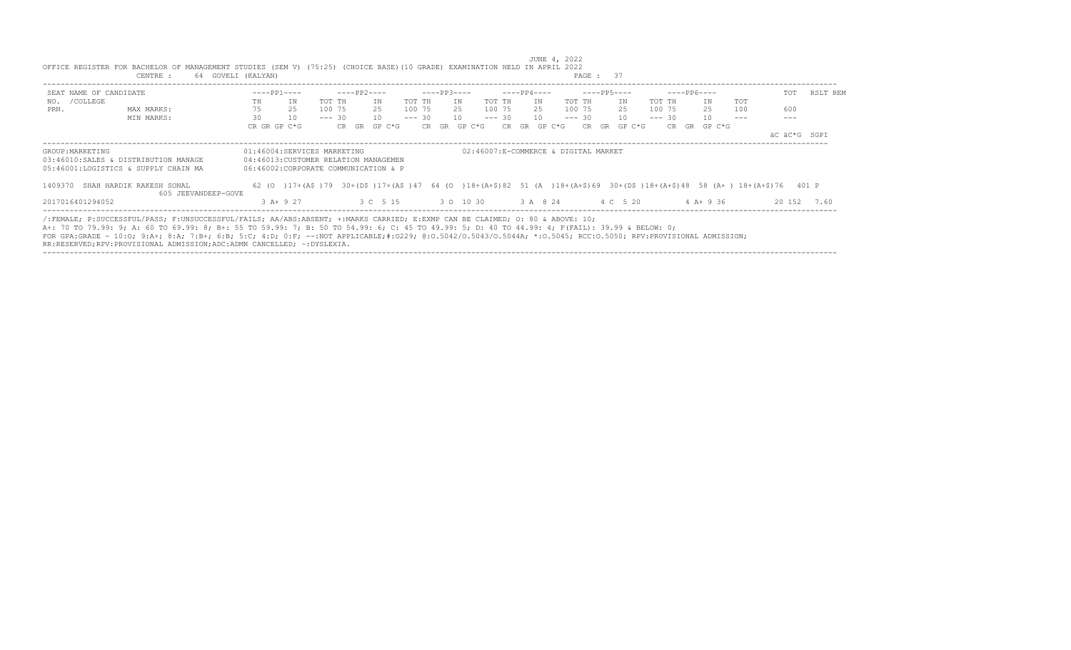|                                                                                                                                                                                                                                                                                |    | $---PP1---$                          |          |       | $---PP2---$ |          | $---PP3---$ |                    |          | $---PP4---$ |        |                                                                                                                           |    | $---PP5---$ |          | $---PP6---$ |              |            |              |          |
|--------------------------------------------------------------------------------------------------------------------------------------------------------------------------------------------------------------------------------------------------------------------------------|----|--------------------------------------|----------|-------|-------------|----------|-------------|--------------------|----------|-------------|--------|---------------------------------------------------------------------------------------------------------------------------|----|-------------|----------|-------------|--------------|------------|--------------|----------|
| SEAT NAME OF CANDIDATE                                                                                                                                                                                                                                                         |    |                                      |          |       |             |          |             |                    |          |             |        |                                                                                                                           |    |             |          |             |              |            | TOT          | RSLT REM |
| NO. / COLLEGE                                                                                                                                                                                                                                                                  | TH | IN                                   | TOT TH   |       | IN          | TOT TH   | TN          |                    | TOT TH   |             | IN     | TOT TH                                                                                                                    |    | IN          | TOT TH   |             | IN           | <b>TOT</b> |              |          |
| PRN.<br>MAX MARKS:                                                                                                                                                                                                                                                             | 75 | 25                                   | 100 75   |       | 25          | 100 75   | 25          |                    | 100 75   |             | 25     | 100 75                                                                                                                    |    | 25          | 100 75   |             | 25           | 100        | 600          |          |
| MIN MARKS:                                                                                                                                                                                                                                                                     | 30 | 10                                   | $--- 30$ |       | 10          | $--- 30$ |             | 10                 | $--- 30$ |             | 10     | $--- 30$                                                                                                                  |    | 10          | $--- 30$ |             | 10           |            |              |          |
|                                                                                                                                                                                                                                                                                |    | CR GR GP C*G                         |          | CR GR | GP C*G      | CR GR    |             | GP C*G             | CR.      | GR          | GP C*G | CR                                                                                                                        | GR | GP C*G      |          | CR.<br>GR   | GP C*G       |            |              |          |
|                                                                                                                                                                                                                                                                                |    |                                      |          |       |             |          |             |                    |          |             |        |                                                                                                                           |    |             |          |             |              |            | äC äC*G SGPI |          |
| GROUP: MARKETING                                                                                                                                                                                                                                                               |    | 01:46004:SERVICES MARKETING          |          |       |             |          |             |                    |          |             |        | 02:46007:E-COMMERCE & DIGITAL MARKET                                                                                      |    |             |          |             |              |            |              |          |
| 03:46010:SALES & DISTRIBUTION MANAGE                                                                                                                                                                                                                                           |    | 04:46013:CUSTOMER RELATION MANAGEMEN |          |       |             |          |             |                    |          |             |        |                                                                                                                           |    |             |          |             |              |            |              |          |
| 05:46001:LOGISTICS & SUPPLY CHAIN MA                                                                                                                                                                                                                                           |    | 06:46002:CORPORATE COMMUNICATION & P |          |       |             |          |             |                    |          |             |        |                                                                                                                           |    |             |          |             |              |            |              |          |
| 1409370 SHAH HARDIK RAKESH SONAL                                                                                                                                                                                                                                               |    |                                      |          |       |             |          |             |                    |          |             |        | 62 (0) 17+(A\$)79 30+(D\$) 17+(A\$)47 64 (0) 18+(A+\$)82 51 (A) 18+(A+\$)69 30+(D\$)18+(A+\$)48 58 (A+) 18+(A+\$)76 401 P |    |             |          |             |              |            |              |          |
| 605 JEEVANDEEP-GOVE                                                                                                                                                                                                                                                            |    |                                      |          |       |             |          |             |                    |          |             |        |                                                                                                                           |    |             |          |             |              |            |              |          |
| 2017016401294052                                                                                                                                                                                                                                                               |    | $3$ A+ 9 27                          |          |       | 3 C 5 15    |          |             | 3 0 10 30 3 A 8 24 |          |             |        |                                                                                                                           |    | 4 C 5 20    |          |             | $4$ A + 9 36 |            | 20 152       | 7.60     |
|                                                                                                                                                                                                                                                                                |    |                                      |          |       |             |          |             |                    |          |             |        |                                                                                                                           |    |             |          |             |              |            |              |          |
| /:FEMALE: P:SUCCESSFUL/PASS: F:UNSUCCESSFUL/FAILS: AA/ABS:ABSENT: +:MARKS CARRIED: E:EXMP CAN BE CLAIMED: 0: 80 & ABOVE: 10:<br>A+: 70 TO 79.99: 9; A: 60 TO 69.99: 8; B+: 55 TO 59.99: 7; B: 50 TO 54.99: 6; C: 45 TO 49.99: 5; D: 40 TO 44.99: 4; F(FAIL): 39.99 & BELOW: 0; |    |                                      |          |       |             |          |             |                    |          |             |        |                                                                                                                           |    |             |          |             |              |            |              |          |
|                                                                                                                                                                                                                                                                                |    |                                      |          |       |             |          |             |                    |          |             |        |                                                                                                                           |    |             |          |             |              |            |              |          |
| FOR GPA:GRADE - 10:0; 9:A+; 8:A; 7:B+; 6:B; 5:C; 4:D; 0:F; --:NOT APPLICABLE;#:0229; 0:0.5042/0.50440; *:0.5044A; *:0.5045; RCC:0.5050; RPV:PROVISIONAL ADMISSION;                                                                                                             |    |                                      |          |       |             |          |             |                    |          |             |        |                                                                                                                           |    |             |          |             |              |            |              |          |
| RR:RESERVED;RPV:PROVISIONAL ADMISSION;ADC:ADMN CANCELLED; ~:DYSLEXIA.                                                                                                                                                                                                          |    |                                      |          |       |             |          |             |                    |          |             |        |                                                                                                                           |    |             |          |             |              |            |              |          |

 JUNE 4, 2022 OFFICE REGISTER FOR BACHELOR OF MANAGEMENT STUDIES (SEM V) (75:25) (CHOICE BASE)(10 GRADE) EXAMINATION HELD IN APRIL 2022 CENTRE : 64 GOVELI (KALYAN) PAGE : 37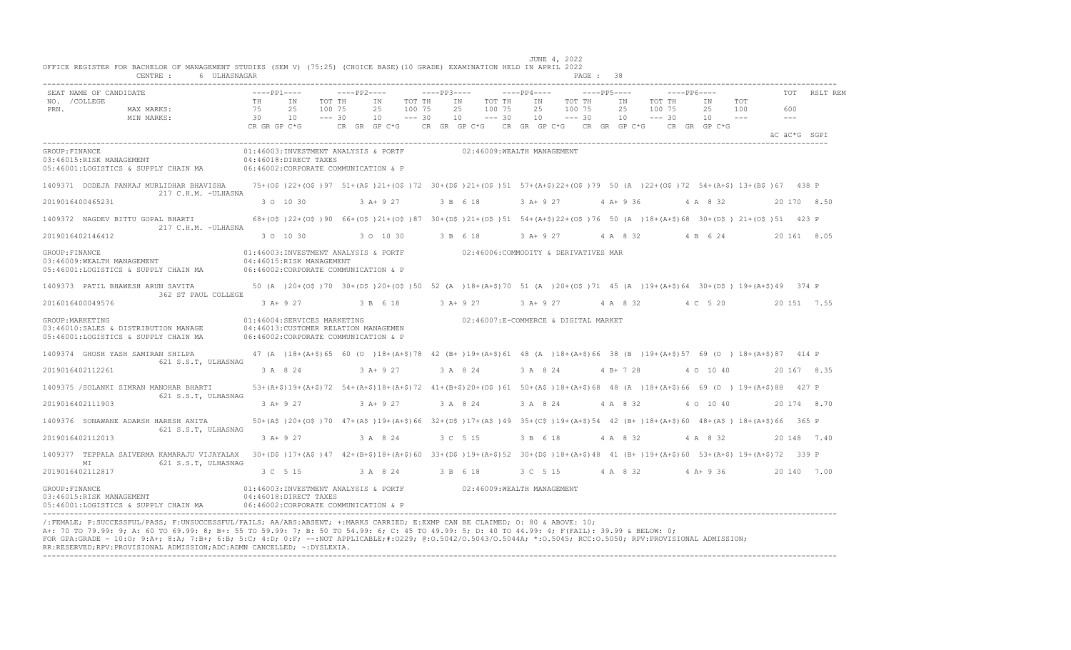| SEAT NAME OF CANDIDATE                                                                                                    | $---PP1---$                    |                                                                                                                                  | $---PP2---$ |                                                                                                                                | $---PP3---$ |                                                | $---PP4---$ |                | $---PP5---$                  |                 | $---PP6---$                  |                              |                            | TOT            | RSLT REM    |
|---------------------------------------------------------------------------------------------------------------------------|--------------------------------|----------------------------------------------------------------------------------------------------------------------------------|-------------|--------------------------------------------------------------------------------------------------------------------------------|-------------|------------------------------------------------|-------------|----------------|------------------------------|-----------------|------------------------------|------------------------------|----------------------------|----------------|-------------|
| NO. / COLLEGE<br>PRN.<br>MAX MARKS:<br>MIN MARKS:                                                                         | TH<br>75<br>30<br>CR GR GP C*G | TOT TH<br>IN<br>2.5<br>100 75<br>10<br>$--- 30$                                                                                  |             | TOT TH<br>IN<br>2.5<br>100 75<br>10<br>$--- 30$<br>CR GR GP C*G $CR$ GR GP C*G $CR$ GR GP C*G $CR$ GR GP C*G $CR$ GR GR GP C*G |             | TOT TH<br>IN<br>25<br>100 75<br>10<br>$--- 30$ |             | IN<br>25<br>10 | TOT TH<br>100 75<br>$--- 30$ | IN<br>2.5<br>10 | TOT TH<br>100 75<br>$--- 30$ | IN<br>2.5<br>10              | TOT<br>100<br>$\sim$ $  -$ | 600<br>$   \,$ |             |
|                                                                                                                           |                                |                                                                                                                                  |             |                                                                                                                                |             |                                                |             |                |                              |                 |                              |                              |                            | äC äC*G SGPI   |             |
| GROUP: FINANCE<br>03:46015:RISK MANAGEMENT<br>05:46001:LOGISTICS & SUPPLY CHAIN MA                                        |                                | 01:46003:INVESTMENT ANALYSIS & PORTF<br>04:46018:DIRECT TAXES<br>06:46002:CORPORATE COMMUNICATION & P                            |             |                                                                                                                                |             | 02:46009:WEALTH MANAGEMENT                     |             |                |                              |                 |                              |                              |                            |                |             |
| 1409371 DODEJA PANKAJ MURLIDHAR BHAVISHA<br>217 C.H.M. -ULHASNA                                                           |                                | 75+(0\$)22+(0\$)97 51+(A\$)21+(0\$)72 30+(D\$)21+(0\$)51 57+(A+\$)22+(0\$)79 50 (A)22+(0\$)72 54+(A+\$)13+(B\$)67 438 P          |             |                                                                                                                                |             |                                                |             |                |                              |                 |                              |                              |                            |                |             |
| 2019016400465231                                                                                                          |                                | 3 0 10 30                                                                                                                        |             | $3 A+9 27$                                                                                                                     |             | 3 B 6 18                                       |             | 3 A+ 9 27      |                              | $4 A+9 36$      |                              | 4 A 8 32                     |                            |                | 20 170 8.50 |
| 1409372 NAGDEV BITTU GOPAL BHARTI<br>217 C.H.M. - ULHASNA                                                                 |                                | 68+(0\$)22+(0\$)90 66+(0\$)21+(0\$)87 30+(D\$)21+(0\$)51 54+(A+\$)22+(0\$)76 50 (A)18+(A+\$)68 30+(D\$)21+(0\$)51 423 P          |             |                                                                                                                                |             |                                                |             |                |                              |                 |                              |                              |                            |                |             |
| 2019016402146412                                                                                                          |                                | 3 0 10 30                                                                                                                        |             | 3 0 10 30                                                                                                                      |             | 3 B 6 18                                       |             | 3 A+ 9 27      |                              | 4 A 8 32        |                              | 4 B 6 24                     |                            |                | 20 161 8.05 |
| GROUP: FINANCE<br>03:46009:WEALTH MANAGEMENT<br>05:46001:LOGISTICS & SUPPLY CHAIN MA 06:46002:CORPORATE COMMUNICATION & P |                                | 01:46003:INVESTMENT ANALYSIS & PORTF 02:46006:COMMODITY & DERIVATIVES MAR<br>04:46015:RISK MANAGEMENT                            |             |                                                                                                                                |             |                                                |             |                |                              |                 |                              |                              |                            |                |             |
| 1409373 PATIL BHAWESH ARUN SAVITA                                                                                         |                                | 50 (A )20+(O\$)70 30+(D\$)20+(O\$)50 52 (A )18+(A+\$)70 51 (A )20+(O\$)71 45 (A )19+(A+\$)64 30+(D\$) 19+(A+\$)49 374 P          |             |                                                                                                                                |             |                                                |             |                |                              |                 |                              |                              |                            |                |             |
| 362 ST PAUL COLLEGE<br>2016016400049576                                                                                   |                                | 3 A + 9 27 3 B 6 18 3 A + 9 27                                                                                                   |             |                                                                                                                                |             |                                                |             |                |                              |                 |                              | 3 A + 9 27 4 A 8 32 4 C 5 20 |                            |                | 20 151 7.55 |
| GROUP: MARKETING<br>03:46010:SALES & DISTRIBUTION MANAGE<br>05:46001:LOGISTICS & SUPPLY CHAIN MA                          |                                | 01:46004:SERVICES MARKETING<br>04:46013: CUSTOMER RELATION MANAGEMEN<br>06:46002:CORPORATE COMMUNICATION & P                     |             |                                                                                                                                |             | 02:46007:E-COMMERCE & DIGITAL MARKET           |             |                |                              |                 |                              |                              |                            |                |             |
| 1409374 GHOSH YASH SAMIRAN SHILPA<br>621 S.S.T, ULHASNAG                                                                  |                                | 47 (A )18+(A+\$)65 60 (O )18+(A+\$)78 42 (B+)19+(A+\$)61 48 (A )18+(A+\$)66 38 (B )19+(A+\$)57 69 (O )18+(A+\$)87 414 P          |             |                                                                                                                                |             |                                                |             |                |                              |                 |                              |                              |                            |                |             |
| 2019016402112261                                                                                                          |                                | 3 A 8 24                                                                                                                         |             | $3A+927$                                                                                                                       |             | 3 A 8 24                                       |             | 3 A 8 24       |                              | 4 B+ 7 28       |                              | 4 0 10 40                    |                            |                | 20 167 8.35 |
| 1409375 /SOLANKI SIMRAN MANOHAR BHARTI<br>621 S.S.T, ULHASNAG                                                             |                                | 53+(A+\$)19+(A+\$)72 54+(A+\$)18+(A+\$)72 41+(B+\$)20+(O\$)61 50+(A\$)18+(A+\$)68 48 (A)18+(A+\$)66 69 (O) 19+(A+\$)88 427 P     |             |                                                                                                                                |             |                                                |             |                |                              |                 |                              |                              |                            |                |             |
| 2019016402111903                                                                                                          | $3$ A+ 9 27                    |                                                                                                                                  |             | $3$ A+ 9 27                                                                                                                    |             | 3 A 8 24                                       |             | 3 A 8 24       |                              | 4 A 8 32        |                              | 4 0 10 40                    |                            |                | 20 174 8.70 |
| 1409376 SONAWANE ADARSH HARESH ANITA<br>621 S.S.T, ULHASNAG                                                               |                                | 50+(A\$)20+(O\$)70 47+(A\$)19+(A+\$)66 32+(D\$)17+(A\$)49 35+(C\$)19+(A+\$)54 42 (B+)18+(A+\$)60 48+(A\$) 18+(A+\$)66 365 P      |             |                                                                                                                                |             |                                                |             |                |                              |                 |                              |                              |                            |                |             |
| 2019016402112013                                                                                                          |                                | $3 A+9 27$                                                                                                                       |             | 3 A 8 24                                                                                                                       |             | 3 C 5 15                                       |             | 3 B 6 18       |                              | 4 A 8 32        |                              | 4 A 8 32                     |                            |                | 20 148 7.40 |
| 1409377 TEPPALA SAIVERMA KAMARAJU VIJAYALAX<br>621 S.S.T, ULHASNAG<br>МI                                                  |                                | 30+(D\$)17+(A\$)47 42+(B+\$)18+(A+\$)60 33+(D\$)19+(A+\$)52 30+(D\$)18+(A+\$)48 41 (B+)19+(A+\$)60 53+(A+\$)19+(A+\$)72 339 P    |             |                                                                                                                                |             |                                                |             |                |                              |                 |                              |                              |                            |                |             |
| 2019016402112817                                                                                                          |                                | 3 C 5 15                                                                                                                         |             | 3 A 8 24 3 B 6 18                                                                                                              |             |                                                |             |                |                              |                 |                              | 3 C 5 15 4 A 8 32 4 A + 9 36 |                            |                | 20 140 7.00 |
| GROUP: FINANCE<br>03:46015:RISK MANAGEMENT<br>05:46001:LOGISTICS & SUPPLY CHAIN MA                                        |                                | 01:46003:INVESTMENT ANALYSIS & PORTF 02:46009:WEALTH MANAGEMENT<br>04:46018:DIRECT TAXES<br>06:46002:CORPORATE COMMUNICATION & P |             |                                                                                                                                |             |                                                |             |                |                              |                 |                              |                              |                            |                |             |

---------------------------------------------------------------------------------------------------------------------------------------------------------------------------------- /:FEMALE; P:SUCCESSFUL/PASS; F:UNSUCCESSFUL/FAILS; AA/ABS:ABSENT; +:MARKS CARRIED; E:EXMP CAN BE CLAIMED; O: 80 & ABOVE: 10; A+: 70 TO 79.99: 9; A: 60 TO 69.99: 8; B+: 55 TO 59.99: 7; B: 50 TO 54.99: 6; C: 45 TO 49.99: 5; D: 40 TO 44.99: 4; F(FAIL): 39.99 & BELOW: 0; FOR GPA:GRADE - 10:O; 9:A+; 8:A; 7:B+; 6:B; 5:C; 4:D; 0:F; --:NOT APPLICABLE;#:O229; @:O.5042/O.5043/O.5044A; \*:O.5045; RCC:O.5050; RPV:PROVISIONAL ADMISSION; RR:RESERVED;RPV:PROVISIONAL ADMISSION;ADC:ADMN CANCELLED; ~:DYSLEXIA. ----------------------------------------------------------------------------------------------------------------------------------------------------------------------------------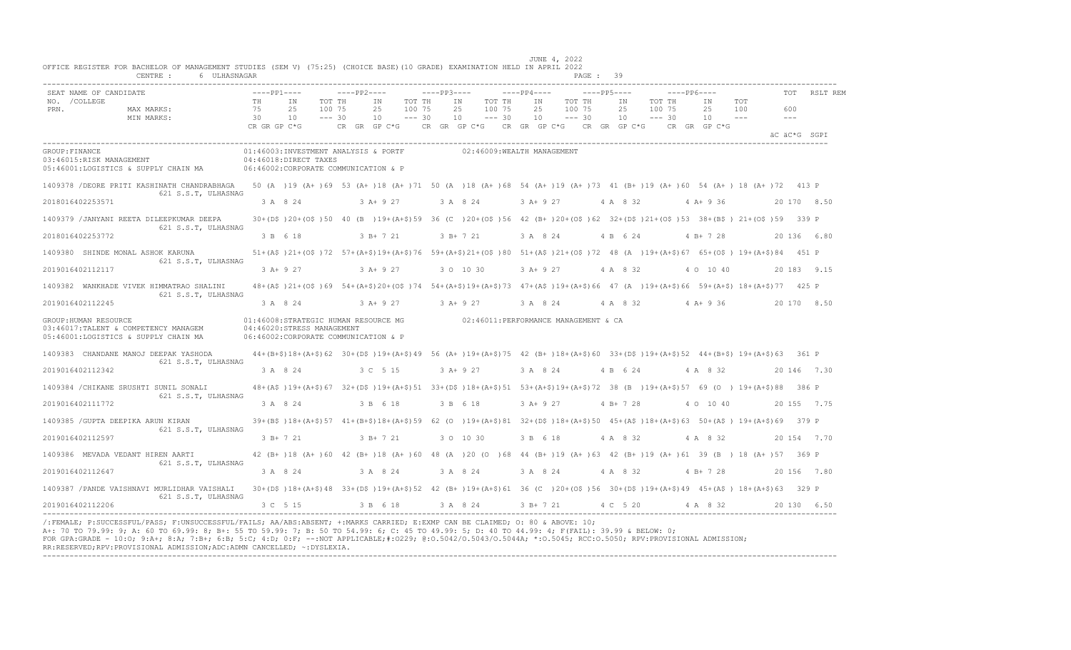| SEAT NAME OF CANDIDATE                     |                                                                                                                                                                   | $---PP1---$    |                                                                                                                                                    | $---pp2---$           |                              | $---PP3---$ |                                              |                              | $---PP4---$         |                              | $---PP5---$     |                              | $---PP6---$         |                              | TOT                        | RSLT REM    |
|--------------------------------------------|-------------------------------------------------------------------------------------------------------------------------------------------------------------------|----------------|----------------------------------------------------------------------------------------------------------------------------------------------------|-----------------------|------------------------------|-------------|----------------------------------------------|------------------------------|---------------------|------------------------------|-----------------|------------------------------|---------------------|------------------------------|----------------------------|-------------|
| NO. / COLLEGE<br>PRN.                      | MAX MARKS:<br>MIN MARKS:                                                                                                                                          | TH<br>75<br>30 | TN<br>TOT TH<br>25<br>100 75<br>10<br>$--- 30$                                                                                                     | TN<br>2.5<br>10       | TOT TH<br>100 75<br>$--- 30$ |             | TN<br>2.5<br>10                              | TOT TH<br>100 75<br>$--- 30$ | TN<br>25<br>10      | TOT TH<br>100 75<br>$--- 30$ | TN<br>2.5<br>10 | TOT TH<br>100 75<br>$--- 30$ | TN<br>2.5<br>10     | <b>TOT</b><br>100<br>$- - -$ | 600<br>$\qquad \qquad - -$ |             |
|                                            |                                                                                                                                                                   | CR GR GP C*G   |                                                                                                                                                    | $CR$ $GR$ $GP$ $C*G$  |                              |             | CR GR GP $C*G$ CR GR GP $C*G$ CR GR GP $C*G$ |                              |                     |                              |                 |                              | CR GR GP C*G        |                              | äC äC*G SGPI               |             |
| GROUP: FINANCE<br>03:46015:RISK MANAGEMENT | 05:46001:LOGISTICS & SUPPLY CHAIN MA 06:46002:CORPORATE COMMUNICATION & P                                                                                         |                | 01:46003:INVESTMENT ANALYSIS & PORTF<br>04:46018:DIRECT TAXES                                                                                      |                       |                              |             | 02:46009:WEALTH MANAGEMENT                   |                              |                     |                              |                 |                              |                     |                              |                            |             |
|                                            | 1409378 /DEORE PRITI KASHINATH CHANDRABHAGA 50 (A )19 (A+ )69 53 (A+ )18 (A+ )71 50 (A )18 (A+ )68 54 (A+ )19 (A+ )73 41 (B+ )19 (A+ )60 54 (A+ )18 (A+ )72 413 P |                |                                                                                                                                                    |                       |                              |             |                                              |                              |                     |                              |                 |                              |                     |                              |                            |             |
| 2018016402253571                           | 621 S.S.T, ULHASNAG                                                                                                                                               |                | 3 A 8 24                                                                                                                                           | 3 A+ 9 27             |                              |             | 3 A 8 24                                     |                              | 3 A+ 9 27           |                              |                 |                              | 4 A 8 32 4 A + 9 36 |                              |                            | 20 170 8.50 |
|                                            | 1409379 /JANYANI REETA DILEEPKUMAR DEEPA                                                                                                                          |                | 30+(D\$)20+(O\$)50 40 (B)19+(A+\$)59 36 (C)20+(O\$)56 42 (B+)20+(O\$)62 32+(D\$)21+(O\$)53 38+(B\$) 21+(O\$)59 339 P                               |                       |                              |             |                                              |                              |                     |                              |                 |                              |                     |                              |                            |             |
| 2018016402253772                           | 621 S.S.T, ULHASNAG                                                                                                                                               |                | 3 B 6 18                                                                                                                                           | $3 B+ 7 21$           |                              |             | 3 B+ 7 21                                    |                              | 3 A 8 24            |                              | 4 B 6 24        |                              | $4 B+ 7 28$         |                              |                            | 20 136 6.80 |
|                                            | 1409380 SHINDE MONAL ASHOK KARUNA                                                                                                                                 |                | 51+(A\$)21+(O\$)72 57+(A+\$)19+(A+\$)76 59+(A+\$)21+(O\$)80 51+(A\$)21+(O\$)72 48 (A)19+(A+\$)67 65+(O\$) 19+(A+\$)84 451 P                        |                       |                              |             |                                              |                              |                     |                              |                 |                              |                     |                              |                            |             |
| 2019016402112117                           | 621 S.S.T, ULHASNAG                                                                                                                                               |                | 3 A + 9 27 3 A + 9 27                                                                                                                              |                       |                              |             | 3 0 10 30                                    |                              | 3 A + 9 27 4 A 8 32 |                              |                 |                              | 4 0 10 40           |                              |                            | 20 183 9.15 |
|                                            | 1409382 WANKHADE VIVEK HIMMATRAO SHALINI                                                                                                                          |                | 48+(A\$)21+(O\$)69 54+(A+\$)20+(O\$)74 54+(A+\$)19+(A+\$)73 47+(A\$)19+(A+\$)66 47 (A)19+(A+\$)66 59+(A+\$)18+(A+\$)77 425 P                       |                       |                              |             |                                              |                              |                     |                              |                 |                              |                     |                              |                            |             |
| 2019016402112245                           | 621 S.S.T, ULHASNAG                                                                                                                                               |                | 3 A 8 24                                                                                                                                           | 3 A + 9 27 3 A + 9 27 |                              |             |                                              |                              | 3 A 8 24            |                              |                 |                              |                     | 4 A 8 32 4 A + 9 36          |                            | 20 170 8.50 |
| GROUP: HUMAN RESOURCE                      | 03:46017:TALENT & COMPETENCY MANAGEM<br>05:46001:LOGISTICS & SUPPLY CHAIN MA                                                                                      |                | 01:46008:STRATEGIC HUMAN RESOURCE MG    02:46011:PERFORMANCE MANAGEMENT & CA<br>04:46020:STRESS MANAGEMENT<br>06:46002:CORPORATE COMMUNICATION & P |                       |                              |             |                                              |                              |                     |                              |                 |                              |                     |                              |                            |             |
|                                            | 1409383 CHANDANE MANOJ DEEPAK YASHODA                                                                                                                             |                | 44+(B+\$)18+(A+\$)62 30+(D\$)19+(A+\$)49 56 (A+)19+(A+\$)75 42 (B+)18+(A+\$)60 33+(D\$)19+(A+\$)52 44+(B+\$)19+(A+\$)63 361 P                      |                       |                              |             |                                              |                              |                     |                              |                 |                              |                     |                              |                            |             |
| 2019016402112342                           | 621 S.S.T, ULHASNAG                                                                                                                                               |                | 3 A 8 24                                                                                                                                           | 3 C 5 15              |                              |             | $3 A+9 27$                                   |                              | 3 A 8 24            |                              | 4 B 6 24        |                              | 4 A 8 32            |                              |                            | 20 146 7.30 |
|                                            | 1409384 / CHIKANE SRUSHTI SUNIL SONALI                                                                                                                            |                | 48+(A\$)19+(A+\$)67 32+(D\$)19+(A+\$)51 33+(D\$)18+(A+\$)51 53+(A+\$)19+(A+\$)72 38 (B)19+(A+\$)57 69 (O) 19+(A+\$)88 386 P                        |                       |                              |             |                                              |                              |                     |                              |                 |                              |                     |                              |                            |             |
| 2019016402111772                           | 621 S.S.T, ULHASNAG                                                                                                                                               |                | 3 A 8 24                                                                                                                                           | 3 B 6 18              |                              |             | 3 B 6 18                                     |                              | $3 A+9 27$          |                              | $4 B+ 7 28$     |                              | 4 0 10 40           |                              |                            | 20 155 7.75 |
|                                            | 1409385 / GUPTA DEEPIKA ARUN KIRAN                                                                                                                                |                | 39+(B\$)18+(A+\$)57 41+(B+\$)18+(A+\$)59 62 (0)19+(A+\$)81 32+(D\$)18+(A+\$)50 45+(A\$)18+(A+\$)63 50+(A\$) 19+(A+\$)69 379 P                      |                       |                              |             |                                              |                              |                     |                              |                 |                              |                     |                              |                            |             |
| 2019016402112597                           | 621 S.S.T, ULHASNAG                                                                                                                                               |                | 3 B+ 7 21                                                                                                                                          | 3 B+ 7 21             |                              |             | 3 0 10 30                                    |                              | 3 B 6 18            |                              | 4 A 8 32        |                              | 4 A 8 32            |                              |                            | 20 154 7.70 |
|                                            | 1409386 MEVADA VEDANT HIREN AARTI                                                                                                                                 |                | 42 (B+)18 (A+)60 42 (B+)18 (A+)60 48 (A)20 (O)68 44 (B+)19 (A+)63 42 (B+)19 (A+)61 39 (B) 18 (A+)57 369 P                                          |                       |                              |             |                                              |                              |                     |                              |                 |                              |                     |                              |                            |             |
| 2019016402112647                           | 621 S.S.T. ULHASNAG                                                                                                                                               |                | 3 A 8 24                                                                                                                                           | 3 A 8 24              |                              |             | 3 A 8 24                                     |                              | 3 A 8 24 4 A 8 32   |                              |                 |                              | 4 B + 7 28          |                              |                            | 20 156 7.80 |
|                                            | 1409387 / PANDE VAISHNAVI MURLIDHAR VAISHALI                                                                                                                      |                | 30+(D\$)18+(A+\$)48 33+(D\$)19+(A+\$)52 42 (B+)19+(A+\$)61 36 (C)20+(O\$)56 30+(D\$)19+(A+\$)49 45+(A\$) 18+(A+\$)63 329 P                         |                       |                              |             |                                              |                              |                     |                              |                 |                              |                     |                              |                            |             |
| 2019016402112206                           | 621 S.S.T, ULHASNAG                                                                                                                                               |                | 3 C 5 15                                                                                                                                           | 3 B 6 18              |                              |             | 3 A 8 24                                     |                              | 3 B + 7 21 4 C 5 20 |                              |                 |                              | 4 A 8 32            |                              |                            | 20130 650   |

A+: 70 TO 79.99: 9; A: 60 TO 69.99: 8; B+: 55 TO 59.99: 7; B: 50 TO 54.99: 6; C: 45 TO 49.99: 5; D: 40 TO 44.99: 4; F(FAIL): 39.99 & BELOW: 0; FOR GPA:GRADE - 10:O; 9:A+; 8:A; 7:B+; 6:B; 5:C; 4:D; 0:F; --:NOT APPLICABLE;#:O229; @:O.5042/O.5043/O.5044A; \*:O.5045; RCC:O.5050; RPV:PROVISIONAL ADMISSION; RR:RESERVED;RPV:PROVISIONAL ADMISSION;ADC:ADMN CANCELLED; ~:DYSLEXIA. ----------------------------------------------------------------------------------------------------------------------------------------------------------------------------------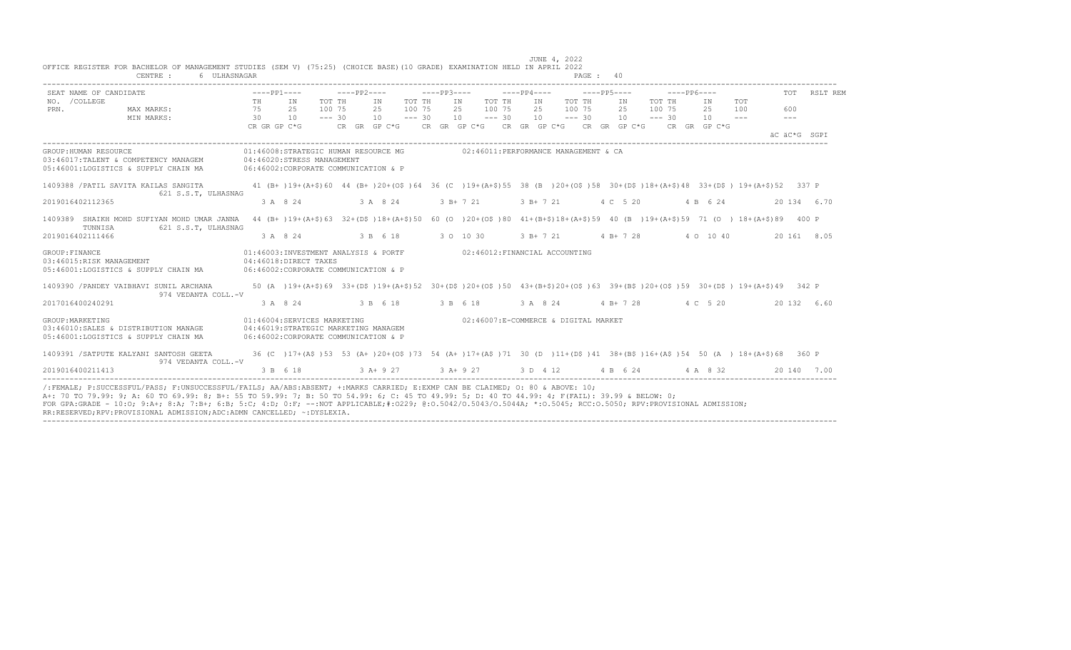| SEAT NAME OF CANDIDATE                                                                                | $---PP1---$                    |          |                                                                                                                                                          |                              | $---PP2---$ |                |                              | $---PP3---$ |                             |                                                                                   |                              | $---PP4---$    | $---PP5---$                  |                             |                              | $---PP6---$ |                |                       | TOT                          | RSLT REM    |
|-------------------------------------------------------------------------------------------------------|--------------------------------|----------|----------------------------------------------------------------------------------------------------------------------------------------------------------|------------------------------|-------------|----------------|------------------------------|-------------|-----------------------------|-----------------------------------------------------------------------------------|------------------------------|----------------|------------------------------|-----------------------------|------------------------------|-------------|----------------|-----------------------|------------------------------|-------------|
| NO. / COLLEGE<br>PRN.<br>MAX MARKS:<br>MIN MARKS:                                                     | TH<br>75<br>30<br>CR GR GP C*G |          | IN<br>25<br>10                                                                                                                                           | TOT TH<br>100 75<br>$--- 30$ |             | IN<br>25<br>10 | TOT TH<br>100 75<br>$--- 30$ |             | IN<br>25<br>10 <sup>1</sup> | CR GR GP C*G      CR GR GP C*G     CR GP C*G     CR GR GP C*G     CR   GR  GP C*G | TOT TH<br>100 75<br>$--- 30$ | IN<br>25<br>10 | TOT TH<br>100 75<br>$--- 30$ | IN<br>25<br>10 <sup>1</sup> | TOT TH<br>100 75<br>$--- 30$ |             | IN<br>25<br>10 | TOT<br>100<br>$- - -$ | 600<br>$---$<br>äC äC*G SGPI |             |
| GROUP: HUMAN RESOURCE<br>03:46017:TALENT & COMPETENCY MANAGEM<br>05:46001:LOGISTICS & SUPPLY CHAIN MA |                                |          | 01:46008:STRATEGIC HUMAN RESOURCE MG<br>04:46020:STRESS MANAGEMENT<br>06:46002:CORPORATE COMMUNICATION & P                                               |                              |             |                |                              |             |                             | 02:46011:PERFORMANCE MANAGEMENT & CA                                              |                              |                |                              |                             |                              |             |                |                       |                              |             |
| 1409388 / PATIL SAVITA KAILAS SANGITA<br>621 S.S.T. ULHASNAG                                          |                                |          | 41 (B+)19+(A+\$)60 44 (B+)20+(O\$)64 36 (C)19+(A+\$)55 38 (B)20+(O\$)58 30+(D\$)18+(A+\$)48 33+(D\$)19+(A+\$)52 337 P                                    |                              |             |                |                              |             |                             |                                                                                   |                              |                |                              |                             |                              |             |                |                       |                              |             |
| 2019016402112365                                                                                      |                                | 3 A 8 24 |                                                                                                                                                          |                              |             | 3 A 8 24       |                              |             |                             | $3 B+ 7 21$                                                                       |                              | 3 B+ 7 21      |                              | 4 C 5 20                    |                              |             | 4 B 6 24       |                       |                              | 20 134 6.70 |
| 1409389 SHAIKH MOHD SUFIYAN MOHD UMAR JANNA<br>TUNNISA<br>621 S.S.T, ULHASNAG                         |                                |          | 44 (B+)19+(A+\$)63 32+(D\$)18+(A+\$)50 60 (O )20+(O\$)80 41+(B+\$)18+(A+\$)59 40 (B )19+(A+\$)59 71 (O )18+(A+\$)89                                      |                              |             |                |                              |             |                             |                                                                                   |                              |                |                              |                             |                              |             |                |                       | 400 P                        |             |
| 2019016402111466                                                                                      |                                | 3 A 8 24 |                                                                                                                                                          |                              |             | 3 B 6 18       |                              |             |                             | 3 0 10 30                                                                         |                              | 3 B+ 7 21      |                              | $4 B+ 7 28$                 |                              |             | 4 0 10 40      |                       |                              | 20 161 8.05 |
| GROUP: FINANCE<br>03:46015:RISK MANAGEMENT<br>05:46001:LOGISTICS & SUPPLY CHAIN MA                    |                                |          | 01:46003:INVESTMENT ANALYSIS & PORTF<br>04:46018:DIRECT TAXES<br>06:46002:CORPORATE COMMUNICATION & P                                                    |                              |             |                |                              |             |                             | 02:46012:FINANCIAL ACCOUNTING                                                     |                              |                |                              |                             |                              |             |                |                       |                              |             |
| 1409390 / PANDEY VAIBHAVI SUNIL ARCHANA<br>974 VEDANTA COLL.-V                                        |                                |          | 50 (A ) 19+ (A+\$) 69 33+ (D\$ ) 19+ (A+\$) 52 30+ (D\$ ) 20+ (O\$ ) 50 43+ (B+\$) 20+ (O\$ ) 63 39+ (B\$ ) 20+ (O\$ ) 59 30+ (D\$ ) 19+ (A+\$) 49 342 P |                              |             |                |                              |             |                             |                                                                                   |                              |                |                              |                             |                              |             |                |                       |                              |             |
| 2017016400240291                                                                                      |                                | 3 A 8 24 |                                                                                                                                                          |                              |             | 3 B 6 18       |                              |             |                             | 3 B 6 18                                                                          |                              | 3 A 8 24       |                              | $4 B+ 7 28$                 |                              |             | 4 C 5 20       |                       |                              | 20 132 6.60 |
| GROUP: MARKETING<br>03:46010:SALES & DISTRIBUTION MANAGE<br>05:46001:LOGISTICS & SUPPLY CHAIN MA      |                                |          | 01:46004:SERVICES MARKETING<br>04:46019:STRATEGIC MARKETING MANAGEM<br>06:46002:CORPORATE COMMUNICATION & P                                              |                              |             |                |                              |             |                             | 02:46007:E-COMMERCE & DIGITAL MARKET                                              |                              |                |                              |                             |                              |             |                |                       |                              |             |
| 1409391 / SATPUTE KALYANI SANTOSH GEETA<br>974 VEDANTA COLL.-V                                        |                                |          | 36 (C) 17+(A\$) 53 53 (A+) 20+(O\$) 73 54 (A+) 17+(A\$) 71 30 (D) 11+(D\$) 41 38+(B\$) 16+(A\$) 54 50 (A) 18+(A+\$) 68 360 P                             |                              |             |                |                              |             |                             |                                                                                   |                              |                |                              |                             |                              |             |                |                       |                              |             |
| 2019016400211413                                                                                      |                                | 3 B 6 18 |                                                                                                                                                          |                              |             | $3 A+ 9 27$    |                              |             |                             | 3 A+ 9 27 3 D 4 12 4 B 6 24 4 A 8 32                                              |                              |                |                              |                             |                              |             |                |                       |                              | 20 140 7.00 |

----------------------------------------------------------------------------------------------------------------------------------------------------------------------------------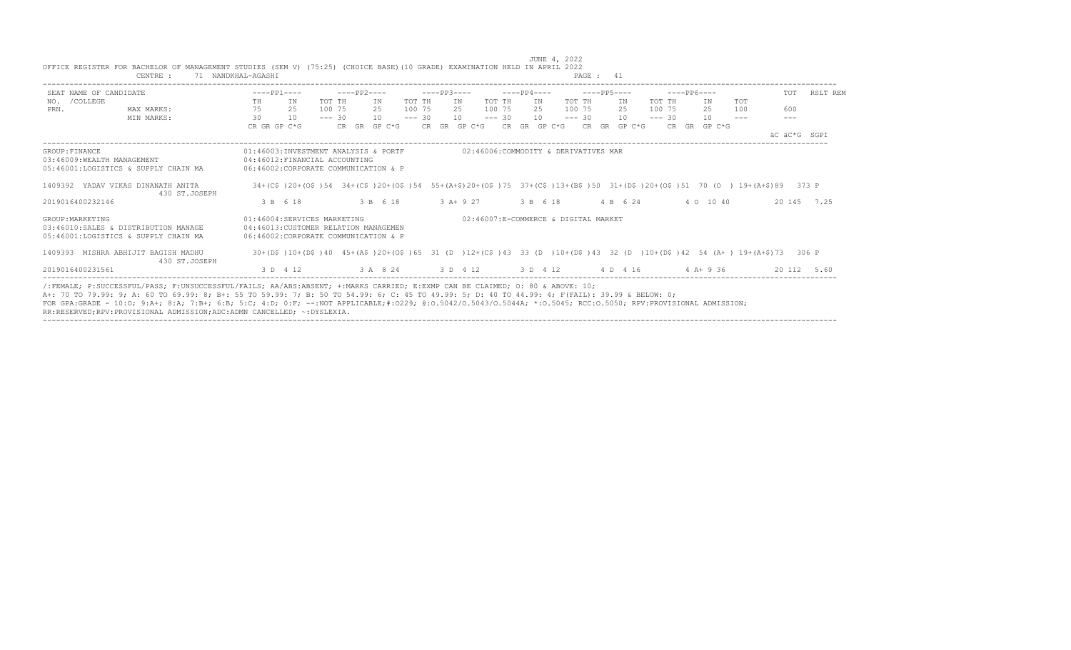|                                              | OFFICE REGISTER FOR BACHELOR OF MANAGEMENT STUDIES (SEM V) (75:25) (CHOICE BASE)(10 GRADE) EXAMINATION HELD IN APRIL 2022<br>CENTRE :                                                                                                                                                                                                                                                                                                                                                                                      | 71 NANDKHAL-AGASHI                                                                                            |          |                                                                                                                          |          |             |                           |             |                                      | PAGE : 41        |                 |          |             |              |               |              |          |
|----------------------------------------------|----------------------------------------------------------------------------------------------------------------------------------------------------------------------------------------------------------------------------------------------------------------------------------------------------------------------------------------------------------------------------------------------------------------------------------------------------------------------------------------------------------------------------|---------------------------------------------------------------------------------------------------------------|----------|--------------------------------------------------------------------------------------------------------------------------|----------|-------------|---------------------------|-------------|--------------------------------------|------------------|-----------------|----------|-------------|--------------|---------------|--------------|----------|
| SEAT NAME OF CANDIDATE                       |                                                                                                                                                                                                                                                                                                                                                                                                                                                                                                                            | $---PP1---$                                                                                                   |          | $---PP2---$                                                                                                              |          | $---PP3---$ |                           | $---PP4---$ | $---PP5---$                          |                  |                 |          | $---PP6---$ |              |               | TOT          | RSLT REM |
| NO. / COLLEGE                                |                                                                                                                                                                                                                                                                                                                                                                                                                                                                                                                            | TH<br>IN                                                                                                      | TOT TH   | IN                                                                                                                       | TOT TH   | IN          | TOT TH                    | IN          | TOT TH                               |                  | IN              | TOT TH   |             | ΙN           | TOT           |              |          |
| PRN.                                         | MAX MARKS:                                                                                                                                                                                                                                                                                                                                                                                                                                                                                                                 | 75<br>25                                                                                                      | 100 75   | 2.5                                                                                                                      | 100 75   | 2.5         | 100 75                    | 2.5         | 100 75                               |                  | 2.5             | 100 75   |             | 25           | 100           | 600          |          |
|                                              | MIN MARKS:                                                                                                                                                                                                                                                                                                                                                                                                                                                                                                                 | 30<br>10                                                                                                      | $--- 30$ | 10                                                                                                                       | $--- 30$ |             | 10<br>$--- 30$            | 10          | $--- 30$                             |                  | 10 <sup>1</sup> | $--- 30$ |             | 10           | $\frac{1}{2}$ | $---$        |          |
|                                              |                                                                                                                                                                                                                                                                                                                                                                                                                                                                                                                            | CR GR GP C*G                                                                                                  |          | CR GR GP C*G                                                                                                             |          |             | CR GR GP C*G CR GR GP C*G |             |                                      | $CR$ GR GP $C*G$ |                 |          |             | CR GR GP C*G |               |              |          |
|                                              |                                                                                                                                                                                                                                                                                                                                                                                                                                                                                                                            |                                                                                                               |          |                                                                                                                          |          |             |                           |             |                                      |                  |                 |          |             |              |               | AC AC*G SGPI |          |
| GROUP: FINANCE<br>03:46009:WEALTH MANAGEMENT | 05:46001:LOGISTICS & SUPPLY CHAIN MA                                                                                                                                                                                                                                                                                                                                                                                                                                                                                       | 01:46003:INVESTMENT ANALYSIS & PORTF<br>04:46012:FINANCIAL ACCOUNTING<br>06:46002:CORPORATE COMMUNICATION & P |          |                                                                                                                          |          |             |                           |             | 02:46006:COMMODITY & DERIVATIVES MAR |                  |                 |          |             |              |               |              |          |
|                                              | 1409392 YADAV VIKAS DINANATH ANITA<br>430 ST.JOSEPH                                                                                                                                                                                                                                                                                                                                                                                                                                                                        |                                                                                                               |          | 34+(C\$)20+(O\$)54 34+(C\$)20+(O\$)54 55+(A+\$)20+(O\$)75 37+(C\$)13+(B\$)50 31+(D\$)20+(O\$)51 70 (O )19+(A+\$)89 373 P |          |             |                           |             |                                      |                  |                 |          |             |              |               |              |          |
| 2019016400232146                             |                                                                                                                                                                                                                                                                                                                                                                                                                                                                                                                            | 3 B 6 18                                                                                                      |          | 3 B 6 18                                                                                                                 |          | $3 A+9 27$  |                           | 3 B 6 18    |                                      | 4 B 6 24         |                 |          |             | 4 0 10 40    |               | 20 145 7.25  |          |
| GROUP: MARKETING                             | 03:46010:SALES & DISTRIBUTION MANAGE<br>05:46001:LOGISTICS & SUPPLY CHAIN MA                                                                                                                                                                                                                                                                                                                                                                                                                                               | 01:46004:SERVICES MARKETING<br>04:46013: CUSTOMER RELATION MANAGEMEN<br>06:46002:CORPORATE COMMUNICATION & P  |          |                                                                                                                          |          |             |                           |             | 02:46007:E-COMMERCE & DIGITAL MARKET |                  |                 |          |             |              |               |              |          |
|                                              | 1409393 MISHRA ABHIJIT BAGISH MADHU<br>430 ST.JOSEPH                                                                                                                                                                                                                                                                                                                                                                                                                                                                       |                                                                                                               |          | 30+(D\$)10+(D\$)40 45+(A\$)20+(O\$)65 31 (D)12+(C\$)43 33 (D)10+(D\$)43 32 (D)10+(D\$)42 54 (A+) 19+(A+\$)73 306 P       |          |             |                           |             |                                      |                  |                 |          |             |              |               |              |          |
| 2019016400231561                             |                                                                                                                                                                                                                                                                                                                                                                                                                                                                                                                            |                                                                                                               |          | 3 D 4 12 3 A 8 24 3 D 4 12 3 D 4 12 4 D 4 16 4 A + 9 36                                                                  |          |             |                           |             |                                      |                  |                 |          |             |              |               | 20 112 5.60  |          |
|                                              | /:FEMALE: P:SUCCESSFUL/PASS: F:UNSUCCESSFUL/FAILS: AA/ABS:ABSENT: +:MARKS CARRIED: E:EXMP CAN BE CLAIMED: 0: 80 & ABOVE: 10:<br>A+: 70 TO 79.99: 9; A: 60 TO 69.99: 8; B+: 55 TO 59.99: 7; B: 50 TO 54.99: 6; C: 45 TO 49.99: 5; D: 40 TO 44.99: 4; F(FAIL): 39.99 & BELOW: 0;<br>FOR GPA:GRADE - 10:0; 9:A+; 8:A; 7:B+; 6:B; 5:C; 4:D; 0:F; --:NOT APPLICABLE;#:0229; 0:0.5042/0.5043/0.5044A; *:0.5045; RCC:0.5050; RPV:PROVISIONAL ADMISSION;<br>RR:RESERVED;RPV:PROVISIONAL ADMISSION;ADC:ADMN CANCELLED; ~: DYSLEXIA. |                                                                                                               |          |                                                                                                                          |          |             |                           |             |                                      |                  |                 |          |             |              |               |              |          |

JUNE 4, 2022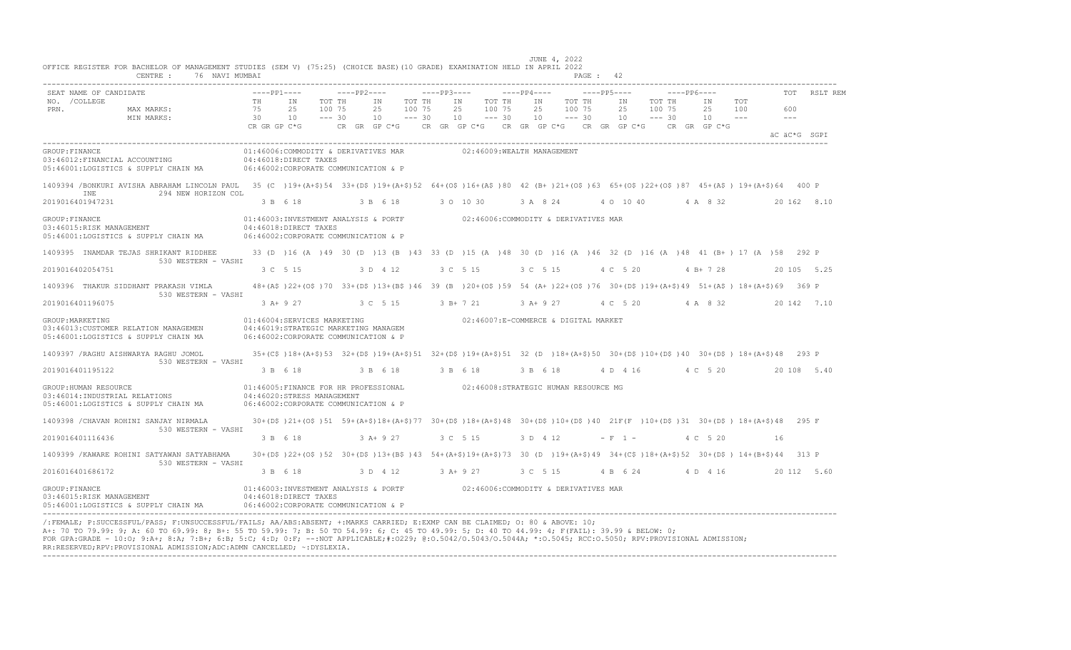| SEAT NAME OF CANDIDATE                                                                                                                                                 |              | $---PP1---$                                                                                                                                     | $---PP2---$ |            |                      | $---PP3---$ |          |                                      |                    | $---PP4---$ |                    | $---PP5---$ |           |                                              |                    | $---PP6---$  |                      |              | TOT | RSLT REM    |
|------------------------------------------------------------------------------------------------------------------------------------------------------------------------|--------------|-------------------------------------------------------------------------------------------------------------------------------------------------|-------------|------------|----------------------|-------------|----------|--------------------------------------|--------------------|-------------|--------------------|-------------|-----------|----------------------------------------------|--------------------|--------------|----------------------|--------------|-----|-------------|
| NO. / COLLEGE                                                                                                                                                          | TH           | IN                                                                                                                                              | TOT TH      | IN         | TOT TH               |             | IN       |                                      | TOT TH             | IN          | TOT TH             |             |           | IN                                           | TOT TH             | ΙN           | TOT                  |              |     |             |
| PRN.<br>MAX MARKS:<br>MIN MARKS:                                                                                                                                       | 75<br>30     | 25<br>100 75<br>10<br>$--- 30$                                                                                                                  |             | 25<br>10   | 100 75<br>$--- 30$   |             | 25<br>10 |                                      | 100 75<br>$--- 30$ | 25<br>10    | 100 75<br>$--- 30$ |             |           | 25<br>10                                     | 100 75<br>$--- 30$ | 25<br>10     | 100<br>$\frac{1}{2}$ | $---$        | 600 |             |
|                                                                                                                                                                        | CR GR GP C*G |                                                                                                                                                 |             |            | $CR$ $GR$ $GP$ $C*G$ |             |          |                                      |                    |             |                    |             |           | CR GR GP $C*G$ CR GR GP $C*G$ CR GR GP $C*G$ |                    | CR GR GP C*G |                      |              |     |             |
|                                                                                                                                                                        |              |                                                                                                                                                 |             |            |                      |             |          |                                      |                    |             |                    |             |           |                                              |                    |              |                      | äC äC*G SGPI |     |             |
| GROUP: FINANCE<br>03:46012: FINANCIAL ACCOUNTING<br>05:46001:LOGISTICS & SUPPLY CHAIN MA                                                                               |              | 01:46006:COMMODITY & DERIVATIVES MAR<br>04:46018:DIRECT TAXES<br>06:46002:CORPORATE COMMUNICATION & P                                           |             |            |                      |             |          | 02:46009:WEALTH MANAGEMENT           |                    |             |                    |             |           |                                              |                    |              |                      |              |     |             |
| 1409394 /BONKURI AVISHA ABRAHAM LINCOLN PAUL 35 (C) 19+(A+\$)54 33+(D\$)19+(A+\$)52 64+(O\$)16+(A\$)80 42 (B+)21+(O\$)63 65+(O\$)22+(O\$)87 45+(A\$) 19+(A+\$)64 400 P |              |                                                                                                                                                 |             |            |                      |             |          |                                      |                    |             |                    |             |           |                                              |                    |              |                      |              |     |             |
| <b>TNE</b><br>294 NEW HORIZON COL<br>2019016401947231                                                                                                                  |              | 3 B 6 18                                                                                                                                        |             | 3 B 6 18   |                      |             |          | 3 0 10 30                            |                    |             | 3 A 8 24           |             |           | 4 0 10 40                                    |                    | 4 A 8 32     |                      |              |     | 20 162 8.10 |
| GROUP: FINANCE<br>03:46015:RISK MANAGEMENT<br>05:46001:LOGISTICS & SUPPLY CHAIN MA                                                                                     |              | 01:46003:INVESTMENT ANALYSIS & PORTF 602:46006:COMMODITY & DERIVATIVES MAR<br>04:46018:DIRECT TAXES<br>06:46002:CORPORATE COMMUNICATION & P     |             |            |                      |             |          |                                      |                    |             |                    |             |           |                                              |                    |              |                      |              |     |             |
| 1409395 INAMDAR TEJAS SHRIKANT RIDDHEE                                                                                                                                 |              | 33 (D) 16 (A) 49 30 (D) 13 (B) 43 33 (D) 15 (A) 48 30 (D) 16 (A) 46 32 (D) 16 (A) 48 41 (B+) 17 (A) 58 292 P                                    |             |            |                      |             |          |                                      |                    |             |                    |             |           |                                              |                    |              |                      |              |     |             |
| 530 WESTERN - VASHI<br>2019016402054751                                                                                                                                |              | 3 C 5 15                                                                                                                                        |             | 3 D 4 12   |                      |             |          | 3 C 5 15                             |                    | 3 C 5 15    |                    |             |           | 4 C 5 20                                     |                    | $4 B+ 7 28$  |                      |              |     | 20 105 5.25 |
| 1409396 THAKUR SIDDHANT PRAKASH VIMLA                                                                                                                                  |              | 48+(A\$)22+(O\$)70 33+(D\$)13+(B\$)46 39 (B)20+(O\$)59 54 (A+)22+(O\$)76 30+(D\$)19+(A+\$)49 51+(A\$) 18+(A+\$)69 369 P                         |             |            |                      |             |          |                                      |                    |             |                    |             |           |                                              |                    |              |                      |              |     |             |
| 530 WESTERN - VASHI<br>2019016401196075                                                                                                                                |              | 3 A+ 9 27                                                                                                                                       | 3 C 5 15    |            |                      |             |          | 3 B+ 7 21                            |                    | $3 A+9 27$  |                    |             |           | 4 C 5 20 4 A 8 32                            |                    |              |                      |              |     | 20 142 7.10 |
| GROUP: MARKETING<br>03:46013: CUSTOMER RELATION MANAGEMEN<br>05:46001:LOGISTICS & SUPPLY CHAIN MA                                                                      |              | 01:46004:SERVICES MARKETING<br>04:46019:STRATEGIC MARKETING MANAGEM<br>06:46002:CORPORATE COMMUNICATION & P                                     |             |            |                      |             |          | 02:46007:E-COMMERCE & DIGITAL MARKET |                    |             |                    |             |           |                                              |                    |              |                      |              |     |             |
| 1409397 /RAGHU AISHWARYA RAGHU JOMOL                                                                                                                                   |              | 35+(C\$)18+(A+\$)53 32+(D\$)19+(A+\$)51 32+(D\$)19+(A+\$)51 32 (D)18+(A+\$)50 30+(D\$)10+(D\$)40 30+(D\$)18+(A+\$)48 293 P                      |             |            |                      |             |          |                                      |                    |             |                    |             |           |                                              |                    |              |                      |              |     |             |
| 530 WESTERN - VASHI<br>2019016401195122                                                                                                                                |              | 3 B 6 18                                                                                                                                        |             | 3 B 6 18   |                      |             |          | 3 B 6 18                             |                    | 3 B 6 18    |                    |             |           | 4 D 4 16                                     |                    | 4 C 5 20     |                      |              |     | 20 108 5.40 |
| GROUP: HUMAN RESOURCE<br>03:46014:INDUSTRIAL RELATIONS<br>05:46001:LOGISTICS & SUPPLY CHAIN MA                                                                         |              | 01:46005:FINANCE FOR HR PROFESSIONAL 02:46008:STRATEGIC HUMAN RESOURCE MG<br>04:46020:STRESS MANAGEMENT<br>06:46002:CORPORATE COMMUNICATION & P |             |            |                      |             |          |                                      |                    |             |                    |             |           |                                              |                    |              |                      |              |     |             |
| 1409398 / CHAVAN ROHINI SANJAY NIRMALA                                                                                                                                 |              | 30+(D\$)21+(O\$)51 59+(A+\$)18+(A+\$)77 30+(D\$)18+(A+\$)48 30+(D\$)10+(D\$)40 21F(F)10+(D\$)31 30+(D\$)18+(A+\$)48 295 F                       |             |            |                      |             |          |                                      |                    |             |                    |             |           |                                              |                    |              |                      |              |     |             |
| 530 WESTERN - VASHI<br>2019016401116436                                                                                                                                |              | 3 B 6 18                                                                                                                                        |             | $3 A+9 27$ |                      |             |          | 3 C 5 15                             |                    | 3 D 4 12    |                    |             | $- F 1 -$ |                                              |                    | 4 C 5 20     |                      | 16           |     |             |
| 1409399 / KAWARE ROHINI SATYAWAN SATYABHAMA<br>530 WESTERN - VASHI                                                                                                     |              | 30+(D\$)22+(O\$)52 30+(D\$)13+(B\$)43 54+(A+\$)19+(A+\$)73 30 (D)19+(A+\$)49 34+(C\$)18+(A+\$)52 30+(D\$)14+(B+\$)44 313 P                      |             |            |                      |             |          |                                      |                    |             |                    |             |           |                                              |                    |              |                      |              |     |             |
| 2016016401686172                                                                                                                                                       |              | 3 B 6 18                                                                                                                                        |             |            | 3 D 4 12             | $3 A+9 27$  |          |                                      |                    | 3 C 5 15    |                    |             |           | 4 B 6 24                                     |                    | 4 D 4 16     |                      |              |     | 20 112 5.60 |
| GROUP: FINANCE<br>03:46015:RISK MANAGEMENT<br>05:46001:LOGISTICS & SUPPLY CHAIN MA                                                                                     |              | 01:46003:INVESTMENT ANALYSIS & PORTF 602:46006:COMMODITY & DERIVATIVES MAR<br>04:46018:DIRECT TAXES<br>06:46002:CORPORATE COMMUNICATION & P     |             |            |                      |             |          |                                      |                    |             |                    |             |           |                                              |                    |              |                      |              |     |             |

/:FEMALE; P:SUCCESSFUL/PASS; F:UNSUCCESSFUL/FAILS; AA/ABS:ABSENT; +:MARKS CARRIED; E:EXMP CAN BE CLAIMED; O: 80 & ABOVE: 10;<br>A+: 70 TO 79.99: 9; A: 60 TO 69.99: 8; B+: 55 TO 59.99: 7; B: 50 TO 54.99: 6; C: 45 TO 49.99: 5; FOR GPA:GRADE - 10:O; 9:A+; 8:A; 7:B+; 6:B; 5:C; 4:D; 0:F; --:NOT APPLICABLE;#:O229; @:O.5042/O.5043/O.5044A; \*:O.5045; RCC:O.5050; RPV:PROVISIONAL ADMISSION; RR:RESERVED;RPV:PROVISIONAL ADMISSION;ADC:ADMN CANCELLED; ~:DYSLEXIA. ----------------------------------------------------------------------------------------------------------------------------------------------------------------------------------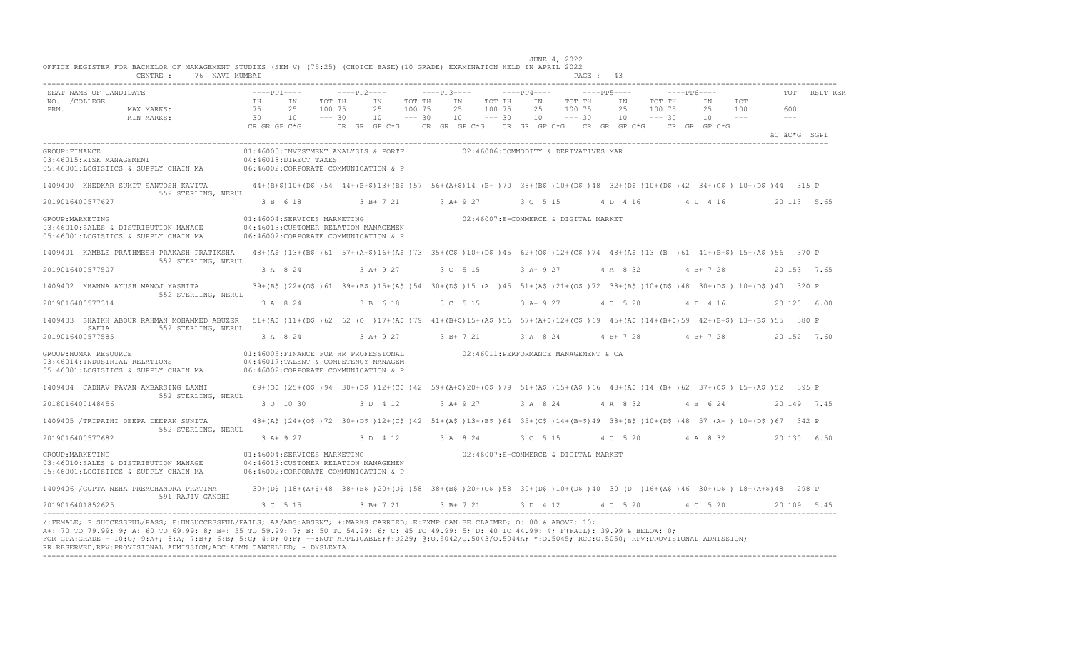|                       | OFFICE REGISTER FOR BACHELOR OF MANAGEMENT STUDIES (SEM V) (75:25) (CHOICE BASE) (10 GRADE) EXAMINATION HELD IN APRIL 2022<br>CENTRE :<br>76 NAVI MUMBAI |                                               |                                                 |                                                                                                                      |                              |                                                                                                                                                                                         | JUNE 4, 2022                                                  | PAGE: 43                      |                                                                                       |                                            |              |
|-----------------------|----------------------------------------------------------------------------------------------------------------------------------------------------------|-----------------------------------------------|-------------------------------------------------|----------------------------------------------------------------------------------------------------------------------|------------------------------|-----------------------------------------------------------------------------------------------------------------------------------------------------------------------------------------|---------------------------------------------------------------|-------------------------------|---------------------------------------------------------------------------------------|--------------------------------------------|--------------|
| NO. / COLLEGE<br>PRN. | SEAT NAME OF CANDIDATE<br>MAX MARKS:<br>MIN MARKS:                                                                                                       | $---PP1---$<br>TH<br>75<br>30<br>CR GR GP C*G | IN<br>TOT TH<br>2.5<br>100 75<br>$--- 30$<br>10 | $---PP2---$<br>IN<br>25<br>10                                                                                        | TOT TH<br>100 75<br>$--- 30$ | $---PP3---$<br>IN<br>TOT TH<br>25<br>100 75<br>10<br>$--- 30$<br>CR GR GP C*G CR GR GP C*G CR GR GP C*G CR GR GP C*G                                                                    | $---PP4---$<br>IN<br>TOT TH<br>25<br>100 75<br>10<br>$--- 30$ | $---PP5---$<br>IN<br>25<br>10 | $---PP6---$<br>TOT TH<br>IN<br>100 75<br>25<br>$--- 30$<br>$10 - - -$<br>CR GR GP C*G | TOT<br>100<br>600<br>$  -$<br>äC äC*G SGPI | TOT RSLT REM |
| GROUP: FINANCE        | 03:46015:RISK MANAGEMENT<br>05:46001:LOGISTICS & SUPPLY CHAIN MA                                                                                         |                                               | 04:46018:DIRECT TAXES                           | 06:46002:CORPORATE COMMUNICATION & P                                                                                 |                              | 01:46003:INVESTMENT ANALYSIS & PORTF 02:46006:COMMODITY & DERIVATIVES MAR                                                                                                               |                                                               |                               |                                                                                       |                                            |              |
| 2019016400577627      | 1409400 KHEDKAR SUMIT SANTOSH KAVITA<br>552 STERLING, NERUL                                                                                              |                                               |                                                 |                                                                                                                      |                              | 44+(B+\$)10+(D\$)54 44+(B+\$)13+(B\$)57 56+(A+\$)14 (B+)70 38+(B\$)10+(D\$)48 32+(D\$)10+(D\$)42 34+(C\$) 10+(D\$)44 315 P<br>3 B 6 18 3 B + 7 21 3 A + 9 27 3 C 5 15 4 D 4 16 4 D 4 16 |                                                               |                               |                                                                                       | 20 113 5.65                                |              |
| GROUP: MARKETING      | 03:46010:SALES & DISTRIBUTION MANAGE<br>05:46001:LOGISTICS & SUPPLY CHAIN MA                                                                             |                                               | 01:46004:SERVICES MARKETING                     | 04:46013: CUSTOMER RELATION MANAGEMEN<br>06:46002:CORPORATE COMMUNICATION & P                                        |                              |                                                                                                                                                                                         | 02:46007:E-COMMERCE & DIGITAL MARKET                          |                               |                                                                                       |                                            |              |
| 2019016400577507      | 1409401 KAMBLE PRATHMESH PRAKASH PRATIKSHA<br>552 STERLING, NERUL                                                                                        |                                               | 3 A 8 24                                        | $3$ $A+$ 9 27                                                                                                        |                              | 48+(A\$)13+(B\$)61 57+(A+\$)16+(A\$)73 35+(C\$)10+(D\$)45 62+(O\$)12+(C\$)74 48+(A\$)13 (B)61 41+(B+\$) 15+(A\$)56 370 P<br>3 C 5 15                                                    | $3$ A + 9 27                                                  | 4 A 8 32                      | $4 B+728$                                                                             | 20 153 7.65                                |              |
| 2019016400577314      | 1409402 KHANNA AYUSH MANOJ YASHITA<br>552 STERLING, NERUL                                                                                                |                                               | 3 A 8 24                                        | 3 B 6 18                                                                                                             |                              | 39+(B\$)22+(O\$)61 39+(B\$)15+(A\$)54 30+(D\$)15 (A)45 51+(A\$)21+(O\$)72 38+(B\$)10+(D\$)48 30+(D\$)10+(D\$)40 320 P<br>3 C 5 15                                                       | 3 A + 9 27 4 C 5 20                                           |                               | 4 D 4 16                                                                              | 20 120 6.00                                |              |
| 2019016400577585      | 1409403 SHAIKH ABDUR RAHMAN MOHAMMED ABUZER<br>SAFIA<br>552 STERLING, NERUL                                                                              |                                               |                                                 |                                                                                                                      |                              | 51+(A\$)11+(D\$)62 62 (0) 17+(A\$)79 41+(B+\$)15+(A\$)56 57+(A+\$)12+(C\$)69 45+(A\$)14+(B+\$)59 42+(B+\$) 13+(B\$)55 380 P<br>3 A 8 24 3 A + 9 27 3 B + 7 21                           | 3 A 8 24                                                      |                               | 4 B + 7 28 4 B + 7 28                                                                 | 20 152 7.60                                |              |
|                       | GROUP: HUMAN RESOURCE<br>03:46014: INDUSTRIAL RELATIONS<br>05:46001:LOGISTICS & SUPPLY CHAIN MA                                                          |                                               |                                                 | 01:46005:FINANCE FOR HR PROFESSIONAL<br>04:46017:TALENT & COMPETENCY MANAGEM<br>06:46002:CORPORATE COMMUNICATION & P |                              | 02:46011:PERFORMANCE MANAGEMENT & CA                                                                                                                                                    |                                                               |                               |                                                                                       |                                            |              |
|                       | 1409404 JADHAV PAVAN AMBARSING LAXMI<br>552 STERLING, NERUL                                                                                              |                                               |                                                 |                                                                                                                      |                              | 69+(0\$)25+(0\$)94 30+(D\$)12+(C\$)42 59+(A+\$)20+(O\$)79 51+(A\$)15+(A\$)66 48+(A\$)14 (B+)62 37+(C\$) 15+(A\$)52 395 P                                                                |                                                               |                               |                                                                                       |                                            |              |
| 2018016400148456      | 1409405 /TRIPATHI DEEPA DEEPAK SUNITA                                                                                                                    |                                               | 3 0 10 30                                       | 3 D 4 12                                                                                                             |                              | 3 A + 9 27 3 A 8 24 4 A 8 32 4 B 6 24<br>48+(A\$)24+(O\$)72 30+(D\$)12+(C\$)42 51+(A\$)13+(B\$)64 35+(C\$)14+(B+\$)49 38+(B\$)10+(D\$)48 57 (A+) 10+(D\$)67 342 P                       |                                                               |                               |                                                                                       | 20 149 7.45                                |              |
| 2019016400577682      | 552 STERLING, NERUL                                                                                                                                      |                                               |                                                 | 3 A + 9 27 3 D 4 12 3 A 8 24                                                                                         |                              |                                                                                                                                                                                         | 3 C 5 15                                                      |                               | 4 C 5 20 4 A 8 32                                                                     | 20 130 6.50                                |              |
| GROUP: MARKETING      | 03:46010:SALES & DISTRIBUTION MANAGE<br>05:46001:LOGISTICS & SUPPLY CHAIN MA                                                                             |                                               | 01:46004:SERVICES MARKETING                     | 04:46013:CUSTOMER RELATION MANAGEMEN<br>06:46002:CORPORATE COMMUNICATION & P                                         |                              | 02:46007:E-COMMERCE & DIGITAL MARKET                                                                                                                                                    |                                                               |                               |                                                                                       |                                            |              |
|                       | 1409406 / GUPTA NEHA PREMCHANDRA PRATIMA<br>591 RAJIV GANDHI                                                                                             |                                               |                                                 |                                                                                                                      |                              | 30+(D\$)18+(A+\$)48 38+(B\$)20+(O\$)58 38+(B\$)20+(O\$)58 30+(D\$)10+(D\$)40 30 (D )16+(A\$)46 30+(D\$) 18+(A+\$)48 298 P                                                               |                                                               |                               |                                                                                       |                                            |              |
| 2019016401852625      |                                                                                                                                                          |                                               | 3 C 5 15                                        | 3 B+ 7 21                                                                                                            |                              | 3 B+ 7 21 3 D 4 12 4 C 5 20 4 C 5 20                                                                                                                                                    |                                                               |                               |                                                                                       | 20 109 5.45                                |              |

A+: 70 TO 79.99: 9; A: 60 TO 69.99: 8; B+: 55 TO 59.99: 7; B: 50 TO 54.99: 6; C: 45 TO 49.99: 5; D: 40 TO 44.99: 4; F(FAIL): 39.99 & BELOW: 0;<br>FOR GPA:GRADE - 10:O; 9:A+; 8:A; 7:B+; 6:B; 5:C; 4:D; 0:F; --:NOT APPLICABLE;#: RR:RESERVED;RPV:PROVISIONAL ADMISSION;ADC:ADMN CANCELLED; ~:DYSLEXIA. ----------------------------------------------------------------------------------------------------------------------------------------------------------------------------------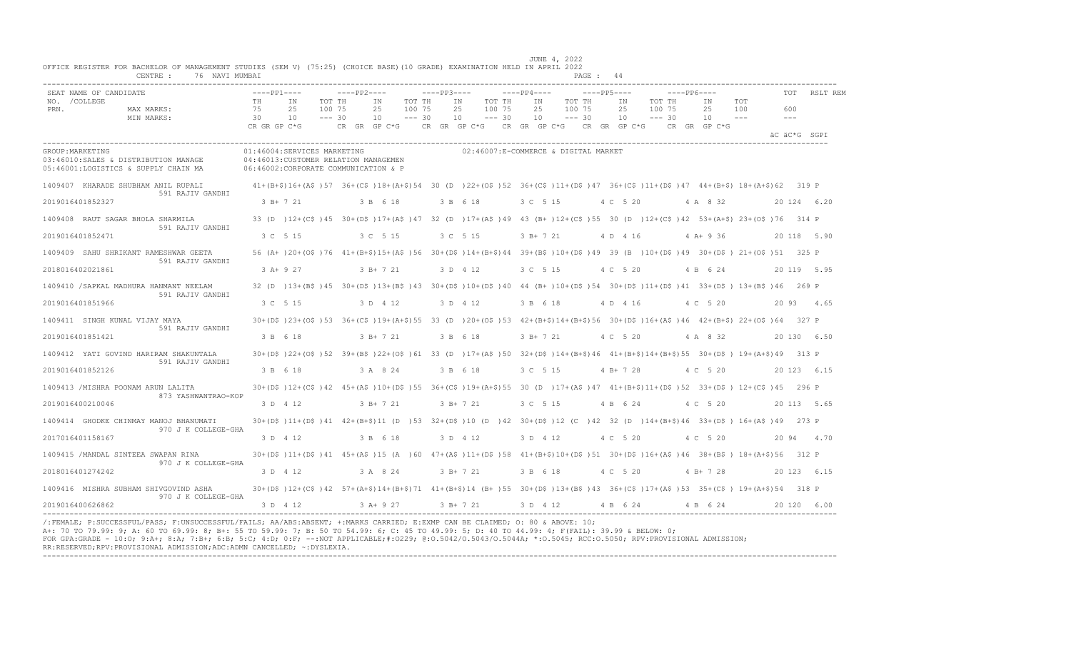| CENTRE :                                                                                         | 76 NAVI MUMBAI                                                   |                                                                                                |                                                               | PAGE: 44                                                                                                                                                             |                                                                                                       |                                          |          |
|--------------------------------------------------------------------------------------------------|------------------------------------------------------------------|------------------------------------------------------------------------------------------------|---------------------------------------------------------------|----------------------------------------------------------------------------------------------------------------------------------------------------------------------|-------------------------------------------------------------------------------------------------------|------------------------------------------|----------|
| SEAT NAME OF CANDIDATE<br>NO. / COLLEGE<br>PRN.<br>MAX MARKS:<br>MIN MARKS:                      | $---PP1---$<br>TH<br>IN<br>75<br>2.5<br>30<br>10<br>CR GR GP C*G | $---PP2---$<br>TOT TH<br>IN<br>TOT TH<br>100 75<br>2.5<br>100 75<br>$--- 30$<br>$--- 30$<br>10 | $---PP3---$<br>IN<br>TOT TH<br>25<br>100 75<br>10<br>$--- 30$ | $---PP4---$<br>$---PP5---$<br>IN<br>TOT TH<br>IN<br>100 75<br>2.5<br>2.5<br>10<br>$--- 30$<br>10 <sup>1</sup><br>CR GR GP C*G CR GR GP C*G CR GR GP C*G CR GR GP C*G | $---PP6---$<br>TOT TH<br>ΙN<br>TOT<br>100 75<br>2.5<br>100<br>$--- 30$<br>10<br>$  -$<br>CR GR GP C*G | <b>TOT</b><br>600<br>$\qquad \qquad - -$ | RSLT REM |
|                                                                                                  |                                                                  |                                                                                                |                                                               |                                                                                                                                                                      |                                                                                                       | äC äC*G SGPI                             |          |
| GROUP: MARKETING<br>03:46010:SALES & DISTRIBUTION MANAGE<br>05:46001:LOGISTICS & SUPPLY CHAIN MA | 01:46004:SERVICES MARKETING                                      | 04:46013:CUSTOMER RELATION MANAGEMEN<br>06:46002:CORPORATE COMMUNICATION & P                   |                                                               | 02:46007:E-COMMERCE & DIGITAL MARKET                                                                                                                                 |                                                                                                       |                                          |          |
| 1409407 KHARADE SHUBHAM ANIL RUPALI<br>591 RAJIV GANDHI                                          |                                                                  |                                                                                                |                                                               | 41+(B+\$)16+(A\$)57 36+(C\$)18+(A+\$)54 30 (D)22+(O\$)52 36+(C\$)11+(D\$)47 36+(C\$)11+(D\$)47 44+(B+\$)18+(A+\$)62 319 P                                            |                                                                                                       |                                          |          |
| 2019016401852327                                                                                 | $3 B+721$                                                        | 3 B 6 18                                                                                       | 3 B 6 18                                                      | 3 C 5 15<br>4 C 5 20                                                                                                                                                 | 4 A 8 32                                                                                              | 20 124 6.20                              |          |
| 1409408 RAUT SAGAR BHOLA SHARMILA<br>591 RAJIV GANDHI                                            |                                                                  |                                                                                                |                                                               | 33 (D) 12+(C\$)45 30+(D\$)17+(A\$)47 32 (D) 17+(A\$)49 43 (B+)12+(C\$)55 30 (D) 12+(C\$)42 53+(A+\$) 23+(O\$)76 314 P                                                |                                                                                                       |                                          |          |
| 2019016401852471                                                                                 | 3 C 5 15                                                         | 3 C 5 15                                                                                       | 3 C 5 15                                                      | 3 B+ 7 21<br>4 D 4 16                                                                                                                                                | $4 A+9 36$                                                                                            | 20 118 5.90                              |          |
| 1409409 SAHU SHRIKANT RAMESHWAR GEETA                                                            |                                                                  |                                                                                                |                                                               | 56 (A+ )20+(O\$ )76 41+(B+\$)15+(A\$ )56 30+(D\$ )14+(B+\$)44 39+(B\$ )10+(D\$ )49 39 (B )10+(D\$ )49 30+(D\$ )21+(O\$ )51 325 P                                     |                                                                                                       |                                          |          |
| 591 RAJIV GANDHI<br>2018016402021861                                                             | $3 A+9 27$                                                       | $3 B+721$                                                                                      | 3 D 4 12                                                      | 4 C 5 20<br>3 C 5 15                                                                                                                                                 | 4 B 6 24                                                                                              | 20 119 5.95                              |          |
| 1409410 /SAPKAL MADHURA HANMANT NEELAM                                                           |                                                                  |                                                                                                |                                                               | 32 (D) 13+(B\$)45 30+(D\$)13+(B\$)43 30+(D\$)10+(D\$)40 44 (B+)10+(D\$)54 30+(D\$)11+(D\$)41 33+(D\$) 13+(B\$)46 269 P                                               |                                                                                                       |                                          |          |
| 591 RAJIV GANDHI<br>2019016401851966                                                             | 3 C 5 15                                                         | 3 D 4 12                                                                                       | 3 D 4 12                                                      | 3 B 6 18<br>4 D 4 16                                                                                                                                                 | 4 C 5 20                                                                                              | 20 93 4.65                               |          |
| 1409411 SINGH KUNAL VIJAY MAYA                                                                   |                                                                  |                                                                                                |                                                               | 30+(D\$)23+(O\$)53 36+(C\$)19+(A+\$)55 33 (D)20+(O\$)53 42+(B+\$)14+(B+\$)56 30+(D\$)16+(A\$)46 42+(B+\$) 22+(O\$)64 327 P                                           |                                                                                                       |                                          |          |
| 591 RAJIV GANDHI<br>2019016401851421                                                             | 3 B 6 18                                                         | 3 B+ 7 21                                                                                      | 3 B 6 18                                                      | 3 B+ 7 21<br>4 C 5 20                                                                                                                                                | 4 A 8 32                                                                                              | 20 130 6.50                              |          |
| 1409412 YATI GOVIND HARIRAM SHAKUNTALA                                                           |                                                                  |                                                                                                |                                                               | 30+(D\$)22+(O\$)52 39+(B\$)22+(O\$)61 33 (D)17+(A\$)50 32+(D\$)14+(B+\$)46 41+(B+\$)14+(B+\$)55 30+(D\$) 19+(A+\$)49 313 P                                           |                                                                                                       |                                          |          |
| 591 RAJIV GANDHI<br>2019016401852126                                                             | 3 B 6 18                                                         | 3 A 8 24                                                                                       | 3 B 6 18                                                      | 3 C 5 15<br>$4 B+ 7 28$                                                                                                                                              | 4 C 5 20                                                                                              | 20 123 6.15                              |          |
| 1409413 /MISHRA POONAM ARUN LALITA                                                               |                                                                  |                                                                                                |                                                               | 30+(D\$)12+(C\$)42 45+(A\$)10+(D\$)55 36+(C\$)19+(A+\$)55 30 (D)17+(A\$)47 41+(B+\$)11+(D\$)52 33+(D\$)12+(C\$)45 296 P                                              |                                                                                                       |                                          |          |
| 873 YASHWANTRAO-KOP<br>2019016400210046                                                          | 3 D 4 12                                                         | $3 B+721$                                                                                      | $3 B+721$                                                     | 3 C 5 15<br>4 B 6 24                                                                                                                                                 | 4 C 5 20                                                                                              | 20 113 5.65                              |          |
| 1409414 GHODKE CHINMAY MANOJ BHANUMATI                                                           |                                                                  |                                                                                                |                                                               | 30+(D\$)11+(D\$)41 42+(B+\$)11 (D)53 32+(D\$)10 (D)42 30+(D\$)12 (C)42 32 (D)14+(B+\$)46 33+(D\$) 16+(A\$)49 273 P                                                   |                                                                                                       |                                          |          |
| 970 J K COLLEGE-GHA<br>2017016401158167                                                          | 3 D 4 12                                                         | 3 B 6 18                                                                                       | 3 D 4 12                                                      | 3 D 4 12<br>4 C 5 20                                                                                                                                                 | 4 C 5 20                                                                                              | 20 94 4.70                               |          |
| 1409415 /MANDAL SINTEEA SWAPAN RINA                                                              |                                                                  |                                                                                                |                                                               | 30+(D\$)11+(D\$)41 45+(A\$)15 (A)60 47+(A\$)11+(D\$)58 41+(B+\$)10+(D\$)51 30+(D\$)16+(A\$)46 38+(B\$) 18+(A+\$)56 312 P                                             |                                                                                                       |                                          |          |
| 970 J K COLLEGE-GHA<br>2018016401274242                                                          | 3 D 4 12                                                         | 3 A 8 24                                                                                       | 3 B+ 7 21                                                     | 3 B 6 18<br>4 C 5 20                                                                                                                                                 | 4 B + 7 28                                                                                            | 20 123 6.15                              |          |
| 1409416 MISHRA SUBHAM SHIVGOVIND ASHA                                                            |                                                                  |                                                                                                |                                                               | 30+(D\$)12+(C\$)42 57+(A+\$)14+(B+\$)71 41+(B+\$)14 (B+)55 30+(D\$)13+(B\$)43 36+(C\$)17+(A\$)53 35+(C\$) 19+(A+\$)54 318 P                                          |                                                                                                       |                                          |          |
| 970 J K COLLEGE-GHA<br>2019016400626862                                                          | 3 D 4 12                                                         | 3 A+ 9 27                                                                                      | 3 B+ 7 21 3 D 4 12                                            |                                                                                                                                                                      | 4 B 6 24 4 B 6 24                                                                                     | 20 120 6.00                              |          |

JUNE 4, 2022

/:FEMALE; P:SUCCESSFUL/PASS; F:UNSUCCESSFUL/FAILS; AA/ABS:ABSENT; +:MARKS CARRIED; E:EXMP CAN BE CLAIMED; O: 80 & ABOVE: 10;<br>A+: 70 TO 79.99: 9; A: 60 TO 69.99: 8; B+: 55 TO 59.99: 7; B: 50 TO 54.99: 6; C: 45 TO 49.99: 5; FOR GPA:GRADE - 10:O; 9:A+; 8:A; 7:B+; 6:B; 5:C; 4:D; 0:F; --:NOT APPLICABLE;#:O229; @:O.5042/O.5043/O.5044A; \*:O.5045; RCC:O.5050; RPV:PROVISIONAL ADMISSION; RR:RESERVED;RPV:PROVISIONAL ADMISSION;ADC:ADMN CANCELLED; ~:DYSLEXIA. ----------------------------------------------------------------------------------------------------------------------------------------------------------------------------------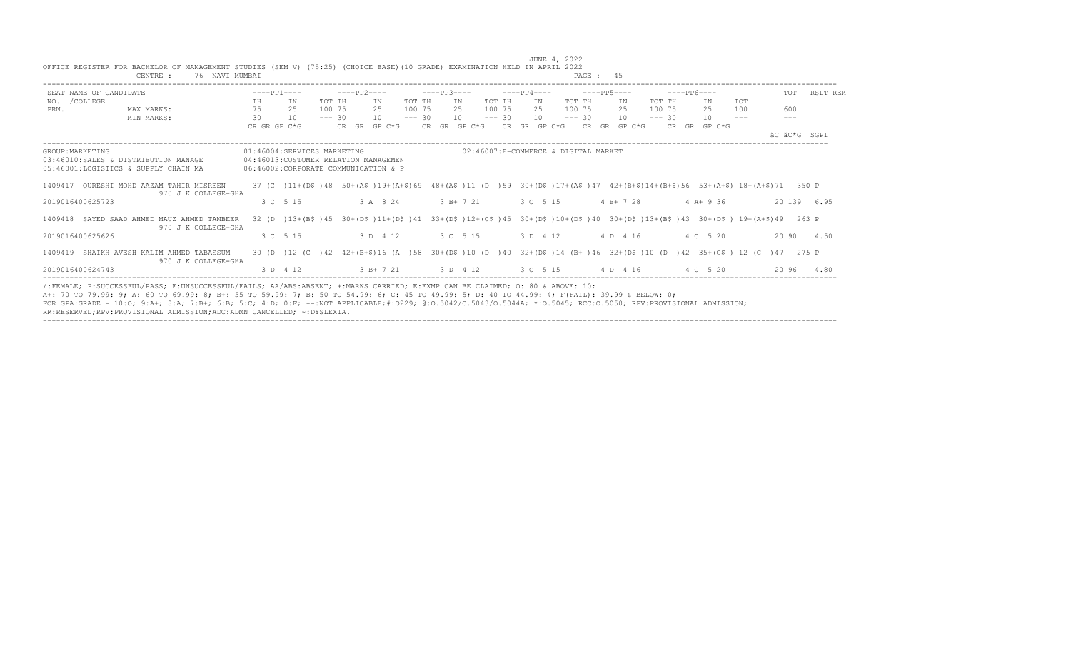|                  | OFFICE REGISTER FOR BACHELOR OF MANAGEMENT STUDIES (SEM V) (75:25) (CHOICE BASE)(10 GRADE) EXAMINATION HELD IN APRIL 2022<br>76 NAVI MUMBAI<br>CENTRE :                                                                                                                                                                                                                                                                                                                                                                    |                                      |                                                                      |          |             |              |          |             |                           |          |             |                                      | PAGE: 45    |                      |          |                                                                                                                           |               |              |              |
|------------------|----------------------------------------------------------------------------------------------------------------------------------------------------------------------------------------------------------------------------------------------------------------------------------------------------------------------------------------------------------------------------------------------------------------------------------------------------------------------------------------------------------------------------|--------------------------------------|----------------------------------------------------------------------|----------|-------------|--------------|----------|-------------|---------------------------|----------|-------------|--------------------------------------|-------------|----------------------|----------|---------------------------------------------------------------------------------------------------------------------------|---------------|--------------|--------------|
|                  | SEAT NAME OF CANDIDATE                                                                                                                                                                                                                                                                                                                                                                                                                                                                                                     | $---PP1---$                          |                                                                      |          | $---PP2---$ |              |          | $---PP3---$ |                           |          | $---PP4---$ |                                      | $---PP5---$ |                      |          | $---PP6---$                                                                                                               |               |              | TOT RSLT REM |
| NO. / COLLEGE    |                                                                                                                                                                                                                                                                                                                                                                                                                                                                                                                            | TH                                   | IN                                                                   | TOT TH   |             | IN           | TOT TH   |             | IN                        | TOT TH   | IN          |                                      | TOT TH      | IN                   | TOT TH   | ΙN                                                                                                                        | TOT           |              |              |
| PRN.             | MAX MARKS:                                                                                                                                                                                                                                                                                                                                                                                                                                                                                                                 | 75                                   | 25                                                                   | 100 75   |             | 2.5          | 100 75   |             | 2.5                       | 100 75   | 2.5         |                                      | 100 75      | 2.5                  | 100 75   | 25                                                                                                                        | 100           | 600          |              |
|                  | MIN MARKS:                                                                                                                                                                                                                                                                                                                                                                                                                                                                                                                 | 30                                   | 10                                                                   | $--- 30$ |             | 10           | $--- 30$ |             | 10                        | $--- 30$ | 10          |                                      | $--- 30$    | 10                   | $--- 30$ | 10                                                                                                                        | $\frac{1}{2}$ | $---$        |              |
|                  |                                                                                                                                                                                                                                                                                                                                                                                                                                                                                                                            | CR GR GP C*G                         |                                                                      |          |             | CR GR GP C*G |          |             | CR GR GP C*G CR GR GP C*G |          |             |                                      |             | $CR$ $GR$ $GP$ $C*G$ |          | CR GR GP C*G                                                                                                              |               |              |              |
|                  |                                                                                                                                                                                                                                                                                                                                                                                                                                                                                                                            |                                      |                                                                      |          |             |              |          |             |                           |          |             |                                      |             |                      |          |                                                                                                                           |               | AC AC*G SGPI |              |
| GROUP: MARKETING | 03:46010:SALES & DISTRIBUTION MANAGE<br>05:46001:LOGISTICS & SUPPLY CHAIN MA                                                                                                                                                                                                                                                                                                                                                                                                                                               | 06:46002:CORPORATE COMMUNICATION & P | 01:46004:SERVICES MARKETING<br>04:46013: CUSTOMER RELATION MANAGEMEN |          |             |              |          |             |                           |          |             | 02:46007:E-COMMERCE & DIGITAL MARKET |             |                      |          |                                                                                                                           |               |              |              |
|                  | 1409417 OURESHI MOHD AAZAM TAHIR MISREEN<br>970 J K COLLEGE-GHA                                                                                                                                                                                                                                                                                                                                                                                                                                                            |                                      |                                                                      |          |             |              |          |             |                           |          |             |                                      |             |                      |          | 37 (C) 11+(D\$)48 50+(A\$)19+(A+\$)69 48+(A\$)11 (D)59 30+(D\$)17+(A\$)47 42+(B+\$)14+(B+\$)56 53+(A+\$)18+(A+\$)71 350 P |               |              |              |
|                  | 2019016400625723                                                                                                                                                                                                                                                                                                                                                                                                                                                                                                           |                                      | 3 C 5 15                                                             |          |             | 3 A 8 24     |          |             | $3B+721$                  |          |             | 3 C 5 15                             |             | $4 B+ 7 28$          |          | $4 A+9 36$                                                                                                                |               |              | 20 139 6.95  |
|                  | 1409418 SAYED SAAD AHMED MAUZ AHMED TANBEER<br>970 J K COLLEGE-GHA                                                                                                                                                                                                                                                                                                                                                                                                                                                         |                                      |                                                                      |          |             |              |          |             |                           |          |             |                                      |             |                      |          | 32 (D) 13+(B\$)45 30+(D\$)11+(D\$)41 33+(D\$)12+(C\$)45 30+(D\$)10+(D\$)40 30+(D\$)13+(B\$)43 30+(D\$)19+(A+\$)49 263 P   |               |              |              |
|                  | 2019016400625626                                                                                                                                                                                                                                                                                                                                                                                                                                                                                                           |                                      | 3 C 5 15                                                             |          |             | 3 D 4 12     |          |             | 3 C 5 15                  |          |             | 3 D 4 12                             |             | 4 D 4 16             |          | 4 C 5 20                                                                                                                  |               |              | 20 90 4.50   |
|                  | 1409419 SHAIKH AVESH KALIM AHMED TABASSUM<br>970 J K COLLEGE-GHA                                                                                                                                                                                                                                                                                                                                                                                                                                                           |                                      |                                                                      |          |             |              |          |             |                           |          |             |                                      |             |                      |          | 30 (D) 12 (C) 42 42+(B+\$)16 (A) 58 30+(D\$)10 (D) 40 32+(D\$)14 (B+)46 32+(D\$)10 (D) 42 35+(C\$) 12 (C) 47 275 P        |               |              |              |
|                  | 2019016400624743                                                                                                                                                                                                                                                                                                                                                                                                                                                                                                           |                                      | 3 D 4 12                                                             |          |             |              |          |             |                           |          |             |                                      |             |                      |          | 3 B+7 21 3 D 4 12 3 C 5 15 4 D 4 16 4 C 5 20                                                                              |               |              | 20 96 4.80   |
|                  | /:FEMALE: P:SUCCESSFUL/PASS: F:UNSUCCESSFUL/FAILS: AA/ABS:ABSENT: +:MARKS CARRIED: E:EXMP CAN BE CLAIMED: 0: 80 & ABOVE: 10:<br>A+: 70 TO 79.99: 9; A: 60 TO 69.99: 8; B+: 55 TO 59.99: 7; B: 50 TO 54.99: 6; C: 45 TO 49.99: 5; D: 40 TO 44.99: 4; F(FAIL): 39.99 & BELOW: 0;<br>FOR GPA:GRADE - 10:0; 9:A+; 8:A; 7:B+; 6:B; 5:C; 4:D; 0:F; --:NOT APPLICABLE;#:0229; 0:0.5042/0.5043/0.5044A; *:0.5045; RCC:0.5050; RPV:PROVISIONAL ADMISSION;<br>RR:RESERVED;RPV:PROVISIONAL ADMISSION;ADC:ADMN CANCELLED; ~: DYSLEXIA. |                                      |                                                                      |          |             |              |          |             |                           |          |             |                                      |             |                      |          |                                                                                                                           |               |              |              |

JUNE 4, 2022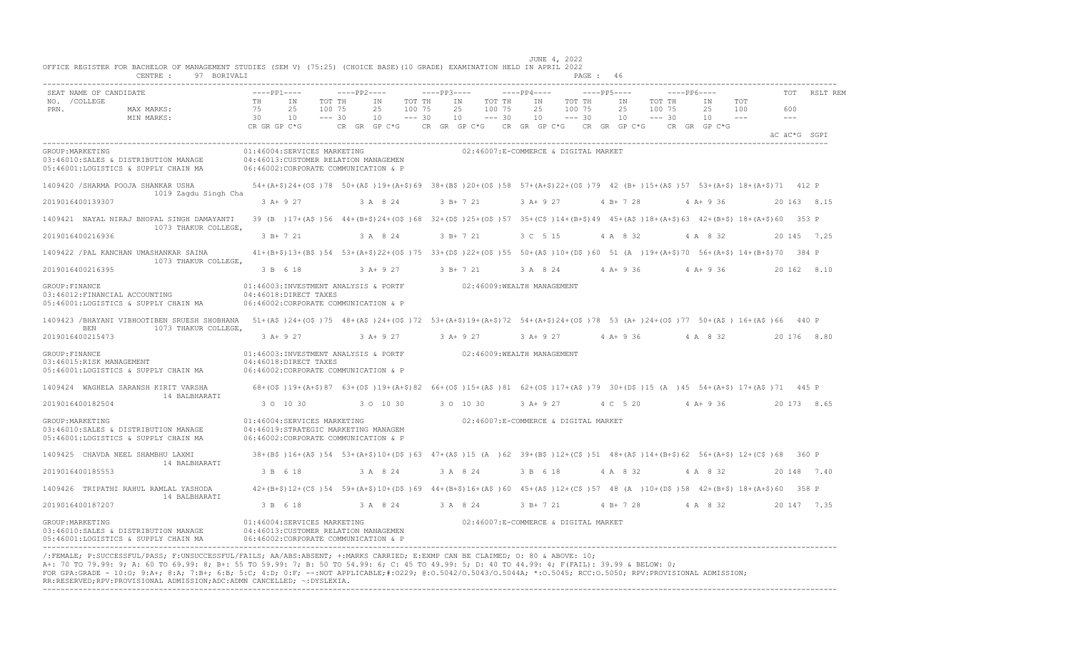| SEAT NAME OF CANDIDATE                                                                                                                                                                                        | $---PP1---$                    |                                                                                                                                                   |                              | $---PP2---$                    |                              | $---PP3---$ |                                                 |                              | $---PP4---$    |                                      | $---PP5---$                    |                              | $---PP6---$ |                                |                       | <b>TOT</b>     | RSLT REM    |
|---------------------------------------------------------------------------------------------------------------------------------------------------------------------------------------------------------------|--------------------------------|---------------------------------------------------------------------------------------------------------------------------------------------------|------------------------------|--------------------------------|------------------------------|-------------|-------------------------------------------------|------------------------------|----------------|--------------------------------------|--------------------------------|------------------------------|-------------|--------------------------------|-----------------------|----------------|-------------|
| NO. / COLLEGE<br>PRN.<br>MAX MARKS:<br>MIN MARKS:                                                                                                                                                             | TH<br>75<br>30<br>CR GR GP C*G | ΙN<br>25<br>10                                                                                                                                    | TOT TH<br>100 75<br>$--- 30$ | ΙN<br>25<br>10<br>CR GR GP C*G | TOT TH<br>100 75<br>$--- 30$ |             | ΙN<br>25<br>10<br>CR GR GP $C*G$ CR GR GP $C*G$ | TOT TH<br>100 75<br>$--- 30$ | IN<br>25<br>10 | TOT TH<br>100 75<br>$--- 30$         | ΙN<br>25<br>10<br>CR GR GP C*G | TOT TH<br>100 75<br>$--- 30$ |             | ΙN<br>25<br>10<br>CR GR GP C*G | TOT<br>100<br>$- - -$ | 600<br>$- - -$ |             |
|                                                                                                                                                                                                               |                                |                                                                                                                                                   |                              |                                |                              |             |                                                 |                              |                |                                      |                                |                              |             |                                |                       | äC äC*G SGPI   |             |
| GROUP: MARKETING<br>03:46010:SALES & DISTRIBUTION MANAGE<br>05:46001:LOGISTICS & SUPPLY CHAIN MA                                                                                                              |                                | 01:46004:SERVICES MARKETING<br>04:46013: CUSTOMER RELATION MANAGEMEN<br>06:46002:CORPORATE COMMUNICATION & P                                      |                              |                                |                              |             |                                                 |                              |                | 02:46007:E-COMMERCE & DIGITAL MARKET |                                |                              |             |                                |                       |                |             |
| 1409420 /SHARMA POOJA SHANKAR USHA<br>1019 Zagdu Singh Cha                                                                                                                                                    |                                | 54+(A+\$)24+(O\$)78 50+(A\$)19+(A+\$)69 38+(B\$)20+(O\$)58 57+(A+\$)22+(O\$)79 42 (B+)15+(A\$)57 53+(A+\$)18+(A+\$)71 412 P                       |                              |                                |                              |             |                                                 |                              |                |                                      |                                |                              |             |                                |                       |                |             |
| 2019016400139307                                                                                                                                                                                              |                                | $3 A+ 9 27$                                                                                                                                       |                              | 3 A 8 24                       |                              |             | $3 B+ 7 21$                                     |                              | $3 A+9 27$     |                                      | $4 B+ 7 28$                    |                              |             | $4 A + 9 36$                   |                       |                | 20 163 8.15 |
| 1409421 NAYAL NIRAJ BHOPAL SINGH DAMAYANTI<br>1073 THAKUR COLLEGE,                                                                                                                                            |                                | 39 (B) 17+ (A\$) 56 44+ (B+\$) 24+ (O\$) 68 32+ (D\$) 25+ (O\$) 57 35+ (C\$) 14+ (B+\$) 49 45+ (A\$) 18+ (A+\$) 63 42+ (B+\$) 18+ (A+\$) 60 353 P |                              |                                |                              |             |                                                 |                              |                |                                      |                                |                              |             |                                |                       |                |             |
| 2019016400216936                                                                                                                                                                                              |                                | 3 B+ 7 21                                                                                                                                         |                              | 3 A 8 24                       |                              |             | $3 B+ 7 21$                                     |                              | 3 C 5 15       |                                      | 4 A 8 32                       |                              |             | 4 A 8 32                       |                       |                | 20 145 7.25 |
| 1409422 / PAL KANCHAN UMASHANKAR SAINA                                                                                                                                                                        |                                | $41+(B+\$)13+(B+\$)54$ 53+ (A+\$) 22+ (O\$) 75 33+ (D\$) 22+ (O\$) 55 50+ (A\$) 10+ (D\$) 60 51 (A) 19+ (A+\$) 70 56+ (A+\$) 14+ (B+\$) 70        |                              |                                |                              |             |                                                 |                              |                |                                      |                                |                              |             |                                |                       |                | 384 P       |
| 1073 THAKUR COLLEGE,<br>2019016400216395                                                                                                                                                                      |                                | 3 B 6 18                                                                                                                                          |                              | 3 A+ 9 27                      |                              |             | 3 B+ 7 21                                       |                              | 3 A 8 24       |                                      | $4 A+9 36$                     |                              |             | $4 A+9 36$                     |                       |                | 20 162 8.10 |
| GROUP: FINANCE<br>03:46012: FINANCIAL ACCOUNTING<br>05:46001:LOGISTICS & SUPPLY CHAIN MA                                                                                                                      |                                | 01:46003:INVESTMENT ANALYSIS & PORTF<br>04:46018:DIRECT TAXES<br>06:46002:CORPORATE COMMUNICATION & P                                             |                              |                                |                              |             | 02:46009:WEALTH MANAGEMENT                      |                              |                |                                      |                                |                              |             |                                |                       |                |             |
| 1409423 /BHAYANI VIBHOOTIBEN SRUESH SHOBHANA 51+(A\$)24+(O\$)75 48+(A\$)24+(O\$)72 53+(A+\$)19+(A+\$)72 54+(A+\$)24+(O\$)78 53 (A+)24+(O\$)77 50+(A\$) 16+(A\$)66 440 P<br><b>BEN</b><br>1073 THAKUR COLLEGE, |                                |                                                                                                                                                   |                              |                                |                              |             |                                                 |                              |                |                                      |                                |                              |             |                                |                       |                |             |
| 2019016400215473                                                                                                                                                                                              |                                | $3 A+ 9 27$                                                                                                                                       |                              | $3 A+ 9 27$                    |                              |             | $3 A+9 27$                                      |                              | $3 A+9 27$     |                                      | $4 A+9 36$                     |                              |             | 4 A 8 32                       |                       |                | 20 176 8.80 |
| GROUP: FINANCE<br>03:46015:RISK MANAGEMENT<br>05:46001:LOGISTICS & SUPPLY CHAIN MA                                                                                                                            |                                | 01:46003:INVESTMENT ANALYSIS & PORTF 02:46009:WEALTH MANAGEMENT<br>04:46018:DIRECT TAXES<br>06:46002:CORPORATE COMMUNICATION & P                  |                              |                                |                              |             |                                                 |                              |                |                                      |                                |                              |             |                                |                       |                |             |
| 1409424 WAGHELA SARANSH KIRIT VARSHA                                                                                                                                                                          |                                | 68+(0\$)19+(A+\$)87 63+(0\$)19+(A+\$)82 66+(0\$)15+(A\$)81 62+(0\$)17+(A\$)79 30+(D\$)15 (A)45 54+(A+\$)17+(A\$)71 445 P                          |                              |                                |                              |             |                                                 |                              |                |                                      |                                |                              |             |                                |                       |                |             |
| 14 BALBHARATI<br>2019016400182504                                                                                                                                                                             |                                | 3 0 10 30                                                                                                                                         |                              | 3 0 10 30                      |                              |             | 3 0 10 30                                       |                              | 3 A+ 9 27      |                                      | 4 C 5 20                       |                              |             | $4 A+9 36$                     |                       |                | 20 173 8.65 |
| GROUP: MARKETING<br>03:46010:SALES & DISTRIBUTION MANAGE<br>05:46001:LOGISTICS & SUPPLY CHAIN MA                                                                                                              |                                | 01:46004:SERVICES MARKETING<br>04:46019:STRATEGIC MARKETING MANAGEM<br>06:46002:CORPORATE COMMUNICATION & P                                       |                              |                                |                              |             |                                                 |                              |                | 02:46007:E-COMMERCE & DIGITAL MARKET |                                |                              |             |                                |                       |                |             |
| 1409425 CHAVDA NEEL SHAMBHU LAXMI<br>14 BALBHARATI                                                                                                                                                            |                                | 38+(B\$)16+(A\$)54 53+(A+\$)10+(D\$)63 47+(A\$)15 (A)62 39+(B\$)12+(C\$)51 48+(A\$)14+(B+\$)62 56+(A+\$)12+(C\$)68 360 P                          |                              |                                |                              |             |                                                 |                              |                |                                      |                                |                              |             |                                |                       |                |             |
| 2019016400185553                                                                                                                                                                                              |                                | 3 B 6 18                                                                                                                                          |                              | 3 A 8 24                       |                              |             | 3 A 8 24                                        |                              | 3 B 6 18       |                                      | 4 A 8 32                       |                              |             | 4 A 8 32                       |                       |                | 20 148 7.40 |
| 1409426 TRIPATHI RAHUL RAMLAL YASHODA<br>14 BALBHARATI                                                                                                                                                        |                                | $42+(B+\$)12+(C\$)54$ 59+(A+\$)10+(D\$)69 44+(B+\$)16+(A\$)60 45+(A\$)12+(C\$)57 48 (A)10+(D\$)58 42+(B+\$) 18+(A+\$)60                           |                              |                                |                              |             |                                                 |                              |                |                                      |                                |                              |             |                                |                       |                | 358 P       |
| 2019016400187207                                                                                                                                                                                              |                                | 3 B 6 18                                                                                                                                          |                              | 3 A 8 24                       |                              |             | 3 A 8 24                                        |                              | 3 B+ 7 21      |                                      | 4 B+ 7 28                      |                              |             | 4 A 8 32                       |                       |                | 20 147 7.35 |
| GROUP: MARKETING<br>03:46010:SALES & DISTRIBUTION MANAGE<br>05:46001:LOGISTICS & SUPPLY CHAIN MA                                                                                                              |                                | 01:46004:SERVICES MARKETING<br>04:46013: CUSTOMER RELATION MANAGEMEN<br>06:46002:CORPORATE COMMUNICATION & P                                      |                              |                                |                              |             |                                                 |                              |                | 02:46007:E-COMMERCE & DIGITAL MARKET |                                |                              |             |                                |                       |                |             |

RR:RESERVED;RPV:PROVISIONAL ADMISSION;ADC:ADMN CANCELLED; ~:DYSLEXIA. ----------------------------------------------------------------------------------------------------------------------------------------------------------------------------------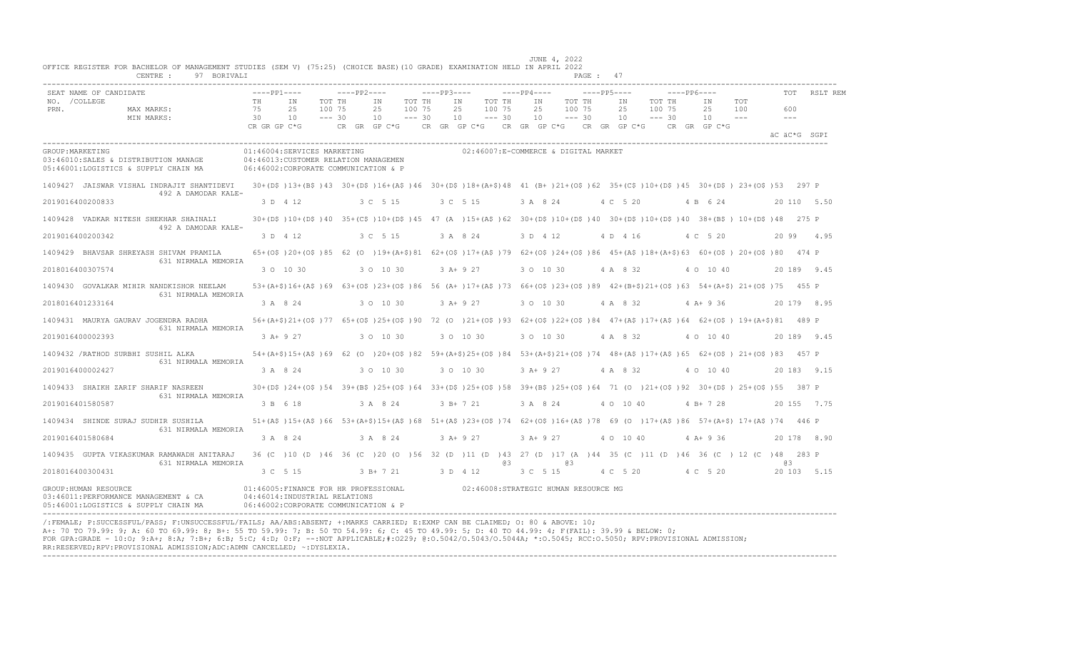|                                                                                                                                       |                                                                                                                 |                                        |                               | JUNE 4, 2022                                                                                                               |                 |
|---------------------------------------------------------------------------------------------------------------------------------------|-----------------------------------------------------------------------------------------------------------------|----------------------------------------|-------------------------------|----------------------------------------------------------------------------------------------------------------------------|-----------------|
| OFFICE REGISTER FOR BACHELOR OF MANAGEMENT STUDIES (SEM V) (75:25) (CHOICE BASE)(10 GRADE) EXAMINATION HELD IN APRIL 2022<br>CENTRE : | 97 BORIVALI                                                                                                     |                                        |                               | PAGE: 47                                                                                                                   |                 |
|                                                                                                                                       |                                                                                                                 |                                        |                               |                                                                                                                            |                 |
| SEAT NAME OF CANDIDATE<br>NO. / COLLEGE                                                                                               | $---PP1---$                                                                                                     | $---PP2---$                            | $---PP3---$                   | $---PP5---$<br>$---PP4---$<br>$---PP6---$                                                                                  | TOT<br>RSLT REM |
| PRN.<br>MAX MARKS:                                                                                                                    | TH<br>IN<br>75<br>2.5<br>100 75                                                                                 | TOT TH<br>IN<br>TOT TH<br>100 75<br>25 | IN<br>TOT TH<br>2.5<br>100 75 | IN<br>TOT TH<br>IN<br>TOT TH<br>IN<br>TOT<br>100 75<br>100 75<br>100<br>25<br>2.5<br>25                                    | 600             |
| MIN MARKS:                                                                                                                            | 30<br>10                                                                                                        | $--- 30$<br>$--- 30$<br>10             | 10<br>$--- 30$                | 10<br>$--- 30$<br>10<br>$--- 30$<br>10<br>$  -$                                                                            | $ -$            |
|                                                                                                                                       | CR GR GP C*G                                                                                                    | CR GR GP C*G                           |                               | CR GR GP C*G CR GR GP C*G CR GR GP C*G<br>CR GR GP C*G                                                                     | äC äC*G SGPI    |
|                                                                                                                                       |                                                                                                                 |                                        |                               |                                                                                                                            |                 |
| GROUP: MARKETING<br>03:46010:SALES & DISTRIBUTION MANAGE                                                                              | 01:46004:SERVICES MARKETING<br>04:46013: CUSTOMER RELATION MANAGEMEN                                            |                                        |                               | 02:46007:E-COMMERCE & DIGITAL MARKET                                                                                       |                 |
| 05:46001:LOGISTICS & SUPPLY CHAIN MA                                                                                                  | 06:46002:CORPORATE COMMUNICATION & P                                                                            |                                        |                               |                                                                                                                            |                 |
| 1409427 JAISWAR VISHAL INDRAJIT SHANTIDEVI<br>492 A DAMODAR KALE-                                                                     |                                                                                                                 |                                        |                               | 30+(D\$)13+(B\$)43 30+(D\$)16+(A\$)46 30+(D\$)18+(A+\$)48 41 (B+)21+(O\$)62 35+(C\$)10+(D\$)45 30+(D\$) 23+(O\$)53 297 P   |                 |
| 2019016400200833                                                                                                                      | 3 D 4 12                                                                                                        | 3 C 5 15                               | 3 C 5 15                      | 3 A 8 24<br>4 C 5 20<br>4 B 6 24                                                                                           | 20 110 5.50     |
| 1409428 VADKAR NITESH SHEKHAR SHAINALI<br>492 A DAMODAR KALE-                                                                         |                                                                                                                 |                                        |                               | 30+(D\$)10+(D\$)40 35+(C\$)10+(D\$)45 47 (A)15+(A\$)62 30+(D\$)10+(D\$)40 30+(D\$)10+(D\$)40 38+(B\$) 10+(D\$)48 275 P     |                 |
| 2019016400200342                                                                                                                      | 3 D 4 12                                                                                                        | 3 C 5 15                               | 3 A 8 24                      | 3 D 4 12<br>4 C 5 20<br>4 D 4 16                                                                                           | 20 99 4.95      |
| 1409429 BHAVSAR SHREYASH SHIVAM PRAMILA<br>631 NIRMALA MEMORIA                                                                        |                                                                                                                 |                                        |                               | 65+(0\$)20+(0\$)85 62 (0)19+(A+\$)81 62+(0\$)17+(A\$)79 62+(0\$)24+(0\$)86 45+(A\$)18+(A+\$)63 60+(0\$)20+(0\$)80 474 P    |                 |
| 2018016400307574                                                                                                                      | 3 0 10 30                                                                                                       | 3 0 10 30                              | $3 A+9 27$                    | 3 0 10 30<br>4 A 8 32<br>4 0 10 40                                                                                         | 20 189 9.45     |
| 1409430 GOVALKAR MIHIR NANDKISHOR NEELAM<br>631 NIRMALA MEMORIA                                                                       |                                                                                                                 |                                        |                               | 53+(A+\$)16+(A\$)69 63+(O\$)23+(O\$)86 56 (A+)17+(A\$)73 66+(O\$)23+(O\$)89 42+(B+\$)21+(O\$)63 54+(A+\$) 21+(O\$)75 455 P |                 |
| 2018016401233164                                                                                                                      | 3 A 8 24                                                                                                        | 3 0 10 30                              | 3 A+ 9 27                     | 3 0 10 30<br>4 A 8 32<br>$4$ A+ 9 36                                                                                       | 20 179 8.95     |
| 1409431 MAURYA GAURAV JOGENDRA RADHA<br>631 NIRMALA MEMORIA                                                                           |                                                                                                                 |                                        |                               | 56+(A+\$)21+(O\$)77 65+(O\$)25+(O\$)90 72 (O )21+(O\$)93 62+(O\$)22+(O\$)84 47+(A\$)17+(A\$)64 62+(O\$) 19+(A+\$)81 489 P  |                 |
| 2019016400002393                                                                                                                      | $3 A+9 27$                                                                                                      | 3 0 10 30                              | 3 0 10 30                     | 3 0 10 30<br>4 A 8 32<br>4 0 10 40                                                                                         | 20 189 9.45     |
| 1409432 /RATHOD SURBHI SUSHIL ALKA<br>631 NIRMALA MEMORIA                                                                             |                                                                                                                 |                                        |                               | 54+(A+\$)15+(A\$)69 62 (0 )20+(0\$)82 59+(A+\$)25+(0\$)84 53+(A+\$)21+(0\$)74 48+(A\$)17+(A\$)65 62+(0\$) 21+(0\$)83 457 P |                 |
| 2019016400002427                                                                                                                      | 3 A 8 24                                                                                                        | 3 0 10 30                              | 3 0 10 30                     | $3 A+9 27$<br>4 A 8 32<br>4 0 10 40                                                                                        | 20 183 9.15     |
| 1409433 SHAIKH ZARIF SHARIF NASREEN<br>631 NIRMALA MEMORIA                                                                            |                                                                                                                 |                                        |                               | 30+(D\$)24+(O\$)54 39+(B\$)25+(O\$)64 33+(D\$)25+(O\$)58 39+(B\$)25+(O\$)64 71 (O )21+(O\$)92 30+(D\$) 25+(O\$)55 387 P    |                 |
| 2019016401580587                                                                                                                      | 3 B 6 18                                                                                                        | 3 A 8 24                               | $3 B+ 7 21$                   | 3 A 8 24<br>4 0 10 40<br>$4 B+ 7 28$                                                                                       | 20 155 7.75     |
| 1409434 SHINDE SURAJ SUDHIR SUSHILA<br>631 NIRMALA MEMORIA                                                                            |                                                                                                                 |                                        |                               | 51+(A\$)15+(A\$)66 53+(A+\$)15+(A\$)68 51+(A\$)23+(O\$)74 62+(O\$)16+(A\$)78 69 (O )17+(A\$)86 57+(A+\$) 17+(A\$)74 446 P  |                 |
| 2019016401580684                                                                                                                      | 3 A 8 24                                                                                                        | 3 A 8 24                               | $3 A+ 9 27$                   | 3 A+ 9 27<br>$4 A+9 36$<br>4 0 10 40                                                                                       | 20 178 8.90     |
| 1409435 GUPTA VIKASKUMAR RAMAWADH ANITARAJ<br>631 NIRMALA MEMORIA                                                                     |                                                                                                                 |                                        | eз                            | 36 (C) 10 (D) 46 36 (C) 20 (O) 56 32 (D) 11 (D) 43 27 (D) 17 (A) 44 35 (C) 11 (D) 46 36 (C) 12 (C) 48 283 P<br>@3          | 03              |
| 2018016400300431                                                                                                                      | 3 C 5 15                                                                                                        | $3 R+721$                              | 3 D 4 12                      | 3 C 5 15<br>4 C 5 20 4 C 5 20                                                                                              | 20 103 5.15     |
| GROUP: HUMAN RESOURCE<br>03:46011:PERFORMANCE MANAGEMENT & CA<br>05:46001:LOGISTICS & SUPPLY CHAIN MA                                 | 01:46005: FINANCE FOR HR PROFESSIONAL<br>04:46014: INDUSTRIAL RELATIONS<br>06:46002:CORPORATE COMMUNICATION & P |                                        |                               | 02:46008:STRATEGIC HUMAN RESOURCE MG                                                                                       |                 |

/:FEMALE; P:SUCCESSFUL/PASS; F:UNSUCCESSFUL/FAILS; AA/ABS:ABSENT; +:MARKS CARRIED; E:EXMP CAN BE CLAIMED; O: 80 & ABOVE: 10; A+: 70 TO 79.99: 9; A: 60 TO 69.99: 8; B+: 55 TO 59.99: 7; B: 50 TO 54.99: 6; C: 45 TO 49.99: 5; D: 40 TO 44.99: 4; F(FAIL): 39.99 & BELOW: 0; FOR GPA:GRADE - 10:O; 9:A+; 8:A; 7:B+; 6:B; 5:C; 4:D; 0:F; --:NOT APPLICABLE;#:O229; @:O.5042/O.5043/O.5044A; \*:O.5045; RCC:O.5050; RPV:PROVISIONAL ADMISSION; RR:RESERVED;RPV:PROVISIONAL ADMISSION;ADC:ADMN CANCELLED; ~:DYSLEXIA. ----------------------------------------------------------------------------------------------------------------------------------------------------------------------------------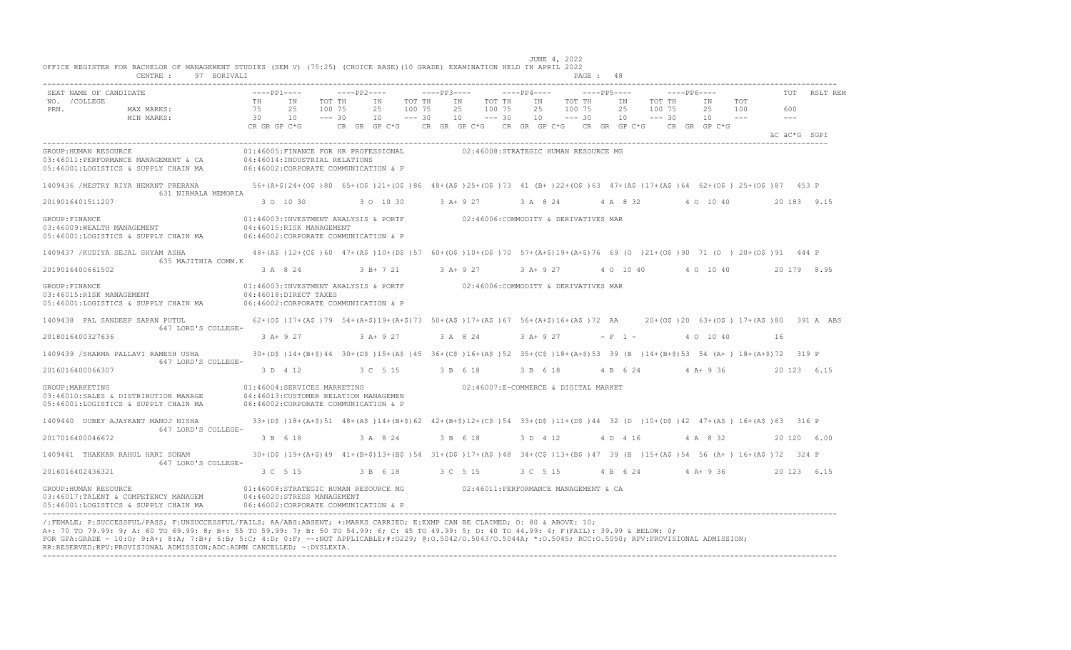|                  | SEAT NAME OF CANDIDATE                                           | $---PP1---$  |                                                                                                                            | $---PP2---$ |                                                                  |          | $---PP3---$ |                                      |          | $---PP4---$ |          | $---PP5---$ |           |          | $---PP6---$ |                                        |       |       | RSLT REM     |
|------------------|------------------------------------------------------------------|--------------|----------------------------------------------------------------------------------------------------------------------------|-------------|------------------------------------------------------------------|----------|-------------|--------------------------------------|----------|-------------|----------|-------------|-----------|----------|-------------|----------------------------------------|-------|-------|--------------|
| NO. / COLLEGE    |                                                                  | TH           | IN                                                                                                                         | TOT TH      | IN                                                               | TOT TH   |             | IN                                   | TOT TH   | IN          | TOT TH   |             | IN        | TOT TH   |             | ΙN                                     | TOT   |       |              |
| PRN.             | MAX MARKS:                                                       | 75           | 2.5                                                                                                                        | 100 75      | 2.5                                                              | 100 75   |             | 2.5                                  | 100 75   | 2.5         | 100 75   |             | 2.5       | 100 75   |             | 2.5                                    | 100   | 600   |              |
|                  | MIN MARKS:                                                       | 30           | 10                                                                                                                         | $--- 30$    | 10                                                               | $--- 30$ |             | 10                                   | $--- 30$ | 10          | $--- 30$ |             | 10        | $--- 30$ |             | 10                                     | $  -$ | $  -$ |              |
|                  |                                                                  | CR GR GP C*G |                                                                                                                            |             | CR GR GP C*G      CR GR GP C*G     CR GR GP C*G     CR GR GP C*G |          |             |                                      |          |             |          |             |           |          |             | CR GR GP C*G                           |       |       | äC äC*G SGPI |
|                  |                                                                  |              |                                                                                                                            |             |                                                                  |          |             |                                      |          |             |          |             |           |          |             |                                        |       |       |              |
|                  | GROUP: HUMAN RESOURCE                                            |              | 01:46005:FINANCE FOR HR PROFESSIONAL                                                                                       |             |                                                                  |          |             | 02:46008:STRATEGIC HUMAN RESOURCE MG |          |             |          |             |           |          |             |                                        |       |       |              |
|                  | 03:46011:PERFORMANCE MANAGEMENT & CA                             |              | 04:46014:INDUSTRIAL RELATIONS                                                                                              |             |                                                                  |          |             |                                      |          |             |          |             |           |          |             |                                        |       |       |              |
|                  | 05:46001:LOGISTICS & SUPPLY CHAIN MA                             |              | 06:46002:CORPORATE COMMUNICATION & P                                                                                       |             |                                                                  |          |             |                                      |          |             |          |             |           |          |             |                                        |       |       |              |
|                  | 1409436 / MESTRY RIYA HEMANT PRERANA                             |              | 56+(A+\$)24+(O\$)80 65+(O\$)21+(O\$)86 48+(A\$)25+(O\$)73 41 (B+)22+(O\$)63 47+(A\$)17+(A\$)64 62+(O\$)25+(O\$)87 453 P    |             |                                                                  |          |             |                                      |          |             |          |             |           |          |             |                                        |       |       |              |
|                  | 631 NIRMALA MEMORIA                                              |              |                                                                                                                            |             |                                                                  |          |             |                                      |          |             |          |             |           |          |             |                                        |       |       |              |
|                  | 2019016401511207                                                 |              | 3 0 10 30                                                                                                                  |             | 3 0 10 30                                                        |          |             |                                      |          |             |          |             |           |          |             | 3 A + 9 27 3 A 8 24 4 A 8 32 4 0 10 40 |       |       | 20 183 9.15  |
| GROUP: FINANCE   |                                                                  |              | 01:46003:INVESTMENT ANALYSIS & PORTF 02:46006:COMMODITY & DERIVATIVES MAR                                                  |             |                                                                  |          |             |                                      |          |             |          |             |           |          |             |                                        |       |       |              |
|                  | 03:46009:WEALTH MANAGEMENT                                       |              | 04:46015:RISK MANAGEMENT                                                                                                   |             |                                                                  |          |             |                                      |          |             |          |             |           |          |             |                                        |       |       |              |
|                  | 05:46001:LOGISTICS & SUPPLY CHAIN MA                             |              | 06:46002:CORPORATE COMMUNICATION & P                                                                                       |             |                                                                  |          |             |                                      |          |             |          |             |           |          |             |                                        |       |       |              |
|                  |                                                                  |              |                                                                                                                            |             |                                                                  |          |             |                                      |          |             |          |             |           |          |             |                                        |       |       |              |
|                  | 1409437 / KUDIYA SEJAL SHYAM ASHA<br>635 MAJITHIA COMM.K         |              | 48+(A\$)12+(C\$)60 47+(A\$)10+(D\$)57 60+(O\$)10+(D\$)70 57+(A+\$)19+(A+\$)76 69 (O )21+(O\$)90 71 (O )20+(O\$)91 444 P    |             |                                                                  |          |             |                                      |          |             |          |             |           |          |             |                                        |       |       |              |
|                  | 2019016400661502                                                 |              | 3 A 8 24                                                                                                                   |             | $3 R + 7 21$                                                     |          |             | $3 A+9 27$                           |          | 3 A+ 9 27   |          |             | 4 0 10 40 |          |             | 4 0 10 40                              |       |       | 20 179 8.95  |
|                  |                                                                  |              |                                                                                                                            |             |                                                                  |          |             |                                      |          |             |          |             |           |          |             |                                        |       |       |              |
| GROUP: FINANCE   |                                                                  |              | 01:46003:INVESTMENT ANALYSIS & PORTF 02:46006:COMMODITY & DERIVATIVES MAR                                                  |             |                                                                  |          |             |                                      |          |             |          |             |           |          |             |                                        |       |       |              |
|                  | 03:46015:RISK MANAGEMENT<br>05:46001:LOGISTICS & SUPPLY CHAIN MA |              | 04:46018:DIRECT TAXES<br>06:46002:CORPORATE COMMUNICATION & P                                                              |             |                                                                  |          |             |                                      |          |             |          |             |           |          |             |                                        |       |       |              |
|                  |                                                                  |              |                                                                                                                            |             |                                                                  |          |             |                                      |          |             |          |             |           |          |             |                                        |       |       |              |
|                  | 1409438 PAL SANDEEP SAPAN PUTUL                                  |              | 62+(0\$)17+(A\$)79 54+(A+\$)19+(A+\$)73 50+(A\$)17+(A\$)67 56+(A+\$)16+(A\$)72 AA 20+(0\$)20 63+(0\$) 17+(A\$)80 391 A ABS |             |                                                                  |          |             |                                      |          |             |          |             |           |          |             |                                        |       |       |              |
|                  | 647 LORD'S COLLEGE-                                              |              |                                                                                                                            |             |                                                                  |          |             |                                      |          |             |          |             |           |          |             |                                        |       |       |              |
|                  | 2018016400327636                                                 |              | 3 A + 9 27 3 A + 9 27                                                                                                      |             |                                                                  |          |             | 3 A 8 24                             |          | 3 A+ 9 27   |          | $- F 1 -$   |           |          |             | 4 0 10 40                              |       | 16    |              |
|                  | 1409439 / SHARMA PALLAVI RAMESH USHA                             |              | 30+(D\$)14+(B+\$)44 30+(D\$)15+(A\$)45 36+(C\$)16+(A\$)52 35+(C\$)18+(A+\$)53 39 (B)14+(B+\$)53 54 (A+) 18+(A+\$)72 319 P  |             |                                                                  |          |             |                                      |          |             |          |             |           |          |             |                                        |       |       |              |
|                  | 647 LORD'S COLLEGE-                                              |              |                                                                                                                            |             |                                                                  |          |             |                                      |          |             |          |             |           |          |             |                                        |       |       |              |
|                  | 2016016400066307                                                 |              | 3 D 4 12                                                                                                                   |             | 3 C 5 15                                                         |          |             | 3 B 6 18                             |          | 3 B 6 18    |          |             | 4 B 6 24  |          |             | $4 A+9 36$                             |       |       | 20 123 6.15  |
| GROUP: MARKETING |                                                                  |              | 01:46004:SERVICES MARKETING                                                                                                |             |                                                                  |          |             | 02:46007:E-COMMERCE & DIGITAL MARKET |          |             |          |             |           |          |             |                                        |       |       |              |
|                  | 03:46010:SALES & DISTRIBUTION MANAGE                             |              | 04:46013: CUSTOMER RELATION MANAGEMEN                                                                                      |             |                                                                  |          |             |                                      |          |             |          |             |           |          |             |                                        |       |       |              |
|                  | 05:46001:LOGISTICS & SUPPLY CHAIN MA                             |              | 06:46002:CORPORATE COMMUNICATION & P                                                                                       |             |                                                                  |          |             |                                      |          |             |          |             |           |          |             |                                        |       |       |              |
|                  |                                                                  |              |                                                                                                                            |             |                                                                  |          |             |                                      |          |             |          |             |           |          |             |                                        |       |       |              |
|                  | 1409440 DUBEY AJAYKANT MANOJ NISHA<br>647 LORD'S COLLEGE-        |              | 33+(DS)18+(A+\$)51 48+(AS)14+(B+\$)62 42+(B+\$)12+(CS)54 33+(DS)11+(DS)44 32 (D)10+(DS)42 47+(AS)16+(AS)63 316 P           |             |                                                                  |          |             |                                      |          |             |          |             |           |          |             |                                        |       |       |              |
|                  | 2017016400046672                                                 |              | 3 B 6 18                                                                                                                   |             | 3 A 8 24                                                         |          |             | 3 B 6 18                             |          | 3 D 4 12    |          |             | 4 D 4 16  |          |             | 4 A 8 32                               |       |       | 20 120 6.00  |
|                  |                                                                  |              |                                                                                                                            |             |                                                                  |          |             |                                      |          |             |          |             |           |          |             |                                        |       |       |              |
|                  | 1409441 THAKKAR RAHUL HARI SONAM                                 |              | 30+(D\$)19+(A+\$)49 41+(B+\$)13+(B\$)54 31+(D\$)17+(A\$)48 34+(C\$)13+(B\$)47 39 (B)15+(A\$)54 56 (A+)16+(A\$)72 324 P     |             |                                                                  |          |             |                                      |          |             |          |             |           |          |             |                                        |       |       |              |
|                  | 647 LORD'S COLLEGE-<br>2016016402436321                          |              | 3 C 5 15                                                                                                                   |             | 3 B 6 18                                                         |          | 3 C 5 15    |                                      |          | 3 C 5 15    |          |             |           |          |             | 4 B 6 24 4 A + 9 36                    |       |       | 20 123 6.15  |
|                  |                                                                  |              |                                                                                                                            |             |                                                                  |          |             |                                      |          |             |          |             |           |          |             |                                        |       |       |              |
|                  | GROUP: HUMAN RESOURCE                                            |              | 01:46008:STRATEGIC HUMAN RESOURCE MG                                                                                       |             |                                                                  |          |             | 02:46011:PERFORMANCE MANAGEMENT & CA |          |             |          |             |           |          |             |                                        |       |       |              |
|                  | 03:46017:TALENT & COMPETENCY MANAGEM                             |              | 04:46020:STRESS MANAGEMENT                                                                                                 |             |                                                                  |          |             |                                      |          |             |          |             |           |          |             |                                        |       |       |              |
|                  | 05:46001:LOGISTICS & SUPPLY CHAIN MA                             |              | 06:46002: CORPORATE COMMUNICATION & P                                                                                      |             |                                                                  |          |             |                                      |          |             |          |             |           |          |             |                                        |       |       |              |

---------------------------------------------------------------------------------------------------------------------------------------------------------------------------------- /:FEMALE; P:SUCCESSFUL/PASS; F:UNSUCCESSFUL/FAILS; AA/ABS:ABSENT; +:MARKS CARRIED; E:EXMP CAN BE CLAIMED; O: 80 & ABOVE: 10; A+: 70 TO 79.99: 9; A: 60 TO 69.99: 8; B+: 55 TO 59.99: 7; B: 50 TO 54.99: 6; C: 45 TO 49.99: 5; D: 40 TO 44.99: 4; F(FAIL): 39.99 & BELOW: 0; FOR GPA:GRADE - 10:O; 9:A+; 8:A; 7:B+; 6:B; 5:C; 4:D; 0:F; --:NOT APPLICABLE;#:O229; @:O.5042/O.5043/O.5044A; \*:O.5045; RCC:O.5050; RPV:PROVISIONAL ADMISSION; RR:RESERVED;RPV:PROVISIONAL ADMISSION;ADC:ADMN CANCELLED; ~:DYSLEXIA. ----------------------------------------------------------------------------------------------------------------------------------------------------------------------------------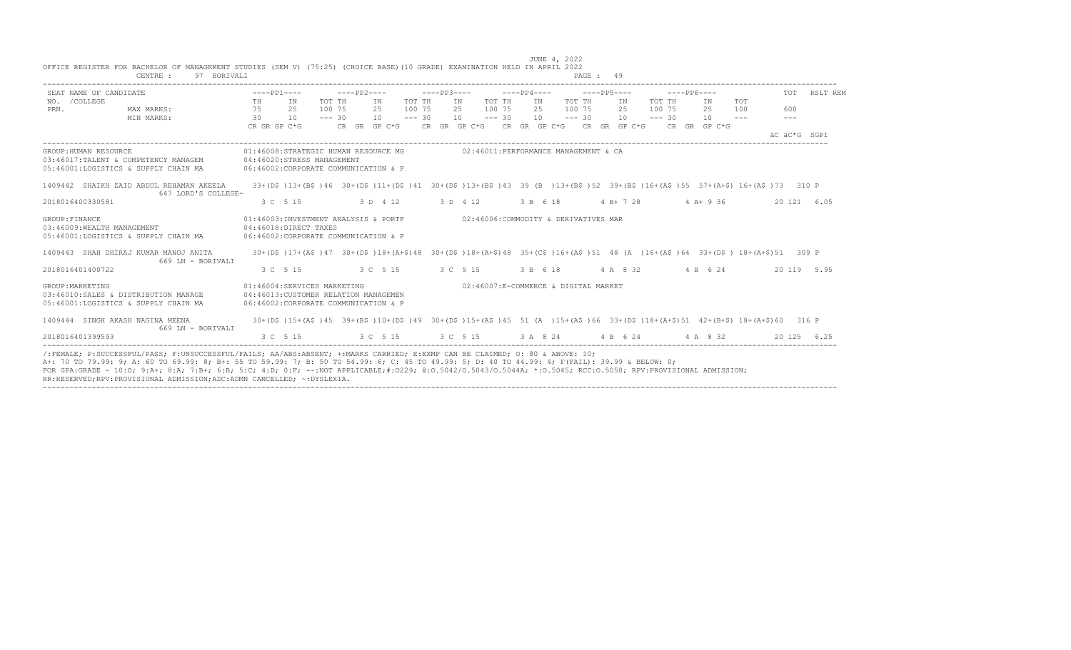| 97 BORIVALI<br>CENTRE :                                                                                                                                                                                                                                                                                                                                                                                                                                                                                                    |                             |                                                                               |                                 | PAGE: 49                                                                   |                                                                                                                                                                                                                                                                                                                                                                                                                                                   |                |
|----------------------------------------------------------------------------------------------------------------------------------------------------------------------------------------------------------------------------------------------------------------------------------------------------------------------------------------------------------------------------------------------------------------------------------------------------------------------------------------------------------------------------|-----------------------------|-------------------------------------------------------------------------------|---------------------------------|----------------------------------------------------------------------------|---------------------------------------------------------------------------------------------------------------------------------------------------------------------------------------------------------------------------------------------------------------------------------------------------------------------------------------------------------------------------------------------------------------------------------------------------|----------------|
| SEAT NAME OF CANDIDATE<br>NO. / COLLEGE                                                                                                                                                                                                                                                                                                                                                                                                                                                                                    | $---PP1---$<br>TH<br>IN     | -----PP2----<br>TOT TH<br>TOT TH<br>IN                                        | $---PP3---$<br>TOT TH<br>IN     | $---PP4-- ---PP5---$<br>TOT TH<br>IN                                       | $---PP6---$<br>TOT TH<br>TOT<br>IN<br>IN                                                                                                                                                                                                                                                                                                                                                                                                          | TOT RSLT REM   |
| MAX MARKS:<br>PRN.<br>MIN MARKS:                                                                                                                                                                                                                                                                                                                                                                                                                                                                                           | 75<br>2.5<br>30<br>10       | 100 75<br>2.5<br>100 75<br>$--- 30$<br>10<br>$--- 30$                         | 2.5<br>100 75<br>10<br>$--- 30$ | 2.5<br>100 75<br>10<br>$--- 30$                                            | 2.5<br>100 75<br>25<br>100<br>$10 - - - 30$<br>10<br>$\frac{1}{2} \frac{1}{2} \frac{1}{2} \frac{1}{2} \frac{1}{2} \frac{1}{2} \frac{1}{2} \frac{1}{2} \frac{1}{2} \frac{1}{2} \frac{1}{2} \frac{1}{2} \frac{1}{2} \frac{1}{2} \frac{1}{2} \frac{1}{2} \frac{1}{2} \frac{1}{2} \frac{1}{2} \frac{1}{2} \frac{1}{2} \frac{1}{2} \frac{1}{2} \frac{1}{2} \frac{1}{2} \frac{1}{2} \frac{1}{2} \frac{1}{2} \frac{1}{2} \frac{1}{2} \frac{1}{2} \frac{$ | 600<br>$- - -$ |
|                                                                                                                                                                                                                                                                                                                                                                                                                                                                                                                            | CR GR GP C*G                |                                                                               |                                 | CR GR GP C*G CR GR GP C*G CR GR GP C*G CR GR GP C*G CR GR GP C*G           |                                                                                                                                                                                                                                                                                                                                                                                                                                                   | äC äC*G SGPT   |
| GROUP: HUMAN RESOURCE<br>03:46017:TALENT & COMPETENCY MANAGEM<br>05:46001:LOGISTICS & SUPPLY CHAIN MA                                                                                                                                                                                                                                                                                                                                                                                                                      | 04:46020:STRESS MANAGEMENT  | 06:46002:CORPORATE COMMUNICATION & P                                          |                                 | 01:46008:STRATEGIC HUMAN RESOURCE MG 602:46011:PERFORMANCE MANAGEMENT & CA |                                                                                                                                                                                                                                                                                                                                                                                                                                                   |                |
| 1409442 SHAIKH ZAID ABDUL REHAMAN AKEELA<br>647 LORD'S COLLEGE-                                                                                                                                                                                                                                                                                                                                                                                                                                                            |                             |                                                                               |                                 |                                                                            | 33+(D\$)13+(B\$)46 30+(D\$)11+(D\$)41 30+(D\$)13+(B\$)43 39 (B )13+(B\$)52 39+(B\$)16+(A\$)55 57+(A+\$)16+(A\$)73 310 P                                                                                                                                                                                                                                                                                                                           |                |
| 2018016400330581                                                                                                                                                                                                                                                                                                                                                                                                                                                                                                           | 3 C 5 15                    | 3 D 4 12                                                                      | 3 D 4 12                        | 3 B 6 18                                                                   | 4 B + 7 28 4 A + 9 36                                                                                                                                                                                                                                                                                                                                                                                                                             | 20 121 6.05    |
| GROUP: FINANCE<br>03:46009: WEALTH MANAGEMENT<br>05:46001:LOGISTICS & SUPPLY CHAIN MA                                                                                                                                                                                                                                                                                                                                                                                                                                      | 04:46018:DIRECT TAXES       | 01:46003:INVESTMENT ANALYSIS & PORTF<br>06:46002:CORPORATE COMMUNICATION & P  |                                 | 02:46006:COMMODITY & DERIVATIVES MAR                                       |                                                                                                                                                                                                                                                                                                                                                                                                                                                   |                |
| 1409443 SHAH DHIRAJ KUMAR MANOJ ANITA<br>669 LN - BORIVALI                                                                                                                                                                                                                                                                                                                                                                                                                                                                 |                             |                                                                               |                                 |                                                                            | 30+(D\$)17+(A\$)47 30+(D\$)18+(A+\$)48 30+(D\$)18+(A+\$)48 35+(C\$)16+(A\$)51 48 (A)16+(A\$)64 33+(D\$) 18+(A+\$)51 309 P                                                                                                                                                                                                                                                                                                                         |                |
| 2018016401400722                                                                                                                                                                                                                                                                                                                                                                                                                                                                                                           | 3 C 5 15                    | 3 C 5 15 3 C 5 15                                                             |                                 | 3 B 6 18                                                                   | 4 A 8 32 4 B 6 24                                                                                                                                                                                                                                                                                                                                                                                                                                 | 20 119 5.95    |
| GROUP: MARKETING<br>03:46010:SALES & DISTRIBUTION MANAGE<br>05:46001:LOGISTICS & SUPPLY CHAIN MA                                                                                                                                                                                                                                                                                                                                                                                                                           | 01:46004:SERVICES MARKETING | 04:46013: CUSTOMER RELATION MANAGEMEN<br>06:46002:CORPORATE COMMUNICATION & P |                                 | 02:46007:E-COMMERCE & DIGITAL MARKET                                       |                                                                                                                                                                                                                                                                                                                                                                                                                                                   |                |
| 1409444 SINGH AKASH NAGINA MEENA<br>669 LN - BORIVALI                                                                                                                                                                                                                                                                                                                                                                                                                                                                      |                             |                                                                               |                                 |                                                                            | 30+(D\$)15+(A\$)45 39+(B\$)10+(D\$)49 30+(D\$)15+(A\$)45 51 (A )15+(A\$)66 33+(D\$)18+(A+\$)51 42+(B+\$)18+(A+\$)60 316 P                                                                                                                                                                                                                                                                                                                         |                |
| 2018016401399593                                                                                                                                                                                                                                                                                                                                                                                                                                                                                                           | 3 C 5 15                    |                                                                               |                                 | 3 C 5 15 3 C 5 15 3 A 8 24 4 B 6 24 4 A 8 32                               |                                                                                                                                                                                                                                                                                                                                                                                                                                                   | 20 125 6.25    |
| /:FEMALE; P:SUCCESSFUL/PASS; F:UNSUCCESSFUL/FAILS; AA/ABS:ABSENT; +:MARKS CARRIED; E:EXMP CAN BE CLAIMED; O: 80 & ABOVE: 10;<br>A+: 70 TO 79.99: 9; A: 60 TO 69.99: 8; B+: 55 TO 59.99: 7; B: 50 TO 54.99: 6; C: 45 TO 49.99: 5; D: 40 TO 44.99: 4; F(FAIL): 39.99 & BELOW: 0;<br>FOR GPA:GRADE - 10:0; 9:A+; 8:A; 7:B+; 6:B; 5:C; 4:D; 0:F; --:NOT APPLICABLE;#:0229; 0:0.5042/0.5043/0.5044A; *:0.5045; RCC:0.5050; RPV:PROVISIONAL ADMISSION;<br>RR:RESERVED:RPV:PROVISIONAL ADMISSION;ADC:ADMN CANCELLED; ~: DYSLEXIA. |                             |                                                                               |                                 |                                                                            |                                                                                                                                                                                                                                                                                                                                                                                                                                                   |                |

 JUNE 4, 2022 OFFICE REGISTER FOR BACHELOR OF MANAGEMENT STUDIES (SEM V) (75:25) (CHOICE BASE)(10 GRADE) EXAMINATION HELD IN APRIL 2022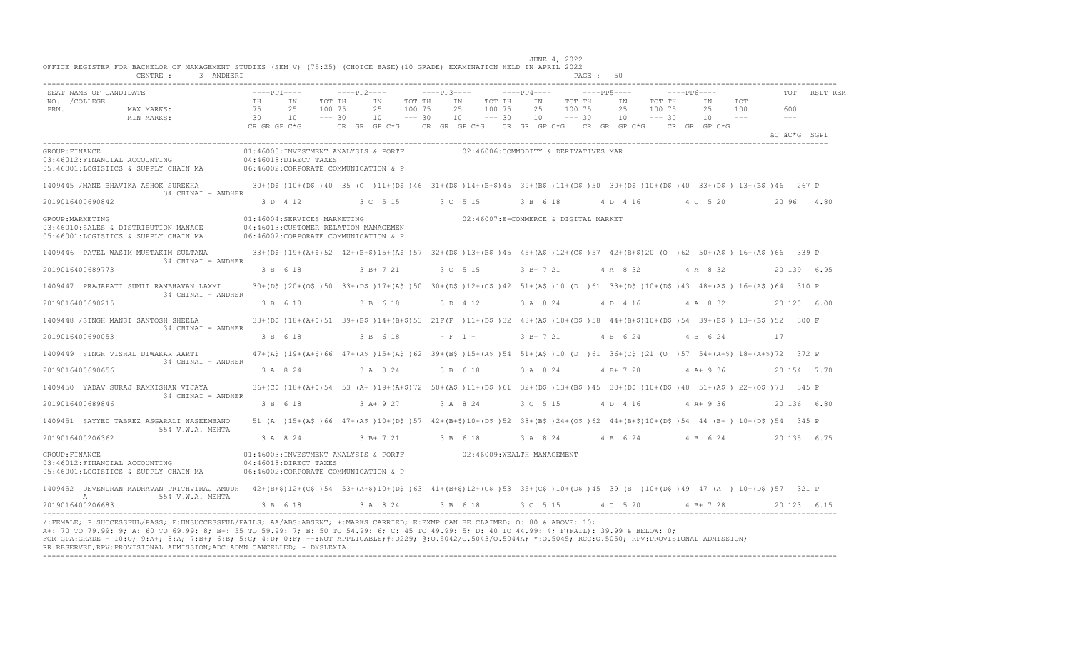|                       | SEAT NAME OF CANDIDATE                                                                                                                                                                                  | $---PP1---$        |                                                                                                                                             | $---PP2---$ |                            |                              | $---PP3---$ |                                      |                  | $---PP4---$ |           |                  | $---PP5---$ |                         |        | $---PP6---$                                         |             |              |             | TOT RSLT REM |
|-----------------------|---------------------------------------------------------------------------------------------------------------------------------------------------------------------------------------------------------|--------------------|---------------------------------------------------------------------------------------------------------------------------------------------|-------------|----------------------------|------------------------------|-------------|--------------------------------------|------------------|-------------|-----------|------------------|-------------|-------------------------|--------|-----------------------------------------------------|-------------|--------------|-------------|--------------|
| NO. / COLLEGE<br>PRN. | MAX MARKS:                                                                                                                                                                                              | TH<br>75           | IN<br>25<br>100 75<br>$--- 30$<br>10                                                                                                        | TOT TH      | ΙN<br>25                   | TOT TH<br>100 75<br>$--- 30$ |             | IN<br>25                             | TOT TH<br>100 75 | IN<br>25    |           | TOT TH<br>100 75 | IN<br>25    | TOT TH<br>$10 - - - 30$ | 100 75 | IN<br>25 100<br>$10 - - -$                          | TOT         | 600<br>$  -$ |             |              |
|                       | MIN MARKS:                                                                                                                                                                                              | 30<br>CR GR GP C*G |                                                                                                                                             |             | 10<br>$CR$ $GR$ $GP$ $C*G$ |                              |             | 10                                   | $--- 30$         | 10          |           | $--- 30$         |             |                         |        | CR GR GP C*G CR GR GP C*G CR GR GP C*G CR GR GP C*G |             | äC äC*G SGPI |             |              |
| GROUP: FINANCE        | 03:46012:FINANCIAL ACCOUNTING<br>05:46001:LOGISTICS & SUPPLY CHAIN MA 06:46002:CORPORATE COMMUNICATION & P                                                                                              |                    | 01:46003:INVESTMENT ANALYSIS & PORTF<br>04:46018:DIRECT TAXES                                                                               |             |                            |                              |             | 02:46006:COMMODITY & DERIVATIVES MAR |                  |             |           |                  |             |                         |        |                                                     |             |              |             |              |
|                       | 1409445 / MANE BHAVIKA ASHOK SUREKHA<br>34 CHINAI - ANDHER                                                                                                                                              |                    | 30+(D\$)10+(D\$)40 35 (C)11+(D\$)46 31+(D\$)14+(B+\$)45 39+(B\$)11+(D\$)50 30+(D\$)10+(D\$)40 33+(D\$) 13+(B\$)46 267 P                     |             |                            |                              |             |                                      |                  |             |           |                  |             |                         |        |                                                     |             |              |             |              |
|                       | 2019016400690842                                                                                                                                                                                        |                    | 3 D 4 12 3 C 5 15                                                                                                                           |             |                            |                              |             | 3 C 5 15                             |                  |             | 3 B 6 18  |                  |             |                         |        | 4 D 4 16 4 C 5 20                                   |             | 20 96 4.80   |             |              |
| GROUP: MARKETING      | 03:46010:SALES & DISTRIBUTION MANAGE<br>05:46001:LOGISTICS & SUPPLY CHAIN MA                                                                                                                            |                    | 01:46004:SERVICES MARKETING<br>04:46013: CUSTOMER RELATION MANAGEMEN<br>06:46002:CORPORATE COMMUNICATION & P                                |             |                            |                              |             | 02:46007:E-COMMERCE & DIGITAL MARKET |                  |             |           |                  |             |                         |        |                                                     |             |              |             |              |
|                       | 1409446 PATEL WASIM MUSTAKIM SULTANA                                                                                                                                                                    |                    | 33+(D\$)19+(A+\$)52 42+(B+\$)15+(A\$)57 32+(D\$)13+(B\$)45 45+(A\$)12+(C\$)57 42+(B+\$)20 (O)62 50+(A\$) 16+(A\$)66 339 P                   |             |                            |                              |             |                                      |                  |             |           |                  |             |                         |        |                                                     |             |              |             |              |
|                       | 34 CHINAI - ANDHER<br>2019016400689773                                                                                                                                                                  |                    | 3 B 6 18 3 B + 7 21                                                                                                                         |             |                            |                              | 3 C 5 15    |                                      |                  |             |           |                  |             |                         |        | 3 B + 7 21 4 A 8 32 4 A 8 32                        | 20 139 6.95 |              |             |              |
|                       | 1409447 PRAJAPATI SUMIT RAMBHAVAN LAXMI                                                                                                                                                                 |                    | 30+(D\$)20+(O\$)50 33+(D\$)17+(A\$)50 30+(D\$)12+(C\$)42 51+(A\$)10 (D)61 33+(D\$)10+(D\$)43 48+(A\$) 16+(A\$)64 310 P                      |             |                            |                              |             |                                      |                  |             |           |                  |             |                         |        |                                                     |             |              |             |              |
|                       | 34 CHINAI - ANDHER<br>2019016400690215                                                                                                                                                                  |                    | 3 B 6 18                                                                                                                                    |             | 3 B 6 18                   |                              |             | 3 D 4 12                             |                  |             | 3 A 8 24  |                  | 4 D 4 16    |                         |        | 4 A 8 32                                            |             |              | 20 120 6.00 |              |
|                       | 1409448 /SINGH MANSI SANTOSH SHEELA                                                                                                                                                                     |                    | 33+(D\$)18+(A+\$)51 39+(B\$)14+(B+\$)53 21F(F)11+(D\$)32 48+(A\$)10+(D\$)58 44+(B+\$)10+(D\$)54 39+(B\$) 13+(B\$)52 300 F                   |             |                            |                              |             |                                      |                  |             |           |                  |             |                         |        |                                                     |             |              |             |              |
|                       | 34 CHINAI - ANDHER<br>2019016400690053                                                                                                                                                                  |                    | 3 B 6 18                                                                                                                                    |             | 3 B 6 18                   |                              |             | $- F 1 -$                            |                  |             | 3 B+ 7 21 |                  | 4 B 6 24    |                         |        | 4 B 6 24                                            |             | 17           |             |              |
|                       | 1409449 SINGH VISHAL DIWAKAR AARTI<br>34 CHINAI - ANDHER                                                                                                                                                |                    | 47+(A\$)19+(A+\$)66 47+(A\$)15+(A\$)62 39+(B\$)15+(A\$)54 51+(A\$)10 (D)61 36+(C\$)21 (O)57 54+(A+\$)18+(A+\$)72 372 P                      |             |                            |                              |             |                                      |                  |             |           |                  |             |                         |        |                                                     |             |              |             |              |
|                       | 2019016400690656                                                                                                                                                                                        |                    | 3 A 8 24                                                                                                                                    |             | 3 A 8 24                   |                              |             | 3 B 6 18                             |                  |             | 3 A 8 24  |                  | 4 B + 7 28  |                         |        | $4 A+9 36$                                          |             |              | 20 154 7.70 |              |
|                       | 1409450 YADAV SURAJ RAMKISHAN VIJAYA<br>34 CHINAI - ANDHER                                                                                                                                              |                    | 36+(C\$)18+(A+\$)54 53 (A+)19+(A+\$)72 50+(A\$)11+(D\$)61 32+(D\$)13+(B\$)45 30+(D\$)10+(D\$)40 51+(A\$) 22+(O\$)73 345 P                   |             |                            |                              |             |                                      |                  |             |           |                  |             |                         |        |                                                     |             |              |             |              |
|                       | 2019016400689846                                                                                                                                                                                        |                    | 3 B 6 18                                                                                                                                    |             | $3A+927$                   |                              |             | 3 A 8 24                             |                  |             | 3 C 5 15  |                  |             | 4 D 4 16                |        | $4A+936$                                            |             | 20136 6.80   |             |              |
|                       | 1409451 SAYYED TABREZ ASGARALI NASEEMBANO<br>554 V.W.A. MEHTA                                                                                                                                           |                    | 51 (A) $15+(A)$ 66 47+ (A\$) 10+ (D\$) 57 42+ (B+\$) 10+ (D\$) 52 38+ (B\$) 24+ (O\$) 62 44+ (B+\$) 10+ (D\$) 54 44 (B+) 10+ (D\$) 54 345 P |             |                            |                              |             |                                      |                  |             |           |                  |             |                         |        |                                                     |             |              |             |              |
|                       | 2019016400206362                                                                                                                                                                                        |                    | 3 A 8 24                                                                                                                                    |             |                            |                              |             | 3 B + 7 21 3 B 6 18                  |                  |             |           |                  |             |                         |        | 3 A 8 24 4 B 6 24 4 B 6 24 20 135 6 75              |             |              |             |              |
| GROUP: FINANCE        | 03:46012:FINANCIAL ACCOUNTING<br>05:46001:LOGISTICS & SUPPLY CHAIN MA                                                                                                                                   |                    | 01:46003:INVESTMENT ANALYSIS & PORTF 02:46009:WEALTH MANAGEMENT<br>04:46018:DIRECT TAXES<br>06:46002:CORPORATE COMMUNICATION & P            |             |                            |                              |             |                                      |                  |             |           |                  |             |                         |        |                                                     |             |              |             |              |
|                       | 1409452 DEVENDRAN MADHAVAN PRITHVIRAJ AMUDH 42+(B+\$)12+(C\$)54 53+(A+\$)10+(D\$)63 41+(B+\$)12+(C\$)53 35+(C\$)10+(D\$)45 39 (B)10+(D\$)49 47 (A) 10+(D\$)57 321 P<br>554 V.W.A. MEHTA<br>$\mathbb{A}$ |                    |                                                                                                                                             |             |                            |                              |             |                                      |                  |             |           |                  |             |                         |        |                                                     |             |              |             |              |
|                       | 2019016400206683                                                                                                                                                                                        |                    | 3 B 6 18                                                                                                                                    |             | 3 A 8 24                   |                              | 3 B 6 18    |                                      |                  |             |           |                  |             |                         |        | 3 C 5 15 4 C 5 20 4 B + 7 28 20 123 6.15            |             |              |             |              |

FOR GPA:GRADE - 10:O; 9:A+; 8:A; 7:B+; 6:B; 5:C; 4:D; 0:F; --:NOT APPLICABLE;#:O229; @:O.5042/O.5043/O.5044A; \*:O.5045; RCC:O.5050; RPV:PROVISIONAL ADMISSION; RR:RESERVED;RPV:PROVISIONAL ADMISSION;ADC:ADMN CANCELLED; ~:DYSLEXIA. ----------------------------------------------------------------------------------------------------------------------------------------------------------------------------------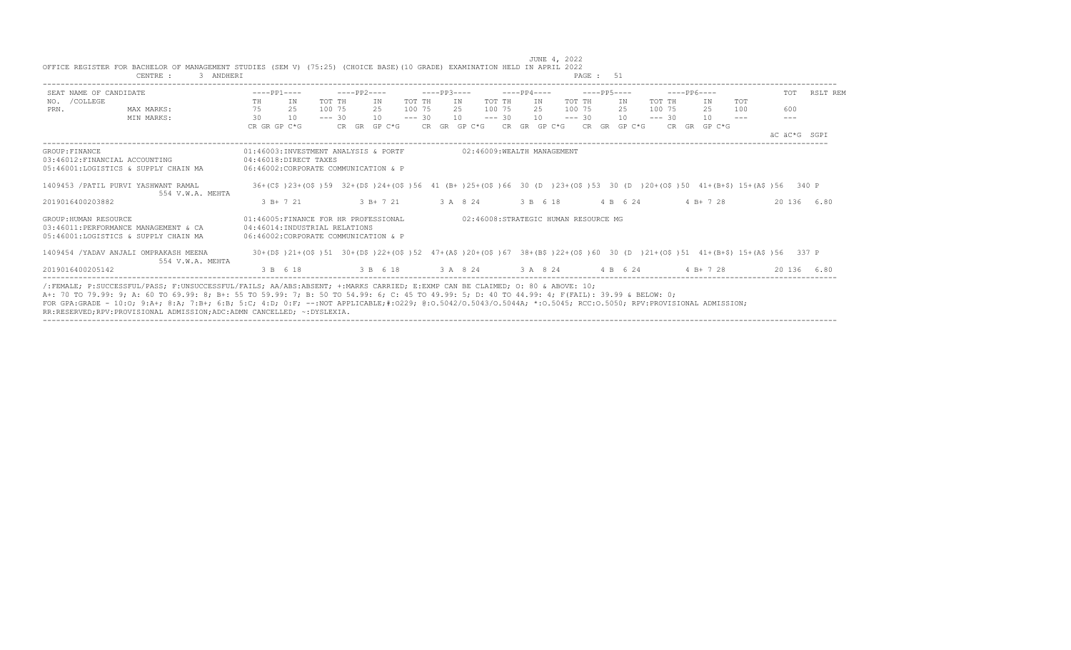| CENTRE :                                                                                                                                                                                                                                                                                                                                                                                                                                                                                                                   | 3 ANDHERI        |                                                                                                                |                    |          |                    |          |             |          |                                      |          |             |     |          | PAGE: 51 |                    |          |                            |                                                                                                                         |       |              |
|----------------------------------------------------------------------------------------------------------------------------------------------------------------------------------------------------------------------------------------------------------------------------------------------------------------------------------------------------------------------------------------------------------------------------------------------------------------------------------------------------------------------------|------------------|----------------------------------------------------------------------------------------------------------------|--------------------|----------|--------------------|----------|-------------|----------|--------------------------------------|----------|-------------|-----|----------|----------|--------------------|----------|----------------------------|-------------------------------------------------------------------------------------------------------------------------|-------|--------------|
| SEAT NAME OF CANDIDATE                                                                                                                                                                                                                                                                                                                                                                                                                                                                                                     |                  |                                                                                                                | $---PP1---$        |          | $---PP2---$        |          | $---PP3---$ |          |                                      |          | $---PP4---$ |     |          |          | $---PP5---$        |          | $---PP6---$                |                                                                                                                         | TOT   | RSLT REM     |
| NO. / COLLEGE                                                                                                                                                                                                                                                                                                                                                                                                                                                                                                              |                  | TH                                                                                                             | IN                 | TOT TH   | IN                 | TOT TH   |             | IN       |                                      | TOT TH   |             | IN  | TOT TH   |          | IN                 | TOT TH   | IN                         | TOT                                                                                                                     |       |              |
| PRN.<br>MAX MARKS:                                                                                                                                                                                                                                                                                                                                                                                                                                                                                                         |                  | 75                                                                                                             | 2.5                | 100 75   | 2.5                | 100 75   |             | 2.5      |                                      | 100 75   |             | 2.5 | 100 75   |          | 2.5                | 100 75   | 2.5                        | 100                                                                                                                     | 600   |              |
| MIN MARKS:                                                                                                                                                                                                                                                                                                                                                                                                                                                                                                                 |                  | 30                                                                                                             | 10<br>CR GR GP C*G | $--- 30$ | 10<br>CR GR GP C*G | $--- 30$ |             | 10       | CR GR GP C*G CR GR GP C*G            | $--- 30$ |             | 10  | $--- 30$ |          | 10<br>CR GR GP C*G | $--- 30$ | 10<br>$CR$ $GR$ $GP$ $C*G$ | $\frac{1}{2}$                                                                                                           | $---$ |              |
|                                                                                                                                                                                                                                                                                                                                                                                                                                                                                                                            |                  |                                                                                                                |                    |          |                    |          |             |          |                                      |          |             |     |          |          |                    |          |                            |                                                                                                                         |       | AC AC*G SGPI |
| GROUP: FINANCE<br>03:46012:FINANCIAL ACCOUNTING<br>05:46001:LOGISTICS & SUPPLY CHAIN MA                                                                                                                                                                                                                                                                                                                                                                                                                                    |                  | 01:46003:INVESTMENT ANALYSIS & PORTF<br>04:46018:DIRECT TAXES<br>06:46002:CORPORATE COMMUNICATION & P          |                    |          |                    |          |             |          | 02:46009:WEALTH MANAGEMENT           |          |             |     |          |          |                    |          |                            |                                                                                                                         |       |              |
| 1409453 / PATIL PURVI YASHWANT RAMAL                                                                                                                                                                                                                                                                                                                                                                                                                                                                                       | 554 V.W.A. MEHTA |                                                                                                                |                    |          |                    |          |             |          |                                      |          |             |     |          |          |                    |          |                            | 36+(C\$)23+(O\$)59 32+(D\$)24+(O\$)56 41 (B+)25+(O\$)66 30 (D)23+(O\$)53 30 (D)20+(O\$)50 41+(B+\$) 15+(A\$)56 340 P    |       |              |
| 2019016400203882                                                                                                                                                                                                                                                                                                                                                                                                                                                                                                           |                  |                                                                                                                | $3 B+ 7 21$        |          | $3 B+721$          |          |             | 3 A 8 24 |                                      |          | 3 B 6 18    |     |          |          | 4 B 6 24           |          | $4 B+ 7 28$                |                                                                                                                         |       | 20 136 6.80  |
| GROUP: HUMAN RESOURCE<br>03:46011:PERFORMANCE MANAGEMENT & CA<br>05:46001:LOGISTICS & SUPPLY CHAIN MA                                                                                                                                                                                                                                                                                                                                                                                                                      |                  | 01:46005:FINANCE FOR HR PROFESSIONAL<br>04:46014: INDUSTRIAL RELATIONS<br>06:46002:CORPORATE COMMUNICATION & P |                    |          |                    |          |             |          | 02:46008:STRATEGIC HUMAN RESOURCE MG |          |             |     |          |          |                    |          |                            |                                                                                                                         |       |              |
| 1409454 /YADAV ANJALI OMPRAKASH MEENA                                                                                                                                                                                                                                                                                                                                                                                                                                                                                      | 554 V.W.A. MEHTA |                                                                                                                |                    |          |                    |          |             |          |                                      |          |             |     |          |          |                    |          |                            | 30+(D\$)21+(O\$)51 30+(D\$)22+(O\$)52 47+(A\$)20+(O\$)67 38+(B\$)22+(O\$)60 30 (D)21+(O\$)51 41+(B+\$) 15+(A\$)56 337 P |       |              |
| 2019016400205142                                                                                                                                                                                                                                                                                                                                                                                                                                                                                                           |                  |                                                                                                                | 3 B 6 18           |          |                    |          |             |          | 3 B 6 18 3 A 8 24 3 A 8 24 4 B 6 24  |          |             |     |          |          |                    |          | $4 B+ 7 28$                |                                                                                                                         |       | 20 136 6.80  |
| /:FEMALE: P:SUCCESSFUL/PASS: F:UNSUCCESSFUL/FAILS: AA/ABS:ABSENT: +:MARKS CARRIED: E:EXMP CAN BE CLAIMED: 0: 80 & ABOVE: 10:<br>A+: 70 TO 79.99: 9; A: 60 TO 69.99: 8; B+: 55 TO 59.99: 7; B: 50 TO 54.99: 6; C: 45 TO 49.99: 5; D: 40 TO 44.99: 4; F(FAIL): 39.99 & BELOW: 0;<br>FOR GPA:GRADE - 10:0; 9:A+; 8:A; 7:B+; 6:B; 5:C; 4:D; 0:F; --:NOT APPLICABLE;#:0229; 0:0.5042/0.5043/0.5044A; *:0.5045; RCC:0.5050; RPV:PROVISIONAL ADMISSION;<br>RR:RESERVED;RPV:PROVISIONAL ADMISSION;ADC:ADMN CANCELLED; ~: DYSLEXIA. |                  |                                                                                                                |                    |          |                    |          |             |          |                                      |          |             |     |          |          |                    |          |                            |                                                                                                                         |       |              |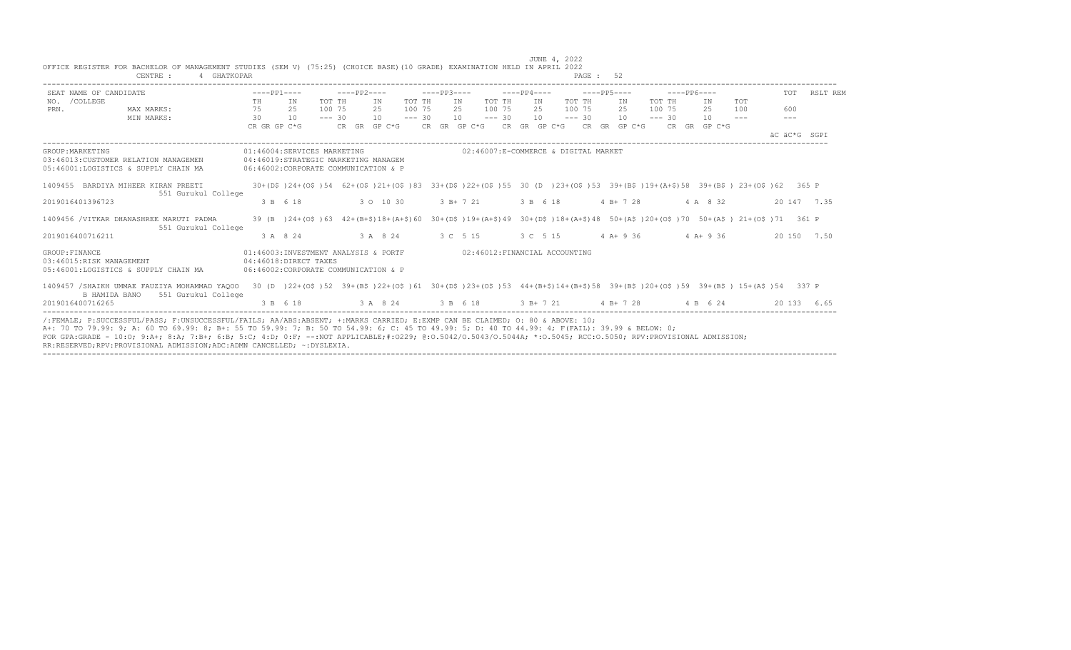| SEAT NAME OF CANDIDATE   |                                              | $---PP1---$  |                                                                                                                               | $---PP2---$ |              |          | $---PP3---$ |                                        |          | $---PP4---$ | $---PP5---$ |              |          | $---PP6---$ |              |               | <b>TOT</b>   | RSLT REM    |
|--------------------------|----------------------------------------------|--------------|-------------------------------------------------------------------------------------------------------------------------------|-------------|--------------|----------|-------------|----------------------------------------|----------|-------------|-------------|--------------|----------|-------------|--------------|---------------|--------------|-------------|
| NO. / COLLEGE            |                                              | TH           | TN                                                                                                                            | TOT TH      | TN           | TOT TH   |             | IN                                     | TOT TH   | TN          | TOT TH      | IN           | TOT TH   |             | ΙN           | TOT           |              |             |
| PRN.                     | MAX MARKS:                                   | 75           | 25                                                                                                                            | 100 75      | 2.5          | 100 75   |             | 2.5                                    | 100 75   | 2.5         | 100 75      | 2.5          | 100 75   |             | 2.5          | 100           | 600          |             |
|                          | MIN MARKS:                                   | 30           | 10                                                                                                                            | $--- 30$    | 10           | $--- 30$ |             | 10 <sup>1</sup>                        | $--- 30$ | 10          | $--- 30$    | 10           | $--- 30$ |             | 10           | $\frac{1}{2}$ | $---$        |             |
|                          |                                              | CR GR GP C*G |                                                                                                                               |             | CR GR GP C*G |          |             | CR GR GP C*G CR GR GP C*G CR GR GP C*G |          |             |             |              |          |             | CR GR GP C*G |               | AC AC*G SGPT |             |
| GROUP: MARKETING         |                                              |              | 01:46004:SERVICES MARKETING                                                                                                   |             |              |          |             | 02:46007:E-COMMERCE & DIGITAL MARKET   |          |             |             |              |          |             |              |               |              |             |
|                          | 03:46013:CUSTOMER RELATION MANAGEMEN         |              | 04:46019:STRATEGIC MARKETING MANAGEM                                                                                          |             |              |          |             |                                        |          |             |             |              |          |             |              |               |              |             |
|                          | 05:46001:LOGISTICS & SUPPLY CHAIN MA         |              | 06:46002:CORPORATE COMMUNICATION & P                                                                                          |             |              |          |             |                                        |          |             |             |              |          |             |              |               |              |             |
|                          |                                              |              |                                                                                                                               |             |              |          |             |                                        |          |             |             |              |          |             |              |               |              |             |
|                          | 1409455 BARDIYA MIHEER KIRAN PREETI          |              | 30+(D\$)24+(O\$)54 62+(O\$)21+(O\$)83 33+(D\$)22+(O\$)55 30 (D )23+(O\$)53 39+(B\$)19+(A+\$)58 39+(B\$) 23+(O\$)62 365 P      |             |              |          |             |                                        |          |             |             |              |          |             |              |               |              |             |
| 2019016401396723         | 551 Gurukul College                          |              | 3 B 6 18                                                                                                                      |             | 3 0 10 30    |          |             | $3 B+ 7 21$                            |          | 3 B 6 18    |             | $4 B+ 7 28$  |          |             | 4 A 8 32     |               |              | 20 147 7.35 |
|                          |                                              |              |                                                                                                                               |             |              |          |             |                                        |          |             |             |              |          |             |              |               |              |             |
|                          | 1409456 /VITKAR DHANASHREE MARUTI PADMA      |              | 39 (B) 24+(O\$) 63 42+(B+\$)18+(A+\$) 60 30+(D\$)19+(A+\$)49 30+(D\$)18+(A+\$)48 50+(A\$)20+(O\$)70 50+(A\$) 21+(O\$)71 361 P |             |              |          |             |                                        |          |             |             |              |          |             |              |               |              |             |
|                          | 551 Gurukul College                          |              |                                                                                                                               |             |              |          |             |                                        |          |             |             |              |          |             |              |               |              |             |
| 2019016400716211         |                                              |              | 3 A 8 24                                                                                                                      |             | 3 A 8 24     |          |             | 3 C 5 15                               |          | 3 C 5 15    |             | $4$ A + 9 36 |          |             | $4 A + 9 36$ |               |              | 20 150 7.50 |
| GROUP: FINANCE           |                                              |              | 01:46003:INVESTMENT ANALYSIS & PORTF                                                                                          |             |              |          |             | 02:46012:FINANCIAL ACCOUNTING          |          |             |             |              |          |             |              |               |              |             |
| 03:46015:RISK MANAGEMENT |                                              |              | 04:46018:DIRECT TAXES                                                                                                         |             |              |          |             |                                        |          |             |             |              |          |             |              |               |              |             |
|                          | 05:46001:LOGISTICS & SUPPLY CHAIN MA         |              | 06:46002: CORPORATE COMMUNICATION & P                                                                                         |             |              |          |             |                                        |          |             |             |              |          |             |              |               |              |             |
|                          | 1409457 /SHAIKH UMMAE FAUZIYA MOHAMMAD YAQOO |              | 30 (D) 22+(O\$)52 39+(B\$)22+(O\$)61 30+(D\$)23+(O\$)53 44+(B+\$)14+(B+\$)58 39+(B\$)20+(O\$)59 39+(B\$) 15+(A\$)54 337 P     |             |              |          |             |                                        |          |             |             |              |          |             |              |               |              |             |
|                          | B HAMIDA BANO<br>551 Gurukul College         |              |                                                                                                                               |             |              |          |             |                                        |          |             |             |              |          |             |              |               |              |             |
| 2019016400716265         |                                              |              | 3 B 6 18                                                                                                                      |             | 3 A 8 24     |          | 3 B 6 18    |                                        |          |             | $3 B+ 7 21$ | $4 B+ 7 28$  |          |             | 4 B 6 24     |               | 20 133       | 6.65        |

----------------------------------------------------------------------------------------------------------------------------------------------------------------------------------

JUNE 4, 2022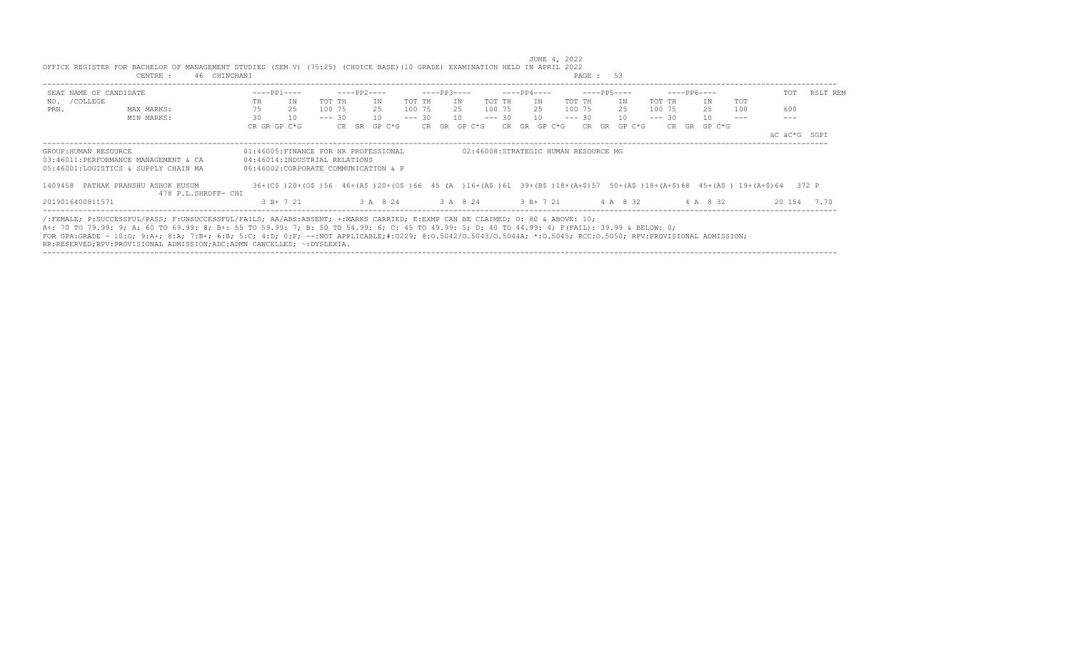|                                                                                                                                                                                                                                                                                                                                                                                                                                                                                                                           | CENTRE :   | 46 CHINCHANI        |    |                                                                                                                           |          |             |        |                   |          |             |        |          |     |             |    |                                      | PAGE: 53 |    |             |          |             |              |     |        |              |
|---------------------------------------------------------------------------------------------------------------------------------------------------------------------------------------------------------------------------------------------------------------------------------------------------------------------------------------------------------------------------------------------------------------------------------------------------------------------------------------------------------------------------|------------|---------------------|----|---------------------------------------------------------------------------------------------------------------------------|----------|-------------|--------|-------------------|----------|-------------|--------|----------|-----|-------------|----|--------------------------------------|----------|----|-------------|----------|-------------|--------------|-----|--------|--------------|
| SEAT NAME OF CANDIDATE                                                                                                                                                                                                                                                                                                                                                                                                                                                                                                    |            |                     |    | $---PP1---$                                                                                                               |          | ----PP2---- |        |                   |          | $---PP3---$ |        |          |     | ----PP4---- |    |                                      |          |    | $---PP5---$ |          | $---PP6---$ |              |     | TOT    | RSLT REM     |
| NO. / COLLEGE                                                                                                                                                                                                                                                                                                                                                                                                                                                                                                             |            |                     | TH | ΙN                                                                                                                        | TOT TH   |             | ΙN     | TOT TH            |          |             | ΙN     | TOT TH   |     |             | IN |                                      | TOT TH   |    | IN          | TOT TH   |             | IN           | TOT |        |              |
| PRN.                                                                                                                                                                                                                                                                                                                                                                                                                                                                                                                      | MAX MARKS: |                     | 75 | 25                                                                                                                        | 100 75   |             | 25     | 100 75            |          |             | 25     | 100 75   |     |             | 25 |                                      | 100 75   |    | 25          | 100 75   |             | 25           | 100 | 600    |              |
|                                                                                                                                                                                                                                                                                                                                                                                                                                                                                                                           | MIN MARKS: |                     | 30 | 10                                                                                                                        | $--- 30$ |             | 10     |                   | $--- 30$ |             | 10     | $--- 30$ |     |             | 10 |                                      | $--- 30$ |    | 10          | $--- 30$ |             | 10           |     |        |              |
|                                                                                                                                                                                                                                                                                                                                                                                                                                                                                                                           |            |                     |    | CR GR GP C*G                                                                                                              | CR GR    |             | GP C*G |                   |          | CR GR       | GP C*G |          | CR. | GR          |    | GP C*G                               | CR.      | GR | GP C*G      |          |             | CR GR GP C*G |     |        |              |
|                                                                                                                                                                                                                                                                                                                                                                                                                                                                                                                           |            |                     |    |                                                                                                                           |          |             |        |                   |          |             |        |          |     |             |    |                                      |          |    |             |          |             |              |     |        | äC äC*G SGPI |
| GROUP: HUMAN RESOURCE                                                                                                                                                                                                                                                                                                                                                                                                                                                                                                     |            |                     |    | 01:46005:FINANCE FOR HR PROFESSIONAL                                                                                      |          |             |        |                   |          |             |        |          |     |             |    | 02:46008:STRATEGIC HUMAN RESOURCE MG |          |    |             |          |             |              |     |        |              |
| 03:46011:PERFORMANCE MANAGEMENT & CA                                                                                                                                                                                                                                                                                                                                                                                                                                                                                      |            |                     |    | 04:46014:INDUSTRIAL RELATIONS                                                                                             |          |             |        |                   |          |             |        |          |     |             |    |                                      |          |    |             |          |             |              |     |        |              |
| 05:46001:LOGISTICS & SUPPLY CHAIN MA                                                                                                                                                                                                                                                                                                                                                                                                                                                                                      |            |                     |    | 06:46002:CORPORATE COMMUNICATION & P                                                                                      |          |             |        |                   |          |             |        |          |     |             |    |                                      |          |    |             |          |             |              |     |        |              |
| 1409458 PATHAK PRANSHU ASHOK KUSUM                                                                                                                                                                                                                                                                                                                                                                                                                                                                                        |            |                     |    | 36+(C\$)20+(O\$)56 46+(A\$)20+(O\$)66 45 (A)16+(A\$)61 39+(B\$)18+(A+\$)57 50+(A\$)18+(A+\$)68 45+(A\$) 19+(A+\$)64 372 P |          |             |        |                   |          |             |        |          |     |             |    |                                      |          |    |             |          |             |              |     |        |              |
|                                                                                                                                                                                                                                                                                                                                                                                                                                                                                                                           |            | 478 P.L.SHROFF- CHI |    |                                                                                                                           |          |             |        |                   |          |             |        |          |     |             |    |                                      |          |    |             |          |             |              |     |        |              |
| 2019016400811571                                                                                                                                                                                                                                                                                                                                                                                                                                                                                                          |            |                     |    | $3 B+721$                                                                                                                 |          |             |        | 3 A 8 24 3 A 8 24 |          |             |        |          |     | $3 B+7 21$  |    |                                      |          |    | 4 A 8 32    |          |             | 4 A 8 32     |     | 20 154 | 7.70         |
| /:FEMALE; P:SUCCESSFUL/PASS; F:UNSUCCESSFUL/FAILS; AA/ABS:ABSENT; +:MARKS CARRIED; E:EXMP CAN BE CLAIMED; 0: 80 & ABOVE: 10;<br>A+: 70 TO 79.99: 9; A: 60 TO 69.99: 8; B+: 55 TO 59.99: 7; B: 50 TO 54.99: 6; C: 45 TO 49.99: 5; D: 40 TO 44.99: 4; F(FAIL): 39.99 & BELOW: 0;<br>FOR GPA:GRADE - 10:0; 9:A+; 8:A; 7:B+; 6:B; 5:C; 4:D; 0:F; --:NOT APPLICABLE;#:0229; 0:0.5042/0.5043/0.5044A; *:0.5045; RCC:0.5050; RPV:PROVISIONAL ADMISSION;<br>RR:RESERVED;RPV:PROVISIONAL ADMISSION;ADC:ADMN CANCELLED; ~:DYSLEXIA. |            |                     |    |                                                                                                                           |          |             |        |                   |          |             |        |          |     |             |    |                                      |          |    |             |          |             |              |     |        |              |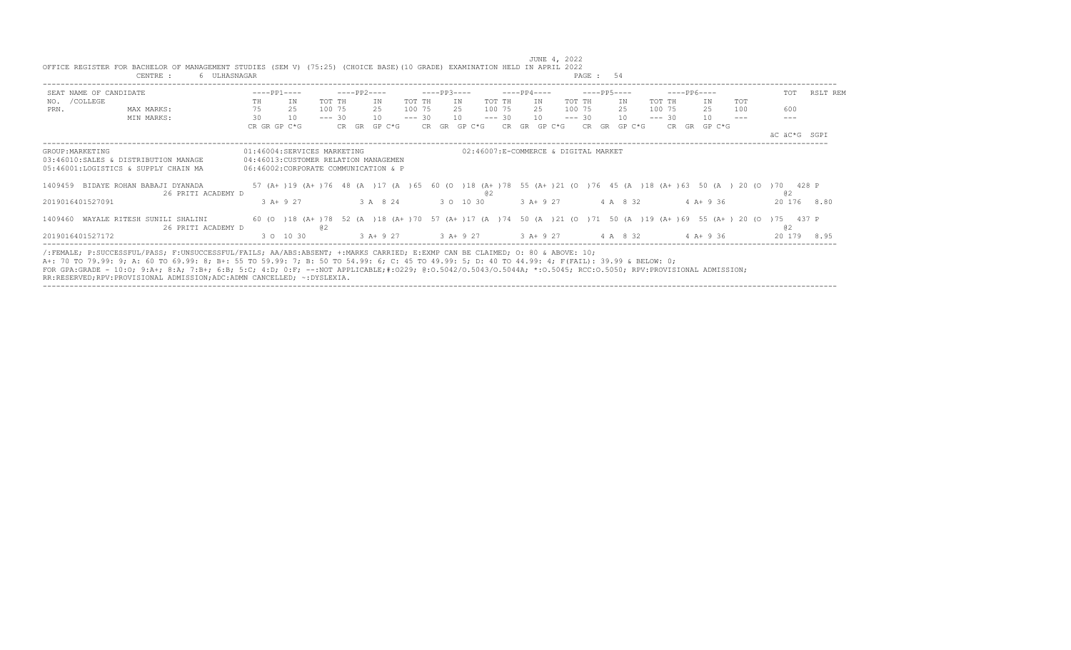|                        | 6 ULHASNAGAR<br>CENTRE :                                                                                                                                                                                                                                                                                                                                                                                                                         |              |                                                                                                                         |          |                                           |          |             |              |          |                                      | PAGE: 54    |                      |          |             |              |     |              |          |
|------------------------|--------------------------------------------------------------------------------------------------------------------------------------------------------------------------------------------------------------------------------------------------------------------------------------------------------------------------------------------------------------------------------------------------------------------------------------------------|--------------|-------------------------------------------------------------------------------------------------------------------------|----------|-------------------------------------------|----------|-------------|--------------|----------|--------------------------------------|-------------|----------------------|----------|-------------|--------------|-----|--------------|----------|
| SEAT NAME OF CANDIDATE |                                                                                                                                                                                                                                                                                                                                                                                                                                                  | $---PP1---$  |                                                                                                                         |          | $---PP2---$                               |          | $---PP3---$ |              |          | $---PP4---$                          | ----PP5---- |                      |          | $---PP6---$ |              |     | TOT          | RSLT REM |
| NO. / COLLEGE          |                                                                                                                                                                                                                                                                                                                                                                                                                                                  | TH           | ΙN                                                                                                                      | TOT TH   | IN                                        | TOT TH   |             | IN           | TOT TH   | IN                                   | TOT TH      | IN                   | TOT TH   |             | IN           | TOT |              |          |
| PRN.                   | MAX MARKS:                                                                                                                                                                                                                                                                                                                                                                                                                                       | 75           | 25                                                                                                                      | 100 75   | 25                                        | 100 75   |             | 25           | 100 75   | 25                                   | 100 75      | 25                   | 100 75   |             | 25           | 100 | 600          |          |
|                        | MIN MARKS:                                                                                                                                                                                                                                                                                                                                                                                                                                       | 30           | 10                                                                                                                      | $--- 30$ | 10                                        | $--- 30$ |             | 10           | $--- 30$ | 10                                   | $--- 30$    | 10                   | $--- 30$ |             | 10           |     |              |          |
|                        |                                                                                                                                                                                                                                                                                                                                                                                                                                                  | CR GR GP C*G |                                                                                                                         |          | CR GR GP C*G                              |          |             | CR GR GP C*G | CR.      | GR GP C*G                            |             | $CR$ $GR$ $GP$ $C*G$ |          |             | CR GR GP C*G |     |              |          |
|                        |                                                                                                                                                                                                                                                                                                                                                                                                                                                  |              |                                                                                                                         |          |                                           |          |             |              |          |                                      |             |                      |          |             |              |     | äC äC*G SGPI |          |
| GROUP: MARKETING       |                                                                                                                                                                                                                                                                                                                                                                                                                                                  |              | 01:46004:SERVICES MARKETING                                                                                             |          |                                           |          |             |              |          | 02:46007:E-COMMERCE & DIGITAL MARKET |             |                      |          |             |              |     |              |          |
|                        | 03:46010:SALES & DISTRIBUTION MANAGE                                                                                                                                                                                                                                                                                                                                                                                                             |              | 04:46013: CUSTOMER RELATION MANAGEMEN                                                                                   |          |                                           |          |             |              |          |                                      |             |                      |          |             |              |     |              |          |
|                        | 05:46001:LOGISTICS & SUPPLY CHAIN MA                                                                                                                                                                                                                                                                                                                                                                                                             |              | 06:46002:CORPORATE COMMUNICATION & P                                                                                    |          |                                           |          |             |              |          |                                      |             |                      |          |             |              |     |              |          |
|                        | 1409459 BIDAYE ROHAN BABAJI DYANADA<br>26 PRITI ACADEMY D                                                                                                                                                                                                                                                                                                                                                                                        |              | 57 (A+ )19 (A+ )76 48 (A )17 (A )65 60 (O )18 (A+ )78 55 (A+ )21 (O )76 45 (A )18 (A+ )63 50 (A ) 20 (O )70 428 P       |          |                                           |          |             |              | @ 2      |                                      |             |                      |          |             |              |     | 02           |          |
| 2019016401527091       |                                                                                                                                                                                                                                                                                                                                                                                                                                                  |              | $3 A+9 27$                                                                                                              |          | 3 A 8 24                                  |          |             | 3 0 10 30    |          | 3 A+ 9 27                            |             | 4 A 8 32             |          |             | $4 A+9 36$   |     | 20 176 8.80  |          |
|                        | 1409460 WAYALE RITESH SUNILI SHALINI<br>26 PRITI ACADEMY D                                                                                                                                                                                                                                                                                                                                                                                       |              | 60 (0 )18 (A+ )78 52 (A )18 (A+ )70 57 (A+ )17 (A )74 50 (A )21 (O )71 50 (A )19 (A+ )69 55 (A+ )20 (O )75 437 P<br>@ 2 |          |                                           |          |             |              |          |                                      |             |                      |          |             |              |     | @ 2          |          |
| 2019016401527172       |                                                                                                                                                                                                                                                                                                                                                                                                                                                  |              | 3 0 10 30                                                                                                               |          | 3 A + 9 27 3 A + 9 27 3 A + 9 27 4 A 8 32 |          |             |              |          |                                      |             |                      |          |             | 4 A+ 9 36    |     | 20 179 8.95  |          |
|                        | /:FEMALE; P:SUCCESSFUL/PASS; F:UNSUCCESSFUL/FAILS; AA/ABS:ABSENT; +:MARKS CARRIED; E:EXMP CAN BE CLAIMED; O: 80 & ABOVE: 10;<br>A+: 70 TO 79.99: 9; A: 60 TO 69.99: 8; B+: 55 TO 59.99: 7; B: 50 TO 54.99: 6; C: 45 TO 49.99: 5; D: 40 TO 44.99: 4; F(FAIL): 39.99 & BELOW: 0;<br>FOR GPA:GRADE - 10:0; 9:A+; 8:A; 7:B+; 6:B; 5:C; 4:D; 0:F; --:NOT APPLICABLE;#:0229; 0:0.5042/0.5043/0.5044A; *:0.5045; RCC:0.5050; RPV:PROVISIONAL ADMISSION; |              |                                                                                                                         |          |                                           |          |             |              |          |                                      |             |                      |          |             |              |     |              |          |

----------------------------------------------------------------------------------------------------------------------------------------------------------------------------------

 JUNE 4, 2022 OFFICE REGISTER FOR BACHELOR OF MANAGEMENT STUDIES (SEM V) (75:25) (CHOICE BASE)(10 GRADE) EXAMINATION HELD IN APRIL 2022

RR:RESERVED;RPV:PROVISIONAL ADMISSION;ADC:ADMN CANCELLED; ~:DYSLEXIA.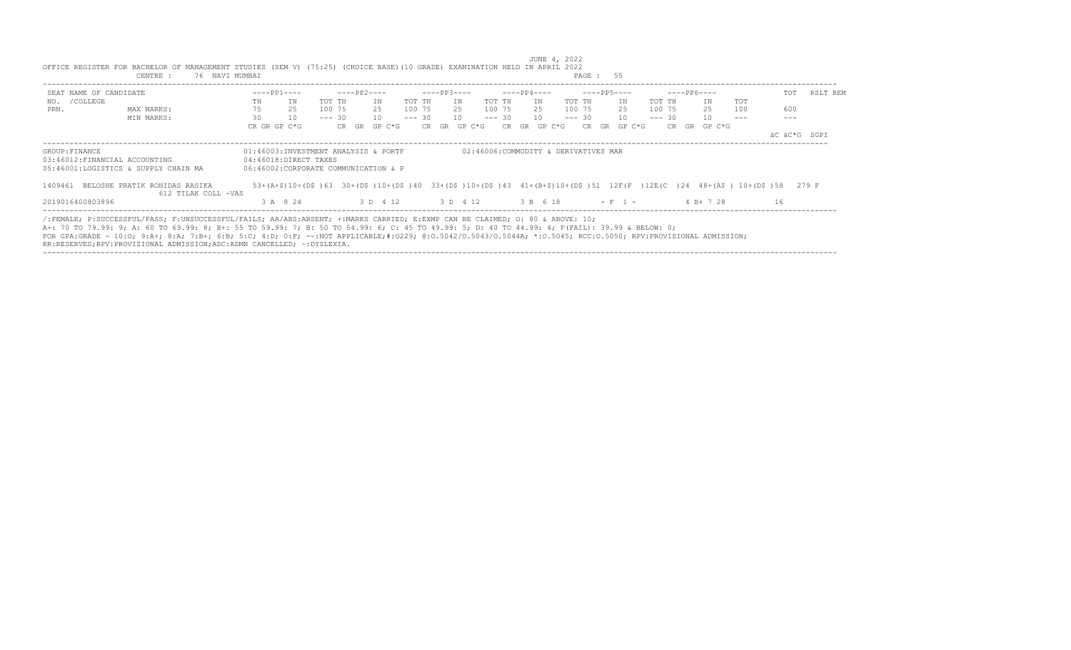| TOT<br>NO. / COLLEGE<br>TOT TH<br>TOT TH<br><b>TOT</b><br>IN<br>TOT TH<br>IN<br>TOT TH<br>TN<br>IN<br>TN<br>TOT TH<br>IN<br>TH<br>75<br>25<br>600<br>100 75<br>100 75<br>25<br>25<br>100 75<br>25<br>100 75<br>25<br>100 75<br>25<br>100<br>PRN.<br>MAX MARKS:<br>30<br>10<br>10<br>10<br>$--- 30$<br>$--- 30$<br>10<br>10<br>$--- 30$<br>10<br>MIN MARKS:<br>$--- 30$<br>$--- 30$<br>CR GR GP C*G<br>CR GR<br>GP C*G<br>CR GR<br>GP C*G<br>CR.<br>GR<br>GP C*G<br>CR<br>GR<br>GP C*G<br>CR.<br>GR<br>GP C*G<br>äC äC*G SGPI<br>02:46006:COMMODITY & DERIVATIVES MAR<br>01:46003:INVESTMENT ANALYSIS & PORTF<br>04:46018:DIRECT TAXES<br>05:46001:LOGISTICS & SUPPLY CHAIN MA<br>06:46002:CORPORATE COMMUNICATION & P<br>BELOSHE PRATIK ROHIDAS RASIKA<br>53+(A+\$)10+(D\$)63 30+(D\$)10+(D\$)40 33+(D\$)10+(D\$)43 41+(B+\$)10+(D\$)51 12F(F)12E(C)24 48+(A\$) 10+(D\$)58<br>1409461<br>279 F<br>612 TILAK COLL -VAS |                                                                       |             |             |             |             |             |             |          |
|-----------------------------------------------------------------------------------------------------------------------------------------------------------------------------------------------------------------------------------------------------------------------------------------------------------------------------------------------------------------------------------------------------------------------------------------------------------------------------------------------------------------------------------------------------------------------------------------------------------------------------------------------------------------------------------------------------------------------------------------------------------------------------------------------------------------------------------------------------------------------------------------------------------------------|-----------------------------------------------------------------------|-------------|-------------|-------------|-------------|-------------|-------------|----------|
|                                                                                                                                                                                                                                                                                                                                                                                                                                                                                                                                                                                                                                                                                                                                                                                                                                                                                                                       | SEAT NAME OF CANDIDATE                                                | $---PP1---$ | $---PP2---$ | $---PP3---$ | $---PP4---$ | $---PP5---$ | $---PP6---$ | RSLT REM |
|                                                                                                                                                                                                                                                                                                                                                                                                                                                                                                                                                                                                                                                                                                                                                                                                                                                                                                                       |                                                                       |             |             |             |             |             |             |          |
|                                                                                                                                                                                                                                                                                                                                                                                                                                                                                                                                                                                                                                                                                                                                                                                                                                                                                                                       |                                                                       |             |             |             |             |             |             |          |
|                                                                                                                                                                                                                                                                                                                                                                                                                                                                                                                                                                                                                                                                                                                                                                                                                                                                                                                       |                                                                       |             |             |             |             |             |             |          |
| GROUP: FINANCE<br>03:46012:FINANCIAL ACCOUNTING                                                                                                                                                                                                                                                                                                                                                                                                                                                                                                                                                                                                                                                                                                                                                                                                                                                                       |                                                                       |             |             |             |             |             |             |          |
|                                                                                                                                                                                                                                                                                                                                                                                                                                                                                                                                                                                                                                                                                                                                                                                                                                                                                                                       |                                                                       |             |             |             |             |             |             |          |
|                                                                                                                                                                                                                                                                                                                                                                                                                                                                                                                                                                                                                                                                                                                                                                                                                                                                                                                       |                                                                       |             |             |             |             |             |             |          |
|                                                                                                                                                                                                                                                                                                                                                                                                                                                                                                                                                                                                                                                                                                                                                                                                                                                                                                                       |                                                                       |             |             |             |             |             |             |          |
|                                                                                                                                                                                                                                                                                                                                                                                                                                                                                                                                                                                                                                                                                                                                                                                                                                                                                                                       |                                                                       |             |             |             |             |             |             |          |
|                                                                                                                                                                                                                                                                                                                                                                                                                                                                                                                                                                                                                                                                                                                                                                                                                                                                                                                       |                                                                       |             |             |             |             |             |             |          |
|                                                                                                                                                                                                                                                                                                                                                                                                                                                                                                                                                                                                                                                                                                                                                                                                                                                                                                                       |                                                                       |             |             |             |             |             |             |          |
| 3 D 4 12                                                                                                                                                                                                                                                                                                                                                                                                                                                                                                                                                                                                                                                                                                                                                                                                                                                                                                              | 2019016400803896                                                      | 3 A 8 24    |             | 3 D 4 12    | 3 B 6 18    | $- F 1 -$   | $4 B+ 7 28$ | 16       |
|                                                                                                                                                                                                                                                                                                                                                                                                                                                                                                                                                                                                                                                                                                                                                                                                                                                                                                                       |                                                                       |             |             |             |             |             |             |          |
| /:FEMALE; P:SUCCESSFUL/PASS; F:UNSUCCESSFUL/FAILS; AA/ABS:ABSENT; +:MARKS CARRIED; E:EXMP CAN BE CLAIMED; O: 80 & ABOVE: 10;                                                                                                                                                                                                                                                                                                                                                                                                                                                                                                                                                                                                                                                                                                                                                                                          |                                                                       |             |             |             |             |             |             |          |
| A+: 70 TO 79.99: 9; A: 60 TO 69.99: 8; B+: 55 TO 59.99: 7; B: 50 TO 54.99: 6; C: 45 TO 49.99: 5; D: 40 TO 44.99: 4; F(FAIL): 39.99 & BELOW: 0;<br>FOR GPA:GRADE - 10:0; 9:A+; 8:A; 7:B+; 6:B; 5:C; 4:D; 0:F; --:NOT APPLICABLE;#:0229; 0:0.5042/0.50440; *:0.5044A; *:0.5045; RCC:0.5050; RPV:PROVISIONAL ADMISSION;                                                                                                                                                                                                                                                                                                                                                                                                                                                                                                                                                                                                  | RR:RESERVED;RPV:PROVISIONAL ADMISSION;ADC:ADMN CANCELLED; ~:DYSLEXIA. |             |             |             |             |             |             |          |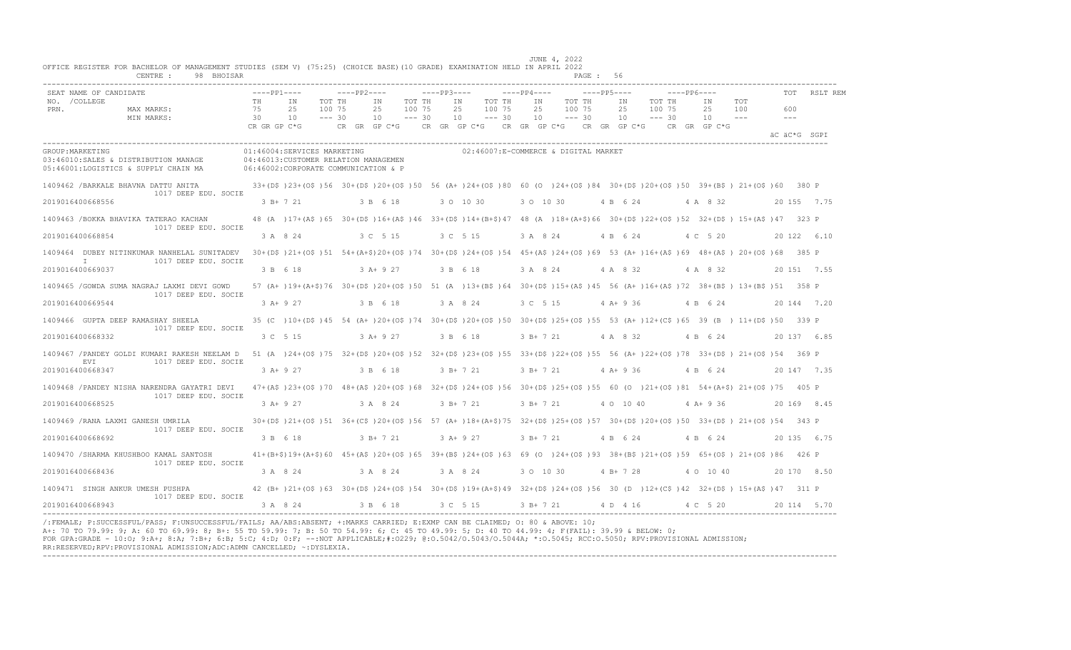| SEAT NAME OF CANDIDATE             |                                                                                                                                                                                              | $---PP1---$  |                                                                                                                                             | $---PP2---$      |            |                    | $---PP3---$ |                                                                         |                  | $---PP4---$ |                     |                    | $---PP5---$ |              |                  | $---PP6---$ |                            |            |                             | RSLT REM     |
|------------------------------------|----------------------------------------------------------------------------------------------------------------------------------------------------------------------------------------------|--------------|---------------------------------------------------------------------------------------------------------------------------------------------|------------------|------------|--------------------|-------------|-------------------------------------------------------------------------|------------------|-------------|---------------------|--------------------|-------------|--------------|------------------|-------------|----------------------------|------------|-----------------------------|--------------|
| NO. / COLLEGE                      |                                                                                                                                                                                              | TH<br>75     | IN                                                                                                                                          | TOT TH<br>100 75 | IN         | TOT TH             |             | IN<br>25                                                                | TOT TH<br>100 75 |             | IN<br>25            | TOT TH             |             | IN<br>25     | TOT TH<br>100 75 |             | ΙN                         | TOT<br>100 |                             |              |
| PRN.                               | MAX MARKS:<br>MIN MARKS:                                                                                                                                                                     | 30           | 25<br>10                                                                                                                                    | $--- 30$         | 25<br>10   | 100 75<br>$--- 30$ |             | 10                                                                      | $--- 30$         |             | 10                  | 100 75<br>$--- 30$ |             | 10           | $--- 30$         |             | 25<br>10                   | $  -$      | 600<br>$\sim$ $\sim$ $\sim$ |              |
|                                    |                                                                                                                                                                                              | CR GR GP C*G |                                                                                                                                             |                  |            |                    |             | CR GR GP C*G $\,$ CR GR GP C*G $\,$ CR GR GP C*G $\,$ CR GR GP C*G $\,$ |                  |             |                     |                    |             |              |                  |             | CR GR GP C*G               |            |                             | äC äC*G SGPI |
| GROUP: MARKETING                   | 03:46010:SALES & DISTRIBUTION MANAGE<br>05:46001:LOGISTICS & SUPPLY CHAIN MA                                                                                                                 |              | 01:46004:SERVICES MARKETING<br>04:46013:CUSTOMER RELATION MANAGEMEN<br>06:46002:CORPORATE COMMUNICATION & P                                 |                  |            |                    |             | 02:46007:E-COMMERCE & DIGITAL MARKET                                    |                  |             |                     |                    |             |              |                  |             |                            |            |                             |              |
|                                    | 1409462 /BARKALE BHAVNA DATTU ANITA 33+(D\$)23+(O\$)56 30+(D\$)20+(O\$)50 56 (A+)24+(O\$)80 60 (O )24+(O\$)84 30+(D\$)20+(O\$)50 39+(B\$) 21+(O\$)60 380 P<br>1017 DEEP EDU. SOCIE           |              |                                                                                                                                             |                  |            |                    |             |                                                                         |                  |             |                     |                    |             |              |                  |             |                            |            |                             |              |
| 2019016400668556                   |                                                                                                                                                                                              |              | 3 B+ 7 21                                                                                                                                   |                  | 3 B 6 18   |                    |             | 3 0 10 30                                                               |                  |             | 3 0 10 30           |                    |             | 4 B 6 24     |                  |             | 4 A 8 32                   |            |                             | 20 155 7.75  |
|                                    | 1409463 /BOKKA BHAVIKA TATERAO KACHAN<br>1017 DEEP EDU. SOCIE                                                                                                                                |              | 48 (A) 17+ (A\$) 65 30+ (D\$) 16+ (A\$) 46 33+ (D\$) 14+ (B+\$) 47 48 (A) 18+ (A+\$) 66 30+ (D\$) 22+ (O\$) 52 32+ (D\$) 15+ (A\$) 47 323 P |                  |            |                    |             |                                                                         |                  |             |                     |                    |             |              |                  |             |                            |            |                             |              |
| 2019016400668854                   |                                                                                                                                                                                              |              | 3 A 8 24                                                                                                                                    |                  | 3 C 5 15   |                    |             | 3 C 5 15                                                                |                  |             | 3 A 8 24            |                    |             | 4 B 6 24     |                  |             | 4 C 5 20                   |            |                             | 20 122 6.10  |
| $\mathbb{I}$                       | 1409464 DUBEY NITINKUMAR NANHELAL SUNITADEV 30+(D\$)21+(O\$)51 54+(A+\$)20+(O\$)74 30+(D\$)24+(O\$)54 45+(A\$)24+(O\$)69 53 (A+)16+(A\$)69 48+(A\$) 20+(O\$)68 385 P<br>1017 DEEP EDU. SOCIE |              |                                                                                                                                             |                  |            |                    |             |                                                                         |                  |             |                     |                    |             |              |                  |             |                            |            |                             |              |
| 2019016400669037                   |                                                                                                                                                                                              |              | 3 B 6 18                                                                                                                                    |                  | $3 A+9 27$ |                    | 3 B 6 18    |                                                                         |                  |             |                     |                    |             |              |                  |             | 3 A 8 24 4 A 8 32 4 A 8 32 |            |                             | 20 151 7.55  |
|                                    | 1409465 /GOWDA SUMA NAGRAJ LAXMI DEVI GOWD<br>1017 DEEP EDU. SOCIE                                                                                                                           |              | 57 (A+ )19+(A+\$)76 30+(D\$ )20+(O\$ )50 51 (A )13+(B\$ )64 30+(D\$ )15+(A\$ )45 56 (A+ )16+(A\$ )72 38+(B\$ )13+(B\$ )51 358 P             |                  |            |                    |             |                                                                         |                  |             |                     |                    |             |              |                  |             |                            |            |                             |              |
| 2019016400669544                   |                                                                                                                                                                                              | $3 A+9 27$   |                                                                                                                                             |                  | 3 B 6 18   |                    |             | 3 A 8 24                                                                |                  |             | 3 C 5 15            |                    |             | $4A+936$     |                  |             | 4 B 6 24                   |            |                             | 20 144 7.20  |
| 1409466 GUPTA DEEP RAMASHAY SHEELA | 1017 DEEP EDU. SOCIE                                                                                                                                                                         |              | 35 (C) 10+(D\$) 45 54 (A+) 20+(O\$) 74 30+(D\$) 20+(O\$) 50 30+(D\$) 25+(O\$) 55 53 (A+) 12+(C\$) 65 39 (B) 11+(D\$) 50 339 P               |                  |            |                    |             |                                                                         |                  |             |                     |                    |             |              |                  |             |                            |            |                             |              |
| 2019016400668332                   |                                                                                                                                                                                              |              | 3 C 5 15 3 A + 9 27                                                                                                                         |                  |            |                    |             | 3 B 6 18                                                                |                  |             | $3 B+7 21$          |                    |             | 4 A 8 32     |                  |             | 4 B 6 24                   |            |                             | 20 137 6.85  |
|                                    | 1409467 /PANDEY GOLDI KUMARI RAKESH NEELAM D 51 (A )24+(O\$)75 32+(D\$)20+(O\$)52 32+(D\$)23+(O\$)55 33+(D\$)22+(O\$)55 56 (A+)22+(O\$)78 33+(D\$) 21+(O\$)54 369 P<br>1017 DEEP EDU. SOCIE  |              |                                                                                                                                             |                  |            |                    |             |                                                                         |                  |             |                     |                    |             |              |                  |             |                            |            |                             |              |
| EVI<br>2019016400668347            |                                                                                                                                                                                              |              | $3 A+9 27$                                                                                                                                  |                  | 3 B 6 18   |                    |             | $3 B+ 7 21$                                                             |                  |             | $3 B+721$           |                    |             | $4$ A + 9 36 |                  |             | 4 B 6 24                   |            |                             | 20 147 7.35  |
|                                    | 1409468 /PANDEY NISHA NARENDRA GAYATRI DEVI 47+(A\$)23+(O\$)70 48+(A\$)20+(O\$)68 32+(D\$)24+(O\$)56 30+(D\$)25+(O\$)55 60 (O )21+(O\$)81 54+(A+\$) 21+(O\$)75 405 P                         |              |                                                                                                                                             |                  |            |                    |             |                                                                         |                  |             |                     |                    |             |              |                  |             |                            |            |                             |              |
| 2019016400668525                   | 1017 DEEP EDU. SOCIE                                                                                                                                                                         |              | 3 A+ 9 27                                                                                                                                   |                  | 3 A 8 24   |                    | 3 B + 7 21  |                                                                         |                  |             | 3 B+ 7 21           |                    |             | 4 0 10 40    |                  |             | $4$ A + 9 36               |            |                             | 20 169 8.45  |
| 1409469 / RANA LAXMI GANESH UMRILA |                                                                                                                                                                                              |              | 30+(D\$)21+(O\$)51 36+(C\$)20+(O\$)56 57 (A+)18+(A+\$)75 32+(D\$)25+(O\$)57 30+(D\$)20+(O\$)50 33+(D\$) 21+(O\$)54 343 P                    |                  |            |                    |             |                                                                         |                  |             |                     |                    |             |              |                  |             |                            |            |                             |              |
| 2019016400668692                   | 1017 DEEP EDU. SOCIE                                                                                                                                                                         | 3 B 6 18     |                                                                                                                                             |                  | $3B+721$   |                    |             | $3 A+9 27$                                                              |                  |             | 3 B + 7 21 4 B 6 24 |                    |             |              |                  |             | 4 B 6 24                   |            |                             | 20 135 6.75  |
|                                    | 1409470 / SHARMA KHUSHBOO KAMAL SANTOSH                                                                                                                                                      |              | 41+(B+\$)19+(A+\$)60 45+(A\$)20+(O\$)65 39+(B\$)24+(O\$)63 69 (O )24+(O\$)93 38+(B\$)21+(O\$)59 65+(O\$) 21+(O\$)86 426 P                   |                  |            |                    |             |                                                                         |                  |             |                     |                    |             |              |                  |             |                            |            |                             |              |
| 2019016400668436                   | 1017 DEEP EDU. SOCIE                                                                                                                                                                         |              | 3 A 8 24                                                                                                                                    |                  | 3 A 8 24   |                    | 3 A 8 24    |                                                                         |                  |             | 3 0 10 30           |                    |             | $4 B+ 7 28$  |                  |             | 4 0 10 40                  |            |                             | 20 170 8.50  |
| 1409471 SINGH ANKUR UMESH PUSHPA   |                                                                                                                                                                                              |              | 42 (B+)21+(O\$)63 30+(D\$)24+(O\$)54 30+(D\$)19+(A+\$)49 32+(D\$)24+(O\$)56 30 (D)12+(C\$)42 32+(D\$) 15+(A\$)47 311 P                      |                  |            |                    |             |                                                                         |                  |             |                     |                    |             |              |                  |             |                            |            |                             |              |
| 2019016400668943                   | 1017 DEEP EDU. SOCIE                                                                                                                                                                         |              | 3 A 8 24                                                                                                                                    |                  | 3 B 6 18   |                    |             | 3 C 5 15 3 B + 7 21 4 D 4 16 4 C 5 20                                   |                  |             |                     |                    |             |              |                  |             |                            |            |                             | 20 114 5.70  |

/:FEMALE; P:SUCCESSFUL/PASS; F:UNSUCCESSFUL/FAILS; AA/ABS:ABSENT; +:MARKS CARRIED; E:EXMP CAN BE CLAIMED; O: 80 & ABOVE: 10;<br>A+: 70 TO 79.99: 9; A: 60 TO 69.99: 8; B+: 55 TO 59.99: 7; B: 50 TO 54.99: 6; C: 45 TO 49.99: 5; FOR GPA:GRADE - 10:O; 9:A+; 8:A; 7:B+; 6:B; 5:C; 4:D; 0:F; --:NOT APPLICABLE;#:O229; @:O.5042/O.5043/O.5044A; \*:O.5045; RCC:O.5050; RPV:PROVISIONAL ADMISSION; RR:RESERVED;RPV:PROVISIONAL ADMISSION;ADC:ADMN CANCELLED; ~:DYSLEXIA. ----------------------------------------------------------------------------------------------------------------------------------------------------------------------------------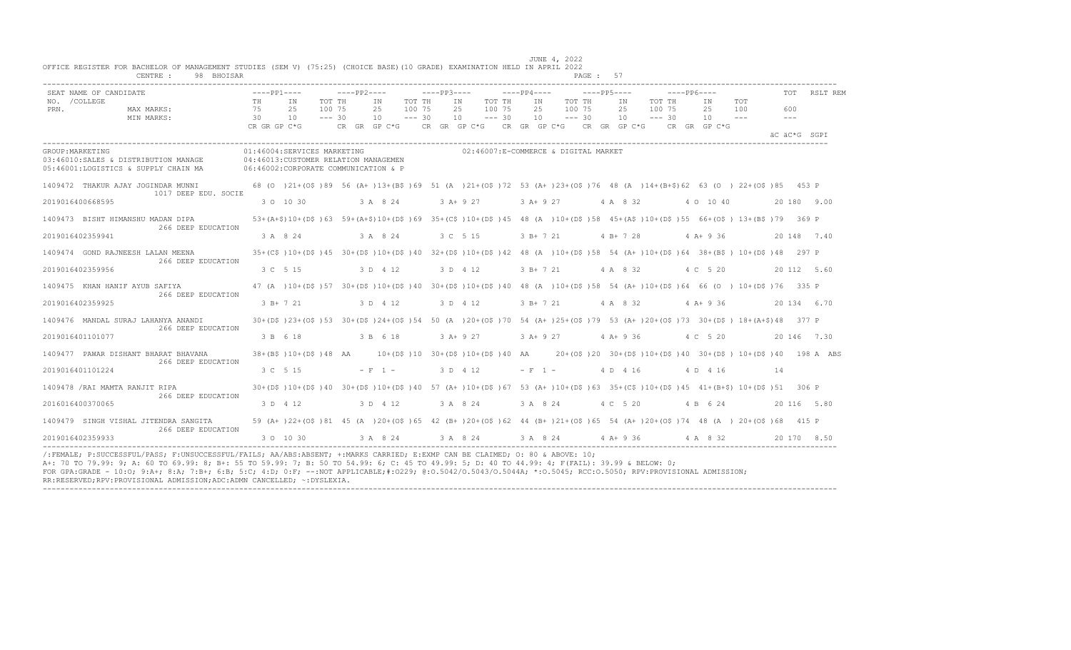|                       | SEAT NAME OF CANDIDATE                                                       | $---PP1---$                                  |                                                                                                                                      |                              | $---PP2---$                                                                                                 |                              | $---PP3---$ |                |                              | $---PP4---$ |                                      | $---PP5---$    |                              | $---PP6---$ |                |                   |                      | TOT RSLT REM |
|-----------------------|------------------------------------------------------------------------------|----------------------------------------------|--------------------------------------------------------------------------------------------------------------------------------------|------------------------------|-------------------------------------------------------------------------------------------------------------|------------------------------|-------------|----------------|------------------------------|-------------|--------------------------------------|----------------|------------------------------|-------------|----------------|-------------------|----------------------|--------------|
| NO. / COLLEGE<br>PRN. | MAX MARKS:<br>MIN MARKS:                                                     | TH.<br>75<br>$\overline{30}$<br>CR GR GP C*G | TN<br>25<br>10                                                                                                                       | TOT TH<br>100 75<br>$--- 30$ | TN<br>25<br>10<br>CR GR GP C*G $\,$ CR GR GP C*G $\,$ CR GR GP C*G $\,$ CR GR GP C*G $\,$ CR GR GP C*G $\,$ | TOT TH<br>100 75<br>$--- 30$ |             | IN<br>25<br>10 | TOT TH<br>100 75<br>$--- 30$ | IN<br>25    | TOT TH<br>100 75<br>$10 - - - 30$    | IN<br>25<br>10 | TOT TH<br>100 75<br>$--- 30$ |             | TN<br>25<br>10 | <b>TOT</b><br>100 | 600<br>$\frac{1}{2}$ |              |
|                       |                                                                              |                                              |                                                                                                                                      |                              |                                                                                                             |                              |             |                |                              |             |                                      |                |                              |             |                |                   | äC äC*G SGPI         |              |
| GROUP: MARKETING      | 03:46010:SALES & DISTRIBUTION MANAGE<br>05:46001:LOGISTICS & SUPPLY CHAIN MA |                                              | 01:46004:SERVICES MARKETING<br>04:46013: CUSTOMER RELATION MANAGEMEN<br>06:46002:CORPORATE COMMUNICATION & P                         |                              |                                                                                                             |                              |             |                |                              |             | 02:46007:E-COMMERCE & DIGITAL MARKET |                |                              |             |                |                   |                      |              |
|                       | 1409472 THAKUR AJAY JOGINDAR MUNNI                                           |                                              | 68 (0 )21+(0\$ )89 56 (A+ )13+(B\$ )69 51 (A )21+(0\$ )72 53 (A+ )23+(0\$ )76 48 (A )14+(B+\$)62 63 (O )22+(0\$ )85 453 P            |                              |                                                                                                             |                              |             |                |                              |             |                                      |                |                              |             |                |                   |                      |              |
|                       | 1017 DEEP EDU. SOCIE<br>2019016400668595                                     |                                              | 3 0 10 30                                                                                                                            |                              | 3 A 8 24                                                                                                    |                              |             | $3$ A+ 9 27    |                              |             | $3$ A + 9 27                         | 4 A 8 32       |                              |             | 4 0 10 40      |                   |                      | 20180 9.00   |
|                       | 1409473 BISHT HIMANSHU MADAN DIPA                                            |                                              | 53+(A+\$)10+(D\$)63 59+(A+\$)10+(D\$)69 35+(C\$)10+(D\$)45 48 (A )10+(D\$)58 45+(A\$)10+(D\$)55 66+(O\$) 13+(B\$)79 369 P            |                              |                                                                                                             |                              |             |                |                              |             |                                      |                |                              |             |                |                   |                      |              |
| 2019016402359941      | 266 DEEP EDUCATION                                                           | 3 A 8 24                                     |                                                                                                                                      |                              | 3 A 8 24                                                                                                    |                              |             | 3 C 5 15       |                              | 3 B+ 7 21   |                                      | 4 B + 7 28     |                              |             | $4A + 936$     |                   |                      | 20 148 7.40  |
|                       | 1409474 GOND RAJNEESH LALAN MEENA                                            |                                              | 35+(C\$)10+(D\$)45 30+(D\$)10+(D\$)40 32+(D\$)10+(D\$)42 48 (A)10+(D\$)58 54 (A+)10+(D\$)64 38+(B\$) 10+(D\$)48 297 P                |                              |                                                                                                             |                              |             |                |                              |             |                                      |                |                              |             |                |                   |                      |              |
|                       | 266 DEEP EDUCATION<br>2019016402359956                                       | 3 C 5 15                                     |                                                                                                                                      |                              | 3 D 4 12                                                                                                    |                              |             | 3 D 4 12       |                              |             | 3 B + 7 21                           | 4 A 8 32       |                              |             | 4 C 5 20       |                   |                      | 20 112 5.60  |
|                       | 1409475 KHAN HANIF AYUB SAFIYA<br>266 DEEP EDUCATION                         |                                              | 47 (A) 10+ (D\$) 57 30+ (D\$) 10+ (D\$) 40 30+ (D\$) 10+ (D\$) 40 48 (A) 10+ (D\$) 58 54 (A+) 10+ (D\$) 64 66 (O) 10+ (D\$) 76 335 P |                              |                                                                                                             |                              |             |                |                              |             |                                      |                |                              |             |                |                   |                      |              |
|                       | 2019016402359925                                                             |                                              | $3 R+721$                                                                                                                            |                              | 3 D 4 12                                                                                                    |                              |             | 3 D 4 12       |                              |             | 3 B + 7 21 4 A 8 32 4 A + 9 36       |                |                              |             |                |                   |                      | 20 134 6.70  |
|                       | 1409476 MANDAL SURAJ LAHANYA ANANDI<br>266 DEEP EDUCATION                    |                                              | 30+(D\$)23+(O\$)53 30+(D\$)24+(O\$)54 50 (A)20+(O\$)70 54 (A+)25+(O\$)79 53 (A+)20+(O\$)73 30+(D\$) 18+(A+\$)48 377 P                |                              |                                                                                                             |                              |             |                |                              |             |                                      |                |                              |             |                |                   |                      |              |
|                       | 2019016401101077                                                             | 3 B 6 18                                     |                                                                                                                                      |                              | 3 B 6 18                                                                                                    |                              |             | $3 A+9 27$     |                              |             | 3 A + 9 27 4 A + 9 36                |                |                              |             | 4 C 5 20       |                   |                      | 20 146 7.30  |
|                       | 1409477 PAWAR DISHANT BHARAT BHAVANA                                         |                                              | 38+(B\$)10+(D\$)48 AA 10+(D\$)10 30+(D\$)10+(D\$)40 AA 20+(O\$)20 30+(D\$)10+(D\$)40 30+(D\$) 10+(D\$)40 198 A ABS                   |                              |                                                                                                             |                              |             |                |                              |             |                                      |                |                              |             |                |                   |                      |              |
|                       | 266 DEEP EDUCATION<br>2019016401101224                                       | 3 C 5 15                                     |                                                                                                                                      |                              | $-F-1$ $-$                                                                                                  |                              |             | 3 D 4 12       |                              |             | $-$ F 1 $-$                          | 4 D 4 16       |                              |             | 4 D 4 16       |                   | 14                   |              |
|                       | 1409478 /RAI MAMTA RANJIT RIPA<br>266 DEEP EDUCATION                         |                                              | 30+(D\$)10+(D\$)40 30+(D\$)10+(D\$)40 57 (A+)10+(D\$)67 53 (A+)10+(D\$)63 35+(C\$)10+(D\$)45 41+(B+\$) 10+(D\$)51 306 P              |                              |                                                                                                             |                              |             |                |                              |             |                                      |                |                              |             |                |                   |                      |              |
|                       | 2016016400370065                                                             | 3 D 4 12                                     |                                                                                                                                      |                              | 3 D 4 12                                                                                                    |                              |             | 3 A 8 24       |                              |             | 3 A 8 24 4 C 5 20                    |                |                              |             | 4 B 6 24       |                   |                      | 20 116 5.80  |
|                       | 1409479 SINGH VISHAL JITENDRA SANGITA                                        |                                              | 59 (A+ )22+(OS )81 45 (A )20+(OS )65 42 (B+ )20+(OS )62 44 (B+ )21+(OS )65 54 (A+ )20+(OS )74 48 (A ) 20+(OS )68 415 P               |                              |                                                                                                             |                              |             |                |                              |             |                                      |                |                              |             |                |                   |                      |              |
|                       | 266 DEEP EDUCATION<br>2019016402359933                                       |                                              | 3 0 10 30                                                                                                                            |                              | 3 A 8 24 3 A 8 24 3 A 8 24 4 A + 9 36                                                                       |                              |             |                |                              |             |                                      |                |                              |             | 4 A 8 32       |                   |                      | 20 170 8.50  |

/:FEMALE; P:SUCCESSFUL/PASS; F:UNSUCCESSFUL/FAILS; AA/ABS:ABSENT; +:MARKS CARRIED; E:EXMP CAN BE CLAIMED; O: 80 & ABOVE: 10;<br>A+: 70 TO 79.99: 9; A: 60 TO 69.99: 8; B+: 55 TO 59.99: 7; B: 50 TO 54.99: 6; C: 45 TO 49.99: 5;

RR:RESERVED;RPV:PROVISIONAL ADMISSION;ADC:ADMN CANCELLED; ~:DYSLEXIA. ----------------------------------------------------------------------------------------------------------------------------------------------------------------------------------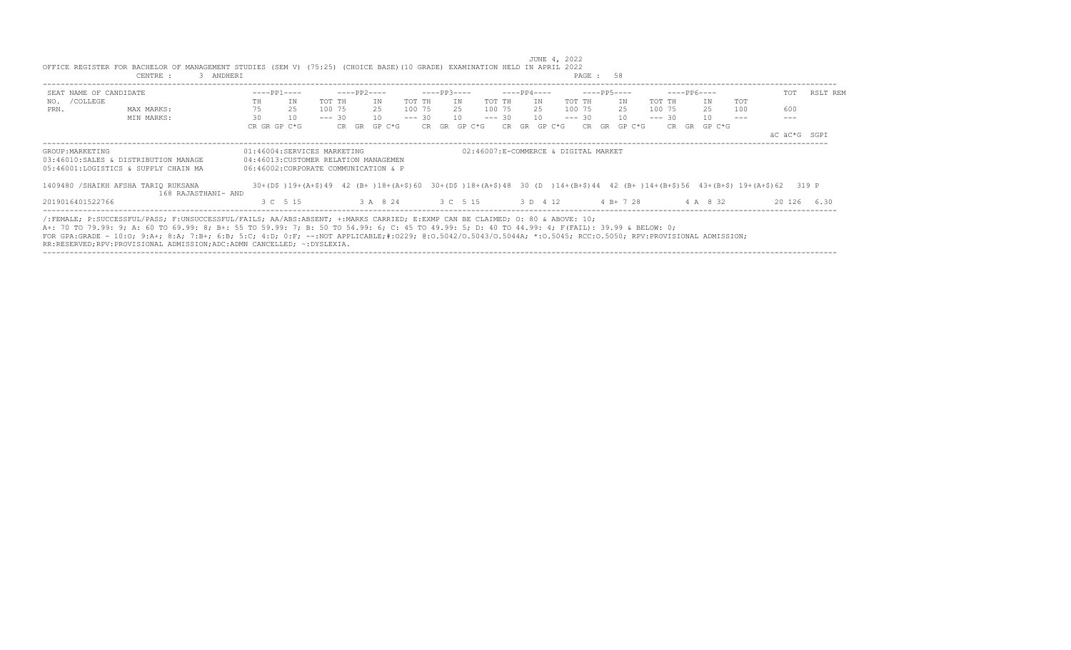| SEAT NAME OF CANDIDATE                                                                                                                                                                                                                                                         |    | $---PP1---$                                                                                                                  |          | $---PP2---$ |        |          | $---PP3---$       |        |          |     | $---PP4---$ |        |                                      |    | $---PP5---$ |          | $---PP6---$ |    |          |            | TOT          | RSLT REM |
|--------------------------------------------------------------------------------------------------------------------------------------------------------------------------------------------------------------------------------------------------------------------------------|----|------------------------------------------------------------------------------------------------------------------------------|----------|-------------|--------|----------|-------------------|--------|----------|-----|-------------|--------|--------------------------------------|----|-------------|----------|-------------|----|----------|------------|--------------|----------|
| NO. / COLLEGE                                                                                                                                                                                                                                                                  | TH | ΙN                                                                                                                           | TOT TH   |             | IN     | TOT TH   |                   | TN     | TOT TH   |     | IN          |        | TOT TH                               |    | IN          | TOT TH   |             |    | IN       | <b>TOT</b> |              |          |
| PRN.<br>MAX MARKS:                                                                                                                                                                                                                                                             | 75 | 25                                                                                                                           | 100 75   |             | 25     | 100 75   |                   | 25     | 100 75   |     | 25          |        | 100 75                               |    | 25          | 100 75   |             |    | 25       | 100        | 600          |          |
| MIN MARKS:                                                                                                                                                                                                                                                                     | 30 | 10                                                                                                                           | $--- 30$ |             | 10     | $--- 30$ |                   | 10     | $--- 30$ |     | 10          |        | $--- 30$                             |    | 10          | $--- 30$ |             |    | 10       |            |              |          |
|                                                                                                                                                                                                                                                                                |    | CR GR GP C*G                                                                                                                 |          | CR GR       | GP C*G |          | CR GR             | GP C*G |          | CR. | GR          | GP C*G | CR.                                  | GR | GP C*G      |          | CR.         | GR | GP C*G   |            |              |          |
|                                                                                                                                                                                                                                                                                |    |                                                                                                                              |          |             |        |          |                   |        |          |     |             |        |                                      |    |             |          |             |    |          |            | äC äC*G SGPI |          |
| GROUP: MARKETING                                                                                                                                                                                                                                                               |    | 01:46004:SERVICES MARKETING                                                                                                  |          |             |        |          |                   |        |          |     |             |        | 02:46007:E-COMMERCE & DIGITAL MARKET |    |             |          |             |    |          |            |              |          |
| 03:46010:SALES & DISTRIBUTION MANAGE                                                                                                                                                                                                                                           |    | 04:46013:CUSTOMER RELATION MANAGEMEN                                                                                         |          |             |        |          |                   |        |          |     |             |        |                                      |    |             |          |             |    |          |            |              |          |
| 05:46001:LOGISTICS & SUPPLY CHAIN MA                                                                                                                                                                                                                                           |    | 06:46002:CORPORATE COMMUNICATION & P                                                                                         |          |             |        |          |                   |        |          |     |             |        |                                      |    |             |          |             |    |          |            |              |          |
| 1409480 / SHAIKH AFSHA TARIO RUKSANA                                                                                                                                                                                                                                           |    | 30+(D\$)19+(A+\$)49 42 (B+)18+(A+\$)60 30+(D\$)18+(A+\$)48 30 (D )14+(B+\$)44 42 (B+)14+(B+\$)56 43+(B+\$) 19+(A+\$)62 319 P |          |             |        |          |                   |        |          |     |             |        |                                      |    |             |          |             |    |          |            |              |          |
| 168 RAJASTHANI- AND                                                                                                                                                                                                                                                            |    |                                                                                                                              |          |             |        |          |                   |        |          |     |             |        |                                      |    |             |          |             |    |          |            |              |          |
| 2019016401522766                                                                                                                                                                                                                                                               |    | 3 C 5 15                                                                                                                     |          |             |        |          | 3 A 8 24 3 C 5 15 |        |          |     | 3 D 4 12    |        |                                      |    | $4 B+ 7 28$ |          |             |    | 4 A 8 32 |            | 20 126       | 6.30     |
|                                                                                                                                                                                                                                                                                |    |                                                                                                                              |          |             |        |          |                   |        |          |     |             |        |                                      |    |             |          |             |    |          |            |              |          |
| /:FEMALE; P:SUCCESSFUL/PASS; F:UNSUCCESSFUL/FAILS; AA/ABS:ABSENT; +:MARKS CARRIED; E:EXMP CAN BE CLAIMED; O: 80 & ABOVE: 10;<br>A+: 70 TO 79.99: 9; A: 60 TO 69.99: 8; B+: 55 TO 59.99: 7; B: 50 TO 54.99: 6; C: 45 TO 49.99: 5; D: 40 TO 44.99: 4; F(FAIL): 39.99 & BELOW: 0; |    |                                                                                                                              |          |             |        |          |                   |        |          |     |             |        |                                      |    |             |          |             |    |          |            |              |          |
|                                                                                                                                                                                                                                                                                |    |                                                                                                                              |          |             |        |          |                   |        |          |     |             |        |                                      |    |             |          |             |    |          |            |              |          |
| FOR GPA:GRADE - 10:0; 9:A+; 8:A; 7:B+; 6:B; 5:C; 4:D; 0:F; --:NOT APPLICABLE;#:0229; 0:0.5042/0.50440; *:0.5044A; *:0.5045; RCC:0.5050; RPV:PROVISIONAL ADMISSION;                                                                                                             |    |                                                                                                                              |          |             |        |          |                   |        |          |     |             |        |                                      |    |             |          |             |    |          |            |              |          |
| RR:RESERVED;RPV:PROVISIONAL ADMISSION;ADC:ADMN CANCELLED; ~:DYSLEXIA.                                                                                                                                                                                                          |    |                                                                                                                              |          |             |        |          |                   |        |          |     |             |        |                                      |    |             |          |             |    |          |            |              |          |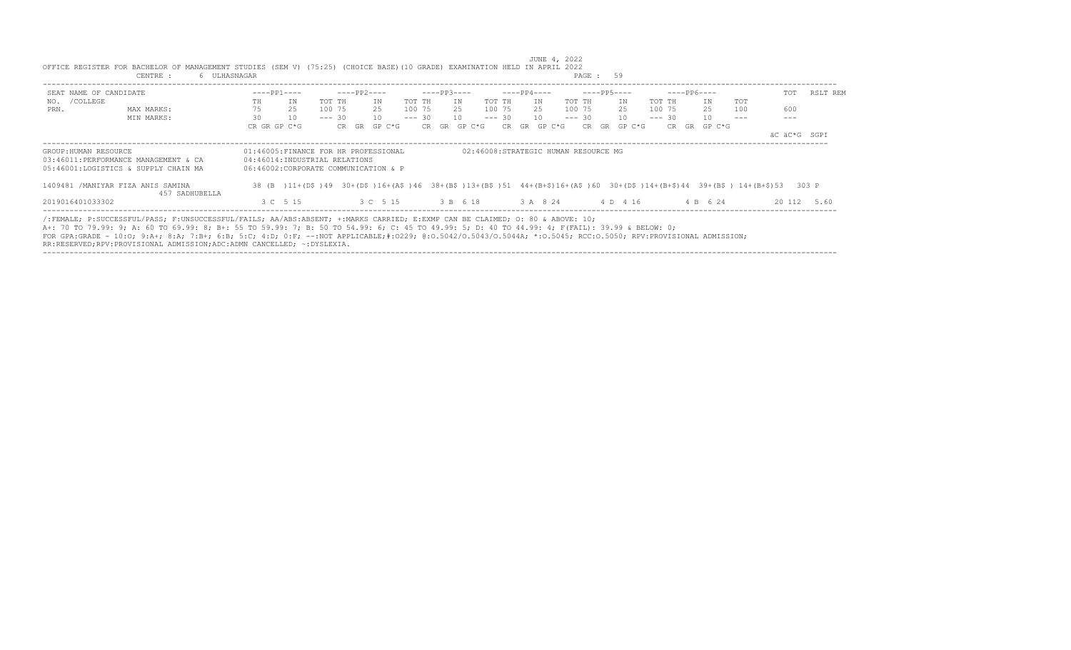| SEAT NAME OF CANDIDATE            |                                                                                                                                                                                                                                                                                                                                                                                                                                                  |    | $---PP1---$                                                                                                   |          | ----PP2---- |                                     |        | $---PP3---$  |    |                                      |        | $---PP4---$  |           |  | ----PP5----  |             | ----- PP6---- |     | TOT                                                                                                                        | RSLT REM    |
|-----------------------------------|--------------------------------------------------------------------------------------------------------------------------------------------------------------------------------------------------------------------------------------------------------------------------------------------------------------------------------------------------------------------------------------------------------------------------------------------------|----|---------------------------------------------------------------------------------------------------------------|----------|-------------|-------------------------------------|--------|--------------|----|--------------------------------------|--------|--------------|-----------|--|--------------|-------------|---------------|-----|----------------------------------------------------------------------------------------------------------------------------|-------------|
| NO. / COLLEGE                     |                                                                                                                                                                                                                                                                                                                                                                                                                                                  | TH | ΙN                                                                                                            | TOT TH   |             | TN                                  | TOT TH |              | IN |                                      | TOT TH | TN           | TOT TH    |  | IN           | TOT TH      | TN            | TOT |                                                                                                                            |             |
| PRN.                              | MAX MARKS:                                                                                                                                                                                                                                                                                                                                                                                                                                       | 75 | 25                                                                                                            | 100 75   |             | 25                                  |        |              |    | 100 75 25 100 75                     |        |              | 25 100 75 |  | 25           | 100 75      | 25            | 100 | 600                                                                                                                        |             |
|                                   | MIN MARKS:                                                                                                                                                                                                                                                                                                                                                                                                                                       | 30 | 10                                                                                                            | $--- 30$ |             | 10                                  |        | $--- 30 10$  |    |                                      |        | $--- 30 10$  |           |  | $--- 30 10$  | $--- 30 10$ |               |     |                                                                                                                            |             |
|                                   |                                                                                                                                                                                                                                                                                                                                                                                                                                                  |    | CR GR GP C*G                                                                                                  |          |             | CR GR GP C*G                        |        | CR GR GP C*G |    |                                      |        | CR GR GP C*G |           |  | CR GR GP C*G |             | CR GR GP C*G  |     | äC äC*G SGPI                                                                                                               |             |
| GROUP: HUMAN RESOURCE             | 03:46011:PERFORMANCE MANAGEMENT & CA<br>05:46001:LOGISTICS & SUPPLY CHAIN MA                                                                                                                                                                                                                                                                                                                                                                     |    | 01:46005:FINANCE FOR HR PROFESSIONAL<br>04:46014:INDUSTRIAL RELATIONS<br>06:46002:CORPORATE COMMUNICATION & P |          |             |                                     |        |              |    | 02:46008:STRATEGIC HUMAN RESOURCE MG |        |              |           |  |              |             |               |     |                                                                                                                            |             |
| 1409481 /MANIYAR FIZA ANIS SAMINA | 457 SADHUBELLA                                                                                                                                                                                                                                                                                                                                                                                                                                   |    |                                                                                                               |          |             |                                     |        |              |    |                                      |        |              |           |  |              |             |               |     | 38 (B) 11+(D\$)49 30+(D\$)16+(A\$)46 38+(B\$)13+(B\$)51 44+(B+\$)16+(A\$)60 30+(D\$)14+(B+\$)44 39+(B\$) 14+(B+\$)53 303 P |             |
| 2019016401033302                  |                                                                                                                                                                                                                                                                                                                                                                                                                                                  |    | 3 C 5 15                                                                                                      |          |             | 3 C 5 15 3 B 6 18 3 A 8 24 4 D 4 16 |        |              |    |                                      |        |              |           |  |              |             | 4 B 6 24      |     |                                                                                                                            | 20 112 5.60 |
|                                   | /:FEMALE; P:SUCCESSFUL/PASS; F:UNSUCCESSFUL/FAILS; AA/ABS:ABSENT; +:MARKS CARRIED; E:EXMP CAN BE CLAIMED; O: 80 & ABOVE: 10;<br>A+: 70 TO 79.99: 9; A: 60 TO 69.99: 8; B+: 55 TO 59.99: 7; B: 50 TO 54.99: 6; C: 45 TO 49.99: 5; D: 40 TO 44.99: 4; F(FAIL): 39.99 & BELOW: 0;<br>FOR GPA:GRADE - 10:0: 9:A+; 8:A; 7:B+; 6:B; 5:C; 4:D; 0:F; --:NOT APPLICABLE;#:0229; 0:0.5042/0.5043/0.5044A; *:0.5045; RCC:0.5050; RPV:PROVISIONAL ADMISSION; |    |                                                                                                               |          |             |                                     |        |              |    |                                      |        |              |           |  |              |             |               |     |                                                                                                                            |             |

JUNE 4, 2022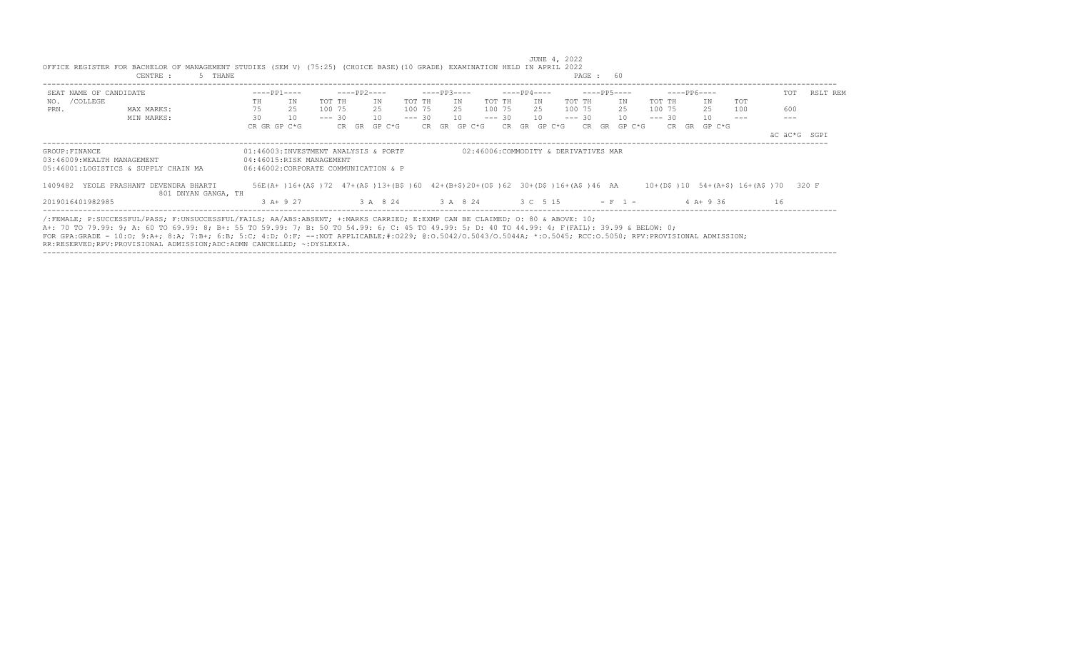| SEAT NAME OF CANDIDATE                                                                                                                                             |    | $---PP1---$                                                                    |          | $---PP2---$ |        |          |       | $---PP3---$ |                                      |          | $---PP4---$ |        |          |    | $---PP5---$ |          |           | $---PP6---$  |                                 | TOT | RSLT REM     |
|--------------------------------------------------------------------------------------------------------------------------------------------------------------------|----|--------------------------------------------------------------------------------|----------|-------------|--------|----------|-------|-------------|--------------------------------------|----------|-------------|--------|----------|----|-------------|----------|-----------|--------------|---------------------------------|-----|--------------|
| NO. / COLLEGE                                                                                                                                                      | TH | ΙN                                                                             | TOT TH   |             | IN     | TOT TH   |       | TN          |                                      | TOT TH   |             | IN     | TOT TH   |    | IN          | TOT TH   |           | IN           | <b>TOT</b>                      |     |              |
| PRN.<br>MAX MARKS:                                                                                                                                                 | 75 | 25                                                                             | 100 75   |             | 25     | 100 75   |       | 25          |                                      | 100 75   |             | 25     | 100 75   |    | 25          | 100 75   |           | 25           | 100                             | 600 |              |
| MIN MARKS:                                                                                                                                                         | 30 | 10                                                                             | $--- 30$ |             | 10     | $--- 30$ |       | 10          |                                      | $--- 30$ |             | 10     | $--- 30$ |    | 10          | $--- 30$ |           | 10           |                                 |     |              |
|                                                                                                                                                                    |    | CR GR GP C*G                                                                   |          | CR GR       | GP C*G |          | CR GR |             | GP C*G                               | CR.      | GR          | GP C*G | CR.      | GR | GP C*G      |          | CR.<br>GR | GP C*G       |                                 |     |              |
|                                                                                                                                                                    |    |                                                                                |          |             |        |          |       |             |                                      |          |             |        |          |    |             |          |           |              |                                 |     | äC äC*G SGPI |
| GROUP: FINANCE                                                                                                                                                     |    | 01:46003:INVESTMENT ANALYSIS & PORTF                                           |          |             |        |          |       |             | 02:46006:COMMODITY & DERIVATIVES MAR |          |             |        |          |    |             |          |           |              |                                 |     |              |
| 03:46009:WEALTH MANAGEMENT                                                                                                                                         |    | 04:46015:RISK MANAGEMENT                                                       |          |             |        |          |       |             |                                      |          |             |        |          |    |             |          |           |              |                                 |     |              |
| 05:46001:LOGISTICS & SUPPLY CHAIN MA                                                                                                                               |    | 06:46002:CORPORATE COMMUNICATION & P                                           |          |             |        |          |       |             |                                      |          |             |        |          |    |             |          |           |              |                                 |     |              |
| 1409482 YEOLE PRASHANT DEVENDRA BHARTI<br>801 DNYAN GANGA, TH                                                                                                      |    | 56E(A+)16+(A\$)72 47+(A\$)13+(B\$)60 42+(B+\$)20+(O\$)62 30+(D\$)16+(A\$)46 AA |          |             |        |          |       |             |                                      |          |             |        |          |    |             |          |           |              | 10+(D\$)10 54+(A+\$) 16+(A\$)70 |     | 320 F        |
| 2019016401982985                                                                                                                                                   |    | 3 A+ 9 27                                                                      |          |             |        |          |       |             | 3 A 8 24 3 A 8 24                    | 3 C 5 15 |             |        |          |    | $- F 1 -$   |          |           | $4$ A + 9 36 |                                 | 16  |              |
| /:FEMALE; P:SUCCESSFUL/PASS; F:UNSUCCESSFUL/FAILS; AA/ABS:ABSENT; +:MARKS CARRIED; E:EXMP CAN BE CLAIMED; O: 80 & ABOVE: 10;                                       |    |                                                                                |          |             |        |          |       |             |                                      |          |             |        |          |    |             |          |           |              |                                 |     |              |
| A+: 70 TO 79.99: 9; A: 60 TO 69.99: 8; B+: 55 TO 59.99: 7; B: 50 TO 54.99: 6; C: 45 TO 49.99: 5; D: 40 TO 44.99: 4; F(FAIL): 39.99 & BELOW: 0;                     |    |                                                                                |          |             |        |          |       |             |                                      |          |             |        |          |    |             |          |           |              |                                 |     |              |
| FOR GPA:GRADE - 10:0; 9:A+; 8:A; 7:B+; 6:B; 5:C; 4:D; 0:F; --:NOT APPLICABLE;#:0229; 0:0.5042/0.50440; *:0.5044A; *:0.5045; RCC:0.5050; RPV:PROVISIONAL ADMISSION; |    |                                                                                |          |             |        |          |       |             |                                      |          |             |        |          |    |             |          |           |              |                                 |     |              |
| RR:RESERVED;RPV:PROVISIONAL ADMISSION;ADC:ADMN CANCELLED; ~:DYSLEXIA.                                                                                              |    |                                                                                |          |             |        |          |       |             |                                      |          |             |        |          |    |             |          |           |              |                                 |     |              |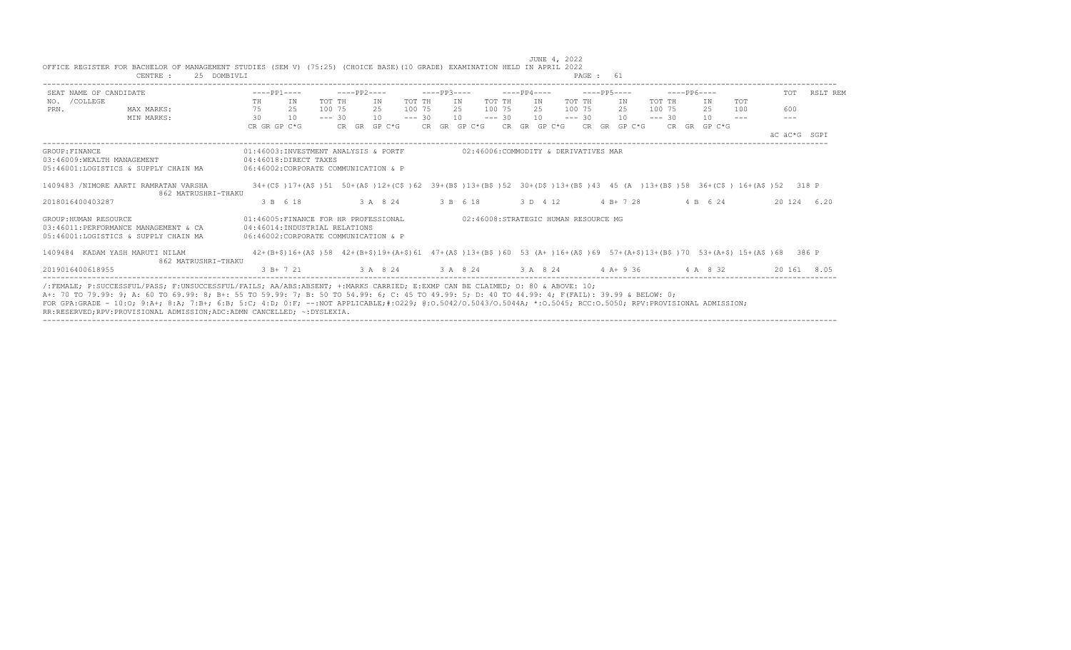|                                              | OFFICE REGISTER FOR BACHELOR OF MANAGEMENT STUDIES (SEM V) (75:25) (CHOICE BASE)(10 GRADE) EXAMINATION HELD IN APRIL 2022<br>CENTRE :<br>25 DOMBIVLI                                                                                                                                                                                                                                                                                                                                                                       |    |                                                                                                                             |          |             |                   |          |             |     |          |             |                                      | PAGE: 61    |                  |          |              |               |              |             |
|----------------------------------------------|----------------------------------------------------------------------------------------------------------------------------------------------------------------------------------------------------------------------------------------------------------------------------------------------------------------------------------------------------------------------------------------------------------------------------------------------------------------------------------------------------------------------------|----|-----------------------------------------------------------------------------------------------------------------------------|----------|-------------|-------------------|----------|-------------|-----|----------|-------------|--------------------------------------|-------------|------------------|----------|--------------|---------------|--------------|-------------|
| SEAT NAME OF CANDIDATE                       |                                                                                                                                                                                                                                                                                                                                                                                                                                                                                                                            |    | $---PP1---$                                                                                                                 |          | $---PP2---$ |                   |          | $---PP3---$ |     |          | $---PP4---$ |                                      | $---PP5---$ |                  |          | $---PP6---$  |               | <b>TOT</b>   | RSLT REM    |
| NO. / COLLEGE                                |                                                                                                                                                                                                                                                                                                                                                                                                                                                                                                                            | TH | IN                                                                                                                          | TOT TH   |             | IN                | TOT TH   |             | IN  | TOT TH   | IN          |                                      | TOT TH      | IN               | TOT TH   | ΙN           | TOT           |              |             |
| PRN.                                         | MAX MARKS:                                                                                                                                                                                                                                                                                                                                                                                                                                                                                                                 | 75 | 25                                                                                                                          | 100 75   |             | 2.5               | 100 75   |             | 2.5 | 100 75   | 2.5         |                                      | 100 75      | 2.5              | 100 75   | 25           | 100           | 600          |             |
|                                              | MIN MARKS:                                                                                                                                                                                                                                                                                                                                                                                                                                                                                                                 | 30 | 10                                                                                                                          | $--- 30$ |             | 10                | $--- 30$ |             | 10  | $--- 30$ | 10          |                                      | $--- 30$    | 10               | $--- 30$ | 10           | $\frac{1}{2}$ | $---$        |             |
|                                              |                                                                                                                                                                                                                                                                                                                                                                                                                                                                                                                            |    | CR GR GP C*G                                                                                                                |          |             | CR GR GP C*G      |          |             |     |          |             | CR GR GP C*G CR GR GP C*G            |             | $CR$ GR GP $C*G$ |          | CR GR GP C*G |               |              |             |
|                                              |                                                                                                                                                                                                                                                                                                                                                                                                                                                                                                                            |    |                                                                                                                             |          |             |                   |          |             |     |          |             |                                      |             |                  |          |              |               | AC AC*G SGPI |             |
| GROUP: FINANCE<br>03:46009:WEALTH MANAGEMENT | 05:46001:LOGISTICS & SUPPLY CHAIN MA                                                                                                                                                                                                                                                                                                                                                                                                                                                                                       |    | 01:46003:INVESTMENT ANALYSIS & PORTF<br>$04:46018:DTRECT$ TAXES<br>06:46002:CORPORATE COMMUNICATION & P                     |          |             |                   |          |             |     |          |             | 02:46006:COMMODITY & DERIVATIVES MAR |             |                  |          |              |               |              |             |
|                                              | 1409483 /NIMORE AARTI RAMRATAN VARSHA<br>862 MATRUSHRI-THAKU                                                                                                                                                                                                                                                                                                                                                                                                                                                               |    | 34+(C\$)17+(A\$)51 50+(A\$)12+(C\$)62 39+(B\$)13+(B\$)52 30+(D\$)13+(B\$)43 45 (A)13+(B\$)58 36+(C\$) 16+(A\$)52 318 P      |          |             |                   |          |             |     |          |             |                                      |             |                  |          |              |               |              |             |
| 2018016400403287                             |                                                                                                                                                                                                                                                                                                                                                                                                                                                                                                                            |    | 3 B 6 18                                                                                                                    |          |             | 3 A 8 24 3 B 6 18 |          |             |     |          | 3 D 4 12    |                                      |             | $4 B+ 7 28$      |          | 4 B 6 24     |               |              | 20 124 6.20 |
| GROUP: HUMAN RESOURCE                        | 03:46011:PERFORMANCE MANAGEMENT & CA<br>05:46001:LOGISTICS & SUPPLY CHAIN MA                                                                                                                                                                                                                                                                                                                                                                                                                                               |    | 01:46005:FINANCE FOR HR PROFESSIONAL<br>04:46014:INDUSTRIAL RELATIONS<br>06:46002:CORPORATE COMMUNICATION & P               |          |             |                   |          |             |     |          |             | 02:46008:STRATEGIC HUMAN RESOURCE MG |             |                  |          |              |               |              |             |
| 1409484 KADAM YASH MARUTI NILAM              | 862 MATRUSHRI-THAKU                                                                                                                                                                                                                                                                                                                                                                                                                                                                                                        |    | 42+(B+\$)16+(A\$)58 42+(B+\$)19+(A+\$)61 47+(A\$)13+(B\$)60 53 (A+)16+(A\$)69 57+(A+\$)13+(B\$)70 53+(A+\$)15+(A\$)68 386 P |          |             |                   |          |             |     |          |             |                                      |             |                  |          |              |               |              |             |
| 2019016400618955                             |                                                                                                                                                                                                                                                                                                                                                                                                                                                                                                                            |    | $3 B+7 21$ $3 A 8 24$ $3 A 8 24$ $3 A 8 24$ $4 A+9 36$ $4 A 8 32$                                                           |          |             |                   |          |             |     |          |             |                                      |             |                  |          |              |               |              | 20 161 8.05 |
|                                              | /:FEMALE: P:SUCCESSFUL/PASS: F:UNSUCCESSFUL/FAILS: AA/ABS:ABSENT: +:MARKS CARRIED: E:EXMP CAN BE CLAIMED: 0: 80 & ABOVE: 10:<br>A+: 70 TO 79.99: 9; A: 60 TO 69.99: 8; B+: 55 TO 59.99: 7; B: 50 TO 54.99: 6; C: 45 TO 49.99: 5; D: 40 TO 44.99: 4; F(FAIL): 39.99 & BELOW: 0;<br>FOR GPA:GRADE - 10:0; 9:A+; 8:A; 7:B+; 6:B; 5:C; 4:D; 0:F; --:NOT APPLICABLE;#:0229; 0:0.5042/0.5043/0.5044A; *:0.5045; RCC:0.5050; RPV:PROVISIONAL ADMISSION;<br>RR:RESERVED;RPV:PROVISIONAL ADMISSION;ADC:ADMN CANCELLED; ~: DYSLEXIA. |    |                                                                                                                             |          |             |                   |          |             |     |          |             |                                      |             |                  |          |              |               |              |             |

JUNE 4, 2022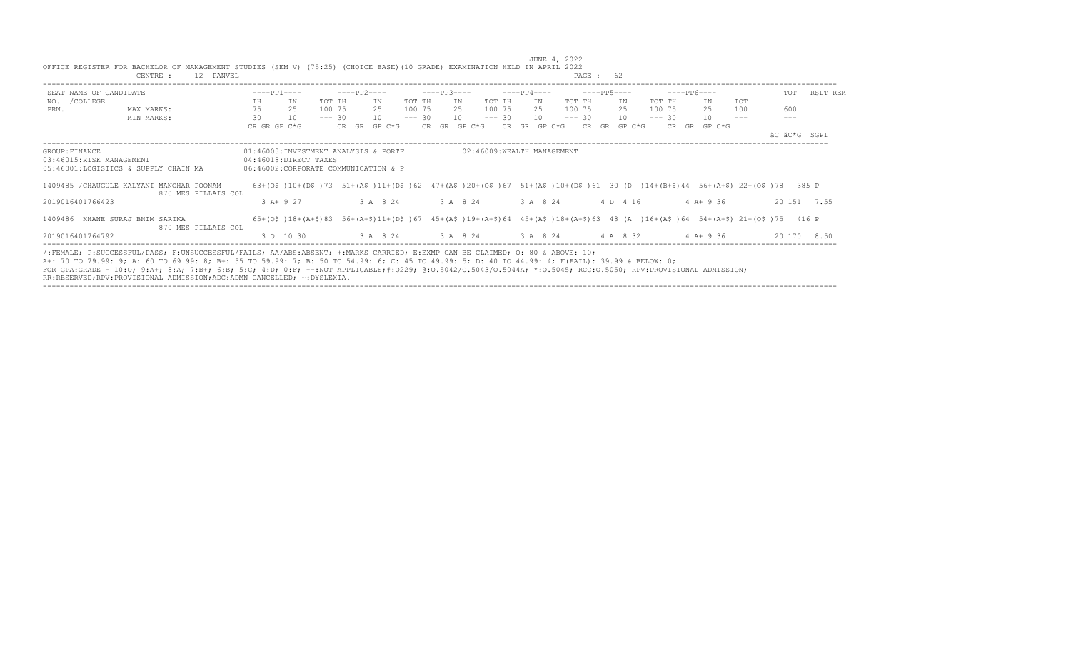|                                                                                                                                                                                                                                                                                                                                                                                            | CENTRE :                                                                                                                     | 12 PANVEL           |    |                                                               |          |                   |          |              |     |                            |               |          | PAGE: 62 |                                                                                                                                                        |          |              |                                                                                                                                                     |              |             |
|--------------------------------------------------------------------------------------------------------------------------------------------------------------------------------------------------------------------------------------------------------------------------------------------------------------------------------------------------------------------------------------------|------------------------------------------------------------------------------------------------------------------------------|---------------------|----|---------------------------------------------------------------|----------|-------------------|----------|--------------|-----|----------------------------|---------------|----------|----------|--------------------------------------------------------------------------------------------------------------------------------------------------------|----------|--------------|-----------------------------------------------------------------------------------------------------------------------------------------------------|--------------|-------------|
| SEAT NAME OF CANDIDATE                                                                                                                                                                                                                                                                                                                                                                     |                                                                                                                              |                     |    | $---PP1---$                                                   |          | -----PP2----      |          | $---PP3---$  |     |                            | ----- PP4---- |          |          | $---PP5---$                                                                                                                                            |          | -----PP6---- |                                                                                                                                                     | TOT          | RSLT REM    |
| NO. / COLLEGE                                                                                                                                                                                                                                                                                                                                                                              |                                                                                                                              |                     | TH | IN                                                            | TOT TH   | IN                | TOT TH   |              | IN  | TOT TH                     | IN            | TOT TH   |          | IN                                                                                                                                                     | TOT TH   | ΙN           | TOT                                                                                                                                                 |              |             |
| PRN.                                                                                                                                                                                                                                                                                                                                                                                       | MAX MARKS:                                                                                                                   |                     | 75 | 25                                                            | 100 75   | 2.5               | 100 75   |              | 2.5 | 100 75                     | 2.5           | 100 75   |          | 25                                                                                                                                                     | 100 75   | 25           | 100                                                                                                                                                 | 600          |             |
|                                                                                                                                                                                                                                                                                                                                                                                            | MIN MARKS:                                                                                                                   |                     | 30 | 10                                                            | $--- 30$ | 10                | $--- 30$ |              | 10  | $--- 30$                   | 10            | $--- 30$ |          | 10                                                                                                                                                     | $--- 30$ | 10           | $\frac{1}{2}$                                                                                                                                       |              |             |
|                                                                                                                                                                                                                                                                                                                                                                                            |                                                                                                                              |                     |    | CR GR GP C*G                                                  |          | CR GR GP C*G      |          | CR GR GP C*G |     |                            | CR GR GP C*G  |          |          | CR GR GP C*G                                                                                                                                           |          | CR GR GP C*G |                                                                                                                                                     | äC äC*G SGPI |             |
| GROUP: FINANCE                                                                                                                                                                                                                                                                                                                                                                             |                                                                                                                              |                     |    | 01:46003:INVESTMENT ANALYSIS & PORTF                          |          |                   |          |              |     | 02:46009:WEALTH MANAGEMENT |               |          |          |                                                                                                                                                        |          |              |                                                                                                                                                     |              |             |
| 03:46015:RISK MANAGEMENT<br>05:46001:LOGISTICS & SUPPLY CHAIN MA                                                                                                                                                                                                                                                                                                                           |                                                                                                                              |                     |    | 04:46018:DIRECT TAXES<br>06:46002:CORPORATE COMMUNICATION & P |          |                   |          |              |     |                            |               |          |          |                                                                                                                                                        |          |              |                                                                                                                                                     |              |             |
| 1409485 / CHAUGULE KALYANI MANOHAR POONAM                                                                                                                                                                                                                                                                                                                                                  |                                                                                                                              | 870 MES PILLAIS COL |    |                                                               |          |                   |          |              |     |                            |               |          |          |                                                                                                                                                        |          |              | $63+(0, 6)$ 10+(D\$) 73 51+(A\$) 11+(D\$) 62 47+(A\$) 20+(O\$) 67 51+(A\$) 10+(D\$) 61 30 (D ) 14+(B+\$) 44 56+(A+\$) 22+(O\$) 78 385 P             |              |             |
| 2019016401766423                                                                                                                                                                                                                                                                                                                                                                           |                                                                                                                              |                     |    | $3 A+ 9 27$                                                   |          | 3 A 8 24 3 A 8 24 |          |              |     |                            | 3 A 8 24      |          |          | 4 D 4 16                                                                                                                                               |          | $4 A+9 36$   |                                                                                                                                                     |              | 20 151 7.55 |
| 1409486 KHANE SURAJ BHIM SARIKA                                                                                                                                                                                                                                                                                                                                                            |                                                                                                                              | 870 MES PILLAIS COL |    |                                                               |          |                   |          |              |     |                            |               |          |          |                                                                                                                                                        |          |              | $65+(0, 6)$ 18+ (A+\$) 83 56+ (A+\$) 11+ (D\$) 67 45+ (A\$) 19+ (A+\$) 64 45+ (A\$) 18+ (A+\$) 63 48 (A) 16+ (A\$) 64 54+ (A+\$) 21+ (O\$) 75 416 P |              |             |
| 2019016401764792                                                                                                                                                                                                                                                                                                                                                                           |                                                                                                                              |                     |    | 3 0 10 30                                                     |          |                   |          |              |     |                            |               |          |          | $3 \text{ A} \quad 8 \quad 24$ $3 \text{ A} \quad 8 \quad 24$ $3 \text{ A} \quad 8 \quad 24$ $4 \text{ A} \quad 8 \quad 32$ $4 \text{ A} + 9 \quad 36$ |          |              |                                                                                                                                                     |              | 20 170 8.50 |
| A+: 70 TO 79.99: 9; A: 60 TO 69.99: 8; B+: 55 TO 59.99: 7; B: 50 TO 54.99: 6; C: 45 TO 49.99: 5; D: 40 TO 44.99: 4; F(FAIL): 39.99 & BELOW: 0;<br>FOR GPA:GRADE - 10:0; 9:A+; 8:A; 7:B+; 6:B; 5:C; 4:D; 0:F; --:NOT APPLICABLE;#:0229; 0:0.5042/0.5043/0.5044A; *:0.5045; RCC:0.5050; RPV:PROVISIONAL ADMISSION;<br>RR:RESERVED;RPV:PROVISIONAL ADMISSION;ADC:ADMN CANCELLED; ~: DYSLEXIA. | /:FEMALE; P:SUCCESSFUL/PASS; F:UNSUCCESSFUL/FAILS; AA/ABS:ABSENT; +:MARKS CARRIED; E:EXMP CAN BE CLAIMED; 0: 80 & ABOVE: 10; |                     |    |                                                               |          |                   |          |              |     |                            |               |          |          |                                                                                                                                                        |          |              |                                                                                                                                                     |              |             |

----------------------------------------------------------------------------------------------------------------------------------------------------------------------------------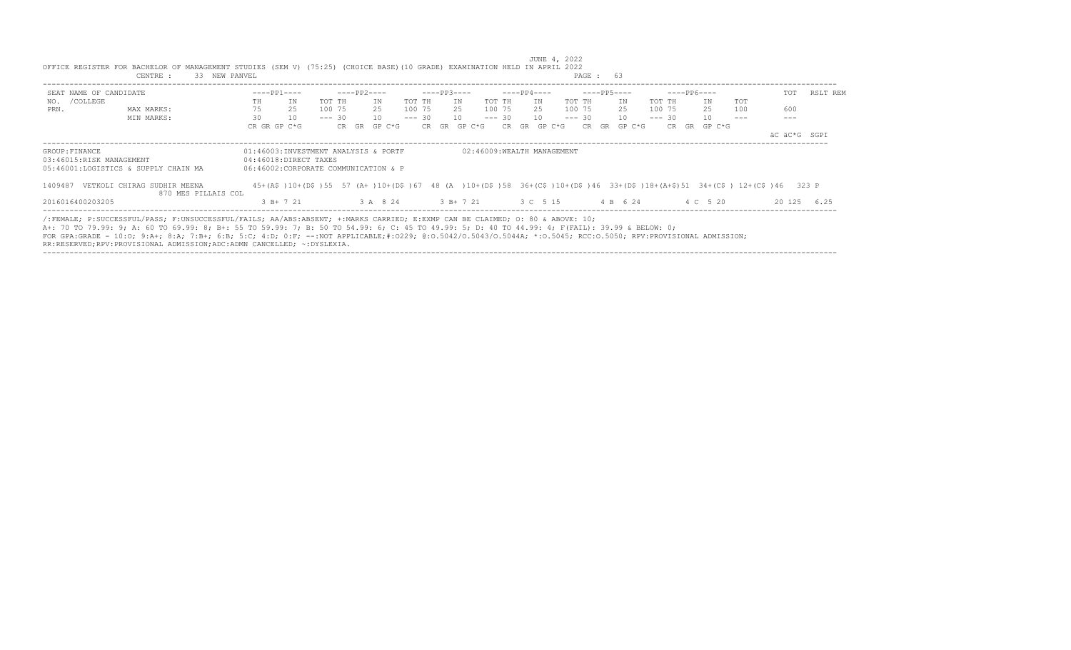| SEAT NAME OF CANDIDATE               |                             |    | $---PP1---$                          | $---PP2---$ |          |          |       | $---PP3---$ |                            |          |    | $---PP4---$ |          | $---PP5---$ |          |        |          |           | $---PP6---$ |                                                                                                                         | TOT          | RSLT REM    |
|--------------------------------------|-----------------------------|----|--------------------------------------|-------------|----------|----------|-------|-------------|----------------------------|----------|----|-------------|----------|-------------|----------|--------|----------|-----------|-------------|-------------------------------------------------------------------------------------------------------------------------|--------------|-------------|
| NO. / COLLEGE                        |                             | TH | ΙN                                   | TOT TH      | IN       | TOT TH   |       | TN          |                            | TOT TH   |    | IN          | TOT TH   |             |          | IN     | TOT TH   |           | IN          | <b>TOT</b>                                                                                                              |              |             |
| PRN.                                 | MAX MARKS:                  | 75 | 25                                   | 100 75      | 25       | 100 75   |       | 25          |                            | 100 75   |    | 25          | 100 75   |             | 25       |        | 100 75   |           | 25          | 100                                                                                                                     | 600          |             |
|                                      | MIN MARKS:                  | 30 | 10                                   | $--- 30$    | 10       | $--- 30$ |       | 10          |                            | $--- 30$ |    | 10          | $--- 30$ |             |          | 10     | $--- 30$ |           | 10          |                                                                                                                         |              |             |
|                                      |                             |    | CR GR GP C*G                         | CR GR       | GP C*G   |          | CR GR |             | GP C*G                     | CR.      | GR | GP C*G      |          | CR.         | GR       | GP C*G |          | CR.<br>GR | GP C*G      |                                                                                                                         |              |             |
|                                      |                             |    |                                      |             |          |          |       |             |                            |          |    |             |          |             |          |        |          |           |             |                                                                                                                         | äC äC*G SGPI |             |
| GROUP: FINANCE                       |                             |    | 01:46003:INVESTMENT ANALYSIS & PORTF |             |          |          |       |             | 02:46009:WEALTH MANAGEMENT |          |    |             |          |             |          |        |          |           |             |                                                                                                                         |              |             |
| 03:46015:RISK MANAGEMENT             |                             |    | 04:46018:DIRECT TAXES                |             |          |          |       |             |                            |          |    |             |          |             |          |        |          |           |             |                                                                                                                         |              |             |
| 05:46001:LOGISTICS & SUPPLY CHAIN MA |                             |    | 06:46002:CORPORATE COMMUNICATION & P |             |          |          |       |             |                            |          |    |             |          |             |          |        |          |           |             |                                                                                                                         |              |             |
| 1409487                              | VETKOLI CHIRAG SUDHIR MEENA |    |                                      |             |          |          |       |             |                            |          |    |             |          |             |          |        |          |           |             | 45+(A\$)10+(D\$)55 57 (A+)10+(D\$)67 48 (A )10+(D\$)58 36+(C\$)10+(D\$)46 33+(D\$)18+(A+\$)51 34+(C\$) 12+(C\$)46 323 P |              |             |
|                                      | 870 MES PILLAIS COL         |    |                                      |             |          |          |       |             |                            |          |    |             |          |             |          |        |          |           |             |                                                                                                                         |              |             |
| 2016016400203205                     |                             |    | $3 B+ 7 21$                          |             | 3 A 8 24 |          |       |             | 3 B+ 7 21                  | 3 C 5 15 |    |             |          |             | 4 B 6 24 |        |          |           | 4 C 5 20    |                                                                                                                         |              | 20 125 6.25 |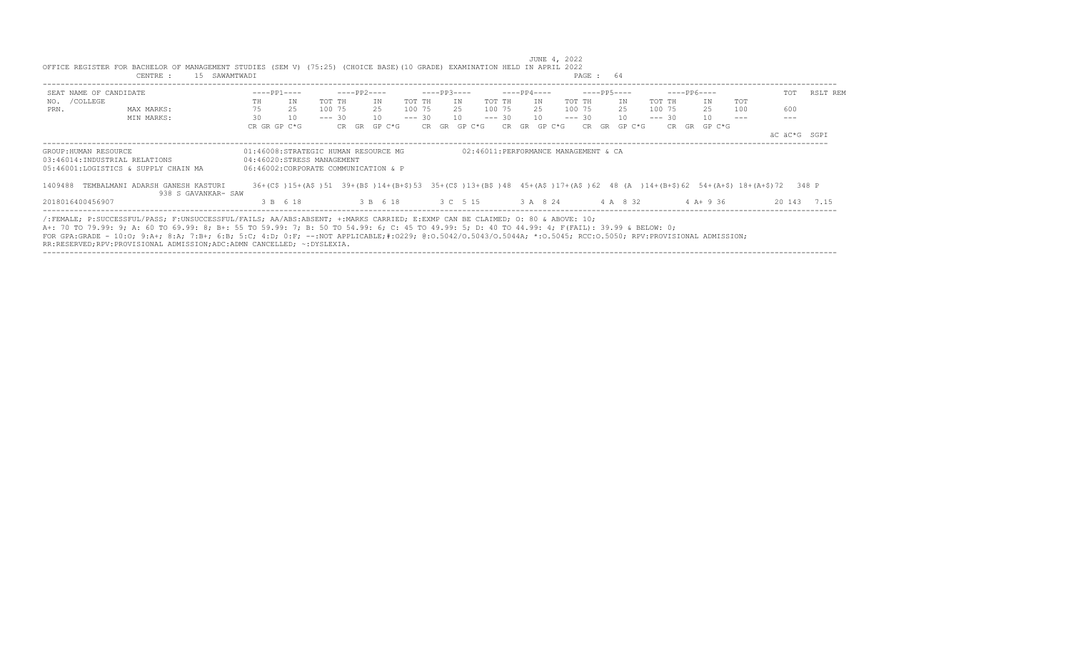|                                                        | OFFICE REGISTER FOR BACHELOR OF MANAGEMENT STUDIES (SEM V) (75:25) (CHOICE BASE) (10 GRADE) EXAMINATION HELD IN APRIL 2022<br>15 SAWAMTWADI<br>CENTRE :                                                                                                                                                                                                                                                                                                                                                                    |                   |                                                                                                            |          |             |              |          |              |    |          |                      | JUNE 4, 2022<br>PAGE: 64             |           |          |             |              |            |                                                                                                                           |          |
|--------------------------------------------------------|----------------------------------------------------------------------------------------------------------------------------------------------------------------------------------------------------------------------------------------------------------------------------------------------------------------------------------------------------------------------------------------------------------------------------------------------------------------------------------------------------------------------------|-------------------|------------------------------------------------------------------------------------------------------------|----------|-------------|--------------|----------|--------------|----|----------|----------------------|--------------------------------------|-----------|----------|-------------|--------------|------------|---------------------------------------------------------------------------------------------------------------------------|----------|
|                                                        |                                                                                                                                                                                                                                                                                                                                                                                                                                                                                                                            |                   |                                                                                                            |          |             |              |          |              |    |          |                      |                                      |           |          |             |              |            |                                                                                                                           |          |
| SEAT NAME OF CANDIDATE<br>NO. / COLLEGE                |                                                                                                                                                                                                                                                                                                                                                                                                                                                                                                                            | $---PP1---$<br>TH | IN                                                                                                         | TOT TH   | $---PP2---$ | TN           | TOT TH   | $---PP3---$  | IN | TOT TH   | $---PP4---$<br>IN    | $---PP5---$<br>TOT TH                | IN        | TOT TH   | $---PP6---$ | ΙN           | <b>TOT</b> | TOT                                                                                                                       | RSLT REM |
| PRN.                                                   | MAX MARKS:                                                                                                                                                                                                                                                                                                                                                                                                                                                                                                                 | 75                | 25                                                                                                         | 100 75   |             | 25           | 100 75   |              | 25 | 100 75   |                      | 25 100 75                            | 25        | 100 75   |             | 25           | 100        | 600                                                                                                                       |          |
|                                                        | MIN MARKS:                                                                                                                                                                                                                                                                                                                                                                                                                                                                                                                 | 30                | 10                                                                                                         | $--- 30$ |             | 10           | $--- 30$ |              | 10 | $--- 30$ | 10                   | $--- 30 10$                          |           | $--- 30$ |             | 10           |            |                                                                                                                           |          |
|                                                        |                                                                                                                                                                                                                                                                                                                                                                                                                                                                                                                            | CR GR GP C*G      |                                                                                                            |          |             | CR GR GP C*G |          | CR GR GP C*G |    |          | $CR$ $GR$ $GP$ $C*G$ | CR.                                  | GR GP C*G |          |             | CR GR GP C*G |            | äC äC*G SGPI                                                                                                              |          |
| GROUP: HUMAN RESOURCE<br>03:46014:INDUSTRIAL RELATIONS | 05:46001:LOGISTICS & SUPPLY CHAIN MA                                                                                                                                                                                                                                                                                                                                                                                                                                                                                       |                   | 01:46008:STRATEGIC HUMAN RESOURCE MG<br>04:46020:STRESS MANAGEMENT<br>06:46002:CORPORATE COMMUNICATION & P |          |             |              |          |              |    |          |                      | 02:46011:PERFORMANCE MANAGEMENT & CA |           |          |             |              |            |                                                                                                                           |          |
|                                                        | 1409488 TEMBALMANI ADARSH GANESH KASTURI<br>938 S GAVANKAR- SAW                                                                                                                                                                                                                                                                                                                                                                                                                                                            |                   |                                                                                                            |          |             |              |          |              |    |          |                      |                                      |           |          |             |              |            | 36+(C\$)15+(A\$)51 39+(B\$)14+(B+\$)53 35+(C\$)13+(B\$)48 45+(A\$)17+(A\$)62 48 (A)14+(B+\$)62 54+(A+\$)18+(A+\$)72 348 P |          |
| 2018016400456907                                       |                                                                                                                                                                                                                                                                                                                                                                                                                                                                                                                            |                   | 3 B 6 18                                                                                                   |          |             | 3 B 6 18     |          | 3 C 5 15     |    |          |                      | 3 A 8 24                             | 4 A 8 32  |          |             | $4$ A + 9 36 |            | 20 143 7.15                                                                                                               |          |
|                                                        | /:FEMALE; P:SUCCESSFUL/PASS; F:UNSUCCESSFUL/FAILS; AA/ABS:ABSENT; +:MARKS CARRIED; E:EXMP CAN BE CLAIMED; O: 80 & ABOVE: 10;<br>A+: 70 TO 79.99: 9; A: 60 TO 69.99: 8; B+: 55 TO 59.99: 7; B: 50 TO 54.99: 6; C: 45 TO 49.99: 5; D: 40 TO 44.99: 4; F(FAIL): 39.99 & BELOW: 0;<br>FOR GPA:GRADE - 10:0; 9:A+; 8:A; 7:B+; 6:B; 5:C; 4:D; 0:F; --:NOT APPLICABLE;#:0229; 0:0.5042/0.5043/0.5044A; *:0.5045; RCC:0.5050; RPV:PROVISIONAL ADMISSION;<br>RR:RESERVED;RPV:PROVISIONAL ADMISSION;ADC:ADMN CANCELLED; ~: DYSLEXIA. |                   |                                                                                                            |          |             |              |          |              |    |          |                      |                                      |           |          |             |              |            |                                                                                                                           |          |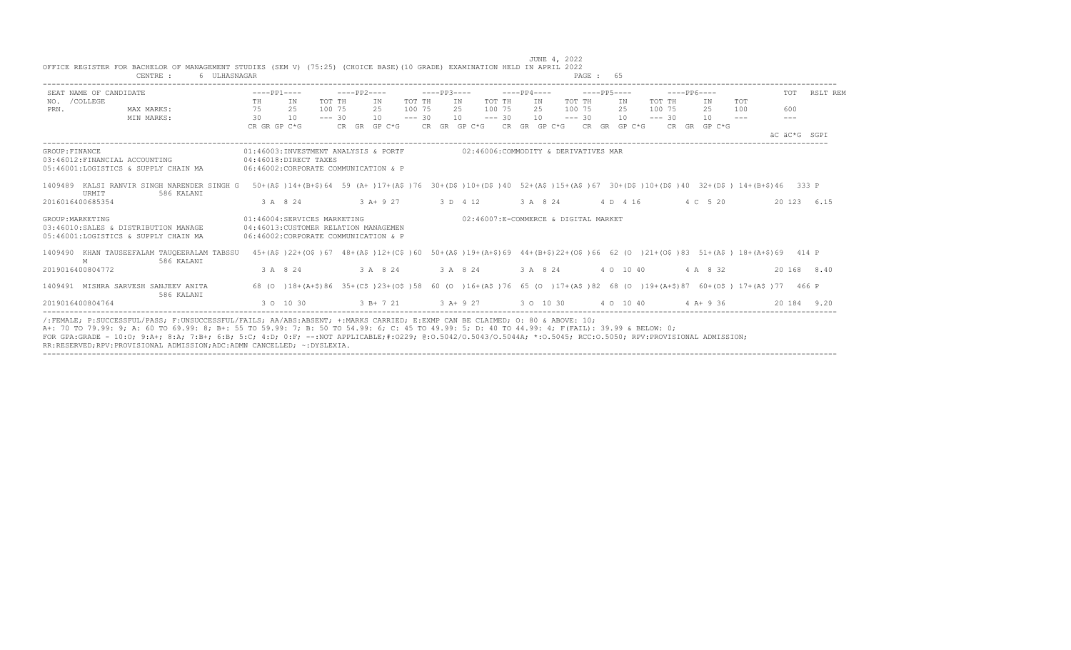|                        | CENTRE :<br>6 ULHASNAGAR                                                                                                                                                            |              |                                                                                                                        |             |               |        |                         |                                                                                   |        |                       |        | PAGE : 65 |           |          |             |          |            |              |              |
|------------------------|-------------------------------------------------------------------------------------------------------------------------------------------------------------------------------------|--------------|------------------------------------------------------------------------------------------------------------------------|-------------|---------------|--------|-------------------------|-----------------------------------------------------------------------------------|--------|-----------------------|--------|-----------|-----------|----------|-------------|----------|------------|--------------|--------------|
| SEAT NAME OF CANDIDATE |                                                                                                                                                                                     |              | $---PP1---$                                                                                                            | $---PP2---$ |               |        |                         | $---PP3---$                                                                       |        | $---PP4---$           |        |           |           |          | $---PP6---$ |          |            |              | TOT RSLT REM |
| NO. / COLLEGE          |                                                                                                                                                                                     | TH           | IN                                                                                                                     | TOT TH      | TN            | TOT TH |                         | IN                                                                                | TOT TH | IN                    | TOT TH |           | IN        | TOT TH   |             | TN       | <b>TOT</b> |              |              |
| PRN.                   | MAX MARKS:                                                                                                                                                                          | 75           | 2.5                                                                                                                    | 100 75      | 2.5           | 100 75 |                         | 2.5                                                                               | 100 75 | 2.5                   | 100 75 |           | 2.5       | 100 75   |             | 2.5      | 100        | 600          |              |
|                        | $\sim$ 30<br>MIN MARKS:                                                                                                                                                             |              | 10                                                                                                                     | $--- 30$    | $10 - - - 30$ |        |                         | 10                                                                                |        | $--- 30 10 --- 30 10$ |        |           |           | $--- 30$ |             | 10       | $- - -$    | $- - -$      |              |
|                        |                                                                                                                                                                                     | CR GR GP C*G |                                                                                                                        |             |               |        |                         | CR GR GP C*G      CR GR GP C*G     CR GP C*G     CR GR GP C*G     CR   GR  GP C*G |        |                       |        |           |           |          |             |          |            | AC AC*G SGPT |              |
| GROUP: FINANCE         | 03:46012:FINANCIAL ACCOUNTING<br>05:46001:LOGISTICS & SUPPLY CHAIN MA                                                                                                               |              | 01:46003:INVESTMENT ANALYSIS & PORTF<br>04:46018:DIRECT TAXES<br>06:46002:CORPORATE COMMUNICATION & P                  |             |               |        |                         | 02:46006:COMMODITY & DERIVATIVES MAR                                              |        |                       |        |           |           |          |             |          |            |              |              |
| URMIT                  | 1409489 KALSI RANVIR SINGH NARENDER SINGH G 50+(A\$)14+(B+\$)64 59 (A+)17+(A\$)76 30+(D\$)10+(D\$)40 52+(A\$)15+(A\$)67 30+(D\$)10+(D\$)40 32+(D\$) 14+(B+\$)46 333 P<br>586 KALANI |              |                                                                                                                        |             |               |        |                         |                                                                                   |        |                       |        |           |           |          |             |          |            |              |              |
| 2016016400685354       |                                                                                                                                                                                     |              | 3 A 8 24                                                                                                               |             |               |        | $3 A + 9 27$ $3 D 4 12$ |                                                                                   |        | 3 A 8 24 4 D 4 16     |        |           |           |          |             | 4 C 5 20 |            |              | 20 123 6.15  |
| GROUP: MARKETING       | 03:46010:SALES & DISTRIBUTION MANAGE<br>05:46001:LOGISTICS & SUPPLY CHAIN MA                                                                                                        |              | 01:46004:SERVICES MARKETING<br>04:46013: CUSTOMER RELATION MANAGEMEN<br>06:46002: CORPORATE COMMUNICATION & P          |             |               |        |                         | 02:46007:E-COMMERCE & DIGITAL MARKET                                              |        |                       |        |           |           |          |             |          |            |              |              |
| M                      | 1409490 KHAN TAUSEEFALAM TAUQEERALAM TABSSU<br>586 KALANI                                                                                                                           |              | 45+(AS)22+(OS)67 48+(AS)12+(CS)60 50+(AS)19+(A+\$)69 44+(B+\$)22+(OS)66 62 (O)21+(OS)83 51+(AS)18+(A+\$)69 414 P       |             |               |        |                         |                                                                                   |        |                       |        |           |           |          |             |          |            |              |              |
| 2019016400804772       |                                                                                                                                                                                     |              | 3 A 8 24                                                                                                               |             | 3 A 8 24      |        | 3 A 8 24                |                                                                                   |        | 3 A 8 24              |        |           | 4 0 10 40 |          |             | 4 A 8 32 |            |              | 20 168 8.40  |
|                        | 1409491 MISHRA SARVESH SANJEEV ANITA<br>586 KALANI                                                                                                                                  |              | 68 (0 )18+(A+\$)86 35+(C\$)23+(O\$)58 60 (0 )16+(A\$)76 65 (0 )17+(A\$)82 68 (0 )19+(A+\$)87 60+(O\$) 17+(A\$)77 466 P |             |               |        |                         |                                                                                   |        |                       |        |           |           |          |             |          |            |              |              |
| 2019016400804764       |                                                                                                                                                                                     |              | 3 0 10 30 $3 B + 7 21$ 3 A + 9 27 3 0 10 30 4 0 10 40 4 A + 9 36                                                       |             |               |        |                         |                                                                                   |        |                       |        |           |           |          |             |          |            |              | 20 184 9.20  |

----------------------------------------------------------------------------------------------------------------------------------------------------------------------------------

 JUNE 4, 2022 OFFICE REGISTER FOR BACHELOR OF MANAGEMENT STUDIES (SEM V) (75:25) (CHOICE BASE)(10 GRADE) EXAMINATION HELD IN APRIL 2022

RR:RESERVED;RPV:PROVISIONAL ADMISSION;ADC:ADMN CANCELLED; ~:DYSLEXIA.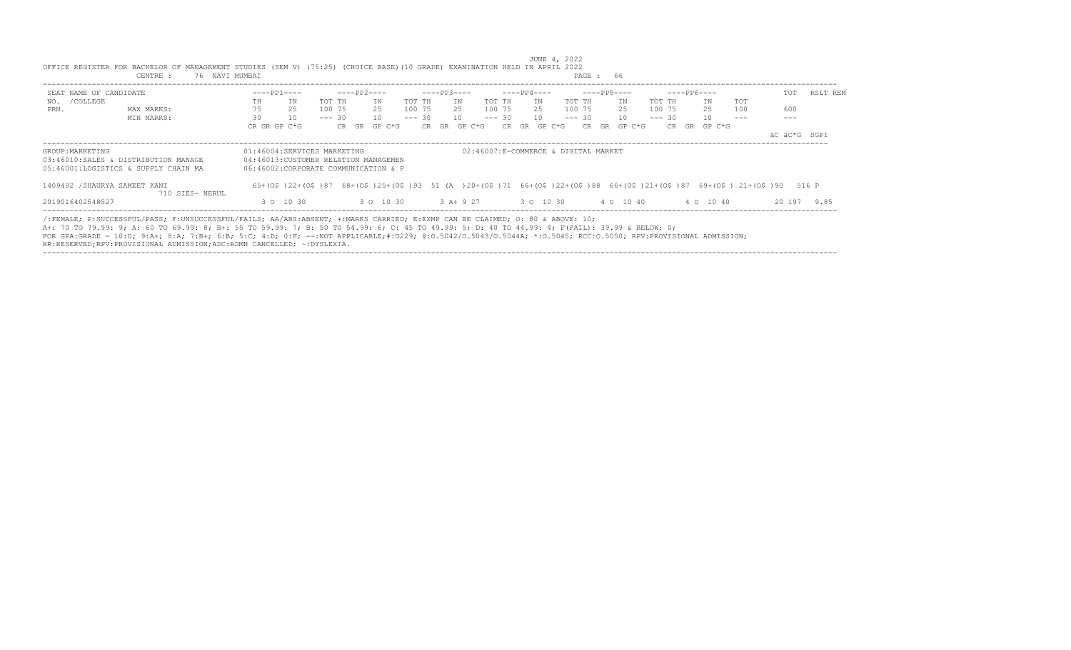|                        | CENTRE :<br>76 NAVI MUMBAI                                                                                                                                                                                                                                                                                                                                                                                                                                                                                                |                                                                                                              |                 |                      |          |              | PAGE: 66                             |                                                                                                                        |              |          |
|------------------------|---------------------------------------------------------------------------------------------------------------------------------------------------------------------------------------------------------------------------------------------------------------------------------------------------------------------------------------------------------------------------------------------------------------------------------------------------------------------------------------------------------------------------|--------------------------------------------------------------------------------------------------------------|-----------------|----------------------|----------|--------------|--------------------------------------|------------------------------------------------------------------------------------------------------------------------|--------------|----------|
| SEAT NAME OF CANDIDATE |                                                                                                                                                                                                                                                                                                                                                                                                                                                                                                                           | $---PP1---$                                                                                                  | ----PP2----     | $---PP3---$          |          | ----PP4----  | $---PP5---$                          | $---PP6---$                                                                                                            | TOT          | RSLT REM |
| NO. / COLLEGE          |                                                                                                                                                                                                                                                                                                                                                                                                                                                                                                                           | ΙN<br>TOT TH<br>TH                                                                                           | ΙN              | TOT TH<br>ΙN         | TOT TH   | IN           | TOT TH<br>ΙN                         | TOT TH<br>IN<br>TOT                                                                                                    |              |          |
| PRN.                   | MAX MARKS:                                                                                                                                                                                                                                                                                                                                                                                                                                                                                                                | 75<br>25<br>100 75                                                                                           | 25              | 100 75<br>25         | 100 75   | 25           | 100 75<br>25                         | 25<br>100 75<br>100                                                                                                    | 600          |          |
|                        | MIN MARKS:                                                                                                                                                                                                                                                                                                                                                                                                                                                                                                                | 30<br>10                                                                                                     | 10<br>$--- 30$  | $--- 30$<br>10       | $--- 30$ | 10           | $--- 30$<br>10                       | $--- 30$<br>10                                                                                                         |              |          |
|                        |                                                                                                                                                                                                                                                                                                                                                                                                                                                                                                                           | CR GR GP C*G                                                                                                 | GP C*G<br>CR GR | CR GR GP C*G         |          | CR GR GP C*G | CR GR GP C*G                         | CR GR GP C*G                                                                                                           |              |          |
|                        |                                                                                                                                                                                                                                                                                                                                                                                                                                                                                                                           |                                                                                                              |                 |                      |          |              |                                      |                                                                                                                        | äC äC*G SGPI |          |
| GROUP: MARKETING       | 03:46010:SALES & DISTRIBUTION MANAGE<br>05:46001:LOGISTICS & SUPPLY CHAIN MA                                                                                                                                                                                                                                                                                                                                                                                                                                              | 01:46004:SERVICES MARKETING<br>04:46013: CUSTOMER RELATION MANAGEMEN<br>06:46002:CORPORATE COMMUNICATION & P |                 |                      |          |              | 02:46007:E-COMMERCE & DIGITAL MARKET |                                                                                                                        |              |          |
|                        |                                                                                                                                                                                                                                                                                                                                                                                                                                                                                                                           |                                                                                                              |                 |                      |          |              |                                      |                                                                                                                        |              |          |
|                        | 1409492 / SHAURYA SAMEET KANI<br>710 SIES- NERUL                                                                                                                                                                                                                                                                                                                                                                                                                                                                          |                                                                                                              |                 |                      |          |              |                                      | 65+(0\$)22+(0\$)87 68+(0\$)25+(0\$)93 51 (A)20+(0\$)71 66+(0\$)22+(0\$)88 66+(0\$)21+(0\$)87 69+(0\$) 21+(0\$)90 516 P |              |          |
| 2019016402548527       |                                                                                                                                                                                                                                                                                                                                                                                                                                                                                                                           | 3 0 10 30                                                                                                    |                 | 3 0 10 30 3 A + 9 27 |          | 3 0 10 30    | 4 0 10 40                            | 4 0 10 40                                                                                                              | 20 197 9.85  |          |
|                        | /:FEMALE: P:SUCCESSFUL/PASS: F:UNSUCCESSFUL/FAILS: AA/ABS:ABSENT: +:MARKS CARRIED: E:EXMP CAN BE CLAIMED: 0: 80 & ABOVE: 10;<br>A+: 70 TO 79.99: 9; A: 60 TO 69.99: 8; B+: 55 TO 59.99: 7; B: 50 TO 54.99: 6; C: 45 TO 49.99: 5; D: 40 TO 44.99: 4; F(FAIL): 39.99 & BELOW: 0;<br>FOR GPA:GRADE - 10:0; 9:A+; 8:A; 7:B+; 6:B; 5:C; 4:D; 0:F; --:NOT APPLICABLE;#:0229; 0:0.5042/0.5043/0.5044A; *:0.5045; RCC:0.5050; RPV:PROVISIONAL ADMISSION;<br>RR:RESERVED;RPV:PROVISIONAL ADMISSION;ADC:ADMN CANCELLED; ~:DYSLEXIA. |                                                                                                              |                 |                      |          |              |                                      |                                                                                                                        |              |          |

----------------------------------------------------------------------------------------------------------------------------------------------------------------------------------

JUNE 4, 2022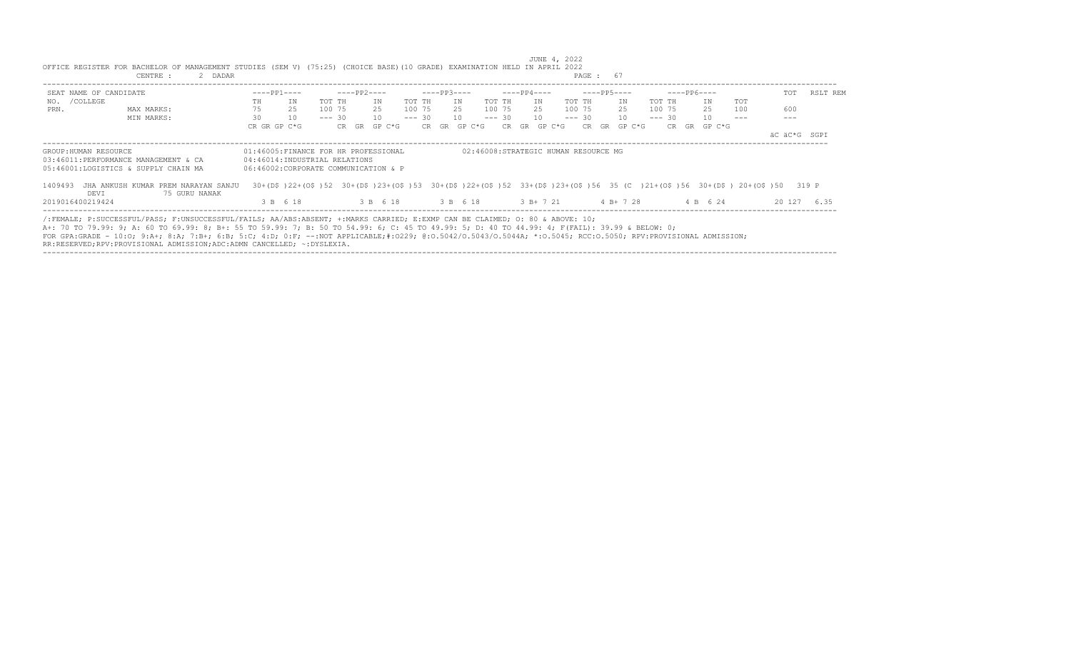|                        | CENTRE :<br>2 DADAR                                                                                                                                                                                                                                                                                                                                                                                                                                                                                                       |                                                                                                               |          |          |             |              |          |                   |        |          |             |                                      | PAGE: 67        |             |          |             |                                                                                                                        |              |             |
|------------------------|---------------------------------------------------------------------------------------------------------------------------------------------------------------------------------------------------------------------------------------------------------------------------------------------------------------------------------------------------------------------------------------------------------------------------------------------------------------------------------------------------------------------------|---------------------------------------------------------------------------------------------------------------|----------|----------|-------------|--------------|----------|-------------------|--------|----------|-------------|--------------------------------------|-----------------|-------------|----------|-------------|------------------------------------------------------------------------------------------------------------------------|--------------|-------------|
| SEAT NAME OF CANDIDATE |                                                                                                                                                                                                                                                                                                                                                                                                                                                                                                                           | $---PP1---$                                                                                                   |          |          | $---PP2---$ |              |          | $---PP3---$       |        |          | $---PP4---$ |                                      |                 | $---PP5---$ |          | $---PP6---$ |                                                                                                                        | TOT          | RSLT REM    |
| NO. / COLLEGE          |                                                                                                                                                                                                                                                                                                                                                                                                                                                                                                                           | TH                                                                                                            | TN       | TOT TH   |             | IN           | TOT TH   |                   | IN     | TOT TH   | IN          | TOT TH                               |                 | IN          | TOT TH   | IN          | <b>TOT</b>                                                                                                             |              |             |
| PRN.                   | MAX MARKS:                                                                                                                                                                                                                                                                                                                                                                                                                                                                                                                | 75                                                                                                            | 25       | 100 75   |             | 2.5          | 100 75   |                   | 25     | 100 75   | 2.5         | 100 75                               |                 | 25          | 100 75   | 25          | 100                                                                                                                    | 600          |             |
|                        | MIN MARKS:                                                                                                                                                                                                                                                                                                                                                                                                                                                                                                                | 30                                                                                                            | 10       | $--- 30$ |             | 10           | $--- 30$ |                   | 10     | $--- 30$ | 10          | $--- 30$                             |                 | 10          | $--- 30$ | 10          |                                                                                                                        |              |             |
|                        |                                                                                                                                                                                                                                                                                                                                                                                                                                                                                                                           | CR GR GP C*G                                                                                                  |          |          |             | CR GR GP C*G |          | CR GR             | GP C*G | CR.      | GR          | GP C*G                               | CR<br><b>GR</b> | GP C*G      | CR       | GR GP C*G   |                                                                                                                        |              |             |
|                        |                                                                                                                                                                                                                                                                                                                                                                                                                                                                                                                           |                                                                                                               |          |          |             |              |          |                   |        |          |             |                                      |                 |             |          |             |                                                                                                                        | äC äC*G SGPI |             |
| GROUP: HUMAN RESOURCE  | 03:46011:PERFORMANCE MANAGEMENT & CA<br>05:46001:LOGISTICS & SUPPLY CHAIN MA                                                                                                                                                                                                                                                                                                                                                                                                                                              | 01:46005:FINANCE FOR HR PROFESSIONAL<br>04:46014:INDUSTRIAL RELATIONS<br>06:46002:CORPORATE COMMUNICATION & P |          |          |             |              |          |                   |        |          |             | 02:46008:STRATEGIC HUMAN RESOURCE MG |                 |             |          |             |                                                                                                                        |              |             |
| 1409493<br>DEVI        | JHA ANKUSH KUMAR PREM NARAYAN SANJU<br>75 GURU NANAK                                                                                                                                                                                                                                                                                                                                                                                                                                                                      |                                                                                                               |          |          |             |              |          |                   |        |          |             |                                      |                 |             |          |             | 30+(D\$)22+(O\$)52 30+(D\$)23+(O\$)53 30+(D\$)22+(O\$)52 33+(D\$)23+(O\$)56 35 (C)21+(O\$)56 30+(D\$) 20+(O\$)50 319 P |              |             |
| 2019016400219424       |                                                                                                                                                                                                                                                                                                                                                                                                                                                                                                                           |                                                                                                               | 3 B 6 18 |          |             |              |          | 3 B 6 18 3 B 6 18 |        |          |             | 3 B + 7 21 4 B + 7 28                |                 |             |          | 4 B 6 24    |                                                                                                                        |              | 20 127 6.35 |
|                        | /:FEMALE; P:SUCCESSFUL/PASS; F:UNSUCCESSFUL/FAILS; AA/ABS:ABSENT; +:MARKS CARRIED; E:EXMP CAN BE CLAIMED; O: 80 & ABOVE: 10;<br>A+: 70 TO 79.99: 9; A: 60 TO 69.99: 8; B+: 55 TO 59.99: 7; B: 50 TO 54.99: 6; C: 45 TO 49.99: 5; D: 40 TO 44.99: 4; F(FAIL): 39.99 & BELOW: 0;<br>FOR GPA:GRADE - 10:0; 9:A+; 8:A; 7:B+; 6:B; 5:C; 4:D; 0:F; --:NOT APPLICABLE;#:0229; 0:0.5042/0.5043/0.5044A; *:0.5045; RCC:0.5050; RPV:PROVISIONAL ADMISSION;<br>RR:RESERVED;RPV:PROVISIONAL ADMISSION;ADC:ADMN CANCELLED; ~:DYSLEXIA. |                                                                                                               |          |          |             |              |          |                   |        |          |             |                                      |                 |             |          |             |                                                                                                                        |              |             |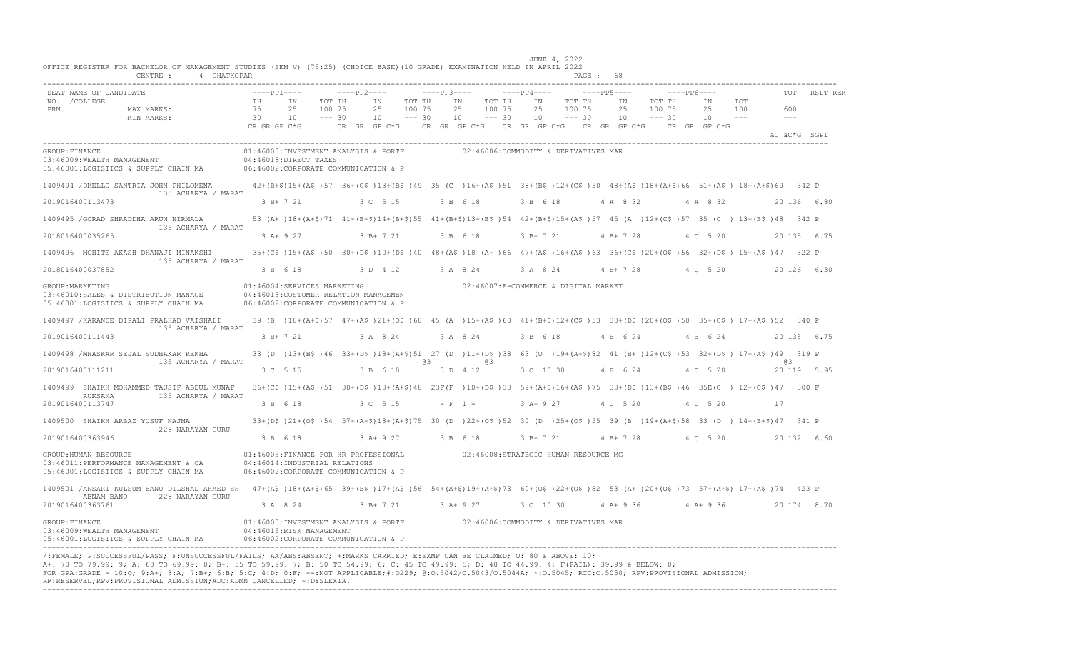| OFFICE REGISTER FOR BACHELOR OF MANAGEMENT STUDIES (SEM V) (75:25) (CHOICE BASE) (10 GRADE) EXAMINATION HELD IN APRIL 2022<br>CENTRE : 4 GHATKOPAR                                                                                                                                                                                                                                                                                                                                                                         |                                                                                                                |                                                 |                                                | JUNE 4, 2022<br>PAGE : 68                                                                                                                   |                                                               |              |
|----------------------------------------------------------------------------------------------------------------------------------------------------------------------------------------------------------------------------------------------------------------------------------------------------------------------------------------------------------------------------------------------------------------------------------------------------------------------------------------------------------------------------|----------------------------------------------------------------------------------------------------------------|-------------------------------------------------|------------------------------------------------|---------------------------------------------------------------------------------------------------------------------------------------------|---------------------------------------------------------------|--------------|
| SEAT NAME OF CANDIDATE                                                                                                                                                                                                                                                                                                                                                                                                                                                                                                     | $---PP1---$                                                                                                    | $---PP2---$                                     | $---PP3---$                                    | $---PP5---$<br>$---PP4---$                                                                                                                  | $---PP6---$                                                   | RSLT REM     |
| NO. / COLLEGE<br>PRN.<br>MAX MARKS:<br>MIN MARKS:                                                                                                                                                                                                                                                                                                                                                                                                                                                                          | TH<br>IN<br>TOT TH<br>75<br>2.5<br>100 75<br>30<br>10<br>$--- 30$                                              | ΙN<br>TOT TH<br>2.5<br>100 75<br>10<br>$--- 30$ | ΙN<br>TOT TH<br>25<br>100 75<br>10<br>$--- 30$ | TOT TH<br>IN<br>ΙN<br>25<br>100 75<br>25<br>$--- 30$<br>10<br>10                                                                            | TOT TH<br>ΙN<br>TOT<br>100 75<br>2.5<br>100<br>$--- 30$<br>10 | 600          |
|                                                                                                                                                                                                                                                                                                                                                                                                                                                                                                                            | CR GR GP C*G                                                                                                   |                                                 |                                                | CR GR GP C*G CR GR GP C*G CR GR GP C*G CR GR GP C*G CR GR GP C*G                                                                            |                                                               | äC äC*G SGPI |
| GROUP: FINANCE<br>03:46009: WEALTH MANAGEMENT<br>05:46001:LOGISTICS & SUPPLY CHAIN MA                                                                                                                                                                                                                                                                                                                                                                                                                                      | 01:46003:INVESTMENT ANALYSIS & PORTF<br>04:46018:DIRECT TAXES<br>06:46002:CORPORATE COMMUNICATION & P          |                                                 |                                                | 02:46006:COMMODITY & DERIVATIVES MAR                                                                                                        |                                                               |              |
| 1409494 / DMELLO SANTRIA JOHN PHILOMENA<br>135 ACHARYA / MARAT                                                                                                                                                                                                                                                                                                                                                                                                                                                             |                                                                                                                |                                                 |                                                | 42+(B+\$)15+(A\$)57 36+(C\$)13+(B\$)49 35 (C)16+(A\$)51 38+(B\$)12+(C\$)50 48+(A\$)18+(A+\$)66 51+(A\$) 18+(A+\$)69 342 P                   |                                                               |              |
| 2019016400113473                                                                                                                                                                                                                                                                                                                                                                                                                                                                                                           | 3 B+ 7 21                                                                                                      | 3 C 5 15                                        | 3 B 6 18                                       | 3 B 6 18<br>4 A 8 32                                                                                                                        | 4 A 8 32                                                      | 20 136 6.80  |
| 1409495 / GORAD SHRADDHA ARUN NIRMALA<br>135 ACHARYA / MARAT                                                                                                                                                                                                                                                                                                                                                                                                                                                               |                                                                                                                |                                                 |                                                | 53 (A+)18+(A+\$)71 41+(B+\$)14+(B+\$)55 41+(B+\$)13+(B\$)54 42+(B+\$)15+(A\$)57 45 (A)12+(C\$)57 35 (C) 13+(B\$)48 342 P                    |                                                               |              |
| 2018016400035265                                                                                                                                                                                                                                                                                                                                                                                                                                                                                                           | 3 A+ 9 27                                                                                                      | 3 B+ 7 21                                       | 3 B 6 18                                       | 3 B+ 7 21<br>4 B+ 7 28                                                                                                                      | 4 C 5 20                                                      | 20 135 6.75  |
| 1409496 MOHITE AKASH DHANAJI MINAKSHI<br>135 ACHARYA / MARAT                                                                                                                                                                                                                                                                                                                                                                                                                                                               |                                                                                                                |                                                 |                                                | 35+(C\$)15+(A\$)50 30+(D\$)10+(D\$)40 48+(A\$)18 (A+)66 47+(A\$)16+(A\$)63 36+(C\$)20+(O\$)56 32+(D\$) 15+(A\$)47 322 P                     |                                                               |              |
| 2018016400037852                                                                                                                                                                                                                                                                                                                                                                                                                                                                                                           | 3 B 6 18                                                                                                       | 3 D 4 12                                        | 3 A 8 24                                       | 3 A 8 24<br>$4 B+ 7 28$                                                                                                                     | 4 C 5 20                                                      | 20 126 6.30  |
| GROUP: MARKETING<br>03:46010:SALES & DISTRIBUTION MANAGE<br>05:46001:LOGISTICS & SUPPLY CHAIN MA                                                                                                                                                                                                                                                                                                                                                                                                                           | 01:46004:SERVICES MARKETING<br>04:46013: CUSTOMER RELATION MANAGEMEN<br>06:46002:CORPORATE COMMUNICATION & P   |                                                 |                                                | 02:46007:E-COMMERCE & DIGITAL MARKET                                                                                                        |                                                               |              |
| 1409497 / KARANDE DIPALI PRALHAD VAISHALI<br>135 ACHARYA / MARAT                                                                                                                                                                                                                                                                                                                                                                                                                                                           |                                                                                                                |                                                 |                                                | 39 (B) 18+ (A+\$) 57 47+ (A\$) 21+ (O\$) 68 45 (A) 15+ (A\$) 60 41+ (B+\$) 12+ (C\$) 53 30+ (D\$) 20+ (O\$) 50 35+ (C\$) 17+ (A\$) 52 340 P |                                                               |              |
| 2019016400111443                                                                                                                                                                                                                                                                                                                                                                                                                                                                                                           | 3 B+ 7 21                                                                                                      | 3 A 8 24                                        | 3 A 8 24                                       | 3 B 6 18<br>4 B 6 24                                                                                                                        | 4 B 6 24                                                      | 20 135 6.75  |
| 1409498 / MHASKAR SEJAL SUDHAKAR REKHA<br>135 ACHARYA / MARAT                                                                                                                                                                                                                                                                                                                                                                                                                                                              |                                                                                                                |                                                 | eз<br>eз                                       | 33 (D) 13+ (B\$) 46 33+ (D\$) 18+ (A+\$) 51 27 (D) 11+ (D\$) 38 63 (O) 19+ (A+\$) 82 41 (B+) 12+ (C\$) 53 32+ (D\$) 17+ (A\$) 49 319 P      |                                                               | 6.3          |
| 2019016400111211                                                                                                                                                                                                                                                                                                                                                                                                                                                                                                           | 3 C 5 15                                                                                                       | 3 B 6 18                                        | 3 D 4 12                                       | 3 0 10 30<br>4 B 6 24                                                                                                                       | 4 C 5 20                                                      | 20 119 5.95  |
| 1409499 SHAIKH MOHAMMED TAUSIF ABDUL MUNAF<br>RUKSANA<br>135 ACHARYA / MARAT                                                                                                                                                                                                                                                                                                                                                                                                                                               |                                                                                                                |                                                 |                                                | 36+(C\$)15+(A\$)51 30+(D\$)18+(A+\$)48 23F(F)10+(D\$)33 59+(A+\$)16+(A\$)75 33+(D\$)13+(B\$)46 35E(C) 12+(C\$)47 300 F                      |                                                               |              |
| 2019016400113747                                                                                                                                                                                                                                                                                                                                                                                                                                                                                                           | 3 B 6 18                                                                                                       | 3 C 5 15                                        | $- F 1 -$                                      | 3 A+ 9 27<br>4 C 5 20                                                                                                                       | 4 C 5 20                                                      | 17           |
| 1409500 SHAIKH ARBAZ YUSUF NAJMA<br>228 NARAYAN GURU                                                                                                                                                                                                                                                                                                                                                                                                                                                                       |                                                                                                                |                                                 |                                                | 33+(D\$)21+(O\$)54 57+(A+\$)18+(A+\$)75 30 (D)22+(O\$)52 30 (D)25+(O\$)55 39 (B)19+(A+\$)58 33 (D) 14+(B+\$)47 341 P                        |                                                               |              |
| 2019016400363946                                                                                                                                                                                                                                                                                                                                                                                                                                                                                                           | 3 B 6 18                                                                                                       | 3 A+ 9 27                                       | 3 B 6 18                                       | $3 B+ 7 21$<br>$4 B+ 7 28$                                                                                                                  | 4 C 5 20                                                      | 20 132 6.60  |
| GROUP: HUMAN RESOURCE<br>03:46011:PERFORMANCE MANAGEMENT & CA<br>05:46001:LOGISTICS & SUPPLY CHAIN MA                                                                                                                                                                                                                                                                                                                                                                                                                      | 01:46005:FINANCE FOR HR PROFESSIONAL<br>04:46014: INDUSTRIAL RELATIONS<br>06:46002:CORPORATE COMMUNICATION & P |                                                 |                                                | 02:46008:STRATEGIC HUMAN RESOURCE MG                                                                                                        |                                                               |              |
| 1409501 /ANSARI KULSUM BANU DILSHAD AHMED SH 47+(A\$)18+(A+\$)65 39+(B\$)17+(A\$)56 54+(A+\$)19+(A+\$)73 60+(O\$)22+(O\$)82 53 (A+)20+(O\$)73 57+(A+\$) 17+(A\$)74 423 P<br>228 NARAYAN GURU<br>ABNAM BANO                                                                                                                                                                                                                                                                                                                 |                                                                                                                |                                                 |                                                |                                                                                                                                             |                                                               |              |
| 2019016400363761                                                                                                                                                                                                                                                                                                                                                                                                                                                                                                           | 3 A 8 24                                                                                                       | 3 B+ 7 21                                       | 3 A+ 9 27                                      | 3 0 10 30<br>$4 A+9 36$                                                                                                                     | $4 A+9 36$                                                    | 20 174 8.70  |
| GROUP: FINANCE<br>03:46009:WEALTH MANAGEMENT<br>05:46001:LOGISTICS & SUPPLY CHAIN MA                                                                                                                                                                                                                                                                                                                                                                                                                                       | 01:46003:INVESTMENT ANALYSIS & PORTF<br>04:46015:RISK MANAGEMENT<br>06:46002:CORPORATE COMMUNICATION & P       |                                                 |                                                | 02:46006:COMMODITY & DERIVATIVES MAR                                                                                                        |                                                               |              |
| /:FEMALE; P:SUCCESSFUL/PASS; F:UNSUCCESSFUL/FAILS; AA/ABS:ABSENT; +:MARKS CARRIED; E:EXMP CAN BE CLAIMED; O: 80 & ABOVE: 10;<br>A+: 70 TO 79.99: 9; A: 60 TO 69.99: 8; B+: 55 TO 59.99: 7; B: 50 TO 54.99: 6; C: 45 TO 49.99: 5; D: 40 TO 44.99: 4; F(FAIL): 39.99 & BELOW: 0;<br>FOR GPA:GRADE - 10:0; 9:A+; 8:A; 7:B+; 6:B; 5:C; 4:D; 0:F; --:NOT APPLICABLE;#:0229; 0:0.5042/0.5043/0.5044A; *:0.5045; RCC:0.5050; RPV:PROVISIONAL ADMISSION;<br>RR:RESERVED;RPV:PROVISIONAL ADMISSION;ADC:ADMN CANCELLED; ~: DYSLEXIA. |                                                                                                                |                                                 |                                                |                                                                                                                                             |                                                               |              |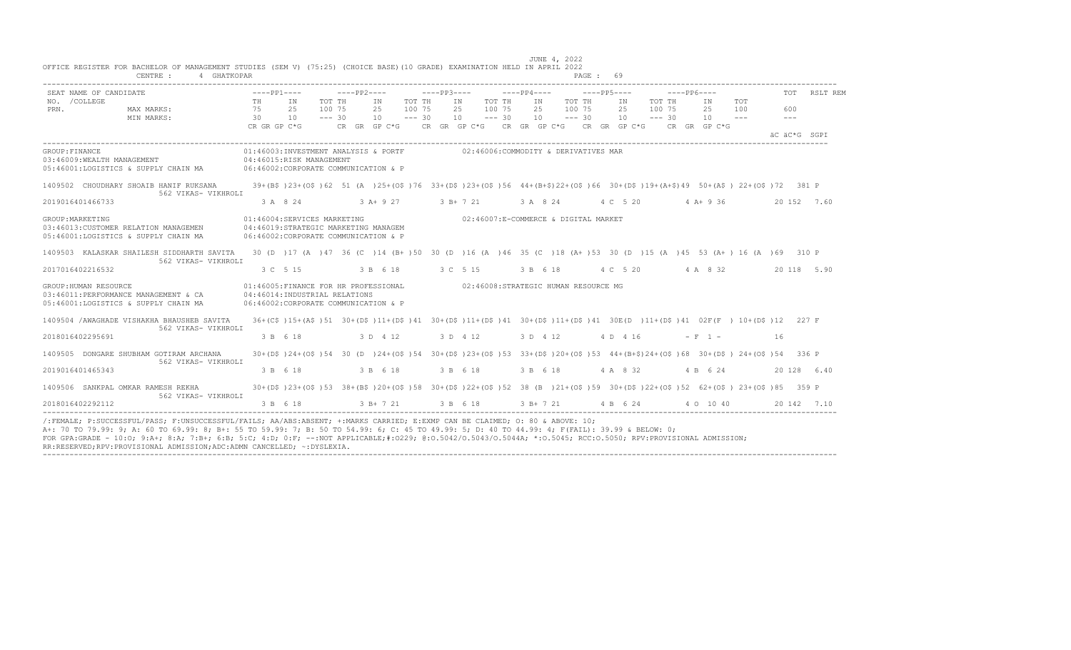|                       | SEAT NAME OF CANDIDATE                                                                                                                                                                    |             |          |                                                                                                             |                           |                  |          |                                         | ----pp1----     ----pp2----     ----pp3----    ----pp4----    ----pp5----                                                               |                           |                  | $---PP6---$ |                      |            |              | TOT RSLT REM |
|-----------------------|-------------------------------------------------------------------------------------------------------------------------------------------------------------------------------------------|-------------|----------|-------------------------------------------------------------------------------------------------------------|---------------------------|------------------|----------|-----------------------------------------|-----------------------------------------------------------------------------------------------------------------------------------------|---------------------------|------------------|-------------|----------------------|------------|--------------|--------------|
| NO. / COLLEGE<br>PRN. | MAX MARKS:<br>30<br>MIN MARKS:                                                                                                                                                            | TH IN<br>75 |          | TOT TH<br>100 75<br>25<br>10<br>$--- 30$                                                                    | IN<br>25<br>$10 - - - 30$ | TOT TH<br>100 75 |          | IN TOT TH<br>25 100 75<br>$10 - - - 30$ | IN TOT TH<br>25 100 75<br>$10 = -230$                                                                                                   | IN<br>25<br>$10 \t--- 30$ | TOT TH<br>100 75 |             | IN<br>25<br>$10 = -$ | TOT<br>100 | 600<br>$  -$ |              |
|                       |                                                                                                                                                                                           |             |          |                                                                                                             |                           |                  |          |                                         | CR GR GP C*G $CR$ GR GP C*G $CR$ GR GP C*G $CR$ GR GP C*G $CR$ GR GP C*G CR GP C*G CR GP C*G                                            |                           |                  |             |                      |            | äC äC*G SGPT |              |
| GROUP: FINANCE        | 03:46009: WEALTH MANAGEMENT 04:46015: RISK MANAGEMENT<br>05:46001:LOGISTICS & SUPPLY CHAIN MA 06:46002:CORPORATE COMMUNICATION & P                                                        |             |          | 01:46003:INVESTMENT ANALYSIS & PORTF                                                                        |                           |                  |          |                                         | 02:46006:COMMODITY & DERIVATIVES MAR                                                                                                    |                           |                  |             |                      |            |              |              |
|                       | 1409502 CHOUDHARY SHOAIB HANIF RUKSANA<br>562 VIKAS- VIKHROLI                                                                                                                             |             |          |                                                                                                             |                           |                  |          |                                         | 39+(B\$)23+(O\$)62 51 (A )25+(O\$)76 33+(D\$)23+(O\$)56 44+(B+\$)22+(O\$)66 30+(D\$)19+(A+\$)49 50+(A\$) 22+(O\$)72 381 P               |                           |                  |             |                      |            |              |              |
|                       | 2019016401466733                                                                                                                                                                          |             |          |                                                                                                             |                           |                  |          |                                         | 3 A 8 24 3 A + 9 27 3 B + 7 21 3 A 8 24 4 C 5 20 4 A + 9 36                                                                             |                           |                  |             |                      |            |              | 20 152 7.60  |
| GROUP: MARKETING      | 03:46013: CUSTOMER RELATION MANAGEMEN<br>05:46001:LOGISTICS & SUPPLY CHAIN MA                                                                                                             |             |          | 01:46004:SERVICES MARKETING<br>04:46019:STRATEGIC MARKETING MANAGEM<br>06:46002:CORPORATE COMMUNICATION & P |                           |                  |          |                                         | 02:46007:E-COMMERCE & DIGITAL MARKET                                                                                                    |                           |                  |             |                      |            |              |              |
|                       | 1409503 KALASKAR SHAILESH SIDDHARTH SAVITA 30 (D ) 17 (A ) 47 36 (C ) 14 (B+) 50 30 (D ) 16 (A ) 46 35 (C ) 18 (A+) 53 30 (D ) 15 (A ) 45 53 (A+) 16 (A ) 69 310 P<br>562 VIKAS- VIKHROLI |             |          |                                                                                                             |                           |                  |          |                                         |                                                                                                                                         |                           |                  |             |                      |            |              |              |
|                       | 2017016402216532                                                                                                                                                                          |             | 3 C 5 15 |                                                                                                             |                           |                  |          |                                         | 3 B 6 18 3 C 5 15 3 B 6 18 4 C 5 20 4 A 8 32                                                                                            |                           |                  |             |                      |            | 20 118 5.90  |              |
|                       | GROUP: HUMAN RESOURCE<br>03:46011:PERFORMANCE MANAGEMENT & CA<br>05:46001:LOGISTICS & SUPPLY CHAIN MA                                                                                     |             |          | 04:46014: INDUSTRIAL RELATIONS<br>06:46002:CORPORATE COMMUNICATION & P                                      |                           |                  |          |                                         | 01:46005:FINANCE FOR HR PROFESSIONAL 02:46008:STRATEGIC HUMAN RESOURCE MG                                                               |                           |                  |             |                      |            |              |              |
|                       | 1409504 /AWAGHADE VISHAKHA BHAUSHEB SAVITA<br>562 VIKAS- VIKHROLI                                                                                                                         |             |          |                                                                                                             |                           |                  |          |                                         | 36+(C\$)15+(A\$)51 30+(D\$)11+(D\$)41 30+(D\$)11+(D\$)41 30+(D\$)11+(D\$)41 30+(D\$)11+(D\$)41 30E(D)11+(D\$)41 02F(F) 10+(D\$)12 227 F |                           |                  |             |                      |            |              |              |
|                       | 2018016402295691                                                                                                                                                                          |             |          | 3 B 6 18 3 D 4 12                                                                                           |                           |                  | 3 D 4 12 |                                         | 3 D 4 12                                                                                                                                | $4 D 4 16$ $-F 1 -$       |                  |             |                      |            | 16           |              |
|                       | 1409505 DONGARE SHUBHAM GOTIRAM ARCHANA<br>562 VIKAS- VIKHROLI                                                                                                                            |             |          |                                                                                                             |                           |                  |          |                                         | 30+(D\$)24+(O\$)54 30 (D)24+(O\$)54 30+(D\$)23+(O\$)53 33+(D\$)20+(O\$)53 44+(B+\$)24+(O\$)68 30+(D\$)24+(O\$)54 336 P                  |                           |                  |             |                      |            |              |              |
|                       | 2019016401465343                                                                                                                                                                          |             | 3 B 6 18 |                                                                                                             | 3 B 6 18                  |                  |          | 3 B 6 18                                | 3 B 6 18                                                                                                                                | 4 A 8 32                  |                  |             | 4 B 6 24             |            |              | 20 128 6.40  |
|                       | 1409506 SANKPAL OMKAR RAMESH REKHA<br>562 VIKAS- VIKHROLI                                                                                                                                 |             |          |                                                                                                             |                           |                  |          |                                         | 30+(D\$)23+(O\$)53 38+(B\$)20+(O\$)58 30+(D\$)22+(O\$)52 38 (B )21+(O\$)59 30+(D\$)22+(O\$)52 62+(O\$) 23+(O\$)85 359 P                 |                           |                  |             |                      |            |              |              |
|                       | 2018016402292112                                                                                                                                                                          |             |          |                                                                                                             |                           |                  |          |                                         | 3 B 6 18 3 B + 7 21 3 B 6 18 3 B + 7 21 4 B 6 24 4 0 10 40 20 142 7.10                                                                  |                           |                  |             |                      |            |              |              |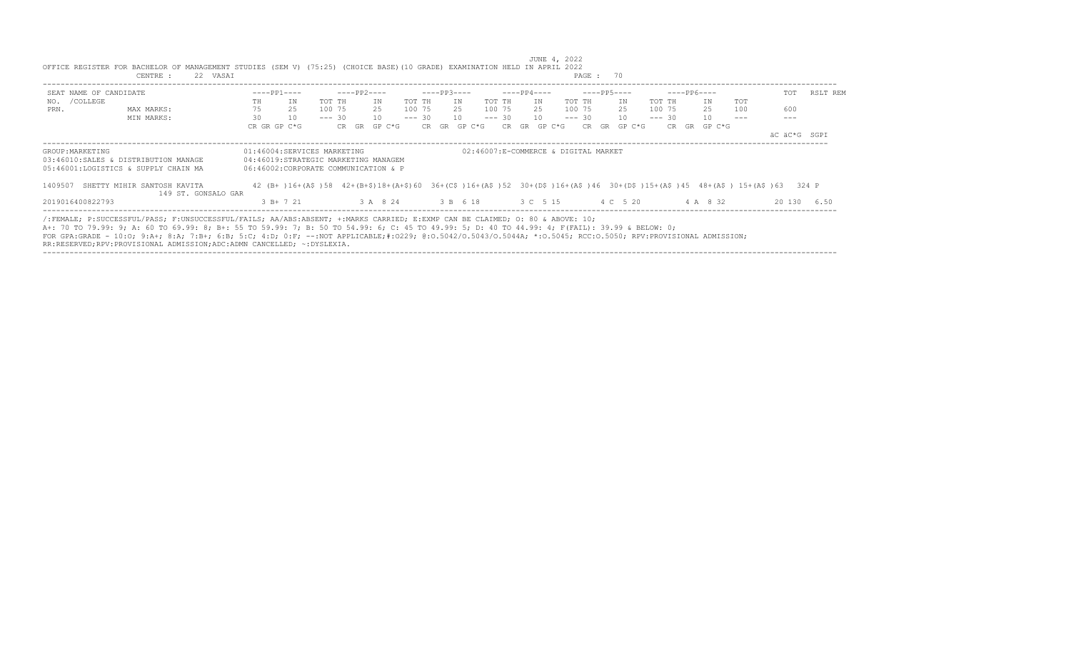|                        | CENTRE :                                                                                                                                                                                                                                                                                                                                                                                                                                                                                                                   | 22 VASAI |    |                                      |          |       |             |        |        |          |             |                   |          |    |             |                                      | PAGE: 70 |    |             |          |             |              |                                                                                                                           |        |              |  |
|------------------------|----------------------------------------------------------------------------------------------------------------------------------------------------------------------------------------------------------------------------------------------------------------------------------------------------------------------------------------------------------------------------------------------------------------------------------------------------------------------------------------------------------------------------|----------|----|--------------------------------------|----------|-------|-------------|--------|--------|----------|-------------|-------------------|----------|----|-------------|--------------------------------------|----------|----|-------------|----------|-------------|--------------|---------------------------------------------------------------------------------------------------------------------------|--------|--------------|--|
| SEAT NAME OF CANDIDATE |                                                                                                                                                                                                                                                                                                                                                                                                                                                                                                                            |          |    | $---PP1---$                          |          |       | $---PP2---$ |        |        |          | $---PP3---$ |                   |          |    | $---PP4---$ |                                      |          |    | $---PP5---$ |          | $---PP6---$ |              |                                                                                                                           | TOT    | RSLT REM     |  |
| NO. / COLLEGE          |                                                                                                                                                                                                                                                                                                                                                                                                                                                                                                                            |          | TH | IN                                   | TOT TH   |       |             | ΙN     | TOT TH |          |             | IN                | TOT TH   |    | IN          |                                      | TOT TH   |    | IN          | TOT TH   |             | IN           | TOT                                                                                                                       |        |              |  |
| PRN.                   | MAX MARKS:                                                                                                                                                                                                                                                                                                                                                                                                                                                                                                                 |          | 75 | 2.5                                  | 100 75   |       |             | 2.5    | 100 75 |          | 2.5         |                   | 100 75   |    | 2.5         |                                      | 100 75   |    | 2.5         | 100 75   |             | 25           | 100                                                                                                                       | 600    |              |  |
|                        | MIN MARKS:                                                                                                                                                                                                                                                                                                                                                                                                                                                                                                                 |          | 30 | 10                                   | $--- 30$ |       |             | 10     |        | $--- 30$ | 10          |                   | $--- 30$ |    | 10          |                                      | $--- 30$ |    | 10          | $--- 30$ |             | 10           | $---$                                                                                                                     | $---$  |              |  |
|                        |                                                                                                                                                                                                                                                                                                                                                                                                                                                                                                                            |          |    | CR GR GP C*G                         |          | CR GR |             | GP C*G |        |          | CR GR       | GP C*G            | CR.      | GR |             | GP C*G                               | CR.      | GR | GP C*G      |          |             | CR GR GP C*G |                                                                                                                           |        |              |  |
|                        |                                                                                                                                                                                                                                                                                                                                                                                                                                                                                                                            |          |    |                                      |          |       |             |        |        |          |             |                   |          |    |             |                                      |          |    |             |          |             |              |                                                                                                                           |        | äC äC*G SGPI |  |
| GROUP: MARKETING       |                                                                                                                                                                                                                                                                                                                                                                                                                                                                                                                            |          |    | 01:46004:SERVICES MARKETING          |          |       |             |        |        |          |             |                   |          |    |             | 02:46007:E-COMMERCE & DIGITAL MARKET |          |    |             |          |             |              |                                                                                                                           |        |              |  |
|                        | 03:46010:SALES & DISTRIBUTION MANAGE                                                                                                                                                                                                                                                                                                                                                                                                                                                                                       |          |    | 04:46019:STRATEGIC MARKETING MANAGEM |          |       |             |        |        |          |             |                   |          |    |             |                                      |          |    |             |          |             |              |                                                                                                                           |        |              |  |
|                        | 05:46001:LOGISTICS & SUPPLY CHAIN MA                                                                                                                                                                                                                                                                                                                                                                                                                                                                                       |          |    | 06:46002:CORPORATE COMMUNICATION & P |          |       |             |        |        |          |             |                   |          |    |             |                                      |          |    |             |          |             |              |                                                                                                                           |        |              |  |
| 1409507                | SHETTY MIHIR SANTOSH KAVITA                                                                                                                                                                                                                                                                                                                                                                                                                                                                                                |          |    |                                      |          |       |             |        |        |          |             |                   |          |    |             |                                      |          |    |             |          |             |              | 42 (B+)16+(A\$)58 42+(B+\$)18+(A+\$)60 36+(C\$)16+(A\$)52 30+(D\$)16+(A\$)46 30+(D\$)15+(A\$)45 48+(A\$) 15+(A\$)63 324 P |        |              |  |
|                        | 149 ST. GONSALO GAR                                                                                                                                                                                                                                                                                                                                                                                                                                                                                                        |          |    |                                      |          |       |             |        |        |          |             |                   |          |    |             |                                      |          |    |             |          |             |              |                                                                                                                           |        |              |  |
| 2019016400822793       |                                                                                                                                                                                                                                                                                                                                                                                                                                                                                                                            |          |    | $3 B+ 7 21$                          |          |       |             |        |        |          |             | 3 A 8 24 3 B 6 18 | 3 C 5 15 |    |             |                                      |          |    | 4 C 5 20    |          |             | 4 A 8 32     |                                                                                                                           | 20 130 | 6.50         |  |
|                        | /:FEMALE; P:SUCCESSFUL/PASS; F:UNSUCCESSFUL/FAILS; AA/ABS:ABSENT; +:MARKS CARRIED; E:EXMP CAN BE CLAIMED; O: 80 & ABOVE: 10;<br>A+: 70 TO 79.99: 9; A: 60 TO 69.99: 8; B+: 55 TO 59.99: 7; B: 50 TO 54.99: 6; C: 45 TO 49.99: 5; D: 40 TO 44.99: 4; F(FAIL): 39.99 & BELOW: 0;<br>FOR GPA:GRADE - 10:0; 9:A+; 8:A; 7:B+; 6:B; 5:C; 4:D; 0:F; --:NOT APPLICABLE;#:0229; 0:0.5042/0.5043/0.5044A; *:0.5045; RCC:0.5050; RPV:PROVISIONAL ADMISSION;<br>RR:RESERVED;RPV:PROVISIONAL ADMISSION;ADC:ADMN CANCELLED; ~: DYSLEXIA. |          |    |                                      |          |       |             |        |        |          |             |                   |          |    |             |                                      |          |    |             |          |             |              |                                                                                                                           |        |              |  |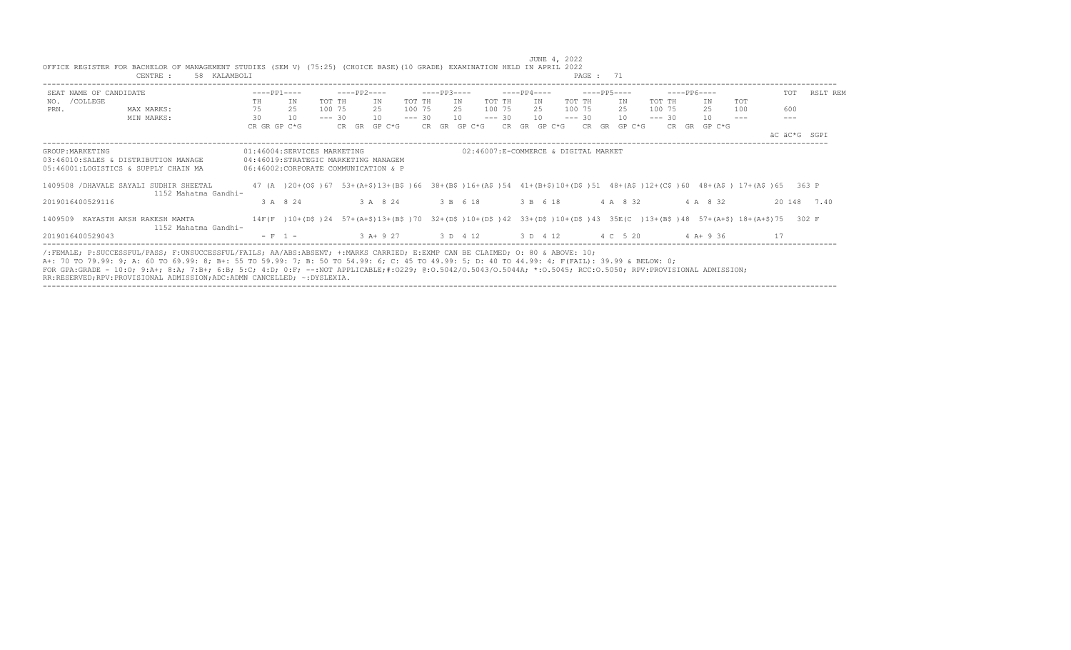| SEAT NAME OF CANDIDATE |                                                                                                                                                                                                                                                                                                                  | $---PP1---$  |                                                                                                                                 | $---PP2---$ |              |          | $---PP3---$ |                                       |          | $---PP4---$                          |          |     | ----PP5---- |          | $---PP6---$ |              |     | TOT          | RSLT REM    |
|------------------------|------------------------------------------------------------------------------------------------------------------------------------------------------------------------------------------------------------------------------------------------------------------------------------------------------------------|--------------|---------------------------------------------------------------------------------------------------------------------------------|-------------|--------------|----------|-------------|---------------------------------------|----------|--------------------------------------|----------|-----|-------------|----------|-------------|--------------|-----|--------------|-------------|
| /COLLEGE<br>NO.        |                                                                                                                                                                                                                                                                                                                  | TH           | TOT TH<br>ΙN                                                                                                                    |             | ΙN           | TOT TH   |             | IN                                    | TOT TH   | IN                                   | TOT TH   |     | IN          | TOT TH   |             | IN           | TOT |              |             |
| PRN.                   | MAX MARKS:                                                                                                                                                                                                                                                                                                       | 75           | 25<br>100 75                                                                                                                    |             | 25           | 100 75   |             | 25                                    | 100 75   | 2.5                                  | 100 75   |     | 25          | 100 75   |             | 25           | 100 | 600          |             |
|                        | MIN MARKS:                                                                                                                                                                                                                                                                                                       | 30           | 10<br>$--- 30$                                                                                                                  |             | 10           | $--- 30$ |             | 10                                    | $--- 30$ | 10                                   | $--- 30$ |     | 10          | $--- 30$ |             | 10           |     |              |             |
|                        |                                                                                                                                                                                                                                                                                                                  | CR GR GP C*G |                                                                                                                                 |             | CR GR GP C*G |          |             | CR GR GP C*G                          | CR.      | GP C*G<br>GR                         |          | CR. | GR GP C*G   |          |             | CR GR GP C*G |     |              |             |
|                        |                                                                                                                                                                                                                                                                                                                  |              |                                                                                                                                 |             |              |          |             |                                       |          |                                      |          |     |             |          |             |              |     | äC äC*G SGPI |             |
| GROUP: MARKETING       |                                                                                                                                                                                                                                                                                                                  |              | 01:46004:SERVICES MARKETING                                                                                                     |             |              |          |             |                                       |          | 02:46007:E-COMMERCE & DIGITAL MARKET |          |     |             |          |             |              |     |              |             |
|                        | 03:46010:SALES & DISTRIBUTION MANAGE                                                                                                                                                                                                                                                                             |              | 04:46019:STRATEGIC MARKETING MANAGEM                                                                                            |             |              |          |             |                                       |          |                                      |          |     |             |          |             |              |     |              |             |
|                        | 05:46001:LOGISTICS & SUPPLY CHAIN MA                                                                                                                                                                                                                                                                             |              | 06:46002:CORPORATE COMMUNICATION & P                                                                                            |             |              |          |             |                                       |          |                                      |          |     |             |          |             |              |     |              |             |
|                        | 1409508 / DHAVALE SAYALI SUDHIR SHEETAL                                                                                                                                                                                                                                                                          |              | 47 (A) 20+(O\$) 67 53+(A+\$)13+(B\$) 66 38+(B\$)16+(A\$) 54 41+(B+\$)10+(D\$) 51 48+(A\$)12+(C\$) 60 48+(A\$) 17+(A\$) 65 363 P |             |              |          |             |                                       |          |                                      |          |     |             |          |             |              |     |              |             |
|                        | 1152 Mahatma Gandhi-                                                                                                                                                                                                                                                                                             |              |                                                                                                                                 |             |              |          |             |                                       |          |                                      |          |     |             |          |             |              |     |              |             |
| 2019016400529116       |                                                                                                                                                                                                                                                                                                                  |              | 3 A 8 24                                                                                                                        |             | 3 A 8 24     |          |             | 3 B 6 18                              |          | 3 B 6 18                             |          |     | 4 A 8 32    |          |             | 4 A 8 32     |     |              | 20 148 7.40 |
|                        | 1409509 KAYASTH AKSH RAKESH MAMTA                                                                                                                                                                                                                                                                                |              | 14F(F)10+(D\$)24 57+(A+\$)13+(B\$)70 32+(D\$)10+(D\$)42 33+(D\$)10+(D\$)43 35E(C)13+(B\$)48 57+(A+\$)18+(A+\$)75 302 F          |             |              |          |             |                                       |          |                                      |          |     |             |          |             |              |     |              |             |
|                        | 1152 Mahatma Gandhi-                                                                                                                                                                                                                                                                                             |              |                                                                                                                                 |             |              |          |             |                                       |          |                                      |          |     |             |          |             |              |     |              |             |
| 2019016400529043       |                                                                                                                                                                                                                                                                                                                  |              | $- F 1 -$                                                                                                                       |             |              |          |             | 3 A + 9 27 3 D 4 12 3 D 4 12 4 C 5 20 |          |                                      |          |     |             |          |             | $4$ A + 9 36 |     | 17           |             |
|                        |                                                                                                                                                                                                                                                                                                                  |              |                                                                                                                                 |             |              |          |             |                                       |          |                                      |          |     |             |          |             |              |     |              |             |
|                        | /:FEMALE; P:SUCCESSFUL/PASS; F:UNSUCCESSFUL/FAILS; AA/ABS:ABSENT; +:MARKS CARRIED; E:EXMP CAN BE CLAIMED; O: 80 & ABOVE: 10;                                                                                                                                                                                     |              |                                                                                                                                 |             |              |          |             |                                       |          |                                      |          |     |             |          |             |              |     |              |             |
|                        | A+: 70 TO 79.99: 9; A: 60 TO 69.99: 8; B+: 55 TO 59.99: 7; B: 50 TO 54.99: 6; C: 45 TO 49.99: 5; D: 40 TO 44.99: 4; F(FAIL): 39.99 & BELOW: 0;<br>FOR GPA:GRADE - 10:0; 9:A+; 8:A; 7:B+; 6:B; 5:C; 4:D; 0:F; --:NOT APPLICABLE;#:0229; 0:0.5042/0.5043/0.5044A; *:0.5045; RCC:0.5050; RPV:PROVISIONAL ADMISSION; |              |                                                                                                                                 |             |              |          |             |                                       |          |                                      |          |     |             |          |             |              |     |              |             |

----------------------------------------------------------------------------------------------------------------------------------------------------------------------------------

 JUNE 4, 2022 OFFICE REGISTER FOR BACHELOR OF MANAGEMENT STUDIES (SEM V) (75:25) (CHOICE BASE)(10 GRADE) EXAMINATION HELD IN APRIL 2022

RR:RESERVED;RPV:PROVISIONAL ADMISSION;ADC:ADMN CANCELLED; ~:DYSLEXIA.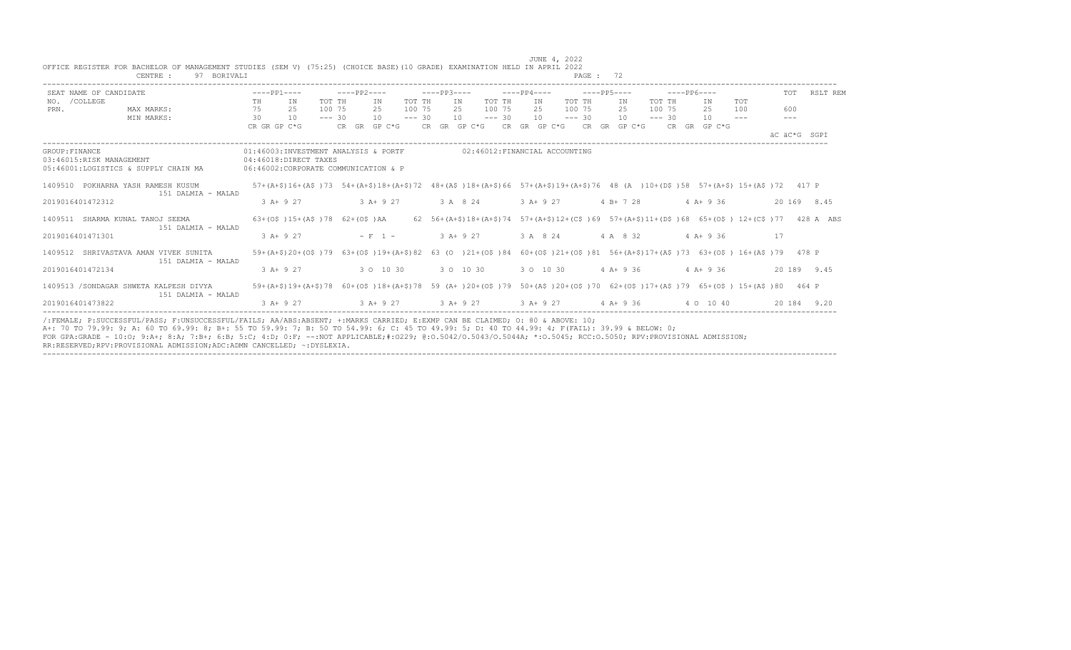|                | CENTRE :<br>BORIVALI                                                                                                                                                                                                                                                                                                                                                                                                                             |                                                               |                                                                                                                               |          |                                                                                                                               |          |              |            |                               |  |              |          | PAGE: 72 |                                                                                               |          |             |              |         |    |              |             |
|----------------|--------------------------------------------------------------------------------------------------------------------------------------------------------------------------------------------------------------------------------------------------------------------------------------------------------------------------------------------------------------------------------------------------------------------------------------------------|---------------------------------------------------------------|-------------------------------------------------------------------------------------------------------------------------------|----------|-------------------------------------------------------------------------------------------------------------------------------|----------|--------------|------------|-------------------------------|--|--------------|----------|----------|-----------------------------------------------------------------------------------------------|----------|-------------|--------------|---------|----|--------------|-------------|
|                | SEAT NAME OF CANDIDATE                                                                                                                                                                                                                                                                                                                                                                                                                           |                                                               | $---PP1---$                                                                                                                   |          | $---PP2---$                                                                                                                   |          | $---PP3---$  |            |                               |  | $---PP4---$  |          |          | $---PP5---$                                                                                   |          | $---PP6---$ |              |         |    | TOT          | RSLT REM    |
|                | NO. / COLLEGE                                                                                                                                                                                                                                                                                                                                                                                                                                    | TH.                                                           | TN                                                                                                                            | TOT TH   | T N                                                                                                                           | TOT TH   |              | TN         | TOT TH                        |  | TN           | TOT TH   |          | TN                                                                                            | TOT TH   |             | TN           | TOT     |    |              |             |
| PRN.           | MAX MARKS:                                                                                                                                                                                                                                                                                                                                                                                                                                       | 75                                                            | 25                                                                                                                            | 100 75   | 25                                                                                                                            | 100 75   |              | 2.5        | 100 75                        |  | 25           | 100 75   |          | 2.5                                                                                           | 100 75   |             | 25           | 100     |    | 600          |             |
|                | MIN MARKS:                                                                                                                                                                                                                                                                                                                                                                                                                                       | 30                                                            | 10                                                                                                                            | $--- 30$ | 10                                                                                                                            | $--- 30$ |              | 10         | $--- 30$                      |  | 10           | $--- 30$ |          | 10                                                                                            | $--- 30$ |             | 10           | $- - -$ |    |              |             |
|                |                                                                                                                                                                                                                                                                                                                                                                                                                                                  | CR GR GP C*G                                                  |                                                                                                                               |          | CR GR GP C*G                                                                                                                  |          | CR GR GP C*G |            |                               |  | CR GR GP C*G |          |          | CR GR GP C*G                                                                                  |          |             | CR GR GP C*G |         |    | äC äC*G SGPI |             |
| GROUP: FINANCE | 03:46015:RISK MANAGEMENT<br>05:46001:LOGISTICS & SUPPLY CHAIN MA                                                                                                                                                                                                                                                                                                                                                                                 | 04:46018:DIRECT TAXES<br>06:46002:CORPORATE COMMUNICATION & P | 01:46003:INVESTMENT ANALYSIS & PORTF                                                                                          |          |                                                                                                                               |          |              |            | 02:46012:FINANCIAL ACCOUNTING |  |              |          |          |                                                                                               |          |             |              |         |    |              |             |
|                | 1409510 POKHARNA YASH RAMESH KUSUM<br>151 DALMIA - MALAD                                                                                                                                                                                                                                                                                                                                                                                         |                                                               | 57+(A+\$)16+(A\$)73 54+(A+\$)18+(A+\$)72 48+(A\$)18+(A+\$)66 57+(A+\$)19+(A+\$)76 48 (A)10+(D\$)58 57+(A+\$) 15+(A\$)72 417 P |          |                                                                                                                               |          |              |            |                               |  |              |          |          |                                                                                               |          |             |              |         |    |              |             |
|                | 2019016401472312                                                                                                                                                                                                                                                                                                                                                                                                                                 |                                                               | $3 A+9 27$                                                                                                                    |          | $3 A+ 9 27$                                                                                                                   |          |              | 3 A 8 24   |                               |  | $3 A+9 27$   |          |          | $4 B+ 7 28$                                                                                   |          |             | $4 A+9 36$   |         |    |              | 20 169 8.45 |
|                | 1409511 SHARMA KUNAL TANOJ SEEMA<br>151 DALMIA - MALAD                                                                                                                                                                                                                                                                                                                                                                                           |                                                               | $63+ (05) 15+ (A5) 78 62+ (05) AA$                                                                                            |          |                                                                                                                               |          |              |            |                               |  |              |          |          | 62 56+(A+\$)18+(A+\$)74 57+(A+\$)12+(C\$)69 57+(A+\$)11+(D\$)68 65+(O\$) 12+(C\$)77 428 A ABS |          |             |              |         |    |              |             |
|                | 2019016401471301                                                                                                                                                                                                                                                                                                                                                                                                                                 |                                                               | $3 A + 9 27$                                                                                                                  |          | $- F 1 -$                                                                                                                     |          |              | $3 A+9 27$ |                               |  | 3 A 8 24     |          |          | 4 A 8 32                                                                                      |          |             | $4$ A+ 9 36  |         | 17 |              |             |
|                | 1409512 SHRIVASTAVA AMAN VIVEK SUNITA<br>151 DALMIA - MALAD                                                                                                                                                                                                                                                                                                                                                                                      |                                                               | 59+(A+\$)20+(O\$)79                                                                                                           |          | $63+(05)19+(A+5)82$ 63 (0 ) $21+(05)84$ 60+ (0\$) $21+(05)81$ 56+ ( $A+5$ ) 17+ ( $A+5$ ) 73 63+ (0\$) 16+ ( $A+5$ ) 79 478 P |          |              |            |                               |  |              |          |          |                                                                                               |          |             |              |         |    |              |             |
|                | 2019016401472134                                                                                                                                                                                                                                                                                                                                                                                                                                 |                                                               | $3 A+9 27$                                                                                                                    |          | 3 0 10 30                                                                                                                     |          |              | 3 0 10 30  |                               |  | 3 0 10 30    |          |          | $4 A+9 36$                                                                                    |          |             | $4 A+9 36$   |         |    |              | 20 189 9.45 |
|                | 1409513 / SONDAGAR SHWETA KALPESH DIVYA<br>151 DALMIA - MALAD                                                                                                                                                                                                                                                                                                                                                                                    |                                                               | 59+(A+\$)19+(A+\$)78 60+(O\$)18+(A+\$)78 59 (A+)20+(O\$)79 50+(A\$)20+(O\$)70 62+(O\$)17+(A\$)79 65+(O\$) 15+(A\$)80 464 P    |          |                                                                                                                               |          |              |            |                               |  |              |          |          |                                                                                               |          |             |              |         |    |              |             |
|                | 2019016401473822                                                                                                                                                                                                                                                                                                                                                                                                                                 |                                                               | $3$ A+ 9 27                                                                                                                   |          | $3 A+9 27$ $3 A+9 27$                                                                                                         |          |              |            |                               |  | $3 A+9 27$   |          |          | 4 A+ 9 36                                                                                     |          |             | 4 0 10 40    |         |    |              | 20 184 9.20 |
|                | /:FEMALE; P:SUCCESSFUL/PASS; F:UNSUCCESSFUL/FAILS; AA/ABS:ABSENT; +:MARKS CARRIED; E:EXMP CAN BE CLAIMED; O: 80 & ABOVE: 10;<br>A+: 70 TO 79.99: 9; A: 60 TO 69.99: 8; B+: 55 TO 59.99: 7; B: 50 TO 54.99: 6; C: 45 TO 49.99: 5; D: 40 TO 44.99: 4; F(FAIL): 39.99 & BELOW: 0;<br>FOR GPA:GRADE - 10:0; 9:A+; 8:A; 7:B+; 6:B; 5:C; 4:D; 0:F; --:NOT APPLICABLE:#:0229; 0:0.5042/0.5043/0.5044A; *:0.5045; RCC:0.5050; RPV:PROVISIONAL ADMISSION; |                                                               |                                                                                                                               |          |                                                                                                                               |          |              |            |                               |  |              |          |          |                                                                                               |          |             |              |         |    |              |             |

RR:RESERVED;RPV:PROVISIONAL ADMISSION;ADC:ADMN CANCELLED; ~:DYSLEXIA. ----------------------------------------------------------------------------------------------------------------------------------------------------------------------------------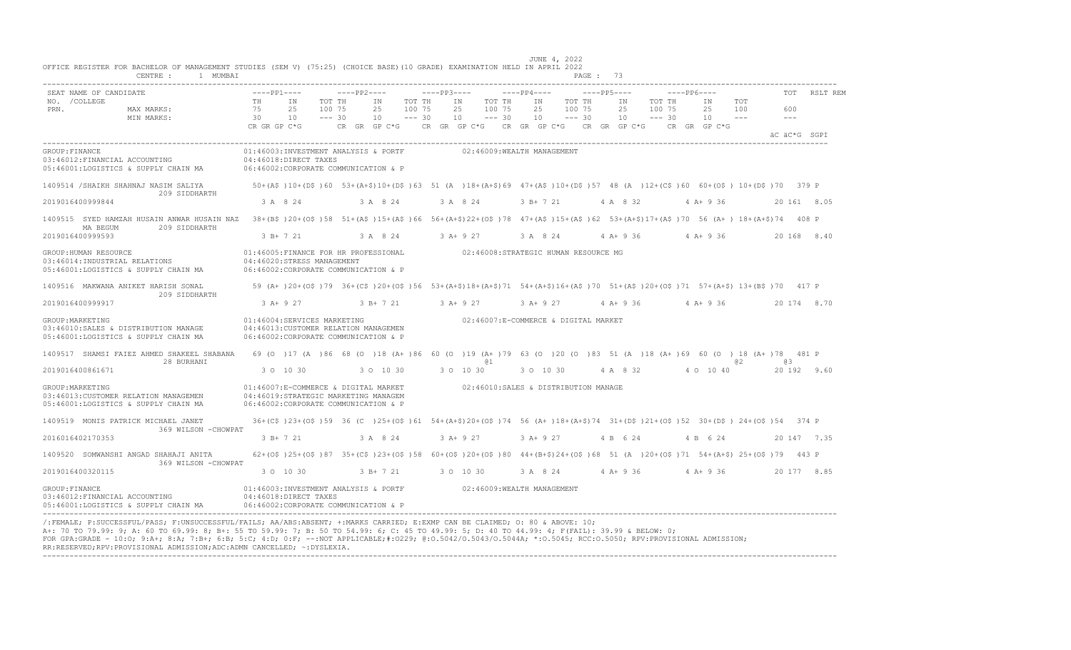| SEAT NAME OF CANDIDATE                                                                                                                                                                              | $---PP1---$        |                                                                                                                                                                  | $---PP2---$      |                            |                  | $---PP3---$ |                                                    |                                      | $---PP4---$ |           |                  | $---PP5---$ |          |                  | $---PP6---$               |            | TOT           | RSLT REM     |
|-----------------------------------------------------------------------------------------------------------------------------------------------------------------------------------------------------|--------------------|------------------------------------------------------------------------------------------------------------------------------------------------------------------|------------------|----------------------------|------------------|-------------|----------------------------------------------------|--------------------------------------|-------------|-----------|------------------|-------------|----------|------------------|---------------------------|------------|---------------|--------------|
| NO. / COLLEGE<br>PRN.<br>MAX MARKS:                                                                                                                                                                 | TH<br>75           | IN<br>25                                                                                                                                                         | TOT TH<br>100 75 | IN<br>25                   | TOT TH<br>100 75 |             | IN<br>25                                           | TOT TH<br>100 75                     |             | IN<br>25  | TOT TH<br>100 75 | IN<br>25    |          | TOT TH<br>100 75 | IN<br>25                  | TOT<br>100 | 600           |              |
| MIN MARKS:                                                                                                                                                                                          | 30<br>CR GR GP C*G | 10                                                                                                                                                               | $--- 30$         | 10<br>$CR$ $GR$ $GP$ $C*G$ | $--- 30$         |             | 10<br>CR GR GP $C*G$ CR GR GP $C*G$ CR GR GP $C*G$ | $--- 30$                             |             | 10        | $--- 30$         | 10          |          | $--- 30$         | 10<br>CR GR GP C*G        | $  -$      | $\frac{1}{2}$ | äC äC*G SGPI |
| GROUP: FINANCE<br>03:46012:FINANCIAL ACCOUNTING<br>05:46001:LOGISTICS & SUPPLY CHAIN MA                                                                                                             |                    | 01:46003:INVESTMENT ANALYSIS & PORTF<br>04:46018:DIRECT TAXES<br>06:46002:CORPORATE COMMUNICATION & P                                                            |                  |                            |                  |             | 02:46009:WEALTH MANAGEMENT                         |                                      |             |           |                  |             |          |                  |                           |            |               |              |
| 1409514 /SHAIKH SHAHNAJ NASIM SALIYA 67 10+ (A\$ )10+ (D\$ )60 53+ (A+\$)10+ (D\$ )63 51 (A )18+ (A+\$)69 47+ (A\$ )10+ (D\$ )57 48 (A )12+ (C\$ )60 60+ (O\$ )10+ (D\$ )70 379 P<br>209 SIDDHARTH  |                    |                                                                                                                                                                  |                  |                            |                  |             |                                                    |                                      |             |           |                  |             |          |                  |                           |            |               |              |
| 2019016400999844                                                                                                                                                                                    |                    | 3 A 8 24                                                                                                                                                         |                  | 3 A 8 24                   |                  |             | 3 A 8 24                                           |                                      |             | 3 B+ 7 21 |                  | 4 A 8 32    |          |                  | 4 A+ 9 36                 |            |               | 20 161 8.05  |
| 1409515 SYED HAMZAH HUSAIN ANWAR HUSAIN NAZ 38+(B\$)20+(O\$)58 51+(A\$)15+(A\$)66 56+(A+\$)22+(O\$)78 47+(A\$)15+(A\$)62 53+(A+\$)17+(A\$)70 56 (A+) 18+(A+\$)74 408 P<br>MA BEGUM<br>209 SIDDHARTH |                    |                                                                                                                                                                  |                  |                            |                  |             |                                                    |                                      |             |           |                  |             |          |                  |                           |            |               |              |
| 2019016400999593                                                                                                                                                                                    |                    | 3 B+ 7 21                                                                                                                                                        |                  | 3 A 8 24                   |                  |             | $3 A+9 27$                                         |                                      |             | 3 A 8 24  |                  | $4 A+9 36$  |          |                  | $4 A+9 36$                |            |               | 20 168 8.40  |
| GROUP: HUMAN RESOURCE<br>03:46014:INDUSTRIAL RELATIONS<br>05:46001:LOGISTICS & SUPPLY CHAIN MA                                                                                                      |                    | 01:46005:FINANCE FOR HR PROFESSIONAL 602:46008:STRATEGIC HUMAN RESOURCE MG<br>04:46020:STRESS MANAGEMENT<br>06:46002:CORPORATE COMMUNICATION & P                 |                  |                            |                  |             |                                                    |                                      |             |           |                  |             |          |                  |                           |            |               |              |
| 1409516 MAKWANA ANIKET HARISH SONAL<br>209 SIDDHARTH                                                                                                                                                |                    | 59 (A+ )20+(O\$ )79 36+(C\$ )20+(O\$ )56 53+(A+\$)18+(A+\$)71 54+(A+\$)16+(A\$ )70 51+(A\$ )20+(O\$ )71 57+(A+\$) 13+(B\$ )70 417 P                              |                  |                            |                  |             |                                                    |                                      |             |           |                  |             |          |                  |                           |            |               |              |
| 2019016400999917                                                                                                                                                                                    | $3 A+9 27$         |                                                                                                                                                                  |                  | $3 B+ 7 21$                |                  |             | $3 A+9 27$                                         |                                      |             | 3 A+ 9 27 |                  |             |          |                  | $4$ A + 9 36 $4$ A + 9 36 |            |               | 20 174 8.70  |
| GROUP: MARKETING<br>03:46010:SALES & DISTRIBUTION MANAGE<br>05:46001:LOGISTICS & SUPPLY CHAIN MA                                                                                                    |                    | 01:46004:SERVICES MARKETING<br>04:46013: CUSTOMER RELATION MANAGEMEN<br>06:46002:CORPORATE COMMUNICATION & P                                                     |                  |                            |                  |             |                                                    | 02:46007:E-COMMERCE & DIGITAL MARKET |             |           |                  |             |          |                  |                           |            |               |              |
| 1409517 SHAMSI FAIEZ AHMED SHAKEEL SHABANA 69 (0 )17 (A )86 68 (0 )18 (A+ )86 60 (0 )19 (A+ )79 63 (0 )20 (0 )83 51 (A )18 (A+ )69 60 (0 )18 (A+ )78 481 P<br>28 BURHANI                            |                    |                                                                                                                                                                  |                  |                            |                  |             |                                                    | @1                                   |             |           |                  |             |          |                  |                           | @ 2        | eз            |              |
| 2019016400861671                                                                                                                                                                                    |                    | 3 0 10 30                                                                                                                                                        |                  | 3 0 10 30                  |                  |             | 3 0 10 30                                          |                                      |             | 3 0 10 30 |                  |             | 4 A 8 32 |                  | 4 0 10 40                 |            |               | 20 192 9.60  |
| GROUP: MARKETING<br>03:46013:CUSTOMER RELATION MANAGEMEN<br>05:46001:LOGISTICS & SUPPLY CHAIN MA                                                                                                    |                    | 01:46007:E-COMMERCE & DIGITAL MARKET 02:46010:SALES & DISTRIBUTION MANAGE<br>04:46019:STRATEGIC MARKETING MANAGEM<br>06:46002:CORPORATE COMMUNICATION & P        |                  |                            |                  |             |                                                    |                                      |             |           |                  |             |          |                  |                           |            |               |              |
| 1409519 MONIS PATRICK MICHAEL JANET                                                                                                                                                                 |                    | 36+(C\$)23+(O\$)59 36 (C)25+(O\$)61 54+(A+\$)20+(O\$)74 56 (A+)18+(A+\$)74 31+(D\$)21+(O\$)52 30+(D\$)24+(O\$)54 374 P                                           |                  |                            |                  |             |                                                    |                                      |             |           |                  |             |          |                  |                           |            |               |              |
| 369 WILSON - CHOWPAT<br>2016016402170353                                                                                                                                                            |                    | 3 B+ 7 21                                                                                                                                                        |                  | 3 A 8 24                   |                  |             | 3 A+ 9 27                                          |                                      |             | 3 A+ 9 27 |                  | 4 B 6 24    |          |                  | 4 B 6 24                  |            |               | 20 147 7.35  |
| 1409520 SOMWANSHI ANGAD SHAHAJI ANITA<br>369 WILSON - CHOWPAT                                                                                                                                       |                    | $62+(05)$ $25+(05)$ $87$ $35+(C5)$ $23+(C5)$ $58$ $60+(05)$ $20+(05)$ $80$ $44+(B+5)$ $24+(O5)$ $68$ $51$ $(A)$ $20+(O5)$ $71$ $54+(A+5)$ $25+(O5)$ $79$ $443$ P |                  |                            |                  |             |                                                    |                                      |             |           |                  |             |          |                  |                           |            |               |              |
| 2019016400320115                                                                                                                                                                                    |                    | 3 0 10 30                                                                                                                                                        |                  | 3 B+ 7 21                  |                  |             | 3 0 10 30                                          |                                      |             | 3 A 8 24  |                  | 4 A + 9 36  |          |                  | $4A+936$                  |            |               | 20 177 8.85  |
| GROUP: FINANCE<br>03:46012: FINANCIAL ACCOUNTING<br>05:46001:LOGISTICS & SUPPLY CHAIN MA                                                                                                            |                    | 01:46003:INVESTMENT ANALYSIS & PORTF 02:46009:WEALTH MANAGEMENT<br>04:46018:DIRECT TAXES<br>06:46002:CORPORATE COMMUNICATION & P                                 |                  |                            |                  |             |                                                    |                                      |             |           |                  |             |          |                  |                           |            |               |              |

/:FEMALE; P:SUCCESSFUL/PASS; F:UNSUCCESSFUL/FAILS; AA/ABS:ABSENT; +:MARKS CARRIED; E:EXMP CAN BE CLAIMED; O: 80 & ABOVE: 10;<br>A+: 70 TO 79.99: 9; A: 60 TO 69.99: 8; B+: 55 TO 59.99: 7; B: 50 TO 54.99: 6; C: 45 TO 49.99: 5; FOR GPA:GRADE - 10:O; 9:A+; 8:A; 7:B+; 6:B; 5:C; 4:D; 0:F; --:NOT APPLICABLE;#:O229; @:O.5042/O.5043/O.5044A; \*:O.5045; RCC:O.5050; RPV:PROVISIONAL ADMISSION; RR:RESERVED;RPV:PROVISIONAL ADMISSION;ADC:ADMN CANCELLED; ~:DYSLEXIA. ----------------------------------------------------------------------------------------------------------------------------------------------------------------------------------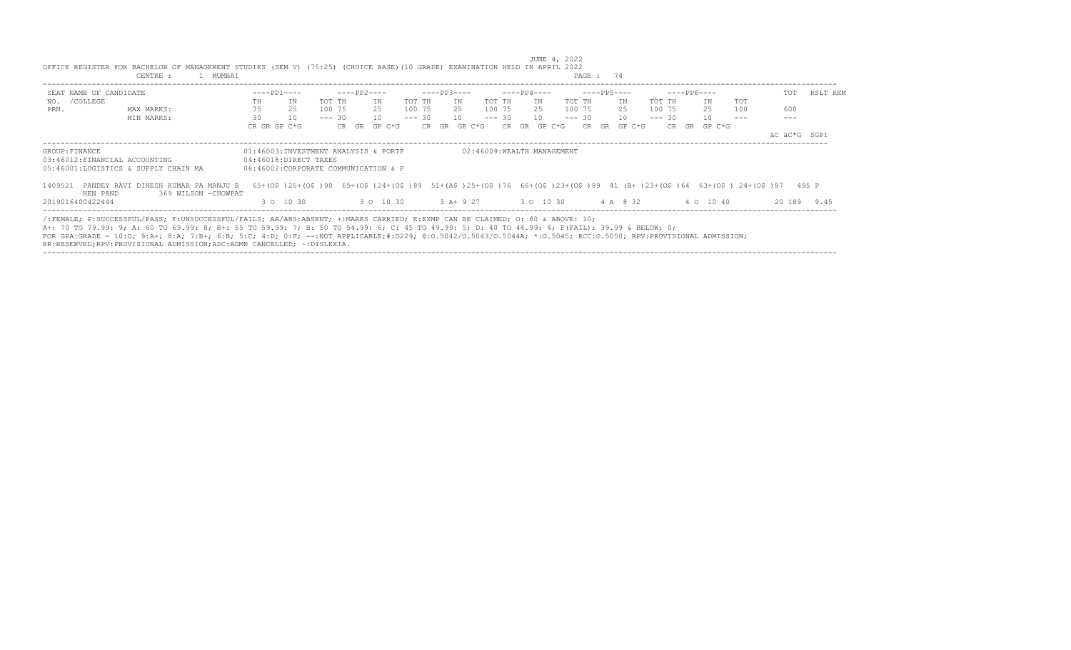| SEAT NAME OF CANDIDATE       |                                                                                                                                                                                                                                                                                                                                                                                                                                                  | $---PP1---$  |                                                                                                                                                                 |          | ----PP2---- |                                        |        | $---PP3---$ |    |              |             | $---PP4---$ |              |        | ----PP5---- |     |              |        | $---PP6---$ |              |     | TOT          | RSLT REM    |
|------------------------------|--------------------------------------------------------------------------------------------------------------------------------------------------------------------------------------------------------------------------------------------------------------------------------------------------------------------------------------------------------------------------------------------------------------------------------------------------|--------------|-----------------------------------------------------------------------------------------------------------------------------------------------------------------|----------|-------------|----------------------------------------|--------|-------------|----|--------------|-------------|-------------|--------------|--------|-------------|-----|--------------|--------|-------------|--------------|-----|--------------|-------------|
| NO. / COLLEGE                |                                                                                                                                                                                                                                                                                                                                                                                                                                                  | TH           | IN                                                                                                                                                              | TOT TH   |             | TN                                     | TOT TH |             | IN |              | TOT TH      | TN          |              | TOT TH |             | IN  |              | TOT TH |             | TN           | TOT |              |             |
| PRN.                         | MAX MARKS:                                                                                                                                                                                                                                                                                                                                                                                                                                       | 75           | 25                                                                                                                                                              | 100 75   |             | 25                                     | 100 75 |             |    |              | 25 100 75   |             | 25 100 75    |        |             | 2.5 |              | 100 75 |             | 25           | 100 | 600          |             |
|                              | MIN MARKS:                                                                                                                                                                                                                                                                                                                                                                                                                                       | 30           | 10                                                                                                                                                              | $--- 30$ |             | 10                                     |        | $--- 30 10$ |    |              | $--- 30 10$ |             |              |        | $--- 30 10$ |     |              |        | $--- 30$    | 10           |     |              |             |
|                              |                                                                                                                                                                                                                                                                                                                                                                                                                                                  | CR GR GP C*G |                                                                                                                                                                 |          |             | CR GR GP C*G                           |        |             |    | CR GR GP C*G |             |             | CR GR GP C*G |        |             |     | CR GR GP C*G |        |             | CR GR GP C*G |     |              |             |
|                              |                                                                                                                                                                                                                                                                                                                                                                                                                                                  |              |                                                                                                                                                                 |          |             |                                        |        |             |    |              |             |             |              |        |             |     |              |        |             |              |     | äC äC*G SGPI |             |
|                              | 05:46001:LOGISTICS & SUPPLY CHAIN MA<br>1409521 PANDEY RAVI DINESH KUMAR PA MANJU B                                                                                                                                                                                                                                                                                                                                                              |              | 06:46002:CORPORATE COMMUNICATION & P<br>65+(0\$)25+(0\$)90 65+(0\$)24+(0\$)89 51+(A\$)25+(0\$)76 66+(0\$)23+(0\$)89 41 (B+)23+(0\$)64 63+(0\$) 24+(0\$)87 495 P |          |             |                                        |        |             |    |              |             |             |              |        |             |     |              |        |             |              |     |              |             |
| HEN PAND<br>2019016400422444 | 369 WILSON - CHOWPAT                                                                                                                                                                                                                                                                                                                                                                                                                             |              | 3 0 10 30                                                                                                                                                       |          |             | 3 0 10 30 3 A+ 9 27 3 0 10 30 4 A 8 32 |        |             |    |              |             |             |              |        |             |     |              |        |             | 4 0 10 40    |     |              | 20 189 9.45 |
|                              | /:FEMALE; P:SUCCESSFUL/PASS; F:UNSUCCESSFUL/FAILS; AA/ABS:ABSENT; +:MARKS CARRIED; E:EXMP CAN BE CLAIMED; 0: 80 & ABOVE: 10;<br>A+: 70 TO 79.99: 9; A: 60 TO 69.99: 8; B+: 55 TO 59.99: 7; B: 50 TO 54.99: 6; C: 45 TO 49.99: 5; D: 40 TO 44.99: 4; F(FAIL): 39.99 & BELOW: 0;<br>FOR GPA:GRADE - 10:0: 9:A+; 8:A; 7:B+; 6:B; 5:C; 4:D; 0:F; --:NOT APPLICABLE;#:0229; 0:0.5042/0.5043/0.5044A; *:0.5045; RCC:0.5050; RPV:PROVISIONAL ADMISSION; |              |                                                                                                                                                                 |          |             |                                        |        |             |    |              |             |             |              |        |             |     |              |        |             |              |     |              |             |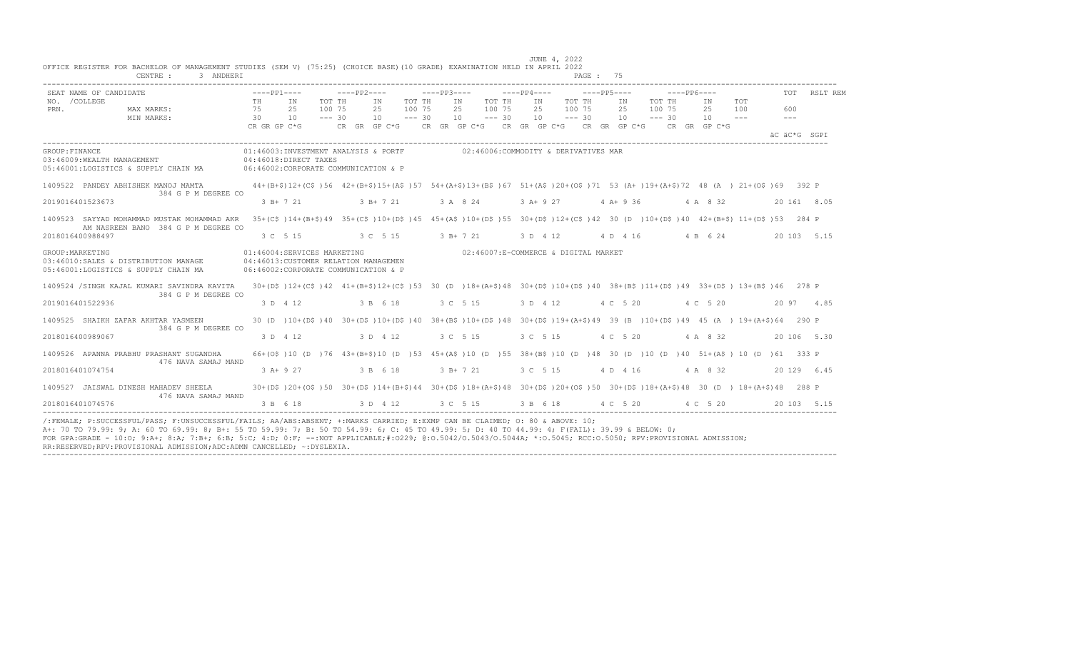|                       | SEAT NAME OF CANDIDATE                                                                                                                                                                               |    |                                                                                                                                                                               |          |                                                          |          |                                         |    |                                      |          |                                     | $---PP6---$ |                            |            |                             |              | TOT RSLT REM |
|-----------------------|------------------------------------------------------------------------------------------------------------------------------------------------------------------------------------------------------|----|-------------------------------------------------------------------------------------------------------------------------------------------------------------------------------|----------|----------------------------------------------------------|----------|-----------------------------------------|----|--------------------------------------|----------|-------------------------------------|-------------|----------------------------|------------|-----------------------------|--------------|--------------|
| NO. / COLLEGE<br>PRN. | MAX MARKS:<br>$\frac{75}{30}$<br>MIN MARKS:                                                                                                                                                          | TH | IN<br>TOT TH<br>100 75<br>25<br>10<br>$--- 30$                                                                                                                                |          | IN<br>100 75<br>25<br>$10 - - - 30$                      | TOT TH   | IN TOT TH<br>25 100 75<br>$10 - - - 30$ | IN | TOT TH<br>25 100 75<br>$10 - - - 30$ | IN<br>25 | TOT TH<br>100 75<br>$10 - - - - 30$ |             | IN<br>25<br>$10 - - -$     | TOT<br>100 | 600<br>$\sim$ $\sim$ $\sim$ |              |              |
|                       |                                                                                                                                                                                                      |    |                                                                                                                                                                               |          |                                                          |          |                                         |    |                                      |          |                                     |             |                            |            |                             | AC AC*G SGPT |              |
| GROUP: FINANCE        | 04:46009:WEALTH MANAGEMENT 04:46018:DIRECT TAXES<br>05:46001:LOGISTICS & SUPPLY CHAIN MA 06:46002:CORPORATE COMMUNICATION & P                                                                        |    | 01:46003:INVESTMENT ANALYSIS & PORTF                                                                                                                                          |          |                                                          |          | 02:46006:COMMODITY & DERIVATIVES MAR    |    |                                      |          |                                     |             |                            |            |                             |              |              |
|                       | 1409522 PANDEY ABHISHEK MANOJ MAMTA 44+(B+\$)12+(C\$)56 42+(B+\$)15+(A\$)57 54+(A+\$)13+(B\$)67 51+(A\$)20+(O\$)71 53 (A+)19+(A+\$)72 48 (A) 21+(O\$)69 392 P<br>384 G P M DEGREE CO                 |    |                                                                                                                                                                               |          |                                                          |          |                                         |    |                                      |          |                                     |             |                            |            |                             |              |              |
|                       | 2019016401523673                                                                                                                                                                                     |    | $3 \text{ B} + 7 \text{ 21}$ $3 \text{ B} + 7 \text{ 21}$ $3 \text{ A} + 8 \text{ 24}$ $3 \text{ A} + 9 \text{ 27}$ $4 \text{ A} + 9 \text{ 36}$ $4 \text{ A} + 8 \text{ 32}$ |          |                                                          |          |                                         |    |                                      |          |                                     |             |                            |            |                             | 20 161 8.05  |              |
|                       | 1409523 SAYYAD MOHAMMAD MUSTAK MOHAMMAD AKR<br>AM NASREEN BANO 384 G P M DEGREE CO                                                                                                                   |    | 35+(C\$)14+(B+\$)49 35+(C\$)10+(D\$)45 45+(A\$)10+(D\$)55 30+(D\$)12+(C\$)42 30 (D)10+(D\$)40 42+(B+\$) 11+(D\$)53 284 P                                                      |          |                                                          |          |                                         |    |                                      |          |                                     |             |                            |            |                             |              |              |
|                       | 2018016400988497                                                                                                                                                                                     |    | 3 C 5 15                                                                                                                                                                      |          | $3 \text{ C}$ 5 15 3 B + 7 21 3 D 4 12 4 D 4 16 4 B 6 24 |          |                                         |    |                                      |          |                                     |             |                            |            |                             | 20 103 5.15  |              |
| GROUP: MARKETING      | 03:46010:SALES & DISTRIBUTION MANAGE 04:46013:CUSTOMER RELATION MANAGEMEN<br>05:46001:LOGISTICS & SUPPLY CHAIN MA                                                                                    |    | 01:46004:SERVICES MARKETING<br>06:46002:CORPORATE COMMUNICATION & P                                                                                                           |          |                                                          |          | 02:46007:E-COMMERCE & DIGITAL MARKET    |    |                                      |          |                                     |             |                            |            |                             |              |              |
|                       | 1409524 /SINGH KAJAL KUMARI SAVINDRA KAVITA 30+(D\$)12+(C\$)42 41+(B+\$)12+(C\$)53 30 (D )18+(A+\$)48 30+(D\$)10+(D\$)10+(D\$)40 38+(B\$)11+(D\$)49 33+(D\$) 13+(B\$)46 278 P<br>384 G P M DEGREE CO |    |                                                                                                                                                                               |          |                                                          |          |                                         |    |                                      |          |                                     |             |                            |            |                             |              |              |
|                       | 2019016401522936                                                                                                                                                                                     |    | 3 D 4 12                                                                                                                                                                      | 3 B 6 18 |                                                          | 3 C 5 15 |                                         |    | 3 D 4 12 4 C 5 20                    |          |                                     |             | 4 C 5 20                   |            |                             | 20 97 4.85   |              |
|                       | 1409525 SHAIKH ZAFAR AKHTAR YASMEEN<br>384 G P M DEGREE CO                                                                                                                                           |    | 30 (D) 10+ (D\$) 40 30+ (D\$) 10+ (D\$) 40 38+ (B\$) 10+ (D\$) 48 30+ (D\$) 19+ (A+\$) 49 39 (B) 10+ (D\$) 49 45 (A) 19+ (A+\$) 64 290 P                                      |          |                                                          |          |                                         |    |                                      |          |                                     |             |                            |            |                             |              |              |
|                       | 2018016400989067                                                                                                                                                                                     |    | 3 D 4 12 3 D 4 12                                                                                                                                                             |          |                                                          |          | 3 C 5 15                                |    |                                      |          |                                     |             | 3 C 5 15 4 C 5 20 4 A 8 32 |            |                             | 20 106 5.30  |              |
|                       | 1409526 APANNA PRABHU PRASHANT SUGANDHA<br>476 NAVA SAMAJ MAND                                                                                                                                       |    | 66+(0\$)10 (D)76 43+(B+\$)10 (D)53 45+(A\$)10 (D)55 38+(B\$)10 (D)48 30 (D)10 (D)40 51+(A\$) 10 (D)61 333 P                                                                   |          |                                                          |          |                                         |    |                                      |          |                                     |             |                            |            |                             |              |              |
|                       | 2018016401074754                                                                                                                                                                                     |    | 3 A+ 9 27                                                                                                                                                                     | 3 B 6 18 |                                                          |          | $-3$ B + 7 21                           |    |                                      |          |                                     |             | 3 C 5 15 4 D 4 16 4 A 8 32 |            |                             | 20 129 6.45  |              |
|                       | 1409527 JAISWAL DINESH MAHADEV SHEELA<br>476 NAVA SAMAJ MAND                                                                                                                                         |    | 30+(D\$)20+(O\$)50 30+(D\$)14+(B+\$)44 30+(D\$)18+(A+\$)48 30+(D\$)20+(O\$)50 30+(D\$)18+(A+\$)48 30 (D) 18+(A+\$)48 288 P                                                    |          |                                                          |          |                                         |    |                                      |          |                                     |             |                            |            |                             |              |              |
|                       | 2018016401074576                                                                                                                                                                                     |    | 3 B 6 18 3 D 4 12 3 C 5 15 3 B 6 18 4 C 5 20 4 C 5 20                                                                                                                         |          |                                                          |          |                                         |    |                                      |          |                                     |             |                            |            |                             | 20 103 5.15  |              |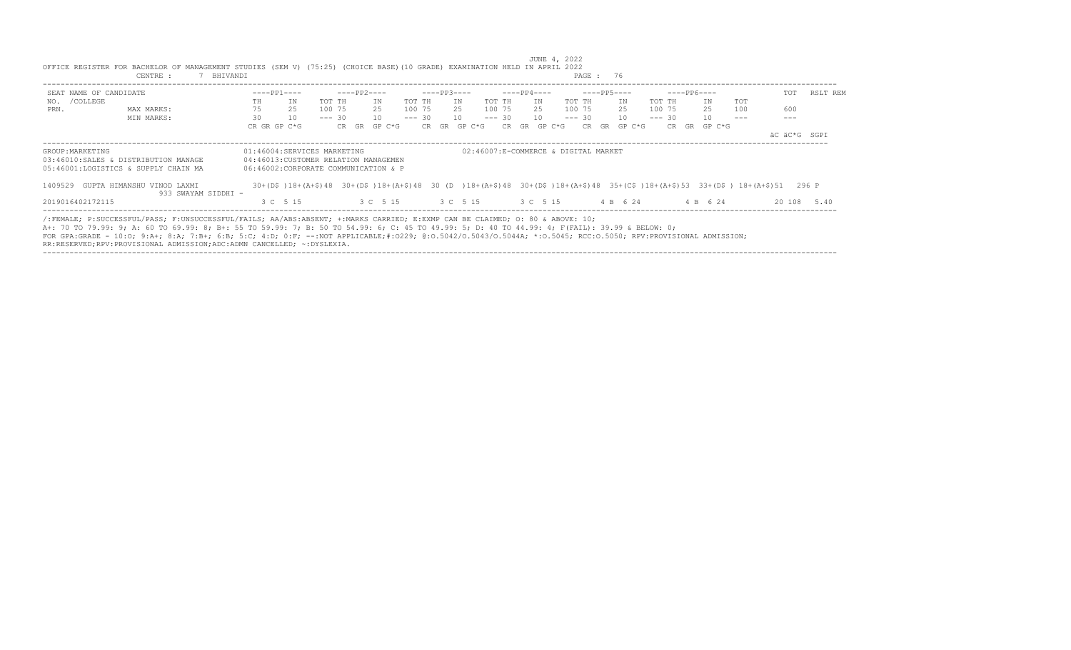| CENTRE :<br>BHIVANDI                                                                                                                                           |                             |                                       |                 |                                      | PAGE: 76                    |                                                                                                                                                         |          |
|----------------------------------------------------------------------------------------------------------------------------------------------------------------|-----------------------------|---------------------------------------|-----------------|--------------------------------------|-----------------------------|---------------------------------------------------------------------------------------------------------------------------------------------------------|----------|
| SEAT NAME OF CANDIDATE                                                                                                                                         | $---PP1---$                 | ----PP2----                           | $---PP3---$     | ----PP4----                          | $---PP5---$                 | $---PP6---$<br>TOT                                                                                                                                      | RSLT REM |
| NO. / COLLEGE                                                                                                                                                  | TH<br>ΙN                    | TOT TH<br>ΙN<br>TOT TH                | IN              | TOT TH<br>TOT TH<br>IN               | IN<br>TOT TH                | TOT<br>IN                                                                                                                                               |          |
| PRN.<br>MAX MARKS:                                                                                                                                             | 75<br>25                    | 25<br>100 75<br>100 75                | 25              | 100 75<br>100 75<br>25               | 25<br>100 75                | 25<br>600<br>100                                                                                                                                        |          |
| MIN MARKS:                                                                                                                                                     | 30<br>10                    | 10<br>$--- 30$<br>$--- 30$            | 10              | 10<br>$--- 30$<br>$--- 30$           | 10 <sup>1</sup><br>$--- 30$ | 10                                                                                                                                                      |          |
|                                                                                                                                                                | CR GR GP C*G                | GP C*G<br>CR GR                       | GP C*G<br>CR GR | GP C*G<br>CR.<br>GR<br>CR.           | GR<br>GP C*G<br>CR          | GR GP C*G                                                                                                                                               |          |
|                                                                                                                                                                |                             |                                       |                 |                                      |                             | äC äC*G SGPI                                                                                                                                            |          |
| GROUP: MARKETING                                                                                                                                               | 01:46004:SERVICES MARKETING |                                       |                 | 02:46007:E-COMMERCE & DIGITAL MARKET |                             |                                                                                                                                                         |          |
| 03:46010:SALES & DISTRIBUTION MANAGE                                                                                                                           |                             | 04:46013: CUSTOMER RELATION MANAGEMEN |                 |                                      |                             |                                                                                                                                                         |          |
| 05:46001:LOGISTICS & SUPPLY CHAIN MA                                                                                                                           |                             | 06:46002:CORPORATE COMMUNICATION & P  |                 |                                      |                             |                                                                                                                                                         |          |
| 1409529 GUPTA HIMANSHU VINOD LAXMI                                                                                                                             |                             |                                       |                 |                                      |                             | 30 + (D\$) 18 + (A+\$) 48 30 + (D\$) 18 + (A+\$) 48 30 (D) 18 + (A+\$) 48 30 + (D\$) 18 + (A+\$) 48 35 + (C\$) 18 + (A+\$) 53 33 + (D\$) 18 + (A+\$) 51 | 296 P    |
| 933 SWAYAM SIDDHI -                                                                                                                                            |                             |                                       |                 |                                      |                             |                                                                                                                                                         |          |
| 2019016402172115                                                                                                                                               | 3 C 5 15                    | 3 C 5 15 3 C 5 15                     |                 | 3 C 5 15                             | 4 B 6 24                    | 4 B 6 24<br>20 108                                                                                                                                      | 5.40     |
| /:FEMALE; P:SUCCESSFUL/PASS; F:UNSUCCESSFUL/FAILS; AA/ABS:ABSENT; +:MARKS CARRIED; E:EXMP CAN BE CLAIMED; 0: 80 & ABOVE: 10;                                   |                             |                                       |                 |                                      |                             |                                                                                                                                                         |          |
| A+: 70 TO 79.99: 9; A: 60 TO 69.99: 8; B+: 55 TO 59.99: 7; B: 50 TO 54.99: 6; C: 45 TO 49.99: 5; D: 40 TO 44.99: 4; F(FAIL): 39.99 & BELOW: 0;                 |                             |                                       |                 |                                      |                             |                                                                                                                                                         |          |
| FOR GPA:GRADE - 10:0; 9:A+; 8:A; 7:B+; 6:B; 5:C; 4:D; 0:F; --:NOT APPLICABLE;#:0229; 0:0.5042/0.5043/0.5044A; *:0.5045; RCC:0.5050; RPV:PROVISIONAL ADMISSION; |                             |                                       |                 |                                      |                             |                                                                                                                                                         |          |
| RR:RESERVED;RPV:PROVISIONAL ADMISSION;ADC:ADMN CANCELLED; ~:DYSLEXIA.                                                                                          |                             |                                       |                 |                                      |                             |                                                                                                                                                         |          |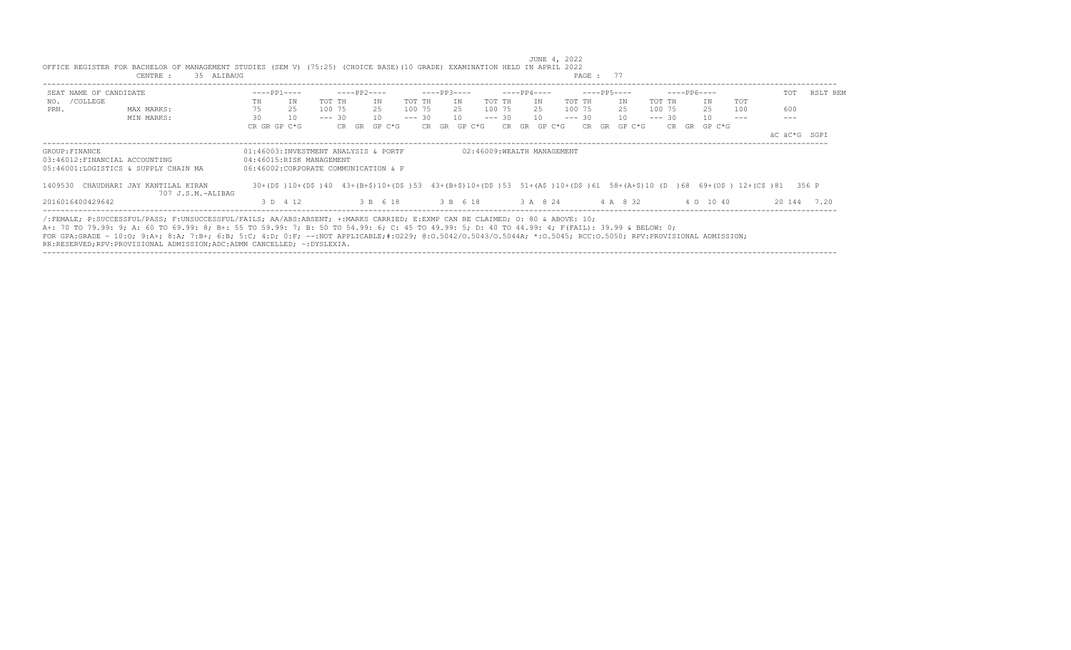|                                | 35 ALIBAUG<br>CENTRE :                                                                                                                                                                                                                                                                                                                                                                                                                                                                                                     |    |              |                                      |          |             |          |          |       |             |          |                            |     |             |        |          | PAGE: 77    |    |                 |        |          |             |                                                                                                                     |              |       |             |
|--------------------------------|----------------------------------------------------------------------------------------------------------------------------------------------------------------------------------------------------------------------------------------------------------------------------------------------------------------------------------------------------------------------------------------------------------------------------------------------------------------------------------------------------------------------------|----|--------------|--------------------------------------|----------|-------------|----------|----------|-------|-------------|----------|----------------------------|-----|-------------|--------|----------|-------------|----|-----------------|--------|----------|-------------|---------------------------------------------------------------------------------------------------------------------|--------------|-------|-------------|
| SEAT NAME OF CANDIDATE         |                                                                                                                                                                                                                                                                                                                                                                                                                                                                                                                            |    | $---PP1---$  |                                      |          | $---PP2---$ |          |          |       | $---PP3---$ |          |                            |     | $---PP4---$ |        |          | $---PP5---$ |    |                 |        |          | $---PP6---$ |                                                                                                                     |              | TOT   | RSLT REM    |
| NO. / COLLEGE                  |                                                                                                                                                                                                                                                                                                                                                                                                                                                                                                                            | TH | IN           |                                      | TOT TH   |             | IN       | TOT TH   |       |             | IN       | TOT TH                     |     | IN          |        | TOT TH   |             |    | IN              | TOT TH |          | IN          | <b>TOT</b>                                                                                                          |              |       |             |
| PRN.                           | MAX MARKS:                                                                                                                                                                                                                                                                                                                                                                                                                                                                                                                 | 75 | 25           |                                      | 100 75   |             | 25       | 100 75   |       |             | 25       | 100 75                     |     | 25          |        | 100 75   |             |    | 25              | 100 75 |          | 25          | 100                                                                                                                 | 600          |       |             |
|                                | MIN MARKS:                                                                                                                                                                                                                                                                                                                                                                                                                                                                                                                 | 30 | 10           |                                      | $--- 30$ |             | 10       | $--- 30$ |       | 10          |          | $--- 30$                   |     | 10          |        | $--- 30$ |             |    | 10 <sup>1</sup> |        | $--- 30$ | 10          |                                                                                                                     |              |       |             |
|                                |                                                                                                                                                                                                                                                                                                                                                                                                                                                                                                                            |    | CR GR GP C*G |                                      | CR GR    |             | $GP C*G$ |          | CR GR |             | GP C*G   |                            | CR. | GR          | GP C*G |          | CR.         | GR | GP C*G          |        | CR.      | GR GP C*G   |                                                                                                                     |              |       |             |
|                                |                                                                                                                                                                                                                                                                                                                                                                                                                                                                                                                            |    |              |                                      |          |             |          |          |       |             |          |                            |     |             |        |          |             |    |                 |        |          |             |                                                                                                                     | äC äC*G SGPI |       |             |
| GROUP: FINANCE                 |                                                                                                                                                                                                                                                                                                                                                                                                                                                                                                                            |    |              | 01:46003:INVESTMENT ANALYSIS & PORTF |          |             |          |          |       |             |          | 02:46009:WEALTH MANAGEMENT |     |             |        |          |             |    |                 |        |          |             |                                                                                                                     |              |       |             |
| 03:46012: FINANCIAL ACCOUNTING |                                                                                                                                                                                                                                                                                                                                                                                                                                                                                                                            |    |              | 04:46015:RISK MANAGEMENT             |          |             |          |          |       |             |          |                            |     |             |        |          |             |    |                 |        |          |             |                                                                                                                     |              |       |             |
|                                | 05:46001:LOGISTICS & SUPPLY CHAIN MA                                                                                                                                                                                                                                                                                                                                                                                                                                                                                       |    |              | 06:46002:CORPORATE COMMUNICATION & P |          |             |          |          |       |             |          |                            |     |             |        |          |             |    |                 |        |          |             |                                                                                                                     |              |       |             |
| 1409530                        | CHAUDHARI JAY KANTILAL KIRAN<br>707 J.S.M.-ALIBAG                                                                                                                                                                                                                                                                                                                                                                                                                                                                          |    |              |                                      |          |             |          |          |       |             |          |                            |     |             |        |          |             |    |                 |        |          |             | 30+(D\$)10+(D\$)40 43+(B+\$)10+(D\$)53 43+(B+\$)10+(D\$)53 51+(A\$)10+(D\$)61 58+(A+\$)10 (D)68 69+(O\$) 12+(C\$)81 |              | 356 P |             |
| 2016016400429642               |                                                                                                                                                                                                                                                                                                                                                                                                                                                                                                                            |    | 3 D 4 12     |                                      |          |             | 3 B 6 18 |          |       |             | 3 B 6 18 |                            |     | 3 A 8 24    |        |          |             |    | 4 A 8 32        |        |          | 4 0 10 40   |                                                                                                                     |              |       | 20 144 7.20 |
|                                | /:FEMALE; P:SUCCESSFUL/PASS; F:UNSUCCESSFUL/FAILS; AA/ABS:ABSENT; +:MARKS CARRIED; E:EXMP CAN BE CLAIMED; O: 80 & ABOVE: 10;<br>A+: 70 TO 79.99: 9; A: 60 TO 69.99: 8; B+: 55 TO 59.99: 7; B: 50 TO 54.99: 6; C: 45 TO 49.99: 5; D: 40 TO 44.99: 4; F(FAIL): 39.99 & BELOW: 0;<br>FOR GPA:GRADE - 10:0; 9:A+; 8:A; 7:B+; 6:B; 5:C; 4:D; 0:F; --:NOT APPLICABLE;#:0229; 0:0.5042/0.5043/0.5044A; *:0.5045; RCC:0.5050; RPV:PROVISIONAL ADMISSION;<br>RR:RESERVED;RPV:PROVISIONAL ADMISSION;ADC:ADMN CANCELLED; ~: DYSLEXIA. |    |              |                                      |          |             |          |          |       |             |          |                            |     |             |        |          |             |    |                 |        |          |             |                                                                                                                     |              |       |             |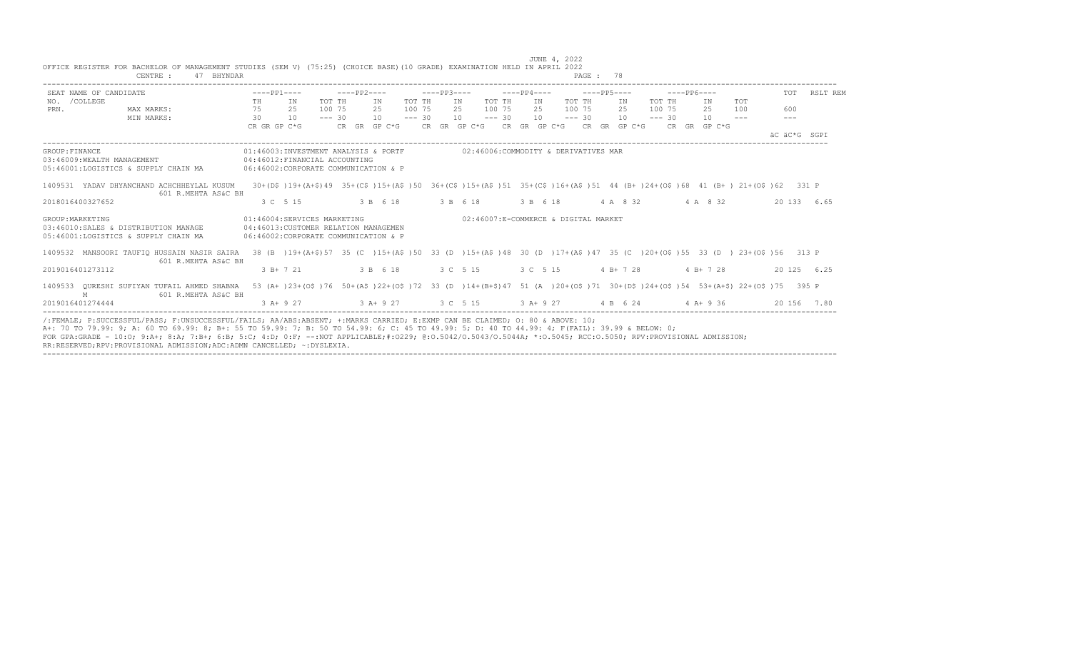| SEAT NAME OF CANDIDATE     |                                                                                                                                                |       | $---PP1---$ |                                                                                                                                 |          | $---PP2---$ |                   |          |     | $---PP3---$                                                  |          |     | $---PP4---$ |          |             | $---PP6---$ |  |             |         | TOT          | RSLT REM    |
|----------------------------|------------------------------------------------------------------------------------------------------------------------------------------------|-------|-------------|---------------------------------------------------------------------------------------------------------------------------------|----------|-------------|-------------------|----------|-----|--------------------------------------------------------------|----------|-----|-------------|----------|-------------|-------------|--|-------------|---------|--------------|-------------|
| NO. / COLLEGE              |                                                                                                                                                | TH IN |             |                                                                                                                                 | TOT TH   |             | IN                | TOT TH   | IN  |                                                              | TOT TH   | IN  |             | TOT TH   | IN          | TOT TH      |  | IN          | TOT     |              |             |
| PRN.                       | MAX MARKS:                                                                                                                                     | 75 25 |             |                                                                                                                                 | 100 75   |             | 25                | 100 75   | 2.5 |                                                              | 100 75   | 2.5 |             | 100 75   | 2.5         | 100 75      |  | 2.5         | 100     | 600          |             |
|                            | MIN MARKS:                                                                                                                                     | 30    | 10          |                                                                                                                                 | $--- 30$ |             | 10                | $--- 30$ |     | 10                                                           | $--- 30$ | 10  |             | $--- 30$ | 10          | $--- 30$    |  | 10          | $- - -$ | $---$        |             |
|                            |                                                                                                                                                |       |             | CRGRGPC*G CRGRGPC*G CRGRGPC*G CRGRGPC*G CRGRGPC*G CRGRGPC*G CRGRGPC*G                                                           |          |             |                   |          |     |                                                              |          |     |             |          |             |             |  |             |         |              |             |
|                            |                                                                                                                                                |       |             |                                                                                                                                 |          |             |                   |          |     |                                                              |          |     |             |          |             |             |  |             |         | AC AC*G SGPT |             |
| GROUP: FINANCE             |                                                                                                                                                |       |             | 01:46003:INVESTMENT ANALYSIS & PORTF 602:46006:COMMODITY & DERIVATIVES MAR                                                      |          |             |                   |          |     |                                                              |          |     |             |          |             |             |  |             |         |              |             |
| 03:46009:WEALTH MANAGEMENT |                                                                                                                                                |       |             | 04:46012: FINANCIAL ACCOUNTING                                                                                                  |          |             |                   |          |     |                                                              |          |     |             |          |             |             |  |             |         |              |             |
|                            | 05:46001:LOGISTICS & SUPPLY CHAIN MA                                                                                                           |       |             | 06:46002:CORPORATE COMMUNICATION & P                                                                                            |          |             |                   |          |     |                                                              |          |     |             |          |             |             |  |             |         |              |             |
|                            | 1409531 YADAV DHYANCHAND ACHCHHEYLAL KUSUM                                                                                                     |       |             | 30+(D\$)19+(A+\$)49 35+(C\$)15+(A\$)50 36+(C\$)15+(A\$)51 35+(C\$)16+(A\$)51 44 (B+)24+(O\$)68 41 (B+) 21+(O\$)62 331 P         |          |             |                   |          |     |                                                              |          |     |             |          |             |             |  |             |         |              |             |
|                            | 601 R.MEHTA AS&C BH                                                                                                                            |       |             |                                                                                                                                 |          |             |                   |          |     |                                                              |          |     |             |          |             |             |  |             |         |              |             |
| 2018016400327652           |                                                                                                                                                |       | 3 C 5 15    |                                                                                                                                 |          |             | 3 B 6 18 3 B 6 18 |          |     |                                                              | 3 B 6 18 |     |             |          | 4 A 8 32    |             |  | 4 A 8 32    |         |              | 20 133 6.65 |
| GROUP: MARKETING           |                                                                                                                                                |       |             | 01:46004:SERVICES MARKETING                                                                                                     |          |             |                   |          |     | 02:46007:E-COMMERCE & DIGITAL MARKET                         |          |     |             |          |             |             |  |             |         |              |             |
|                            | 03:46010:SALES & DISTRIBUTION MANAGE                                                                                                           |       |             | 04:46013: CUSTOMER RELATION MANAGEMEN                                                                                           |          |             |                   |          |     |                                                              |          |     |             |          |             |             |  |             |         |              |             |
|                            | 05:46001:LOGISTICS & SUPPLY CHAIN MA                                                                                                           |       |             | 06:46002:CORPORATE COMMUNICATION & P                                                                                            |          |             |                   |          |     |                                                              |          |     |             |          |             |             |  |             |         |              |             |
|                            | 1409532 MANSOORI TAUFIO HUSSAIN NASIR SAIRA                                                                                                    |       |             | 38 (B) 19+ (A+\$) 57 35 (C) 15+ (A\$) 50 33 (D) 15+ (A\$) 48 30 (D) 17+ (A\$) 47 35 (C) 20+ (O\$) 55 33 (D) 23+ (O\$) 56 313 P  |          |             |                   |          |     |                                                              |          |     |             |          |             |             |  |             |         |              |             |
|                            | 601 R.MEHTA AS&C BH                                                                                                                            |       |             |                                                                                                                                 |          |             |                   |          |     |                                                              |          |     |             |          |             |             |  |             |         |              |             |
| 2019016401273112           |                                                                                                                                                |       | $3 B+ 7 21$ |                                                                                                                                 |          |             | 3 B 6 18          |          |     | 3 C 5 15                                                     | 3 C 5 15 |     |             |          | $4 B+ 7 28$ |             |  | $4 B+ 7 28$ |         |              | 20 125 6.25 |
|                            | 1409533 OURESHI SUFIYAN TUFAIL AHMED SHABNA                                                                                                    |       |             | 53 (A+ )23+(O\$ )76 50+(A\$ )22+(O\$ )72 33 (D )14+(B+\$)47 51 (A )20+(O\$ )71 30+(D\$ )24+(O\$ )54 53+(A+\$) 22+(O\$ )75 395 P |          |             |                   |          |     |                                                              |          |     |             |          |             |             |  |             |         |              |             |
| M                          | 601 R.MEHTA AS&C BH                                                                                                                            |       |             |                                                                                                                                 |          |             |                   |          |     |                                                              |          |     |             |          |             |             |  |             |         |              |             |
| 2019016401274444           |                                                                                                                                                |       | $3 A+9 27$  |                                                                                                                                 |          |             |                   |          |     | $3$ A + 9 27 $3$ C 5 15 $3$ A + 9 27 $4$ B 6 24 $4$ A + 9 36 |          |     |             |          |             |             |  |             |         |              | 20 156 7.80 |
|                            | /:FEMALE: P:SUCCESSFUL/PASS: F:UNSUCCESSFUL/FAILS: AA/ABS:ABSENT: +:MARKS CARRIED: E:EXMP CAN BE CLAIMED: 0: 80 & ABOVE: 10:                   |       |             |                                                                                                                                 |          |             |                   |          |     |                                                              |          |     |             |          |             |             |  |             |         |              |             |
|                            | A+: 70 TO 79.99: 9; A: 60 TO 69.99: 8; B+: 55 TO 59.99: 7; B: 50 TO 54.99: 6; C: 45 TO 49.99: 5; D: 40 TO 44.99: 4; F(FAIL): 39.99 & BELOW: 0; |       |             |                                                                                                                                 |          |             |                   |          |     |                                                              |          |     |             |          |             |             |  |             |         |              |             |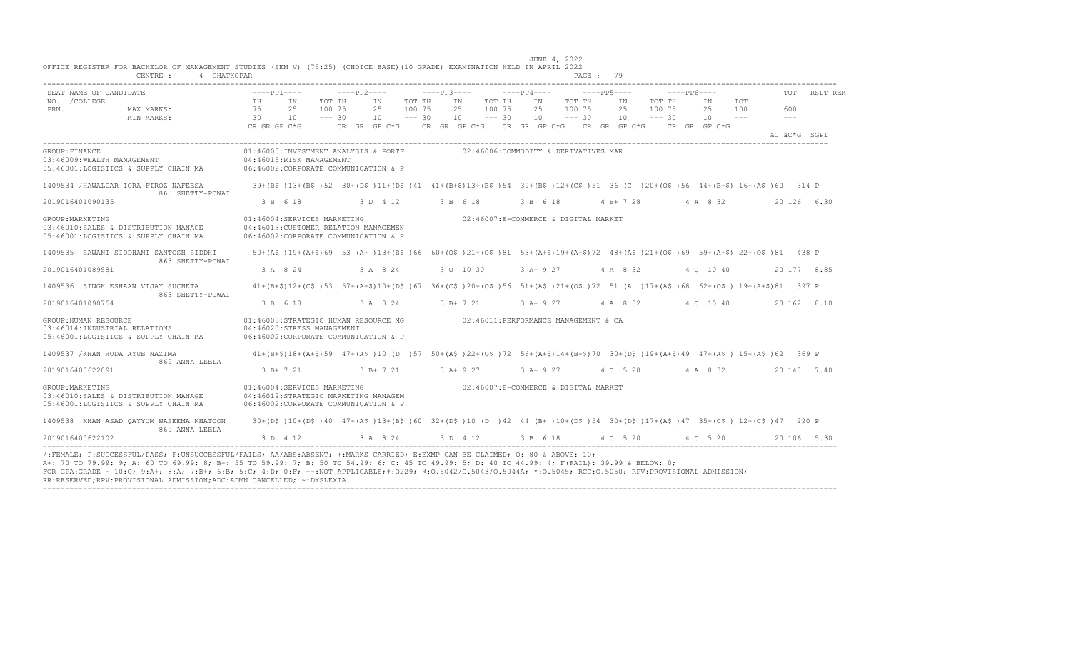| SEAT NAME OF CANDIDATE                                                                           | $---PP1---$                                                                                                                       | ----PP2----                  |                                                | $---PP3---$    |                              | ----PP4----    | $---PP5---$                              |                                    | $---PP6---$    |                       | TOT          | RSLT REM    |
|--------------------------------------------------------------------------------------------------|-----------------------------------------------------------------------------------------------------------------------------------|------------------------------|------------------------------------------------|----------------|------------------------------|----------------|------------------------------------------|------------------------------------|----------------|-----------------------|--------------|-------------|
| NO. / COLLEGE<br>PRN.<br>MAX MARKS:<br>MIN MARKS:                                                | TH<br>IN<br>75<br>25<br>10<br>30                                                                                                  | TOT TH<br>100 75<br>$--- 30$ | TOT TH<br>ΙN<br>25<br>100 75<br>10<br>$--- 30$ | IN<br>25<br>10 | TOT TH<br>100 75<br>$--- 30$ | IN<br>25<br>10 | TOT TH<br>100 75<br>25<br>10<br>$--- 30$ | TOT TH<br>ΙN<br>100 75<br>$--- 30$ | IN<br>25<br>10 | TOT<br>100<br>$- - -$ | 600<br>$---$ |             |
|                                                                                                  | CR GR GP C*G                                                                                                                      | CR GR GP C*G                 |                                                |                |                              |                | CR GR GP C*G CR GR GP C*G CR GR GP C*G   |                                    | CR GR GP C*G   |                       | äC äC*G SGPI |             |
| GROUP: FINANCE<br>03:46009:WEALTH MANAGEMENT<br>05:46001:LOGISTICS & SUPPLY CHAIN MA             | 01:46003:INVESTMENT ANALYSIS & PORTF<br>04:46015:RISK MANAGEMENT<br>06:46002:CORPORATE COMMUNICATION & P                          |                              |                                                |                |                              |                | 02:46006:COMMODITY & DERIVATIVES MAR     |                                    |                |                       |              |             |
| 1409534 / HAWALDAR IORA FIROZ NAFEESA<br>863 SHETTY-POWAI                                        | 39+(B\$)13+(B\$)52 30+(D\$)11+(D\$)41 41+(B+\$)13+(B\$)54 39+(B\$)12+(C\$)51 36 (C)20+(O\$)56 44+(B+\$)16+(A\$)60 314 P           |                              |                                                |                |                              |                |                                          |                                    |                |                       |              |             |
| 2019016401090135                                                                                 | 3 B 6 18                                                                                                                          | 3 D 4 12                     |                                                | 3 B 6 18       |                              | 3 B 6 18       |                                          | $4 B+728$                          | 4 A 8 32       |                       |              | 20 126 6.30 |
| GROUP: MARKETING<br>03:46010:SALES & DISTRIBUTION MANAGE<br>05:46001:LOGISTICS & SUPPLY CHAIN MA | 01:46004:SERVICES MARKETING<br>04:46013: CUSTOMER RELATION MANAGEMEN<br>06:46002:CORPORATE COMMUNICATION & P                      |                              |                                                |                |                              |                | 02:46007:E-COMMERCE & DIGITAL MARKET     |                                    |                |                       |              |             |
| 1409535 SAWANT SIDDHANT SANTOSH SIDDHI<br>863 SHETTY-POWAI                                       | 50+(A\$)19+(A+\$)69 53 (A+)13+(B\$)66 60+(O\$)21+(O\$)81 53+(A+\$)19+(A+\$)72 48+(A\$)21+(O\$)69 59+(A+\$) 22+(O\$)81 438 P       |                              |                                                |                |                              |                |                                          |                                    |                |                       |              |             |
| 2019016401089581                                                                                 | 3 A 8 24                                                                                                                          |                              | 3 A 8 24                                       | 3 0 10 30      |                              | $3 A+9 27$     | 4 A 8 32                                 |                                    | 4 0 10 40      |                       |              | 20 177 8.85 |
| 1409536 SINGH ESHAAN VIJAY SUCHETA<br>863 SHETTY-POWAI                                           | 41+(B+\$)12+(C\$)53 57+(A+\$)10+(D\$)67 36+(C\$)20+(O\$)56 51+(A\$)21+(O\$)72 51 (A )17+(A\$)68 62+(O\$) 19+(A+\$)81 397 P        |                              |                                                |                |                              |                |                                          |                                    |                |                       |              |             |
| 2019016401090754                                                                                 | 3 B 6 18                                                                                                                          |                              | 3 A 8 24                                       | 3 B+ 7 21      |                              | $3 A+9 27$     | 4 A 8 32                                 |                                    | 4 0 10 40      |                       |              | 20 162 8.10 |
| GROUP: HUMAN RESOURCE<br>03:46014: INDUSTRIAL RELATIONS<br>05:46001:LOGISTICS & SUPPLY CHAIN MA  | 01:46008:STRATEGIC HUMAN RESOURCE MG<br>04:46020:STRESS MANAGEMENT<br>06:46002:CORPORATE COMMUNICATION & P                        |                              |                                                |                |                              |                | 02:46011:PERFORMANCE MANAGEMENT & CA     |                                    |                |                       |              |             |
| 1409537 / KHAN HUDA AYUB NAZIMA<br>869 ANNA LEELA                                                | $41+(B+\$)18+(A+\$)59$ $47+(A+\$)10$ (D )57 50+(A\$)22+(O\$)72 56+(A+\$)14+(B+\$)70 30+(D\$)19+(A+\$)49 47+(A\$) 15+(A\$)62 369 P |                              |                                                |                |                              |                |                                          |                                    |                |                       |              |             |
| 2019016400622091                                                                                 | 3 B+ 7 21                                                                                                                         | $3 B+ 7 21$                  |                                                | $3 A+9 27$     |                              | 3 A+ 9 27      | 4 C 5 20                                 |                                    | 4 A 8 32       |                       |              | 20 148 7.40 |
| GROUP: MARKETING<br>03:46010:SALES & DISTRIBUTION MANAGE<br>05:46001:LOGISTICS & SUPPLY CHAIN MA | 01:46004:SERVICES MARKETING<br>04:46019:STRATEGIC MARKETING MANAGEM<br>06:46002:CORPORATE COMMUNICATION & P                       |                              |                                                |                |                              |                | 02:46007:E-COMMERCE & DIGITAL MARKET     |                                    |                |                       |              |             |
| 1409538 KHAN ASAD OAYYUM WASEEMA KHATOON<br>869 ANNA LEELA                                       | 30+(D\$)10+(D\$)40 47+(A\$)13+(B\$)60 32+(D\$)10 (D)42 44 (B+)10+(D\$)54 30+(D\$)17+(A\$)47 35+(C\$) 12+(C\$)47 290 P             |                              |                                                |                |                              |                |                                          |                                    |                |                       |              |             |
| 2019016400622102                                                                                 | 3 D 4 12                                                                                                                          | 3 A 8 24                     |                                                |                |                              |                |                                          |                                    |                |                       |              | 20 106 5.30 |

FOR GPA:GRADE - 10:O; 9:A+; 8:A; 7:B+; 6:B; 5:C; 4:D; 0:F; --:NOT APPLICABLE;#:O229; @:O.5042/O.5043/O.5044A; \*:O.5045; RCC:O.5050; RPV:PROVISIONAL ADMISSION;

RR:RESERVED;RPV:PROVISIONAL ADMISSION;ADC:ADMN CANCELLED; ~:DYSLEXIA. ----------------------------------------------------------------------------------------------------------------------------------------------------------------------------------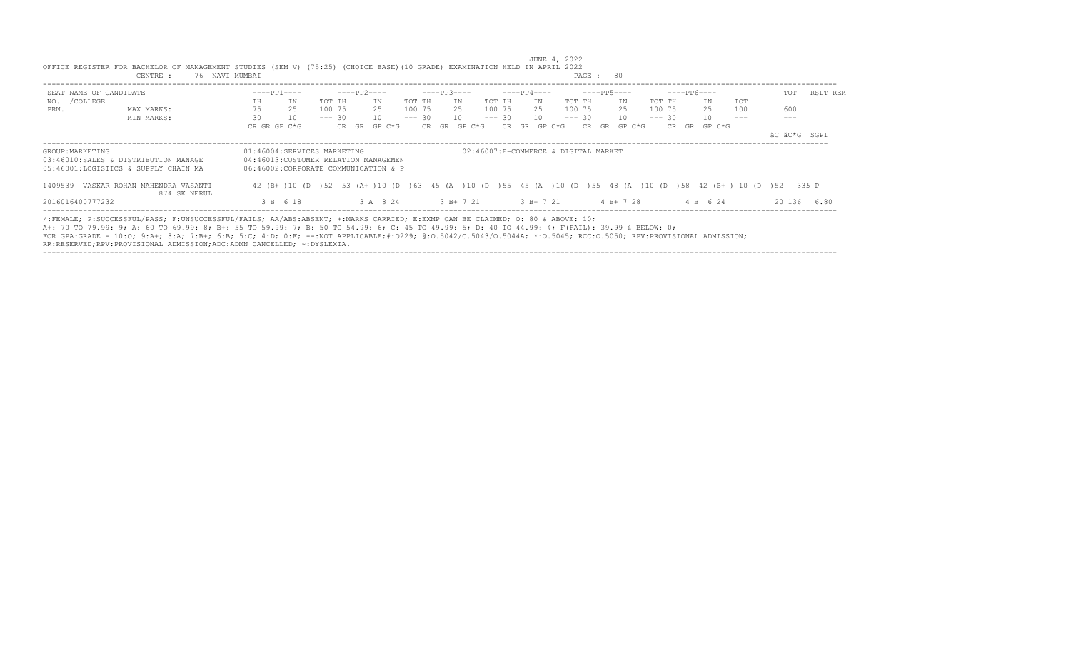| CENTRE :                                                                                                                                                                                                                                                                                                                                                                                                                                                                                                                   | 76 NAVI MUMBAI              |                                                                               |                           |                                                                                                           | PAGE: 80                |              |                 |
|----------------------------------------------------------------------------------------------------------------------------------------------------------------------------------------------------------------------------------------------------------------------------------------------------------------------------------------------------------------------------------------------------------------------------------------------------------------------------------------------------------------------------|-----------------------------|-------------------------------------------------------------------------------|---------------------------|-----------------------------------------------------------------------------------------------------------|-------------------------|--------------|-----------------|
| SEAT NAME OF CANDIDATE                                                                                                                                                                                                                                                                                                                                                                                                                                                                                                     | $---PP1---$                 | $---PP2---$                                                                   | $---PP3---$               | $---PP4---$                                                                                               | $---PP5---$             | $---PP6---$  | RSLT REM<br>TOT |
| NO. / COLLEGE                                                                                                                                                                                                                                                                                                                                                                                                                                                                                                              | TH<br>IN                    | TOT TH<br>IN                                                                  | TOT TH<br>IN              | TOT TH<br>TN                                                                                              | TOT TH<br>TOT TH<br>TN  | TOT<br>IN    |                 |
| PRN.<br>MAX MARKS:                                                                                                                                                                                                                                                                                                                                                                                                                                                                                                         | 75<br>25                    | 25<br>100 75                                                                  | 100 75                    | 25 100 75<br>25 100 75                                                                                    | 100 75<br>25            | 25<br>100    | 600             |
| MIN MARKS:                                                                                                                                                                                                                                                                                                                                                                                                                                                                                                                 | 30<br>10                    | 10<br>$--- 30$                                                                | $--- 30$<br>$10 - - - 30$ | 10                                                                                                        | $--- 30 10$<br>$--- 30$ | 10           |                 |
|                                                                                                                                                                                                                                                                                                                                                                                                                                                                                                                            | CR GR GP C*G                | CR GR GP C*G                                                                  | CR GR GP C*G              | CR GR GP C*G                                                                                              | CR GR GP C*G            | CR GR GP C*G |                 |
|                                                                                                                                                                                                                                                                                                                                                                                                                                                                                                                            |                             |                                                                               |                           |                                                                                                           |                         |              | äC äC*G SGPI    |
| GROUP: MARKETING<br>03:46010:SALES & DISTRIBUTION MANAGE<br>05:46001:LOGISTICS & SUPPLY CHAIN MA                                                                                                                                                                                                                                                                                                                                                                                                                           | 01:46004:SERVICES MARKETING | 04:46013: CUSTOMER RELATION MANAGEMEN<br>06:46002:CORPORATE COMMUNICATION & P |                           | 02:46007:E-COMMERCE & DIGITAL MARKET                                                                      |                         |              |                 |
| 1409539 VASKAR ROHAN MAHENDRA VASANTI<br>874 SK NERUL                                                                                                                                                                                                                                                                                                                                                                                                                                                                      |                             |                                                                               |                           | 42 (B+)10 (D) 52 53 (A+)10 (D) 63 45 (A)10 (D) 55 45 (A)10 (D) 55 48 (A)10 (D) 58 42 (B+) 10 (D) 52 335 P |                         |              |                 |
| 2016016400777232                                                                                                                                                                                                                                                                                                                                                                                                                                                                                                           | 3 B 6 18                    | 3 A 8 24                                                                      | 3 B+ 7 21                 | $3 R + 7 21$ 4 R + 7 28                                                                                   |                         | 4 B 6 24     | 20136<br>680    |
| /:FEMALE; P:SUCCESSFUL/PASS; F:UNSUCCESSFUL/FAILS; AA/ABS:ABSENT; +:MARKS CARRIED; E:EXMP CAN BE CLAIMED; O: 80 & ABOVE: 10;<br>A+: 70 TO 79.99: 9; A: 60 TO 69.99: 8; B+: 55 TO 59.99: 7; B: 50 TO 54.99: 6; C: 45 TO 49.99: 5; D: 40 TO 44.99: 4; F(FAIL): 39.99 & BELOW: 0;<br>FOR GPA:GRADE - 10:0; 9:A+; 8:A; 7:B+; 6:B; 5:C; 4:D; 0:F; --:NOT APPLICABLE;#:0229; 0:0.5042/0.5043/0.5044A; *:0.5045; RCC:0.5050; RPV:PROVISIONAL ADMISSION;<br>RR:RESERVED;RPV:PROVISIONAL ADMISSION;ADC:ADMN CANCELLED; ~: DYSLEXIA. |                             |                                                                               |                           |                                                                                                           |                         |              |                 |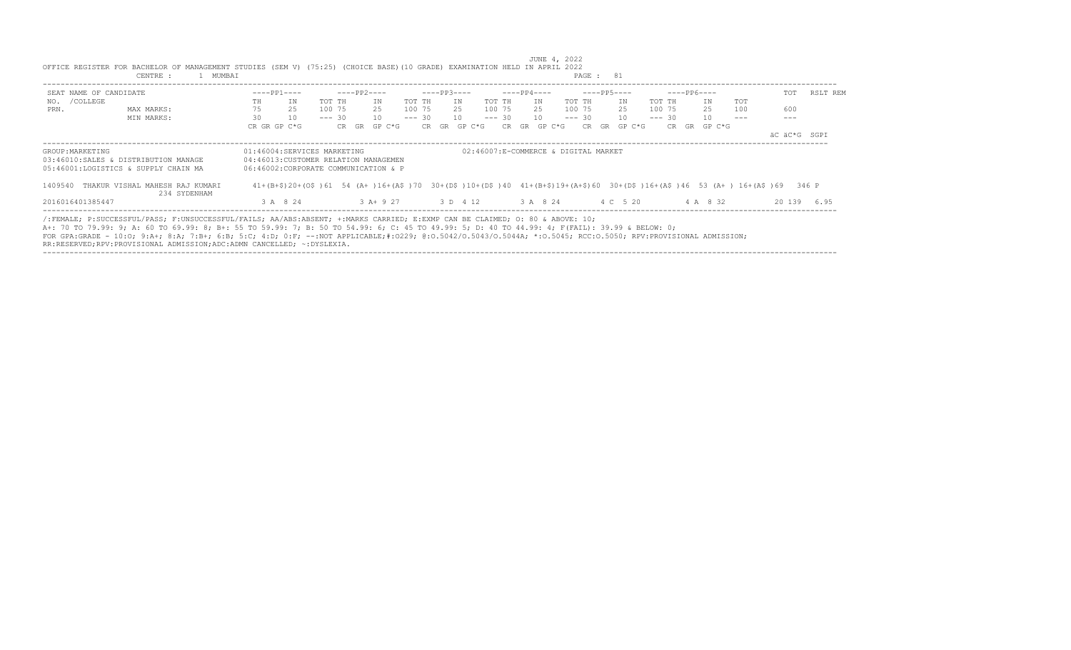|                        | 1 MUMBAI<br>CENTRE :                                                                                                                                                                                                                                                                                                                                                                                                                                                                                                          |                                                                                                                                    |          |              |          |             |    |              |          |             |              | PAGE : 81                            |              |          |              |            |              |          |
|------------------------|-------------------------------------------------------------------------------------------------------------------------------------------------------------------------------------------------------------------------------------------------------------------------------------------------------------------------------------------------------------------------------------------------------------------------------------------------------------------------------------------------------------------------------|------------------------------------------------------------------------------------------------------------------------------------|----------|--------------|----------|-------------|----|--------------|----------|-------------|--------------|--------------------------------------|--------------|----------|--------------|------------|--------------|----------|
| SEAT NAME OF CANDIDATE |                                                                                                                                                                                                                                                                                                                                                                                                                                                                                                                               | $---PP1---$                                                                                                                        |          | $---PP2---$  |          | $---PP3---$ |    |              |          | ----PP4---- |              |                                      | $---PP5---$  |          | $---PP6---$  |            | TOT          | RSLT REM |
| /COLLEGE<br>NO.        |                                                                                                                                                                                                                                                                                                                                                                                                                                                                                                                               | ΙN<br>TH                                                                                                                           | TOT TH   | TN           | TOT TH   |             | TN |              | TOT TH   |             | TN           | TOT TH                               | ΙN           | TOT TH   | IN           | <b>TOT</b> |              |          |
| PRN.                   | MAX MARKS:                                                                                                                                                                                                                                                                                                                                                                                                                                                                                                                    | 75<br>25                                                                                                                           | 100 75   | 25           | 100 75   |             | 25 |              | 100 75   |             | 25           | 100 75                               | 25           | 100 75   | 25           | 100        | 600          |          |
|                        | MIN MARKS:                                                                                                                                                                                                                                                                                                                                                                                                                                                                                                                    | 30<br>10                                                                                                                           | $--- 30$ | 10           | $--- 30$ |             | 10 |              | $--- 30$ |             | 10           | $--- 30$                             | 10           | $--- 30$ | 10           |            |              |          |
|                        |                                                                                                                                                                                                                                                                                                                                                                                                                                                                                                                               | CR GR GP C*G                                                                                                                       |          | CR GR GP C*G |          |             |    | CR GR GP C*G |          |             | CR GR GP C*G |                                      | CR GR GP C*G |          | CR GR GP C*G |            |              |          |
|                        |                                                                                                                                                                                                                                                                                                                                                                                                                                                                                                                               |                                                                                                                                    |          |              |          |             |    |              |          |             |              |                                      |              |          |              |            | äC äC*G SGPI |          |
| GROUP: MARKETING       | 03:46010:SALES & DISTRIBUTION MANAGE<br>05:46001:LOGISTICS & SUPPLY CHAIN MA                                                                                                                                                                                                                                                                                                                                                                                                                                                  | 01:46004:SERVICES MARKETING<br>04:46013: CUSTOMER RELATION MANAGEMEN<br>06:46002:CORPORATE COMMUNICATION & P                       |          |              |          |             |    |              |          |             |              | 02:46007:E-COMMERCE & DIGITAL MARKET |              |          |              |            |              |          |
|                        | 1409540 THAKUR VISHAL MAHESH RAJ KUMARI<br>234 SYDENHAM                                                                                                                                                                                                                                                                                                                                                                                                                                                                       | $41+(B+5)20+(S+6)$ 54 (A+ ) $16+(A5)70$ 30+(DS ) $10+(D5)40$ 41+(B+S) $19+(A+5)60$ 30+(DS ) $16+(A5)46$ 53 (A+ ) $16+(A5)69$ 346 P |          |              |          |             |    |              |          |             |              |                                      |              |          |              |            |              |          |
| 2016016401385447       |                                                                                                                                                                                                                                                                                                                                                                                                                                                                                                                               | 3 A 8 24                                                                                                                           |          | $3 A+9 27$   |          |             |    | 3 D 4 12     | 3 A 8 24 |             |              |                                      | 4 C 5 20     |          | 4 A 8 32     |            | 20 139       | 6.95     |
|                        | /:FEMALE: P:SUCCESSFUL/PASS: F:UNSUCCESSFUL/FAILS: AA/ABS:ABSENT: +:MARKS CARRIED: E:EXMP CAN BE CLAIMED: 0: 80 & ABOVE: 10:<br>A+: 70 TO 79.99: 9; A: 60 TO 69.99: 8; B+: 55 TO 59.99: 7; B: 50 TO 54.99: 6; C: 45 TO 49.99: 5; D: 40 TO 44.99: 4; F(FAIL): 39.99 & BELOW: 0;<br>FOR GPA:GRADE - 10:0; 9:A+; 8:A; 7:B+; 6:B; 5:C; 4:D; 0:F; --:NOT APPLICABLE;#:0229; 0:0.5042/0.50440; *:0.5044A; *:0.5045; RCC:0.5050; RPV:PROVISIONAL ADMISSION;<br>RR:RESERVED;RPV:PROVISIONAL ADMISSION;ADC:ADMN CANCELLED; ~:DYSLEXIA. |                                                                                                                                    |          |              |          |             |    |              |          |             |              |                                      |              |          |              |            |              |          |

----------------------------------------------------------------------------------------------------------------------------------------------------------------------------------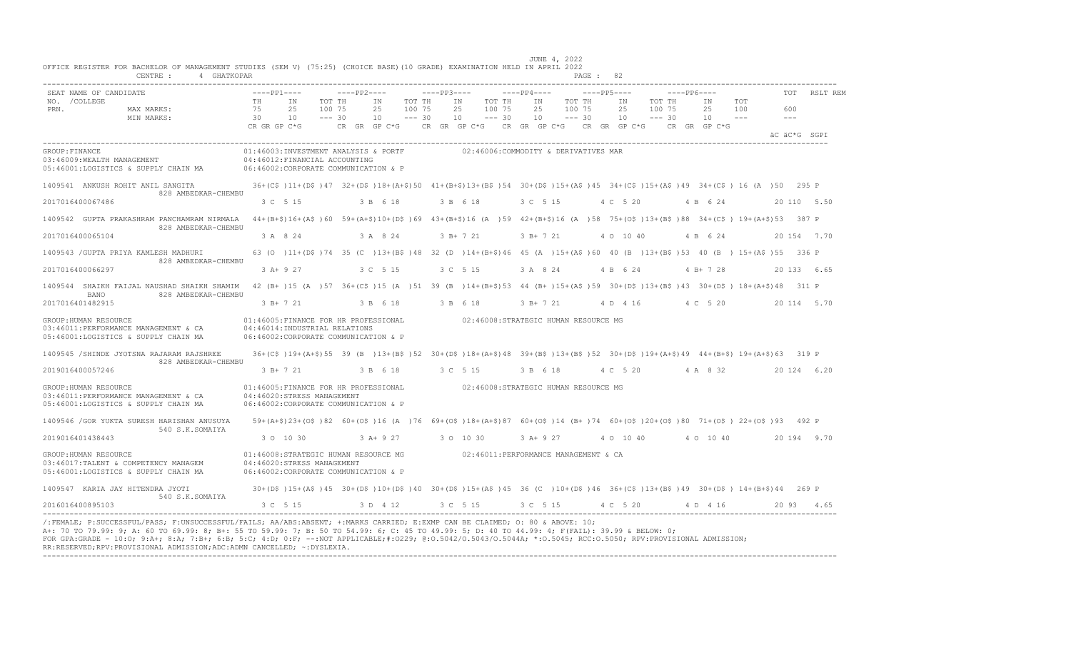| SEAT NAME OF CANDIDATE                                                                                |          | $---PP1---$                                                                                                                                      |                  | $---PP2---$ |                    |                  | $---PP3---$ |                                                    |                  | $---PP4---$ |            |                  | $---PP5---$ |           |                  | $---PP6---$        |            | <b>TOT</b> | RSLT REM     |
|-------------------------------------------------------------------------------------------------------|----------|--------------------------------------------------------------------------------------------------------------------------------------------------|------------------|-------------|--------------------|------------------|-------------|----------------------------------------------------|------------------|-------------|------------|------------------|-------------|-----------|------------------|--------------------|------------|------------|--------------|
| NO. / COLLEGE<br>PRN.<br>MAX MARKS:                                                                   | TH<br>75 | IN<br>25                                                                                                                                         | TOT TH<br>100 75 |             | IN<br>25           | TOT TH<br>100 75 |             | IN<br>2.5                                          | TOT TH<br>100 75 | IN<br>25    |            | TOT TH<br>100 75 | IN<br>2.5   |           | TOT TH<br>100 75 | IN<br>25           | TOT<br>100 | 600        |              |
| MIN MARKS:                                                                                            | 30       | 10<br>CR GR GP C*G                                                                                                                               | $--- 30$         |             | 10<br>CR GR GP C*G | $--- 30$         |             | 10<br>CR GR GP $C*G$ CR GR GP $C*G$ CR GR GP $C*G$ | $--- 30$         | 10          |            | $--- 30$         | 10          |           | $--- 30$         | 10<br>CR GR GP C*G | $- - -$    | $---$      | äC äC*G SGPI |
| GROUP: FINANCE<br>03:46009:WEALTH MANAGEMENT<br>05:46001:LOGISTICS & SUPPLY CHAIN MA                  |          | 01:46003:INVESTMENT ANALYSIS & PORTF<br>04:46012: FINANCIAL ACCOUNTING<br>06:46002:CORPORATE COMMUNICATION & P                                   |                  |             |                    |                  |             | 02:46006:COMMODITY & DERIVATIVES MAR               |                  |             |            |                  |             |           |                  |                    |            |            |              |
| 1409541 ANKUSH ROHIT ANIL SANGITA<br>828 AMBEDKAR-CHEMBU                                              |          | 36+(C\$)11+(D\$)47 32+(D\$)18+(A+\$)50 41+(B+\$)13+(B\$)54 30+(D\$)15+(A\$)45 34+(C\$)15+(A\$)49 34+(C\$) 16 (A)50 295 P                         |                  |             |                    |                  |             |                                                    |                  |             |            |                  |             |           |                  |                    |            |            |              |
| 2017016400067486                                                                                      |          | 3 C 5 15                                                                                                                                         |                  |             | 3 B 6 18           |                  |             | 3 B 6 18                                           |                  | 3 C 5 15    |            |                  | 4 C 5 20    |           |                  | 4 B 6 24           |            |            | 20 110 5.50  |
| 1409542 GUPTA PRAKASHRAM PANCHAMRAM NIRMALA<br>828 AMBEDKAR-CHEMBU                                    |          | 44+(B+\$)16+(A\$)60 59+(A+\$)10+(D\$)69 43+(B+\$)16 (A)59 42+(B+\$)16 (A)58 75+(O\$)13+(B\$)88 34+(C\$) 19+(A+\$)53 387 P                        |                  |             |                    |                  |             |                                                    |                  |             |            |                  |             |           |                  |                    |            |            |              |
| 2017016400065104                                                                                      |          | 3 A 8 24                                                                                                                                         |                  |             | 3 A 8 24           |                  |             | $3 B+721$                                          |                  | $3 B+ 7 21$ |            |                  | 4 0 10 40   |           |                  | 4 B 6 24           |            |            | 20 154 7.70  |
| 1409543 / GUPTA PRIYA KAMLESH MADHURI                                                                 |          | 63 (0 ) 11+ (D\$ ) 74 35 (C ) 13+ (B\$ ) 48 32 (D ) 14+ (B+\$) 46 45 (A ) 15+ (A\$ ) 60 40 (B ) 13+ (B\$ ) 53 40 (B ) 15+ (A\$ ) 55 336 P        |                  |             |                    |                  |             |                                                    |                  |             |            |                  |             |           |                  |                    |            |            |              |
| 828 AMBEDKAR-CHEMBU<br>2017016400066297                                                               |          | $3 A+9 27$                                                                                                                                       |                  |             | 3 C 5 15           |                  |             | 3 C 5 15                                           |                  | 3 A 8 24    |            |                  | 4 B 6 24    |           |                  | $4 B+ 7 28$        |            |            | 20 133 6.65  |
| 1409544 SHAIKH FAIJAL NAUSHAD SHAIKH SHAMIM                                                           |          | 42 (B+ )15 (A )57 36+(C\$ )15 (A )51 39 (B )14+(B+\$)53 44 (B+ )15+(A\$ )59 30+(D\$ )13+(B\$ )43 30+(D\$ )18+(A+\$)48 311 P                      |                  |             |                    |                  |             |                                                    |                  |             |            |                  |             |           |                  |                    |            |            |              |
| 828 AMBEDKAR-CHEMBU<br><b>BANO</b><br>2017016401482915                                                |          | 3 B+ 7 21                                                                                                                                        |                  |             | 3 B 6 18           |                  |             | 3 B 6 18                                           |                  |             | 3 B+ 7 21  |                  |             | 4 D 4 16  |                  | 4 C 5 20           |            |            | 20 114 5.70  |
| GROUP: HUMAN RESOURCE<br>03:46011:PERFORMANCE MANAGEMENT & CA<br>05:46001:LOGISTICS & SUPPLY CHAIN MA |          | 01:46005:FINANCE FOR HR PROFESSIONAL<br>04:46014:INDUSTRIAL RELATIONS<br>06:46002:CORPORATE COMMUNICATION & P                                    |                  |             |                    |                  |             | 02:46008:STRATEGIC HUMAN RESOURCE MG               |                  |             |            |                  |             |           |                  |                    |            |            |              |
| 1409545 /SHINDE JYOTSNA RAJARAM RAJSHREE                                                              |          | 36+(C\$)19+(A+\$)55 39 (B)13+(B\$)52 30+(D\$)18+(A+\$)48 39+(B\$)13+(B\$)52 30+(D\$)19+(A+\$)49 44+(B+\$)19+(A+\$)63 319 P                       |                  |             |                    |                  |             |                                                    |                  |             |            |                  |             |           |                  |                    |            |            |              |
| 828 AMBEDKAR-CHEMBU<br>2019016400057246                                                               |          | 3 B+ 7 21                                                                                                                                        |                  |             | 3 B 6 18           |                  |             | 3 C 5 15                                           |                  | 3 B 6 18    |            |                  | 4 C 5 20    |           |                  | 4 A 8 32           |            |            | 20 124 6.20  |
| GROUP: HUMAN RESOURCE<br>03:46011:PERFORMANCE MANAGEMENT & CA<br>05:46001:LOGISTICS & SUPPLY CHAIN MA |          | 01:46005:FINANCE FOR HR PROFESSIONAL 602:46008:STRATEGIC HUMAN RESOURCE MG<br>04:46020:STRESS MANAGEMENT<br>06:46002:CORPORATE COMMUNICATION & P |                  |             |                    |                  |             |                                                    |                  |             |            |                  |             |           |                  |                    |            |            |              |
| 1409546 / GOR YUKTA SURESH HARISHAN ANUSUYA                                                           |          | 59+(A+\$)23+(O\$)82 60+(O\$)16 (A )76 69+(O\$)18+(A+\$)87 60+(O\$)14 (B+)74 60+(O\$)20+(O\$)80 71+(O\$) 22+(O\$)93 492 P                         |                  |             |                    |                  |             |                                                    |                  |             |            |                  |             |           |                  |                    |            |            |              |
| 540 S.K.SOMAIYA<br>2019016401438443                                                                   |          | 3 0 10 30                                                                                                                                        |                  |             | 3 A+ 9 27          |                  |             | 3 0 10 30                                          |                  |             | 3 A + 9 27 |                  |             | 4 0 10 40 |                  | 4 0 10 40          |            |            | 20 194 9.70  |
| GROUP: HUMAN RESOURCE<br>03:46017:TALENT & COMPETENCY MANAGEM<br>05:46001:LOGISTICS & SUPPLY CHAIN MA |          | 01:46008:STRATEGIC HUMAN RESOURCE MG<br>04:46020:STRESS MANAGEMENT<br>06:46002:CORPORATE COMMUNICATION & P                                       |                  |             |                    |                  |             | 02:46011:PERFORMANCE MANAGEMENT & CA               |                  |             |            |                  |             |           |                  |                    |            |            |              |
| 1409547 KARIA JAY HITENDRA JYOTI                                                                      |          | 30+(D\$)15+(A\$)45 30+(D\$)10+(D\$)40 30+(D\$)15+(A\$)45 36 (C )10+(D\$)46 36+(C\$)13+(B\$)49 30+(D\$) 14+(B+\$)44 269 P                         |                  |             |                    |                  |             |                                                    |                  |             |            |                  |             |           |                  |                    |            |            |              |
| 540 S.K.SOMAIYA<br>2016016400895103                                                                   |          | 3 C 5 15                                                                                                                                         |                  |             | 3 D 4 12           |                  |             | 3 C 5 15                                           |                  |             | 3 C 5 15   |                  | 4 C 5 20    |           |                  | 4 D 4 16           |            | 20 93      | 465          |

/:FEMALE; P:SUCCESSFUL/PASS; F:UNSUCCESSFUL/FAILS; AA/ABS:ABSENT; +:MARKS CARRIED; E:EXMP CAN BE CLAIMED; O: 80 & ABOVE: 10;<br>A+: 70 TO 79.99: 9; A: 60 TO 69.99: 8; B+: 55 TO 59.99: 7; B: 50 TO 54.99: 6; C: 45 TO 49.99: 5; FOR GPA:GRADE - 10:O; 9:A+; 8:A; 7:B+; 6:B; 5:C; 4:D; 0:F; --:NOT APPLICABLE;#:O229; @:O.5042/O.5043/O.5044A; \*:O.5045; RCC:O.5050; RPV:PROVISIONAL ADMISSION; RR:RESERVED;RPV:PROVISIONAL ADMISSION;ADC:ADMN CANCELLED; ~:DYSLEXIA. ----------------------------------------------------------------------------------------------------------------------------------------------------------------------------------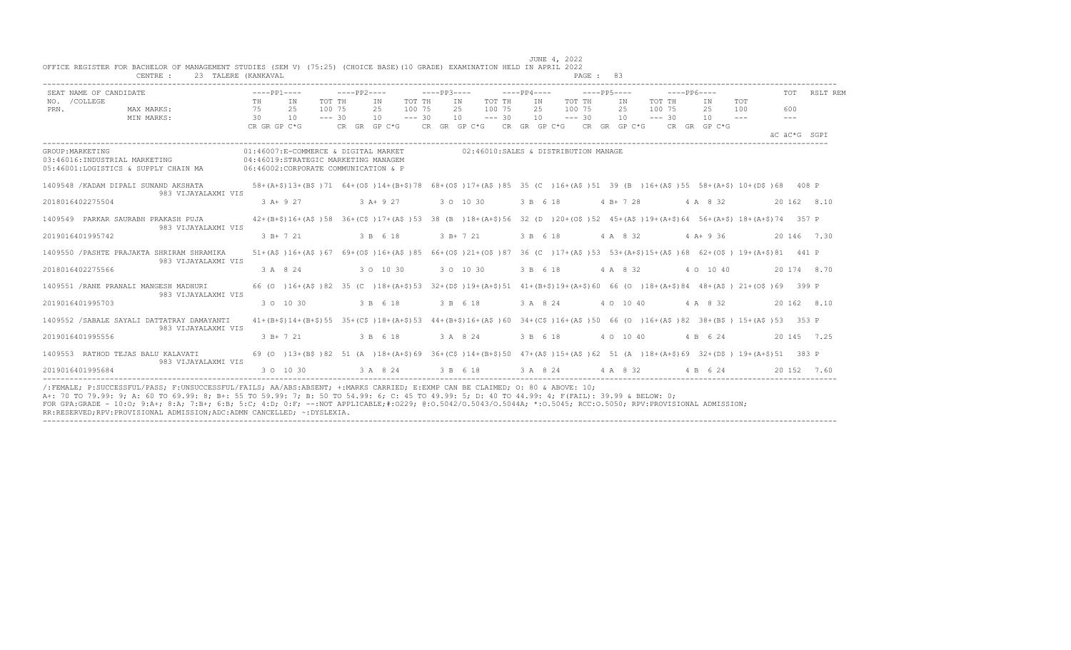| SEAT NAME OF CANDIDATE                                                                                                         | $---PP1---$                                                                                                                              |                              | $---PP2---$ |                |                              | $---PP3---$ |                |                              | $---PP4---$    | $---PP5---$                          |                |                              | $---PP6---$ |                                                                                                     |                       | TOT                            | RSLT REM    |
|--------------------------------------------------------------------------------------------------------------------------------|------------------------------------------------------------------------------------------------------------------------------------------|------------------------------|-------------|----------------|------------------------------|-------------|----------------|------------------------------|----------------|--------------------------------------|----------------|------------------------------|-------------|-----------------------------------------------------------------------------------------------------|-----------------------|--------------------------------|-------------|
| NO. / COLLEGE<br>MAX MARKS:<br>PRN.<br>MIN MARKS:                                                                              | TH<br>IN<br>75<br>25<br>30<br>10<br>CR GR GP C*G                                                                                         | TOT TH<br>100 75<br>$--- 30$ |             | IN<br>25<br>10 | TOT TH<br>100 75<br>$--- 30$ |             | IN<br>25<br>10 | TOT TH<br>100 75<br>$--- 30$ | IN<br>25<br>10 | TOT TH<br>100 75<br>$--- 30$         | IN<br>25<br>10 | TOT TH<br>100 75<br>$--- 30$ |             | IN<br>25<br>10<br>CR GR GP C*G      CR GR GP C*G     CR GP C*G     CR GR GP C*G     CR   GR  GP C*G | TOT<br>100<br>$- - -$ | 600<br>$- - -$<br>äC äC*G SGPI |             |
| GROUP: MARKETING<br>03:46016:INDUSTRIAL MARKETING<br>05:46001:LOGISTICS & SUPPLY CHAIN MA 06:46002:CORPORATE COMMUNICATION & P | 01:46007:E-COMMERCE & DIGITAL MARKET<br>04:46019:STRATEGIC MARKETING MANAGEM                                                             |                              |             |                |                              |             |                |                              |                | 02:46010:SALES & DISTRIBUTION MANAGE |                |                              |             |                                                                                                     |                       |                                |             |
| 1409548 / KADAM DIPALI SUNAND AKSHATA                                                                                          | 58+(A+\$)13+(B\$)71 64+(O\$)14+(B+\$)78 68+(O\$)17+(A\$)85 35 (C)16+(A\$)51 39 (B)16+(A\$)55 58+(A+\$)10+(D\$)68 408 P                   |                              |             |                |                              |             |                |                              |                |                                      |                |                              |             |                                                                                                     |                       |                                |             |
| 983 VIJAYALAXMI VIS<br>2018016402275504                                                                                        | $3 A+9 27$                                                                                                                               |                              |             | $3 A+9 27$     |                              |             | 3 0 10 30      |                              | 3 B 6 18       |                                      | $4 B+ 7 28$    |                              |             | 4 A 8 32                                                                                            |                       |                                | 20 162 8.10 |
| 1409549 PARKAR SAURABH PRAKASH PUJA                                                                                            | 42+(B+\$)16+(A\$)58 36+(C\$)17+(A\$)53 38 (B)18+(A+\$)56 32 (D)20+(O\$)52 45+(A\$)19+(A+\$)64 56+(A+\$)18+(A+\$)74 357 P                 |                              |             |                |                              |             |                |                              |                |                                      |                |                              |             |                                                                                                     |                       |                                |             |
| 983 VIJAYALAXMI VIS<br>2019016401995742                                                                                        | 3 B+ 7 21                                                                                                                                |                              |             | 3 B 6 18       |                              |             | $3 B+ 7 21$    |                              | 3 B 6 18       |                                      | 4 A 8 32       |                              |             | $4$ A+ 9 36                                                                                         |                       |                                | 20 146 7.30 |
| 1409550 / PASHTE PRAJAKTA SHRIRAM SHRAMIKA<br>983 VIJAYALAXMI VIS                                                              | 51+(A\$)16+(A\$)67 69+(O\$)16+(A\$)85 66+(O\$)21+(O\$)87 36 (C)17+(A\$)53 53+(A+\$)15+(A\$)68 62+(O\$) 19+(A+\$)81 441 P                 |                              |             |                |                              |             |                |                              |                |                                      |                |                              |             |                                                                                                     |                       |                                |             |
| 2018016402275566                                                                                                               | 3 A 8 24                                                                                                                                 |                              |             | 3 0 10 30      |                              |             | 3 0 10 30      |                              | 3 B 6 18       |                                      | 4 A 8 32       |                              |             | 4 0 10 40                                                                                           |                       |                                | 20 174 8.70 |
| 1409551 / RANE PRANALI MANGESH MADHURI<br>983 VIJAYALAXMI VIS                                                                  | 66 (0 )16+(A\$ )82 35 (C )18+(A+\$)53 32+(D\$ )19+(A+\$)51 41+(B+\$)19+(A+\$)60 66 (0 )18+(A+\$)84 48+(A\$ ) 21+(O\$ )69 399 P           |                              |             |                |                              |             |                |                              |                |                                      |                |                              |             |                                                                                                     |                       |                                |             |
| 2019016401995703                                                                                                               | 3 0 10 30                                                                                                                                |                              |             | 3 B 6 18       |                              |             | 3 B 6 18       |                              | 3 A 8 24       |                                      | 4 0 10 40      |                              |             | 4 A 8 32                                                                                            |                       |                                | 20 162 8.10 |
| 1409552 / SABALE SAYALI DATTATRAY DAMAYANTI                                                                                    | $41+(B+\$)14+(B+\$)55$ $35+(C\$)18+(A+\$)53$ $44+(B+\$)16+(A\$)060$ $34+(C\$)16+(A\$)50$ 66 (0 ) $16+(A\$)82$ $38+(B\$)15+(A\$)53$ 353 P |                              |             |                |                              |             |                |                              |                |                                      |                |                              |             |                                                                                                     |                       |                                |             |
| 983 VIJAYALAXMI VIS<br>2019016401995556                                                                                        | $3 B+ 7 21$                                                                                                                              |                              |             | 3 B 6 18       |                              |             | 3 A 8 24       |                              | 3 B 6 18       |                                      | 4 0 10 40      |                              |             | 4 B 6 24                                                                                            |                       |                                | 20 145 7.25 |
| 1409553 RATHOD TEJAS BALU KALAVATI                                                                                             | 69 (0 )13+(B\$)82 51 (A )18+(A+\$)69 36+(C\$)14+(B+\$)50 47+(A\$)15+(A\$)62 51 (A )18+(A+\$)69 32+(D\$) 19+(A+\$)51 383 P                |                              |             |                |                              |             |                |                              |                |                                      |                |                              |             |                                                                                                     |                       |                                |             |
| 983 VIJAYALAXMI VIS<br>2019016401995684                                                                                        | 3 0 10 30                                                                                                                                |                              |             | 3 A 8 24       |                              |             | 3 B 6 18       |                              |                | 3 A 8 24                             | 4 A 8 32       |                              |             | 4 B 6 24                                                                                            |                       |                                | 20 152 7.60 |

----------------------------------------------------------------------------------------------------------------------------------------------------------------------------------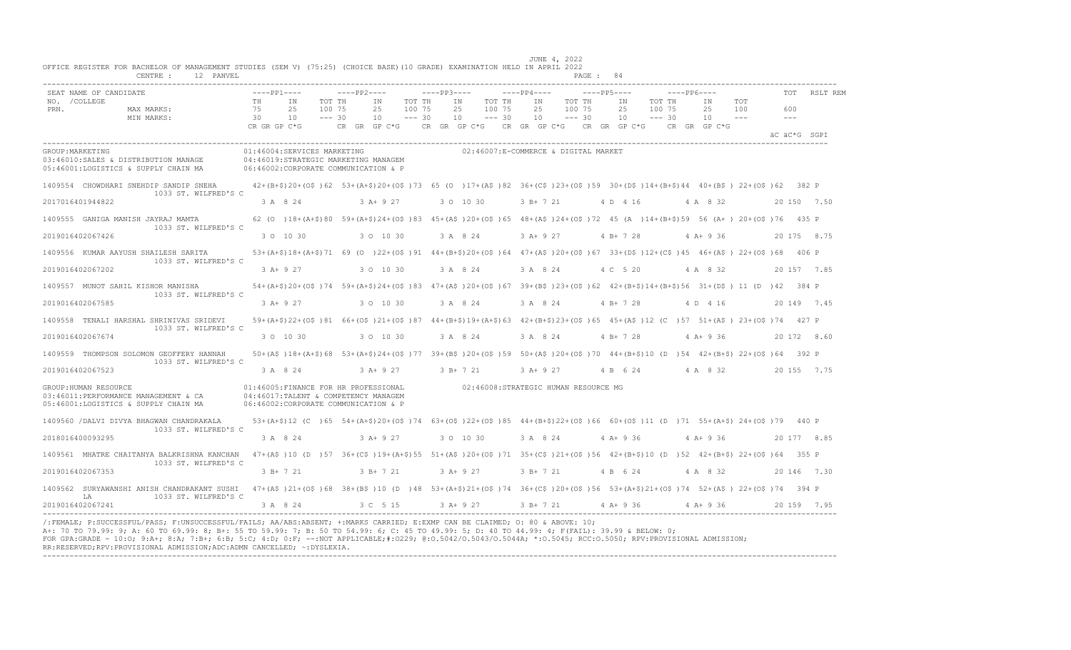|                                                                                                                                                                                                                                                                                |                |                                                                              |                                             |                                                                                                                                                                                                                        |             |                                                |                               | JUNE 4, 2022                 |                               |                              |               |                       |            |                |              |
|--------------------------------------------------------------------------------------------------------------------------------------------------------------------------------------------------------------------------------------------------------------------------------|----------------|------------------------------------------------------------------------------|---------------------------------------------|------------------------------------------------------------------------------------------------------------------------------------------------------------------------------------------------------------------------|-------------|------------------------------------------------|-------------------------------|------------------------------|-------------------------------|------------------------------|---------------|-----------------------|------------|----------------|--------------|
| OFFICE REGISTER FOR BACHELOR OF MANAGEMENT STUDIES (SEM V) (75:25) (CHOICE BASE)(10 GRADE) EXAMINATION HELD IN APRIL 2022<br>12 PANVEL<br>CENTRE :                                                                                                                             |                |                                                                              |                                             |                                                                                                                                                                                                                        |             |                                                |                               |                              | PAGE: 84                      |                              |               |                       |            |                |              |
| SEAT NAME OF CANDIDATE<br>NO. / COLLEGE<br>PRN.<br>MAX MARKS:<br>MIN MARKS:                                                                                                                                                                                                    | TH<br>75<br>30 | $---PP1---$<br>IN<br>25<br>10                                                | $---PP2---$<br>TOT TH<br>100 75<br>$--- 30$ | ΙN<br>TOT TH<br>2.5<br>100 75<br>10<br>$--- 30$                                                                                                                                                                        | $---PP3---$ | IN<br>TOT TH<br>25<br>100 75<br>10<br>$--- 30$ | $---PP4---$<br>IN<br>25<br>10 | TOT TH<br>100 75<br>$---30$  | $---PP5---$<br>IN<br>25<br>10 | TOT TH<br>100 75<br>$--- 30$ | ----- PP6---- | IN<br>2.5<br>$10 - -$ | TOT<br>100 | 600<br>$- - -$ | TOT RSLT REM |
|                                                                                                                                                                                                                                                                                |                | CR GR GP C*G                                                                 |                                             | CR GR GP C*G                                                                                                                                                                                                           |             | CR GR GP $C*G$ CR GR GP $C*G$ CR GR GP $C*G$   |                               |                              |                               |                              |               | CR GR GP C*G          |            | AC AC*G SGPT   |              |
| GROUP: MARKETING<br>03:46010:SALES & DISTRIBUTION MANAGE 04:46019:STRATEGIC MARKETING MANAGEM<br>05:46001:LOGISTICS & SUPPLY CHAIN MA                                                                                                                                          |                | 06:46002:CORPORATE COMMUNICATION & P                                         |                                             | 01:46004:SERVICES MARKETING                                                                                                                                                                                            |             | 02:46007:E-COMMERCE & DIGITAL MARKET           |                               |                              |                               |                              |               |                       |            |                |              |
| 1409554 CHOWDHARI SNEHDIP SANDIP SNEHA<br>1033 ST. WILFRED'S C                                                                                                                                                                                                                 |                |                                                                              |                                             | 42+(B+\$)20+(O\$)62 53+(A+\$)20+(O\$)73 65 (O )17+(A\$)82 36+(C\$)23+(O\$)59 30+(D\$)14+(B+\$)44 40+(B\$) 22+(O\$)62 382 P                                                                                             |             |                                                |                               |                              |                               |                              |               |                       |            |                |              |
| 2017016401944822                                                                                                                                                                                                                                                               |                |                                                                              |                                             | 3 A 8 24 3 A + 9 27 3 O 10 30                                                                                                                                                                                          |             |                                                |                               | 3 B + 7 21 4 D 4 16 4 A 8 32 |                               |                              |               |                       |            | 20 150 7.50    |              |
| 1409555 GANIGA MANISH JAYRAJ MAMTA<br>1033 ST. WILFRED'S C                                                                                                                                                                                                                     |                |                                                                              |                                             | 62 (0 )18+(A+\$)80 59+(A+\$)24+(O\$)83 45+(A\$)20+(O\$)65 48+(A\$)24+(O\$)72 45 (A )14+(B+\$)59 56 (A+) 20+(O\$)76 435 P                                                                                               |             |                                                |                               |                              |                               |                              |               |                       |            |                |              |
| 2019016402067426                                                                                                                                                                                                                                                               |                | 3 0 10 30                                                                    |                                             | 3 0 10 30                                                                                                                                                                                                              |             | 3 A 8 24                                       |                               | $3$ A + 9 27                 | 4 B + 7 28                    |                              |               | $4$ A + 9 36          |            |                | 20 175 8.75  |
| 1409556 KUMAR AAYUSH SHAILESH SARITA 53+(A+\$)18+(A+\$)71 69 (0 )22+(O\$)91 44+(B+\$)20+(O\$)64 47+(A\$)20+(O\$)67 33+(D\$)12+(C\$)45 46+(A\$) 22+(O\$)68 406 P                                                                                                                |                |                                                                              |                                             |                                                                                                                                                                                                                        |             |                                                |                               |                              |                               |                              |               |                       |            |                |              |
| 1033 ST. WILFRED'S C<br>2019016402067202                                                                                                                                                                                                                                       |                | 3 A+ 9 27                                                                    |                                             | 3 0 10 30                                                                                                                                                                                                              | 3 A 8 24    |                                                | 3 A 8 24                      |                              | 4 C 5 20                      |                              |               | 4 A 8 32              |            |                | 20 157 7.85  |
| 1409557 MUNOT SAHIL KISHOR MANISHA                                                                                                                                                                                                                                             |                |                                                                              |                                             | 54+(A+\$)20+(O\$)74 59+(A+\$)24+(O\$)83 47+(A\$)20+(O\$)67 39+(B\$)23+(O\$)62 42+(B+\$)14+(B+\$)56 31+(D\$) 11 (D)42 384 P                                                                                             |             |                                                |                               |                              |                               |                              |               |                       |            |                |              |
| 1033 ST. WILFRED'S C<br>2019016402067585                                                                                                                                                                                                                                       |                | $3 A+9 27$                                                                   |                                             | 3 0 10 30                                                                                                                                                                                                              |             | 3 A 8 24                                       | 3 A 8 24                      |                              | $4 B+728$                     |                              |               | 4 D 4 16              |            |                | 20 149 7.45  |
| 1409558 TENALI HARSHAL SHRINIVAS SRIDEVI                                                                                                                                                                                                                                       |                |                                                                              |                                             | 59+(A+\$)22+(O\$)81 66+(O\$)21+(O\$)87 44+(B+\$)19+(A+\$)63 42+(B+\$)23+(O\$)65 45+(A\$)12 (C)57 51+(A\$) 23+(O\$)74 427 P                                                                                             |             |                                                |                               |                              |                               |                              |               |                       |            |                |              |
| 1033 ST. WILFRED'S C<br>2019016402067674                                                                                                                                                                                                                                       |                | 3 0 10 30                                                                    |                                             | 3 0 10 30                                                                                                                                                                                                              |             | 3 A 8 24 3 A 8 24 4 B + 7 28 4 A + 9 36        |                               |                              |                               |                              |               |                       |            |                | 20 172 8.60  |
| 1409559 THOMPSON SOLOMON GEOFFERY HANNAH                                                                                                                                                                                                                                       |                |                                                                              |                                             | 50+(A\$)18+(A+\$)68 53+(A+\$)24+(O\$)77 39+(B\$)20+(O\$)59 50+(A\$)20+(O\$)70 44+(B+\$)10 (D)54 42+(B+\$) 22+(O\$)64 392 P                                                                                             |             |                                                |                               |                              |                               |                              |               |                       |            |                |              |
| 1033 ST. WILFRED'S C<br>2019016402067523                                                                                                                                                                                                                                       |                | 3 A 8 24                                                                     |                                             | 3 A + 9 27 3 B + 7 21                                                                                                                                                                                                  |             |                                                | 3 A+ 9 27                     |                              | 4 B 6 24 4 A 8 32             |                              |               |                       |            |                | 20 155 7.75  |
| GROUP: HUMAN RESOURCE<br>03:46011:PERFORMANCE MANAGEMENT & CA<br>05:46001:LOGISTICS & SUPPLY CHAIN MA                                                                                                                                                                          |                | 04:46017:TALENT & COMPETENCY MANAGEM<br>06:46002:CORPORATE COMMUNICATION & P |                                             | 01:46005:FINANCE FOR HR PROFESSIONAL                                                                                                                                                                                   |             | 02:46008:STRATEGIC HUMAN RESOURCE MG           |                               |                              |                               |                              |               |                       |            |                |              |
| 1409560 / DALVI DIVYA BHAGWAN CHANDRAKALA<br>1033 ST. WILFRED'S C                                                                                                                                                                                                              |                |                                                                              |                                             | 53+(A+\$)12 (C) 65 54+(A+\$)20+(O\$)74 63+(O\$)22+(O\$)85 44+(B+\$)22+(O\$)66 60+(O\$)11 (D)71 55+(A+\$) 24+(O\$)79 440 P                                                                                              |             |                                                |                               |                              |                               |                              |               |                       |            |                |              |
| 2018016400093295                                                                                                                                                                                                                                                               |                |                                                                              |                                             | $3 \text{ A}$ $8 \text{ A}$ $24$ $3 \text{ A}$ $4 \text{ B}$ $37$ $3 \text{ O}$ $10 \text{ 30}$ $3 \text{ A}$ $8 \text{ 24}$ $4 \text{ A}$ $4 \text{ B}$ $36$ $4 \text{ A}$ $4 \text{ B}$ $36$ $20 \text{ 177}$ $8.85$ |             |                                                |                               |                              |                               |                              |               |                       |            |                |              |
| 1409561 MHATRE CHAITANYA BALKRISHNA KANCHAN 47+(A\$)10 (D)57 36+(C\$)19+(A+\$)55 51+(A\$)20+(O\$)71 35+(C\$)21+(O\$)56 42+(B+\$)10 (D)52 42+(B+\$)22+(O\$)64 355 P                                                                                                             |                |                                                                              |                                             |                                                                                                                                                                                                                        |             |                                                |                               |                              |                               |                              |               |                       |            |                |              |
| 1033 ST. WILFRED'S C<br>2019016402067353                                                                                                                                                                                                                                       |                | 3 B+ 7 21                                                                    |                                             | $3B+721$                                                                                                                                                                                                               |             | $3 A+9 27$                                     |                               | 3 B + 7 21 4 B 6 24 4 A 8 32 |                               |                              |               |                       |            | 20 146 7.30    |              |
| 1409562 SURYAMANSHI ANISH CHANDRAKANT SUSHI 47+(A\$)21+(O\$)68 38+(B\$)10 (D)48 53+(A+\$)21+(O\$)74 36+(C\$)20+(O\$)56 53+(A+\$)21+(O\$)74 52+(A\$) 22+(O\$)74 394 P                                                                                                           |                |                                                                              |                                             |                                                                                                                                                                                                                        |             |                                                |                               |                              |                               |                              |               |                       |            |                |              |
| 1033 ST. WILFRED'S C<br>T.A<br>2019016402067241                                                                                                                                                                                                                                |                | 3 A 8 24                                                                     |                                             | 3 C 5 15                                                                                                                                                                                                               |             | 3 A + 9 27 3 B + 7 21 4 A + 9 36 4 A + 9 36    |                               |                              |                               |                              |               |                       |            |                | 20 159 7.95  |
| /:FEMALE: P:SUCCESSFUL/PASS: F:UNSUCCESSFUL/FAILS: AA/ABS:ABSENT: +:MARKS CARRIED: E:EXMP CAN BE CLAIMED: 0: 80 & ABOVE: 10:<br>A+: 70 TO 79.99: 9; A: 60 TO 69.99: 8; B+: 55 TO 59.99: 7; B: 50 TO 54.99: 6; C: 45 TO 49.99: 5; D: 40 TO 44.99: 4; F(FAIL): 39.99 & BELOW: 0; |                |                                                                              |                                             |                                                                                                                                                                                                                        |             |                                                |                               |                              |                               |                              |               |                       |            |                |              |

A+: 70 TO 79.99: 9; A: 60 TO 69.99: 8; B+: 55 TO 59.99: 7; B: 50 TO 54.99: 6; C: 45 TO 49.99: 5; D: 40 TO 44.99: 4; F(FAIL): 39.99 & BELOW: 0;<br>FOR GPA:GRADE - 10:O; 9:A+; 8:A; 7:B+; 6:B; 5:C; 4:D; 0:F; --:NOT APPLICABLE;#: RR:RESERVED;RPV:PROVISIONAL ADMISSION;ADC:ADMN CANCELLED; ~:DYSLEXIA. ----------------------------------------------------------------------------------------------------------------------------------------------------------------------------------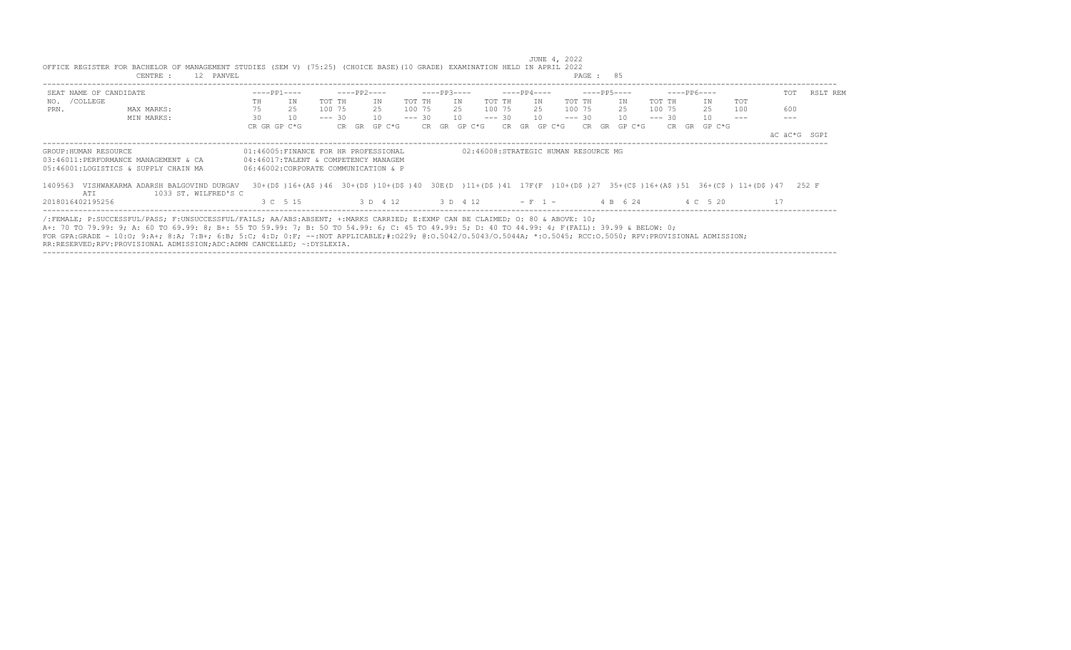| SEAT NAME OF CANDIDATE |                                                                                                                                                                                                                                                                                                                                                                                                                                                  |              | $---PP1---$                                                                                                                                                 |          | ----PP2---- |                                    |        | $---PP3---$ |    |                  |             | $---PP4---$  |     |           | ----PP5---- |              |        |        | ----- PP6---- |     | TOT | RSLT REM     |
|------------------------|--------------------------------------------------------------------------------------------------------------------------------------------------------------------------------------------------------------------------------------------------------------------------------------------------------------------------------------------------------------------------------------------------------------------------------------------------|--------------|-------------------------------------------------------------------------------------------------------------------------------------------------------------|----------|-------------|------------------------------------|--------|-------------|----|------------------|-------------|--------------|-----|-----------|-------------|--------------|--------|--------|---------------|-----|-----|--------------|
| NO. / COLLEGE          |                                                                                                                                                                                                                                                                                                                                                                                                                                                  | TH           | ΙN                                                                                                                                                          | TOT TH   |             | TN                                 | TOT TH |             | IN |                  | TOT TH      |              | T N | TOT TH    |             | IN           | TOT TH |        | TN            | TOT |     |              |
| PRN.                   | MAX MARKS:                                                                                                                                                                                                                                                                                                                                                                                                                                       | 75           | 25                                                                                                                                                          | 100 75   |             | 25                                 |        |             |    | 100 75 25 100 75 |             |              |     | 25 100 75 |             | 25           |        | 100 75 | 25            | 100 | 600 |              |
|                        | MIN MARKS:                                                                                                                                                                                                                                                                                                                                                                                                                                       | 30           | 10                                                                                                                                                          | $--- 30$ |             | 10                                 |        | $--- 30 10$ |    |                  | $--- 30 10$ |              |     |           |             | $--- 30 10$  |        |        | $--- 30 10$   |     |     |              |
|                        |                                                                                                                                                                                                                                                                                                                                                                                                                                                  | CR GR GP C*G |                                                                                                                                                             |          |             | CR GR GP C*G                       |        |             |    | CR GR GP C*G     |             | CR GR GP C*G |     |           |             | CR GR GP C*G |        |        | CR GR GP C*G  |     |     |              |
|                        |                                                                                                                                                                                                                                                                                                                                                                                                                                                  |              |                                                                                                                                                             |          |             |                                    |        |             |    |                  |             |              |     |           |             |              |        |        |               |     |     | äC äC*G SGPI |
|                        | 05:46001:LOGISTICS & SUPPLY CHAIN MA<br>1409563 VISHWAKARMA ADARSH BALGOVIND DURGAV                                                                                                                                                                                                                                                                                                                                                              |              | 06:46002:CORPORATE COMMUNICATION & P<br>30+(D\$)16+(A\$)46 30+(D\$)10+(D\$)40 30E(D)11+(D\$)41 17F(F)10+(D\$)27 35+(C\$)16+(A\$)51 36+(C\$)11+(D\$)47 252 F |          |             |                                    |        |             |    |                  |             |              |     |           |             |              |        |        |               |     |     |              |
| ATT                    | 1033 ST. WILFRED'S C                                                                                                                                                                                                                                                                                                                                                                                                                             |              |                                                                                                                                                             |          |             |                                    |        |             |    |                  |             |              |     |           |             |              |        |        |               |     |     |              |
| 2018016402195256       |                                                                                                                                                                                                                                                                                                                                                                                                                                                  |              | 3 C 5 15                                                                                                                                                    |          |             | 3 D 4 12 3 D 4 12 - F 1 - 4 B 6 24 |        |             |    |                  |             |              |     |           |             |              |        |        | 4 C 5 20      |     | 17  |              |
|                        | /:FEMALE; P:SUCCESSFUL/PASS; F:UNSUCCESSFUL/FAILS; AA/ABS:ABSENT; +:MARKS CARRIED; E:EXMP CAN BE CLAIMED; O: 80 & ABOVE: 10;<br>A+: 70 TO 79.99: 9; A: 60 TO 69.99: 8; B+: 55 TO 59.99: 7; B: 50 TO 54.99: 6; C: 45 TO 49.99: 5; D: 40 TO 44.99: 4; F(FAIL): 39.99 & BELOW: 0;<br>FOR GPA:GRADE - 10:0: 9:A+; 8:A; 7:B+; 6:B; 5:C; 4:D; 0:F; --:NOT APPLICABLE;#:0229; 0:0.5042/0.5043/0.5044A; *:0.5045; RCC:0.5050; RPV:PROVISIONAL ADMISSION; |              |                                                                                                                                                             |          |             |                                    |        |             |    |                  |             |              |     |           |             |              |        |        |               |     |     |              |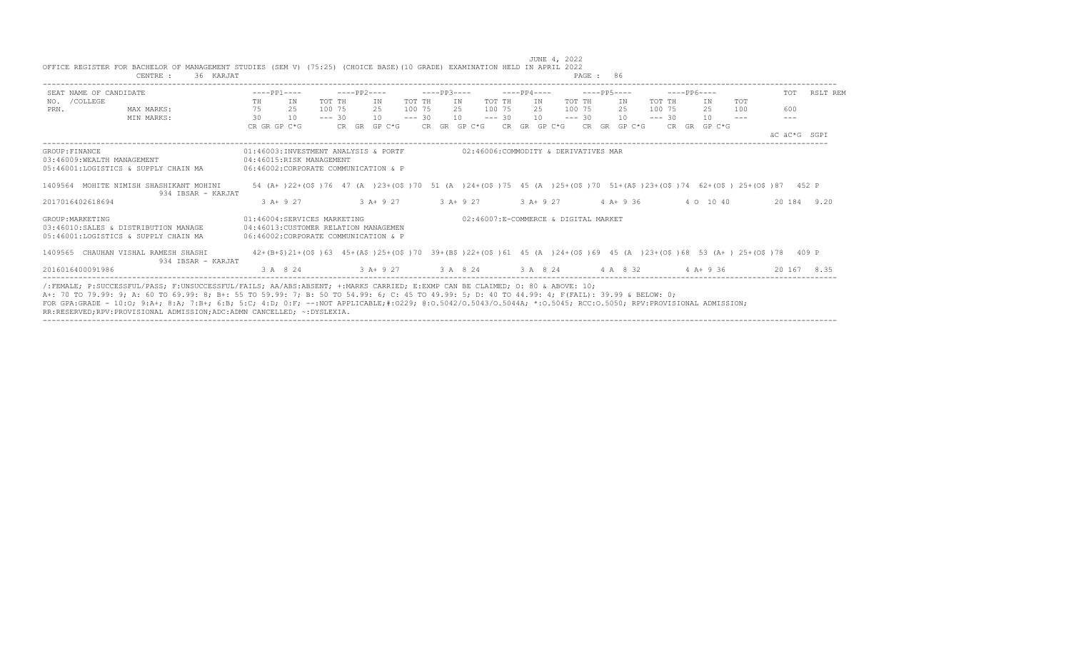|                  | OFFICE REGISTER FOR BACHELOR OF MANAGEMENT STUDIES (SEM V) (75:25) (CHOICE BASE)(10 GRADE) EXAMINATION HELD IN APRIL 2022<br>CENTRE :<br>36 KARJAT                                                                                                                                                                                                                                                                                                                                                                         |    |                                                                                                              |          |             |              |          |             |     |                           |          |             |     |                                      | PAGE : 86 |                  |        |          |              |                                                                                                                        |              |             |
|------------------|----------------------------------------------------------------------------------------------------------------------------------------------------------------------------------------------------------------------------------------------------------------------------------------------------------------------------------------------------------------------------------------------------------------------------------------------------------------------------------------------------------------------------|----|--------------------------------------------------------------------------------------------------------------|----------|-------------|--------------|----------|-------------|-----|---------------------------|----------|-------------|-----|--------------------------------------|-----------|------------------|--------|----------|--------------|------------------------------------------------------------------------------------------------------------------------|--------------|-------------|
|                  | SEAT NAME OF CANDIDATE                                                                                                                                                                                                                                                                                                                                                                                                                                                                                                     |    | $---PP1---$                                                                                                  |          | $---PP2---$ |              |          | $---PP3---$ |     |                           |          | $---PP4---$ |     | $---PP5---$                          |           |                  |        |          | $---PP6---$  |                                                                                                                        | TOT          | RSLT REM    |
| NO. / COLLEGE    |                                                                                                                                                                                                                                                                                                                                                                                                                                                                                                                            | TH | IN                                                                                                           | TOT TH   |             | IN           | TOT TH   |             | IN  |                           | TOT TH   |             | IN  | TOT TH                               |           | IN               |        | TOT TH   | ΙN           | TOT                                                                                                                    |              |             |
| PRN.             | MAX MARKS:                                                                                                                                                                                                                                                                                                                                                                                                                                                                                                                 | 75 | 25                                                                                                           | 100 75   |             | 2.5          | 100 75   |             | 2.5 |                           | 100 75   |             | 2.5 | 100 75                               |           | 2.5              | 100 75 |          | 25           | 100                                                                                                                    | 600          |             |
|                  | MIN MARKS:                                                                                                                                                                                                                                                                                                                                                                                                                                                                                                                 | 30 | 10                                                                                                           | $--- 30$ |             | 10           | $--- 30$ |             | 10  |                           | $--- 30$ |             | 10  | $--- 30$                             |           | 10               |        | $--- 30$ | 10           | $\frac{1}{2}$                                                                                                          | $---$        |             |
|                  |                                                                                                                                                                                                                                                                                                                                                                                                                                                                                                                            |    | CR GR GP C*G                                                                                                 |          |             | CR GR GP C*G |          |             |     | CR GR GP C*G CR GR GP C*G |          |             |     |                                      |           | $CR$ GR GP $C*G$ |        |          | CR GR GP C*G |                                                                                                                        |              |             |
|                  |                                                                                                                                                                                                                                                                                                                                                                                                                                                                                                                            |    |                                                                                                              |          |             |              |          |             |     |                           |          |             |     |                                      |           |                  |        |          |              |                                                                                                                        | AC AC*G SGPI |             |
| GROUP: FINANCE   | 03:46009:WEALTH MANAGEMENT<br>05:46001:LOGISTICS & SUPPLY CHAIN MA                                                                                                                                                                                                                                                                                                                                                                                                                                                         |    | 01:46003:INVESTMENT ANALYSIS & PORTF<br>04:46015:RISK MANAGEMENT<br>06:46002:CORPORATE COMMUNICATION & P     |          |             |              |          |             |     |                           |          |             |     | 02:46006:COMMODITY & DERIVATIVES MAR |           |                  |        |          |              |                                                                                                                        |              |             |
|                  | 1409564 MOHITE NIMISH SHASHIKANT MOHINI                                                                                                                                                                                                                                                                                                                                                                                                                                                                                    |    |                                                                                                              |          |             |              |          |             |     |                           |          |             |     |                                      |           |                  |        |          |              | 54 (A+)22+(O\$)76 47 (A)23+(O\$)70 51 (A)24+(O\$)75 45 (A)25+(O\$)70 51+(A\$)23+(O\$)74 62+(O\$)25+(O\$)87 452 P       |              |             |
|                  | 934 IBSAR - KARJAT                                                                                                                                                                                                                                                                                                                                                                                                                                                                                                         |    |                                                                                                              |          |             |              |          |             |     |                           |          |             |     |                                      |           |                  |        |          |              |                                                                                                                        |              |             |
| 2017016402618694 |                                                                                                                                                                                                                                                                                                                                                                                                                                                                                                                            |    | $3 A+9 27$                                                                                                   |          |             | $3 A+9 27$   |          | $3 A+9 27$  |     |                           | $3A+927$ |             |     |                                      |           | $4 A+9 36$       |        |          | 4 0 10 40    |                                                                                                                        |              | 20 184 9.20 |
| GROUP: MARKETING | 03:46010:SALES & DISTRIBUTION MANAGE<br>05:46001:LOGISTICS & SUPPLY CHAIN MA                                                                                                                                                                                                                                                                                                                                                                                                                                               |    | 01:46004:SERVICES MARKETING<br>04:46013: CUSTOMER RELATION MANAGEMEN<br>06:46002:CORPORATE COMMUNICATION & P |          |             |              |          |             |     |                           |          |             |     | 02:46007:E-COMMERCE & DIGITAL MARKET |           |                  |        |          |              |                                                                                                                        |              |             |
|                  | 1409565 CHAUHAN VISHAL RAMESH SHASHI<br>934 IBSAR - KARJAT                                                                                                                                                                                                                                                                                                                                                                                                                                                                 |    |                                                                                                              |          |             |              |          |             |     |                           |          |             |     |                                      |           |                  |        |          |              | 42+(B+\$)21+(O\$)63 45+(A\$)25+(O\$)70 39+(B\$)22+(O\$)61 45 (A )24+(O\$)69 45 (A )23+(O\$)68 53 (A+) 25+(O\$)78 409 P |              |             |
| 2016016400091986 |                                                                                                                                                                                                                                                                                                                                                                                                                                                                                                                            |    | 3 A 8 24 3 A + 9 27 3 A 8 24 3 A 8 24 4 A 8 32 4 A + 9 36                                                    |          |             |              |          |             |     |                           |          |             |     |                                      |           |                  |        |          |              |                                                                                                                        |              | 20 167 8.35 |
|                  | /:FEMALE: P:SUCCESSFUL/PASS: F:UNSUCCESSFUL/FAILS: AA/ABS:ABSENT: +:MARKS CARRIED: E:EXMP CAN BE CLAIMED: 0: 80 & ABOVE: 10:<br>A+: 70 TO 79.99: 9; A: 60 TO 69.99: 8; B+: 55 TO 59.99: 7; B: 50 TO 54.99: 6; C: 45 TO 49.99: 5; D: 40 TO 44.99: 4; F(FAIL): 39.99 & BELOW: 0;<br>FOR GPA:GRADE - 10:0; 9:A+; 8:A; 7:B+; 6:B; 5:C; 4:D; 0:F; --:NOT APPLICABLE;#:0229; 0:0.5042/0.5043/0.5044A; *:0.5045; RCC:0.5050; RPV:PROVISIONAL ADMISSION;<br>RR:RESERVED;RPV:PROVISIONAL ADMISSION;ADC:ADMN CANCELLED; ~: DYSLEXIA. |    |                                                                                                              |          |             |              |          |             |     |                           |          |             |     |                                      |           |                  |        |          |              |                                                                                                                        |              |             |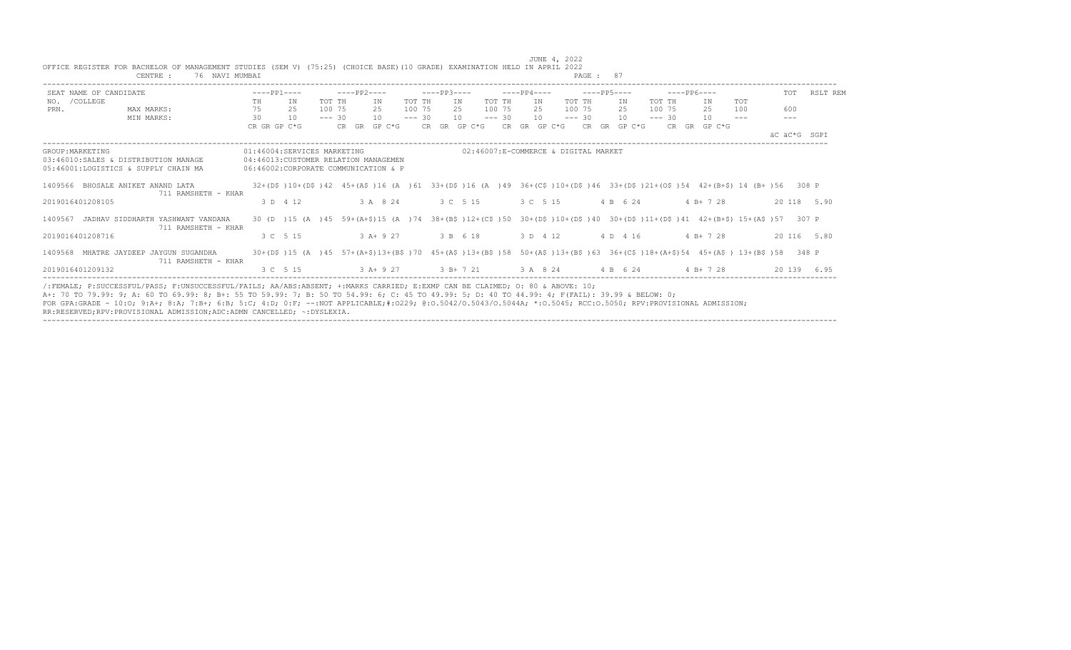|                  | OFFICE REGISTER FOR BACHELOR OF MANAGEMENT STUDIES (SEM V) (75:25) (CHOICE BASE)(10 GRADE) EXAMINATION HELD IN APRIL 2022<br>76 NAVI MUMBAI<br>CENTRE :                                                                                                                                                                                                                                                                                                                                                                    |              |                                                                                                                                                                                     |          |             |                   |          |             |                           |          |             |     |                                      | PAGE: 87             |          |              |                                                                                                                             |              |              |
|------------------|----------------------------------------------------------------------------------------------------------------------------------------------------------------------------------------------------------------------------------------------------------------------------------------------------------------------------------------------------------------------------------------------------------------------------------------------------------------------------------------------------------------------------|--------------|-------------------------------------------------------------------------------------------------------------------------------------------------------------------------------------|----------|-------------|-------------------|----------|-------------|---------------------------|----------|-------------|-----|--------------------------------------|----------------------|----------|--------------|-----------------------------------------------------------------------------------------------------------------------------|--------------|--------------|
|                  | SEAT NAME OF CANDIDATE                                                                                                                                                                                                                                                                                                                                                                                                                                                                                                     | $---PP1---$  |                                                                                                                                                                                     |          | $---PP2---$ |                   |          | $---PP3---$ |                           |          | $---PP4---$ |     |                                      | $---PP5---$          |          | $---PP6---$  |                                                                                                                             |              | TOT RSLT REM |
| NO. / COLLEGE    |                                                                                                                                                                                                                                                                                                                                                                                                                                                                                                                            | TH           | IN                                                                                                                                                                                  | TOT TH   |             | IN                | TOT TH   |             | IN                        | TOT TH   |             | IN  | TOT TH                               | IN                   | TOT TH   | ΙN           | TOT                                                                                                                         |              |              |
| PRN.             | MAX MARKS:                                                                                                                                                                                                                                                                                                                                                                                                                                                                                                                 | 75           | 25                                                                                                                                                                                  | 100 75   |             | 2.5               | 100 75   |             | 2.5                       | 100 75   |             | 2.5 | 100 75                               | 2.5                  | 100 75   | 25           | 100                                                                                                                         | 600          |              |
|                  | MIN MARKS:                                                                                                                                                                                                                                                                                                                                                                                                                                                                                                                 | 30           | 10                                                                                                                                                                                  | $--- 30$ |             | 10                | $--- 30$ |             | 10                        | $--- 30$ |             | 10  | $--- 30$                             | 10                   | $--- 30$ | 10           | $\frac{1}{2}$                                                                                                               | $- - -$      |              |
|                  |                                                                                                                                                                                                                                                                                                                                                                                                                                                                                                                            | CR GR GP C*G |                                                                                                                                                                                     |          |             | CR GR GP C*G      |          |             | CR GR GP C*G CR GR GP C*G |          |             |     |                                      | $CR$ $GR$ $GP$ $C*G$ |          | CR GR GP C*G |                                                                                                                             |              |              |
|                  |                                                                                                                                                                                                                                                                                                                                                                                                                                                                                                                            |              |                                                                                                                                                                                     |          |             |                   |          |             |                           |          |             |     |                                      |                      |          |              |                                                                                                                             | AC AC*G SGPI |              |
| GROUP: MARKETING | 03:46010:SALES & DISTRIBUTION MANAGE<br>05:46001:LOGISTICS & SUPPLY CHAIN MA                                                                                                                                                                                                                                                                                                                                                                                                                                               |              | 01:46004:SERVICES MARKETING<br>04:46013: CUSTOMER RELATION MANAGEMEN<br>06:46002:CORPORATE COMMUNICATION & P                                                                        |          |             |                   |          |             |                           |          |             |     | 02:46007:E-COMMERCE & DIGITAL MARKET |                      |          |              |                                                                                                                             |              |              |
|                  | 1409566 BHOSALE ANIKET ANAND LATA<br>711 RAMSHETH - KHAR                                                                                                                                                                                                                                                                                                                                                                                                                                                                   |              |                                                                                                                                                                                     |          |             |                   |          |             |                           |          |             |     |                                      |                      |          |              | $32+(DS)10+(DS)42$ $45+(AS)16$ (A ) 61 $33+(DS)16$ (A ) 49 $36+(CS)10+(DS)46$ $33+(DS)21+(OS)54$ $42+(B+S)14$ (B+) 56 308 P |              |              |
|                  | 2019016401208105                                                                                                                                                                                                                                                                                                                                                                                                                                                                                                           |              | 3 D 4 12                                                                                                                                                                            |          |             | 3 A 8 24 3 C 5 15 |          |             |                           |          |             |     | 3 C 5 15                             | 4 B 6 24             |          | $4 B+ 7 28$  |                                                                                                                             |              | 20 118 5.90  |
|                  | 1409567 JADHAV SIDDHARTH YASHWANT VANDANA<br>711 RAMSHETH - KHAR                                                                                                                                                                                                                                                                                                                                                                                                                                                           |              |                                                                                                                                                                                     |          |             |                   |          |             |                           |          |             |     |                                      |                      |          |              | 30 (D) 15 (A) 45 59+(A+\$)15 (A) 74 38+(B\$)12+(C\$)50 30+(D\$)10+(D\$)40 30+(D\$)11+(D\$)41 42+(B+\$)15+(A\$)57 307 P      |              |              |
|                  | 2019016401208716                                                                                                                                                                                                                                                                                                                                                                                                                                                                                                           |              | 3 C 5 15                                                                                                                                                                            |          |             | $3A+927$          |          |             | 3 B 6 18                  |          |             |     |                                      | 3 D 4 12 4 D 4 16    |          | $4 B+ 7 28$  |                                                                                                                             |              | 20 116 5.80  |
|                  | 1409568 MHATRE JAYDEEP JAYGUN SUGANDHA<br>711 RAMSHETH - KHAR                                                                                                                                                                                                                                                                                                                                                                                                                                                              |              |                                                                                                                                                                                     |          |             |                   |          |             |                           |          |             |     |                                      |                      |          |              | 30+(D\$)15 (A)45 57+(A+\$)13+(B\$)70 45+(A\$)13+(B\$)58 50+(A\$)13+(B\$)63 36+(C\$)18+(A+\$)54 45+(A\$) 13+(B\$)58 348 P    |              |              |
|                  | 2019016401209132                                                                                                                                                                                                                                                                                                                                                                                                                                                                                                           |              | $3 \text{ C}$ $5 \text{ } 15$ $3 \text{ A} + 9 \text{ } 27$ $3 \text{ B} + 7 \text{ } 21$ $3 \text{ A}$ $8 \text{ } 24$ $4 \text{ B}$ $6 \text{ } 24$ $4 \text{ B} + 7 \text{ } 28$ |          |             |                   |          |             |                           |          |             |     |                                      |                      |          |              |                                                                                                                             |              | 20 139 6.95  |
|                  | /:FEMALE: P:SUCCESSFUL/PASS: F:UNSUCCESSFUL/FAILS: AA/ABS:ABSENT: +:MARKS CARRIED: E:EXMP CAN BE CLAIMED: 0: 80 & ABOVE: 10:<br>A+: 70 TO 79.99: 9; A: 60 TO 69.99: 8; B+: 55 TO 59.99: 7; B: 50 TO 54.99: 6; C: 45 TO 49.99: 5; D: 40 TO 44.99: 4; F(FAIL): 39.99 & BELOW: 0;<br>FOR GPA:GRADE - 10:0; 9:A+; 8:A; 7:B+; 6:B; 5:C; 4:D; 0:F; --:NOT APPLICABLE;#:0229; 0:0.5042/0.5043/0.5044A; *:0.5045; RCC:0.5050; RPV:PROVISIONAL ADMISSION;<br>RR:RESERVED;RPV:PROVISIONAL ADMISSION;ADC:ADMN CANCELLED; ~: DYSLEXIA. |              |                                                                                                                                                                                     |          |             |                   |          |             |                           |          |             |     |                                      |                      |          |              |                                                                                                                             |              |              |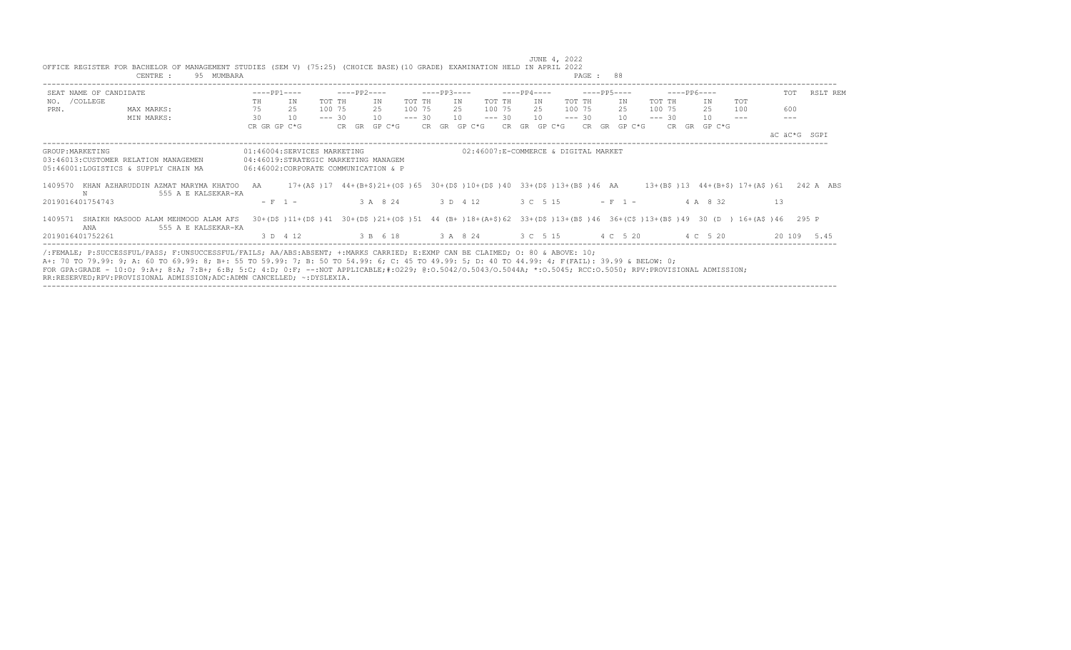|                  | CENTRE :<br>95 MUMBARA                                                                                                                                                                                                                                                                                                                                                                                                                                                                                                     |              |                                                                                                                        |          |             |                      |          |             |     |                                      |          |             |                    | PAGE : 88   |                                              |          |              |          |                                                                         |              |              |
|------------------|----------------------------------------------------------------------------------------------------------------------------------------------------------------------------------------------------------------------------------------------------------------------------------------------------------------------------------------------------------------------------------------------------------------------------------------------------------------------------------------------------------------------------|--------------|------------------------------------------------------------------------------------------------------------------------|----------|-------------|----------------------|----------|-------------|-----|--------------------------------------|----------|-------------|--------------------|-------------|----------------------------------------------|----------|--------------|----------|-------------------------------------------------------------------------|--------------|--------------|
|                  | SEAT NAME OF CANDIDATE                                                                                                                                                                                                                                                                                                                                                                                                                                                                                                     | $---PP1---$  |                                                                                                                        |          | ----PP2---- |                      |          | $---PP3---$ |     |                                      |          | $---PP4---$ |                    | $---PP5---$ |                                              |          | $---PP6---$  |          |                                                                         |              | TOT RSLT REM |
| NO. / COLLEGE    |                                                                                                                                                                                                                                                                                                                                                                                                                                                                                                                            | TH           | IN                                                                                                                     | TOT TH   |             | ΙN                   | TOT TH   |             | ΙN. | TOT TH                               |          | IN          |                    | TOT TH      | IN                                           | TOT TH   |              | ΙN       | TOT                                                                     |              |              |
| PRN.             | MAX MARKS:                                                                                                                                                                                                                                                                                                                                                                                                                                                                                                                 | 75           | 25                                                                                                                     | 100 75   |             | 25                   | 100 75   |             | 25  |                                      | 100 75   | 25          |                    | 100 75      | 2.5                                          | 100 75   |              | 2.5      | 100                                                                     | 600          |              |
|                  | MIN MARKS:                                                                                                                                                                                                                                                                                                                                                                                                                                                                                                                 | 30           | 10                                                                                                                     | $--- 30$ |             | 10                   | $--- 30$ |             | 10  |                                      | $--- 30$ | 10          |                    | $--- 30$    | 10                                           | $--- 30$ |              | 10       |                                                                         |              |              |
|                  |                                                                                                                                                                                                                                                                                                                                                                                                                                                                                                                            | CR GR GP C*G |                                                                                                                        |          |             | $CR$ $GR$ $GP$ $C*G$ |          |             |     | CR GR GP C*G CR GR GP C*G            |          |             |                    |             | CR GR GP C*G                                 |          | CR GR GP C*G |          |                                                                         | AC AC*G SGPT |              |
| GROUP: MARKETING | 03:46013:CUSTOMER RELATION MANAGEMEN<br>05:46001:LOGISTICS & SUPPLY CHAIN MA                                                                                                                                                                                                                                                                                                                                                                                                                                               |              | 01:46004:SERVICES MARKETING<br>04:46019:STRATEGIC MARKETING MANAGEM<br>06:46002:CORPORATE COMMUNICATION & P            |          |             |                      |          |             |     | 02:46007:E-COMMERCE & DIGITAL MARKET |          |             |                    |             |                                              |          |              |          |                                                                         |              |              |
| N                | 1409570 KHAN AZHARUDDIN AZMAT MARYMA KHATOO AA<br>555 A E KALSEKAR-KA                                                                                                                                                                                                                                                                                                                                                                                                                                                      |              | 17+(A\$)17 44+(B+\$)21+(O\$)65 30+(D\$)10+(D\$)40 33+(D\$)13+(B\$)46 AA                                                |          |             |                      |          |             |     |                                      |          |             |                    |             |                                              |          |              |          | $13+(B\frac{5}{9})13$ $44+(B+\frac{5}{9})17+(A\frac{5}{9})61$ 242 A ABS |              |              |
| 2019016401754743 |                                                                                                                                                                                                                                                                                                                                                                                                                                                                                                                            |              | $- F 1 -$                                                                                                              |          |             | 3 A 8 24             |          | 3 D 4 12    |     |                                      |          |             | $3 C 5 15$ - F 1 - |             |                                              |          |              | 4 A 8 32 |                                                                         | 1.3          |              |
| 1409571<br>ANA   | SHAIKH MASOOD ALAM MEHMOOD ALAM AFS<br>555 A E KALSEKAR-KA                                                                                                                                                                                                                                                                                                                                                                                                                                                                 |              | 30+(D\$)11+(D\$)41 30+(D\$)21+(O\$)51 44 (B+)18+(A+\$)62 33+(D\$)13+(B\$)46 36+(C\$)13+(B\$)49 30 (D) 16+(A\$)46 295 P |          |             |                      |          |             |     |                                      |          |             |                    |             |                                              |          |              |          |                                                                         |              |              |
| 2019016401752261 |                                                                                                                                                                                                                                                                                                                                                                                                                                                                                                                            |              | 3 D 4 12                                                                                                               |          |             |                      |          |             |     |                                      |          |             |                    |             | 3 B 6 18 3 A 8 24 3 C 5 15 4 C 5 20 4 C 5 20 |          |              |          |                                                                         |              | 20 109 5.45  |
|                  | /:FEMALE; P:SUCCESSFUL/PASS; F:UNSUCCESSFUL/FAILS; AA/ABS:ABSENT; +:MARKS CARRIED; E:EXMP CAN BE CLAIMED; O: 80 & ABOVE: 10;<br>A+: 70 TO 79.99: 9; A: 60 TO 69.99: 8; B+: 55 TO 59.99: 7; B: 50 TO 54.99: 6; C: 45 TO 49.99: 5; D: 40 TO 44.99: 4; F(FAIL): 39.99 & BELOW: 0;<br>FOR GPA:GRADE - 10:0; 9:A+; 8:A; 7:B+; 6:B; 5:C; 4:D; 0:F; --:NOT APPLICABLE;#:0229; 0:0.5042/0.5043/0.5044A; *:0.5045; RCC:0.5050; RPV:PROVISIONAL ADMISSION;<br>RR:RESERVED;RPV:PROVISIONAL ADMISSION;ADC:ADMN CANCELLED; ~: DYSLEXIA. |              |                                                                                                                        |          |             |                      |          |             |     |                                      |          |             |                    |             |                                              |          |              |          |                                                                         |              |              |

----------------------------------------------------------------------------------------------------------------------------------------------------------------------------------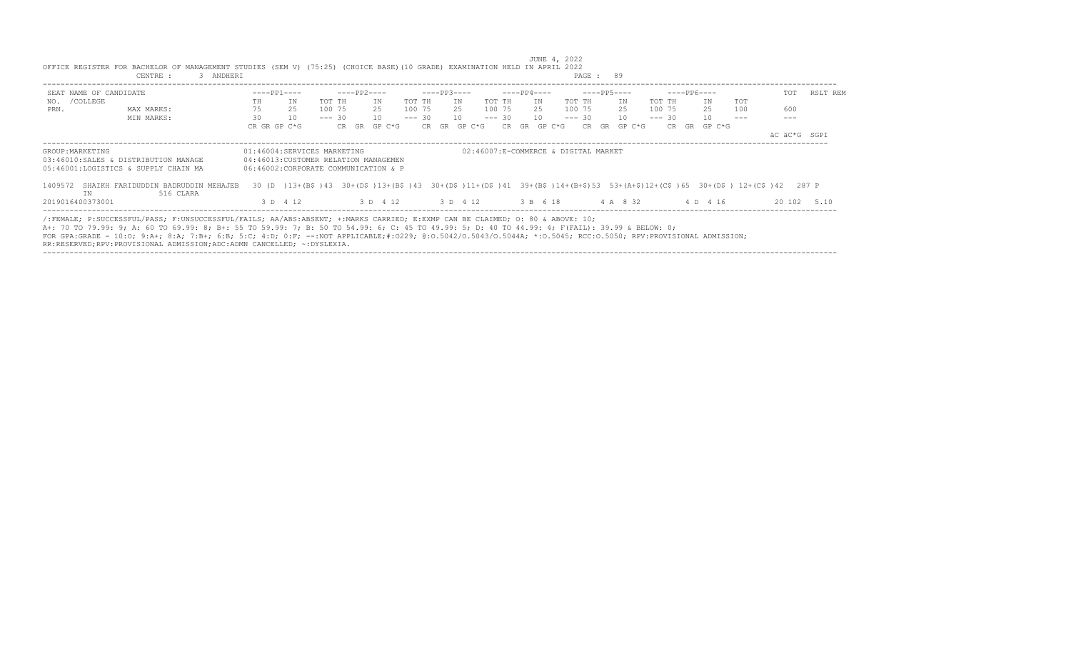|                        | OFFICE REGISTER FOR BACHELOR OF MANAGEMENT STUDIES (SEM V) (75:25) (CHOICE BASE)(10 GRADE) EXAMINATION HELD IN APRIL 2022<br>3 ANDHERI<br>CENTRE :                                                                                                                                                                                                                                                                                                                                                                         |              |                                                                                                                                                |                                     |             |              |        |                  |    |        |              |    |             | PAGE: 89    |              |        |             |              |     |              |          |
|------------------------|----------------------------------------------------------------------------------------------------------------------------------------------------------------------------------------------------------------------------------------------------------------------------------------------------------------------------------------------------------------------------------------------------------------------------------------------------------------------------------------------------------------------------|--------------|------------------------------------------------------------------------------------------------------------------------------------------------|-------------------------------------|-------------|--------------|--------|------------------|----|--------|--------------|----|-------------|-------------|--------------|--------|-------------|--------------|-----|--------------|----------|
| SEAT NAME OF CANDIDATE |                                                                                                                                                                                                                                                                                                                                                                                                                                                                                                                            |              | $---PP1---$                                                                                                                                    |                                     | ----PP2---- |              |        | $---PP3---$      |    |        | $---PP4---$  |    |             | $---PP5---$ |              |        | $---PP6---$ |              |     | TOT          | RSLT REM |
| NO. / COLLEGE          |                                                                                                                                                                                                                                                                                                                                                                                                                                                                                                                            | TH           | ΙN                                                                                                                                             | TOT TH                              |             | TN           | TOT TH |                  | IN | TOT TH |              | TN | TOT TH      |             | ΙN           | TOT TH |             | TN           | TOT |              |          |
| PRN.                   | MAX MARKS:                                                                                                                                                                                                                                                                                                                                                                                                                                                                                                                 | 75           | 25                                                                                                                                             | 100 75                              | 25          |              |        | 100 75 25 100 75 |    |        |              |    | 25 100 75   |             | 25           |        | 100 75      | 25           | 100 | 600          |          |
|                        | MIN MARKS:                                                                                                                                                                                                                                                                                                                                                                                                                                                                                                                 | 30           | 10                                                                                                                                             | $--- 30$                            |             | 10           |        | $--- 30 10$      |    |        | $--- 30 10$  |    | $--- 30 10$ |             |              |        | $--- 30$    | 10           |     |              |          |
|                        |                                                                                                                                                                                                                                                                                                                                                                                                                                                                                                                            | CR GR GP C*G |                                                                                                                                                |                                     |             | CR GR GP C*G |        | CR GR GP C*G     |    |        | CR GR GP C*G |    |             |             | CR GR GP C*G |        |             | CR GR GP C*G |     |              |          |
|                        |                                                                                                                                                                                                                                                                                                                                                                                                                                                                                                                            |              |                                                                                                                                                |                                     |             |              |        |                  |    |        |              |    |             |             |              |        |             |              |     | äC äC*G SGPI |          |
|                        | 03:46010:SALES & DISTRIBUTION MANAGE<br>05:46001:LOGISTICS & SUPPLY CHAIN MA                                                                                                                                                                                                                                                                                                                                                                                                                                               |              | 04:46013: CUSTOMER RELATION MANAGEMEN<br>06:46002:CORPORATE COMMUNICATION & P                                                                  |                                     |             |              |        |                  |    |        |              |    |             |             |              |        |             |              |     |              |          |
|                        | 1409572 SHAIKH FARIDUDDIN BADRUDDIN MEHAJEB                                                                                                                                                                                                                                                                                                                                                                                                                                                                                |              | 30 (D) 13+ (B\$) 43 30+ (D\$) 13+ (B\$) 43 30+ (D\$) 11+ (D\$) 41 39+ (B\$) 14+ (B+\$) 53 53+ (A+\$) 12+ (C\$) 65 30+ (D\$) 12+ (C\$) 42 287 P |                                     |             |              |        |                  |    |        |              |    |             |             |              |        |             |              |     |              |          |
| TN<br>2019016400373001 | 516 CLARA                                                                                                                                                                                                                                                                                                                                                                                                                                                                                                                  |              | 3 D 4 12                                                                                                                                       | 3 D 4 12 3 D 4 12 3 B 6 18 4 A 8 32 |             |              |        |                  |    |        |              |    |             |             |              |        |             | 4 D 4 16     |     | 20 102       | 5 1 0    |
|                        | /:FEMALE; P:SUCCESSFUL/PASS; F:UNSUCCESSFUL/FAILS; AA/ABS:ABSENT; +:MARKS CARRIED; E:EXMP CAN BE CLAIMED; O: 80 & ABOVE: 10;<br>A+: 70 TO 79.99: 9; A: 60 TO 69.99: 8; B+: 55 TO 59.99: 7; B: 50 TO 54.99: 6; C: 45 TO 49.99: 5; D: 40 TO 44.99: 4; F(FAIL): 39.99 & BELOW: 0;<br>FOR GPA:GRADE - 10:0: 9:A+; 8:A; 7:B+; 6:B; 5:C; 4:D; 0:F; --:NOT APPLICABLE;#:0229; 0:0.5042/0.5043/0.5044A; *:0.5045; RCC:0.5050; RPV:PROVISIONAL ADMISSION;<br>RR:RESERVED;RPV:PROVISIONAL ADMISSION;ADC:ADMN CANCELLED; ~: DYSLEXIA. |              |                                                                                                                                                |                                     |             |              |        |                  |    |        |              |    |             |             |              |        |             |              |     |              |          |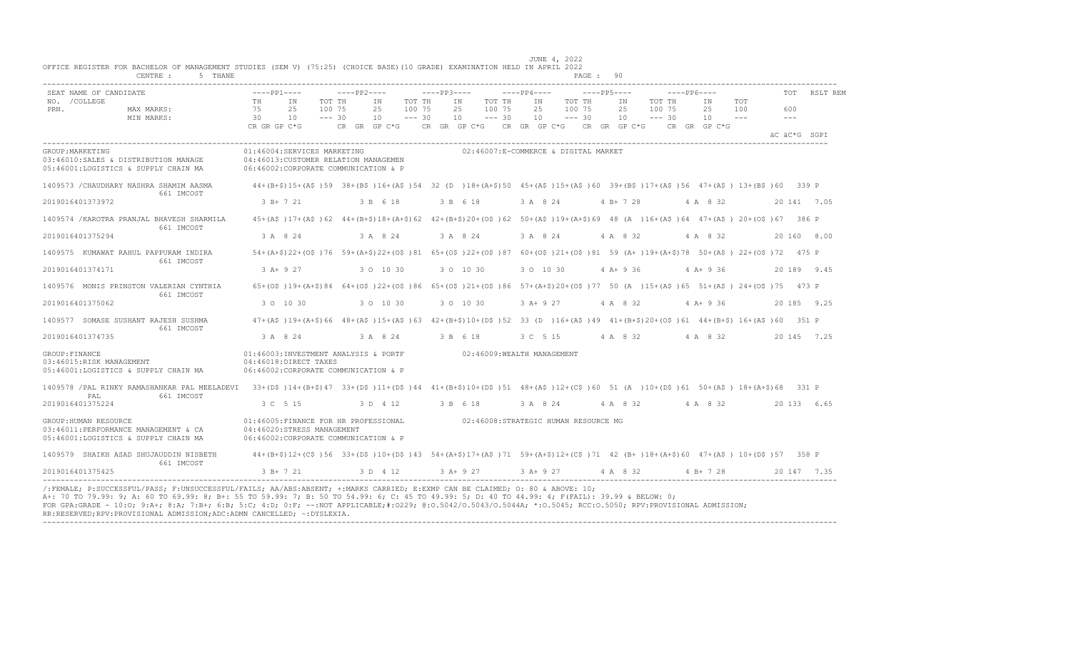|                  | SEAT NAME OF CANDIDATE                                                                                                                                                                      | $---PP1---$        |                                                                                                                                                                                                                                            | $---PP2---$       |           |                    | $---PP3---$ |            |          | $---PP4---$ |                                                                              | $---PP5---$ |             |          | -----PP6---- |                   |                | TOT                        | RSLT REM     |
|------------------|---------------------------------------------------------------------------------------------------------------------------------------------------------------------------------------------|--------------------|--------------------------------------------------------------------------------------------------------------------------------------------------------------------------------------------------------------------------------------------|-------------------|-----------|--------------------|-------------|------------|----------|-------------|------------------------------------------------------------------------------|-------------|-------------|----------|--------------|-------------------|----------------|----------------------------|--------------|
| NO. / COLLEGE    |                                                                                                                                                                                             | TH                 | IN                                                                                                                                                                                                                                         | TOT TH            | ΙN        | TOT TH             |             | IN         | TOT TH   | IN          | TOT TH                                                                       |             | IN          | TOT TH   |              | IN                | TOT            |                            |              |
| PRN.             | MAX MARKS:                                                                                                                                                                                  | 75                 | 25                                                                                                                                                                                                                                         | 100 75            | 25        | 100 75<br>$--- 30$ |             | 25         | 100 75   | 25          | 100 75                                                                       |             | 25          | 100 75   |              | 25                | 100<br>$- - -$ | 600<br>$\qquad \qquad - -$ |              |
|                  | MIN MARKS:                                                                                                                                                                                  | 30<br>CR GR GP C*G | 10                                                                                                                                                                                                                                         | $--- 30$          | 10        |                    |             | 10         | $--- 30$ | 10          | $--- 30$<br>CR GR GP C*G CR GR GP C*G CR GR GP C*G CR GR GP C*G CR GR GP C*G |             | 10          | $--- 30$ |              | 10                |                |                            |              |
|                  |                                                                                                                                                                                             |                    |                                                                                                                                                                                                                                            |                   |           |                    |             |            |          |             |                                                                              |             |             |          |              |                   |                |                            | äC äC*G SGPI |
| GROUP: MARKETING | 03:46010:SALES & DISTRIBUTION MANAGE<br>05:46001:LOGISTICS & SUPPLY CHAIN MA                                                                                                                |                    | 01:46004:SERVICES MARKETING<br>04:46013: CUSTOMER RELATION MANAGEMEN<br>06:46002:CORPORATE COMMUNICATION & P                                                                                                                               |                   |           |                    |             |            |          |             | 02:46007:E-COMMERCE & DIGITAL MARKET                                         |             |             |          |              |                   |                |                            |              |
|                  | 1409573 / CHAUDHARY NASHRA SHAMIM AASMA<br>661 IMCOST                                                                                                                                       |                    | 44+(B+\$)15+(A\$)59 38+(B\$)16+(A\$)54 32 (D )18+(A+\$)50 45+(A\$)15+(A\$)60 39+(B\$)17+(A\$)56 47+(A\$) 13+(B\$)60 339 P                                                                                                                  |                   |           |                    |             |            |          |             |                                                                              |             |             |          |              |                   |                |                            |              |
|                  | 2019016401373972                                                                                                                                                                            |                    | 3 B+ 7 21                                                                                                                                                                                                                                  |                   | 3 B 6 18  |                    |             | 3 B 6 18   |          | 3 A 8 24    |                                                                              |             | $4 B+ 7 28$ |          |              | 4 A 8 32          |                |                            | 20 141 7.05  |
|                  | 1409574 / KAROTRA PRANJAL BHAVESH SHARMILA<br>661 IMCOST                                                                                                                                    |                    | 45+(A\$)17+(A\$)62 44+(B+\$)18+(A+\$)62 42+(B+\$)20+(O\$)62 50+(A\$)19+(A+\$)69 48 (A)16+(A\$)64 47+(A\$) 20+(O\$)67 386 P                                                                                                                 |                   |           |                    |             |            |          |             |                                                                              |             |             |          |              |                   |                |                            |              |
| 2019016401375294 |                                                                                                                                                                                             |                    | 3 A 8 24                                                                                                                                                                                                                                   |                   | 3 A 8 24  |                    |             | 3 A 8 24   |          | 3 A 8 24    |                                                                              |             | 4 A 8 32    |          |              | 4 A 8 32          |                |                            | 20 160 8.00  |
|                  | 1409575 KUMAWAT RAHUL PAPPURAM INDIRA<br>661 IMCOST                                                                                                                                         |                    | 54+(A+\$)22+(O\$)76 59+(A+\$)22+(O\$)81 65+(O\$)22+(O\$)87 60+(O\$)21+(O\$)81 59 (A+)19+(A+\$)78 50+(A\$) 22+(O\$)72 475 P                                                                                                                 |                   |           |                    |             |            |          |             |                                                                              |             |             |          |              |                   |                |                            |              |
|                  | 2019016401374171                                                                                                                                                                            |                    | 3 A+ 9 27                                                                                                                                                                                                                                  |                   | 3 0 10 30 |                    |             | 3 0 10 30  |          | 3 0 10 30   |                                                                              |             | $4 A+9 36$  |          |              | $4 A+9 36$        |                |                            | 20 189 9.45  |
|                  | 1409576 MONIS PRINSTON VALERIAN CYNTHIA<br>661 IMCOST                                                                                                                                       |                    | 65+(0\$)19+(A+\$)84 64+(0\$)22+(0\$)86 65+(0\$)21+(0\$)86 57+(A+\$)20+(0\$)77 50 (A)15+(A\$)65 51+(A\$)24+(0\$)75 473 P                                                                                                                    |                   |           |                    |             |            |          |             |                                                                              |             |             |          |              |                   |                |                            |              |
|                  | 2019016401375062                                                                                                                                                                            |                    | 3 0 10 30                                                                                                                                                                                                                                  |                   | 3 0 10 30 |                    |             | 3 0 10 30  |          | $3 A+9 27$  |                                                                              |             | 4 A 8 32    |          |              | $4 A+9 36$        |                |                            | 20 185 9.25  |
|                  | 1409577 SOMASE SUSHANT RAJESH SUSHMA<br>661 IMCOST                                                                                                                                          |                    | $47+(A\frac{2}{3})19+(A+\frac{2}{3})66$ $48+(A\frac{2}{3})15+(A\frac{2}{3})63$ $42+(B+\frac{2}{3})10+(D\frac{2}{3})52$ 33 (D ) $16+(A\frac{2}{3})49$ $41+(B+\frac{2}{3})20+(O\frac{2}{3})61$ $44+(B+\frac{2}{3})16+(A\frac{2}{3})60$ 351 P |                   |           |                    |             |            |          |             |                                                                              |             |             |          |              |                   |                |                            |              |
|                  | 2019016401374735                                                                                                                                                                            |                    | 3 A 8 24                                                                                                                                                                                                                                   | 3 A 8 24 3 B 6 18 |           |                    |             |            |          |             | 3 C 5 15 4 A 8 32 4 A 8 32                                                   |             |             |          |              |                   |                |                            | 20 145 7.25  |
| GROUP: FINANCE   | 03:46015:RISK MANAGEMENT<br>05:46001:LOGISTICS & SUPPLY CHAIN MA                                                                                                                            |                    | 01:46003:INVESTMENT ANALYSIS & PORTF 02:46009:WEALTH MANAGEMENT<br>04:46018:DIRECT TAXES<br>06:46002:CORPORATE COMMUNICATION & P                                                                                                           |                   |           |                    |             |            |          |             |                                                                              |             |             |          |              |                   |                |                            |              |
|                  | 1409578 /PAL RINKY RAMASHANKAR PAL MEELADEVI 33+(D\$)14+(B+\$)47 33+(D\$)11+(D\$)44 41+(B+\$)10+(D\$)51 48+(A\$)12+(C\$)60 51 (A)10+(D\$)61 50+(A\$) 18+(A+\$)68 331 P<br>661 IMCOST<br>PAL |                    |                                                                                                                                                                                                                                            |                   |           |                    |             |            |          |             |                                                                              |             |             |          |              |                   |                |                            |              |
| 2019016401375224 |                                                                                                                                                                                             |                    | 3 C 5 15                                                                                                                                                                                                                                   |                   | 3 D 4 12  |                    |             | 3 B 6 18   |          | 3 A 8 24    |                                                                              |             |             |          |              | 4 A 8 32 4 A 8 32 |                |                            | 20 133 6.65  |
|                  | GROUP: HUMAN RESOURCE<br>03:46011:PERFORMANCE MANAGEMENT & CA<br>05:46001:LOGISTICS & SUPPLY CHAIN MA                                                                                       |                    | 01:46005:FINANCE FOR HR PROFESSIONAL<br>04:46020:STRESS MANAGEMENT<br>06:46002:CORPORATE COMMUNICATION & P                                                                                                                                 |                   |           |                    |             |            |          |             | 02:46008:STRATEGIC HUMAN RESOURCE MG                                         |             |             |          |              |                   |                |                            |              |
|                  | 1409579 SHAIKH ASAD SHUJAUDDIN NISBETH<br>661 IMCOST                                                                                                                                        |                    | 44+(B+\$)12+(C\$)56 33+(D\$)10+(D\$)43 54+(A+\$)17+(A\$)71 59+(A+\$)12+(C\$)71 42 (B+)18+(A+\$)60 47+(A\$) 10+(D\$)57 358 P                                                                                                                |                   |           |                    |             |            |          |             |                                                                              |             |             |          |              |                   |                |                            |              |
|                  | 2019016401375425                                                                                                                                                                            |                    | $3 B+721$                                                                                                                                                                                                                                  |                   | 3 D 4 12  |                    |             | $3 A+9 27$ |          |             | 3 A + 9 27 4 A 8 32                                                          |             |             |          |              | $4 B+ 7 28$       |                |                            | 20 147 7.35  |

RR:RESERVED;RPV:PROVISIONAL ADMISSION;ADC:ADMN CANCELLED; ~:DYSLEXIA. ----------------------------------------------------------------------------------------------------------------------------------------------------------------------------------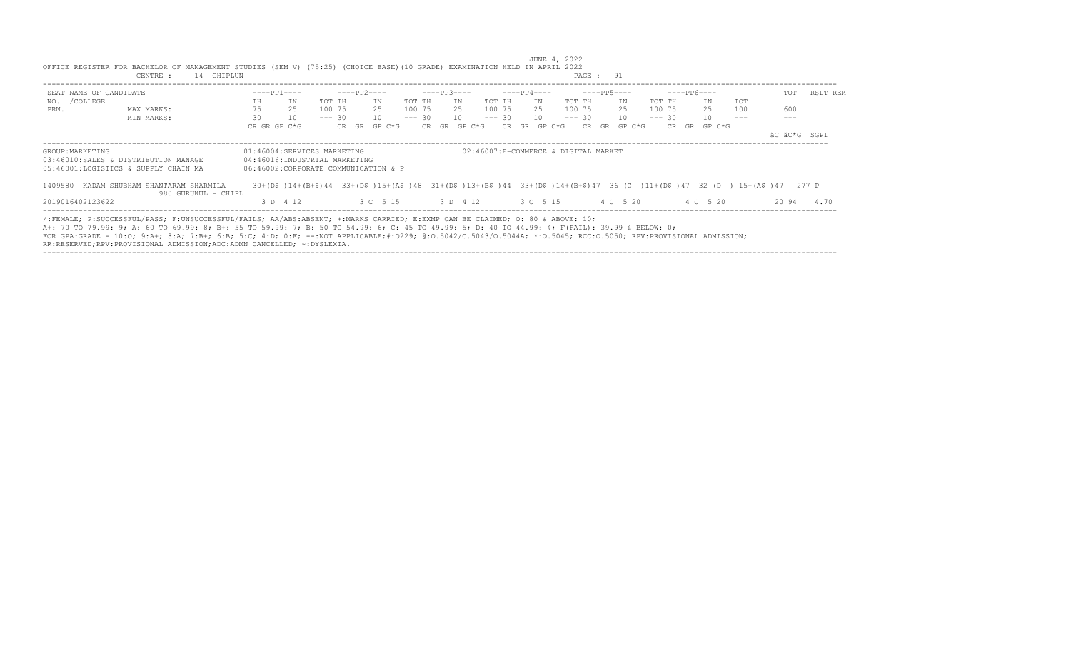| SEAT NAME OF CANDIDATE |                                                                                                                                                                                                                                                                                                                                                                                                                                                  |              | $---PP1---$                                                                                                                                                                                     |          | ----PP2---- |              |        | $---PP3---$ |    |              |             | $---PP4---$ |              |             | $---PP5---$  |          | $---PP6---$                                  |     | TOT          | RSLT REM |
|------------------------|--------------------------------------------------------------------------------------------------------------------------------------------------------------------------------------------------------------------------------------------------------------------------------------------------------------------------------------------------------------------------------------------------------------------------------------------------|--------------|-------------------------------------------------------------------------------------------------------------------------------------------------------------------------------------------------|----------|-------------|--------------|--------|-------------|----|--------------|-------------|-------------|--------------|-------------|--------------|----------|----------------------------------------------|-----|--------------|----------|
| NO. / COLLEGE          |                                                                                                                                                                                                                                                                                                                                                                                                                                                  | TH           | ΙN                                                                                                                                                                                              | TOT TH   |             | TN           | TOT TH |             | IN |              | TOT TH      | TN          |              | TOT TH      | IN           | TOT TH   | TN                                           | TOT |              |          |
| PRN.                   | MAX MARKS:                                                                                                                                                                                                                                                                                                                                                                                                                                       | 75           | 25                                                                                                                                                                                              | 100 75   |             | 25           | 100 75 |             |    |              | 25 100 75   |             | 25 100 75    |             | 25           | 100 75   | 25                                           | 100 | 600          |          |
|                        | MIN MARKS:                                                                                                                                                                                                                                                                                                                                                                                                                                       | 30           | 10                                                                                                                                                                                              | $--- 30$ |             | 10           |        | $--- 30 10$ |    |              | $--- 30 10$ |             |              | $--- 30 10$ |              | $--- 30$ | 10                                           |     |              |          |
|                        |                                                                                                                                                                                                                                                                                                                                                                                                                                                  | CR GR GP C*G |                                                                                                                                                                                                 |          |             | CR GR GP C*G |        |             |    | CR GR GP C*G |             |             | CR GR GP C*G |             | CR GR GP C*G |          | CR GR GP C*G                                 |     |              |          |
|                        |                                                                                                                                                                                                                                                                                                                                                                                                                                                  |              |                                                                                                                                                                                                 |          |             |              |        |             |    |              |             |             |              |             |              |          |                                              |     | äC äC*G SGPI |          |
|                        | 03:46010:SALES & DISTRIBUTION MANAGE<br>05:46001:LOGISTICS & SUPPLY CHAIN MA<br>1409580 KADAM SHUBHAM SHANTARAM SHARMILA                                                                                                                                                                                                                                                                                                                         |              | 04:46016:INDUSTRIAL MARKETING<br>06:46002:CORPORATE COMMUNICATION & P<br>30+(D\$)14+(B+\$)44 33+(D\$)15+(A\$)48 31+(D\$)13+(B\$)44 33+(D\$)14+(B+\$)47 36 (C)11+(D\$)47 32 (D) 15+(A\$)47 277 P |          |             |              |        |             |    |              |             |             |              |             |              |          |                                              |     |              |          |
|                        | 980 GURUKUL - CHIPL                                                                                                                                                                                                                                                                                                                                                                                                                              |              |                                                                                                                                                                                                 |          |             |              |        |             |    |              |             |             |              |             |              |          |                                              |     |              |          |
| 2019016402123622       |                                                                                                                                                                                                                                                                                                                                                                                                                                                  |              | 3 D 4 12                                                                                                                                                                                        |          |             |              |        |             |    |              |             |             |              |             |              |          | 3 C 5 15 3 D 4 12 3 C 5 15 4 C 5 20 4 C 5 20 |     | 2094         | 4.70     |
|                        | /:FEMALE; P:SUCCESSFUL/PASS; F:UNSUCCESSFUL/FAILS; AA/ABS:ABSENT; +:MARKS CARRIED; E:EXMP CAN BE CLAIMED; O: 80 & ABOVE: 10;<br>A+: 70 TO 79.99: 9; A: 60 TO 69.99: 8; B+: 55 TO 59.99: 7; B: 50 TO 54.99: 6; C: 45 TO 49.99: 5; D: 40 TO 44.99: 4; F(FAIL): 39.99 & BELOW: 0;<br>FOR GPA:GRADE - 10:0; 9:A+; 8:A; 7:B+; 6:B; 5:C; 4:D; 0:F; --:NOT APPLICABLE;#:0229; 0:0.5042/0.5043/0.5044A; *:0.5045; RCC:0.5050; RPV:PROVISIONAL ADMISSION; |              |                                                                                                                                                                                                 |          |             |              |        |             |    |              |             |             |              |             |              |          |                                              |     |              |          |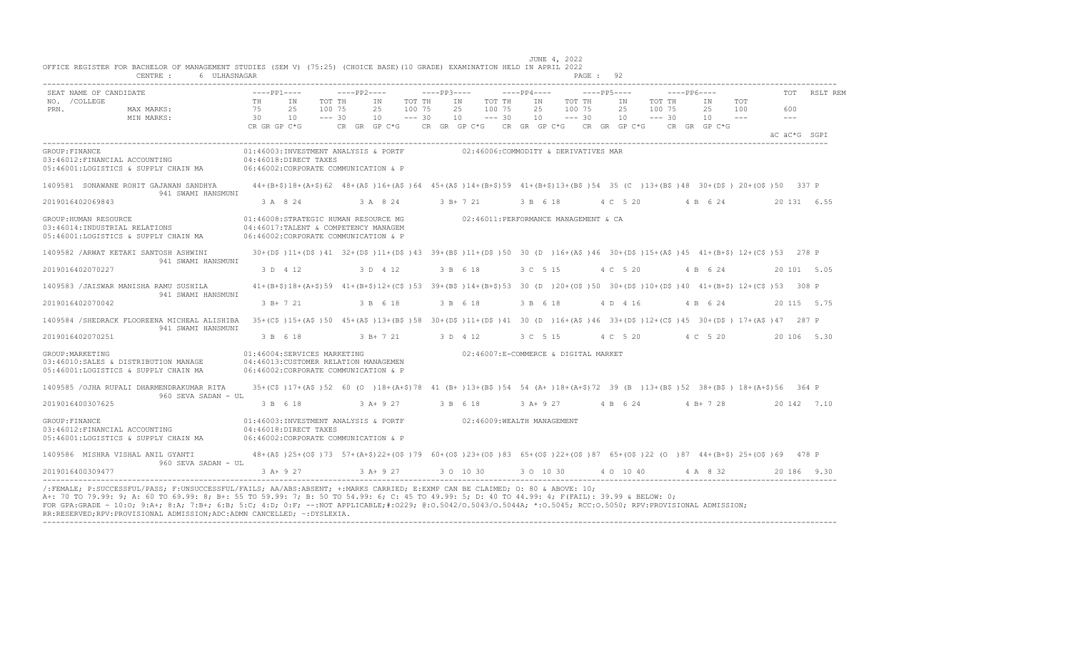| NO. / COLLEGE<br>TH<br>IN<br>TOT TH<br>ΙN<br>TOT TH<br>IN<br>TOT TH<br>TOT TH<br>IN<br>TOT TH<br>IN<br>TOT<br>IN<br>25<br>100 75<br>25<br>25<br>PRN.<br>MAX MARKS:<br>75<br>25<br>100 75<br>25<br>100 75<br>100 75<br>25<br>100 75<br>100<br>600<br>MIN MARKS:<br>$--- 30$<br>$--- 30$<br>$--- 30$<br>$--- 30$<br>$--- 30$<br>10<br>30<br>10<br>10<br>10<br>10<br>10<br>$- - -$<br>$\frac{1}{2}$<br>CR GR GP C*G<br>CR GR GP C*G $\,$ CR GR GP C*G $\,$ CR GR GP C*G $\,$ CR GR GP C*G $\,$<br>CR GR GP C*G<br>äC äC*G SGPI<br>01:46003:INVESTMENT ANALYSIS & PORTF 02:46006:COMMODITY & DERIVATIVES MAR<br>04:46018:DIRECT TAXES<br>06:46002:CORPORATE COMMUNICATION & P<br>44+(B+\$)18+(A+\$)62 48+(A\$)16+(A\$)64 45+(A\$)14+(B+\$)59 41+(B+\$)13+(B\$)54 35 (C)13+(B\$)48 30+(D\$)20+(O\$)50 337 P<br>941 SWAMI HANSMUNI<br>3 A 8 24<br>3 A 8 24<br>3 B+ 7 21<br>4 C 5 20<br>4 B 6 24<br>20 131 6.55<br>3 B 6 18<br>01:46008:STRATEGIC HUMAN RESOURCE MG<br>02:46011:PERFORMANCE MANAGEMENT & CA<br>04:46017:TALENT & COMPETENCY MANAGEM<br>06:46002:CORPORATE COMMUNICATION & P<br>30+(D\$)11+(D\$)41 32+(D\$)11+(D\$)43 39+(B\$)11+(D\$)50 30 (D )16+(A\$)46 30+(D\$)15+(A\$)45 41+(B+\$) 12+(C\$)53 278 P<br>941 SWAMI HANSMUNI<br>3 D 4 12<br>3 D 4 12<br>3 B 6 18<br>3 C 5 15<br>4 C 5 20<br>4 B 6 24<br>20 101 5.05<br>$41 + (B+\$)18 + (A+\$)59$ $41 + (B+\$)12 + (C\$)53$ $39 + (B\$)14 + (B+\$)53$ $30$ (D ) $20 + (O\$)50$ $30 + (D\$)10 + (D\$)40$ $41 + (B+\$)12 + (C\$)53$ $308$ P<br>941 SWAMI HANSMUNI<br>$3 B+ 7 21$<br>3 B 6 18<br>3 B 6 18<br>3 B 6 18<br>4 D 4 16<br>4 B 6 24<br>20 115 5.75<br>35+(C\$)15+(A\$)50 45+(A\$)13+(B\$)58 30+(D\$)11+(D\$)41 30 (D)16+(A\$)46 33+(D\$)12+(C\$)45 30+(D\$)17+(A\$)47 287 P<br>941 SWAMI HANSMUNI<br>3 B 6 18<br>3 B + 7 21 3 D 4 12<br>4 C 5 20 4 C 5 20<br>20 106 5.30<br>3 C 5 15<br>01:46004:SERVICES MARKETING<br>02:46007:E-COMMERCE & DIGITAL MARKET<br>04:46013:CUSTOMER RELATION MANAGEMEN<br>06:46002:CORPORATE COMMUNICATION & P<br>35+(C\$)17+(A\$)52 60 (O)18+(A+\$)78 41 (B+)13+(B\$)54 54 (A+)18+(A+\$)72 39 (B)13+(B\$)52 38+(B\$) 18+(A+\$)56 364 P<br>960 SEVA SADAN - UL<br>3 B 6 18<br>3 A+ 9 27<br>3 B 6 18<br>$3 A+9 27$<br>4 B 6 24<br>$4 B+ 7 28$<br>20 142 7.10<br>01:46003:INVESTMENT ANALYSIS & PORTF 02:46009:WEALTH MANAGEMENT<br>04:46018:DIRECT TAXES<br>06:46002:CORPORATE COMMUNICATION & P | SEAT NAME OF CANDIDATE                 | $---PP1---$ | $---PP2---$ |  | $---PP3---$ |  | $---PP4---$ |  | $---PP5---$ |  | $---PP6---$ |  | RSLT REM |
|-----------------------------------------------------------------------------------------------------------------------------------------------------------------------------------------------------------------------------------------------------------------------------------------------------------------------------------------------------------------------------------------------------------------------------------------------------------------------------------------------------------------------------------------------------------------------------------------------------------------------------------------------------------------------------------------------------------------------------------------------------------------------------------------------------------------------------------------------------------------------------------------------------------------------------------------------------------------------------------------------------------------------------------------------------------------------------------------------------------------------------------------------------------------------------------------------------------------------------------------------------------------------------------------------------------------------------------------------------------------------------------------------------------------------------------------------------------------------------------------------------------------------------------------------------------------------------------------------------------------------------------------------------------------------------------------------------------------------------------------------------------------------------------------------------------------------------------------------------------------------------------------------------------------------------------------------------------------------------------------------------------------------------------------------------------------------------------------------------------------------------------------------------------------------------------------------------------------------------------------------------------------------------------------------------------------------------------------------------------------------------------------------|----------------------------------------|-------------|-------------|--|-------------|--|-------------|--|-------------|--|-------------|--|----------|
| GROUP: FINANCE<br>03:46012: FINANCIAL ACCOUNTING<br>05:46001:LOGISTICS & SUPPLY CHAIN MA<br>2019016402069843<br>GROUP: HUMAN RESOURCE<br>03:46014: INDUSTRIAL RELATIONS<br>05:46001:LOGISTICS & SUPPLY CHAIN MA<br>1409582 / ARWAT KETAKI SANTOSH ASHWINI<br>2019016402070227<br>2019016402070042<br>1409584 /SHEDRACK FLOOREENA MICHEAL ALISHIBA<br>2019016402070251<br>GROUP: MARKETING<br>03:46010:SALES & DISTRIBUTION MANAGE<br>05:46001:LOGISTICS & SUPPLY CHAIN MA<br>1409585 / OJHA RUPALI DHARMENDRAKUMAR RITA<br>2019016400307625<br>GROUP: FINANCE<br>03:46012:FINANCIAL ACCOUNTING                                                                                                                                                                                                                                                                                                                                                                                                                                                                                                                                                                                                                                                                                                                                                                                                                                                                                                                                                                                                                                                                                                                                                                                                                                                                                                                                                                                                                                                                                                                                                                                                                                                                                                                                                                                                |                                        |             |             |  |             |  |             |  |             |  |             |  |          |
|                                                                                                                                                                                                                                                                                                                                                                                                                                                                                                                                                                                                                                                                                                                                                                                                                                                                                                                                                                                                                                                                                                                                                                                                                                                                                                                                                                                                                                                                                                                                                                                                                                                                                                                                                                                                                                                                                                                                                                                                                                                                                                                                                                                                                                                                                                                                                                                               |                                        |             |             |  |             |  |             |  |             |  |             |  |          |
| 1409583 /JAISWAR MANISHA RAMU SUSHILA                                                                                                                                                                                                                                                                                                                                                                                                                                                                                                                                                                                                                                                                                                                                                                                                                                                                                                                                                                                                                                                                                                                                                                                                                                                                                                                                                                                                                                                                                                                                                                                                                                                                                                                                                                                                                                                                                                                                                                                                                                                                                                                                                                                                                                                                                                                                                         | 1409581 SONAWANE ROHIT GAJANAN SANDHYA |             |             |  |             |  |             |  |             |  |             |  |          |
|                                                                                                                                                                                                                                                                                                                                                                                                                                                                                                                                                                                                                                                                                                                                                                                                                                                                                                                                                                                                                                                                                                                                                                                                                                                                                                                                                                                                                                                                                                                                                                                                                                                                                                                                                                                                                                                                                                                                                                                                                                                                                                                                                                                                                                                                                                                                                                                               |                                        |             |             |  |             |  |             |  |             |  |             |  |          |
|                                                                                                                                                                                                                                                                                                                                                                                                                                                                                                                                                                                                                                                                                                                                                                                                                                                                                                                                                                                                                                                                                                                                                                                                                                                                                                                                                                                                                                                                                                                                                                                                                                                                                                                                                                                                                                                                                                                                                                                                                                                                                                                                                                                                                                                                                                                                                                                               |                                        |             |             |  |             |  |             |  |             |  |             |  |          |
|                                                                                                                                                                                                                                                                                                                                                                                                                                                                                                                                                                                                                                                                                                                                                                                                                                                                                                                                                                                                                                                                                                                                                                                                                                                                                                                                                                                                                                                                                                                                                                                                                                                                                                                                                                                                                                                                                                                                                                                                                                                                                                                                                                                                                                                                                                                                                                                               |                                        |             |             |  |             |  |             |  |             |  |             |  |          |
|                                                                                                                                                                                                                                                                                                                                                                                                                                                                                                                                                                                                                                                                                                                                                                                                                                                                                                                                                                                                                                                                                                                                                                                                                                                                                                                                                                                                                                                                                                                                                                                                                                                                                                                                                                                                                                                                                                                                                                                                                                                                                                                                                                                                                                                                                                                                                                                               |                                        |             |             |  |             |  |             |  |             |  |             |  |          |
|                                                                                                                                                                                                                                                                                                                                                                                                                                                                                                                                                                                                                                                                                                                                                                                                                                                                                                                                                                                                                                                                                                                                                                                                                                                                                                                                                                                                                                                                                                                                                                                                                                                                                                                                                                                                                                                                                                                                                                                                                                                                                                                                                                                                                                                                                                                                                                                               |                                        |             |             |  |             |  |             |  |             |  |             |  |          |
|                                                                                                                                                                                                                                                                                                                                                                                                                                                                                                                                                                                                                                                                                                                                                                                                                                                                                                                                                                                                                                                                                                                                                                                                                                                                                                                                                                                                                                                                                                                                                                                                                                                                                                                                                                                                                                                                                                                                                                                                                                                                                                                                                                                                                                                                                                                                                                                               |                                        |             |             |  |             |  |             |  |             |  |             |  |          |
|                                                                                                                                                                                                                                                                                                                                                                                                                                                                                                                                                                                                                                                                                                                                                                                                                                                                                                                                                                                                                                                                                                                                                                                                                                                                                                                                                                                                                                                                                                                                                                                                                                                                                                                                                                                                                                                                                                                                                                                                                                                                                                                                                                                                                                                                                                                                                                                               |                                        |             |             |  |             |  |             |  |             |  |             |  |          |
|                                                                                                                                                                                                                                                                                                                                                                                                                                                                                                                                                                                                                                                                                                                                                                                                                                                                                                                                                                                                                                                                                                                                                                                                                                                                                                                                                                                                                                                                                                                                                                                                                                                                                                                                                                                                                                                                                                                                                                                                                                                                                                                                                                                                                                                                                                                                                                                               | 05:46001:LOGISTICS & SUPPLY CHAIN MA   |             |             |  |             |  |             |  |             |  |             |  |          |
| 48+(A\$)25+(O\$)73 57+(A+\$)22+(O\$)79 60+(O\$)23+(O\$)83 65+(O\$)22+(O\$)87 65+(O\$)22 (O )87 44+(B+\$)25+(O\$)69 478 P<br>1409586 MISHRA VISHAL ANIL GYANTI<br>960 SEVA SADAN - UL<br>2019016400309477<br>$3 A+9 27$<br>3 0 10 30<br>3 0 10 30 4 0 10 40 4 A 8 32<br>20 186 9.30<br>3 A+ 9 27                                                                                                                                                                                                                                                                                                                                                                                                                                                                                                                                                                                                                                                                                                                                                                                                                                                                                                                                                                                                                                                                                                                                                                                                                                                                                                                                                                                                                                                                                                                                                                                                                                                                                                                                                                                                                                                                                                                                                                                                                                                                                               |                                        |             |             |  |             |  |             |  |             |  |             |  |          |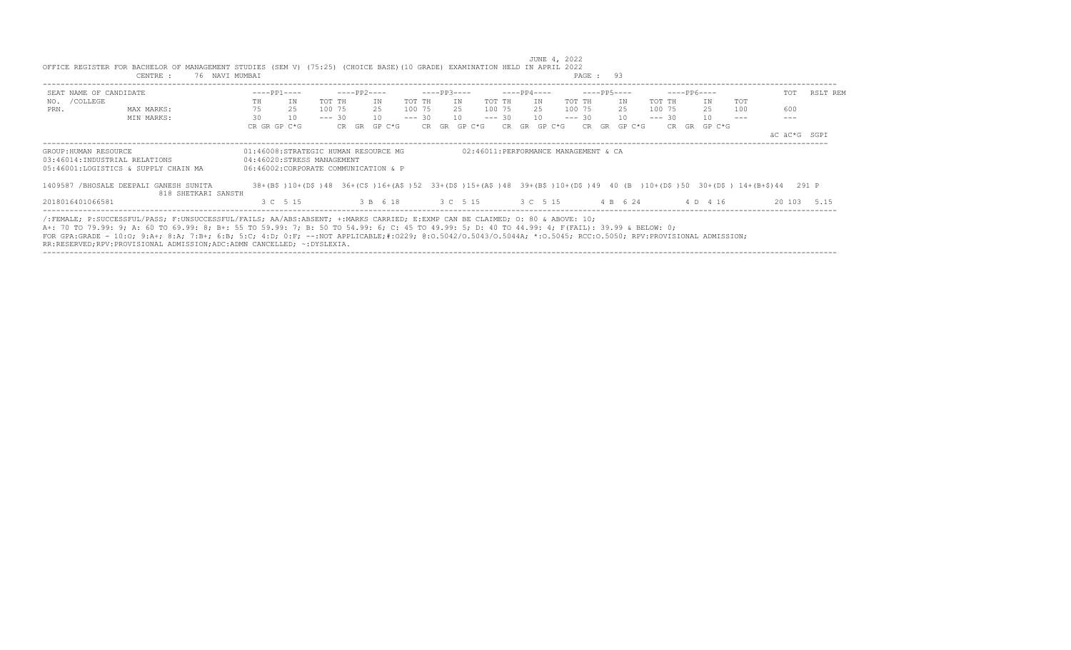| SEAT NAME OF CANDIDATE |                                                                                                                                                                                                                                                                                                                                                                                                                                                  |    | $---PP1---$                          |          | ----PP2---- |                                     |        | $---PP3---$      |    |             | $---PP4---$ |              |        | ----PP5----  |    |          | $---PP6---$  |     | TOT                                                                                                                    | RSLT REM    |
|------------------------|--------------------------------------------------------------------------------------------------------------------------------------------------------------------------------------------------------------------------------------------------------------------------------------------------------------------------------------------------------------------------------------------------------------------------------------------------|----|--------------------------------------|----------|-------------|-------------------------------------|--------|------------------|----|-------------|-------------|--------------|--------|--------------|----|----------|--------------|-----|------------------------------------------------------------------------------------------------------------------------|-------------|
| NO. / COLLEGE          |                                                                                                                                                                                                                                                                                                                                                                                                                                                  | TH | ΙN                                   | TOT TH   |             | TN                                  | TOT TH |                  | IN | TOT TH      | TN          |              | TOT TH |              | IN | TOT TH   | TN           | TOT |                                                                                                                        |             |
| PRN.                   | MAX MARKS:                                                                                                                                                                                                                                                                                                                                                                                                                                       | 75 | 25                                   | 100 75   |             | 25                                  |        | 100 75 25 100 75 |    |             |             | 25 100 75    |        |              | 25 | 100 75   | 25           | 100 | 600                                                                                                                    |             |
|                        | MIN MARKS:                                                                                                                                                                                                                                                                                                                                                                                                                                       | 30 | 10                                   | $--- 30$ |             | 10                                  |        | $--- 30 10$      |    | $--- 30 10$ |             |              |        | $--- 30 10$  |    | $--- 30$ | 10           |     |                                                                                                                        |             |
|                        |                                                                                                                                                                                                                                                                                                                                                                                                                                                  |    | CR GR GP C*G                         |          |             | CR GR GP C*G                        |        | CR GR GP C*G     |    |             |             | CR GR GP C*G |        | CR GR GP C*G |    |          | CR GR GP C*G |     |                                                                                                                        |             |
|                        |                                                                                                                                                                                                                                                                                                                                                                                                                                                  |    |                                      |          |             |                                     |        |                  |    |             |             |              |        |              |    |          |              |     | äC äC*G SGPI                                                                                                           |             |
|                        | 05:46001:LOGISTICS & SUPPLY CHAIN MA<br>1409587 /BHOSALE DEEPALI GANESH SUNITA<br>818 SHETKARI SANSTH                                                                                                                                                                                                                                                                                                                                            |    | 06:46002:CORPORATE COMMUNICATION & P |          |             |                                     |        |                  |    |             |             |              |        |              |    |          |              |     | 38+(B\$)10+(D\$)48 36+(C\$)16+(A\$)52 33+(D\$)15+(A\$)48 39+(B\$)10+(D\$)49 40 (B)10+(D\$)50 30+(D\$)14+(B+\$)44 291 P |             |
| 2018016401066581       |                                                                                                                                                                                                                                                                                                                                                                                                                                                  |    | 3 C 5 15                             |          |             | 3 B 6 18 3 C 5 15 3 C 5 15 4 B 6 24 |        |                  |    |             |             |              |        |              |    |          | 4 D 4 16     |     |                                                                                                                        | 20 103 5.15 |
|                        | /:FEMALE; P:SUCCESSFUL/PASS; F:UNSUCCESSFUL/FAILS; AA/ABS:ABSENT; +:MARKS CARRIED; E:EXMP CAN BE CLAIMED; O: 80 & ABOVE: 10;<br>A+: 70 TO 79.99: 9; A: 60 TO 69.99: 8; B+: 55 TO 59.99: 7; B: 50 TO 54.99: 6; C: 45 TO 49.99: 5; D: 40 TO 44.99: 4; F(FAIL): 39.99 & BELOW: 0;<br>FOR GPA:GRADE - 10:0; 9:A+; 8:A; 7:B+; 6:B; 5:C; 4:D; 0:F; --:NOT APPLICABLE;#:0229; 0:0.5042/0.5043/0.5044A; *:0.5045; RCC:0.5050; RPV:PROVISIONAL ADMISSION; |    |                                      |          |             |                                     |        |                  |    |             |             |              |        |              |    |          |              |     |                                                                                                                        |             |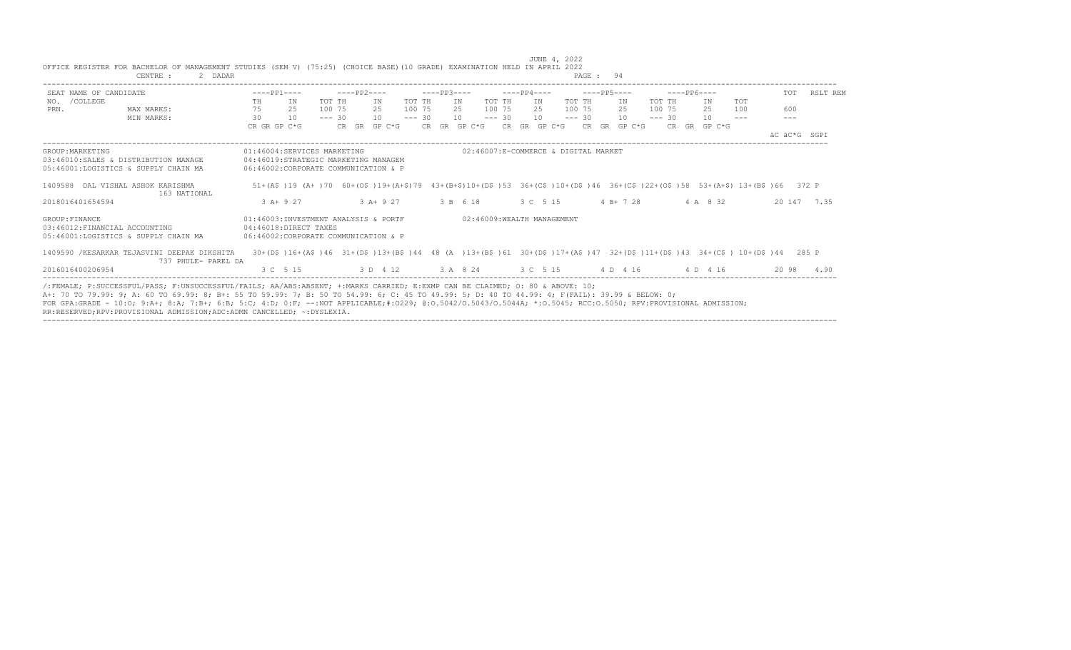|                  | OFFICE REGISTER FOR BACHELOR OF MANAGEMENT STUDIES (SEM V) (75:25) (CHOICE BASE)(10 GRADE) EXAMINATION HELD IN APRIL 2022<br>CENTRE :<br>2 DADAR                                                                                                                                                                                                                                                                                                                                                                           |                                      |                                                                                                                            |             |              |          |             |                            |          |             |                                      | PAGE: 94    |              |          |             |              |               |              |          |
|------------------|----------------------------------------------------------------------------------------------------------------------------------------------------------------------------------------------------------------------------------------------------------------------------------------------------------------------------------------------------------------------------------------------------------------------------------------------------------------------------------------------------------------------------|--------------------------------------|----------------------------------------------------------------------------------------------------------------------------|-------------|--------------|----------|-------------|----------------------------|----------|-------------|--------------------------------------|-------------|--------------|----------|-------------|--------------|---------------|--------------|----------|
|                  | SEAT NAME OF CANDIDATE                                                                                                                                                                                                                                                                                                                                                                                                                                                                                                     | $---PP1---$                          |                                                                                                                            | $---PP2---$ |              |          | $---PP3---$ |                            |          | $---PP4---$ |                                      | $---PP5---$ |              |          | $---PP6---$ |              |               | TOT          | RSLT REM |
| NO. / COLLEGE    |                                                                                                                                                                                                                                                                                                                                                                                                                                                                                                                            | TH                                   | IN                                                                                                                         | TOT TH      | IN           | TOT TH   |             | IN                         | TOT TH   | IN          |                                      | TOT TH      | IN           | TOT TH   |             | ΙN           | TOT           |              |          |
| PRN.             | MAX MARKS:                                                                                                                                                                                                                                                                                                                                                                                                                                                                                                                 | 75<br>25                             |                                                                                                                            | 100 75      | 2.5          | 100 75   |             | 2.5                        | 100 75   | 2.5         |                                      | 100 75      | 2.5          | 100 75   |             | 25           | 100           | 600          |          |
|                  | MIN MARKS:                                                                                                                                                                                                                                                                                                                                                                                                                                                                                                                 | 30                                   | 10                                                                                                                         | $--- 30$    | 10           | $--- 30$ |             | 10                         | $--- 30$ |             | 10                                   | $--- 30$    | 10           | $--- 30$ |             | 10           | $\frac{1}{2}$ | $---$        |          |
|                  |                                                                                                                                                                                                                                                                                                                                                                                                                                                                                                                            | CR GR GP C*G                         |                                                                                                                            |             | CR GR GP C*G |          |             | CR GR GP C*G CR GR GP C*G  |          |             |                                      |             | CR GR GP C*G |          |             | CR GR GP C*G |               |              |          |
|                  |                                                                                                                                                                                                                                                                                                                                                                                                                                                                                                                            |                                      |                                                                                                                            |             |              |          |             |                            |          |             |                                      |             |              |          |             |              |               | AC AC*G SGPI |          |
| GROUP: MARKETING | 03:46010:SALES & DISTRIBUTION MANAGE<br>05:46001:LOGISTICS & SUPPLY CHAIN MA                                                                                                                                                                                                                                                                                                                                                                                                                                               | 06:46002:CORPORATE COMMUNICATION & P | 01:46004:SERVICES MARKETING<br>04:46019:STRATEGIC MARKETING MANAGEM                                                        |             |              |          |             |                            |          |             | 02:46007:E-COMMERCE & DIGITAL MARKET |             |              |          |             |              |               |              |          |
|                  | 1409588 DAL VISHAL ASHOK KARISHMA<br>163 NATIONAL                                                                                                                                                                                                                                                                                                                                                                                                                                                                          |                                      | 51+(A\$)19 (A+)70 60+(O\$)19+(A+\$)79 43+(B+\$)10+(D\$)53 36+(C\$)10+(D\$)46 36+(C\$)22+(O\$)58 53+(A+\$) 13+(B\$)66 372 P |             |              |          |             |                            |          |             |                                      |             |              |          |             |              |               |              |          |
| 2018016401654594 |                                                                                                                                                                                                                                                                                                                                                                                                                                                                                                                            | $3 A+9 27$                           |                                                                                                                            |             | $3 A+9 27$   |          |             | 3 B 6 18                   |          |             | 3 C 5 15                             |             | $4 B+ 7 28$  |          |             | 4 A 8 32     |               | 20 147 7.35  |          |
| GROUP: FINANCE   | 03:46012: FINANCIAL ACCOUNTING<br>05:46001:LOGISTICS & SUPPLY CHAIN MA                                                                                                                                                                                                                                                                                                                                                                                                                                                     |                                      | 01:46003:INVESTMENT ANALYSIS & PORTF<br>04:46018:DIRECT TAXES<br>06:46002:CORPORATE COMMUNICATION & P                      |             |              |          |             | 02:46009:WEALTH MANAGEMENT |          |             |                                      |             |              |          |             |              |               |              |          |
|                  | 1409590 /KESARKAR TEJASVINI DEEPAK DIKSHITA<br>737 PHULE- PAREL DA                                                                                                                                                                                                                                                                                                                                                                                                                                                         |                                      | 30+(D\$)16+(A\$)46 31+(D\$)13+(B\$)44 48 (A)13+(B\$)61 30+(D\$)17+(A\$)47 32+(D\$)11+(D\$)43 34+(C\$) 10+(D\$)44 285 P     |             |              |          |             |                            |          |             |                                      |             |              |          |             |              |               |              |          |
| 2016016400206954 |                                                                                                                                                                                                                                                                                                                                                                                                                                                                                                                            |                                      | 3 C 5 15 3 D 4 12 3 A 8 24 3 C 5 15 4 D 4 16 4 D 4 16                                                                      |             |              |          |             |                            |          |             |                                      |             |              |          |             |              |               | 20 98        | 4.90     |
|                  | /:FEMALE: P:SUCCESSFUL/PASS: F:UNSUCCESSFUL/FAILS: AA/ABS:ABSENT: +:MARKS CARRIED: E:EXMP CAN BE CLAIMED: 0: 80 & ABOVE: 10:<br>A+: 70 TO 79.99: 9; A: 60 TO 69.99: 8; B+: 55 TO 59.99: 7; B: 50 TO 54.99: 6; C: 45 TO 49.99: 5; D: 40 TO 44.99: 4; F(FAIL): 39.99 & BELOW: 0;<br>FOR GPA:GRADE - 10:0; 9:A+; 8:A; 7:B+; 6:B; 5:C; 4:D; 0:F; --:NOT APPLICABLE;#:0229; 0:0.5042/0.5043/0.5044A; *:0.5045; RCC:0.5050; RPV:PROVISIONAL ADMISSION;<br>RR:RESERVED;RPV:PROVISIONAL ADMISSION;ADC:ADMN CANCELLED; ~: DYSLEXIA. |                                      |                                                                                                                            |             |              |          |             |                            |          |             |                                      |             |              |          |             |              |               |              |          |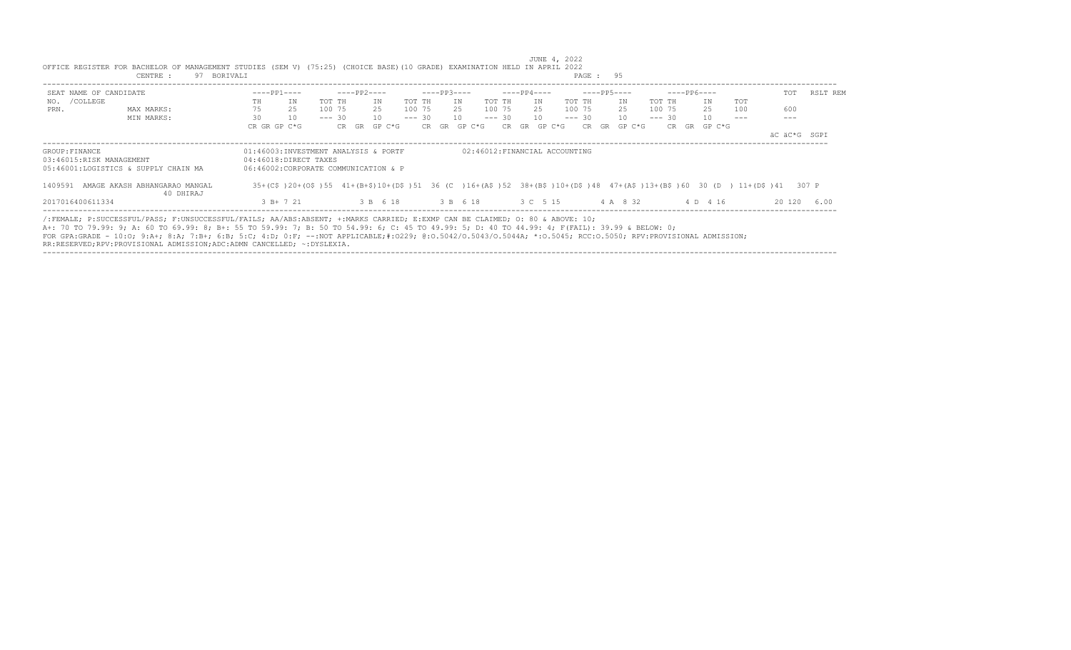|                                            | CENTRE :<br>97 BORIVALI                                                                                                                                                                                                                                                                                                                                                                                                                                                                                                   |                                                                                                       |                 |          |              |                               | PAGE: 95        |                                                                                                                       |              |          |
|--------------------------------------------|---------------------------------------------------------------------------------------------------------------------------------------------------------------------------------------------------------------------------------------------------------------------------------------------------------------------------------------------------------------------------------------------------------------------------------------------------------------------------------------------------------------------------|-------------------------------------------------------------------------------------------------------|-----------------|----------|--------------|-------------------------------|-----------------|-----------------------------------------------------------------------------------------------------------------------|--------------|----------|
| SEAT NAME OF CANDIDATE                     |                                                                                                                                                                                                                                                                                                                                                                                                                                                                                                                           | $---PP1---$                                                                                           | $---PP2---$     |          | $---PP3---$  | ----PP4----                   | $---PP5---$     | $---PP6---$                                                                                                           | TOT          | RSLT REM |
| NO. / COLLEGE                              |                                                                                                                                                                                                                                                                                                                                                                                                                                                                                                                           | IN<br>TH                                                                                              | TOT TH<br>IN    | TOT TH   | IN           | TOT TH<br>IN                  | TOT TH<br>IN    | TOT TH<br><b>TOT</b><br>IN                                                                                            |              |          |
| PRN.                                       | MAX MARKS:                                                                                                                                                                                                                                                                                                                                                                                                                                                                                                                | 75<br>25                                                                                              | 100 75<br>25    | 100 75   | 25           | 100 75<br>25                  | 100 75<br>25    | 25<br>100<br>100 75                                                                                                   | 600          |          |
|                                            | MIN MARKS:                                                                                                                                                                                                                                                                                                                                                                                                                                                                                                                | 30<br>10                                                                                              | $--- 30$<br>10  | $--- 30$ | 10           | $--- 30$<br>10                | $--- 30$<br>10  | $--- 30$<br>10<br>---                                                                                                 | ---          |          |
|                                            |                                                                                                                                                                                                                                                                                                                                                                                                                                                                                                                           | CR GR GP C*G                                                                                          | GP C*G<br>CR GR |          | CR GR GP C*G | CR GR GP C*G                  | CR GR<br>GP C*G | CR GR GP C*G                                                                                                          |              |          |
|                                            |                                                                                                                                                                                                                                                                                                                                                                                                                                                                                                                           |                                                                                                       |                 |          |              |                               |                 |                                                                                                                       | äC äC*G SGPI |          |
| GROUP: FINANCE<br>03:46015:RISK MANAGEMENT | 05:46001:LOGISTICS & SUPPLY CHAIN MA                                                                                                                                                                                                                                                                                                                                                                                                                                                                                      | 01:46003:INVESTMENT ANALYSIS & PORTF<br>04:46018:DIRECT TAXES<br>06:46002:CORPORATE COMMUNICATION & P |                 |          |              | 02:46012:FINANCIAL ACCOUNTING |                 |                                                                                                                       |              |          |
| 1409591                                    | AMAGE AKASH ABHANGARAO MANGAL<br>40 DHIRAJ                                                                                                                                                                                                                                                                                                                                                                                                                                                                                |                                                                                                       |                 |          |              |                               |                 | 35+(C\$)20+(O\$)55 41+(B+\$)10+(D\$)51 36 (C)16+(A\$)52 38+(B\$)10+(D\$)48 47+(A\$)13+(B\$)60 30 (D) 11+(D\$)41 307 P |              |          |
| 2017016400611334                           |                                                                                                                                                                                                                                                                                                                                                                                                                                                                                                                           | 3 B+ 7 21                                                                                             | 3 B 6 18        |          | 3 B 6 18     | 3 C 5 15                      | 4 A 8 32        | 4 D 4 16                                                                                                              | 20 120       | 6.00     |
|                                            | /:FEMALE; P:SUCCESSFUL/PASS; F:UNSUCCESSFUL/FAILS; AA/ABS:ABSENT; +:MARKS CARRIED; E:EXMP CAN BE CLAIMED; 0: 80 & ABOVE: 10;<br>A+: 70 TO 79.99: 9; A: 60 TO 69.99: 8; B+: 55 TO 59.99: 7; B: 50 TO 54.99: 6; C: 45 TO 49.99: 5; D: 40 TO 44.99: 4; F(FAIL): 39.99 & BELOW: 0;<br>FOR GPA:GRADE - 10:0; 9:A+; 8:A; 7:B+; 6:B; 5:C; 4:D; 0:F; --:NOT APPLICABLE;#:0229; 0:0.5042/0.5043/0.5044A; *:0.5045; RCC:0.5050; RPV:PROVISIONAL ADMISSION;<br>RR:RESERVED;RPV:PROVISIONAL ADMISSION;ADC:ADMN CANCELLED; ~:DYSLEXIA. |                                                                                                       |                 |          |              |                               |                 |                                                                                                                       |              |          |

----------------------------------------------------------------------------------------------------------------------------------------------------------------------------------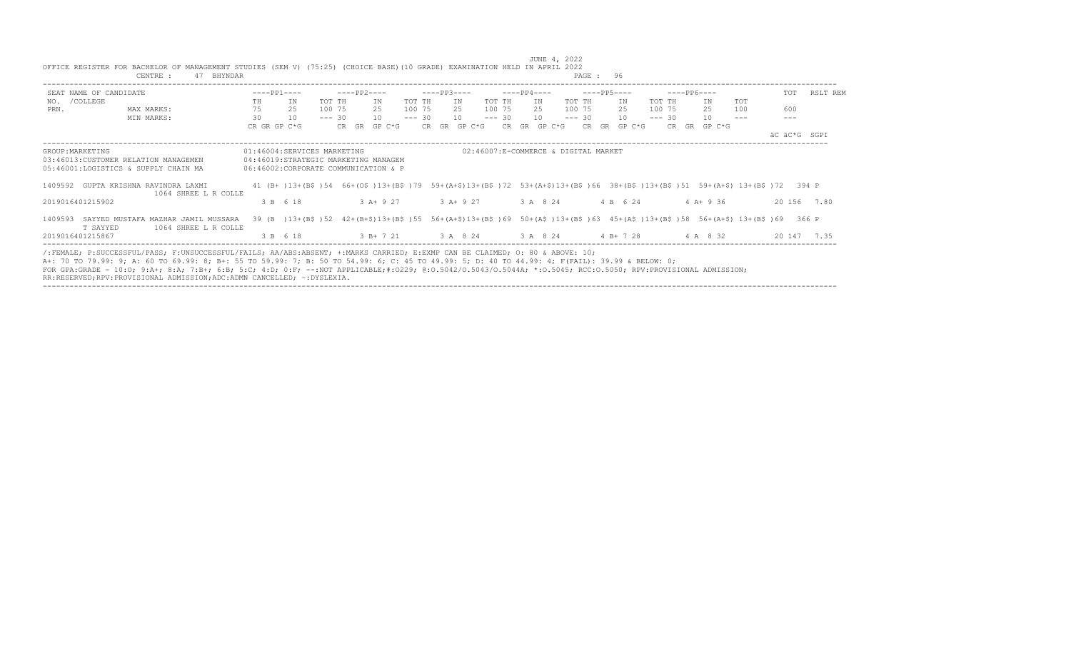|                        | 47 BHYNDAR<br>CENTRE :                                              |    |                                                                                                                                                 |          |             |              |          |             |                           |          |             |                                      |          | PAGE: 96                                |          |               |     |              |     |             |
|------------------------|---------------------------------------------------------------------|----|-------------------------------------------------------------------------------------------------------------------------------------------------|----------|-------------|--------------|----------|-------------|---------------------------|----------|-------------|--------------------------------------|----------|-----------------------------------------|----------|---------------|-----|--------------|-----|-------------|
| SEAT NAME OF CANDIDATE |                                                                     |    | $---PP1---$                                                                                                                                     |          | ----PP2---- |              |          | $---PP3---$ |                           |          | $---PP4---$ |                                      |          | $---PP5---$                             |          | ----- PP6---- |     |              | TOT | RSLT REM    |
| NO. / COLLEGE          |                                                                     | TH | IN                                                                                                                                              | TOT TH   |             | TN           | TOT TH   |             | IN                        | TOT TH   | IN          |                                      | TOT TH   | IN                                      | TOT TH   | IN            | TOT |              |     |             |
| PRN.                   | MAX MARKS:                                                          | 75 | 25                                                                                                                                              | 100 75   |             | 2.5          | 100 75   |             | - 25                      | 100 75   | 2.5         |                                      | 100 75   | 25                                      | 100 75   | 25            | 100 |              | 600 |             |
|                        | MIN MARKS:                                                          | 30 | 10                                                                                                                                              | $--- 30$ |             | 10           | $--- 30$ |             | 10                        | $--- 30$ | 10          |                                      | $--- 30$ | 10                                      | $--- 30$ | 10            |     |              |     |             |
|                        |                                                                     |    | CR GR GP C*G                                                                                                                                    |          |             | CR GR GP C*G |          |             | CR GR GP C*G CR GR GP C*G |          |             |                                      |          | CR GR GP C*G                            |          | CR GR GP C*G  |     | äC äC*G SGPI |     |             |
| GROUP: MARKETING       | 03:46013: CUSTOMER RELATION MANAGEMEN                               |    | 01:46004:SERVICES MARKETING<br>04:46019:STRATEGIC MARKETING MANAGEM                                                                             |          |             |              |          |             |                           |          |             | 02:46007:E-COMMERCE & DIGITAL MARKET |          |                                         |          |               |     |              |     |             |
|                        | 05:46001:LOGISTICS & SUPPLY CHAIN MA                                |    | 06:46002:CORPORATE COMMUNICATION & P                                                                                                            |          |             |              |          |             |                           |          |             |                                      |          |                                         |          |               |     |              |     |             |
|                        | 1409592 GUPTA KRISHNA RAVINDRA LAXMI<br>1064 SHREE L R COLLE        |    | 41 (B+)13+(B\$)54 66+(O\$)13+(B\$)79 59+(A+\$)13+(B\$)72 53+(A+\$)13+(B\$)66 38+(B\$)13+(B\$)51 59+(A+\$) 13+(B\$)72 394 P                      |          |             |              |          |             |                           |          |             |                                      |          |                                         |          |               |     |              |     |             |
| 2019016401215902       |                                                                     |    | 3 B 6 18                                                                                                                                        |          |             | 3 A+ 9 27    |          |             | 3 A+ 9 27                 |          | 3 A 8 24    |                                      |          | 4 B 6 24                                |          | $4$ A + 9 36  |     |              |     | 20 156 7.80 |
| T SAYYED               | 1409593 SAYYED MUSTAFA MAZHAR JAMIL MUSSARA<br>1064 SHREE L R COLLE |    | 39 (B) 13+ (B\$) 52 42+ (B+\$) 13+ (B\$) 55 56+ (A+\$) 13+ (B\$) 69 50+ (A\$) 13+ (B\$) 63 45+ (A\$) 13+ (B\$) 58 56+ (A+\$) 13+ (B\$) 69 366 P |          |             |              |          |             |                           |          |             |                                      |          |                                         |          |               |     |              |     |             |
| 2019016401215867       |                                                                     |    | 3 B 6 18                                                                                                                                        |          |             |              |          |             |                           |          |             |                                      |          | 3 B + 7 21 3 A 8 24 3 A 8 24 4 B + 7 28 |          | 4 A 8 32      |     |              |     | 20 147 7.35 |

----------------------------------------------------------------------------------------------------------------------------------------------------------------------------------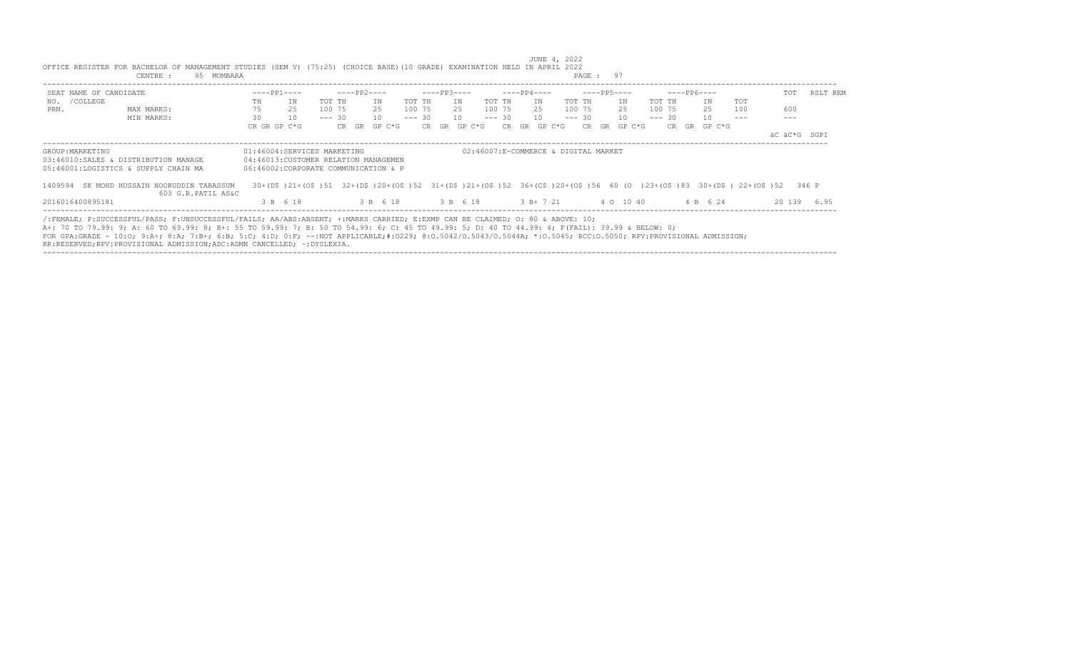|                        | CENTRE :<br>95 MUMBARA                                                                                                                                                                                                                                                                                                                                                                                                                                                                                                     |    |                                                                                                                         |          |             |     |          |          |             |     |          |            |    |             |                                      | PAGE: 97 |    |             |          |              |     |              |          |
|------------------------|----------------------------------------------------------------------------------------------------------------------------------------------------------------------------------------------------------------------------------------------------------------------------------------------------------------------------------------------------------------------------------------------------------------------------------------------------------------------------------------------------------------------------|----|-------------------------------------------------------------------------------------------------------------------------|----------|-------------|-----|----------|----------|-------------|-----|----------|------------|----|-------------|--------------------------------------|----------|----|-------------|----------|--------------|-----|--------------|----------|
| SEAT NAME OF CANDIDATE |                                                                                                                                                                                                                                                                                                                                                                                                                                                                                                                            |    | $---PP1---$                                                                                                             |          | $---PP2---$ |     |          |          | $---PP3---$ |     |          |            |    | $---PP4---$ |                                      |          |    | $---PP5---$ |          | $---PP6---$  |     | TOT          | RSLT REM |
| NO. / COLLEGE          |                                                                                                                                                                                                                                                                                                                                                                                                                                                                                                                            | TH | IN                                                                                                                      | TOT TH   |             | ΙN  |          | TOT TH   |             | IN  |          | TOT TH     |    | IN          |                                      | TOT TH   |    | IN          | TOT TH   | IN           | TOT |              |          |
| PRN.                   | MAX MARKS:                                                                                                                                                                                                                                                                                                                                                                                                                                                                                                                 | 75 | 2.5                                                                                                                     | 100 75   |             | 2.5 |          | 100 75   |             | 2.5 |          | 100 75     |    | 2.5         |                                      | 100 75   |    | 2.5         | 100 75   | 25           | 100 | 600          |          |
|                        | MIN MARKS:                                                                                                                                                                                                                                                                                                                                                                                                                                                                                                                 | 30 | 10                                                                                                                      | $--- 30$ |             | 10  |          | $--- 30$ |             | 10  |          | $--- 30$   |    | 10          |                                      | $--- 30$ |    | 10          | $--- 30$ | 10           |     | ---          |          |
|                        |                                                                                                                                                                                                                                                                                                                                                                                                                                                                                                                            |    | CR GR GP C*G                                                                                                            |          | CR GR       |     | GP C*G   |          | CR GR       |     | GP C*G   | CR.        | GR |             | GP C*G                               | CR.      | GR | GP C*G      |          | CR GR GP C*G |     |              |          |
|                        |                                                                                                                                                                                                                                                                                                                                                                                                                                                                                                                            |    |                                                                                                                         |          |             |     |          |          |             |     |          |            |    |             |                                      |          |    |             |          |              |     | äC äC*G SGPI |          |
| GROUP: MARKETING       |                                                                                                                                                                                                                                                                                                                                                                                                                                                                                                                            |    | 01:46004:SERVICES MARKETING                                                                                             |          |             |     |          |          |             |     |          |            |    |             | 02:46007:E-COMMERCE & DIGITAL MARKET |          |    |             |          |              |     |              |          |
|                        | 03:46010:SALES & DISTRIBUTION MANAGE                                                                                                                                                                                                                                                                                                                                                                                                                                                                                       |    | 04:46013: CUSTOMER RELATION MANAGEMEN                                                                                   |          |             |     |          |          |             |     |          |            |    |             |                                      |          |    |             |          |              |     |              |          |
|                        | 05:46001:LOGISTICS & SUPPLY CHAIN MA                                                                                                                                                                                                                                                                                                                                                                                                                                                                                       |    | 06:46002:CORPORATE COMMUNICATION & P                                                                                    |          |             |     |          |          |             |     |          |            |    |             |                                      |          |    |             |          |              |     |              |          |
|                        | 1409594 SK MOHD HUSSAIN NOORUDDIN TABASSUM<br>603 G.R.PATIL AS&C                                                                                                                                                                                                                                                                                                                                                                                                                                                           |    | 30+(D\$)21+(O\$)51 32+(D\$)20+(O\$)52 31+(D\$)21+(O\$)52 36+(C\$)20+(O\$)56 60 (O )23+(O\$)83 30+(D\$) 22+(O\$)52 346 P |          |             |     |          |          |             |     |          |            |    |             |                                      |          |    |             |          |              |     |              |          |
| 2016016400895181       |                                                                                                                                                                                                                                                                                                                                                                                                                                                                                                                            |    | 3 B 6 18                                                                                                                |          |             |     | 3 B 6 18 |          |             |     | 3 B 6 18 | $3 B+7 21$ |    |             |                                      |          |    | 4 0 10 40   |          | 4 B 6 24     |     | 20 139       | 6.95     |
|                        | /:FEMALE; P:SUCCESSFUL/PASS; F:UNSUCCESSFUL/FAILS; AA/ABS:ABSENT; +:MARKS CARRIED; E:EXMP CAN BE CLAIMED; O: 80 & ABOVE: 10;<br>A+: 70 TO 79.99: 9; A: 60 TO 69.99: 8; B+: 55 TO 59.99: 7; B: 50 TO 54.99: 6; C: 45 TO 49.99: 5; D: 40 TO 44.99: 4; F(FAIL): 39.99 & BELOW: 0;<br>FOR GPA:GRADE - 10:0; 9:A+; 8:A; 7:B+; 6:B; 5:C; 4:D; 0:F; --:NOT APPLICABLE;#:0229; 0:0.5042/0.5043/0.5044A; *:0.5045; RCC:0.5050; RPV:PROVISIONAL ADMISSION;<br>RR:RESERVED;RPV:PROVISIONAL ADMISSION;ADC:ADMN CANCELLED; ~: DYSLEXIA. |    |                                                                                                                         |          |             |     |          |          |             |     |          |            |    |             |                                      |          |    |             |          |              |     |              |          |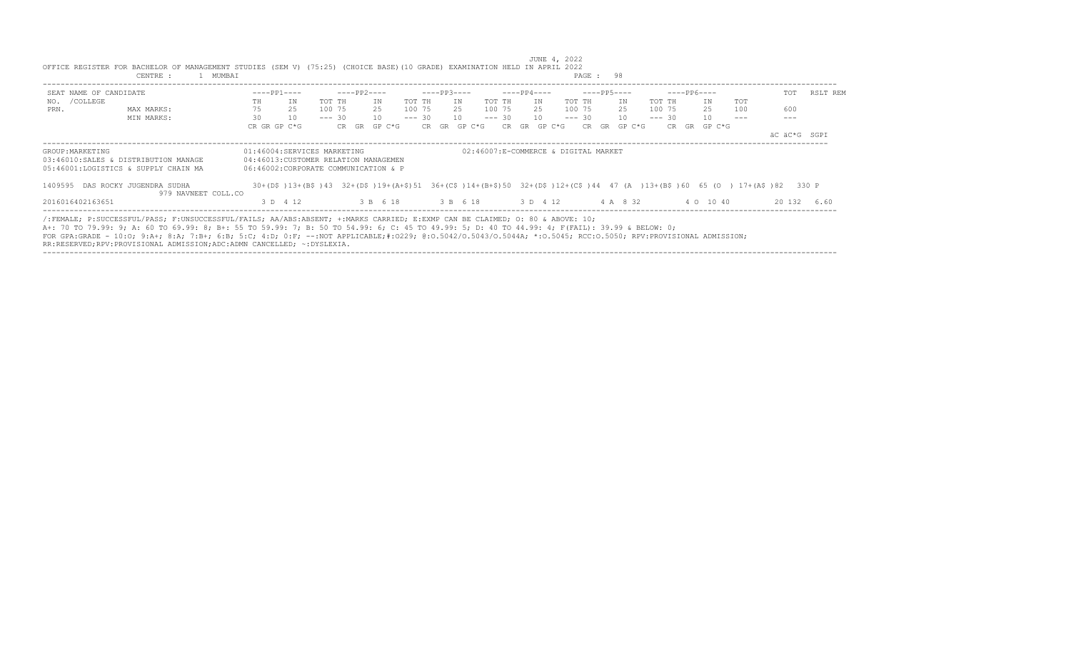| SEAT NAME OF CANDIDATE                                                                                                                                             |    | $---PP1---$                          |        | $---PP2---$ |          |          |       | $---PP3---$ |          |          |     | $---PP4---$                          |        |          |    | $---PP5---$ |          |    | $---PP6---$ |                                                                                                                  | TOT    | RSLT REM     |
|--------------------------------------------------------------------------------------------------------------------------------------------------------------------|----|--------------------------------------|--------|-------------|----------|----------|-------|-------------|----------|----------|-----|--------------------------------------|--------|----------|----|-------------|----------|----|-------------|------------------------------------------------------------------------------------------------------------------|--------|--------------|
| NO. / COLLEGE                                                                                                                                                      | TH | ΙN                                   | TOT TH |             | IN       | TOT TH   |       | TN          |          | TOT TH   |     | IN                                   |        | TOT TH   |    | TN          | TOT TH   |    | IN          | <b>TOT</b>                                                                                                       |        |              |
| PRN.<br>MAX MARKS:                                                                                                                                                 | 75 | 25                                   | 100 75 |             | 25       | 100 75   |       | 25          |          | 100 75   |     | 25                                   |        | 100 75   |    | 25          | 100 75   |    | 25          | 100                                                                                                              | 600    |              |
| MIN MARKS:                                                                                                                                                         | 30 | 10                                   |        | $--- 30$    | 10       | $--- 30$ |       |             | 10       | $--- 30$ |     | 10                                   |        | $--- 30$ |    | 10          | $--- 30$ |    | 10          |                                                                                                                  |        |              |
|                                                                                                                                                                    |    | CR GR GP C*G                         |        | CR GR       | GP C*G   |          | CR GR |             | GP C*G   |          | CR. | GR                                   | GP C*G | CR.      | GR | GP C*G      | CR.      | GR | GP C*G      |                                                                                                                  |        |              |
|                                                                                                                                                                    |    |                                      |        |             |          |          |       |             |          |          |     |                                      |        |          |    |             |          |    |             |                                                                                                                  |        | äC äC*G SGPI |
| GROUP: MARKETING                                                                                                                                                   |    | 01:46004:SERVICES MARKETING          |        |             |          |          |       |             |          |          |     | 02:46007:E-COMMERCE & DIGITAL MARKET |        |          |    |             |          |    |             |                                                                                                                  |        |              |
| 03:46010:SALES & DISTRIBUTION MANAGE                                                                                                                               |    | 04:46013:CUSTOMER RELATION MANAGEMEN |        |             |          |          |       |             |          |          |     |                                      |        |          |    |             |          |    |             |                                                                                                                  |        |              |
| 05:46001:LOGISTICS & SUPPLY CHAIN MA                                                                                                                               |    | 06:46002:CORPORATE COMMUNICATION & P |        |             |          |          |       |             |          |          |     |                                      |        |          |    |             |          |    |             |                                                                                                                  |        |              |
| 1409595 DAS ROCKY JUGENDRA SUDHA                                                                                                                                   |    |                                      |        |             |          |          |       |             |          |          |     |                                      |        |          |    |             |          |    |             | 30+(D\$)13+(B\$)43 32+(D\$)19+(A+\$)51 36+(C\$)14+(B+\$)50 32+(D\$)12+(C\$)44 47 (A)13+(B\$)60 65 (O) 17+(A\$)82 |        | 330 P        |
| 979 NAVNEET COLL.CO                                                                                                                                                |    |                                      |        |             |          |          |       |             |          |          |     |                                      |        |          |    |             |          |    |             |                                                                                                                  |        |              |
| 2016016402163651                                                                                                                                                   |    | 3 D 4 12                             |        |             | 3 B 6 18 |          |       |             | 3 B 6 18 |          |     | 3 D 4 12                             |        |          |    | 4 A 8 32    |          |    | 4 0 10 40   |                                                                                                                  | 20 132 | 6.60         |
|                                                                                                                                                                    |    |                                      |        |             |          |          |       |             |          |          |     |                                      |        |          |    |             |          |    |             |                                                                                                                  |        |              |
| /:FEMALE: P:SUCCESSFUL/PASS: F:UNSUCCESSFUL/FAILS: AA/ABS:ABSENT: +:MARKS CARRIED: E:EXMP CAN BE CLAIMED: 0: 80 & ABOVE: 10;                                       |    |                                      |        |             |          |          |       |             |          |          |     |                                      |        |          |    |             |          |    |             |                                                                                                                  |        |              |
| A+: 70 TO 79.99: 9; A: 60 TO 69.99: 8; B+: 55 TO 59.99: 7; B: 50 TO 54.99: 6; C: 45 TO 49.99: 5; D: 40 TO 44.99: 4; F(FAIL): 39.99 & BELOW: 0;                     |    |                                      |        |             |          |          |       |             |          |          |     |                                      |        |          |    |             |          |    |             |                                                                                                                  |        |              |
| FOR GPA:GRADE - 10:0; 9:A+; 8:A; 7:B+; 6:B; 5:C; 4:D; 0:F; --:NOT APPLICABLE;#:0229; 0:0.5042/0.50440; *:0.5044A; *:0.5045; RCC:0.5050; RPV:PROVISIONAL ADMISSION; |    |                                      |        |             |          |          |       |             |          |          |     |                                      |        |          |    |             |          |    |             |                                                                                                                  |        |              |
| RR:RESERVED;RPV:PROVISIONAL ADMISSION;ADC:ADMN CANCELLED; ~: DYSLEXIA.                                                                                             |    |                                      |        |             |          |          |       |             |          |          |     |                                      |        |          |    |             |          |    |             |                                                                                                                  |        |              |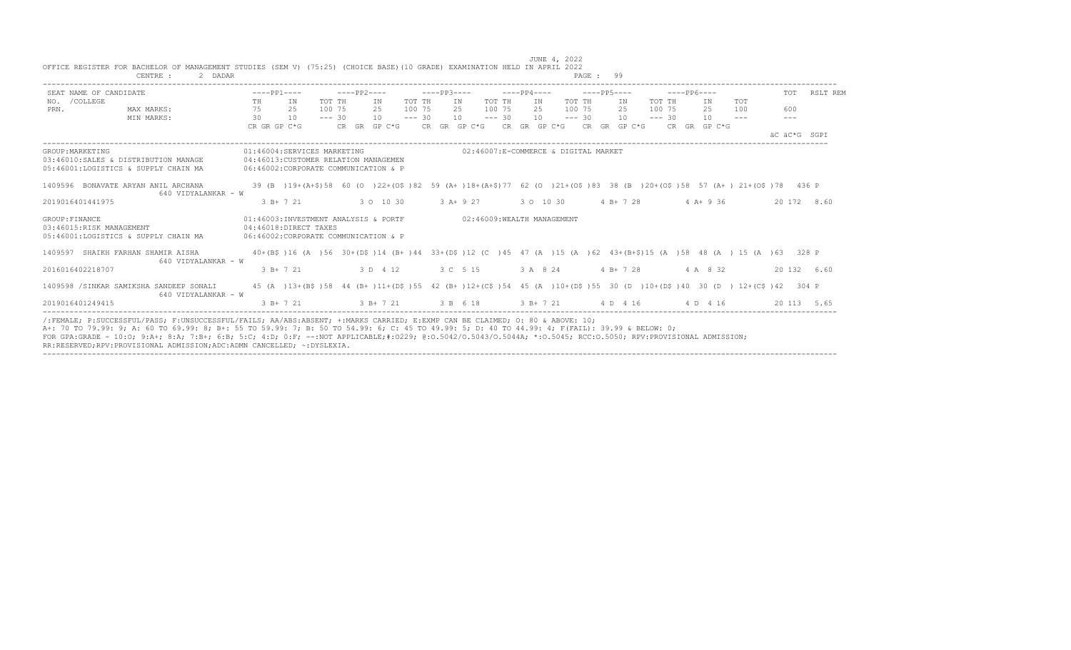|                  | SEAT NAME OF CANDIDATE                                                       |    | $---PP1---$                                                                                                 |          | $---PP2---$   |        | $---PP3---$ |            |                                                          |           |    |    | $---PP4---$ |  |             |          | $---PP6---$                                                                                                                                           |                                                                                                                                 | TOT                 | RSLT REM    |
|------------------|------------------------------------------------------------------------------|----|-------------------------------------------------------------------------------------------------------------|----------|---------------|--------|-------------|------------|----------------------------------------------------------|-----------|----|----|-------------|--|-------------|----------|-------------------------------------------------------------------------------------------------------------------------------------------------------|---------------------------------------------------------------------------------------------------------------------------------|---------------------|-------------|
| NO. / COLLEGE    |                                                                              | TH | IN                                                                                                          | TOT TH   | IN            | TOT TH |             | IN         | TOT TH                                                   |           |    | IN | TOT TH      |  | IN          | TOT TH   | IN                                                                                                                                                    | TOT                                                                                                                             |                     |             |
| PRN.             | MAX MARKS:                                                                   | 75 | 25                                                                                                          | 100 75   | 2.5           | 100 75 |             | 2.5        | 100 75                                                   |           | 25 |    | 100 75      |  | 25          | 100 75   | 2.5                                                                                                                                                   | 100                                                                                                                             | 600                 |             |
|                  | MIN MARKS:                                                                   | 30 | 10                                                                                                          | $--- 30$ | $10 = - - 30$ |        |             |            | $10 \qquad \qquad \text{---} \qquad 30 \qquad \qquad 10$ |           |    |    | $--- 30$    |  | 10          | $--- 30$ | 10                                                                                                                                                    | $- - -$                                                                                                                         | $\qquad \qquad - -$ |             |
|                  |                                                                              |    | CR GR GP C*G                                                                                                |          |               |        |             |            |                                                          |           |    |    |             |  |             |          | CR GR GP C*G $CR$ GR GP C*G $CR$ GR GP C*G $CR$ GR GP C*G $CR$ GR GP C*G                                                                              |                                                                                                                                 | AC AC*G SGPT        |             |
| GROUP: MARKETING | 03:46010:SALES & DISTRIBUTION MANAGE<br>05:46001:LOGISTICS & SUPPLY CHAIN MA |    | 01:46004:SERVICES MARKETING<br>04:46013:CUSTOMER RELATION MANAGEMEN<br>06:46002:CORPORATE COMMUNICATION & P |          |               |        |             |            | 02:46007:E-COMMERCE & DIGITAL MARKET                     |           |    |    |             |  |             |          |                                                                                                                                                       |                                                                                                                                 |                     |             |
|                  |                                                                              |    |                                                                                                             |          |               |        |             |            |                                                          |           |    |    |             |  |             |          |                                                                                                                                                       |                                                                                                                                 |                     |             |
|                  | 1409596 BONAVATE ARYAN ANIL ARCHANA<br>640 VIDYALANKAR - W                   |    |                                                                                                             |          |               |        |             |            |                                                          |           |    |    |             |  |             |          |                                                                                                                                                       | 39 (B) 19+(A+\$)58 60 (O) 22+(O\$)82 59 (A+)18+(A+\$)77 62 (O) 21+(O\$)83 38 (B) 20+(O\$)58 57 (A+) 21+(O\$)78 436 P            |                     |             |
| 2019016401441975 |                                                                              |    | $3 B+ 7 21$                                                                                                 |          | 3 0 10 30     |        |             | $3 A+9 27$ |                                                          | 3 0 10 30 |    |    |             |  | $4 B+ 7 28$ |          |                                                                                                                                                       | $4$ A + 9 36                                                                                                                    |                     | 20 172 8.60 |
| GROUP: FINANCE   | 03:46015:RISK MANAGEMENT<br>05:46001:LOGISTICS & SUPPLY CHAIN MA             |    | 01:46003:INVESTMENT ANALYSIS & PORTF<br>04:46018:DIRECT TAXES<br>06:46002:CORPORATE COMMUNICATION & P       |          |               |        |             |            | 02:46009: WEALTH MANAGEMENT                              |           |    |    |             |  |             |          |                                                                                                                                                       |                                                                                                                                 |                     |             |
|                  | 1409597 SHAIKH FARHAN SHAMIR AISHA<br>640 VIDYALANKAR - W                    |    |                                                                                                             |          |               |        |             |            |                                                          |           |    |    |             |  |             |          |                                                                                                                                                       | 40+(B\$)16 (A)56 30+(D\$)14 (B+)44 33+(D\$)12 (C)45 47 (A)15 (A)62 43+(B+\$)15 (A)58 48 (A) 15 (A)63 328 P                      |                     |             |
| 2016016402218707 |                                                                              |    | $3 B+ 7 21$                                                                                                 |          | 3 D 4 12      |        |             | 3 C 5 15   |                                                          |           |    |    | 3 A 8 24    |  | $4 B+ 7 28$ |          | 4 A 8 32                                                                                                                                              |                                                                                                                                 |                     | 20 132 6.60 |
|                  | 1409598 /SINKAR SAMIKSHA SANDEEP SONALI<br>640 VIDYALANKAR - W               |    |                                                                                                             |          |               |        |             |            |                                                          |           |    |    |             |  |             |          |                                                                                                                                                       | 45 (A) 13+ (B\$) 58 44 (B+) 11+ (D\$) 55 42 (B+) 12+ (C\$) 54 45 (A) 10+ (D\$) 55 30 (D) 10+ (D\$) 40 30 (D) 12+ (C\$) 42 304 P |                     |             |
| 2019016401249415 |                                                                              |    | $3 B+ 7 21$                                                                                                 |          |               |        |             |            |                                                          |           |    |    |             |  |             |          | $3 \text{ B} + 7 \text{ } 21$ $3 \text{ B}$ $6 \text{ } 18$ $3 \text{ B} + 7 \text{ } 21$ $4 \text{ D}$ $4 \text{ } 16$ $4 \text{ D}$ $4 \text{ } 16$ |                                                                                                                                 |                     | 20 113 5.65 |

----------------------------------------------------------------------------------------------------------------------------------------------------------------------------------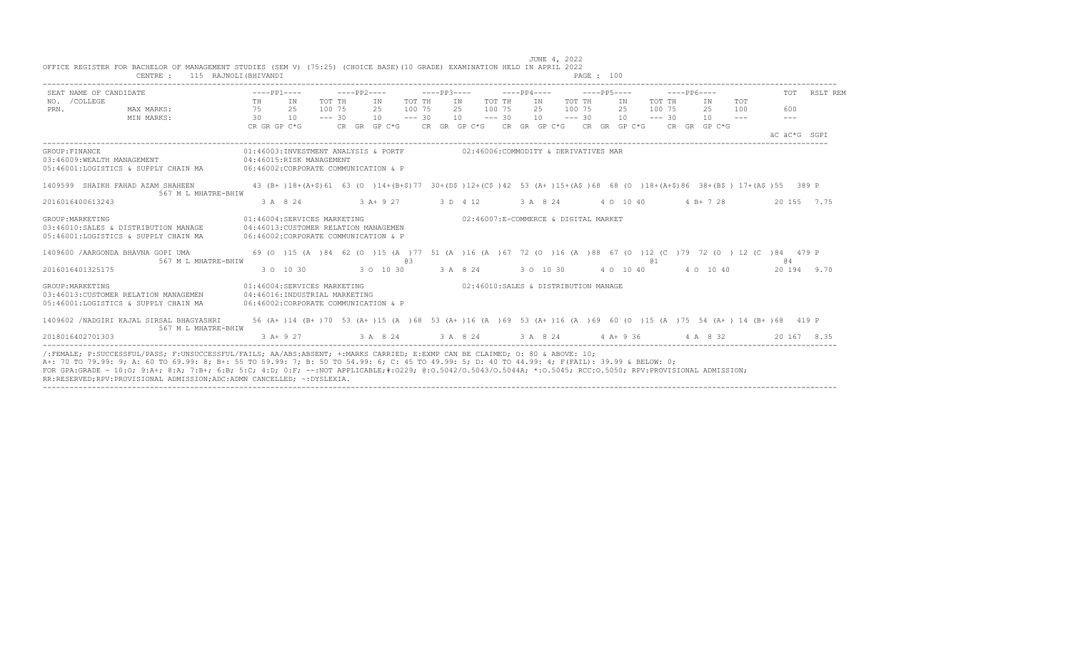| SEAT NAME OF CANDIDATE                                                                                                                         | $---PP1---$                     |                                                                                                                       |          | ————— PP2————                                                                             |        | $---PP3-- ---PP4---$                                                                                                           |        |     | $---PP5---$ |  |    |        | -----PP6---- |                               |                                                |         | TOT RSLT REM |
|------------------------------------------------------------------------------------------------------------------------------------------------|---------------------------------|-----------------------------------------------------------------------------------------------------------------------|----------|-------------------------------------------------------------------------------------------|--------|--------------------------------------------------------------------------------------------------------------------------------|--------|-----|-------------|--|----|--------|--------------|-------------------------------|------------------------------------------------|---------|--------------|
| NO. / COLLEGE                                                                                                                                  | TH <sub>1</sub>                 | TN                                                                                                                    | TOT TH   | TN                                                                                        | TOT TH | IN                                                                                                                             | TOT TH | IN  | TOT TH      |  | IN | TOT TH |              | IN                            | <b>TOT</b>                                     |         |              |
| MAX MARKS:<br>PRN.                                                                                                                             | 75 25                           |                                                                                                                       | 100 75   | 2.5                                                                                       | 100 75 | 2.5                                                                                                                            | 100 75 | 2.5 | 100 75      |  | 25 | 100 75 |              | 2.5                           | 100                                            | 600     |              |
| MIN MARKS:                                                                                                                                     | $\overline{30}$<br>CR GR GP C*G | 10                                                                                                                    | $--- 30$ | $10 - - - 30$<br>CR GR GP C*G $CR$ GR GP C*G $CR$ GR GP C*G $CR$ GR GP C*G $CR$ GR GP C*G |        | $10 \qquad \qquad \text{---} \quad 30 \qquad 10 \qquad \qquad \text{---} \quad 30 \qquad 10 \qquad \qquad \text{---} \quad 30$ |        |     |             |  |    |        |              | $10 - - -$                    |                                                | $- - -$ |              |
|                                                                                                                                                |                                 |                                                                                                                       |          |                                                                                           |        |                                                                                                                                |        |     |             |  |    |        |              |                               |                                                |         | AC AC*G SGPT |
| GROUP: FINANCE                                                                                                                                 |                                 | 01:46003:INVESTMENT ANALYSIS & PORTF 602:46006:COMMODITY & DERIVATIVES MAR                                            |          |                                                                                           |        |                                                                                                                                |        |     |             |  |    |        |              |                               |                                                |         |              |
| 03:46009:WEALTH MANAGEMENT 04:46015:RISK MANAGEMENT<br>05:46001:LOGISTICS & SUPPLY CHAIN MA 06:46002:CORPORATE COMMUNICATION & P               |                                 |                                                                                                                       |          |                                                                                           |        |                                                                                                                                |        |     |             |  |    |        |              |                               |                                                |         |              |
| 1409599 SHAIKH FAHAD AZAM SHAHEEN                                                                                                              |                                 | 43 (B+)18+(A+\$)61 63 (O)14+(B+\$)77 30+(D\$)12+(C\$)42 53 (A+)15+(A\$)68 68 (O)18+(A+\$)86 38+(B\$) 17+(A\$)55 389 P |          |                                                                                           |        |                                                                                                                                |        |     |             |  |    |        |              |                               |                                                |         |              |
| 567 M L MHATRE-BHIW<br>2016016400613243                                                                                                        |                                 | 3 A 8 24                                                                                                              |          | 3 A + 9 27 3 D 4 12                                                                       |        |                                                                                                                                |        |     |             |  |    |        |              | 3 A 8 24 4 0 10 40 4 B + 7 28 |                                                |         | 20 155 7.75  |
|                                                                                                                                                |                                 |                                                                                                                       |          |                                                                                           |        |                                                                                                                                |        |     |             |  |    |        |              |                               |                                                |         |              |
| GROUP: MARKETING<br>03:46010:SALES & DISTRIBUTION MANAGE 04:46013:CUSTOMER RELATION MANAGEMEN                                                  |                                 | 01:46004:SERVICES MARKETING                                                                                           |          |                                                                                           |        | 02:46007:E-COMMERCE & DIGITAL MARKET                                                                                           |        |     |             |  |    |        |              |                               |                                                |         |              |
| 05:46001:LOGISTICS & SUPPLY CHAIN MA                                                                                                           |                                 | 06:46002: CORPORATE COMMUNICATION & P                                                                                 |          |                                                                                           |        |                                                                                                                                |        |     |             |  |    |        |              |                               |                                                |         |              |
| 1409600 / AARGONDA BHAVNA GOPI UMA                                                                                                             |                                 | 69 (0) 15 (A) 84 62 (0) 15 (A) 77 51 (A) 16 (A) 67 72 (0) 16 (A) 88 67 (0) 12 (C) 79 72 (0) 12 (C) 84 479 P           |          |                                                                                           |        |                                                                                                                                |        |     |             |  |    |        |              |                               |                                                |         |              |
| 567 M L MHATRE-BHIW<br>2016016401325175                                                                                                        |                                 | $30 \t10 \t30$ $30 \t10 \t30$ $3 \tA$ $8 \t24$ $3 \t0 \t10 \t30$ $4 \t0 \t10 \t40$ $4 \t0 \t10 \t40$                  |          |                                                                                           | a3     |                                                                                                                                |        |     |             |  |    | @ 1    |              |                               |                                                | @ 4     | 20 194 9.70  |
|                                                                                                                                                |                                 |                                                                                                                       |          |                                                                                           |        |                                                                                                                                |        |     |             |  |    |        |              |                               |                                                |         |              |
| GROUP: MARKETING<br>03:46013: CUSTOMER RELATION MANAGEMEN                                                                                      |                                 | 01:46004:SERVICES MARKETING<br>04:46016:INDUSTRIAL MARKETING                                                          |          |                                                                                           |        | 02:46010:SALES & DISTRIBUTION MANAGE                                                                                           |        |     |             |  |    |        |              |                               |                                                |         |              |
| 05:46001:LOGISTICS & SUPPLY CHAIN MA                                                                                                           |                                 | 06:46002:CORPORATE COMMUNICATION & P                                                                                  |          |                                                                                           |        |                                                                                                                                |        |     |             |  |    |        |              |                               |                                                |         |              |
| 1409602 / NADGIRI KAJAL SIRSAL BHAGYASHRI<br>567 M L MHATRE-BHIW                                                                               |                                 | 56 (A+)14 (B+)70 53 (A+)15 (A)68 53 (A+)16 (A)69 53 (A+)16 (A)69 60 (O)15 (A)75 54 (A+)14 (B+)68 419 P                |          |                                                                                           |        |                                                                                                                                |        |     |             |  |    |        |              |                               |                                                |         |              |
| 2018016402701303                                                                                                                               |                                 | $3$ A+ 9 27                                                                                                           |          |                                                                                           |        |                                                                                                                                |        |     |             |  |    |        |              |                               | 3 A 8 24 3 A 8 24 3 A 8 24 4 A + 9 36 4 A 8 32 |         | 20 167 8.35  |
| /:FEMALE: P:SUCCESSFUL/PASS: F:UNSUCCESSFUL/FAILS: AA/ABS:ABSENT: +:MARKS CARRIED: E:EXMP CAN BE CLAIMED: 0: 80 & ABOVE: 10:                   |                                 |                                                                                                                       |          |                                                                                           |        |                                                                                                                                |        |     |             |  |    |        |              |                               |                                                |         |              |
| A+: 70 TO 79.99: 9; A: 60 TO 69.99: 8; B+: 55 TO 59.99: 7; B: 50 TO 54.99: 6; C: 45 TO 49.99: 5; D: 40 TO 44.99: 4; F(FAIL): 39.99 & BELOW: 0; |                                 |                                                                                                                       |          |                                                                                           |        |                                                                                                                                |        |     |             |  |    |        |              |                               |                                                |         |              |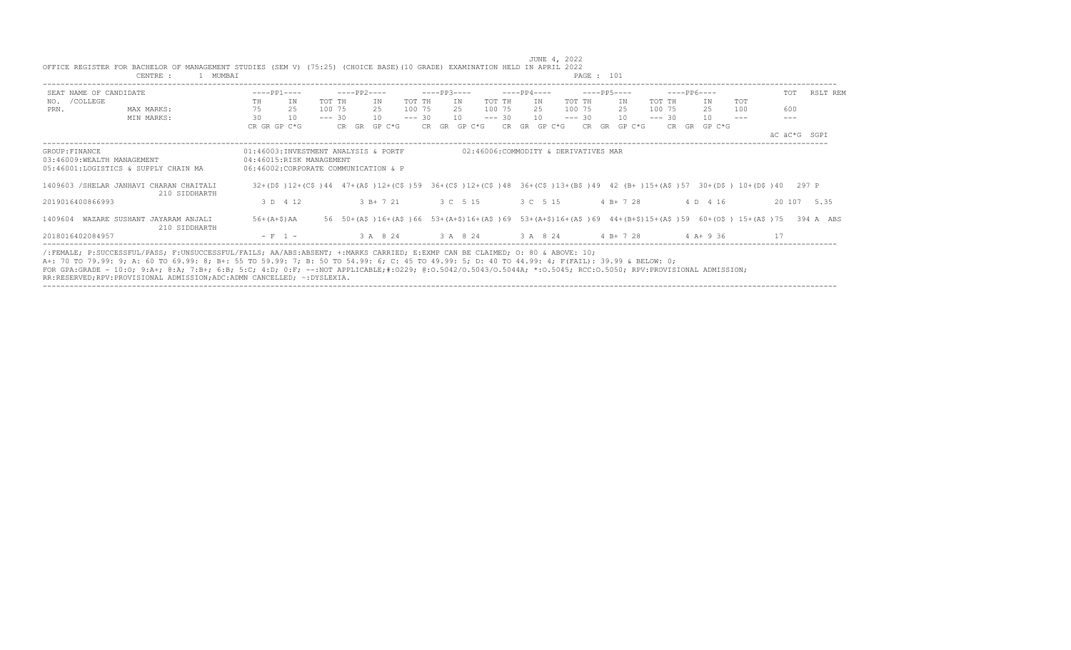|                  | MUMBAI<br>CENTRE :                                                                                                                      |                                      |                 |                       |                                      | PAGE : 101                 |                                                                                                                   |                 |
|------------------|-----------------------------------------------------------------------------------------------------------------------------------------|--------------------------------------|-----------------|-----------------------|--------------------------------------|----------------------------|-------------------------------------------------------------------------------------------------------------------|-----------------|
|                  | SEAT NAME OF CANDIDATE                                                                                                                  | $---PP1---$                          | $---PP2---$     | $---PP3---$           | $---PP4---$                          | $---PP5---$                | $---PP6---$                                                                                                       | TOT<br>RSLT REM |
| NO. / COLLEGE    |                                                                                                                                         | TH<br>IN                             | TOT TH<br>ΙN    | TOT TH<br>IN          | TOT TH<br>IN                         | TOT TH<br>IN<br>TOT TH     | TOT<br>IN                                                                                                         |                 |
| PRN.             | MAX MARKS:                                                                                                                              | 75<br>25                             | 100 75<br>2.5   | 100 75<br>25          | 100 75<br>2.5                        | 100 75<br>100 75<br>25     | 25<br>100                                                                                                         | 600             |
|                  | MIN MARKS:                                                                                                                              | 30<br>10                             | $--- 30$<br>10  | $--- 30$<br><b>10</b> | 10<br>$--- 30$                       | 10<br>$--- 30$<br>$--- 30$ | 10                                                                                                                |                 |
|                  |                                                                                                                                         | CR GR GP C*G                         | CR GR<br>GP C*G | GP C*G<br>CR GR       | GR<br>GP C*G<br>CR.                  | CR.<br>GR<br>GP C*G        | CR.<br>GR<br>GP C*G                                                                                               |                 |
|                  |                                                                                                                                         |                                      |                 |                       |                                      |                            |                                                                                                                   | äC äC*G SGPI    |
| GROUP: FINANCE   |                                                                                                                                         | 01:46003:INVESTMENT ANALYSIS & PORTF |                 |                       | 02:46006:COMMODITY & DERIVATIVES MAR |                            |                                                                                                                   |                 |
|                  | 03:46009:WEALTH MANAGEMENT                                                                                                              | 04:46015:RISK MANAGEMENT             |                 |                       |                                      |                            |                                                                                                                   |                 |
|                  | 05:46001:LOGISTICS & SUPPLY CHAIN MA                                                                                                    | 06:46002:CORPORATE COMMUNICATION & P |                 |                       |                                      |                            |                                                                                                                   |                 |
|                  | 1409603 / SHELAR JANHAVI CHARAN CHAITALI<br>210 SIDDHARTH                                                                               |                                      |                 |                       |                                      |                            | 32+(D\$)12+(C\$)44 47+(A\$)12+(C\$)59 36+(C\$)12+(C\$)48 36+(C\$)13+(B\$)49 42 (B+)15+(A\$)57 30+(D\$) 10+(D\$)40 | 297 P           |
| 2019016400866993 |                                                                                                                                         | 3 D 4 12                             | $3 B+ 7 21$     | 3 C 5 15              | 3 C 5 15                             | $4 B+ 7 28$                | 4 D 4 16                                                                                                          | 20 107 5.35     |
| 1409604          | WAZARE SUSHANT JAYARAM ANJALI<br>210 SIDDHARTH                                                                                          | $56+ (A+S)$ AA                       |                 |                       |                                      |                            | 56 50+(A\$)16+(A\$)66 53+(A+\$)16+(A\$)69 53+(A+\$)16+(A\$)69 44+(B+\$)15+(A\$)59 60+(O\$) 15+(A\$)75             | 394 A ABS       |
| 2018016402084957 |                                                                                                                                         | $- F 1 -$                            | 3 A 8 24        | 3 A 8 24              | 3 A 8 24                             | $4 B+ 7 28$                | 4 A+ 9 36                                                                                                         | 17              |
|                  | $\ell$ . FEMALE: D.SHOCESSEHI (DASS: E.HNSHOCESSEHI (FAILS: AA (ARS: ARSENT: + MADKS CAPPIED: F.FYMP CAN RE CLAIMED: O: 80 £ AROVE: 10; |                                      |                 |                       |                                      |                            |                                                                                                                   |                 |

/:FEMALE; P:SUCCESSFUL/PASS; F:UNSUCCESSFUL/FAILS; AA/ABS:ABSENT; +:MARKS CARRIED; E:EXMP CAN BE CLAIMED; O: 80 & ABOVE: 10;<br>A+: 70 TO 79.99: 9; A: 60 TO 69.99: 8; B+: 55 TO 59.99: 7; B: 50 TO 54.99: 6; C: 45 TO 49.99: 5; FOR GPA:GRADE - 10:0; 9:A+; 8:A; 7:B+; 6:B; 5:C; 4:D; 0:F; --:NOT APPLICABLE;#:O229; @:O.5042/O.5043/O.5044A; \*:O.5045; RCC:O.5050; RPV:PROVISIONAL ADMISSION;<br>RR:RESERVED;RPV:PROVISIONAL ADMISSION;ADC:ADMN CANCELLED; ~:DYS

----------------------------------------------------------------------------------------------------------------------------------------------------------------------------------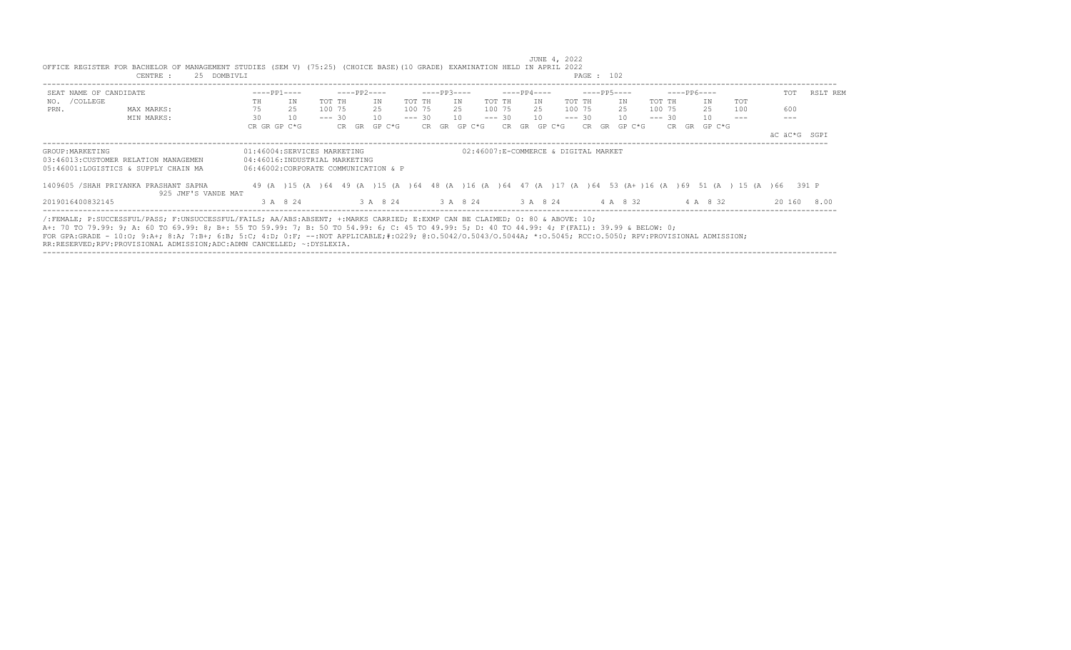|                        | CENTRE :<br>25 DOMBIVLI                                                                                                                                                                                                                                                                                                                                                                                                                                                                                                   |                                                              |                                      |                |                                                                                                              | PAGE : 102         |             |                |          |
|------------------------|---------------------------------------------------------------------------------------------------------------------------------------------------------------------------------------------------------------------------------------------------------------------------------------------------------------------------------------------------------------------------------------------------------------------------------------------------------------------------------------------------------------------------|--------------------------------------------------------------|--------------------------------------|----------------|--------------------------------------------------------------------------------------------------------------|--------------------|-------------|----------------|----------|
| SEAT NAME OF CANDIDATE |                                                                                                                                                                                                                                                                                                                                                                                                                                                                                                                           | $---PP1---$                                                  | ----PP2----                          | $---PP3---$    | ----PP4----                                                                                                  | $---PP5---$        | $---PP6---$ | TOT            | RSLT REM |
| NO. / COLLEGE          |                                                                                                                                                                                                                                                                                                                                                                                                                                                                                                                           | ΙN<br>TH                                                     | TOT TH<br>ΙN                         | TOT TH<br>ΙN   | TOT TH<br>TOT TH<br>IN                                                                                       | TOT TH<br>ΙN       | TOT<br>IN   |                |          |
| PRN.                   | MAX MARKS:                                                                                                                                                                                                                                                                                                                                                                                                                                                                                                                | 75<br>25                                                     | 2.5<br>100 75                        | 100 75<br>25   | 100 75<br>25<br>100 75                                                                                       | 25<br>100 75       | 25<br>100   | 600            |          |
|                        | MIN MARKS:                                                                                                                                                                                                                                                                                                                                                                                                                                                                                                                | 30<br>10                                                     | $--- 30$<br>10                       | $--- 30$<br>10 | $--- 30$<br>$--- 30$<br>10                                                                                   | 10<br>$--- 30$     | 10          | ---            |          |
|                        |                                                                                                                                                                                                                                                                                                                                                                                                                                                                                                                           | CR GR GP C*G                                                 | CR GR<br>GP C*G                      | CR GR GP C*G   | CR GR GP C*G                                                                                                 | CR GR GP C*G<br>CR | GR GP C*G   |                |          |
|                        |                                                                                                                                                                                                                                                                                                                                                                                                                                                                                                                           |                                                              |                                      |                |                                                                                                              |                    |             | äC äC*G SGPI   |          |
| GROUP: MARKETING       | 03:46013:CUSTOMER RELATION MANAGEMEN                                                                                                                                                                                                                                                                                                                                                                                                                                                                                      | 01:46004:SERVICES MARKETING<br>04:46016:INDUSTRIAL MARKETING |                                      |                | 02:46007:E-COMMERCE & DIGITAL MARKET                                                                         |                    |             |                |          |
|                        | 05:46001:LOGISTICS & SUPPLY CHAIN MA                                                                                                                                                                                                                                                                                                                                                                                                                                                                                      |                                                              | 06:46002:CORPORATE COMMUNICATION & P |                |                                                                                                              |                    |             |                |          |
|                        | 1409605 / SHAH PRIYANKA PRASHANT SAPNA<br>925 JMF'S VANDE MAT                                                                                                                                                                                                                                                                                                                                                                                                                                                             |                                                              |                                      |                | 49 (A) 15 (A) 64 49 (A) 15 (A) 64 48 (A) 16 (A) 64 47 (A) 17 (A) 64 53 (A+) 16 (A) 69 51 (A) 15 (A) 66 391 P |                    |             |                |          |
| 2019016400832145       |                                                                                                                                                                                                                                                                                                                                                                                                                                                                                                                           | 3 A 8 24                                                     | 3 A 8 24                             | 3 A 8 24       | 3 A 8 24                                                                                                     | 4 A 8 32           | 4 A 8 32    | 20 160<br>8.00 |          |
|                        | /:FEMALE; P:SUCCESSFUL/PASS; F:UNSUCCESSFUL/FAILS; AA/ABS:ABSENT; +:MARKS CARRIED; E:EXMP CAN BE CLAIMED; O: 80 & ABOVE: 10;<br>A+: 70 TO 79.99: 9; A: 60 TO 69.99: 8; B+: 55 TO 59.99: 7; B: 50 TO 54.99: 6; C: 45 TO 49.99: 5; D: 40 TO 44.99: 4; F(FAIL): 39.99 & BELOW: 0;<br>FOR GPA:GRADE - 10:0; 9:A+; 8:A; 7:B+; 6:B; 5:C; 4:D; 0:F; --:NOT APPLICABLE;#:0229; 0:0.5042/0.5043/0.5044A; *:0.5045; RCC:0.5050; RPV:PROVISIONAL ADMISSION;<br>RR:RESERVED;RPV:PROVISIONAL ADMISSION;ADC:ADMN CANCELLED; ~:DYSLEXIA. |                                                              |                                      |                |                                                                                                              |                    |             |                |          |

----------------------------------------------------------------------------------------------------------------------------------------------------------------------------------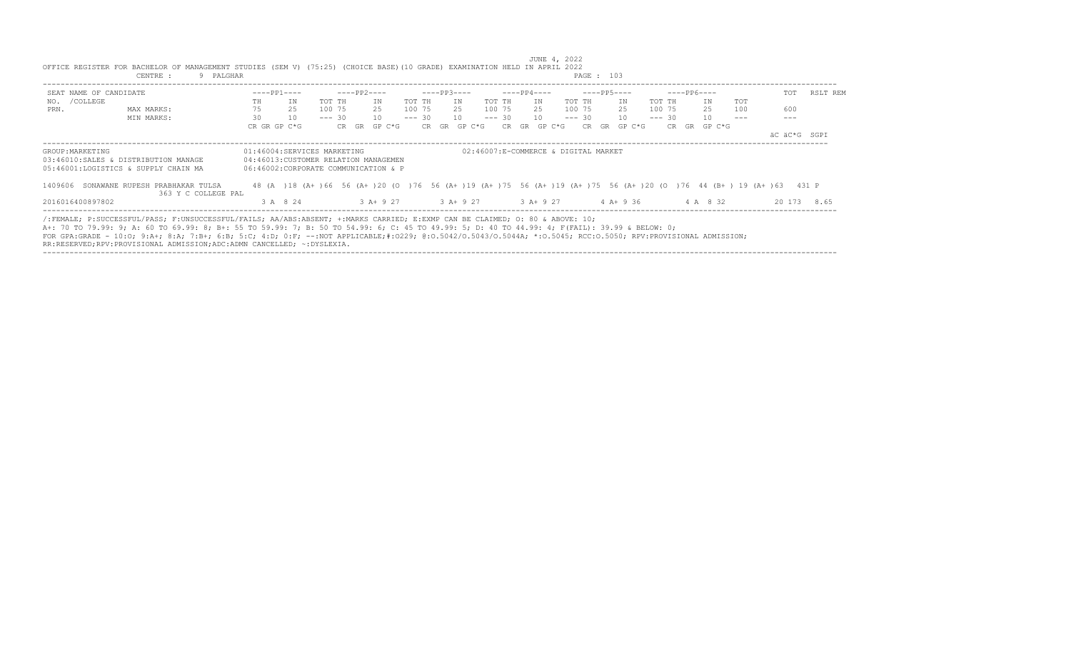| $---PP1---$<br>SEAT NAME OF CANDIDATE<br>NO. / COLLEGE<br>IN<br>TOT TH<br>TH<br>75<br>25<br>100 75<br>PRN.<br>MAX MARKS:<br>30<br>10<br>$--- 30$<br>MIN MARKS:<br>CR GR GP C*G<br>CR GR | $---PP2---$<br>$---PP3---$<br>IN<br>TOT TH<br>IN<br>25<br>100 75<br>25<br>$--- 30$<br>10<br>10 | ----PP4----<br>TOT TH<br>TOT TH<br>IN<br>100 75<br>100 75<br>25<br>$--- 30$<br>$--- 30$<br>10                                    | $---PP5---$<br>$---PP6---$<br>IN<br>TOT TH<br>IN<br>25<br>25<br>100 75 | RSLT REM<br>TOT<br>TOT |
|-----------------------------------------------------------------------------------------------------------------------------------------------------------------------------------------|------------------------------------------------------------------------------------------------|----------------------------------------------------------------------------------------------------------------------------------|------------------------------------------------------------------------|------------------------|
|                                                                                                                                                                                         |                                                                                                |                                                                                                                                  |                                                                        |                        |
|                                                                                                                                                                                         |                                                                                                |                                                                                                                                  |                                                                        |                        |
|                                                                                                                                                                                         |                                                                                                |                                                                                                                                  |                                                                        | 600<br>100             |
|                                                                                                                                                                                         |                                                                                                |                                                                                                                                  | 1 O<br>$--- 30$<br>10                                                  |                        |
|                                                                                                                                                                                         | CR GR GP C*G<br>GP C*G                                                                         | CR GR GP C*G                                                                                                                     | $CR$ GR GP $C*G$<br>CR GR GP C*G                                       |                        |
|                                                                                                                                                                                         |                                                                                                |                                                                                                                                  |                                                                        | äC äC*G SGPI           |
| 01:46004:SERVICES MARKETING<br>GROUP: MARKETING                                                                                                                                         |                                                                                                | 02:46007:E-COMMERCE & DIGITAL MARKET                                                                                             |                                                                        |                        |
| 03:46010:SALES & DISTRIBUTION MANAGE<br>04:46013: CUSTOMER RELATION MANAGEMEN                                                                                                           |                                                                                                |                                                                                                                                  |                                                                        |                        |
| 05:46001:LOGISTICS & SUPPLY CHAIN MA<br>06:46002:CORPORATE COMMUNICATION & P                                                                                                            |                                                                                                |                                                                                                                                  |                                                                        |                        |
| SONAWANE RUPESH PRABHAKAR TULSA<br>1409606                                                                                                                                              |                                                                                                | 48 (A ) 18 (A+ ) 66 56 (A+ ) 20 (O ) 76 56 (A+ ) 19 (A+ ) 75 56 (A+ ) 19 (A+ ) 75 56 (A+ ) 20 (O ) 76 44 (B+ ) 19 (A+ ) 63 431 P |                                                                        |                        |
| 363 Y C COLLEGE PAL                                                                                                                                                                     |                                                                                                |                                                                                                                                  |                                                                        |                        |
| 2016016400897802<br>3 A 8 24                                                                                                                                                            | 3 A + 9 27 3 A + 9 27                                                                          | $3 A + 9 27$ 4 A + 9 36                                                                                                          | 4 A 8 32                                                               | 20 173<br>8.65         |

----------------------------------------------------------------------------------------------------------------------------------------------------------------------------------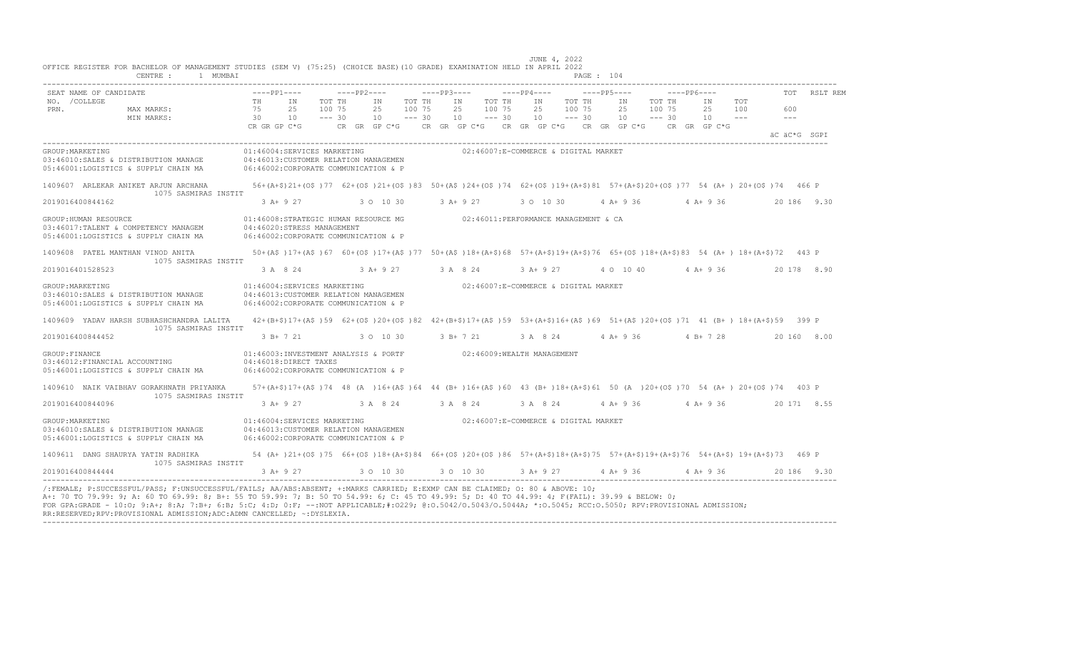| IN<br>2.5<br>10<br>CR GR GP C*G<br>01:46004:SERVICES MARKETING<br>04:46013:CUSTOMER RELATION MANAGEMEN<br>06:46002:CORPORATE COMMUNICATION & P<br>56+(A+\$)21+(O\$)77 62+(O\$)21+(O\$)83 50+(A\$)24+(O\$)74 62+(O\$)19+(A+\$)81 57+(A+\$)20+(O\$)77 54 (A+) 20+(O\$)74 466 P<br>3 A+ 9 27<br>01:46008:STRATEGIC HUMAN RESOURCE MG $02:46011:$ PERFORMANCE MANAGEMENT & CA<br>04:46020:STRESS MANAGEMENT | TOT TH<br>100 75<br>$--- 30$                       | IN<br>2.5<br>10                                                                     | TOT TH<br>100 75<br>$--- 30$                                                                                                                                                                                                                                                                                                                                          | 2.5       | IN<br>TOT TH<br>100 75<br>10<br>$--- 30$<br>CR GR GP C*G      CR GR GP C*G     CR GR GP C*G     CR GR GP C*G     CR GR GP C*G<br>02:46007:E-COMMERCE & DIGITAL MARKET |                                                                                                                                                                                       | IN<br>2.5<br>100 75<br>10 | TOT TH<br>$--- 30$ | IN<br>2.5<br>10                                                               | TOT TH<br>100 75<br>$--- 30$                                                 | IN<br>2.5<br>10 | TOT<br>100                                                       | 600<br>$  -$<br>äC äC*G SGPI |                                                                                                                                                                                                                                                                                                                                                                                                                                    |
|---------------------------------------------------------------------------------------------------------------------------------------------------------------------------------------------------------------------------------------------------------------------------------------------------------------------------------------------------------------------------------------------------------|----------------------------------------------------|-------------------------------------------------------------------------------------|-----------------------------------------------------------------------------------------------------------------------------------------------------------------------------------------------------------------------------------------------------------------------------------------------------------------------------------------------------------------------|-----------|-----------------------------------------------------------------------------------------------------------------------------------------------------------------------|---------------------------------------------------------------------------------------------------------------------------------------------------------------------------------------|---------------------------|--------------------|-------------------------------------------------------------------------------|------------------------------------------------------------------------------|-----------------|------------------------------------------------------------------|------------------------------|------------------------------------------------------------------------------------------------------------------------------------------------------------------------------------------------------------------------------------------------------------------------------------------------------------------------------------------------------------------------------------------------------------------------------------|
|                                                                                                                                                                                                                                                                                                                                                                                                         |                                                    |                                                                                     |                                                                                                                                                                                                                                                                                                                                                                       |           |                                                                                                                                                                       |                                                                                                                                                                                       |                           |                    |                                                                               |                                                                              |                 |                                                                  |                              |                                                                                                                                                                                                                                                                                                                                                                                                                                    |
|                                                                                                                                                                                                                                                                                                                                                                                                         |                                                    |                                                                                     |                                                                                                                                                                                                                                                                                                                                                                       |           |                                                                                                                                                                       |                                                                                                                                                                                       |                           |                    |                                                                               |                                                                              |                 |                                                                  |                              |                                                                                                                                                                                                                                                                                                                                                                                                                                    |
|                                                                                                                                                                                                                                                                                                                                                                                                         |                                                    |                                                                                     |                                                                                                                                                                                                                                                                                                                                                                       |           |                                                                                                                                                                       |                                                                                                                                                                                       |                           |                    |                                                                               |                                                                              |                 |                                                                  |                              |                                                                                                                                                                                                                                                                                                                                                                                                                                    |
|                                                                                                                                                                                                                                                                                                                                                                                                         |                                                    |                                                                                     |                                                                                                                                                                                                                                                                                                                                                                       |           |                                                                                                                                                                       |                                                                                                                                                                                       |                           |                    |                                                                               |                                                                              |                 |                                                                  |                              |                                                                                                                                                                                                                                                                                                                                                                                                                                    |
|                                                                                                                                                                                                                                                                                                                                                                                                         |                                                    | 3 0 10 30                                                                           |                                                                                                                                                                                                                                                                                                                                                                       |           | $3 A+9 27$                                                                                                                                                            |                                                                                                                                                                                       | 3 0 10 30                 |                    | 4 A+ 9 36                                                                     |                                                                              | 4 A + 9 36      |                                                                  |                              | 20 186 9.30                                                                                                                                                                                                                                                                                                                                                                                                                        |
| 06:46002:CORPORATE COMMUNICATION & P                                                                                                                                                                                                                                                                                                                                                                    |                                                    |                                                                                     |                                                                                                                                                                                                                                                                                                                                                                       |           |                                                                                                                                                                       |                                                                                                                                                                                       |                           |                    |                                                                               |                                                                              |                 |                                                                  |                              |                                                                                                                                                                                                                                                                                                                                                                                                                                    |
| 50+(A\$)17+(A\$)67 60+(O\$)17+(A\$)77 50+(A\$)18+(A+\$)68 57+(A+\$)19+(A+\$)76 65+(O\$)18+(A+\$)83 54 (A+)18+(A+\$)72 443 P                                                                                                                                                                                                                                                                             |                                                    |                                                                                     |                                                                                                                                                                                                                                                                                                                                                                       |           |                                                                                                                                                                       |                                                                                                                                                                                       |                           |                    |                                                                               |                                                                              |                 |                                                                  |                              |                                                                                                                                                                                                                                                                                                                                                                                                                                    |
|                                                                                                                                                                                                                                                                                                                                                                                                         |                                                    |                                                                                     |                                                                                                                                                                                                                                                                                                                                                                       |           |                                                                                                                                                                       |                                                                                                                                                                                       |                           |                    |                                                                               |                                                                              |                 |                                                                  |                              | 20 178 8.90                                                                                                                                                                                                                                                                                                                                                                                                                        |
|                                                                                                                                                                                                                                                                                                                                                                                                         |                                                    |                                                                                     |                                                                                                                                                                                                                                                                                                                                                                       |           |                                                                                                                                                                       |                                                                                                                                                                                       |                           |                    |                                                                               |                                                                              |                 |                                                                  |                              |                                                                                                                                                                                                                                                                                                                                                                                                                                    |
|                                                                                                                                                                                                                                                                                                                                                                                                         |                                                    |                                                                                     |                                                                                                                                                                                                                                                                                                                                                                       |           |                                                                                                                                                                       |                                                                                                                                                                                       |                           |                    |                                                                               |                                                                              |                 |                                                                  |                              |                                                                                                                                                                                                                                                                                                                                                                                                                                    |
|                                                                                                                                                                                                                                                                                                                                                                                                         |                                                    |                                                                                     |                                                                                                                                                                                                                                                                                                                                                                       |           |                                                                                                                                                                       |                                                                                                                                                                                       |                           |                    |                                                                               |                                                                              |                 |                                                                  |                              | 20 160 8.00                                                                                                                                                                                                                                                                                                                                                                                                                        |
|                                                                                                                                                                                                                                                                                                                                                                                                         |                                                    |                                                                                     |                                                                                                                                                                                                                                                                                                                                                                       |           |                                                                                                                                                                       |                                                                                                                                                                                       |                           |                    |                                                                               |                                                                              |                 |                                                                  |                              |                                                                                                                                                                                                                                                                                                                                                                                                                                    |
|                                                                                                                                                                                                                                                                                                                                                                                                         |                                                    |                                                                                     |                                                                                                                                                                                                                                                                                                                                                                       |           |                                                                                                                                                                       |                                                                                                                                                                                       |                           |                    |                                                                               |                                                                              |                 |                                                                  |                              |                                                                                                                                                                                                                                                                                                                                                                                                                                    |
|                                                                                                                                                                                                                                                                                                                                                                                                         |                                                    |                                                                                     |                                                                                                                                                                                                                                                                                                                                                                       |           |                                                                                                                                                                       |                                                                                                                                                                                       |                           |                    |                                                                               |                                                                              |                 |                                                                  |                              | 20 171 8.55                                                                                                                                                                                                                                                                                                                                                                                                                        |
|                                                                                                                                                                                                                                                                                                                                                                                                         |                                                    |                                                                                     |                                                                                                                                                                                                                                                                                                                                                                       |           |                                                                                                                                                                       |                                                                                                                                                                                       |                           |                    |                                                                               |                                                                              |                 |                                                                  |                              |                                                                                                                                                                                                                                                                                                                                                                                                                                    |
|                                                                                                                                                                                                                                                                                                                                                                                                         |                                                    |                                                                                     |                                                                                                                                                                                                                                                                                                                                                                       |           |                                                                                                                                                                       |                                                                                                                                                                                       |                           |                    |                                                                               |                                                                              |                 |                                                                  |                              |                                                                                                                                                                                                                                                                                                                                                                                                                                    |
|                                                                                                                                                                                                                                                                                                                                                                                                         |                                                    |                                                                                     |                                                                                                                                                                                                                                                                                                                                                                       |           |                                                                                                                                                                       |                                                                                                                                                                                       |                           |                    |                                                                               |                                                                              |                 |                                                                  |                              |                                                                                                                                                                                                                                                                                                                                                                                                                                    |
|                                                                                                                                                                                                                                                                                                                                                                                                         | 3 A 8 24<br>3 B+ 7 21<br>$3 A+9 27$<br>$3 A+ 9 27$ | 01:46004:SERVICES MARKETING<br>04:46018:DIRECT TAXES<br>01:46004:SERVICES MARKETING | 04:46013: CUSTOMER RELATION MANAGEMEN<br>06:46002:CORPORATE COMMUNICATION & P<br>3 0 10 30<br>06:46002:CORPORATE COMMUNICATION & P<br>04:46013: CUSTOMER RELATION MANAGEMEN<br>06:46002:CORPORATE COMMUNICATION & P<br>A+: 70 TO 79.99: 9; A: 60 TO 69.99: 8; B+: 55 TO 59.99: 7; B: 50 TO 54.99: 6; C: 45 TO 49.99: 5; D: 40 TO 44.99: 4; F(FAIL): 39.99 & BELOW: 0; | 3 0 10 30 |                                                                                                                                                                       | 3 A + 9 27 3 A 8 24<br>3 A 8 24 3 A 8 24<br>3 0 10 30<br>/:FEMALE; P:SUCCESSFUL/PASS; F:UNSUCCESSFUL/FAILS; AA/ABS:ABSENT; +:MARKS CARRIED; E:EXMP CAN BE CLAIMED; O: 80 & ABOVE: 10; | 3 B+ 7 21                 |                    | 3 A + 9 27<br>01:46003:INVESTMENT ANALYSIS & PORTF 02:46009:WEALTH MANAGEMENT | 02:46007:E-COMMERCE & DIGITAL MARKET<br>02:46007:E-COMMERCE & DIGITAL MARKET |                 | 3 A 8 24 4 A + 9 36 4 B + 7 28<br>3 A 8 24 4 A + 9 36 4 A + 9 36 | 4 0 10 40 4 A + 9 36         | 42+(B+\$)17+(A\$)59 62+(O\$)20+(O\$)82 42+(B+\$)17+(A\$)59 53+(A+\$)16+(A\$)69 51+(A\$)20+(O\$)71 41 (B+) 18+(A+\$)59 399 P<br>57+(A+\$)17+(A\$)74 48 (A)16+(A\$)64 44 (B+)16+(A\$)60 43 (B+)18+(A+\$)61 50 (A)20+(O\$)70 54 (A+)20+(O\$)74 403 P<br>54 (A+)21+(O\$)75 66+(O\$)18+(A+\$)84 66+(O\$)20+(O\$)86 57+(A+\$)18+(A+\$)75 57+(A+\$)19+(A+\$)76 54+(A+\$)19+(A+\$)73 469 P<br>3 A + 9 27 4 A + 9 36 4 A + 9 36 20 186 9.30 |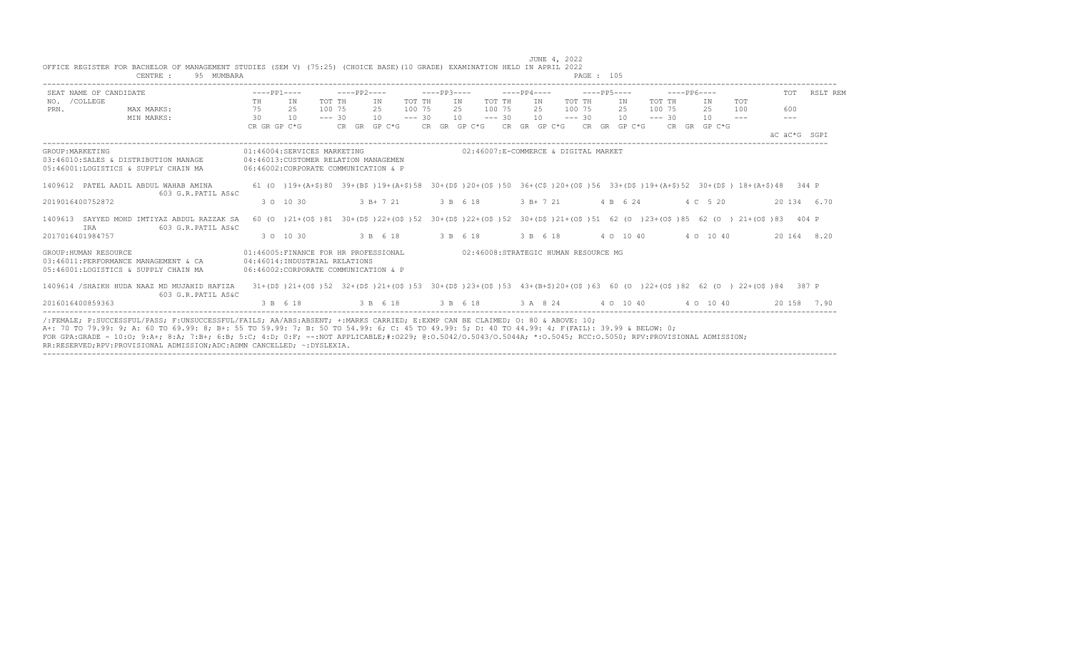|                       | SEAT NAME OF CANDIDATE                                                                                                                                                                                                                                                         | $---PP1---$  |    |                                                                                                                                                          |  | $---PP2---$ |        |          |     | $---PP3---$                          |        |             |     | $---PP4---$ |           |          | $---PP6---$                                                                               |         | <b>TOT</b> | RSLT REM     |
|-----------------------|--------------------------------------------------------------------------------------------------------------------------------------------------------------------------------------------------------------------------------------------------------------------------------|--------------|----|----------------------------------------------------------------------------------------------------------------------------------------------------------|--|-------------|--------|----------|-----|--------------------------------------|--------|-------------|-----|-------------|-----------|----------|-------------------------------------------------------------------------------------------|---------|------------|--------------|
| NO. / COLLEGE         |                                                                                                                                                                                                                                                                                | TH           |    | TOT TH<br>IN                                                                                                                                             |  | IN          | TOT TH |          | IN  |                                      | TOT TH |             | IN  | TOT TH      | IN        | TOT TH   | IN                                                                                        | TOT     |            |              |
| PRN.                  | MAX MARKS:                                                                                                                                                                                                                                                                     | 75           |    | 25<br>100 75                                                                                                                                             |  | 2.5         | 100 75 |          | 2.5 |                                      | 100 75 |             | 2.5 | 100 75      | 2.5       | 100 75   | 2.5                                                                                       | 100     | 600        |              |
|                       | MIN MARKS:                                                                                                                                                                                                                                                                     | 30           | 10 | $--- 30$                                                                                                                                                 |  | $10 = -230$ |        |          |     | $10 = -230$                          |        |             |     | $10 = -230$ | 10        | $--- 30$ | 10                                                                                        | $- - -$ | $---$      |              |
|                       |                                                                                                                                                                                                                                                                                | CR GR GP C*G |    |                                                                                                                                                          |  |             |        |          |     |                                      |        |             |     |             |           |          | CR GR GP C*G $\,$ CR GR GP C*G $\,$ CR GR GP C*G $\,$ CR GR GP C*G $\,$ CR GR GP C*G $\,$ |         |            |              |
|                       |                                                                                                                                                                                                                                                                                |              |    |                                                                                                                                                          |  |             |        |          |     |                                      |        |             |     |             |           |          |                                                                                           |         |            | AC AC*G SGPT |
| GROUP: MARKETING      |                                                                                                                                                                                                                                                                                |              |    | 01:46004:SERVICES MARKETING                                                                                                                              |  |             |        |          |     | 02:46007:E-COMMERCE & DIGITAL MARKET |        |             |     |             |           |          |                                                                                           |         |            |              |
|                       | 03:46010:SALES & DISTRIBUTION MANAGE                                                                                                                                                                                                                                           |              |    | 04:46013: CUSTOMER RELATION MANAGEMEN                                                                                                                    |  |             |        |          |     |                                      |        |             |     |             |           |          |                                                                                           |         |            |              |
|                       | 05:46001:LOGISTICS & SUPPLY CHAIN MA                                                                                                                                                                                                                                           |              |    | 06:46002:CORPORATE COMMUNICATION & P                                                                                                                     |  |             |        |          |     |                                      |        |             |     |             |           |          |                                                                                           |         |            |              |
|                       | 1409612 PATEL AADIL ABDUL WAHAB AMINA                                                                                                                                                                                                                                          |              |    | 61 (0 ) 19+ (A+\$) 80 39+ (B\$ ) 19+ (A+\$) 58 30+ (D\$ ) 20+ (O\$ ) 50 36+ (C\$ ) 20+ (O\$ ) 56 33+ (D\$ ) 19+ (A+\$) 52 30+ (D\$ ) 18+ (A+\$) 48 344 P |  |             |        |          |     |                                      |        |             |     |             |           |          |                                                                                           |         |            |              |
|                       | 603 G.R. PATIL AS&C                                                                                                                                                                                                                                                            |              |    |                                                                                                                                                          |  |             |        |          |     |                                      |        |             |     |             |           |          |                                                                                           |         |            |              |
| 2019016400752872      |                                                                                                                                                                                                                                                                                |              |    | 3 0 10 30                                                                                                                                                |  | 3 B+ 7 21   |        | 3 B 6 18 |     |                                      |        | $3 B+ 7 21$ |     |             | 4 B 6 24  |          | 4 C 5 20                                                                                  |         |            | 20 134 6.70  |
|                       |                                                                                                                                                                                                                                                                                |              |    |                                                                                                                                                          |  |             |        |          |     |                                      |        |             |     |             |           |          |                                                                                           |         |            |              |
| IRA                   | 1409613 SAYYED MOHD IMTIYAZ ABDUL RAZZAK SA<br>603 G.R. PATIL AS&C                                                                                                                                                                                                             |              |    | 60 (0 )21+(0\$)81 30+(D\$)22+(O\$)52 30+(D\$)22+(O\$)52 30+(D\$)21+(O\$)51 62 (0 )23+(O\$)85 62 (0 )21+(O\$)83 404 P                                     |  |             |        |          |     |                                      |        |             |     |             |           |          |                                                                                           |         |            |              |
| 2017016401984757      |                                                                                                                                                                                                                                                                                |              |    | 3 0 10 30                                                                                                                                                |  | 3 B 6 18    |        | 3 B 6 18 |     |                                      |        | 3 B 6 18    |     |             | 4 0 10 40 |          | 4 0 10 40                                                                                 |         |            | 20 164 8.20  |
|                       |                                                                                                                                                                                                                                                                                |              |    |                                                                                                                                                          |  |             |        |          |     |                                      |        |             |     |             |           |          |                                                                                           |         |            |              |
| GROUP: HUMAN RESOURCE |                                                                                                                                                                                                                                                                                |              |    | 01:46005:FINANCE FOR HR PROFESSIONAL                                                                                                                     |  |             |        |          |     | 02:46008:STRATEGIC HUMAN RESOURCE MG |        |             |     |             |           |          |                                                                                           |         |            |              |
|                       | 03:46011:PERFORMANCE MANAGEMENT & CA                                                                                                                                                                                                                                           |              |    | 04:46014:INDUSTRIAL RELATIONS                                                                                                                            |  |             |        |          |     |                                      |        |             |     |             |           |          |                                                                                           |         |            |              |
|                       | 05:46001:LOGISTICS & SUPPLY CHAIN MA                                                                                                                                                                                                                                           |              |    | 06:46002: CORPORATE COMMUNICATION & P                                                                                                                    |  |             |        |          |     |                                      |        |             |     |             |           |          |                                                                                           |         |            |              |
|                       | 1409614 /SHAIKH HUDA NAAZ MD MUJAHID HAFIZA                                                                                                                                                                                                                                    |              |    | 31+(D\$)21+(O\$)52 32+(D\$)21+(O\$)53 30+(D\$)23+(O\$)53 43+(B+\$)20+(O\$)63 60 (O )22+(O\$)82 62 (O )22+(O\$)84 387 P                                   |  |             |        |          |     |                                      |        |             |     |             |           |          |                                                                                           |         |            |              |
|                       | 603 G.R.PATIL AS&C                                                                                                                                                                                                                                                             |              |    |                                                                                                                                                          |  |             |        |          |     |                                      |        |             |     |             |           |          |                                                                                           |         |            |              |
| 2016016400859363      |                                                                                                                                                                                                                                                                                |              |    | 3 B 6 18                                                                                                                                                 |  |             |        |          |     |                                      |        |             |     |             |           |          | 3 B 6 18 3 B 6 18 3 A 8 24 4 0 10 40 4 0 10 40                                            |         |            | 20 158 7.90  |
|                       |                                                                                                                                                                                                                                                                                |              |    |                                                                                                                                                          |  |             |        |          |     |                                      |        |             |     |             |           |          |                                                                                           |         |            |              |
|                       | /:FEMALE: P:SUCCESSFUL/PASS: F:UNSUCCESSFUL/FAILS: AA/ABS:ABSENT: +:MARKS CARRIED: E:EXMP CAN BE CLAIMED: 0: 80 & ABOVE: 10:<br>A+: 70 TO 79.99: 9; A: 60 TO 69.99: 8; B+: 55 TO 59.99: 7; B: 50 TO 54.99: 6; C: 45 TO 49.99: 5; D: 40 TO 44.99: 4; F(FAIL): 39.99 & BELOW: 0; |              |    |                                                                                                                                                          |  |             |        |          |     |                                      |        |             |     |             |           |          |                                                                                           |         |            |              |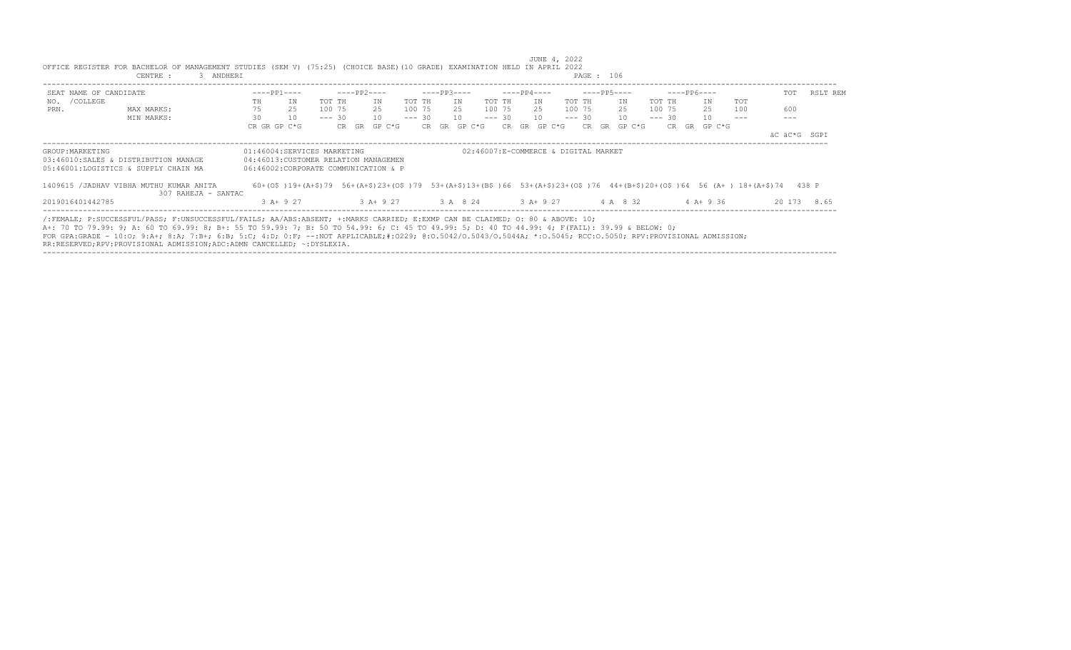|                        | CENTRE :<br>3 ANDHERI                                                                                                                                                                                                                                                                                                                                                                                                                                                                                                         |                                                                                                              |                            |              |                                      | PAGE : 106          |                                                                                                                               |                 |
|------------------------|-------------------------------------------------------------------------------------------------------------------------------------------------------------------------------------------------------------------------------------------------------------------------------------------------------------------------------------------------------------------------------------------------------------------------------------------------------------------------------------------------------------------------------|--------------------------------------------------------------------------------------------------------------|----------------------------|--------------|--------------------------------------|---------------------|-------------------------------------------------------------------------------------------------------------------------------|-----------------|
| SEAT NAME OF CANDIDATE |                                                                                                                                                                                                                                                                                                                                                                                                                                                                                                                               | $---PP1---$                                                                                                  | $---PP2---$                | $---PP3---$  | ----PP4----                          | $---PP5---$         | $---PP6---$                                                                                                                   | RSLT REM<br>TOT |
| NO. / COLLEGE          |                                                                                                                                                                                                                                                                                                                                                                                                                                                                                                                               | IN<br>TH                                                                                                     | TOT TH<br>TOT TH<br>ΙN     | ΙN           | TOT TH<br>IN                         | TOT TH<br>IN        | <b>TOT</b><br>TOT TH<br>IN                                                                                                    |                 |
| PRN.                   | MAX MARKS:                                                                                                                                                                                                                                                                                                                                                                                                                                                                                                                    | 75<br>25                                                                                                     | 100 75<br>100 75<br>25     | 25           | 100 75<br>25                         | 100 75<br>25        | 25<br>100 75<br>100                                                                                                           | 600             |
|                        | MIN MARKS:                                                                                                                                                                                                                                                                                                                                                                                                                                                                                                                    | 30<br>10                                                                                                     | $--- 30$<br>$--- 30$<br>10 | 10           | $--- 30$<br>10                       | $--- 30$<br>10      | $--- 30$<br>10                                                                                                                |                 |
|                        |                                                                                                                                                                                                                                                                                                                                                                                                                                                                                                                               | CR GR GP C*G                                                                                                 | CR GR GP C*G               | CR GR GP C*G | CR GR GP C*G                         | CR GR GP C*G        | CR GR GP C*G                                                                                                                  |                 |
|                        |                                                                                                                                                                                                                                                                                                                                                                                                                                                                                                                               |                                                                                                              |                            |              |                                      |                     |                                                                                                                               | äC äC*G SGPI    |
| GROUP: MARKETING       | 03:46010:SALES & DISTRIBUTION MANAGE<br>05:46001:LOGISTICS & SUPPLY CHAIN MA                                                                                                                                                                                                                                                                                                                                                                                                                                                  | 01:46004:SERVICES MARKETING<br>04:46013: CUSTOMER RELATION MANAGEMEN<br>06:46002:CORPORATE COMMUNICATION & P |                            |              | 02:46007:E-COMMERCE & DIGITAL MARKET |                     |                                                                                                                               |                 |
|                        | 1409615 / JADHAV VIBHA MUTHU KUMAR ANITA<br>307 RAHEJA - SANTAC                                                                                                                                                                                                                                                                                                                                                                                                                                                               |                                                                                                              |                            |              |                                      |                     | 60+(0\$)19+(A+\$)79 56+(A+\$)23+(0\$)79 53+(A+\$)13+(B\$)66 53+(A+\$)23+(0\$)76 44+(B+\$)20+(0\$)64 56 (A+) 18+(A+\$)74 438 P |                 |
| 2019016401442785       |                                                                                                                                                                                                                                                                                                                                                                                                                                                                                                                               | 3 A+ 9 27                                                                                                    | 3 A + 9 27 3 A 8 24        |              |                                      | 3 A + 9 27 4 A 8 32 | 4 A+ 9 36                                                                                                                     | 20 173 8.65     |
|                        | /:FEMALE: P:SUCCESSFUL/PASS: F:UNSUCCESSFUL/FAILS: AA/ABS:ABSENT: +:MARKS CARRIED: E:EXMP CAN BE CLAIMED: 0: 80 & ABOVE: 10:<br>A+: 70 TO 79.99: 9; A: 60 TO 69.99: 8; B+: 55 TO 59.99: 7; B: 50 TO 54.99: 6; C: 45 TO 49.99: 5; D: 40 TO 44.99: 4; F(FAIL): 39.99 & BELOW: 0;<br>FOR GPA:GRADE - 10:0; 9:A+; 8:A; 7:B+; 6:B; 5:C; 4:D; 0:F; --:NOT APPLICABLE;#:0229; 0:0.5042/0.50440; *:0.5044A; *:0.5045; RCC:0.5050; RPV:PROVISIONAL ADMISSION;<br>RR:RESERVED;RPV:PROVISIONAL ADMISSION;ADC:ADMN CANCELLED; ~:DYSLEXIA. |                                                                                                              |                            |              |                                      |                     |                                                                                                                               |                 |

----------------------------------------------------------------------------------------------------------------------------------------------------------------------------------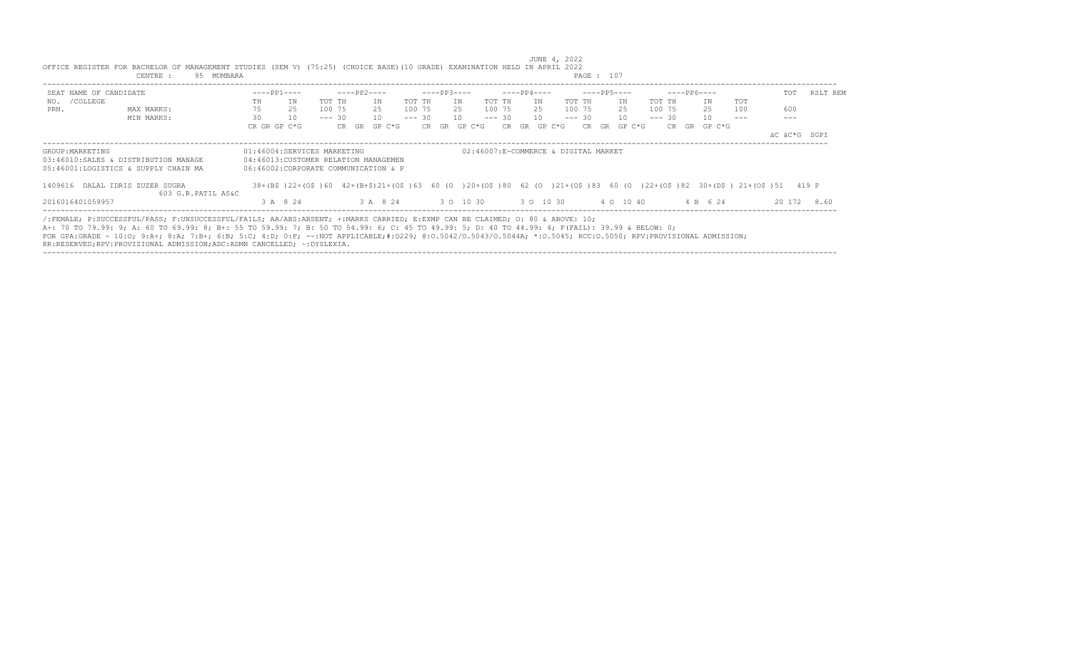| $---PP1---$<br>$---PP2---$<br>$---PP3---$<br>$---PP4---$<br>$---PP5---$<br>$---PP6---$<br>SEAT NAME OF CANDIDATE<br>NO. / COLLEGE<br>TOT TH<br>IN<br>TOT TH<br>IN<br>TOT TH<br>IN<br>IN<br>TOT TH<br>IN<br>TH<br>TOT TH<br>ΙN<br>75<br>25<br>100 75<br>25<br>100 75<br>100 75<br>25<br>100 75<br>25<br>25<br>100 75<br>25<br>PRN.<br>MAX MARKS:<br>30<br>10<br>10<br>$--- 30$<br>10<br>$--- 30$<br>10<br>$--- 30$<br>$--- 30$<br>10<br>10<br>$--- 30$<br>MIN MARKS:<br>CR GR GP C*G<br>CR GR GP C*G<br>CR GR GP C*G<br>CR GR GP C*G<br>CR GR GP C*G<br>CR GR<br>GP C*G | TOT<br>TOT<br>600<br>100 | RSLT REM     |
|------------------------------------------------------------------------------------------------------------------------------------------------------------------------------------------------------------------------------------------------------------------------------------------------------------------------------------------------------------------------------------------------------------------------------------------------------------------------------------------------------------------------------------------------------------------------|--------------------------|--------------|
|                                                                                                                                                                                                                                                                                                                                                                                                                                                                                                                                                                        |                          |              |
|                                                                                                                                                                                                                                                                                                                                                                                                                                                                                                                                                                        |                          |              |
|                                                                                                                                                                                                                                                                                                                                                                                                                                                                                                                                                                        |                          |              |
|                                                                                                                                                                                                                                                                                                                                                                                                                                                                                                                                                                        |                          |              |
|                                                                                                                                                                                                                                                                                                                                                                                                                                                                                                                                                                        |                          |              |
|                                                                                                                                                                                                                                                                                                                                                                                                                                                                                                                                                                        |                          | äC äC*G SGPI |
| 01:46004:SERVICES MARKETING<br>02:46007:E-COMMERCE & DIGITAL MARKET<br>GROUP: MARKETING                                                                                                                                                                                                                                                                                                                                                                                                                                                                                |                          |              |
| 03:46010:SALES & DISTRIBUTION MANAGE<br>04:46013: CUSTOMER RELATION MANAGEMEN                                                                                                                                                                                                                                                                                                                                                                                                                                                                                          |                          |              |
| 05:46001:LOGISTICS & SUPPLY CHAIN MA<br>06:46002:CORPORATE COMMUNICATION & P                                                                                                                                                                                                                                                                                                                                                                                                                                                                                           |                          |              |
| 38+(B\$)22+(O\$)60 42+(B+\$)21+(O\$)63 60 (O )20+(O\$)80 62 (O )21+(O\$)83 60 (O )22+(O\$)82 30+(D\$) 21+(O\$)51 419 P<br>1409616 DALAL IDRIS ZUZER SUGRA                                                                                                                                                                                                                                                                                                                                                                                                              |                          |              |
| 603 G.R.PATIL AS&C                                                                                                                                                                                                                                                                                                                                                                                                                                                                                                                                                     |                          |              |
| 3 A 8 24<br>3 0 10 30 30 10 30<br>4 0 10 40<br>4 B 6 24<br>2016016401059957<br>3 A 8 24                                                                                                                                                                                                                                                                                                                                                                                                                                                                                |                          | 20 172 8.60  |

----------------------------------------------------------------------------------------------------------------------------------------------------------------------------------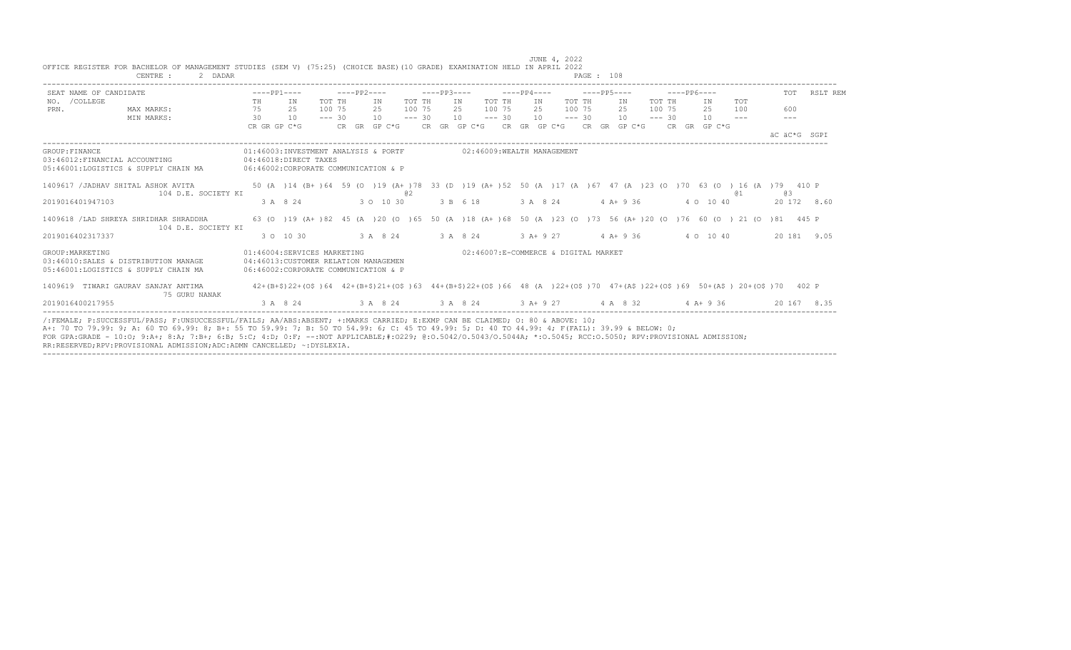|                                                 | 2 DADAR<br>CENTRE :                                                          |                                                               |              |                                                                      |          |             |              |          |             |     |                                       |          |             | PAGE : 108 |              |          |             |              |                                                                                                                            |     |              |
|-------------------------------------------------|------------------------------------------------------------------------------|---------------------------------------------------------------|--------------|----------------------------------------------------------------------|----------|-------------|--------------|----------|-------------|-----|---------------------------------------|----------|-------------|------------|--------------|----------|-------------|--------------|----------------------------------------------------------------------------------------------------------------------------|-----|--------------|
| SEAT NAME OF CANDIDATE                          |                                                                              |                                                               | $---PP1---$  |                                                                      |          | $---PP2---$ |              |          | $---PP3---$ |     |                                       |          | $---PP4---$ |            | $---PP5---$  |          | $---PP6---$ |              |                                                                                                                            | TOT | RSLT REM     |
| NO. / COLLEGE                                   |                                                                              | TH                                                            | IN           |                                                                      | TOT TH   |             | ΙN           | TOT TH   |             | IN  |                                       | TOT TH   | TN          | TOT TH     | IN           | TOT TH   |             | IN           | TOT                                                                                                                        |     |              |
| PRN.                                            | MAX MARKS:                                                                   | 75                                                            | 25           |                                                                      | 100 75   |             | 2.5          | 100 75   |             | 2.5 |                                       | 100 75   | 2.5         | 100 75     | 2.5          | 100 75   |             | 2.5          | 100                                                                                                                        | 600 |              |
|                                                 | MIN MARKS:                                                                   | 30                                                            | 10           |                                                                      | $--- 30$ |             | 10           | $--- 30$ |             | 10  |                                       | $--- 30$ | 10          | $--- 30$   | 10           | $--- 30$ |             | 10           | $\frac{1}{2}$                                                                                                              |     |              |
|                                                 |                                                                              |                                                               | CR GR GP C*G |                                                                      |          |             | CR GR GP C*G |          |             |     | CR GR GP C*G CR GR GP C*G             |          |             |            | CR GR GP C*G |          |             | CR GR GP C*G |                                                                                                                            |     | äC äC*G SGPI |
| GROUP: FINANCE<br>03:46012:FINANCIAL ACCOUNTING | 05:46001:LOGISTICS & SUPPLY CHAIN MA                                         | 04:46018:DIRECT TAXES<br>06:46002:CORPORATE COMMUNICATION & P |              | 01:46003:INVESTMENT ANALYSIS & PORTF                                 |          |             |              |          |             |     | 02:46009:WEALTH MANAGEMENT            |          |             |            |              |          |             |              |                                                                                                                            |     |              |
|                                                 | 1409617 / JADHAV SHITAL ASHOK AVITA<br>104 D.E. SOCIETY KI                   |                                                               |              |                                                                      |          |             |              | @ 2      |             |     |                                       |          |             |            |              |          |             |              | 50 (A) 14 (B+) 64 59 (O) 19 (A+) 78 33 (D) 19 (A+) 52 50 (A) 17 (A) 67 47 (A) 23 (O) 70 63 (O) 16 (A) 79 410 P<br>@ 1      | G 3 |              |
| 2019016401947103                                |                                                                              |                                                               | 3 A 8 24     |                                                                      |          |             | 3 0 10 30    |          |             |     | 3 B 6 18                              |          | 3 A 8 24    |            | 4 A+ 9 36    |          |             | 4 0 10 40    |                                                                                                                            |     | 20 172 8.60  |
|                                                 | 1409618 / LAD SHREYA SHRIDHAR SHRADDHA<br>104 D.E. SOCIETY KI                |                                                               |              |                                                                      |          |             |              |          |             |     |                                       |          |             |            |              |          |             |              | 63 (0 ) 19 (A+ ) 82 45 (A ) 20 (0 ) 65 50 (A ) 18 (A+ ) 68 50 (A ) 23 (0 ) 73 56 (A+ ) 20 (0 ) 76 60 (0 ) 21 (0 ) 81 445 P |     |              |
| 2019016402317337                                |                                                                              |                                                               | 3 0 10 30    |                                                                      |          |             | 3 A 8 24     |          |             |     | 3 A 8 24                              |          | $3 A+9 27$  |            | $4 A+9 36$   |          |             | 4 0 10 40    |                                                                                                                            |     | 20 181 9.05  |
| GROUP: MARKETING                                | 03:46010:SALES & DISTRIBUTION MANAGE<br>05:46001:LOGISTICS & SUPPLY CHAIN MA | 06:46002:CORPORATE COMMUNICATION & P                          |              | 01:46004:SERVICES MARKETING<br>04:46013: CUSTOMER RELATION MANAGEMEN |          |             |              |          |             |     | 02:46007:E-COMMERCE & DIGITAL MARKET  |          |             |            |              |          |             |              |                                                                                                                            |     |              |
|                                                 | 1409619 TIWARI GAURAV SANJAY ANTIMA<br>75 GURU NANAK                         |                                                               |              |                                                                      |          |             |              |          |             |     |                                       |          |             |            |              |          |             |              | 42+(B+\$)22+(O\$)64 42+(B+\$)21+(O\$)63 44+(B+\$)22+(O\$)66 48 (A)22+(O\$)70 47+(A\$)22+(O\$)69 50+(A\$)20+(O\$)70 402 P   |     |              |
| 2019016400217955                                |                                                                              |                                                               | 3 A 8 24     |                                                                      |          |             |              |          |             |     | 3 A 8 24 3 A 8 24 3 A + 9 27 4 A 8 32 |          |             |            |              |          |             | $4$ A + 9 36 |                                                                                                                            |     | 20 167 8.35  |

----------------------------------------------------------------------------------------------------------------------------------------------------------------------------------

OFFICE REGISTER FOR BACHELOR OF MANAGEMENT STUDIES (SEM V) (75:25) (CHOICE BASE)(10 GRADE) EXAMINATION HELD IN APRIL 2022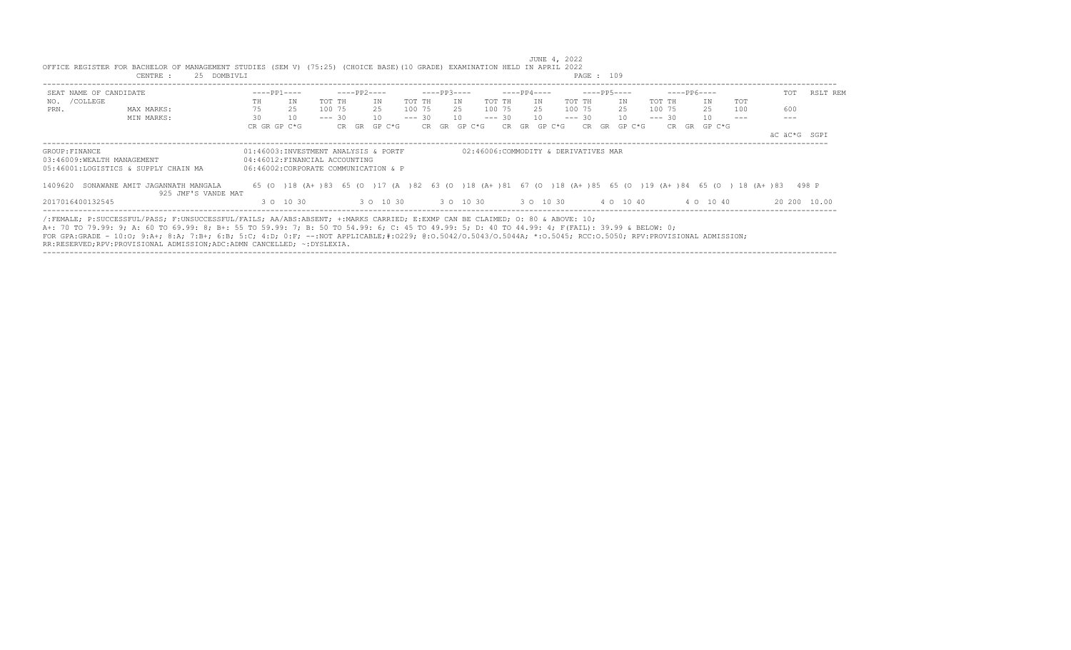| SEAT NAME OF CANDIDATE |                                                                                                                                                                                                                                                                                                                                                                                                                                                  |    | $---PP1---$                          |          | ----PP2---- |                                           |        | $---PP3---$  |    |           |  | $---PP4---$  |             |  | $---PP5---$  |          | $---PP6---$  |                                                                                                                  | TOT          | RSLT REM     |
|------------------------|--------------------------------------------------------------------------------------------------------------------------------------------------------------------------------------------------------------------------------------------------------------------------------------------------------------------------------------------------------------------------------------------------------------------------------------------------|----|--------------------------------------|----------|-------------|-------------------------------------------|--------|--------------|----|-----------|--|--------------|-------------|--|--------------|----------|--------------|------------------------------------------------------------------------------------------------------------------|--------------|--------------|
| NO. / COLLEGE          |                                                                                                                                                                                                                                                                                                                                                                                                                                                  | TH | IN                                   | TOT TH   |             | TN                                        | TOT TH |              | IN | TOT TH    |  | TN           | TOT TH      |  | IN           | TOT TH   | TN           | TOT                                                                                                              |              |              |
| PRN.                   | MAX MARKS:                                                                                                                                                                                                                                                                                                                                                                                                                                       | 75 | 25                                   | 100 75   |             | 25                                        | 100 75 |              |    | 25 100 75 |  |              | 25 100 75   |  | 2.5          | 100 75   | 2.5          | 100                                                                                                              | 600          |              |
|                        | MIN MARKS:                                                                                                                                                                                                                                                                                                                                                                                                                                       | 30 | 10                                   | $--- 30$ |             | 10                                        |        | $--- 30 10$  |    |           |  | $--- 30 10$  | $--- 30 10$ |  |              | $--- 30$ | 10           |                                                                                                                  |              |              |
|                        |                                                                                                                                                                                                                                                                                                                                                                                                                                                  |    | CR GR GP C*G                         |          |             | CR GR GP C*G                              |        | CR GR GP C*G |    |           |  | CR GR GP C*G |             |  | CR GR GP C*G |          | CR GR GP C*G |                                                                                                                  |              |              |
|                        |                                                                                                                                                                                                                                                                                                                                                                                                                                                  |    |                                      |          |             |                                           |        |              |    |           |  |              |             |  |              |          |              |                                                                                                                  | äC äC*G SGPI |              |
|                        | 05:46001:LOGISTICS & SUPPLY CHAIN MA<br>1409620 SONAWANE AMIT JAGANNATH MANGALA<br>925 JMF'S VANDE MAT                                                                                                                                                                                                                                                                                                                                           |    | 06:46002:CORPORATE COMMUNICATION & P |          |             |                                           |        |              |    |           |  |              |             |  |              |          |              | 65 (0 )18 (A+ )83 65 (0 )17 (A )82 63 (0 )18 (A+ )81 67 (0 )18 (A+ )85 65 (0 )19 (A+ )84 65 (0 )18 (A+ )83 498 P |              |              |
| 2017016400132545       |                                                                                                                                                                                                                                                                                                                                                                                                                                                  |    | 3 0 10 30                            |          |             | 3 0 10 30 3 0 10 30 30 30 10 30 4 0 10 40 |        |              |    |           |  |              |             |  |              |          | 4 0 10 40    |                                                                                                                  |              | 20 200 10.00 |
|                        | /:FEMALE; P:SUCCESSFUL/PASS; F:UNSUCCESSFUL/FAILS; AA/ABS:ABSENT; +:MARKS CARRIED; E:EXMP CAN BE CLAIMED; 0: 80 & ABOVE: 10;<br>A+: 70 TO 79.99: 9; A: 60 TO 69.99: 8; B+: 55 TO 59.99: 7; B: 50 TO 54.99: 6; C: 45 TO 49.99: 5; D: 40 TO 44.99: 4; F(FAIL): 39.99 & BELOW: 0;<br>FOR GPA:GRADE - 10:0; 9:A+; 8:A; 7:B+; 6:B; 5:C; 4:D; 0:F; --:NOT APPLICABLE;#:0229; 0:0.5042/0.5043/0.5044A; *:0.5045; RCC:0.5050; RPV:PROVISIONAL ADMISSION; |    |                                      |          |             |                                           |        |              |    |           |  |              |             |  |              |          |              |                                                                                                                  |              |              |

JUNE 4, 2022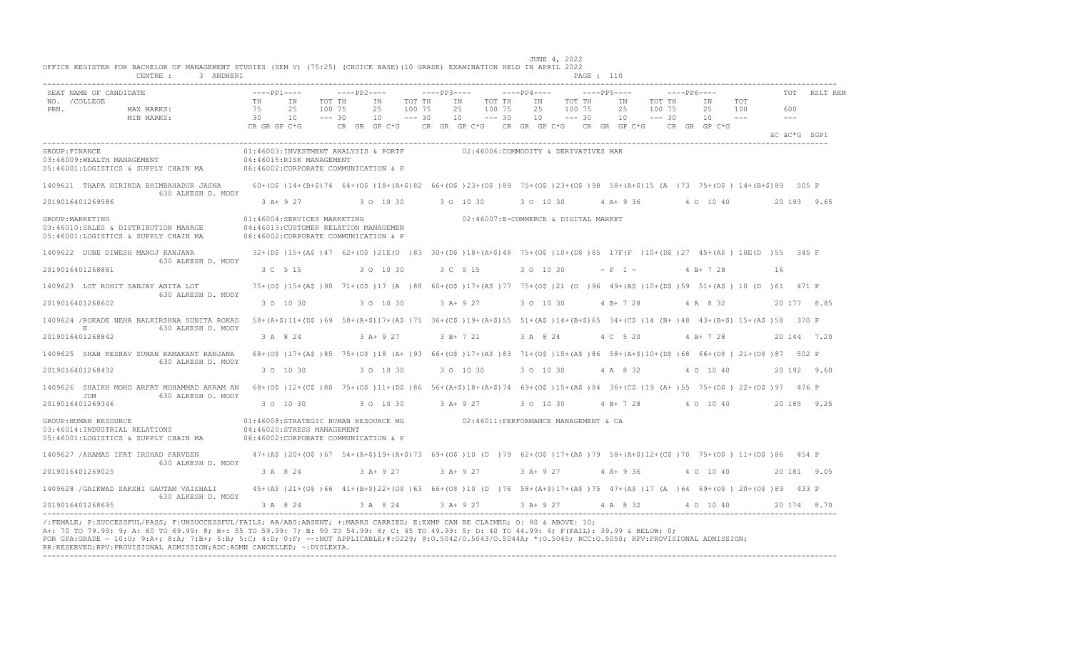|                  | SEAT NAME OF CANDIDATE                                                                          |              | $---PP1---$                                                                                                                                        | $---PP2---$                                                      |            |          | $---PP3---$ |                                      |          | $---PP4---$ |          | $---PP5---$     |          | $---PP6---$ |                                 |       | TOT                 | RSLT REM     |
|------------------|-------------------------------------------------------------------------------------------------|--------------|----------------------------------------------------------------------------------------------------------------------------------------------------|------------------------------------------------------------------|------------|----------|-------------|--------------------------------------|----------|-------------|----------|-----------------|----------|-------------|---------------------------------|-------|---------------------|--------------|
| NO. / COLLEGE    |                                                                                                 | TH           | IN                                                                                                                                                 | TOT TH                                                           | ΙN         | TOT TH   |             | ΙN                                   | TOT TH   | IN          | TOT TH   | ΙN              | TOT TH   |             | IN                              | TOT   |                     |              |
| PRN.             | MAX MARKS:                                                                                      | 75           | 25                                                                                                                                                 | 100 75                                                           | 25         | 100 75   |             | 25                                   | 100 75   | 25          | 100 75   | 25              | 100 75   |             | 25                              | 100   | 600                 |              |
|                  | MIN MARKS:                                                                                      | 30           | 10                                                                                                                                                 | $--- 30$                                                         | 10         | $--- 30$ |             | 10                                   | $--- 30$ | 10          | $--- 30$ | 10 <sup>1</sup> | $--- 30$ |             | 10                              | $---$ | $\qquad \qquad - -$ |              |
|                  |                                                                                                 | CR GR GP C*G |                                                                                                                                                    | CR GR GP C*G CR GR GP C*G CR GR GP C*G CR GR GP C*G CR GR GP C*G |            |          |             |                                      |          |             |          |                 |          |             |                                 |       |                     | AC AC*G SGPT |
| GROUP: FINANCE   | 03:46009:WEALTH MANAGEMENT<br>05:46001:LOGISTICS & SUPPLY CHAIN MA                              |              | 01:46003:INVESTMENT ANALYSIS & PORTF<br>04:46015:RISK MANAGEMENT<br>06:46002:CORPORATE COMMUNICATION & P                                           |                                                                  |            |          |             | 02:46006:COMMODITY & DERIVATIVES MAR |          |             |          |                 |          |             |                                 |       |                     |              |
|                  | 1409621 THAPA HIRINDA BHIMBAHADUR JASNA<br>630 ALKESH D. MODY                                   |              | 60+(0\$)14+(B+\$)74 64+(0\$)18+(A+\$)82 66+(0\$)23+(0\$)89 75+(0\$)23+(0\$)98 58+(A+\$)15 (A)73 75+(0\$)14+(B+\$)89 505 P                          |                                                                  |            |          |             |                                      |          |             |          |                 |          |             |                                 |       |                     |              |
|                  | 2019016401269586                                                                                |              | 3 A + 9 27 3 0 10 30                                                                                                                               |                                                                  |            |          |             | 3 0 10 30                            |          | 3 0 10 30   |          |                 |          |             | 4 A + 9 36 4 0 10 40            |       |                     | 20 193 9.65  |
| GROUP: MARKETING | 03:46010:SALES & DISTRIBUTION MANAGE<br>05:46001:LOGISTICS & SUPPLY CHAIN MA                    |              | 01:46004:SERVICES MARKETING<br>04:46013: CUSTOMER RELATION MANAGEMEN<br>06:46002:CORPORATE COMMUNICATION & P                                       |                                                                  |            |          |             | 02:46007:E-COMMERCE & DIGITAL MARKET |          |             |          |                 |          |             |                                 |       |                     |              |
|                  | 1409622 DUBE DIWESH MANOJ RANJANA<br>630 ALKESH D. MODY                                         |              | 32+(D\$)15+(A\$)47 62+(O\$)21E(O)83 30+(D\$)18+(A+\$)48 75+(O\$)10+(D\$)85 17F(F)10+(D\$)27 45+(A\$) 10E(D)55 345 F                                |                                                                  |            |          |             |                                      |          |             |          |                 |          |             |                                 |       |                     |              |
|                  | 2019016401268881                                                                                |              | 3 C 5 15                                                                                                                                           |                                                                  | 3 0 10 30  |          |             | 3 C 5 15                             |          | 3 0 10 30   |          | $- F 1 -$       |          |             | $4 B+ 7 28$                     |       | 16                  |              |
|                  | 1409623 LOT ROHIT SANJAY ANITA LOT<br>630 ALKESH D. MODY                                        |              | 75+(0\$)15+(A\$)90 71+(0\$)17 (A)88 60+(0\$)17+(A\$)77 75+(0\$)21 (0)96 49+(A\$)10+(D\$)59 51+(A\$)10 (D)61 471 P                                  |                                                                  |            |          |             |                                      |          |             |          |                 |          |             |                                 |       |                     |              |
|                  | 2019016401268602                                                                                |              | 3 0 10 30                                                                                                                                          | 3 0 10 30                                                        |            |          | $3 A+9 27$  |                                      |          | 3 0 10 30   |          | 4 B + 7 28      |          |             | 4 A 8 32                        |       |                     | 20 177 8.85  |
|                  | 1409624 / ROKADE NEHA BALKIRSHNA SUNITA ROKAD<br>$\,$ E<br>630 ALKESH D. MODY                   |              | 58+(A+\$)11+(D\$)69 58+(A+\$)17+(A\$)75 36+(C\$)19+(A+\$)55 51+(A\$)14+(B+\$)65 34+(C\$)14 (B+)48 43+(B+\$) 15+(A\$)58 370 P                       |                                                                  |            |          |             |                                      |          |             |          |                 |          |             |                                 |       |                     |              |
|                  | 2019016401268842                                                                                |              | 3 A 8 24                                                                                                                                           |                                                                  | $3 A+9 27$ |          |             | $3 B+721$                            |          | 3 A 8 24    |          | 4 C 5 20        |          |             | $4 B+728$                       |       |                     | 20 144 7.20  |
|                  | 1409625 SHAH KESHAV SUMAN RAMAKANT RANJANA<br>630 ALKESH D. MODY                                |              | 68+(0\$)17+(A\$)85 75+(0\$)18 (A+)93 66+(0\$)17+(A\$)83 71+(0\$)15+(A\$)86 58+(A+\$)10+(D\$)68 66+(0\$) 21+(0\$)87 502 P                           |                                                                  |            |          |             |                                      |          |             |          |                 |          |             |                                 |       |                     |              |
|                  | 2019016401268432                                                                                |              | 3 0 10 30                                                                                                                                          |                                                                  | 3 0 10 30  |          |             | 3 0 10 30                            |          | 3 0 10 30   |          | 4 A 8 32        |          |             | 4 0 10 40                       |       |                     | 20 192 9.60  |
|                  | 1409626 SHAIKH MOHD ARFAT MOHAMMAD AKRAM AN<br>630 ALKESH D. MODY<br>JUM                        |              | 68+(0\$)12+(C\$)80 75+(0\$)11+(D\$)86 56+(A+\$)18+(A+\$)74 69+(0\$)15+(A\$)84 36+(C\$)19 (A+)55 75+(0\$) 22+(0\$)97 476 P                          |                                                                  |            |          |             |                                      |          |             |          |                 |          |             |                                 |       |                     |              |
|                  | 2019016401269346                                                                                |              | 3 0 10 30                                                                                                                                          |                                                                  | 3 0 10 30  |          |             | $3 A+9 27$                           |          | 3 0 10 30   |          | 4 B+ 7 28       |          |             | 4 0 10 40                       |       |                     | 20 185 9.25  |
|                  | GROUP: HUMAN RESOURCE<br>03:46014: INDUSTRIAL RELATIONS<br>05:46001:LOGISTICS & SUPPLY CHAIN MA |              | 01:46008:STRATEGIC HUMAN RESOURCE MG $02:46011:$ PERFORMANCE MANAGEMENT & CA<br>04:46020:STRESS MANAGEMENT<br>06:46002:CORPORATE COMMUNICATION & P |                                                                  |            |          |             |                                      |          |             |          |                 |          |             |                                 |       |                     |              |
|                  | 1409627 /AHAMAD IFAT IRSHAD PARVEEN<br>630 ALKESH D. MODY                                       |              | 47+(A\$)20+(O\$)67 54+(A+\$)19+(A+\$)73 69+(O\$)10 (D)79 62+(O\$)17+(A\$)79 58+(A+\$)12+(C\$)70 75+(O\$) 11+(D\$)86 454 P                          |                                                                  |            |          |             |                                      |          |             |          |                 |          |             |                                 |       |                     |              |
|                  | 2019016401269025                                                                                |              | 3 A 8 24                                                                                                                                           |                                                                  | $3 A+9 27$ |          |             | 3 A+ 9 27                            |          |             |          |                 |          |             | 3 A + 9 27 4 A + 9 36 4 O 10 40 |       |                     | 20 181 9.05  |
|                  | 1409628 / GAIKWAD SAKSHI GAUTAM VAISHALI<br>630 ALKESH D. MODY                                  |              | 45+(A\$)21+(O\$)66 41+(B+\$)22+(O\$)63 66+(O\$)10 (D)76 58+(A+\$)17+(A\$)75 47+(A\$)17 (A)64 69+(O\$)20+(O\$)89 433 P                              |                                                                  |            |          |             |                                      |          |             |          |                 |          |             |                                 |       |                     |              |
|                  | 2019016401268695                                                                                |              | 3 A 8 24                                                                                                                                           |                                                                  | 3 A 8 24   |          |             | 3 A + 9 27 3 A + 9 27                |          |             |          | 4 A 8 32        |          |             | 4 0 10 40                       |       |                     | 20 174 8.70  |

---------------------------------------------------------------------------------------------------------------------------------------------------------------------------------- /:FEMALE; P:SUCCESSFUL/PASS; F:UNSUCCESSFUL/FAILS; AA/ABS:ABSENT; +:MARKS CARRIED; E:EXMP CAN BE CLAIMED; O: 80 & ABOVE: 10; A+: 70 TO 79.99: 9; A: 60 TO 69.99: 8; B+: 55 TO 59.99: 7; B: 50 TO 54.99: 6; C: 45 TO 49.99: 5; D: 40 TO 44.99: 4; F(FAIL): 39.99 & BELOW: 0; FOR GPA:GRADE - 10:O; 9:A+; 8:A; 7:B+; 6:B; 5:C; 4:D; 0:F; --:NOT APPLICABLE;#:O229; @:O.5042/O.5043/O.5044A; \*:O.5045; RCC:O.5050; RPV:PROVISIONAL ADMISSION; RR:RESERVED;RPV:PROVISIONAL ADMISSION;ADC:ADMN CANCELLED; ~:DYSLEXIA. ----------------------------------------------------------------------------------------------------------------------------------------------------------------------------------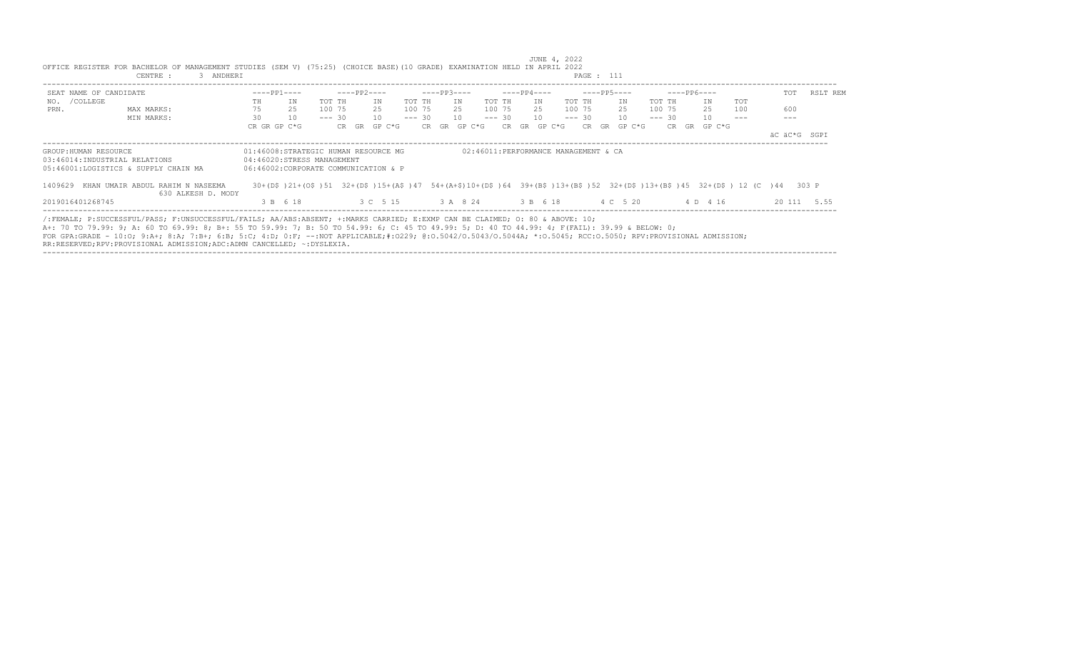| SEAT NAME OF CANDIDATE |                                                                                                                                                                                                                                                                                                                                                                                                                                                                                                                            | $---PP1---$  |                                                                                                                                                                 |          | ----PP2---- |              |        | $---PP3---$                         |    |        |  | $---PP4---$  |           |        | ----PP5----  |        |             | ----- PP6---- |     | TOT          | RSLT REM    |
|------------------------|----------------------------------------------------------------------------------------------------------------------------------------------------------------------------------------------------------------------------------------------------------------------------------------------------------------------------------------------------------------------------------------------------------------------------------------------------------------------------------------------------------------------------|--------------|-----------------------------------------------------------------------------------------------------------------------------------------------------------------|----------|-------------|--------------|--------|-------------------------------------|----|--------|--|--------------|-----------|--------|--------------|--------|-------------|---------------|-----|--------------|-------------|
| NO. / COLLEGE          |                                                                                                                                                                                                                                                                                                                                                                                                                                                                                                                            | TH           | ΙN                                                                                                                                                              | TOT TH   |             | TN           | TOT TH |                                     | IN | TOT TH |  | TN           |           | TOT TH | IN           | TOT TH |             | TN            | TOT |              |             |
| PRN.                   | MAX MARKS:                                                                                                                                                                                                                                                                                                                                                                                                                                                                                                                 | 75           | 25                                                                                                                                                              | 100 75   |             | 25           |        | 100 75 25 100 75                    |    |        |  |              | 25 100 75 |        | 25           |        | 100 75      | 25            | 100 | 600          |             |
|                        | MIN MARKS:                                                                                                                                                                                                                                                                                                                                                                                                                                                                                                                 | 30           | 10                                                                                                                                                              | $--- 30$ |             | 10           |        | $--- 30 10$                         |    |        |  | $--- 30 10$  |           |        | $--- 30 10$  |        | $--- 30 10$ |               |     |              |             |
|                        |                                                                                                                                                                                                                                                                                                                                                                                                                                                                                                                            | CR GR GP C*G |                                                                                                                                                                 |          |             | CR GR GP C*G |        | CR GR GP C*G                        |    |        |  | CR GR GP C*G |           |        | CR GR GP C*G |        |             | CR GR GP C*G  |     |              |             |
|                        |                                                                                                                                                                                                                                                                                                                                                                                                                                                                                                                            |              |                                                                                                                                                                 |          |             |              |        |                                     |    |        |  |              |           |        |              |        |             |               |     | äC äC*G SGPI |             |
|                        | 05:46001:LOGISTICS & SUPPLY CHAIN MA<br>1409629 KHAN UMAIR ABDUL RAHIM N NASEEMA<br>630 ALKESH D. MODY                                                                                                                                                                                                                                                                                                                                                                                                                     |              | 06:46002:CORPORATE COMMUNICATION & P<br>30+(D\$)21+(O\$)51 32+(D\$)15+(A\$)47 54+(A+\$)10+(D\$)64 39+(B\$)13+(B\$)52 32+(D\$)13+(B\$)45 32+(D\$) 12 (C)44 303 P |          |             |              |        |                                     |    |        |  |              |           |        |              |        |             |               |     |              |             |
| 2019016401268745       |                                                                                                                                                                                                                                                                                                                                                                                                                                                                                                                            |              | 3 B 6 18                                                                                                                                                        |          |             |              |        | 3 C 5 15 3 A 8 24 3 B 6 18 4 C 5 20 |    |        |  |              |           |        |              |        |             | 4 D 4 16      |     |              | 20 111 5.55 |
|                        | /:FEMALE; P:SUCCESSFUL/PASS; F:UNSUCCESSFUL/FAILS; AA/ABS:ABSENT; +:MARKS CARRIED; E:EXMP CAN BE CLAIMED; 0: 80 & ABOVE: 10;<br>A+: 70 TO 79.99: 9; A: 60 TO 69.99: 8; B+: 55 TO 59.99: 7; B: 50 TO 54.99: 6; C: 45 TO 49.99: 5; D: 40 TO 44.99: 4; F(FAIL): 39.99 & BELOW: 0;<br>FOR GPA:GRADE - 10:0; 9:A+; 8:A; 7:B+; 6:B; 5:C; 4:D; 0:F; --:NOT APPLICABLE;#:0229; 0:0.5042/0.5043/0.5044A; *:0.5045; RCC:0.5050; RPV:PROVISIONAL ADMISSION;<br>RR:RESERVED;RPV:PROVISIONAL ADMISSION;ADC:ADMN CANCELLED; ~: DYSLEXIA. |              |                                                                                                                                                                 |          |             |              |        |                                     |    |        |  |              |           |        |              |        |             |               |     |              |             |

JUNE 4, 2022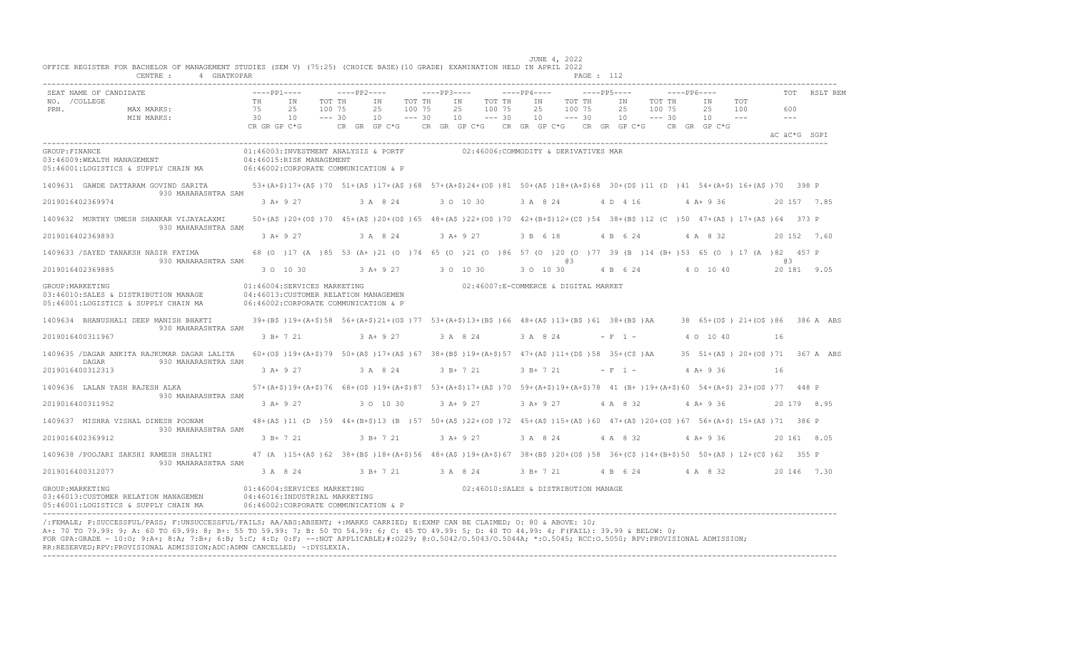|                       | 4 GHATKOPAR<br>CENTRE :                                                       |                |                                                                                                                                                 |                              |              |                |                              |             |                                      |                                              |             |                |                              | PAGE : 112 |                |              |                              |             |                                |                                                           |              |                                         |
|-----------------------|-------------------------------------------------------------------------------|----------------|-------------------------------------------------------------------------------------------------------------------------------------------------|------------------------------|--------------|----------------|------------------------------|-------------|--------------------------------------|----------------------------------------------|-------------|----------------|------------------------------|------------|----------------|--------------|------------------------------|-------------|--------------------------------|-----------------------------------------------------------|--------------|-----------------------------------------|
|                       | SEAT NAME OF CANDIDATE                                                        |                | $---PP1---$                                                                                                                                     |                              | $---PP2---$  |                |                              | $---PP3---$ |                                      |                                              | $---PP4---$ |                |                              |            | $---PP5---$    |              |                              | $---PP6---$ |                                |                                                           | <b>TOT</b>   | RSLT REM                                |
| NO. / COLLEGE<br>PRN. | MAX MARKS:<br>MIN MARKS:                                                      | TH<br>75<br>30 | IN<br>25<br>10<br>CR GR GP C*G                                                                                                                  | TOT TH<br>100 75<br>$--- 30$ | CR GR GP C*G | IN<br>25<br>10 | TOT TH<br>100 75<br>$--- 30$ |             | IN<br>25<br>10<br>CR GR GP C*G       | TOT TH<br>100 75<br>$--- 30$<br>CR GR GP C*G |             | IN<br>25<br>10 | TOT TH<br>100 75<br>$--- 30$ |            | IN<br>25<br>10 | CR GR GP C*G | TOT TH<br>100 75<br>$--- 30$ |             | ΙN<br>25<br>10<br>CR GR GP C*G | TOT<br>100                                                | 600<br>$  -$ |                                         |
|                       |                                                                               |                |                                                                                                                                                 |                              |              |                |                              |             |                                      |                                              |             |                |                              |            |                |              |                              |             |                                |                                                           |              | AC AC*G SGPT                            |
| GROUP: FINANCE        | 03:46009: WEALTH MANAGEMENT<br>05:46001:LOGISTICS & SUPPLY CHAIN MA           |                | 01:46003:INVESTMENT ANALYSIS & PORTF<br>04:46015:RISK MANAGEMENT<br>06:46002:CORPORATE COMMUNICATION & P                                        |                              |              |                |                              |             | 02:46006:COMMODITY & DERIVATIVES MAR |                                              |             |                |                              |            |                |              |                              |             |                                |                                                           |              |                                         |
|                       | 1409631 GAWDE DATTARAM GOVIND SARITA<br>930 MAHARASHTRA SAM                   |                | 53+(A+\$)17+(A\$)70 51+(A\$)17+(A\$)68 57+(A+\$)24+(O\$)81 50+(A\$)18+(A+\$)68 30+(D\$)11 (D)41 54+(A+\$)16+(A\$)70 398 P                       |                              |              |                |                              |             |                                      |                                              |             |                |                              |            |                |              |                              |             |                                |                                                           |              |                                         |
|                       | 2019016402369974                                                              |                | 3 A+ 9 27                                                                                                                                       |                              |              | 3 A 8 24       |                              |             | 3 0 10 30                            |                                              |             | 3 A 8 24       |                              |            | 4 D 4 16       |              |                              |             | $4 A+9 36$                     |                                                           |              | 20 157 7.85                             |
|                       | 1409632 MURTHY UMESH SHANKAR VIJAYALAXMI<br>930 MAHARASHTRA SAM               |                | 50+(A\$)20+(O\$)70 45+(A\$)20+(O\$)65 48+(A\$)22+(O\$)70 42+(B+\$)12+(C\$)54 38+(B\$)12 (C)50 47+(A\$) 17+(A\$)64 373 P                         |                              |              |                |                              |             |                                      |                                              |             |                |                              |            |                |              |                              |             |                                |                                                           |              |                                         |
|                       | 2019016402369893                                                              |                | $3 A+9 27$                                                                                                                                      |                              |              | 3 A 8 24       |                              |             | $3 A+ 9 27$                          |                                              |             | 3 B 6 18       |                              |            | 4 B 6 24       |              |                              |             | 4 A 8 32                       |                                                           |              | 20 152 7.60                             |
|                       | 1409633 /SAYED TANAKSH NASIR FATIMA<br>930 MAHARASHTRA SAM                    |                | 68 (0 ) 17 (A ) 85 53 (A+ ) 21 (0 ) 74 65 (0 ) 21 (0 ) 86 57 (0 ) 20 (0 ) 77 39 (B ) 14 (B+ ) 53 65 (0 ) 17 (A ) 82 457 P                       |                              |              |                |                              |             |                                      |                                              |             |                | eз                           |            |                |              |                              |             |                                |                                                           | eз           |                                         |
|                       | 2019016402369885                                                              |                | 3 0 10 30                                                                                                                                       |                              |              | $3 A+ 9 27$    |                              |             | 3 0 10 30                            |                                              |             | 3 0 10 30      |                              |            | 4 B 6 24       |              |                              |             | 4 0 10 40                      |                                                           |              | 20 181 9.05                             |
| GROUP: MARKETING      | 03:46010:SALES & DISTRIBUTION MANAGE<br>05:46001:LOGISTICS & SUPPLY CHAIN MA  |                | 01:46004:SERVICES MARKETING<br>04:46013: CUSTOMER RELATION MANAGEMEN<br>06:46002:CORPORATE COMMUNICATION & P                                    |                              |              |                |                              |             | 02:46007:E-COMMERCE & DIGITAL MARKET |                                              |             |                |                              |            |                |              |                              |             |                                |                                                           |              |                                         |
|                       | 1409634 BHANUSHALI DEEP MANISH BHAKTI<br>930 MAHARASHTRA SAM                  |                | 39+(B\$)19+(A+\$)58 56+(A+\$)21+(O\$)77 53+(A+\$)13+(B\$)66 48+(A\$)13+(B\$)61 38+(B\$)AA                                                       |                              |              |                |                              |             |                                      |                                              |             |                |                              |            |                |              |                              |             |                                |                                                           |              | $38$ $65+ (05)$ $21+ (05)$ 86 386 A ABS |
|                       | 2019016400311967                                                              |                | 3 B+ 7 21                                                                                                                                       |                              |              | $3 A+9 27$     |                              |             | 3 A 8 24                             |                                              |             | 3 A 8 24       |                              |            | $- F 1 -$      |              |                              |             | 4 0 10 40                      |                                                           | 16           |                                         |
|                       | 1409635 /DAGAR ANKITA RAJKUMAR DAGAR LALITA<br>DAGAR<br>930 MAHARASHTRA SAM   |                | $60+(0, 0.19+(0.45))$ 79 50 + (AS ) 17 + (AS ) 67 38 + (BS ) 19 + (A+S) 57 47 + (AS ) 11 + (DS ) 58 35 + (CS ) AA                               |                              |              |                |                              |             |                                      |                                              |             |                |                              |            |                |              |                              |             |                                | $35 \quad 51 + (A\hat{S}) \quad 20 + (O\hat{S}) \quad 71$ |              | 367 A ABS                               |
|                       | 2019016400312313                                                              |                | $3 A+9 27$                                                                                                                                      |                              |              | 3 A 8 24       |                              |             | $3 B+ 7 21$                          |                                              |             | $3 R+ 7 21$    |                              |            | $- F 1 -$      |              |                              |             | $4 A+9 36$                     |                                                           | 16           |                                         |
|                       | 1409636 LALAN YASH RAJESH ALKA<br>930 MAHARASHTRA SAM                         |                | 57+(A+\$)19+(A+\$)76 68+(O\$)19+(A+\$)87 53+(A+\$)17+(A\$)70 59+(A+\$)19+(A+\$)78 41 (B+)19+(A+\$)60 54+(A+\$) 23+(O\$)77 448 P                 |                              |              |                |                              |             |                                      |                                              |             |                |                              |            |                |              |                              |             |                                |                                                           |              |                                         |
|                       | 2019016400311952                                                              |                | $3 A+9 27$                                                                                                                                      |                              |              | 3 0 10 30      |                              |             | $3 A+ 9 27$                          |                                              |             | $3 A+ 9 27$    |                              |            | 4 A 8 32       |              |                              |             | $4 A+9 36$                     |                                                           |              | 20 179 8.95                             |
|                       | 1409637 MISHRA VISHAL DINESH POONAM<br>930 MAHARASHTRA SAM                    |                | 48+(A\$)11 (D)59 44+(B+\$)13 (B)57 50+(A\$)22+(O\$)72 45+(A\$)15+(A\$)60 47+(A\$)20+(O\$)67 56+(A+\$) 15+(A\$)71 386 P                          |                              |              |                |                              |             |                                      |                                              |             |                |                              |            |                |              |                              |             |                                |                                                           |              |                                         |
|                       | 2019016402369912                                                              |                | $3 B+ 7 21$                                                                                                                                     |                              |              | $3 B+ 7 21$    |                              |             | 3 A+ 9 27                            |                                              |             | 3 A 8 24       |                              |            | 4 A 8 32       |              |                              |             | $4 A+9 36$                     |                                                           |              | 20 161 8.05                             |
|                       | 1409638 / POOJARI SAKSHI RAMESH SHALINI<br>930 MAHARASHTRA SAM                |                | 47 (A) 15+ (A\$) 62 38+ (B\$) 18+ (A+\$) 56 48+ (A\$) 19+ (A+\$) 67 38+ (B\$) 20+ (O\$) 58 36+ (C\$) 14+ (B+\$) 50 50+ (A\$) 12+ (C\$) 62 355 P |                              |              |                |                              |             |                                      |                                              |             |                |                              |            |                |              |                              |             |                                |                                                           |              |                                         |
|                       | 2019016400312077                                                              |                | 3 A 8 24                                                                                                                                        |                              |              | $3 B+ 7 21$    |                              |             | 3 A 8 24                             |                                              |             | 3 B+ 7 21      |                              |            | 4 B 6 24       |              |                              |             | 4 A 8 32                       |                                                           |              | 20 146 7.30                             |
| GROUP: MARKETING      | 03:46013: CUSTOMER RELATION MANAGEMEN<br>05:46001:LOGISTICS & SUPPLY CHAIN MA |                | 01:46004:SERVICES MARKETING<br>04:46016:INDUSTRIAL MARKETING<br>06:46002:CORPORATE COMMUNICATION & P                                            |                              |              |                |                              |             | 02:46010:SALES & DISTRIBUTION MANAGE |                                              |             |                |                              |            |                |              |                              |             |                                |                                                           |              |                                         |

/:FEMALE; P:SUCCESSFUL/PASS; F:UNSUCCESSFUL/FAILS; AA/ABS:ABSENT; +:MARKS CARRIED; E:EXMP CAN BE CLAIMED; O: 80 & ABOVE: 10; A+: 70 TO 79.99: 9; A: 60 TO 69.99: 8; B+: 55 TO 59.99: 7; B: 50 TO 54.99: 6; C: 45 TO 49.99: 5; D: 40 TO 44.99: 4; F(FAIL): 39.99 & BELOW: 0; FOR GPA:GRADE - 10:O; 9:A+; 8:A; 7:B+; 6:B; 5:C; 4:D; 0:F; --:NOT APPLICABLE;#:O229; @:O.5042/O.5043/O.5044A; \*:O.5045; RCC:O.5050; RPV:PROVISIONAL ADMISSION; RR:RESERVED;RPV:PROVISIONAL ADMISSION;ADC:ADMN CANCELLED; ~:DYSLEXIA. ----------------------------------------------------------------------------------------------------------------------------------------------------------------------------------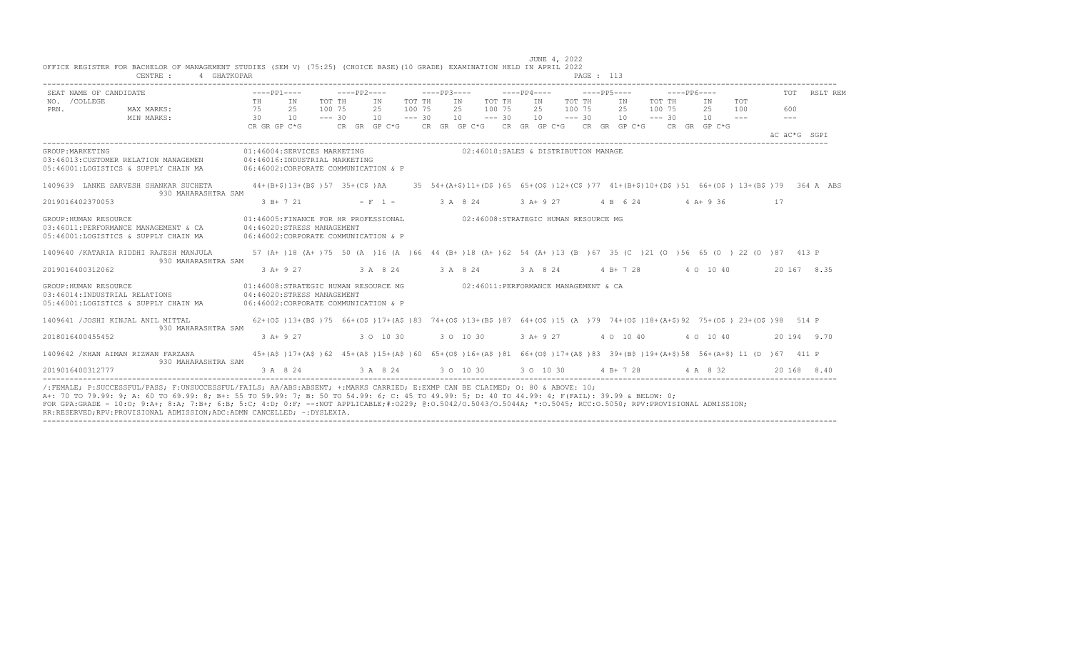| SEAT NAME OF CANDIDATE                                                                                                              | $---PP1---$                                                                                                              |                    | $---PP2---$ |                   |                              | $---PP3---$ |                                                                                    |                              | $---PP4---$ |    | $---PP5---$                  |                |                              | $---PP6---$ |                               |                       | TOT                  | RSLT REM                                                                                    |
|-------------------------------------------------------------------------------------------------------------------------------------|--------------------------------------------------------------------------------------------------------------------------|--------------------|-------------|-------------------|------------------------------|-------------|------------------------------------------------------------------------------------|------------------------------|-------------|----|------------------------------|----------------|------------------------------|-------------|-------------------------------|-----------------------|----------------------|---------------------------------------------------------------------------------------------|
| NO. / COLLEGE<br>PRN.<br>MAX MARKS:<br>MIN MARKS:                                                                                   | TH<br>IN<br>75 25<br>$\overline{30}$<br>10<br>CR GR GP C*G                                                               | 100 75<br>$--- 30$ | TOT TH      | IN<br>25<br>10    | TOT TH<br>100 75<br>$--- 30$ |             | IN<br>25<br>10<br>CR GR GP C*G CR GR GP C*G CR GR GP C*G CR GR GP C*G CR GR GP C*G | TOT TH<br>100 75<br>$--- 30$ | 25<br>10    | IN | TOT TH<br>100 75<br>$--- 30$ | IN<br>25<br>10 | TOT TH<br>100 75<br>$--- 30$ |             | IN<br>25<br>10                | TOT<br>100<br>$- - -$ | 600<br>$\frac{1}{2}$ | äC äC*G SGPI                                                                                |
| GROUP: MARKETING<br>03:46013:CUSTOMER RELATION MANAGEMEN 04:46016:INDUSTRIAL MARKETING<br>05:46001:LOGISTICS & SUPPLY CHAIN MA      | 01:46004:SERVICES MARKETING<br>06:46002:CORPORATE COMMUNICATION & P                                                      |                    |             |                   |                              |             | 02:46010:SALES & DISTRIBUTION MANAGE                                               |                              |             |    |                              |                |                              |             |                               |                       |                      |                                                                                             |
| 1409639 LANKE SARVESH SHANKAR SUCHETA<br>930 MAHARASHTRA SAM                                                                        | $44+(B+$)13+(B$)15735+(C$)AA$                                                                                            |                    |             |                   |                              |             |                                                                                    |                              |             |    |                              |                |                              |             |                               |                       |                      | 35 54+(A+\$)11+(D\$)65 65+(O\$)12+(C\$)77 41+(B+\$)10+(D\$)51 66+(O\$) 13+(B\$)79 364 A ABS |
| 2019016402370053                                                                                                                    | $3 B+ 7 21$                                                                                                              |                    |             | $- F 1 -$         |                              | 3 A 8 24    |                                                                                    |                              | $3 A+9 27$  |    |                              |                |                              |             | 4 B 6 24 4 A + 9 36           |                       | 17                   |                                                                                             |
| GROUP: HUMAN RESOURCE<br>03:46011:PERFORMANCE MANAGEMENT & CA<br>05:46001:LOGISTICS & SUPPLY CHAIN MA                               | 01:46005:FINANCE FOR HR PROFESSIONAL<br>04:46020:STRESS MANAGEMENT<br>06:46002:CORPORATE COMMUNICATION & P               |                    |             |                   |                              |             | 02:46008:STRATEGIC HUMAN RESOURCE MG                                               |                              |             |    |                              |                |                              |             |                               |                       |                      |                                                                                             |
| 1409640 / KATARIA RIDDHI RAJESH MANJULA<br>930 MAHARASHTRA SAM                                                                      | 57 (A+ )18 (A+ )75 50 (A )16 (A )66 44 (B+ )18 (A+ )62 54 (A+ )13 (B )67 35 (C )21 (O )56 65 (O )22 (O )87 413 P         |                    |             |                   |                              |             |                                                                                    |                              |             |    |                              |                |                              |             |                               |                       |                      |                                                                                             |
| 2019016400312062                                                                                                                    | 3 A+ 9 27                                                                                                                |                    |             | 3 A 8 24 3 A 8 24 |                              |             |                                                                                    |                              | 3 A 8 24    |    |                              |                |                              |             | 4 B + 7 28 4 0 10 40          |                       |                      | 20 167 8.35                                                                                 |
| GROUP: HUMAN RESOURCE<br>03:46014:INDUSTRIAL RELATIONS<br>05:46001:LOGISTICS & SUPPLY CHAIN MA 06:46002:CORPORATE COMMUNICATION & P | 01:46008:STRATEGIC HUMAN RESOURCE MG<br>04:46020:STRESS MANAGEMENT                                                       |                    |             |                   |                              |             | 02:46011:PERFORMANCE MANAGEMENT & CA                                               |                              |             |    |                              |                |                              |             |                               |                       |                      |                                                                                             |
| 1409641 /JOSHI KINJAL ANIL MITTAL<br>930 MAHARASHTRA SAM                                                                            | 62+(0\$)13+(B\$)75 66+(0\$)17+(A\$)83 74+(0\$)13+(B\$)87 64+(0\$)15 (A)79 74+(0\$)18+(A+\$)92 75+(0\$) 23+(0\$)98 514 P  |                    |             |                   |                              |             |                                                                                    |                              |             |    |                              |                |                              |             |                               |                       |                      |                                                                                             |
| 2018016400455452                                                                                                                    | $3 A+9 27$                                                                                                               |                    |             | 3 0 10 30         |                              |             | 3 0 10 30                                                                          |                              | 3 A+ 9 27   |    |                              | 4 0 10 40      |                              |             | 4 0 10 40                     |                       |                      | 20 194 9.70                                                                                 |
| 1409642 / KHAN AIMAN RIZWAN FARZANA<br>930 MAHARASHTRA SAM                                                                          | 45+(A\$)17+(A\$)62 45+(A\$)15+(A\$)60 65+(O\$)16+(A\$)81 66+(O\$)17+(A\$)83 39+(B\$)19+(A+\$)58 56+(A+\$)11 (D )67 411 P |                    |             |                   |                              |             |                                                                                    |                              |             |    |                              |                |                              |             |                               |                       |                      |                                                                                             |
| 2019016400312777                                                                                                                    | 3 A 8 24                                                                                                                 |                    |             | 3 A 8 24          |                              |             | 3 0 10 30                                                                          |                              |             |    |                              |                |                              |             | 3 0 10 30 4 B + 7 28 4 A 8 32 |                       |                      | 20 168 8.40                                                                                 |

----------------------------------------------------------------------------------------------------------------------------------------------------------------------------------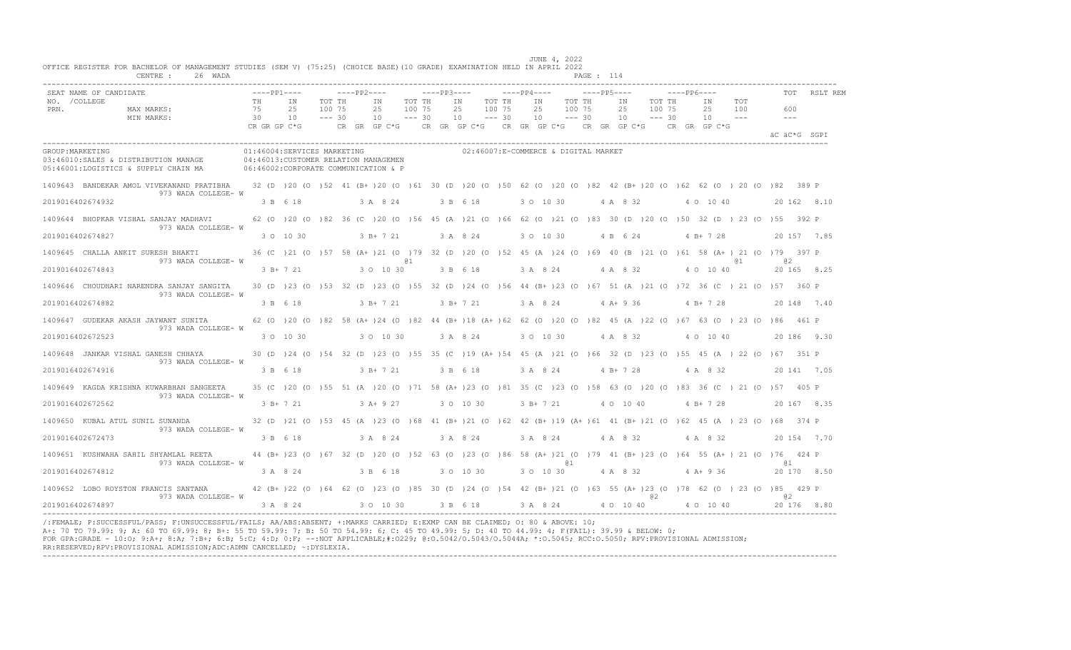|                  | SEAT NAME OF CANDIDATE                                                                                                                                                     |           | $---PP1---$ |                                                                      |          | $---PP2---$                   |          | $---PP3---$ |                                                                                                                            |        | $---PP4---$   |        | $---PP5---$ |                                            |        | $---PP6---$ |           |       |              |       | RSLT REM    |
|------------------|----------------------------------------------------------------------------------------------------------------------------------------------------------------------------|-----------|-------------|----------------------------------------------------------------------|----------|-------------------------------|----------|-------------|----------------------------------------------------------------------------------------------------------------------------|--------|---------------|--------|-------------|--------------------------------------------|--------|-------------|-----------|-------|--------------|-------|-------------|
| NO. / COLLEGE    |                                                                                                                                                                            | <b>TH</b> |             | IN                                                                   | TOT TH   | ΙN                            | TOT TH   |             | IN                                                                                                                         | TOT TH | IN            | TOT TH |             | IN                                         | TOT TH |             | IN        | TOT   |              |       |             |
| PRN.             | MAX MARKS:                                                                                                                                                                 | 75        |             | 25                                                                   | 100 75   | 25                            | 100 75   |             | 25                                                                                                                         | 100 75 | 25            | 100 75 |             | 25                                         | 100 75 |             | 25        | 100   |              | 600   |             |
|                  | MIN MARKS:                                                                                                                                                                 | 30 10     |             |                                                                      | $--- 30$ | 10                            | $--- 30$ |             | $10 - - - 30$                                                                                                              |        | $10 - - - 30$ |        |             | 10 <sup>1</sup><br>$--- 30$                |        |             | 10        | $  -$ |              | $---$ |             |
|                  |                                                                                                                                                                            |           |             |                                                                      |          |                               |          |             | CRGRGPC*G CRGRGPC*G CRGRGPC*G CRGRGPC*G CRGRGPC*G CRGRGPC*G CRGRGPC*G                                                      |        |               |        |             |                                            |        |             |           |       | äC äC*G SGPI |       |             |
| GROUP: MARKETING | 03:46010:SALES & DISTRIBUTION MANAGE<br>05:46001:LOGISTICS & SUPPLY CHAIN MA<br>06:46002:CORPORATE COMMUNICATION & P                                                       |           |             | 01:46004:SERVICES MARKETING<br>04:46013: CUSTOMER RELATION MANAGEMEN |          |                               |          |             | 02:46007:E-COMMERCE & DIGITAL MARKET                                                                                       |        |               |        |             |                                            |        |             |           |       |              |       |             |
|                  | 1409643 BANDEKAR AMOL VIVEKANAND PRATIBHA 32 (D )20 (O )52 41 (B+)20 (O )61 30 (D )20 (O )50 62 (O )20 (O )82 42 (B+)20 (O )62 62 (O )20 (O )82 389 P                      |           |             |                                                                      |          |                               |          |             |                                                                                                                            |        |               |        |             |                                            |        |             |           |       |              |       |             |
|                  | 973 WADA COLLEGE- W<br>2019016402674932                                                                                                                                    |           |             | 3 B 6 18 3 A 8 24                                                    |          |                               |          |             | 3 B 6 18                                                                                                                   |        |               |        |             | 3 0 10 30 4 A 8 32 4 0 10 40               |        |             |           |       | 20 162 8.10  |       |             |
|                  | 1409644 BHOPKAR VISHAL SANJAY MADHAVI 62 (0 )20 (0 )82 36 (C )20 (0 )56 45 (A )21 (0 )66 62 (0 )21 (0 )83 30 (D )20 (0 )50 32 (D )23 (0 )55 392 P<br>973 WADA COLLEGE- W   |           |             |                                                                      |          |                               |          |             |                                                                                                                            |        |               |        |             |                                            |        |             |           |       |              |       |             |
|                  | 2019016402674827                                                                                                                                                           |           |             | 3 0 10 30                                                            |          | $3 \text{ B} + 7 \text{ } 21$ |          |             | 3 A 8 24                                                                                                                   |        | 3 0 10 30     |        |             | 4 B 6 24                                   |        |             | $4 B+728$ |       |              |       | 20 157 7.85 |
|                  | 1409645 CHALLA ANKIT SURESH BHAKTI 36 (C) 21 (0) 57 58 (A+) 21 (0) 79 32 (D) 20 (0) 52 45 (A) 24 (0) 69 40 (B) 21 (0) 61 58 (A+) 21 (0) 79 397 P<br>973 WADA COLLEGE- W    |           |             |                                                                      |          |                               | @ 1      |             |                                                                                                                            |        |               |        |             |                                            |        |             |           | @ 1   | @ 2          |       |             |
|                  | 2019016402674843                                                                                                                                                           |           |             | 3 B+ 7 21 3 0 10 30                                                  |          |                               |          |             | 3 B 6 18                                                                                                                   |        |               |        |             | 3 A 8 24 4 A 8 32 4 O 10 40                |        |             |           |       |              |       | 20 165 8.25 |
|                  | 1409646 CHOUDHARI NARENDRA SANJAY SANGITA<br>973 WADA COLLEGE- W                                                                                                           |           |             |                                                                      |          |                               |          |             | 30 (D) 23 (O) 53 32 (D) 23 (O) 55 32 (D) 24 (O) 56 44 (B+) 23 (O) 67 51 (A) 21 (O) 72 36 (C) 21 (O) 57 360 P               |        |               |        |             |                                            |        |             |           |       |              |       |             |
|                  | 2019016402674882                                                                                                                                                           |           |             |                                                                      |          |                               |          |             | 3 B 6 18 3 B + 7 21 3 B + 7 21                                                                                             |        |               |        |             | 3 A 8 24 4 A + 9 36 4 B + 7 28 20 148 7 40 |        |             |           |       |              |       |             |
|                  | 1409647 GUDEKAR AKASH JAYWANT SUNITA<br>973 WADA COLLEGE- W                                                                                                                |           |             |                                                                      |          |                               |          |             | 62 (0 ) 20 (0 ) 82 58 (A+ ) 24 (0 ) 82 44 (B+ ) 18 (A+ ) 62 62 (0 ) 20 (0 ) 82 45 (A ) 22 (0 ) 67 63 (0 ) 23 (0 ) 86 461 P |        |               |        |             |                                            |        |             |           |       |              |       |             |
|                  | 2019016402672523                                                                                                                                                           |           |             | 3 0 10 30                                                            |          | 3 0 10 30                     |          |             | 3 A 8 24                                                                                                                   |        |               |        |             | 3 O 10 30 4 A 8 32 4 O 10 40               |        |             |           |       |              |       | 20186 9.30  |
|                  | 1409648 JANKAR VISHAL GANESH CHHAYA                                                                                                                                        |           |             |                                                                      |          |                               |          |             | 30 (D) 24 (O) 54 32 (D) 23 (O) 55 35 (C) 19 (A+) 54 45 (A) 21 (O) 66 32 (D) 23 (O) 55 45 (A) 22 (O) 67 351 P               |        |               |        |             |                                            |        |             |           |       |              |       |             |
|                  | 973 WADA COLLEGE- W<br>2019016402674916                                                                                                                                    |           | 3 B 6 18    |                                                                      |          |                               |          |             | 3 B + 7 21 3 B 6 18                                                                                                        |        |               |        |             | 3 A 8 24 4 B + 7 28 4 A 8 32               |        |             |           |       | 20 141 7.05  |       |             |
|                  | 1409649   KAGDA KRISHNA KUWARBHAN SANGEETA<br>973 WADA COLLEGE- W                                                                                                          |           |             |                                                                      |          |                               |          |             | 35 (C) 20 (O) 55 51 (A) 20 (O) 71 58 (A+) 23 (O) 81 35 (C) 23 (O) 58 63 (O) 20 (O) 83 36 (C) 21 (O) 57 405 P               |        |               |        |             |                                            |        |             |           |       |              |       |             |
|                  | 2019016402672562                                                                                                                                                           |           |             | 3 B+ 7 21                                                            |          | $3 \lambda + 9$ 27            |          |             | 3 0 10 30                                                                                                                  |        |               |        |             | 3 B + 7 21 4 0 10 40 4 B + 7 28            |        |             |           |       |              |       | 20 167 8.35 |
|                  | 1409650 KUBAL ATUL SUNIL SUNANDA 32 (D) 21 (O) 53 45 (A) 23 (O) 68 41 (B+) 21 (O) 62 42 (B+) 19 (A+) 61 41 (B+) 21 (O) 62 45 (A) 23 (O) 68 374 P                           |           |             |                                                                      |          |                               |          |             |                                                                                                                            |        |               |        |             |                                            |        |             |           |       |              |       |             |
|                  | 973 WADA COLLEGE- W<br>2019016402672473                                                                                                                                    |           | 3 B 6 18    |                                                                      |          |                               |          |             | 3 A 8 24 3 A 8 24                                                                                                          |        |               |        |             | 3 A 8 24 4 A 8 32 4 A 8 32                 |        |             |           |       | 20 154 7.70  |       |             |
|                  | 1409651 KUSHWAHA SAHIL SHYAMLAL REETA                                                                                                                                      |           |             |                                                                      |          |                               |          |             | 44 (B+ )23 (0 )67 32 (D )20 (0 )52 63 (0 )23 (0 )86 58 (A+ )21 (0 )79 41 (B+ )23 (0 )64 55 (A+ )21 (0 )76 424 P            |        |               |        |             |                                            |        |             |           |       |              |       |             |
|                  | 973 WADA COLLEGE- W<br>2019016402674812                                                                                                                                    |           |             | 3 A 8 24                                                             |          | 3 B 6 18                      |          |             | 3 0 10 30                                                                                                                  |        |               | @ 1    |             | 3 O 10 30 4 A 8 32 4 A + 9 36              |        |             |           |       | <b>a</b> 1   |       | 20 170 8.50 |
|                  | 1409652 LOBO ROYSTON FRANCIS SANTANA 42 (B+ )22 (0 )64 62 (0 )23 (0 )85 30 (D )24 (0 )54 42 (B+ )21 (0 )63 55 (A+ )23 (0 )78 62 (0 )23 (0 )85 429 P<br>973 WADA COLLEGE- W |           |             |                                                                      |          |                               |          |             |                                                                                                                            |        |               |        |             |                                            | @ 2    |             |           |       | 0.2          |       |             |
|                  | 2019016402674897                                                                                                                                                           |           |             |                                                                      |          |                               |          |             | 3 A 8 24 3 O 10 30 3 B 6 18 3 A 8 24 4 0 10 40 4 0 10 40                                                                   |        |               |        |             |                                            |        |             |           |       | 20 176 8.80  |       |             |

/:FEMALE; P:SUCCESSFUL/PASS; F:UNSUCCESSFUL/FAILS; AA/ABS:ABSENT; +:MARKS CARRIED; E:EXMP CAN BE CLAIMED; O: 80 & ABOVE: 10;<br>A+: 70 TO 79.99: 9; A: 60 TO 69.99: 8; B+: 55 TO 59.99: 7; B: 50 TO 54.99: 6; C: 45 TO 49.99: 5; FOR GPA:GRADE - 10:O; 9:A+; 8:A; 7:B+; 6:B; 5:C; 4:D; 0:F; --:NOT APPLICABLE;#:O229; @:O.5042/O.5043/O.5044A; \*:O.5045; RCC:O.5050; RPV:PROVISIONAL ADMISSION; RR:RESERVED;RPV:PROVISIONAL ADMISSION;ADC:ADMN CANCELLED; ~:DYSLEXIA. ----------------------------------------------------------------------------------------------------------------------------------------------------------------------------------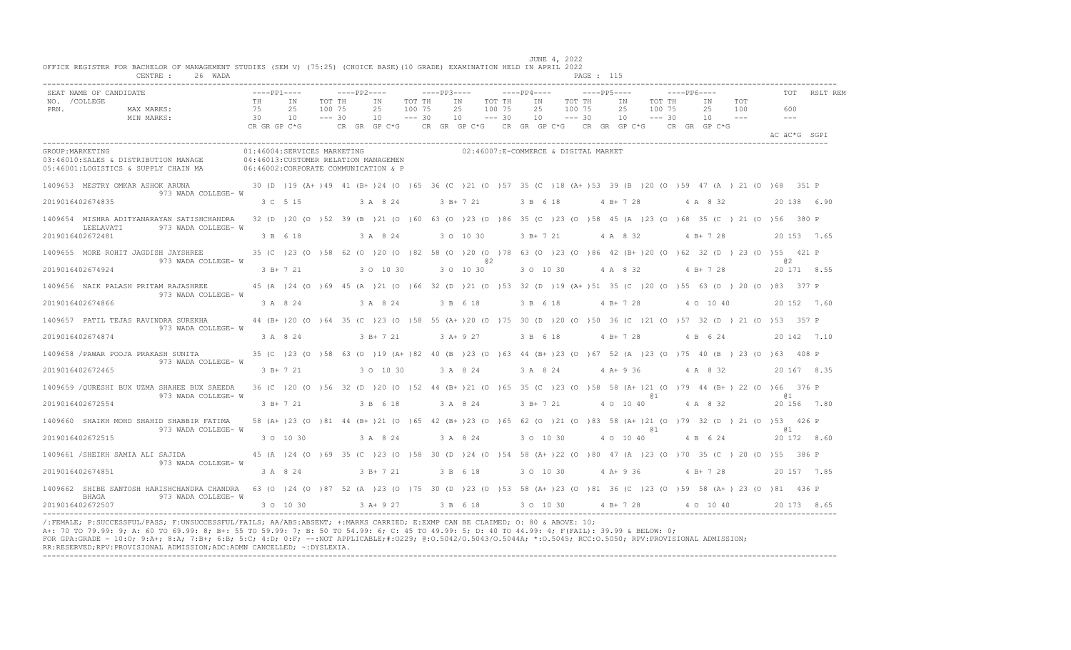|                       | SEAT NAME OF CANDIDATE                                                                                                                                                            |                                | $---PP1---$ |                                                                     |                              | $---PP2---$    |                               |                              | $---PP3---$ |                |           |                              | $---PP4---$    |                                      | $---PP5---$ |                                                                                           |                              | $---PP6---$ |                                                                                                                   |                     |      | TOT          | RSLT REM    |
|-----------------------|-----------------------------------------------------------------------------------------------------------------------------------------------------------------------------------|--------------------------------|-------------|---------------------------------------------------------------------|------------------------------|----------------|-------------------------------|------------------------------|-------------|----------------|-----------|------------------------------|----------------|--------------------------------------|-------------|-------------------------------------------------------------------------------------------|------------------------------|-------------|-------------------------------------------------------------------------------------------------------------------|---------------------|------|--------------|-------------|
| NO. / COLLEGE<br>PRN. | MAX MARKS:<br>MIN MARKS:                                                                                                                                                          | TH<br>75<br>30<br>CR GR GP C*G |             | ΙN<br>25<br>10                                                      | TOT TH<br>100 75<br>$--- 30$ | ΙN<br>25<br>10 |                               | TOT TH<br>100 75<br>$--- 30$ |             | ΙN<br>25<br>10 |           | TOT TH<br>100 75<br>$--- 30$ | IN<br>25<br>10 | TOT TH<br>100 75<br>$--- 30$         |             | ΙN<br>25<br>10<br>CR GR GP C*G $\,$ CR GR GP C*G $\,$ CR GR GP C*G $\,$ CR GR GP C*G $\,$ | TOT TH<br>100 75<br>$--- 30$ |             | IN<br>25<br>10<br>CR GR GP C*G                                                                                    | TOT<br>100<br>$  -$ |      | 600<br>$  -$ |             |
|                       |                                                                                                                                                                                   |                                |             |                                                                     |                              |                |                               |                              |             |                |           |                              |                |                                      |             |                                                                                           |                              |             |                                                                                                                   |                     |      | äC äC*G SGPI |             |
| GROUP: MARKETING      | 03:46010:SALES & DISTRIBUTION MANAGE<br>06:46002:CORPORATE COMMUNICATION & P<br>05:46001:LOGISTICS & SUPPLY CHAIN MA                                                              |                                |             | 01:46004:SERVICES MARKETING<br>04:46013:CUSTOMER RELATION MANAGEMEN |                              |                |                               |                              |             |                |           |                              |                | 02:46007:E-COMMERCE & DIGITAL MARKET |             |                                                                                           |                              |             |                                                                                                                   |                     |      |              |             |
|                       | 1409653 MESTRY OMKAR ASHOK ARUNA                                                                                                                                                  |                                |             |                                                                     |                              |                |                               |                              |             |                |           |                              |                |                                      |             |                                                                                           |                              |             | 30 (D) 19 (A+ ) 49 41 (B+ ) 24 (O) 65 36 (C) 21 (O) 57 35 (C) 18 (A+ ) 53 39 (B) 20 (O) 59 47 (A) 21 (O) 68 351 P |                     |      |              |             |
|                       | 973 WADA COLLEGE- W<br>2019016402674835                                                                                                                                           |                                | 3 C 5 15    |                                                                     |                              |                | 3 A 8 24                      |                              |             | 3 B+ 7 21      |           |                              | 3 B 6 18       |                                      |             | $4 B+ 7 28$                                                                               |                              |             | 4 A 8 32                                                                                                          |                     |      |              | 20 138 6.90 |
|                       | 1409654 MISHRA ADITYANARAYAN SATISHCHANDRA                                                                                                                                        |                                |             |                                                                     |                              |                |                               |                              |             |                |           |                              |                |                                      |             |                                                                                           |                              |             | 32 (D) 20 (O) 52 39 (B) 21 (O) 60 63 (O) 23 (O) 86 35 (C) 23 (O) 58 45 (A) 23 (O) 68 35 (C) 21 (O) 56 380 P       |                     |      |              |             |
|                       | 973 WADA COLLEGE- W<br>LEELAVATI<br>2019016402672481                                                                                                                              |                                | 3 B 6 18    |                                                                     |                              |                | 3 A 8 24                      |                              |             | 3 0 10 30      |           |                              | $3 B+ 7 21$    |                                      |             | 4 A 8 32                                                                                  |                              |             | $4 B+728$                                                                                                         |                     |      |              | 20 153 7.65 |
|                       | 1409655 MORE ROHIT JAGDISH JAYSHREE                                                                                                                                               |                                |             |                                                                     |                              |                |                               |                              |             |                |           |                              |                |                                      |             |                                                                                           |                              |             | 35 (C) 23 (O) 58 62 (O) 20 (O) 82 58 (O) 20 (O) 78 63 (O) 23 (O) 86 42 (B+) 20 (O) 62 32 (D) 23 (O) 55 421 P      |                     |      |              |             |
|                       | 973 WADA COLLEGE- W<br>2019016402674924                                                                                                                                           |                                | $3 B+ 7 21$ |                                                                     |                              |                | 3 0 10 30                     |                              |             | 3 0 10 30      | <b>02</b> |                              | 3 0 10 30      |                                      |             | 4 A 8 32                                                                                  |                              |             | 4 B + 7 28                                                                                                        |                     |      | .e2          | 20 171 8.55 |
|                       | 1409656 NAIK PALASH PRITAM RAJASHREE                                                                                                                                              |                                |             |                                                                     |                              |                |                               |                              |             |                |           |                              |                |                                      |             |                                                                                           |                              |             | 45 (A) 24 (O) 69 45 (A) 21 (O) 66 32 (D) 21 (O) 53 32 (D) 19 (A+ 151 35 (C) 20 (O) 55 63 (O) 20 (O) 83 377 P      |                     |      |              |             |
|                       | 973 WADA COLLEGE- W<br>2019016402674866                                                                                                                                           |                                |             | 3 A 8 24                                                            |                              |                | 3 A 8 24                      |                              |             | 3 B 6 18       |           |                              | 3 B 6 18       |                                      |             | $4 B+ 7 28$                                                                               |                              |             | 4 0 10 40                                                                                                         |                     |      |              | 20 152 7.60 |
|                       | 1409657 PATIL TEJAS RAVINDRA SUREKHA                                                                                                                                              |                                |             |                                                                     |                              |                |                               |                              |             |                |           |                              |                |                                      |             |                                                                                           |                              |             | 44 (B+)20 (O)64 35 (C)23 (O)58 55 (A+)20 (O)75 30 (D)20 (O)50 36 (C)21 (O)57 32 (D)21 (O)53 357 P                 |                     |      |              |             |
|                       | 973 WADA COLLEGE- W<br>2019016402674874                                                                                                                                           |                                | 3 A 8 24    |                                                                     |                              |                | 3 B+ 7 21                     |                              |             | $3 A+9 27$     |           |                              | 3 B 6 18       |                                      |             | $4 B+ 7 28$                                                                               |                              |             | 4 B 6 24                                                                                                          |                     |      |              | 20 142 7.10 |
|                       | 1409658 / PAWAR POOJA PRAKASH SUNITA                                                                                                                                              |                                |             |                                                                     |                              |                |                               |                              |             |                |           |                              |                |                                      |             |                                                                                           |                              |             | 35 (C) 23 (O) 58 63 (O) 19 (A+) 82 40 (B) 23 (O) 63 44 (B+) 23 (O) 67 52 (A) 23 (O) 75 40 (B) 23 (O) 63 408 P     |                     |      |              |             |
|                       | 973 WADA COLLEGE- W<br>2019016402672465                                                                                                                                           |                                | $3 B+ 7 21$ |                                                                     |                              |                | 3 0 10 30                     |                              |             | 3 A 8 24       |           |                              | 3 A 8 24       |                                      |             | $4 A+9 36$                                                                                |                              |             | 4 A 8 32                                                                                                          |                     |      |              | 20 167 8.35 |
|                       |                                                                                                                                                                                   |                                |             |                                                                     |                              |                |                               |                              |             |                |           |                              |                |                                      |             |                                                                                           |                              |             |                                                                                                                   |                     |      |              |             |
|                       | 1409659 /OURESHI BUX UZMA SHAHEE BUX SAEEDA 36 (C) 20 (0) 56 32 (D) 20 (0) 52 44 (B+) 21 (0) 65 35 (C) 23 (0) 58 58 (A+) 21 (0) 79 44 (B+) 22 (0) 66 376 P<br>973 WADA COLLEGE- W |                                |             |                                                                     |                              |                |                               |                              |             |                |           |                              |                |                                      |             |                                                                                           |                              |             |                                                                                                                   |                     | 61 T |              |             |
|                       | 2019016402672554                                                                                                                                                                  |                                | 3 B+ 7 21   |                                                                     |                              |                | 3 B 6 18                      |                              |             | 3 A 8 24       |           |                              | 3 B+ 7 21      |                                      |             | 4 0 10 40                                                                                 |                              |             | 4 A 8 32                                                                                                          |                     |      |              | 20 156 7.80 |
|                       | 1409660 SHAIKH MOHD SHAHID SHABBIR FATIMA<br>973 WADA COLLEGE- W                                                                                                                  |                                |             |                                                                     |                              |                |                               |                              |             |                |           |                              |                |                                      |             |                                                                                           |                              |             | 58 (A+ )23 (O )81 44 (B+ )21 (O )65 42 (B+ )23 (O )65 62 (O )21 (O )83 58 (A+ )21 (O )79 32 (D ) 21 (O )53 426 P  |                     | .a 1 |              |             |
|                       | 2019016402672515                                                                                                                                                                  |                                |             | 3 0 10 30                                                           |                              |                | 3 A 8 24                      |                              |             | 3 A 8 24       |           |                              |                | 3 0 10 30                            |             | 4 0 10 40                                                                                 |                              |             | 4 B 6 24                                                                                                          |                     |      |              | 20 172 8.60 |
|                       | 1409661 /SHEIKH SAMIA ALI SAJIDA<br>973 WADA COLLEGE- W                                                                                                                           |                                |             |                                                                     |                              |                |                               |                              |             |                |           |                              |                |                                      |             |                                                                                           |                              |             | 45 (A) 24 (O) 69 35 (C) 23 (O) 58 30 (D) 24 (O) 54 58 (A+) 22 (O) 80 47 (A) 23 (O) 70 35 (C) 20 (O) 55 386 P      |                     |      |              |             |
|                       | 2019016402674851                                                                                                                                                                  |                                |             | 3 A 8 24                                                            |                              |                | 3 B+ 7 21                     |                              |             | 3 B 6 18       |           |                              | 3 0 10 30      |                                      |             | $4A+936$                                                                                  |                              |             | 4 B + 7 28                                                                                                        |                     |      |              | 20 157 7.85 |
|                       | 1409662 SHIBE SANTOSH HARISHCHANDRA CHANDRA 63 (0 )24 (0 )87 52 (A )23 (0 )75 30 (D )23 (0 )53 58 (A+ )23 (0 )81 36 (C )23 (0 )59 58 (A+ ) 23 (0 )81 436 P                        |                                |             |                                                                     |                              |                |                               |                              |             |                |           |                              |                |                                      |             |                                                                                           |                              |             |                                                                                                                   |                     |      |              |             |
|                       | BHAGA<br>973 WADA COLLEGE- W<br>2019016402672507                                                                                                                                  |                                |             | 3 0 10 30                                                           |                              |                | 3 A + 9 27 3 B 6 18 3 O 10 30 |                              |             |                |           |                              |                |                                      |             | 4 B+ 7 28                                                                                 |                              |             | 4 0 10 40                                                                                                         |                     |      |              | 20 173 8.65 |

/:FEMALE; P:SUCCESSFUL/PASS; F:UNSUCCESSFUL/FAILS; AA/ABS:ABSENT; +:MARKS CARRIED; E:EXMP CAN BE CLAIMED; O: 80 & ABOVE: 10;<br>A+: 70 TO 79.99: 9; A: 60 TO 69.99: 8; B+: 55 TO 59.99: 7; B: 50 TO 54.99: 6; C: 45 TO 49.99: 5; FOR GPA:GRADE - 10:O; 9:A+; 8:A; 7:B+; 6:B; 5:C; 4:D; 0:F; --:NOT APPLICABLE;#:O229; @:O.5042/O.5043/O.5044A; \*:O.5045; RCC:O.5050; RPV:PROVISIONAL ADMISSION; RR:RESERVED;RPV:PROVISIONAL ADMISSION;ADC:ADMN CANCELLED; ~:DYSLEXIA. ----------------------------------------------------------------------------------------------------------------------------------------------------------------------------------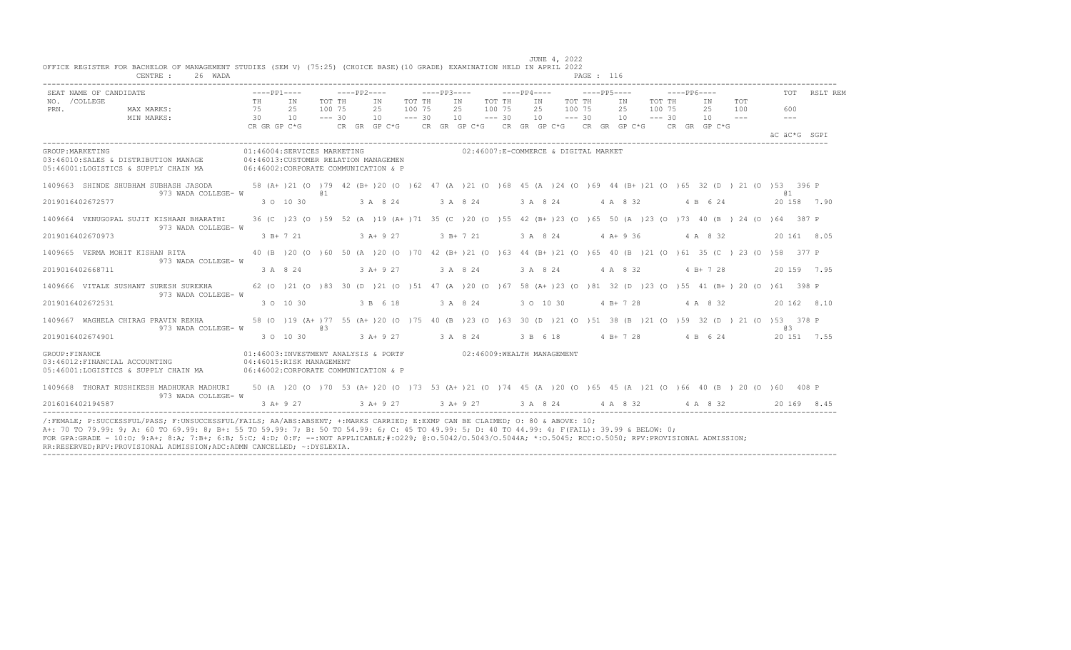| SEAT NAME OF CANDIDATE                                                                                                                                                                                                                                                                                                                                                                                                                                                                                                     |    | $---PP1---$                                                                                  |                              | ————— PP2————                                                                                                                                              |           |        | $---PP3---$                             |  | $---PP4---$                             |  |                                  |        | $---PP6---$                            |                |               |                                                                                                                                                                                                               | TOT RSLT REM |
|----------------------------------------------------------------------------------------------------------------------------------------------------------------------------------------------------------------------------------------------------------------------------------------------------------------------------------------------------------------------------------------------------------------------------------------------------------------------------------------------------------------------------|----|----------------------------------------------------------------------------------------------|------------------------------|------------------------------------------------------------------------------------------------------------------------------------------------------------|-----------|--------|-----------------------------------------|--|-----------------------------------------|--|----------------------------------|--------|----------------------------------------|----------------|---------------|---------------------------------------------------------------------------------------------------------------------------------------------------------------------------------------------------------------|--------------|
| ------<br>MAX MARKS:<br>NO. / COLLEGE<br>PRN.<br>MIN MARKS:                                                                                                                                                                                                                                                                                                                                                                                                                                                                | 30 | TH IN<br>75 25<br>10<br>CRGRGPC*G CRGRGPC*G CRGRGPC*G CRGRGPC*G CRGPC*G CRGRGPC*G CRGRGPC*G  | TOT TH<br>100 75<br>$--- 30$ | IN<br>$10 - - - 30$                                                                                                                                        | 25 100 75 | TOT TH | IN TOT TH<br>25 100 75<br>$10 - - - 30$ |  | IN TOT TH<br>25 100 75<br>$10 - - - 30$ |  | IN TOT TH<br>25<br>$10 - - - 30$ | 100 75 |                                        | IN<br>$10 - -$ | TOT<br>25 100 | 600<br>$   \,$<br>AC AC*G SGPT                                                                                                                                                                                |              |
| GROUP: MARKETING<br>03:46010:SALES & DISTRIBUTION MANAGE 04:46013:CUSTOMER RELATION MANAGEMEN<br>05:46001:LOGISTICS & SUPPLY CHAIN MA                                                                                                                                                                                                                                                                                                                                                                                      |    | 01:46004:SERVICES MARKETING<br>06:46002: CORPORATE COMMUNICATION & P                         |                              |                                                                                                                                                            |           |        | 02:46007:E-COMMERCE & DIGITAL MARKET    |  |                                         |  |                                  |        |                                        |                |               |                                                                                                                                                                                                               |              |
| 1409663 SHINDE SHUBHAM SUBHASH JASODA 58 (A+ )21 (0 )79 42 (B+ )20 (0 )62 47 (A )21 (0 )68 45 (A )24 (0 )69 44 (B+ )21 (0 )65 32 (D ) 21 (0 )53 396 P<br>973 WADA COLLEGE- W<br>2019016402672577                                                                                                                                                                                                                                                                                                                           |    | 3 0 10 30                                                                                    | @ 1                          | $3 \text{ A} \quad 8 \quad 24$ $3 \text{ A} \quad 8 \quad 24$ $3 \text{ A} \quad 8 \quad 24$ $4 \text{ A} \quad 8 \quad 32$ $4 \text{ B} \quad 6 \quad 24$ |           |        |                                         |  |                                         |  |                                  |        |                                        |                |               | @ 1<br>20 158 7.90                                                                                                                                                                                            |              |
| 1409664 VENUGOPAL SUJIT KISHAAN BHARATHI<br>973 WADA COLLEGE- W                                                                                                                                                                                                                                                                                                                                                                                                                                                            |    |                                                                                              |                              |                                                                                                                                                            |           |        |                                         |  |                                         |  |                                  |        |                                        |                |               | 36 (C) 23 (O) 59 52 (A) 19 (A+) 71 35 (C) 20 (O) 55 42 (B+) 23 (O) 65 50 (A) 23 (O) 73 40 (B) 24 (O) 64 387 P                                                                                                 |              |
| 2019016402670973                                                                                                                                                                                                                                                                                                                                                                                                                                                                                                           |    |                                                                                              |                              |                                                                                                                                                            |           |        |                                         |  |                                         |  |                                  |        |                                        |                |               | 3 B+ 7 21 3 A+ 9 27 3 B+ 7 21 3 A 8 24 4 A+ 9 36 4 A 8 32 20 161 8.05                                                                                                                                         |              |
| 1409665 VERMA MOHIT KISHAN RITA<br>973 WADA COLLEGE- W                                                                                                                                                                                                                                                                                                                                                                                                                                                                     |    |                                                                                              |                              |                                                                                                                                                            |           |        |                                         |  |                                         |  |                                  |        |                                        |                |               | 40 (B) 20 (O) 60 50 (A) 20 (O) 70 42 (B+) 21 (O) 63 44 (B+) 21 (O) 65 40 (B) 21 (O) 61 35 (C) 23 (O) 58 377 P                                                                                                 |              |
| 2019016402668711                                                                                                                                                                                                                                                                                                                                                                                                                                                                                                           |    |                                                                                              |                              |                                                                                                                                                            |           |        |                                         |  |                                         |  |                                  |        |                                        |                |               | $3 \text{ A} \quad 8 \quad 24$ $3 \text{ A} + 9 \quad 27$ $3 \text{ A} \quad 8 \quad 24$ $3 \text{ A} \quad 8 \quad 24$ $4 \text{ A} \quad 8 \quad 32$ $4 \text{ B} + 7 \quad 28$ $20 \quad 159$ $7 \quad 95$ |              |
| 1409666 VITALE SUSHANT SURESH SUREKHA 62 (0 )21 (0 )83 30 (D )21 (0 )51 47 (A )20 (0 )67 58 (A+ )23 (0 )81 32 (D )23 (0 )55 41 (B+ ) 20 (0 )61 398 P<br>973 WADA COLLEGE- W                                                                                                                                                                                                                                                                                                                                                |    |                                                                                              |                              |                                                                                                                                                            |           |        |                                         |  |                                         |  |                                  |        |                                        |                |               |                                                                                                                                                                                                               |              |
| 2019016402672531                                                                                                                                                                                                                                                                                                                                                                                                                                                                                                           |    | 3 0 10 30                                                                                    |                              | 3 B 6 18                                                                                                                                                   |           |        |                                         |  |                                         |  |                                  |        | 3 A 8 24 3 O 10 30 4 B + 7 28 4 A 8 32 |                |               |                                                                                                                                                                                                               | 20 162 8.10  |
| 1409667 WAGHELA CHIRAG PRAVIN REKHA 58 (0 )19 (A+ )77 55 (A+ )20 (0 )75 40 (B )23 (0 )63 30 (D )21 (0 )51 38 (B )21 (0 )59 32 (D )21 (0 )53 378 P<br>973 WADA COLLEGE- W                                                                                                                                                                                                                                                                                                                                                   |    |                                                                                              | Q3                           |                                                                                                                                                            |           |        |                                         |  |                                         |  |                                  |        |                                        |                |               | 6.8                                                                                                                                                                                                           |              |
| 2019016402674901                                                                                                                                                                                                                                                                                                                                                                                                                                                                                                           |    | $3$ O $10$ $30$ $3$ A+ $9$ $27$ $3$ A $8$ $24$ $3$ B $6$ $18$ $4$ B+ $7$ $28$ $4$ B $6$ $24$ |                              |                                                                                                                                                            |           |        |                                         |  |                                         |  |                                  |        |                                        |                |               | 20 151 7.55                                                                                                                                                                                                   |              |
| GROUP: FINANCE<br>03:46012:FINANCIAL ACCOUNTING 04:46015:RISK MANAGEMENT<br>05:46001:LOGISTICS & SUPPLY CHAIN MA 06:46002:CORPORATE COMMUNICATION & P                                                                                                                                                                                                                                                                                                                                                                      |    | 01:46003:INVESTMENT ANALYSIS & PORTF 02:46009:WEALTH MANAGEMENT                              |                              |                                                                                                                                                            |           |        |                                         |  |                                         |  |                                  |        |                                        |                |               |                                                                                                                                                                                                               |              |
| 1409668 THORAT RUSHIKESH MADHUKAR MADHURI 50 (A) 20 (O) 70 53 (A+) 20 (O) 73 53 (A+) 21 (O) 74 45 (A) 20 (O) 65 45 (A) 21 (O) 66 40 (B) 20 (O) 60 408 P<br>973 WADA COLLEGE- W                                                                                                                                                                                                                                                                                                                                             |    |                                                                                              |                              |                                                                                                                                                            |           |        |                                         |  |                                         |  |                                  |        |                                        |                |               |                                                                                                                                                                                                               |              |
| 2016016402194587                                                                                                                                                                                                                                                                                                                                                                                                                                                                                                           |    | $3$ A + 9 27 $3$ A + 9 27 $3$ A + 9 27 $3$ A $8$ 24 $4$ A $8$ 32 $4$ A $8$ 32                |                              |                                                                                                                                                            |           |        |                                         |  |                                         |  |                                  |        |                                        |                |               |                                                                                                                                                                                                               | 20169 8.45   |
| /:FEMALE: P:SUCCESSFUL/PASS: F:UNSUCCESSFUL/FAILS: AA/ABS:ABSENT: +:MARKS CARRIED: E:EXMP CAN BE CLAIMED: 0: 80 & ABOVE: 10:<br>A+: 70 TO 79.99: 9; A: 60 TO 69.99: 8; B+: 55 TO 59.99: 7; B: 50 TO 54.99: 6; C: 45 TO 49.99: 5; D: 40 TO 44.99: 4; F(FAIL): 39.99 & BELOW: 0;<br>FOR GPA:GRADE - 10:0; 9:A+; 8:A; 7:B+; 6:B; 5:C; 4:D; 0:F; --:NOT APPLICABLE;#:0229; 0:0.5042/0.5043/0.5044A; *:0.5045; RCC:0.5050; RPV:PROVISIONAL ADMISSION;<br>RR:RESERVED;RPV:PROVISIONAL ADMISSION;ADC:ADMN CANCELLED; ~: DYSLEXIA. |    |                                                                                              |                              |                                                                                                                                                            |           |        |                                         |  |                                         |  |                                  |        |                                        |                |               |                                                                                                                                                                                                               |              |

JUNE 4, 2022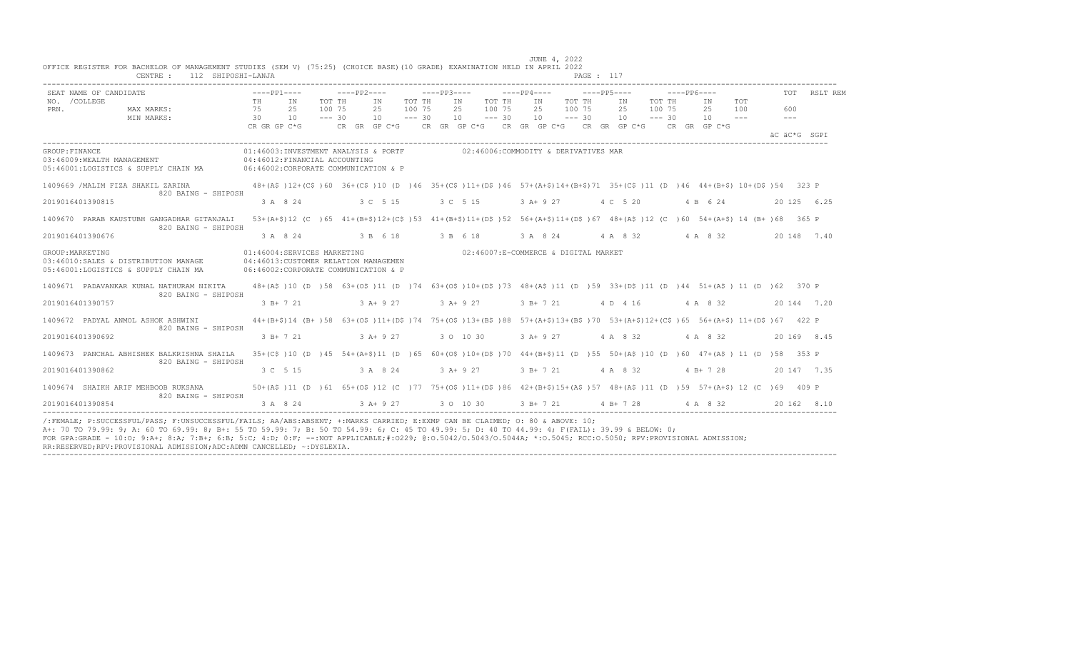|                       | SEAT NAME OF CANDIDATE                                                                                                                                                                    |                                                                     |                                 |                              |                                  |        |            |                                         |                                                                                                                                                                                |                           |                  | $---PP6---$ |                      |            |                             |              | TOT RSLT REM |
|-----------------------|-------------------------------------------------------------------------------------------------------------------------------------------------------------------------------------------|---------------------------------------------------------------------|---------------------------------|------------------------------|----------------------------------|--------|------------|-----------------------------------------|--------------------------------------------------------------------------------------------------------------------------------------------------------------------------------|---------------------------|------------------|-------------|----------------------|------------|-----------------------------|--------------|--------------|
| NO. / COLLEGE<br>PRN. | $\frac{75}{30}$<br>MAX MARKS:<br>MIN MARKS:                                                                                                                                               | TH IN                                                               | 25<br>10                        | TOT TH<br>100 75<br>$--- 30$ | IN<br>25 100 75<br>$10 - - - 30$ | TOT TH |            | IN TOT TH<br>25 100 75<br>$10 - - - 30$ | IN TOT TH<br>25 100 75<br>$10 = -230$                                                                                                                                          | IN<br>25<br>$10 - - - 30$ | TOT TH<br>100 75 |             | IN<br>25<br>$10 - -$ | TOT<br>100 | 600<br>$\sim$ $\sim$ $\sim$ |              |              |
|                       |                                                                                                                                                                                           |                                                                     |                                 |                              |                                  |        |            |                                         |                                                                                                                                                                                |                           |                  |             |                      |            |                             | AC AC*G SGPT |              |
| GROUP: FINANCE        | 03:46009:WEALTH MANAGEMENT 04:46012:FINANCIAL ACCOUNTING<br>05:46001:LOGISTICS & SUPPLY CHAIN MA 06:46002:CORPORATE COMMUNICATION & P                                                     |                                                                     |                                 |                              |                                  |        |            |                                         | 01:46003:INVESTMENT ANALYSIS & PORTF 02:46006:COMMODITY & DERIVATIVES MAR                                                                                                      |                           |                  |             |                      |            |                             |              |              |
|                       | 1409669 /MALIM FIZA SHAKIL ZARINA 48+(A\$ )12+(C\$ )60 36+(C\$ )10 (D )46 35+(C\$ )11+(D\$ )46 57+(A+\$)14+(B+\$)71 35+(C\$ )11 (D )46 44+(B+\$) 10+(D\$ )54 323 P<br>820 BAING - SHIPOSH |                                                                     |                                 |                              |                                  |        |            |                                         |                                                                                                                                                                                |                           |                  |             |                      |            |                             |              |              |
|                       | 2019016401390815                                                                                                                                                                          |                                                                     |                                 |                              |                                  |        |            |                                         | 3 A 8 24 3 C 5 15 3 C 5 15 3 A + 9 27 4 C 5 20 4 B 6 24                                                                                                                        |                           |                  |             |                      |            |                             | 20 125 6.25  |              |
|                       | 1409670 PARAB KAUSTUBH GANGADHAR GITANJALI<br>820 BAING - SHIPOSH                                                                                                                         |                                                                     |                                 |                              |                                  |        |            |                                         | 53+(A+\$)12 (C)65 41+(B+\$)12+(C\$)53 41+(B+\$)11+(D\$)52 56+(A+\$)11+(D\$)67 48+(A\$)12 (C)60 54+(A+\$)14 (B+)68 365 P                                                        |                           |                  |             |                      |            |                             |              |              |
|                       | 2019016401390676                                                                                                                                                                          |                                                                     | 3 A 8 24                        |                              |                                  |        |            |                                         | 3 B 6 18 3 B 6 18 3 A 8 24 4 A 8 32 4 A 8 32                                                                                                                                   |                           |                  |             |                      |            | 20 148 7.40                 |              |              |
| GROUP: MARKETING      | 03:46010:SALES & DISTRIBUTION MANAGE 04:46013:CUSTOMER RELATION MANAGEMEN<br>05:46001:LOGISTICS & SUPPLY CHAIN MA                                                                         | 01:46004:SERVICES MARKETING<br>06:46002:CORPORATE COMMUNICATION & P |                                 |                              |                                  |        |            |                                         | 02:46007:E-COMMERCE & DIGITAL MARKET                                                                                                                                           |                           |                  |             |                      |            |                             |              |              |
|                       | 1409671 PADAVANKAR KUNAL NATHURAM NIKITA<br>820 BAING - SHIPOSH                                                                                                                           |                                                                     |                                 |                              |                                  |        |            |                                         | 48+(A\$)10(D)58 63+(O\$)11(D)74 63+(O\$)10+(D\$)73 48+(A\$)11(D)59 33+(D\$)11(D)44 51+(A\$) 11(D)62 370 P                                                                      |                           |                  |             |                      |            |                             |              |              |
|                       | 2019016401390757                                                                                                                                                                          |                                                                     | 3 B+ 7 21                       |                              | $3A+927$                         |        | $3 A+9 27$ |                                         | 3 B + 7 21 4 D 4 16 4 A 8 32                                                                                                                                                   |                           |                  |             |                      |            |                             | 20 144 7.20  |              |
|                       | 1409672 PADYAL ANMOL ASHOK ASHWINI<br>820 BAING - SHIPOSH                                                                                                                                 |                                                                     |                                 |                              |                                  |        |            |                                         | 44+(B+\$)14 (B+)58 63+(O\$)11+(D\$)74 75+(O\$)13+(B\$)88 57+(A+\$)13+(B\$)70 53+(A+\$)12+(C\$)65 56+(A+\$) 11+(D\$)67 422 P                                                    |                           |                  |             |                      |            |                             |              |              |
|                       | 2019016401390692                                                                                                                                                                          |                                                                     | 3 B + 7 21 3 A + 9 27 3 0 10 30 |                              |                                  |        |            |                                         | 3 A + 9 27 4 A 8 32 4 A 8 32                                                                                                                                                   |                           |                  |             |                      |            |                             | 20 169 8.45  |              |
|                       | 1409673 PANCHAL ABHISHEK BALKRISHNA SHAILA<br>820 BAING - SHIPOSH                                                                                                                         |                                                                     |                                 |                              |                                  |        |            |                                         | 35+(C\$)10 (D)45 54+(A+\$)11 (D)65 60+(O\$)10+(D\$)70 44+(B+\$)11 (D)55 50+(A\$)10 (D)60 47+(A\$) 11 (D)58 353 P                                                               |                           |                  |             |                      |            |                             |              |              |
|                       | 2019016401390862                                                                                                                                                                          |                                                                     | 3 C 5 15 3 A 8 24               |                              |                                  |        | $3A+927$   |                                         | 3 B + 7 21 4 A 8 32 4 B + 7 28                                                                                                                                                 |                           |                  |             |                      |            |                             | 20 147 7.35  |              |
|                       | 1409674 SHAIKH ARIF MEHBOOB RUKSANA<br>820 BAING - SHIPOSH                                                                                                                                |                                                                     |                                 |                              |                                  |        |            |                                         | 50+(A\$)11 (D)61 65+(O\$)12 (C)77 75+(O\$)11+(D\$)86 42+(B+\$)15+(A\$)57 48+(A\$)11 (D)59 57+(A+\$) 12 (C)69 409 P                                                             |                           |                  |             |                      |            |                             |              |              |
|                       | 2019016401390854                                                                                                                                                                          |                                                                     |                                 |                              |                                  |        |            |                                         | $3 \text{ A} \quad 8 \quad 24$ $3 \text{ A} + 9 \quad 27$ $3 \text{ O} \quad 10 \quad 30$ $3 \text{ B} + 7 \quad 21$ $4 \text{ B} + 7 \quad 28$ $4 \text{ A} \quad 8 \quad 32$ |                           |                  |             |                      |            |                             | 20 162 8.10  |              |